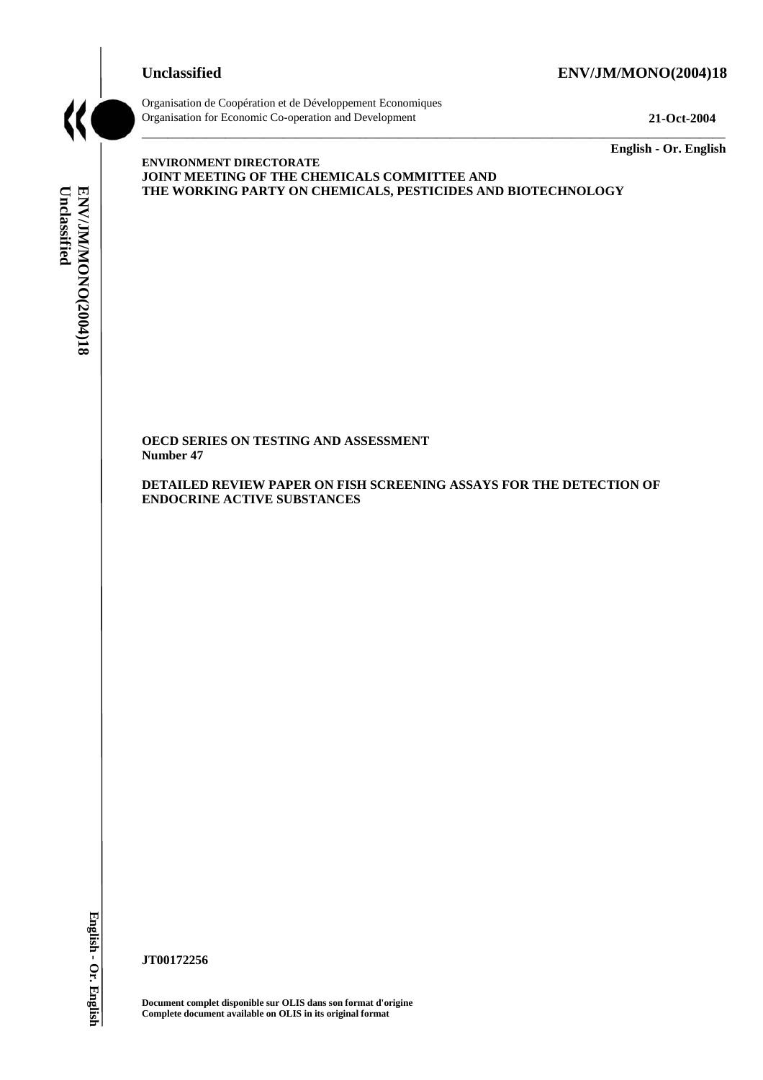# **Unclassified ENV/JM/MONO(2004)18**



Organisation de Coopération et de Développement Economiques Organisation for Economic Co-operation and Development **21-Oct-2004** 

\_\_\_\_\_\_\_\_\_\_\_\_\_ **English - Or. English** 

# Unclassified ENV/JM/MONO(2004)18 **Unclassified ENV/JM/MONO(2004)18 English - Or. English**

**ENVIRONMENT DIRECTORATE JOINT MEETING OF THE CHEMICALS COMMITTEE AND THE WORKING PARTY ON CHEMICALS, PESTICIDES AND BIOTECHNOLOGY** 

\_\_\_\_\_\_\_\_\_\_\_\_\_\_\_\_\_\_\_\_\_\_\_\_\_\_\_\_\_\_\_\_\_\_\_\_\_\_\_\_\_\_\_\_\_\_\_\_\_\_\_\_\_\_\_\_\_\_\_\_\_\_\_\_\_\_\_\_\_\_\_\_\_\_\_\_\_\_\_\_\_\_\_\_\_\_\_\_\_\_\_

**OECD SERIES ON TESTING AND ASSESSMENT Number 47** 

**DETAILED REVIEW PAPER ON FISH SCREENING ASSAYS FOR THE DETECTION OF ENDOCRINE ACTIVE SUBSTANCES** 

**JT00172256** 

**Document complet disponible sur OLIS dans son format d'origine Complete document available on OLIS in its original format**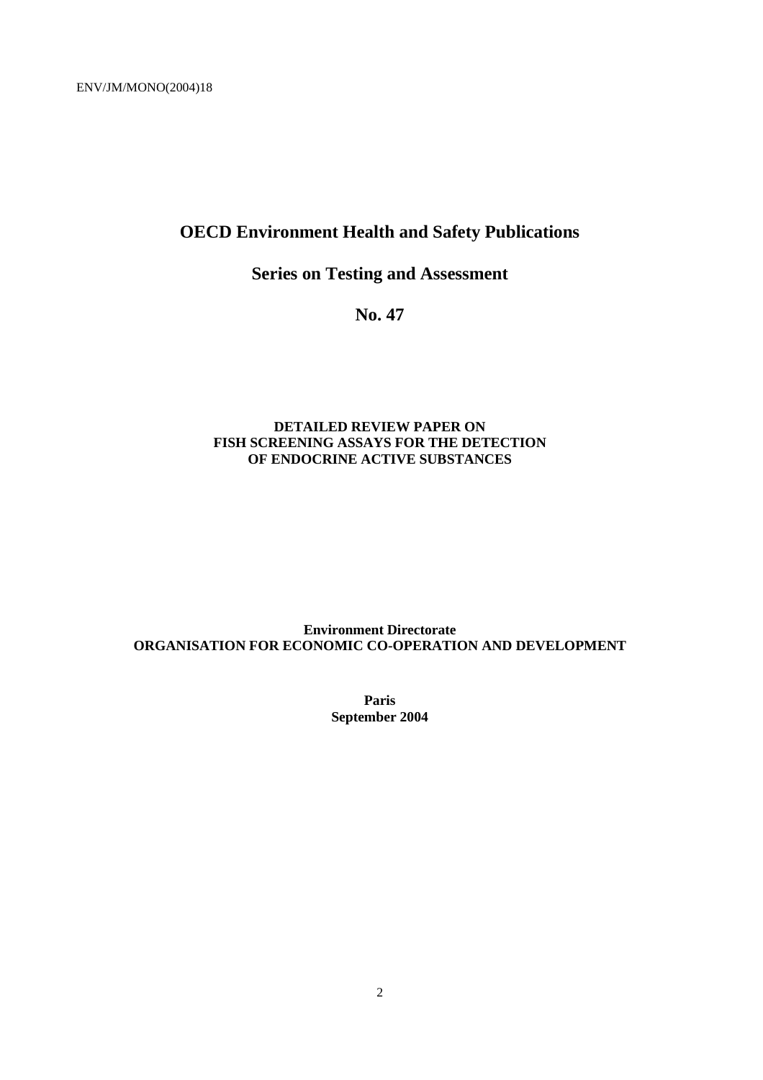# **OECD Environment Health and Safety Publications**

# **Series on Testing and Assessment**

**No. 47** 

#### **DETAILED REVIEW PAPER ON FISH SCREENING ASSAYS FOR THE DETECTION OF ENDOCRINE ACTIVE SUBSTANCES**

### **Environment Directorate ORGANISATION FOR ECONOMIC CO-OPERATION AND DEVELOPMENT**

**Paris September 2004**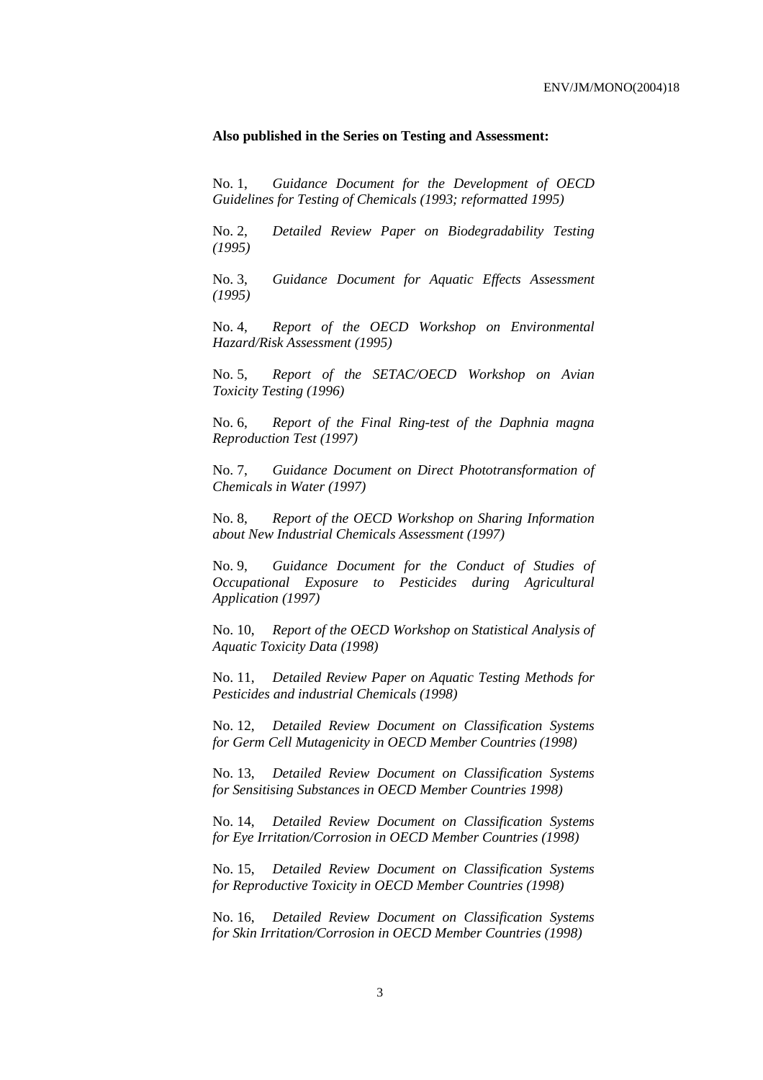#### **Also published in the Series on Testing and Assessment:**

No. 1, *Guidance Document for the Development of OECD Guidelines for Testing of Chemicals (1993; reformatted 1995)*

No. 2, *Detailed Review Paper on Biodegradability Testing (1995)*

No. 3, *Guidance Document for Aquatic Effects Assessment (1995)* 

No. 4, *Report of the OECD Workshop on Environmental Hazard/Risk Assessment (1995)*

No. 5, *Report of the SETAC/OECD Workshop on Avian Toxicity Testing (1996)*

No. 6, *Report of the Final Ring-test of the Daphnia magna Reproduction Test (1997)*

No. 7, *Guidance Document on Direct Phototransformation of Chemicals in Water (1997)* 

No. 8, *Report of the OECD Workshop on Sharing Information about New Industrial Chemicals Assessment (1997)*

No. 9, *Guidance Document for the Conduct of Studies of Occupational Exposure to Pesticides during Agricultural Application (1997)*

No. 10, *Report of the OECD Workshop on Statistical Analysis of Aquatic Toxicity Data (1998)*

No. 11, *Detailed Review Paper on Aquatic Testing Methods for Pesticides and industrial Chemicals (1998)*

No. 12, *Detailed Review Document on Classification Systems for Germ Cell Mutagenicity in OECD Member Countries (1998)*

No. 13, *Detailed Review Document on Classification Systems for Sensitising Substances in OECD Member Countries 1998)*

No. 14, *Detailed Review Document on Classification Systems for Eye Irritation/Corrosion in OECD Member Countries (1998)*

No. 15, *Detailed Review Document on Classification Systems for Reproductive Toxicity in OECD Member Countries (1998)*

No. 16, *Detailed Review Document on Classification Systems for Skin Irritation/Corrosion in OECD Member Countries (1998)*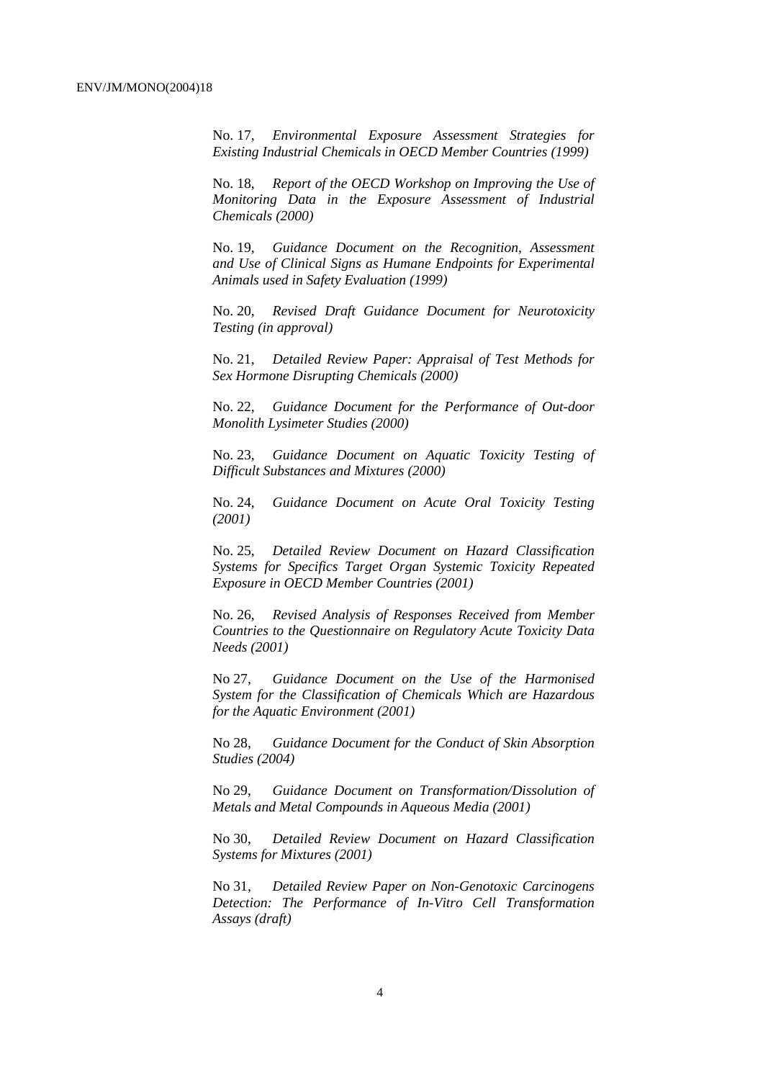No. 17, *Environmental Exposure Assessment Strategies for Existing Industrial Chemicals in OECD Member Countries (1999)*

No. 18, *Report of the OECD Workshop on Improving the Use of Monitoring Data in the Exposure Assessment of Industrial Chemicals (2000)*

No. 19, *Guidance Document on the Recognition, Assessment and Use of Clinical Signs as Humane Endpoints for Experimental Animals used in Safety Evaluation (1999)*

No. 20, *Revised Draft Guidance Document for Neurotoxicity Testing (in approval)*

No. 21, *Detailed Review Paper: Appraisal of Test Methods for Sex Hormone Disrupting Chemicals (2000)*

No. 22, *Guidance Document for the Performance of Out-door Monolith Lysimeter Studies (2000)*

No. 23, *Guidance Document on Aquatic Toxicity Testing of Difficult Substances and Mixtures (2000)*

No. 24, *Guidance Document on Acute Oral Toxicity Testing (2001)*

No. 25, *Detailed Review Document on Hazard Classification Systems for Specifics Target Organ Systemic Toxicity Repeated Exposure in OECD Member Countries (2001)*

No. 26, *Revised Analysis of Responses Received from Member Countries to the Questionnaire on Regulatory Acute Toxicity Data Needs (2001)*

No 27, *Guidance Document on the Use of the Harmonised System for the Classification of Chemicals Which are Hazardous for the Aquatic Environment (2001)*

No 28, *Guidance Document for the Conduct of Skin Absorption Studies (2004)*

No 29, *Guidance Document on Transformation/Dissolution of Metals and Metal Compounds in Aqueous Media (2001)*

No 30, *Detailed Review Document on Hazard Classification Systems for Mixtures (2001)*

No 31, *Detailed Review Paper on Non-Genotoxic Carcinogens Detection: The Performance of In-Vitro Cell Transformation Assays (draft)*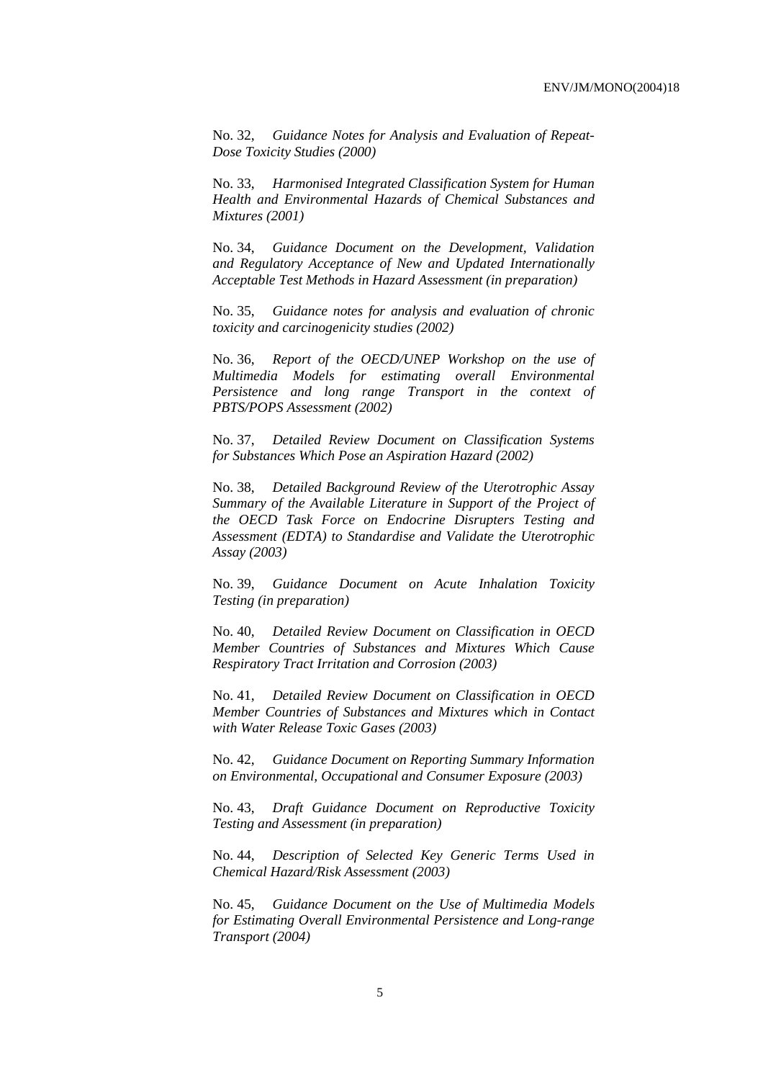No. 32, *Guidance Notes for Analysis and Evaluation of Repeat-Dose Toxicity Studies (2000)*

No. 33, *Harmonised Integrated Classification System for Human Health and Environmental Hazards of Chemical Substances and Mixtures (2001)*

No. 34, *Guidance Document on the Development, Validation and Regulatory Acceptance of New and Updated Internationally Acceptable Test Methods in Hazard Assessment (in preparation)*

No. 35, *Guidance notes for analysis and evaluation of chronic toxicity and carcinogenicity studies (2002)*

No. 36, *Report of the OECD/UNEP Workshop on the use of Multimedia Models for estimating overall Environmental Persistence and long range Transport in the context of PBTS/POPS Assessment (2002)*

No. 37, *Detailed Review Document on Classification Systems for Substances Which Pose an Aspiration Hazard (2002)*

No. 38, *Detailed Background Review of the Uterotrophic Assay Summary of the Available Literature in Support of the Project of the OECD Task Force on Endocrine Disrupters Testing and Assessment (EDTA) to Standardise and Validate the Uterotrophic Assay (2003)*

No. 39, *Guidance Document on Acute Inhalation Toxicity Testing (in preparation)*

No. 40, *Detailed Review Document on Classification in OECD Member Countries of Substances and Mixtures Which Cause Respiratory Tract Irritation and Corrosion (2003)*

No. 41, *Detailed Review Document on Classification in OECD Member Countries of Substances and Mixtures which in Contact with Water Release Toxic Gases (2003)*

No. 42, *Guidance Document on Reporting Summary Information on Environmental, Occupational and Consumer Exposure (2003)*

No. 43, *Draft Guidance Document on Reproductive Toxicity Testing and Assessment (in preparation)*

No. 44, *Description of Selected Key Generic Terms Used in Chemical Hazard/Risk Assessment (2003)* 

No. 45, *Guidance Document on the Use of Multimedia Models for Estimating Overall Environmental Persistence and Long-range Transport (2004)*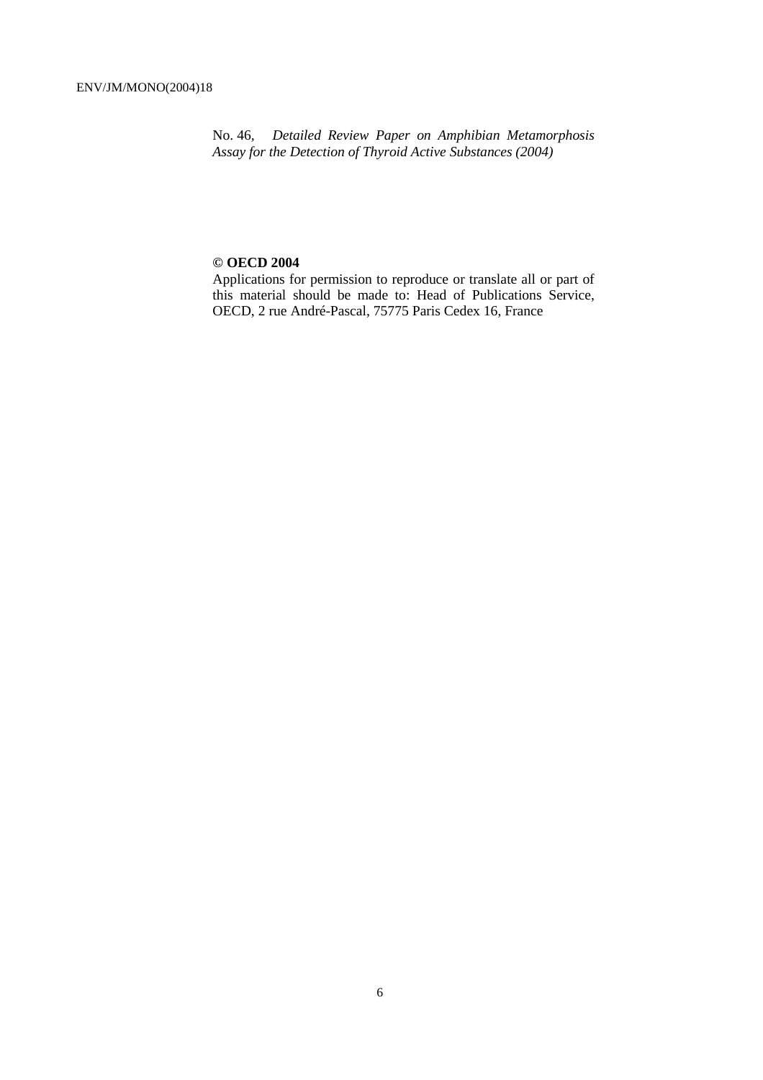No. 46*, Detailed Review Paper on Amphibian Metamorphosis Assay for the Detection of Thyroid Active Substances (2004)* 

#### **© OECD 2004**

Applications for permission to reproduce or translate all or part of this material should be made to: Head of Publications Service, OECD, 2 rue André-Pascal, 75775 Paris Cedex 16, France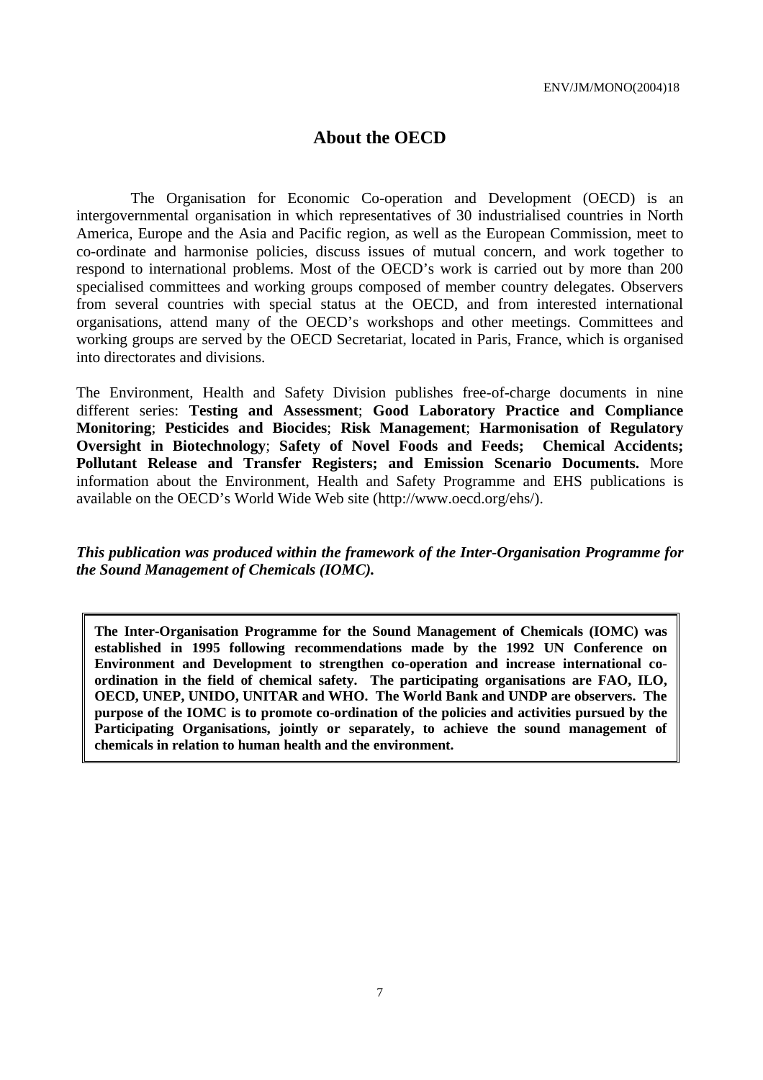# **About the OECD**

The Organisation for Economic Co-operation and Development (OECD) is an intergovernmental organisation in which representatives of 30 industrialised countries in North America, Europe and the Asia and Pacific region, as well as the European Commission, meet to co-ordinate and harmonise policies, discuss issues of mutual concern, and work together to respond to international problems. Most of the OECD's work is carried out by more than 200 specialised committees and working groups composed of member country delegates. Observers from several countries with special status at the OECD, and from interested international organisations, attend many of the OECD's workshops and other meetings. Committees and working groups are served by the OECD Secretariat, located in Paris, France, which is organised into directorates and divisions.

The Environment, Health and Safety Division publishes free-of-charge documents in nine different series: **Testing and Assessment**; **Good Laboratory Practice and Compliance Monitoring**; **Pesticides and Biocides**; **Risk Management**; **Harmonisation of Regulatory Oversight in Biotechnology**; **Safety of Novel Foods and Feeds; Chemical Accidents; Pollutant Release and Transfer Registers; and Emission Scenario Documents.** More information about the Environment, Health and Safety Programme and EHS publications is available on the OECD's World Wide Web site (http://www.oecd.org/ehs/).

*This publication was produced within the framework of the Inter-Organisation Programme for the Sound Management of Chemicals (IOMC).* 

**The Inter-Organisation Programme for the Sound Management of Chemicals (IOMC) was established in 1995 following recommendations made by the 1992 UN Conference on Environment and Development to strengthen co-operation and increase international coordination in the field of chemical safety. The participating organisations are FAO, ILO, OECD, UNEP, UNIDO, UNITAR and WHO. The World Bank and UNDP are observers. The purpose of the IOMC is to promote co-ordination of the policies and activities pursued by the Participating Organisations, jointly or separately, to achieve the sound management of chemicals in relation to human health and the environment.**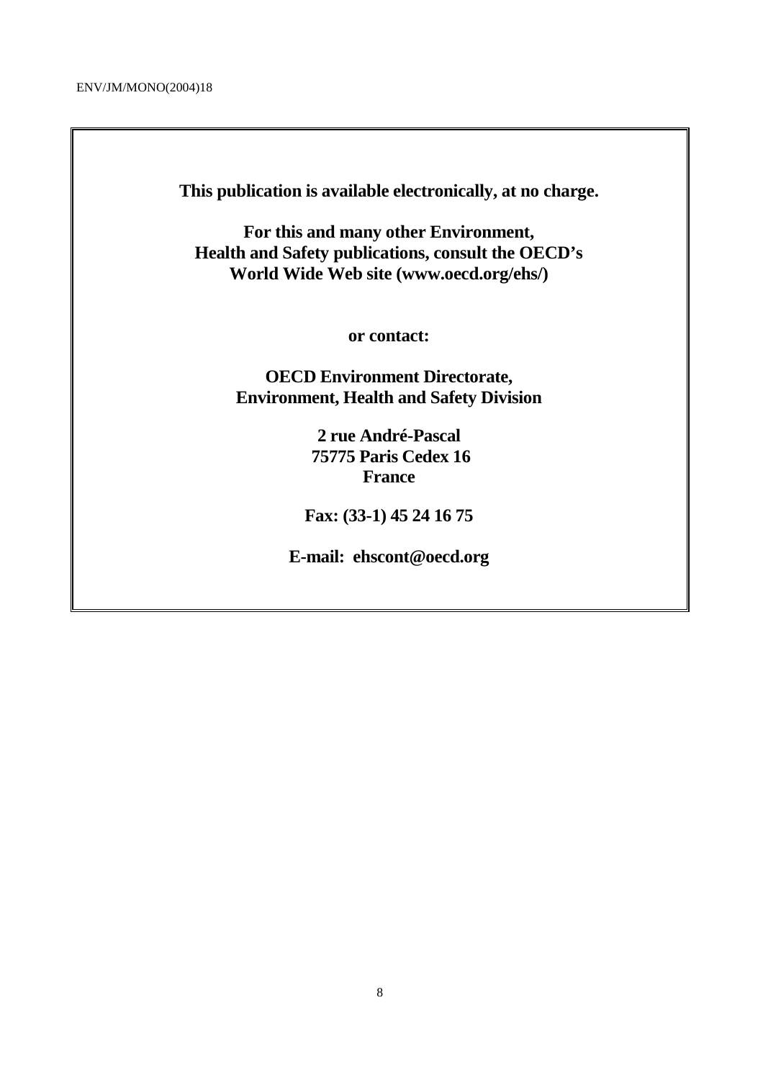**This publication is available electronically, at no charge.** 

**For this and many other Environment, Health and Safety publications, consult the OECD's World Wide Web site (www.oecd.org/ehs/)** 

**or contact:** 

**OECD Environment Directorate, Environment, Health and Safety Division**

> **2 rue André-Pascal 75775 Paris Cedex 16 France**

**Fax: (33-1) 45 24 16 75** 

**E-mail: ehscont@oecd.org**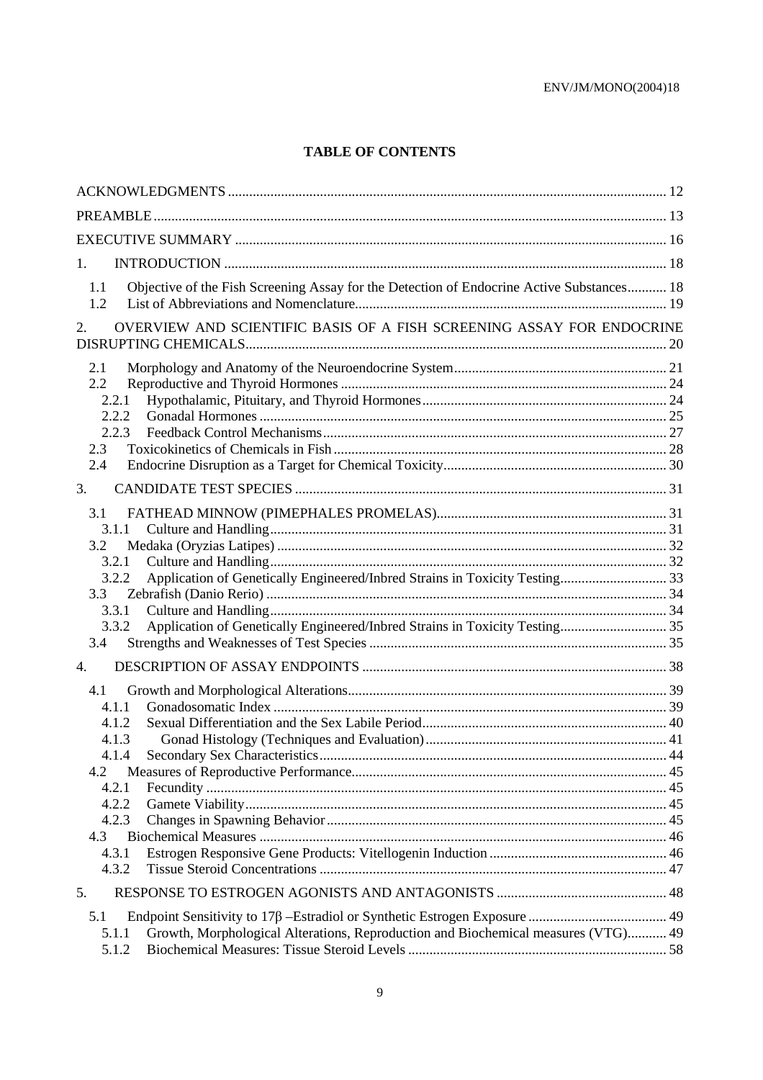# **TABLE OF CONTENTS**

| 1.                                                                                                         |  |  |
|------------------------------------------------------------------------------------------------------------|--|--|
| 1.1<br>Objective of the Fish Screening Assay for the Detection of Endocrine Active Substances 18<br>1.2    |  |  |
| OVERVIEW AND SCIENTIFIC BASIS OF A FISH SCREENING ASSAY FOR ENDOCRINE<br>2.                                |  |  |
| 2.1<br>2.2<br>2.2.1<br>2.2.2<br>2.2.3<br>2.3<br>2.4                                                        |  |  |
| 3.                                                                                                         |  |  |
| 3.1<br>3.1.1<br>3.2<br>3.2.1<br>3.2.2<br>3.3<br>3.3.1<br>3.3.2<br>3.4                                      |  |  |
| $\overline{4}$ .                                                                                           |  |  |
| 4.1<br>4.1.1<br>4.1.2<br>4.1.3<br>4.1.4<br>4.2<br>4.2.1<br>4.2.2<br>4.2.3<br>4.3<br>4.3.1<br>4.3.2         |  |  |
| 5.                                                                                                         |  |  |
| 5.1<br>Growth, Morphological Alterations, Reproduction and Biochemical measures (VTG) 49<br>5.1.1<br>5.1.2 |  |  |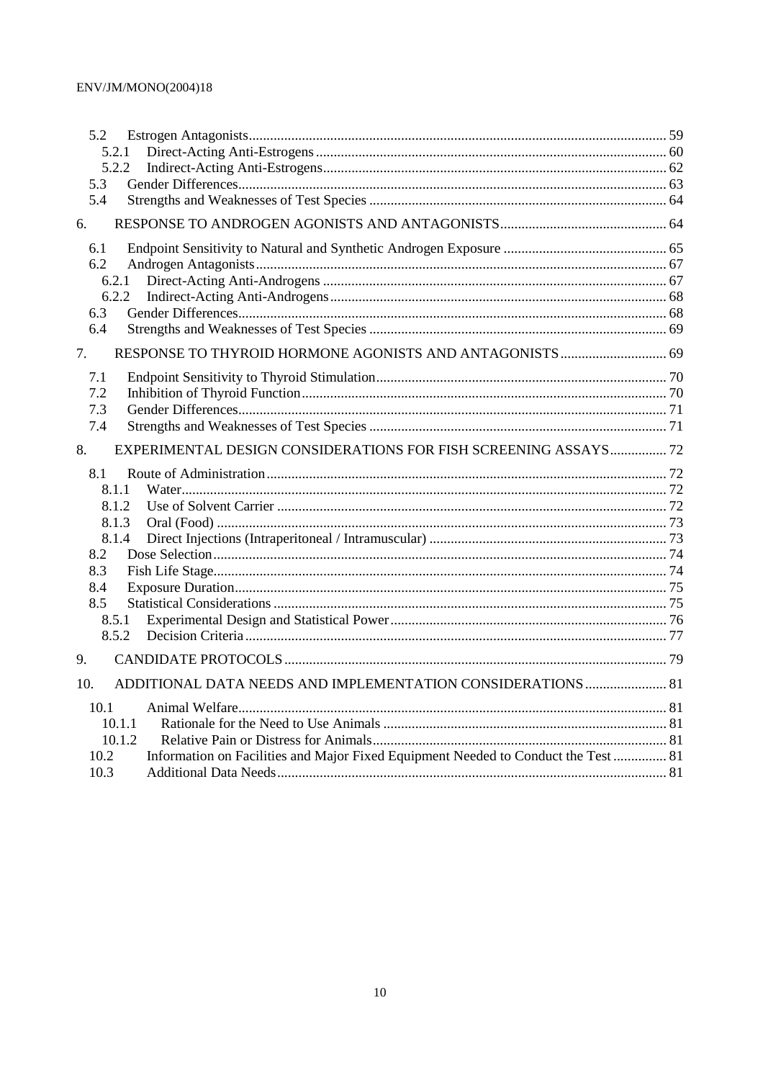| 5.2 |                                                                                            |  |
|-----|--------------------------------------------------------------------------------------------|--|
|     | 5.2.1                                                                                      |  |
|     | 5.2.2                                                                                      |  |
| 5.3 |                                                                                            |  |
| 5.4 |                                                                                            |  |
| 6.  |                                                                                            |  |
| 6.1 |                                                                                            |  |
| 6.2 |                                                                                            |  |
|     | 6.2.1                                                                                      |  |
|     | 6.2.2                                                                                      |  |
| 6.3 |                                                                                            |  |
| 6.4 |                                                                                            |  |
| 7.  |                                                                                            |  |
| 7.1 |                                                                                            |  |
| 7.2 |                                                                                            |  |
| 7.3 |                                                                                            |  |
| 7.4 |                                                                                            |  |
| 8.  | EXPERIMENTAL DESIGN CONSIDERATIONS FOR FISH SCREENING ASSAYS 72                            |  |
| 8.1 |                                                                                            |  |
|     | 8.1.1                                                                                      |  |
|     | 8.1.2                                                                                      |  |
|     | 8.1.3                                                                                      |  |
|     | 8.1.4                                                                                      |  |
| 8.2 |                                                                                            |  |
| 8.3 |                                                                                            |  |
| 8.4 |                                                                                            |  |
| 8.5 |                                                                                            |  |
|     | 8.5.1                                                                                      |  |
|     | 8.5.2                                                                                      |  |
| 9.  |                                                                                            |  |
| 10. | ADDITIONAL DATA NEEDS AND IMPLEMENTATION CONSIDERATIONS  81                                |  |
|     | 10.1                                                                                       |  |
|     | 10.1.1                                                                                     |  |
|     | 10.1.2                                                                                     |  |
|     | Information on Facilities and Major Fixed Equipment Needed to Conduct the Test  81<br>10.2 |  |
|     | 10.3                                                                                       |  |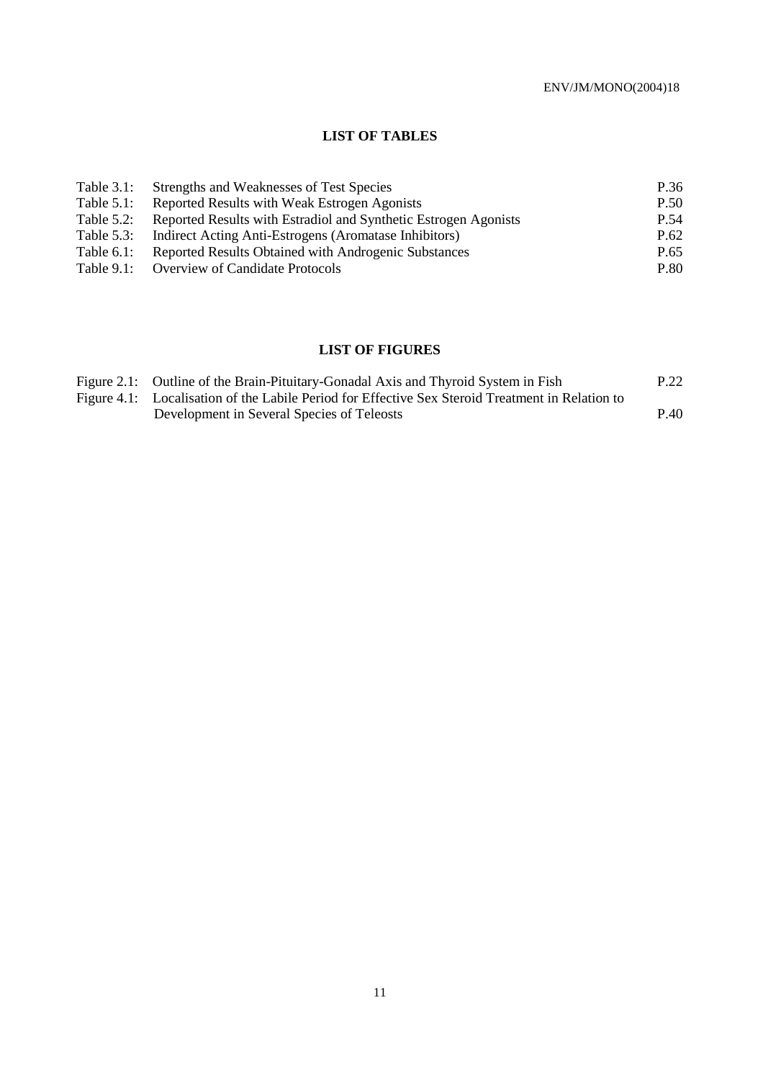### **LIST OF TABLES**

| Table $3.1$ : | Strengths and Weaknesses of Test Species                        | P.36 |
|---------------|-----------------------------------------------------------------|------|
| Table $5.1$ : | Reported Results with Weak Estrogen Agonists                    | P.50 |
| Table $5.2$ : | Reported Results with Estradiol and Synthetic Estrogen Agonists | P.54 |
| Table $5.3$ : | Indirect Acting Anti-Estrogens (Aromatase Inhibitors)           | P.62 |
| Table $6.1$ : | Reported Results Obtained with Androgenic Substances            | P.65 |
| Table $9.1$ : | <b>Overview of Candidate Protocols</b>                          | P.80 |

# **LIST OF FIGURES**

| Figure 2.1: Outline of the Brain-Pituitary-Gonadal Axis and Thyroid System in Fish               | P.22 |
|--------------------------------------------------------------------------------------------------|------|
| Figure 4.1: Localisation of the Labile Period for Effective Sex Steroid Treatment in Relation to |      |
| Development in Several Species of Teleosts                                                       | P.40 |
|                                                                                                  |      |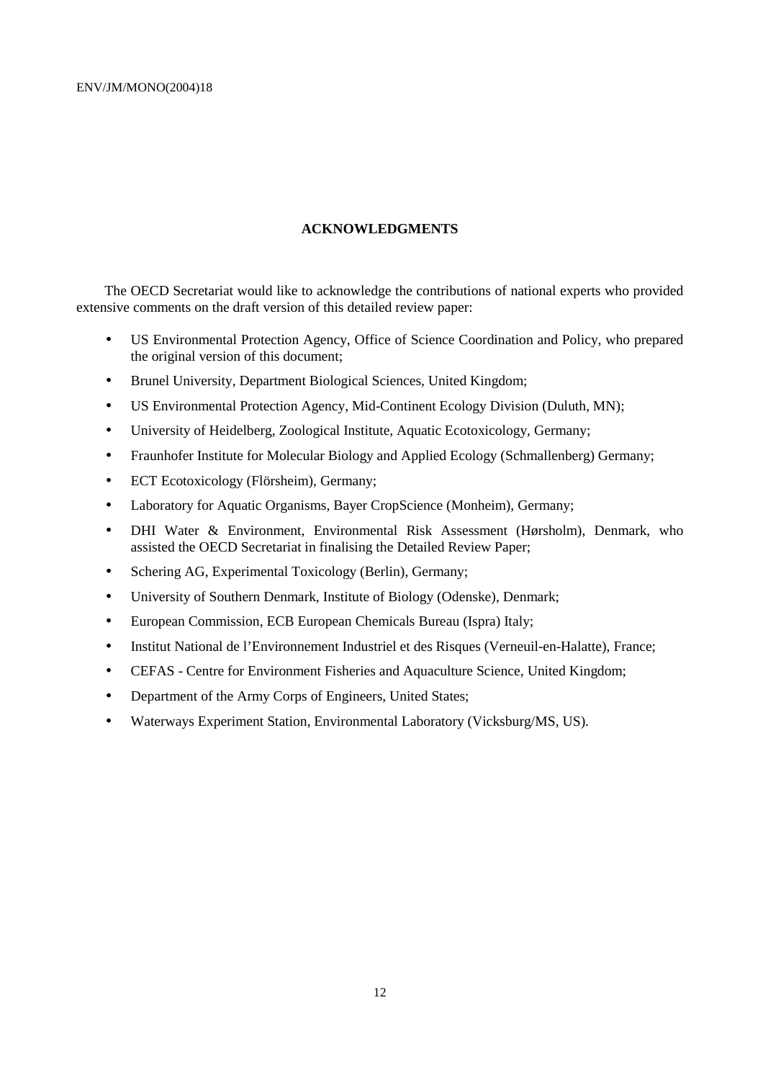#### **ACKNOWLEDGMENTS**

The OECD Secretariat would like to acknowledge the contributions of national experts who provided extensive comments on the draft version of this detailed review paper:

- US Environmental Protection Agency, Office of Science Coordination and Policy, who prepared the original version of this document;
- Brunel University, Department Biological Sciences, United Kingdom;
- US Environmental Protection Agency, Mid-Continent Ecology Division (Duluth, MN);
- University of Heidelberg, Zoological Institute, Aquatic Ecotoxicology, Germany;
- Fraunhofer Institute for Molecular Biology and Applied Ecology (Schmallenberg) Germany;
- ECT Ecotoxicology (Flörsheim), Germany;
- Laboratory for Aquatic Organisms, Bayer CropScience (Monheim), Germany;
- DHI Water & Environment, Environmental Risk Assessment (Hørsholm), Denmark, who assisted the OECD Secretariat in finalising the Detailed Review Paper;
- Schering AG, Experimental Toxicology (Berlin), Germany;
- University of Southern Denmark, Institute of Biology (Odenske), Denmark;
- European Commission, ECB European Chemicals Bureau (Ispra) Italy;
- Institut National de l'Environnement Industriel et des Risques (Verneuil-en-Halatte), France;
- CEFAS Centre for Environment Fisheries and Aquaculture Science, United Kingdom;
- Department of the Army Corps of Engineers, United States;
- Waterways Experiment Station, Environmental Laboratory (Vicksburg/MS, US).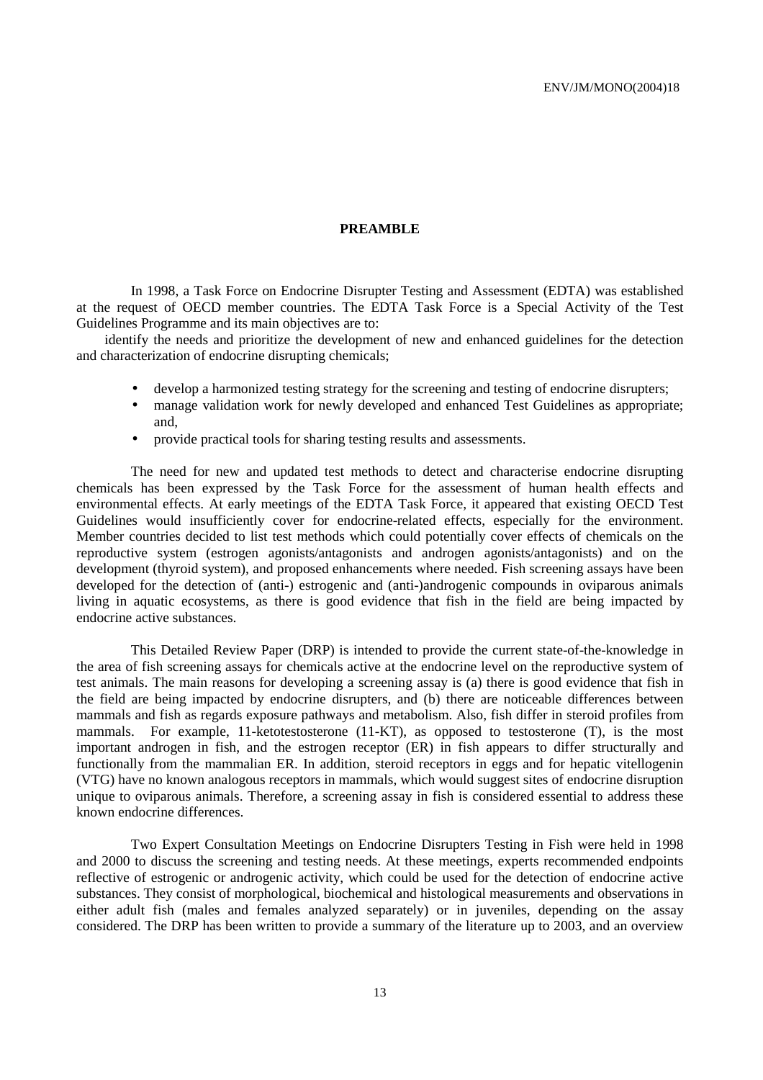#### **PREAMBLE**

 In 1998, a Task Force on Endocrine Disrupter Testing and Assessment (EDTA) was established at the request of OECD member countries. The EDTA Task Force is a Special Activity of the Test Guidelines Programme and its main objectives are to:

identify the needs and prioritize the development of new and enhanced guidelines for the detection and characterization of endocrine disrupting chemicals;

- develop a harmonized testing strategy for the screening and testing of endocrine disrupters;
- manage validation work for newly developed and enhanced Test Guidelines as appropriate; and,
- provide practical tools for sharing testing results and assessments.

 The need for new and updated test methods to detect and characterise endocrine disrupting chemicals has been expressed by the Task Force for the assessment of human health effects and environmental effects. At early meetings of the EDTA Task Force, it appeared that existing OECD Test Guidelines would insufficiently cover for endocrine-related effects, especially for the environment. Member countries decided to list test methods which could potentially cover effects of chemicals on the reproductive system (estrogen agonists/antagonists and androgen agonists/antagonists) and on the development (thyroid system), and proposed enhancements where needed. Fish screening assays have been developed for the detection of (anti-) estrogenic and (anti-)androgenic compounds in oviparous animals living in aquatic ecosystems, as there is good evidence that fish in the field are being impacted by endocrine active substances.

 This Detailed Review Paper (DRP) is intended to provide the current state-of-the-knowledge in the area of fish screening assays for chemicals active at the endocrine level on the reproductive system of test animals. The main reasons for developing a screening assay is (a) there is good evidence that fish in the field are being impacted by endocrine disrupters, and (b) there are noticeable differences between mammals and fish as regards exposure pathways and metabolism. Also, fish differ in steroid profiles from mammals. For example, 11-ketotestosterone (11-KT), as opposed to testosterone (T), is the most important androgen in fish, and the estrogen receptor (ER) in fish appears to differ structurally and functionally from the mammalian ER. In addition, steroid receptors in eggs and for hepatic vitellogenin (VTG) have no known analogous receptors in mammals, which would suggest sites of endocrine disruption unique to oviparous animals. Therefore, a screening assay in fish is considered essential to address these known endocrine differences.

 Two Expert Consultation Meetings on Endocrine Disrupters Testing in Fish were held in 1998 and 2000 to discuss the screening and testing needs. At these meetings, experts recommended endpoints reflective of estrogenic or androgenic activity, which could be used for the detection of endocrine active substances. They consist of morphological, biochemical and histological measurements and observations in either adult fish (males and females analyzed separately) or in juveniles, depending on the assay considered. The DRP has been written to provide a summary of the literature up to 2003, and an overview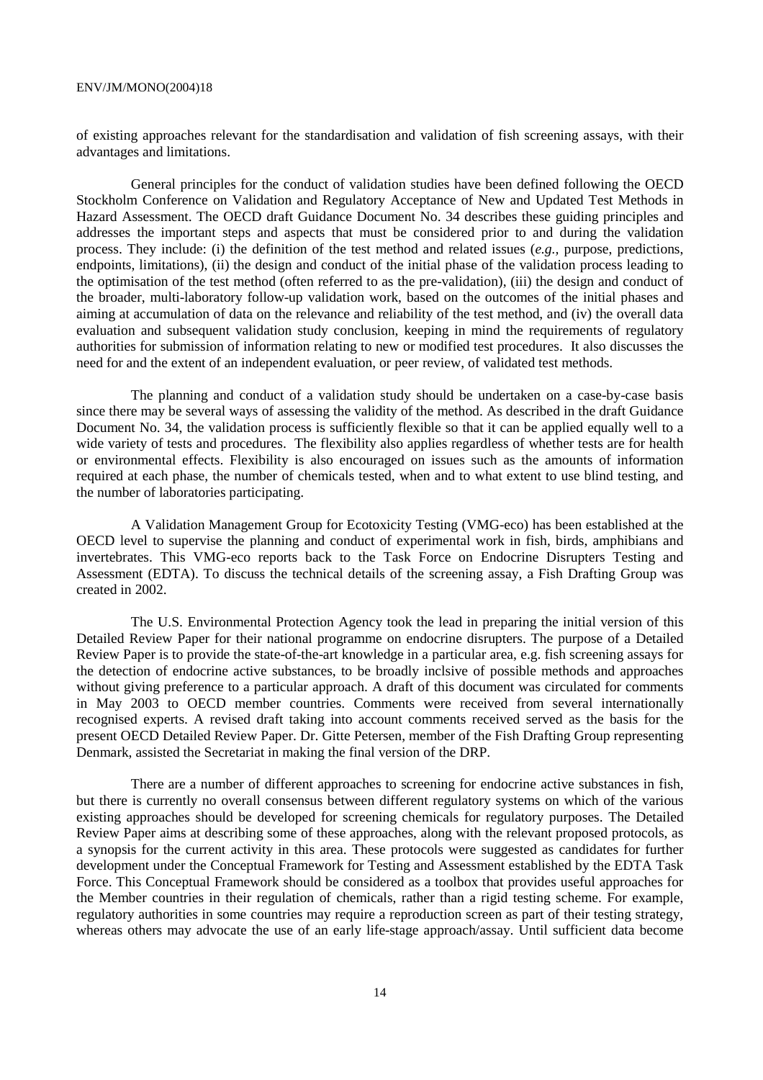of existing approaches relevant for the standardisation and validation of fish screening assays, with their advantages and limitations.

 General principles for the conduct of validation studies have been defined following the OECD Stockholm Conference on Validation and Regulatory Acceptance of New and Updated Test Methods in Hazard Assessment. The OECD draft Guidance Document No. 34 describes these guiding principles and addresses the important steps and aspects that must be considered prior to and during the validation process. They include: (i) the definition of the test method and related issues (*e.g.,* purpose, predictions, endpoints, limitations), (ii) the design and conduct of the initial phase of the validation process leading to the optimisation of the test method (often referred to as the pre-validation), (iii) the design and conduct of the broader, multi-laboratory follow-up validation work, based on the outcomes of the initial phases and aiming at accumulation of data on the relevance and reliability of the test method, and (iv) the overall data evaluation and subsequent validation study conclusion, keeping in mind the requirements of regulatory authorities for submission of information relating to new or modified test procedures. It also discusses the need for and the extent of an independent evaluation, or peer review, of validated test methods.

 The planning and conduct of a validation study should be undertaken on a case-by-case basis since there may be several ways of assessing the validity of the method. As described in the draft Guidance Document No. 34, the validation process is sufficiently flexible so that it can be applied equally well to a wide variety of tests and procedures. The flexibility also applies regardless of whether tests are for health or environmental effects. Flexibility is also encouraged on issues such as the amounts of information required at each phase, the number of chemicals tested, when and to what extent to use blind testing, and the number of laboratories participating.

 A Validation Management Group for Ecotoxicity Testing (VMG-eco) has been established at the OECD level to supervise the planning and conduct of experimental work in fish, birds, amphibians and invertebrates. This VMG-eco reports back to the Task Force on Endocrine Disrupters Testing and Assessment (EDTA). To discuss the technical details of the screening assay, a Fish Drafting Group was created in 2002.

 The U.S. Environmental Protection Agency took the lead in preparing the initial version of this Detailed Review Paper for their national programme on endocrine disrupters. The purpose of a Detailed Review Paper is to provide the state-of-the-art knowledge in a particular area, e.g. fish screening assays for the detection of endocrine active substances, to be broadly inclsive of possible methods and approaches without giving preference to a particular approach. A draft of this document was circulated for comments in May 2003 to OECD member countries. Comments were received from several internationally recognised experts. A revised draft taking into account comments received served as the basis for the present OECD Detailed Review Paper. Dr. Gitte Petersen, member of the Fish Drafting Group representing Denmark, assisted the Secretariat in making the final version of the DRP.

 There are a number of different approaches to screening for endocrine active substances in fish, but there is currently no overall consensus between different regulatory systems on which of the various existing approaches should be developed for screening chemicals for regulatory purposes. The Detailed Review Paper aims at describing some of these approaches, along with the relevant proposed protocols, as a synopsis for the current activity in this area. These protocols were suggested as candidates for further development under the Conceptual Framework for Testing and Assessment established by the EDTA Task Force. This Conceptual Framework should be considered as a toolbox that provides useful approaches for the Member countries in their regulation of chemicals, rather than a rigid testing scheme. For example, regulatory authorities in some countries may require a reproduction screen as part of their testing strategy, whereas others may advocate the use of an early life-stage approach/assay. Until sufficient data become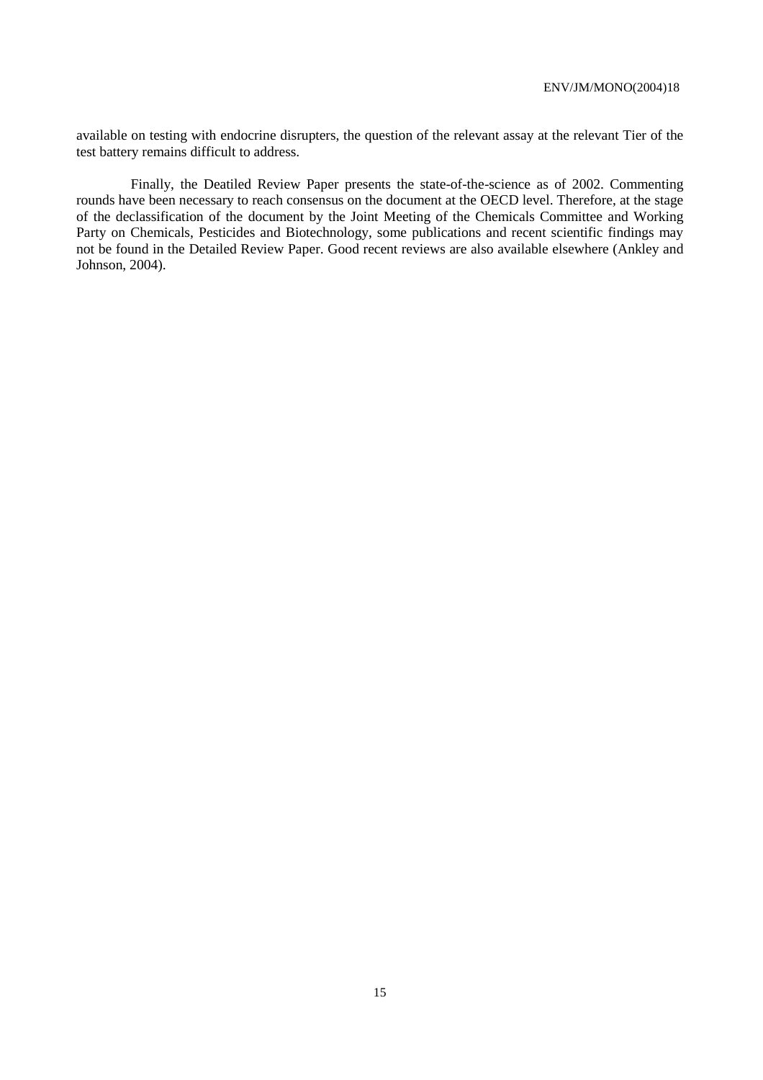available on testing with endocrine disrupters, the question of the relevant assay at the relevant Tier of the test battery remains difficult to address.

 Finally, the Deatiled Review Paper presents the state-of-the-science as of 2002. Commenting rounds have been necessary to reach consensus on the document at the OECD level. Therefore, at the stage of the declassification of the document by the Joint Meeting of the Chemicals Committee and Working Party on Chemicals, Pesticides and Biotechnology, some publications and recent scientific findings may not be found in the Detailed Review Paper. Good recent reviews are also available elsewhere (Ankley and Johnson, 2004).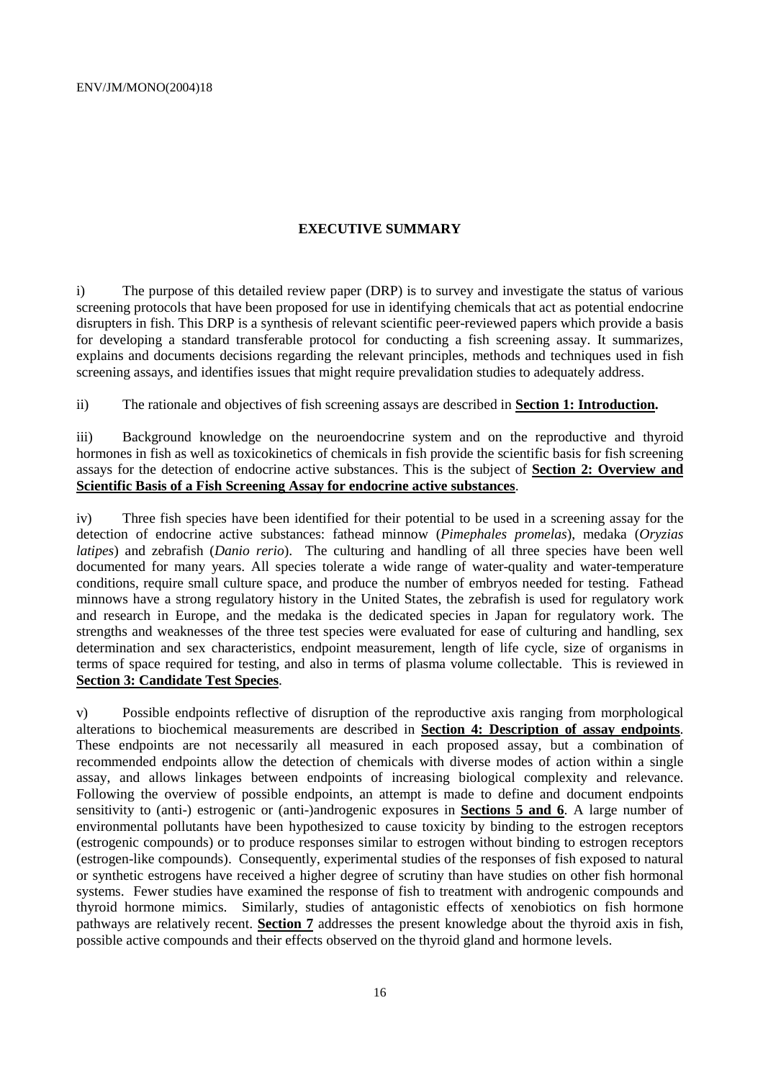#### **EXECUTIVE SUMMARY**

i) The purpose of this detailed review paper (DRP) is to survey and investigate the status of various screening protocols that have been proposed for use in identifying chemicals that act as potential endocrine disrupters in fish. This DRP is a synthesis of relevant scientific peer-reviewed papers which provide a basis for developing a standard transferable protocol for conducting a fish screening assay. It summarizes, explains and documents decisions regarding the relevant principles, methods and techniques used in fish screening assays, and identifies issues that might require prevalidation studies to adequately address.

ii) The rationale and objectives of fish screening assays are described in **Section 1: Introduction.**

iii) Background knowledge on the neuroendocrine system and on the reproductive and thyroid hormones in fish as well as toxicokinetics of chemicals in fish provide the scientific basis for fish screening assays for the detection of endocrine active substances. This is the subject of **Section 2: Overview and Scientific Basis of a Fish Screening Assay for endocrine active substances**.

iv) Three fish species have been identified for their potential to be used in a screening assay for the detection of endocrine active substances: fathead minnow (*Pimephales promelas*), medaka (*Oryzias latipes*) and zebrafish (*Danio rerio*). The culturing and handling of all three species have been well documented for many years. All species tolerate a wide range of water-quality and water-temperature conditions, require small culture space, and produce the number of embryos needed for testing. Fathead minnows have a strong regulatory history in the United States, the zebrafish is used for regulatory work and research in Europe, and the medaka is the dedicated species in Japan for regulatory work. The strengths and weaknesses of the three test species were evaluated for ease of culturing and handling, sex determination and sex characteristics, endpoint measurement, length of life cycle, size of organisms in terms of space required for testing, and also in terms of plasma volume collectable. This is reviewed in **Section 3: Candidate Test Species**.

v) Possible endpoints reflective of disruption of the reproductive axis ranging from morphological alterations to biochemical measurements are described in **Section 4: Description of assay endpoints**. These endpoints are not necessarily all measured in each proposed assay, but a combination of recommended endpoints allow the detection of chemicals with diverse modes of action within a single assay, and allows linkages between endpoints of increasing biological complexity and relevance. Following the overview of possible endpoints, an attempt is made to define and document endpoints sensitivity to (anti-) estrogenic or (anti-)androgenic exposures in **Sections 5 and 6**. A large number of environmental pollutants have been hypothesized to cause toxicity by binding to the estrogen receptors (estrogenic compounds) or to produce responses similar to estrogen without binding to estrogen receptors (estrogen-like compounds). Consequently, experimental studies of the responses of fish exposed to natural or synthetic estrogens have received a higher degree of scrutiny than have studies on other fish hormonal systems. Fewer studies have examined the response of fish to treatment with androgenic compounds and thyroid hormone mimics. Similarly, studies of antagonistic effects of xenobiotics on fish hormone pathways are relatively recent. **Section 7** addresses the present knowledge about the thyroid axis in fish, possible active compounds and their effects observed on the thyroid gland and hormone levels.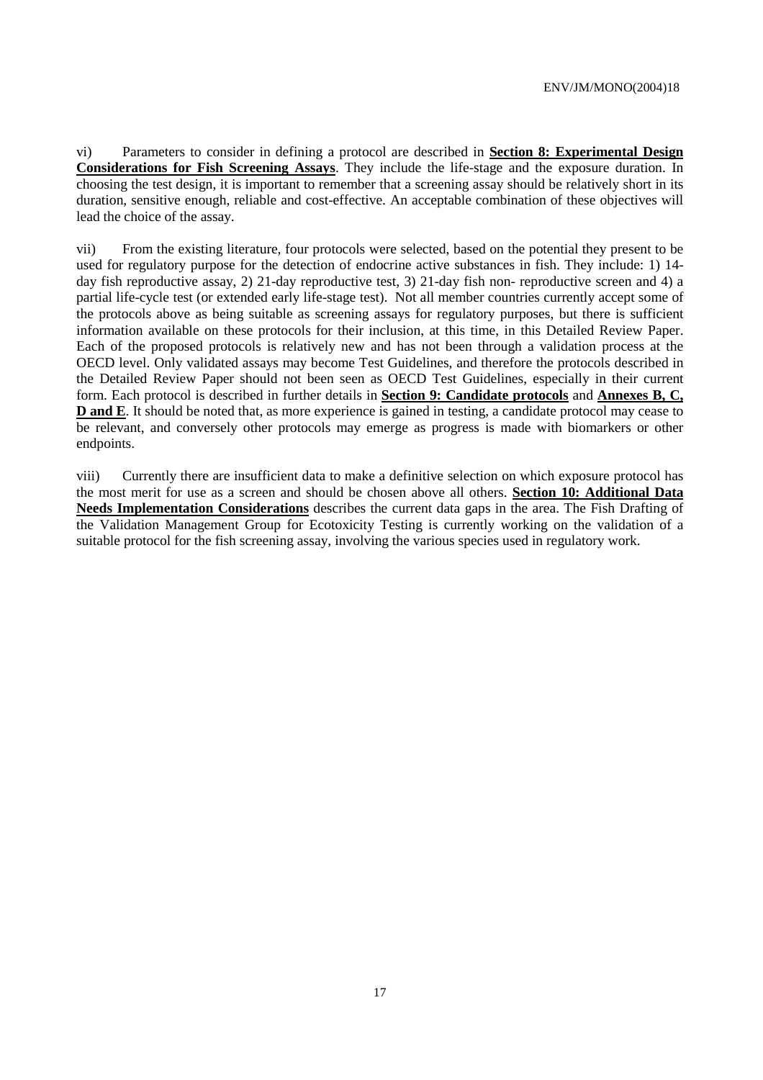vi) Parameters to consider in defining a protocol are described in **Section 8: Experimental Design Considerations for Fish Screening Assays**. They include the life-stage and the exposure duration. In choosing the test design, it is important to remember that a screening assay should be relatively short in its duration, sensitive enough, reliable and cost-effective. An acceptable combination of these objectives will lead the choice of the assay.

vii) From the existing literature, four protocols were selected, based on the potential they present to be used for regulatory purpose for the detection of endocrine active substances in fish. They include: 1) 14 day fish reproductive assay, 2) 21-day reproductive test, 3) 21-day fish non- reproductive screen and 4) a partial life-cycle test (or extended early life-stage test). Not all member countries currently accept some of the protocols above as being suitable as screening assays for regulatory purposes, but there is sufficient information available on these protocols for their inclusion, at this time, in this Detailed Review Paper. Each of the proposed protocols is relatively new and has not been through a validation process at the OECD level. Only validated assays may become Test Guidelines, and therefore the protocols described in the Detailed Review Paper should not been seen as OECD Test Guidelines, especially in their current form. Each protocol is described in further details in **Section 9: Candidate protocols** and **Annexes B, C, D and E**. It should be noted that, as more experience is gained in testing, a candidate protocol may cease to be relevant, and conversely other protocols may emerge as progress is made with biomarkers or other endpoints.

viii) Currently there are insufficient data to make a definitive selection on which exposure protocol has the most merit for use as a screen and should be chosen above all others. **Section 10: Additional Data Needs Implementation Considerations** describes the current data gaps in the area. The Fish Drafting of the Validation Management Group for Ecotoxicity Testing is currently working on the validation of a suitable protocol for the fish screening assay, involving the various species used in regulatory work.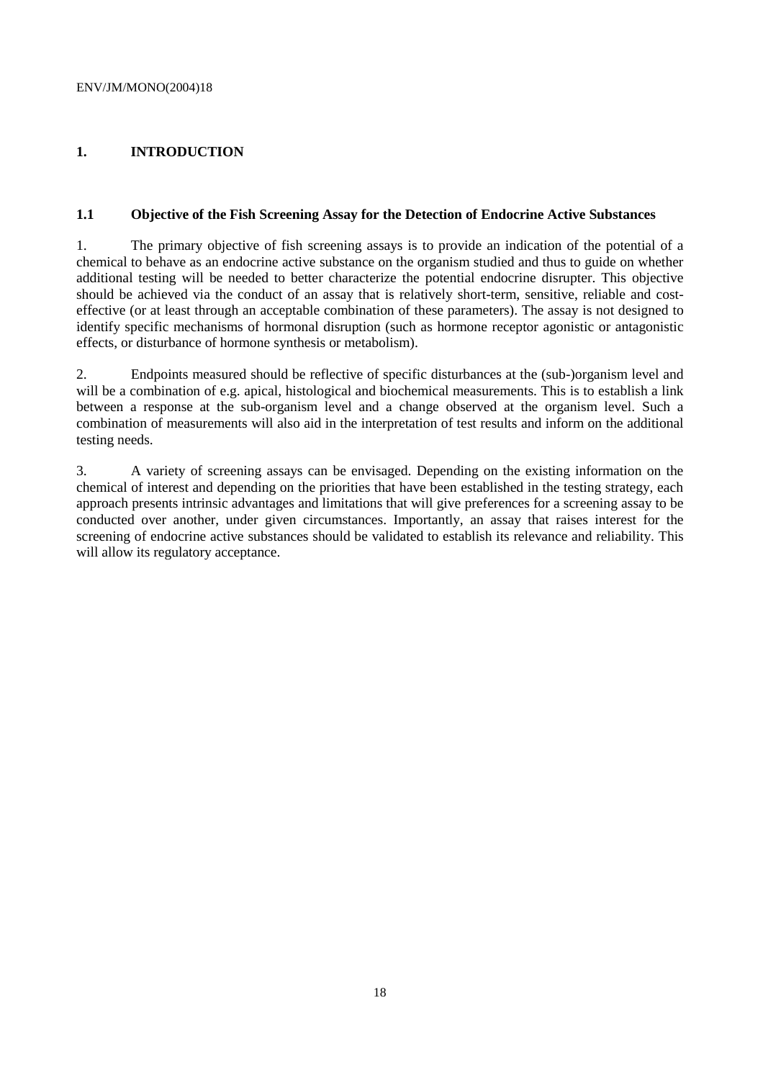# **1. INTRODUCTION**

#### **1.1 Objective of the Fish Screening Assay for the Detection of Endocrine Active Substances**

1. The primary objective of fish screening assays is to provide an indication of the potential of a chemical to behave as an endocrine active substance on the organism studied and thus to guide on whether additional testing will be needed to better characterize the potential endocrine disrupter. This objective should be achieved via the conduct of an assay that is relatively short-term, sensitive, reliable and costeffective (or at least through an acceptable combination of these parameters). The assay is not designed to identify specific mechanisms of hormonal disruption (such as hormone receptor agonistic or antagonistic effects, or disturbance of hormone synthesis or metabolism).

2. Endpoints measured should be reflective of specific disturbances at the (sub-)organism level and will be a combination of e.g. apical, histological and biochemical measurements. This is to establish a link between a response at the sub-organism level and a change observed at the organism level. Such a combination of measurements will also aid in the interpretation of test results and inform on the additional testing needs.

3. A variety of screening assays can be envisaged. Depending on the existing information on the chemical of interest and depending on the priorities that have been established in the testing strategy, each approach presents intrinsic advantages and limitations that will give preferences for a screening assay to be conducted over another, under given circumstances. Importantly, an assay that raises interest for the screening of endocrine active substances should be validated to establish its relevance and reliability. This will allow its regulatory acceptance.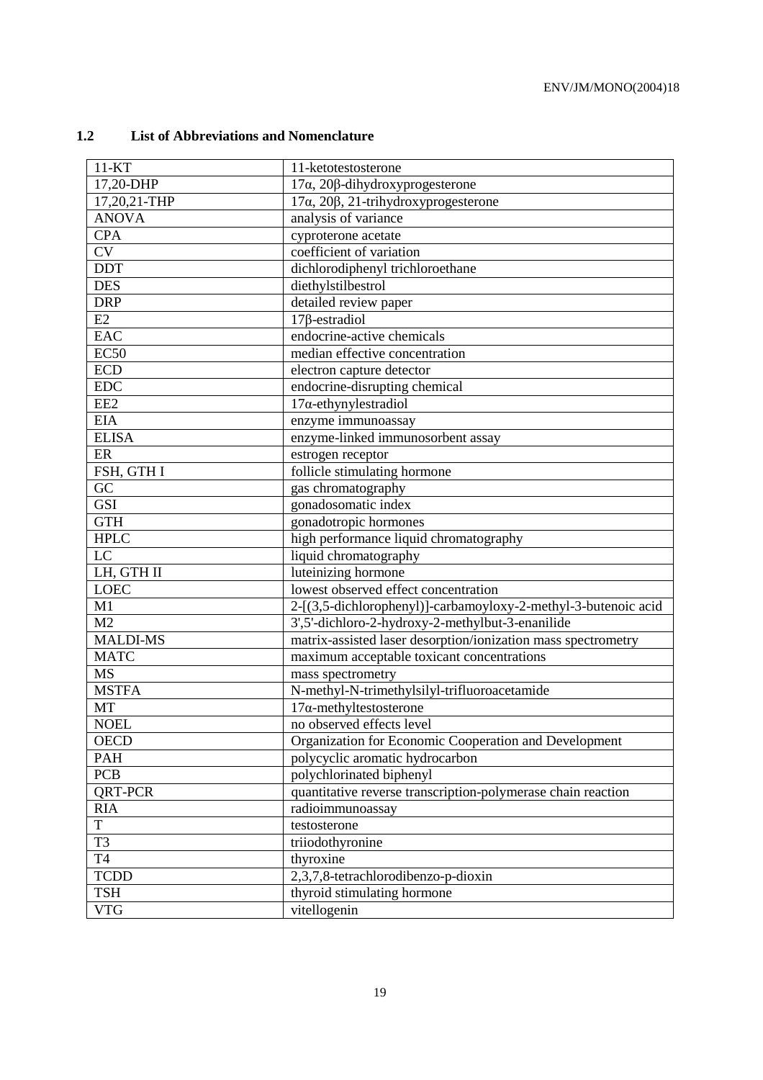# **1.2 List of Abbreviations and Nomenclature**

| $11 - KT$        | 11-ketotestosterone                                            |
|------------------|----------------------------------------------------------------|
| 17,20-DHP        | $17\alpha$ , 20 $\beta$ -dihydroxyprogesterone                 |
| 17,20,21-THP     | $17\alpha$ , $20\beta$ , $21$ -trihydroxyprogesterone          |
| <b>ANOVA</b>     | analysis of variance                                           |
| <b>CPA</b>       | cyproterone acetate                                            |
| <b>CV</b>        | coefficient of variation                                       |
| <b>DDT</b>       | dichlorodiphenyl trichloroethane                               |
| <b>DES</b>       | diethylstilbestrol                                             |
| <b>DRP</b>       | detailed review paper                                          |
| E2               | $17\beta$ -estradiol                                           |
| <b>EAC</b>       | endocrine-active chemicals                                     |
| EC <sub>50</sub> | median effective concentration                                 |
| <b>ECD</b>       | electron capture detector                                      |
| <b>EDC</b>       | endocrine-disrupting chemical                                  |
| EE <sub>2</sub>  | $17\alpha$ -ethynylestradiol                                   |
| <b>EIA</b>       | enzyme immunoassay                                             |
| <b>ELISA</b>     | enzyme-linked immunosorbent assay                              |
| ER               | estrogen receptor                                              |
| FSH, GTH I       | follicle stimulating hormone                                   |
| GC               | gas chromatography                                             |
| <b>GSI</b>       | gonadosomatic index                                            |
| <b>GTH</b>       | gonadotropic hormones                                          |
| <b>HPLC</b>      | high performance liquid chromatography                         |
| LC               | liquid chromatography                                          |
| LH, GTH II       | luteinizing hormone                                            |
| <b>LOEC</b>      | lowest observed effect concentration                           |
| M1               | 2-[(3,5-dichlorophenyl)]-carbamoyloxy-2-methyl-3-butenoic acid |
| M <sub>2</sub>   | 3',5'-dichloro-2-hydroxy-2-methylbut-3-enanilide               |
| <b>MALDI-MS</b>  | matrix-assisted laser desorption/ionization mass spectrometry  |
| <b>MATC</b>      | maximum acceptable toxicant concentrations                     |
| <b>MS</b>        | mass spectrometry                                              |
| <b>MSTFA</b>     | N-methyl-N-trimethylsilyl-trifluoroacetamide                   |
| <b>MT</b>        | $17\alpha$ -methyltestosterone                                 |
| <b>NOEL</b>      | no observed effects level                                      |
| <b>OECD</b>      | Organization for Economic Cooperation and Development          |
| PAH              | polycyclic aromatic hydrocarbon                                |
| <b>PCB</b>       | polychlorinated biphenyl                                       |
| QRT-PCR          | quantitative reverse transcription-polymerase chain reaction   |
| <b>RIA</b>       | radioimmunoassay                                               |
| T                | testosterone                                                   |
| T <sub>3</sub>   | triiodothyronine                                               |
| T4               | thyroxine                                                      |
| <b>TCDD</b>      | 2,3,7,8-tetrachlorodibenzo-p-dioxin                            |
| <b>TSH</b>       | thyroid stimulating hormone                                    |
| <b>VTG</b>       | vitellogenin                                                   |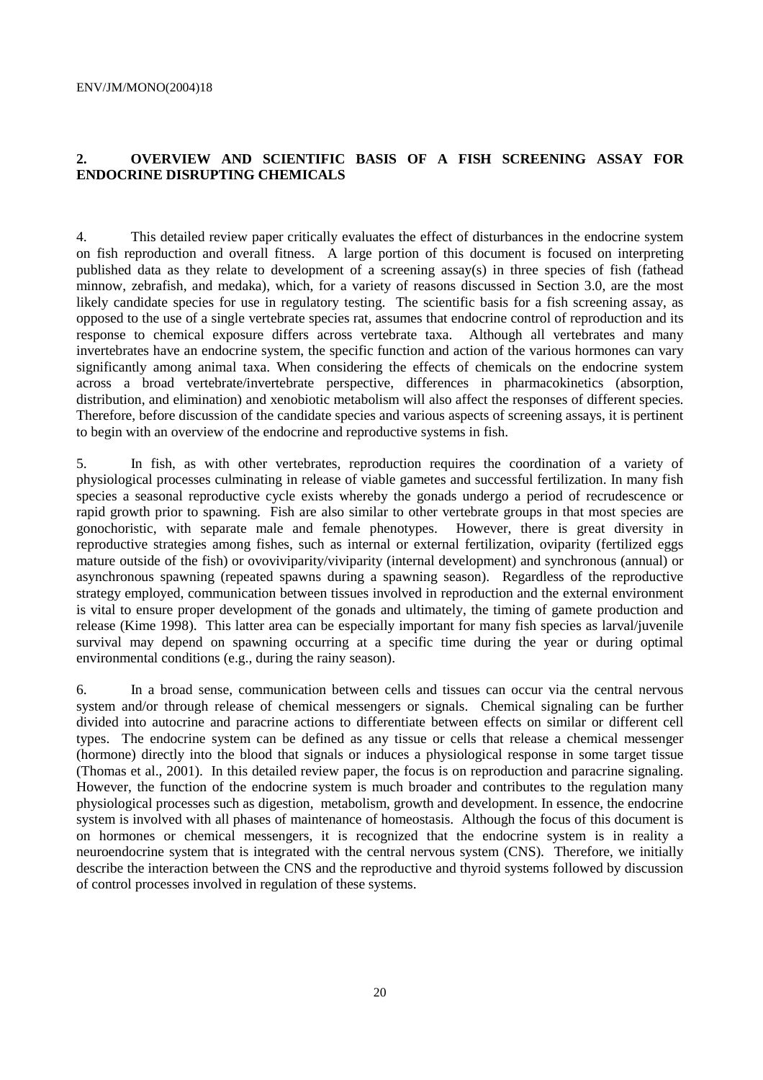#### **2. OVERVIEW AND SCIENTIFIC BASIS OF A FISH SCREENING ASSAY FOR ENDOCRINE DISRUPTING CHEMICALS**

4. This detailed review paper critically evaluates the effect of disturbances in the endocrine system on fish reproduction and overall fitness. A large portion of this document is focused on interpreting published data as they relate to development of a screening assay(s) in three species of fish (fathead minnow, zebrafish, and medaka), which, for a variety of reasons discussed in Section 3.0, are the most likely candidate species for use in regulatory testing. The scientific basis for a fish screening assay, as opposed to the use of a single vertebrate species rat, assumes that endocrine control of reproduction and its response to chemical exposure differs across vertebrate taxa. Although all vertebrates and many invertebrates have an endocrine system, the specific function and action of the various hormones can vary significantly among animal taxa. When considering the effects of chemicals on the endocrine system across a broad vertebrate/invertebrate perspective, differences in pharmacokinetics (absorption, distribution, and elimination) and xenobiotic metabolism will also affect the responses of different species. Therefore, before discussion of the candidate species and various aspects of screening assays, it is pertinent to begin with an overview of the endocrine and reproductive systems in fish.

5. In fish, as with other vertebrates, reproduction requires the coordination of a variety of physiological processes culminating in release of viable gametes and successful fertilization. In many fish species a seasonal reproductive cycle exists whereby the gonads undergo a period of recrudescence or rapid growth prior to spawning. Fish are also similar to other vertebrate groups in that most species are gonochoristic, with separate male and female phenotypes. However, there is great diversity in reproductive strategies among fishes, such as internal or external fertilization, oviparity (fertilized eggs mature outside of the fish) or ovoviviparity/viviparity (internal development) and synchronous (annual) or asynchronous spawning (repeated spawns during a spawning season). Regardless of the reproductive strategy employed, communication between tissues involved in reproduction and the external environment is vital to ensure proper development of the gonads and ultimately, the timing of gamete production and release (Kime 1998). This latter area can be especially important for many fish species as larval/juvenile survival may depend on spawning occurring at a specific time during the year or during optimal environmental conditions (e.g., during the rainy season).

6. In a broad sense, communication between cells and tissues can occur via the central nervous system and/or through release of chemical messengers or signals. Chemical signaling can be further divided into autocrine and paracrine actions to differentiate between effects on similar or different cell types. The endocrine system can be defined as any tissue or cells that release a chemical messenger (hormone) directly into the blood that signals or induces a physiological response in some target tissue (Thomas et al., 2001). In this detailed review paper, the focus is on reproduction and paracrine signaling. However, the function of the endocrine system is much broader and contributes to the regulation many physiological processes such as digestion, metabolism, growth and development. In essence, the endocrine system is involved with all phases of maintenance of homeostasis. Although the focus of this document is on hormones or chemical messengers, it is recognized that the endocrine system is in reality a neuroendocrine system that is integrated with the central nervous system (CNS). Therefore, we initially describe the interaction between the CNS and the reproductive and thyroid systems followed by discussion of control processes involved in regulation of these systems.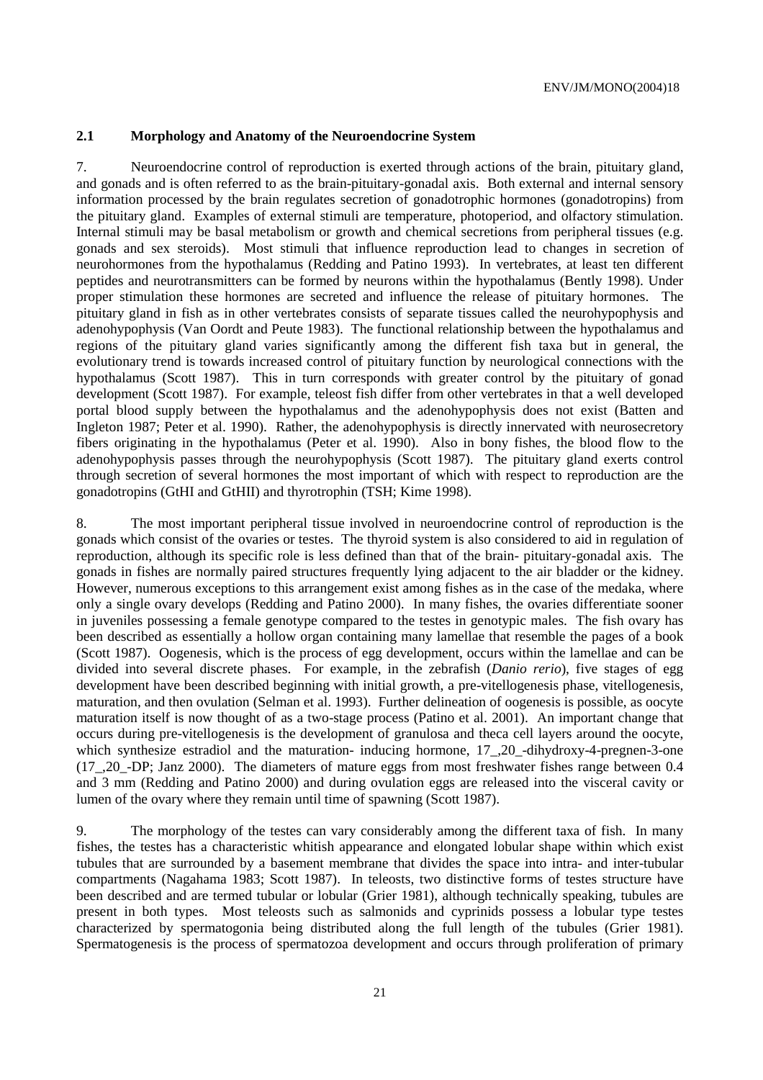#### **2.1 Morphology and Anatomy of the Neuroendocrine System**

7. Neuroendocrine control of reproduction is exerted through actions of the brain, pituitary gland, and gonads and is often referred to as the brain-pituitary-gonadal axis. Both external and internal sensory information processed by the brain regulates secretion of gonadotrophic hormones (gonadotropins) from the pituitary gland. Examples of external stimuli are temperature, photoperiod, and olfactory stimulation. Internal stimuli may be basal metabolism or growth and chemical secretions from peripheral tissues (e.g. gonads and sex steroids). Most stimuli that influence reproduction lead to changes in secretion of neurohormones from the hypothalamus (Redding and Patino 1993). In vertebrates, at least ten different peptides and neurotransmitters can be formed by neurons within the hypothalamus (Bently 1998). Under proper stimulation these hormones are secreted and influence the release of pituitary hormones. The pituitary gland in fish as in other vertebrates consists of separate tissues called the neurohypophysis and adenohypophysis (Van Oordt and Peute 1983). The functional relationship between the hypothalamus and regions of the pituitary gland varies significantly among the different fish taxa but in general, the evolutionary trend is towards increased control of pituitary function by neurological connections with the hypothalamus (Scott 1987). This in turn corresponds with greater control by the pituitary of gonad development (Scott 1987). For example, teleost fish differ from other vertebrates in that a well developed portal blood supply between the hypothalamus and the adenohypophysis does not exist (Batten and Ingleton 1987; Peter et al. 1990). Rather, the adenohypophysis is directly innervated with neurosecretory fibers originating in the hypothalamus (Peter et al. 1990). Also in bony fishes, the blood flow to the adenohypophysis passes through the neurohypophysis (Scott 1987). The pituitary gland exerts control through secretion of several hormones the most important of which with respect to reproduction are the gonadotropins (GtHI and GtHII) and thyrotrophin (TSH; Kime 1998).

8. The most important peripheral tissue involved in neuroendocrine control of reproduction is the gonads which consist of the ovaries or testes. The thyroid system is also considered to aid in regulation of reproduction, although its specific role is less defined than that of the brain- pituitary-gonadal axis. The gonads in fishes are normally paired structures frequently lying adjacent to the air bladder or the kidney. However, numerous exceptions to this arrangement exist among fishes as in the case of the medaka, where only a single ovary develops (Redding and Patino 2000). In many fishes, the ovaries differentiate sooner in juveniles possessing a female genotype compared to the testes in genotypic males. The fish ovary has been described as essentially a hollow organ containing many lamellae that resemble the pages of a book (Scott 1987). Oogenesis, which is the process of egg development, occurs within the lamellae and can be divided into several discrete phases. For example, in the zebrafish (*Danio rerio*), five stages of egg development have been described beginning with initial growth, a pre-vitellogenesis phase, vitellogenesis, maturation, and then ovulation (Selman et al. 1993). Further delineation of oogenesis is possible, as oocyte maturation itself is now thought of as a two-stage process (Patino et al. 2001). An important change that occurs during pre-vitellogenesis is the development of granulosa and theca cell layers around the oocyte, which synthesize estradiol and the maturation- inducing hormone, 17<sub>, 20</sub>-dihydroxy-4-pregnen-3-one (17\_,20\_-DP; Janz 2000). The diameters of mature eggs from most freshwater fishes range between 0.4 and 3 mm (Redding and Patino 2000) and during ovulation eggs are released into the visceral cavity or lumen of the ovary where they remain until time of spawning (Scott 1987).

9. The morphology of the testes can vary considerably among the different taxa of fish. In many fishes, the testes has a characteristic whitish appearance and elongated lobular shape within which exist tubules that are surrounded by a basement membrane that divides the space into intra- and inter-tubular compartments (Nagahama 1983; Scott 1987). In teleosts, two distinctive forms of testes structure have been described and are termed tubular or lobular (Grier 1981), although technically speaking, tubules are present in both types. Most teleosts such as salmonids and cyprinids possess a lobular type testes characterized by spermatogonia being distributed along the full length of the tubules (Grier 1981). Spermatogenesis is the process of spermatozoa development and occurs through proliferation of primary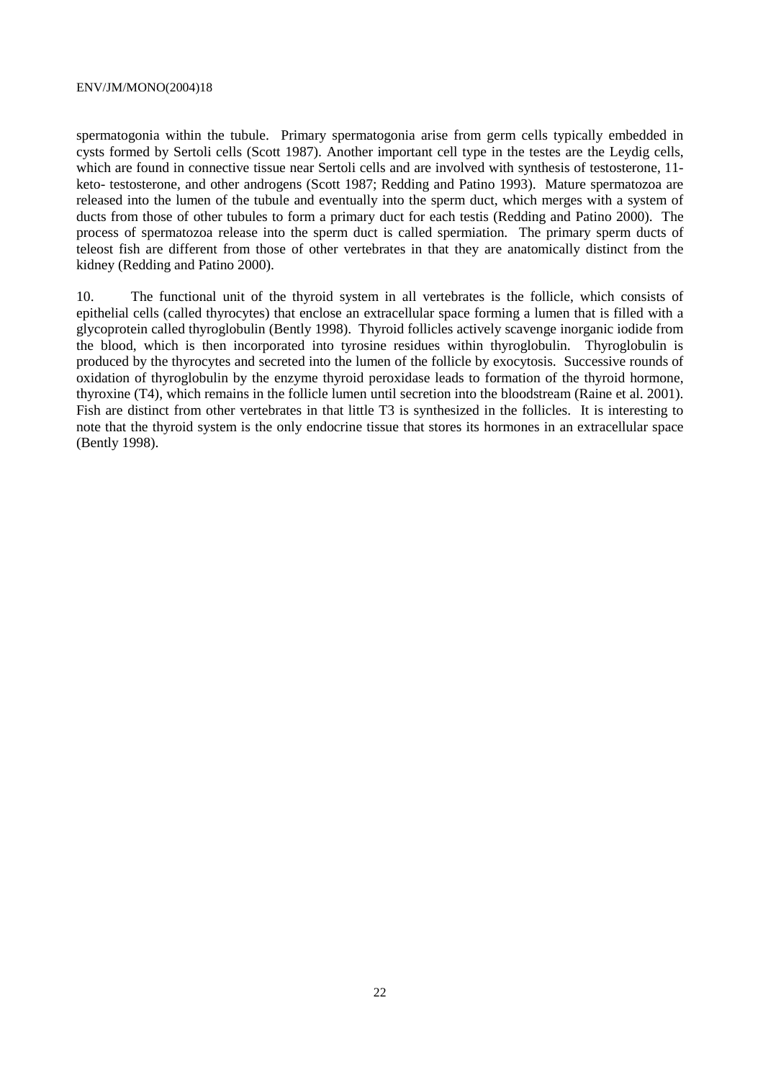spermatogonia within the tubule. Primary spermatogonia arise from germ cells typically embedded in cysts formed by Sertoli cells (Scott 1987). Another important cell type in the testes are the Leydig cells, which are found in connective tissue near Sertoli cells and are involved with synthesis of testosterone, 11keto- testosterone, and other androgens (Scott 1987; Redding and Patino 1993). Mature spermatozoa are released into the lumen of the tubule and eventually into the sperm duct, which merges with a system of ducts from those of other tubules to form a primary duct for each testis (Redding and Patino 2000). The process of spermatozoa release into the sperm duct is called spermiation. The primary sperm ducts of teleost fish are different from those of other vertebrates in that they are anatomically distinct from the kidney (Redding and Patino 2000).

10. The functional unit of the thyroid system in all vertebrates is the follicle, which consists of epithelial cells (called thyrocytes) that enclose an extracellular space forming a lumen that is filled with a glycoprotein called thyroglobulin (Bently 1998). Thyroid follicles actively scavenge inorganic iodide from the blood, which is then incorporated into tyrosine residues within thyroglobulin. Thyroglobulin is produced by the thyrocytes and secreted into the lumen of the follicle by exocytosis. Successive rounds of oxidation of thyroglobulin by the enzyme thyroid peroxidase leads to formation of the thyroid hormone, thyroxine (T4), which remains in the follicle lumen until secretion into the bloodstream (Raine et al. 2001). Fish are distinct from other vertebrates in that little T3 is synthesized in the follicles. It is interesting to note that the thyroid system is the only endocrine tissue that stores its hormones in an extracellular space (Bently 1998).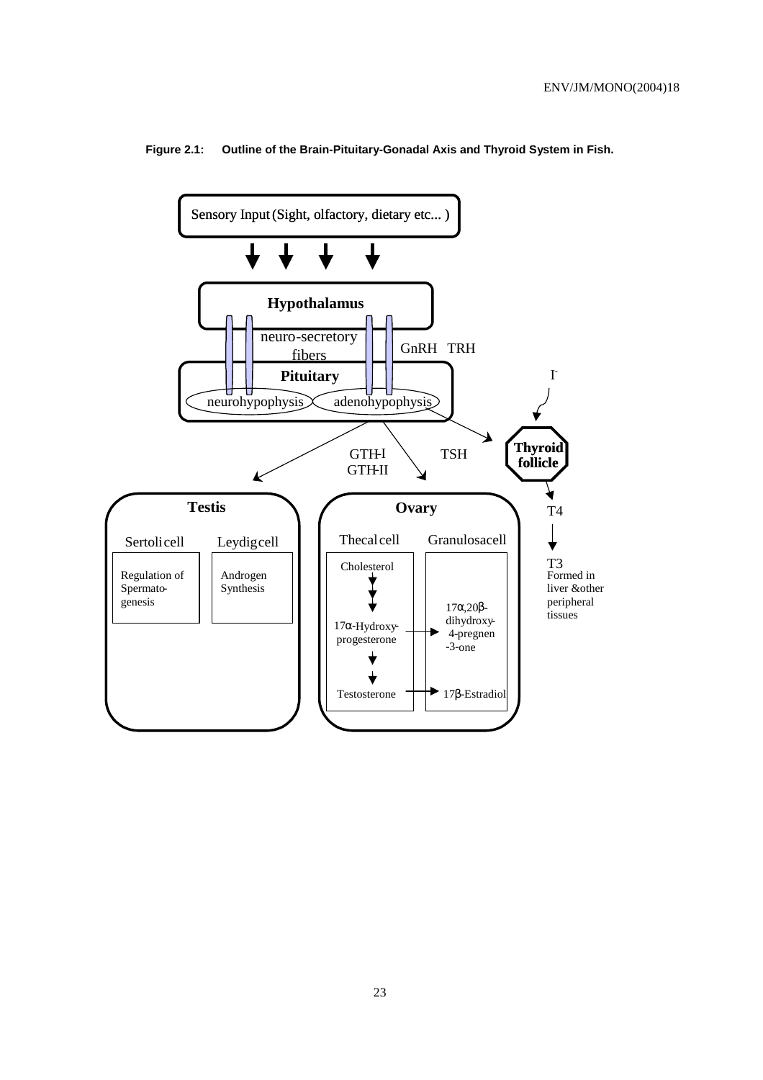

#### **Figure 2.1: Outline of the Brain-Pituitary-Gonadal Axis and Thyroid System in Fish.**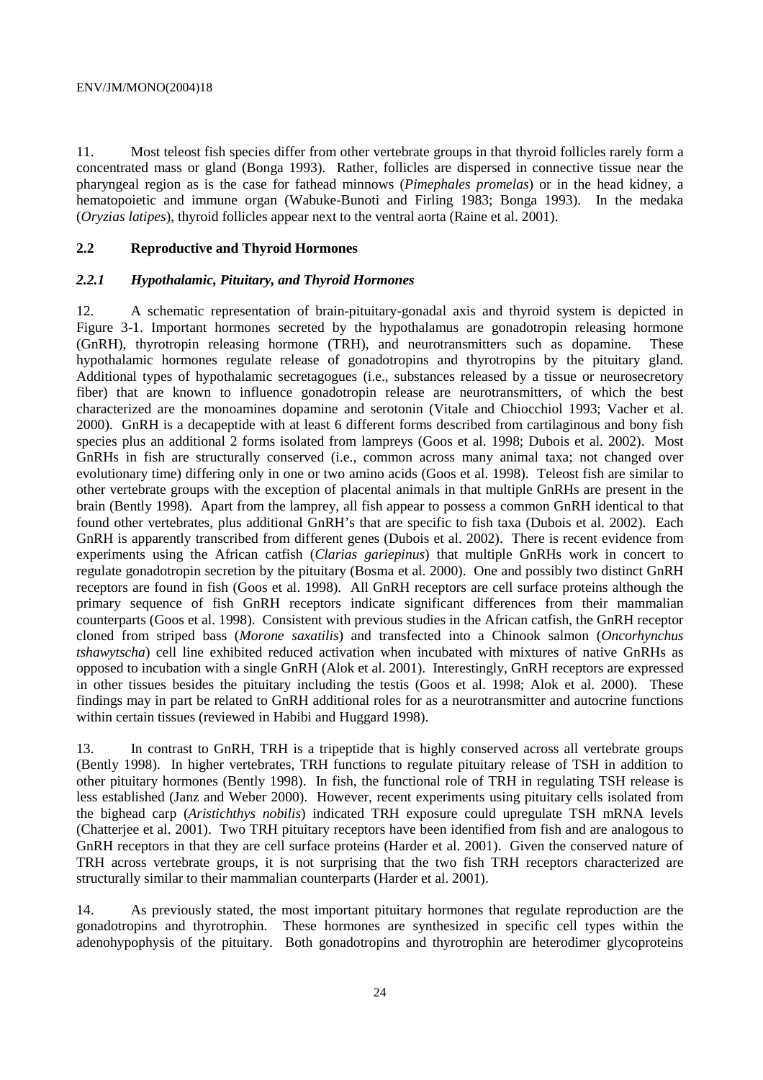11. Most teleost fish species differ from other vertebrate groups in that thyroid follicles rarely form a concentrated mass or gland (Bonga 1993). Rather, follicles are dispersed in connective tissue near the pharyngeal region as is the case for fathead minnows (*Pimephales promelas*) or in the head kidney, a hematopoietic and immune organ (Wabuke-Bunoti and Firling 1983; Bonga 1993). In the medaka (*Oryzias latipes*), thyroid follicles appear next to the ventral aorta (Raine et al. 2001).

#### **2.2 Reproductive and Thyroid Hormones**

#### *2.2.1 Hypothalamic, Pituitary, and Thyroid Hormones*

12. A schematic representation of brain-pituitary-gonadal axis and thyroid system is depicted in Figure 3-1. Important hormones secreted by the hypothalamus are gonadotropin releasing hormone (GnRH), thyrotropin releasing hormone (TRH), and neurotransmitters such as dopamine. These hypothalamic hormones regulate release of gonadotropins and thyrotropins by the pituitary gland. Additional types of hypothalamic secretagogues (i.e., substances released by a tissue or neurosecretory fiber) that are known to influence gonadotropin release are neurotransmitters, of which the best characterized are the monoamines dopamine and serotonin (Vitale and Chiocchiol 1993; Vacher et al. 2000). GnRH is a decapeptide with at least 6 different forms described from cartilaginous and bony fish species plus an additional 2 forms isolated from lampreys (Goos et al. 1998; Dubois et al. 2002). Most GnRHs in fish are structurally conserved (i.e., common across many animal taxa; not changed over evolutionary time) differing only in one or two amino acids (Goos et al. 1998). Teleost fish are similar to other vertebrate groups with the exception of placental animals in that multiple GnRHs are present in the brain (Bently 1998). Apart from the lamprey, all fish appear to possess a common GnRH identical to that found other vertebrates, plus additional GnRH's that are specific to fish taxa (Dubois et al. 2002). Each GnRH is apparently transcribed from different genes (Dubois et al. 2002). There is recent evidence from experiments using the African catfish (*Clarias gariepinus*) that multiple GnRHs work in concert to regulate gonadotropin secretion by the pituitary (Bosma et al. 2000). One and possibly two distinct GnRH receptors are found in fish (Goos et al. 1998). All GnRH receptors are cell surface proteins although the primary sequence of fish GnRH receptors indicate significant differences from their mammalian counterparts (Goos et al. 1998). Consistent with previous studies in the African catfish, the GnRH receptor cloned from striped bass (*Morone saxatilis*) and transfected into a Chinook salmon (*Oncorhynchus tshawytscha*) cell line exhibited reduced activation when incubated with mixtures of native GnRHs as opposed to incubation with a single GnRH (Alok et al. 2001). Interestingly, GnRH receptors are expressed in other tissues besides the pituitary including the testis (Goos et al. 1998; Alok et al. 2000). These findings may in part be related to GnRH additional roles for as a neurotransmitter and autocrine functions within certain tissues (reviewed in Habibi and Huggard 1998).

13. In contrast to GnRH, TRH is a tripeptide that is highly conserved across all vertebrate groups (Bently 1998). In higher vertebrates, TRH functions to regulate pituitary release of TSH in addition to other pituitary hormones (Bently 1998). In fish, the functional role of TRH in regulating TSH release is less established (Janz and Weber 2000). However, recent experiments using pituitary cells isolated from the bighead carp (*Aristichthys nobilis*) indicated TRH exposure could upregulate TSH mRNA levels (Chatterjee et al. 2001). Two TRH pituitary receptors have been identified from fish and are analogous to GnRH receptors in that they are cell surface proteins (Harder et al. 2001). Given the conserved nature of TRH across vertebrate groups, it is not surprising that the two fish TRH receptors characterized are structurally similar to their mammalian counterparts (Harder et al. 2001).

14. As previously stated, the most important pituitary hormones that regulate reproduction are the gonadotropins and thyrotrophin. These hormones are synthesized in specific cell types within the adenohypophysis of the pituitary. Both gonadotropins and thyrotrophin are heterodimer glycoproteins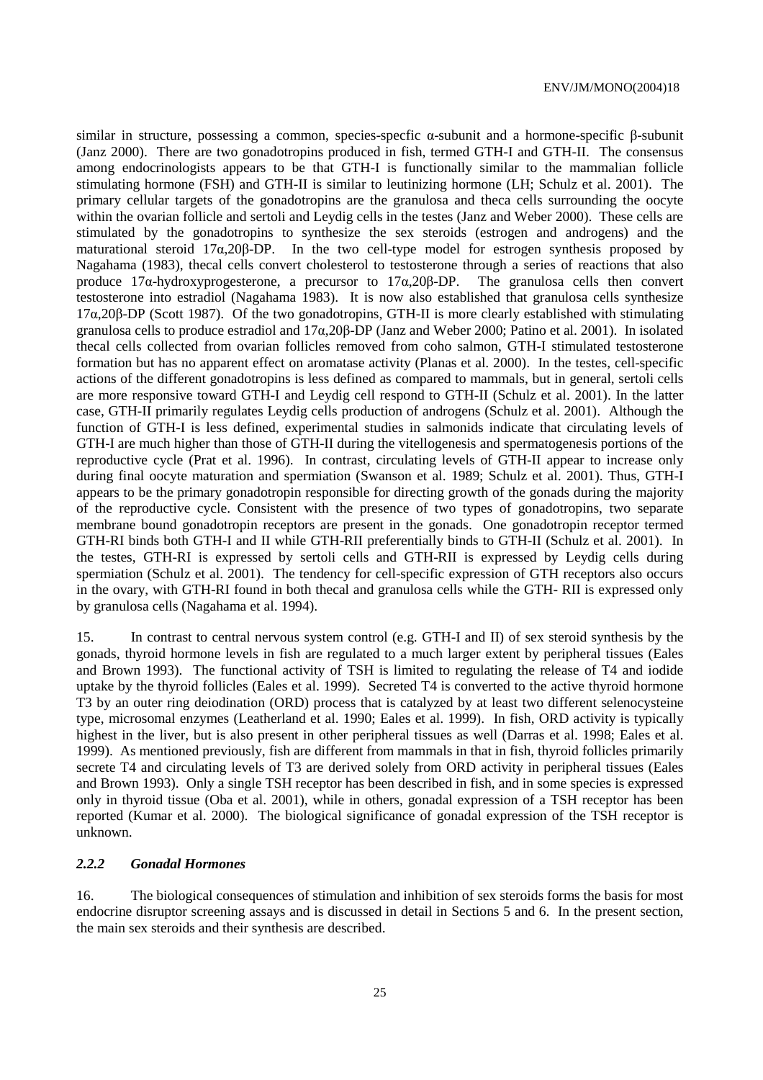similar in structure, possessing a common, species-specfic α-subunit and a hormone-specific β-subunit (Janz 2000). There are two gonadotropins produced in fish, termed GTH-I and GTH-II. The consensus among endocrinologists appears to be that GTH-I is functionally similar to the mammalian follicle stimulating hormone (FSH) and GTH-II is similar to leutinizing hormone (LH; Schulz et al. 2001). The primary cellular targets of the gonadotropins are the granulosa and theca cells surrounding the oocyte within the ovarian follicle and sertoli and Leydig cells in the testes (Janz and Weber 2000). These cells are stimulated by the gonadotropins to synthesize the sex steroids (estrogen and androgens) and the maturational steroid 17α,20β-DP. In the two cell-type model for estrogen synthesis proposed by Nagahama (1983), thecal cells convert cholesterol to testosterone through a series of reactions that also produce 17α-hydroxyprogesterone, a precursor to 17α,20β-DP. The granulosa cells then convert testosterone into estradiol (Nagahama 1983). It is now also established that granulosa cells synthesize 17α,20β-DP (Scott 1987). Of the two gonadotropins, GTH-II is more clearly established with stimulating granulosa cells to produce estradiol and 17α,20β-DP (Janz and Weber 2000; Patino et al. 2001). In isolated thecal cells collected from ovarian follicles removed from coho salmon, GTH-I stimulated testosterone formation but has no apparent effect on aromatase activity (Planas et al. 2000). In the testes, cell-specific actions of the different gonadotropins is less defined as compared to mammals, but in general, sertoli cells are more responsive toward GTH-I and Leydig cell respond to GTH-II (Schulz et al. 2001). In the latter case, GTH-II primarily regulates Leydig cells production of androgens (Schulz et al. 2001). Although the function of GTH-I is less defined, experimental studies in salmonids indicate that circulating levels of GTH-I are much higher than those of GTH-II during the vitellogenesis and spermatogenesis portions of the reproductive cycle (Prat et al. 1996). In contrast, circulating levels of GTH-II appear to increase only during final oocyte maturation and spermiation (Swanson et al. 1989; Schulz et al. 2001). Thus, GTH-I appears to be the primary gonadotropin responsible for directing growth of the gonads during the majority of the reproductive cycle. Consistent with the presence of two types of gonadotropins, two separate membrane bound gonadotropin receptors are present in the gonads. One gonadotropin receptor termed GTH-RI binds both GTH-I and II while GTH-RII preferentially binds to GTH-II (Schulz et al. 2001). In the testes, GTH-RI is expressed by sertoli cells and GTH-RII is expressed by Leydig cells during spermiation (Schulz et al. 2001). The tendency for cell-specific expression of GTH receptors also occurs in the ovary, with GTH-RI found in both thecal and granulosa cells while the GTH- RII is expressed only by granulosa cells (Nagahama et al. 1994).

15. In contrast to central nervous system control (e.g. GTH-I and II) of sex steroid synthesis by the gonads, thyroid hormone levels in fish are regulated to a much larger extent by peripheral tissues (Eales and Brown 1993). The functional activity of TSH is limited to regulating the release of T4 and iodide uptake by the thyroid follicles (Eales et al. 1999). Secreted T4 is converted to the active thyroid hormone T3 by an outer ring deiodination (ORD) process that is catalyzed by at least two different selenocysteine type, microsomal enzymes (Leatherland et al. 1990; Eales et al. 1999). In fish, ORD activity is typically highest in the liver, but is also present in other peripheral tissues as well (Darras et al. 1998; Eales et al. 1999). As mentioned previously, fish are different from mammals in that in fish, thyroid follicles primarily secrete T4 and circulating levels of T3 are derived solely from ORD activity in peripheral tissues (Eales and Brown 1993). Only a single TSH receptor has been described in fish, and in some species is expressed only in thyroid tissue (Oba et al. 2001), while in others, gonadal expression of a TSH receptor has been reported (Kumar et al. 2000). The biological significance of gonadal expression of the TSH receptor is unknown.

#### *2.2.2 Gonadal Hormones*

16. The biological consequences of stimulation and inhibition of sex steroids forms the basis for most endocrine disruptor screening assays and is discussed in detail in Sections 5 and 6. In the present section, the main sex steroids and their synthesis are described.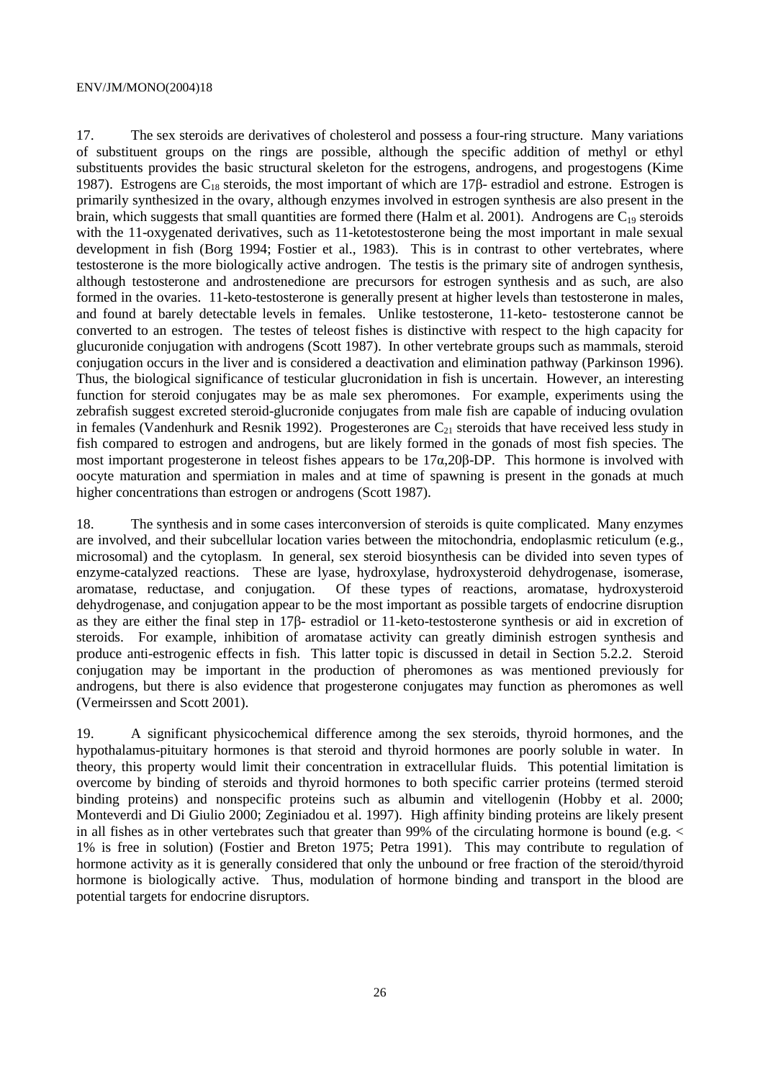17. The sex steroids are derivatives of cholesterol and possess a four-ring structure. Many variations of substituent groups on the rings are possible, although the specific addition of methyl or ethyl substituents provides the basic structural skeleton for the estrogens, androgens, and progestogens (Kime 1987). Estrogens are C<sub>18</sub> steroids, the most important of which are 17β- estradiol and estrone. Estrogen is primarily synthesized in the ovary, although enzymes involved in estrogen synthesis are also present in the brain, which suggests that small quantities are formed there (Halm et al. 2001). Androgens are  $C_{19}$  steroids with the 11-oxygenated derivatives, such as 11-ketotestosterone being the most important in male sexual development in fish (Borg 1994; Fostier et al., 1983). This is in contrast to other vertebrates, where testosterone is the more biologically active androgen. The testis is the primary site of androgen synthesis, although testosterone and androstenedione are precursors for estrogen synthesis and as such, are also formed in the ovaries. 11-keto-testosterone is generally present at higher levels than testosterone in males, and found at barely detectable levels in females. Unlike testosterone, 11-keto- testosterone cannot be converted to an estrogen. The testes of teleost fishes is distinctive with respect to the high capacity for glucuronide conjugation with androgens (Scott 1987). In other vertebrate groups such as mammals, steroid conjugation occurs in the liver and is considered a deactivation and elimination pathway (Parkinson 1996). Thus, the biological significance of testicular glucronidation in fish is uncertain. However, an interesting function for steroid conjugates may be as male sex pheromones. For example, experiments using the zebrafish suggest excreted steroid-glucronide conjugates from male fish are capable of inducing ovulation in females (Vandenhurk and Resnik 1992). Progesterones are  $C_{21}$  steroids that have received less study in fish compared to estrogen and androgens, but are likely formed in the gonads of most fish species. The most important progesterone in teleost fishes appears to be 17α,20β-DP. This hormone is involved with oocyte maturation and spermiation in males and at time of spawning is present in the gonads at much higher concentrations than estrogen or androgens (Scott 1987).

18. The synthesis and in some cases interconversion of steroids is quite complicated. Many enzymes are involved, and their subcellular location varies between the mitochondria, endoplasmic reticulum (e.g., microsomal) and the cytoplasm. In general, sex steroid biosynthesis can be divided into seven types of enzyme-catalyzed reactions. These are lyase, hydroxylase, hydroxysteroid dehydrogenase, isomerase, aromatase, reductase, and conjugation. Of these types of reactions, aromatase, hydroxysteroid Of these types of reactions, aromatase, hydroxysteroid dehydrogenase, and conjugation appear to be the most important as possible targets of endocrine disruption as they are either the final step in 17β- estradiol or 11-keto-testosterone synthesis or aid in excretion of steroids. For example, inhibition of aromatase activity can greatly diminish estrogen synthesis and produce anti-estrogenic effects in fish. This latter topic is discussed in detail in Section 5.2.2. Steroid conjugation may be important in the production of pheromones as was mentioned previously for androgens, but there is also evidence that progesterone conjugates may function as pheromones as well (Vermeirssen and Scott 2001).

19. A significant physicochemical difference among the sex steroids, thyroid hormones, and the hypothalamus-pituitary hormones is that steroid and thyroid hormones are poorly soluble in water. In theory, this property would limit their concentration in extracellular fluids. This potential limitation is overcome by binding of steroids and thyroid hormones to both specific carrier proteins (termed steroid binding proteins) and nonspecific proteins such as albumin and vitellogenin (Hobby et al. 2000; Monteverdi and Di Giulio 2000; Zeginiadou et al. 1997). High affinity binding proteins are likely present in all fishes as in other vertebrates such that greater than 99% of the circulating hormone is bound (e.g. < 1% is free in solution) (Fostier and Breton 1975; Petra 1991). This may contribute to regulation of hormone activity as it is generally considered that only the unbound or free fraction of the steroid/thyroid hormone is biologically active. Thus, modulation of hormone binding and transport in the blood are potential targets for endocrine disruptors.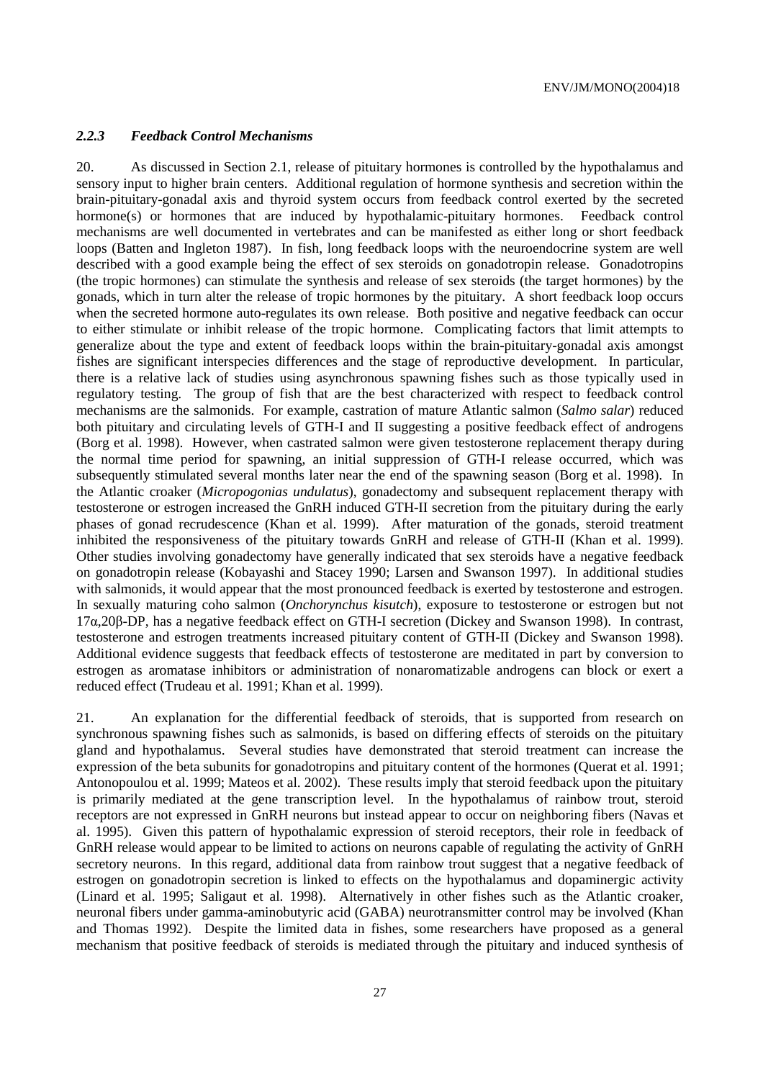#### *2.2.3 Feedback Control Mechanisms*

20. As discussed in Section 2.1, release of pituitary hormones is controlled by the hypothalamus and sensory input to higher brain centers. Additional regulation of hormone synthesis and secretion within the brain-pituitary-gonadal axis and thyroid system occurs from feedback control exerted by the secreted hormone(s) or hormones that are induced by hypothalamic-pituitary hormones. Feedback control mechanisms are well documented in vertebrates and can be manifested as either long or short feedback loops (Batten and Ingleton 1987). In fish, long feedback loops with the neuroendocrine system are well described with a good example being the effect of sex steroids on gonadotropin release. Gonadotropins (the tropic hormones) can stimulate the synthesis and release of sex steroids (the target hormones) by the gonads, which in turn alter the release of tropic hormones by the pituitary. A short feedback loop occurs when the secreted hormone auto-regulates its own release. Both positive and negative feedback can occur to either stimulate or inhibit release of the tropic hormone. Complicating factors that limit attempts to generalize about the type and extent of feedback loops within the brain-pituitary-gonadal axis amongst fishes are significant interspecies differences and the stage of reproductive development. In particular, there is a relative lack of studies using asynchronous spawning fishes such as those typically used in regulatory testing. The group of fish that are the best characterized with respect to feedback control mechanisms are the salmonids. For example, castration of mature Atlantic salmon (*Salmo salar*) reduced both pituitary and circulating levels of GTH-I and II suggesting a positive feedback effect of androgens (Borg et al. 1998). However, when castrated salmon were given testosterone replacement therapy during the normal time period for spawning, an initial suppression of GTH-I release occurred, which was subsequently stimulated several months later near the end of the spawning season (Borg et al. 1998). In the Atlantic croaker (*Micropogonias undulatus*), gonadectomy and subsequent replacement therapy with testosterone or estrogen increased the GnRH induced GTH-II secretion from the pituitary during the early phases of gonad recrudescence (Khan et al. 1999). After maturation of the gonads, steroid treatment inhibited the responsiveness of the pituitary towards GnRH and release of GTH-II (Khan et al. 1999). Other studies involving gonadectomy have generally indicated that sex steroids have a negative feedback on gonadotropin release (Kobayashi and Stacey 1990; Larsen and Swanson 1997). In additional studies with salmonids, it would appear that the most pronounced feedback is exerted by testosterone and estrogen. In sexually maturing coho salmon (*Onchorynchus kisutch*), exposure to testosterone or estrogen but not 17α,20β-DP, has a negative feedback effect on GTH-I secretion (Dickey and Swanson 1998). In contrast, testosterone and estrogen treatments increased pituitary content of GTH-II (Dickey and Swanson 1998). Additional evidence suggests that feedback effects of testosterone are meditated in part by conversion to estrogen as aromatase inhibitors or administration of nonaromatizable androgens can block or exert a reduced effect (Trudeau et al. 1991; Khan et al. 1999).

21. An explanation for the differential feedback of steroids, that is supported from research on synchronous spawning fishes such as salmonids, is based on differing effects of steroids on the pituitary gland and hypothalamus. Several studies have demonstrated that steroid treatment can increase the expression of the beta subunits for gonadotropins and pituitary content of the hormones (Querat et al. 1991; Antonopoulou et al. 1999; Mateos et al. 2002). These results imply that steroid feedback upon the pituitary is primarily mediated at the gene transcription level. In the hypothalamus of rainbow trout, steroid receptors are not expressed in GnRH neurons but instead appear to occur on neighboring fibers (Navas et al. 1995). Given this pattern of hypothalamic expression of steroid receptors, their role in feedback of GnRH release would appear to be limited to actions on neurons capable of regulating the activity of GnRH secretory neurons. In this regard, additional data from rainbow trout suggest that a negative feedback of estrogen on gonadotropin secretion is linked to effects on the hypothalamus and dopaminergic activity (Linard et al. 1995; Saligaut et al. 1998). Alternatively in other fishes such as the Atlantic croaker, neuronal fibers under gamma-aminobutyric acid (GABA) neurotransmitter control may be involved (Khan and Thomas 1992). Despite the limited data in fishes, some researchers have proposed as a general mechanism that positive feedback of steroids is mediated through the pituitary and induced synthesis of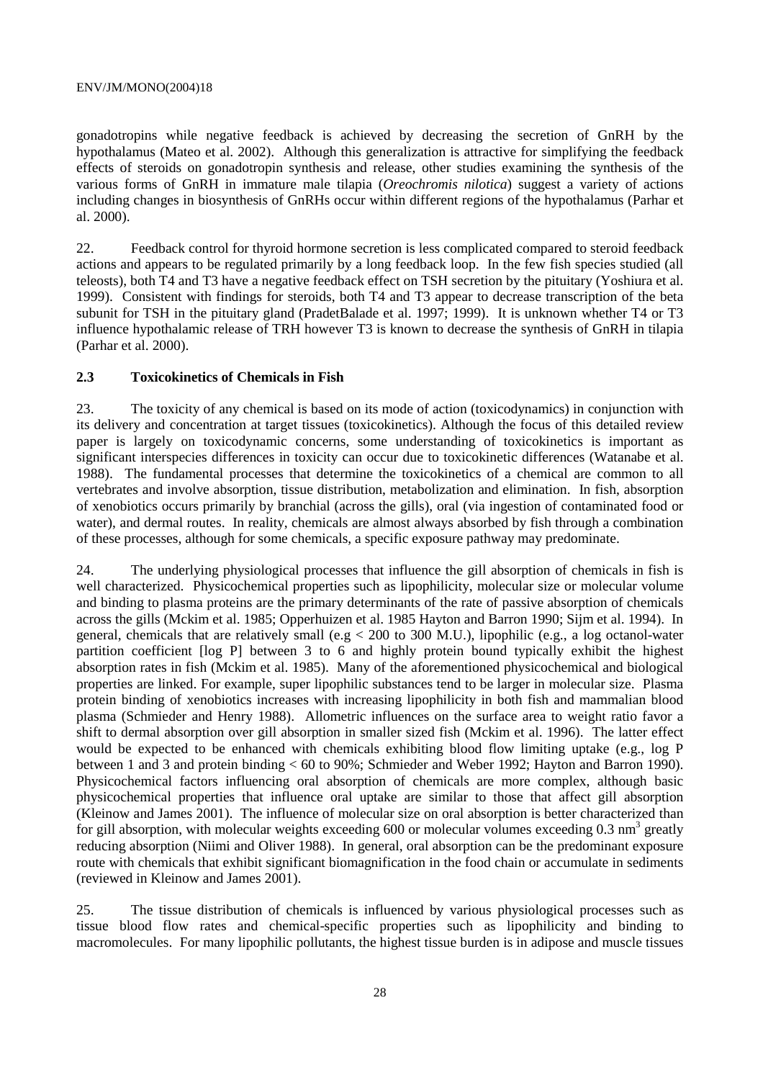gonadotropins while negative feedback is achieved by decreasing the secretion of GnRH by the hypothalamus (Mateo et al. 2002). Although this generalization is attractive for simplifying the feedback effects of steroids on gonadotropin synthesis and release, other studies examining the synthesis of the various forms of GnRH in immature male tilapia (*Oreochromis nilotica*) suggest a variety of actions including changes in biosynthesis of GnRHs occur within different regions of the hypothalamus (Parhar et al. 2000).

22. Feedback control for thyroid hormone secretion is less complicated compared to steroid feedback actions and appears to be regulated primarily by a long feedback loop. In the few fish species studied (all teleosts), both T4 and T3 have a negative feedback effect on TSH secretion by the pituitary (Yoshiura et al. 1999). Consistent with findings for steroids, both T4 and T3 appear to decrease transcription of the beta subunit for TSH in the pituitary gland (PradetBalade et al. 1997; 1999). It is unknown whether T4 or T3 influence hypothalamic release of TRH however T3 is known to decrease the synthesis of GnRH in tilapia (Parhar et al. 2000).

#### **2.3 Toxicokinetics of Chemicals in Fish**

23. The toxicity of any chemical is based on its mode of action (toxicodynamics) in conjunction with its delivery and concentration at target tissues (toxicokinetics). Although the focus of this detailed review paper is largely on toxicodynamic concerns, some understanding of toxicokinetics is important as significant interspecies differences in toxicity can occur due to toxicokinetic differences (Watanabe et al. 1988). The fundamental processes that determine the toxicokinetics of a chemical are common to all vertebrates and involve absorption, tissue distribution, metabolization and elimination. In fish, absorption of xenobiotics occurs primarily by branchial (across the gills), oral (via ingestion of contaminated food or water), and dermal routes. In reality, chemicals are almost always absorbed by fish through a combination of these processes, although for some chemicals, a specific exposure pathway may predominate.

24. The underlying physiological processes that influence the gill absorption of chemicals in fish is well characterized. Physicochemical properties such as lipophilicity, molecular size or molecular volume and binding to plasma proteins are the primary determinants of the rate of passive absorption of chemicals across the gills (Mckim et al. 1985; Opperhuizen et al. 1985 Hayton and Barron 1990; Sijm et al. 1994). In general, chemicals that are relatively small (e.g  $< 200$  to 300 M.U.), lipophilic (e.g., a log octanol-water partition coefficient [log P] between 3 to 6 and highly protein bound typically exhibit the highest absorption rates in fish (Mckim et al. 1985). Many of the aforementioned physicochemical and biological properties are linked. For example, super lipophilic substances tend to be larger in molecular size. Plasma protein binding of xenobiotics increases with increasing lipophilicity in both fish and mammalian blood plasma (Schmieder and Henry 1988). Allometric influences on the surface area to weight ratio favor a shift to dermal absorption over gill absorption in smaller sized fish (Mckim et al. 1996). The latter effect would be expected to be enhanced with chemicals exhibiting blood flow limiting uptake (e.g., log P between 1 and 3 and protein binding < 60 to 90%; Schmieder and Weber 1992; Hayton and Barron 1990). Physicochemical factors influencing oral absorption of chemicals are more complex, although basic physicochemical properties that influence oral uptake are similar to those that affect gill absorption (Kleinow and James 2001). The influence of molecular size on oral absorption is better characterized than for gill absorption, with molecular weights exceeding 600 or molecular volumes exceeding  $0.3 \text{ nm}^3$  greatly reducing absorption (Niimi and Oliver 1988). In general, oral absorption can be the predominant exposure route with chemicals that exhibit significant biomagnification in the food chain or accumulate in sediments (reviewed in Kleinow and James 2001).

25. The tissue distribution of chemicals is influenced by various physiological processes such as tissue blood flow rates and chemical-specific properties such as lipophilicity and binding to macromolecules. For many lipophilic pollutants, the highest tissue burden is in adipose and muscle tissues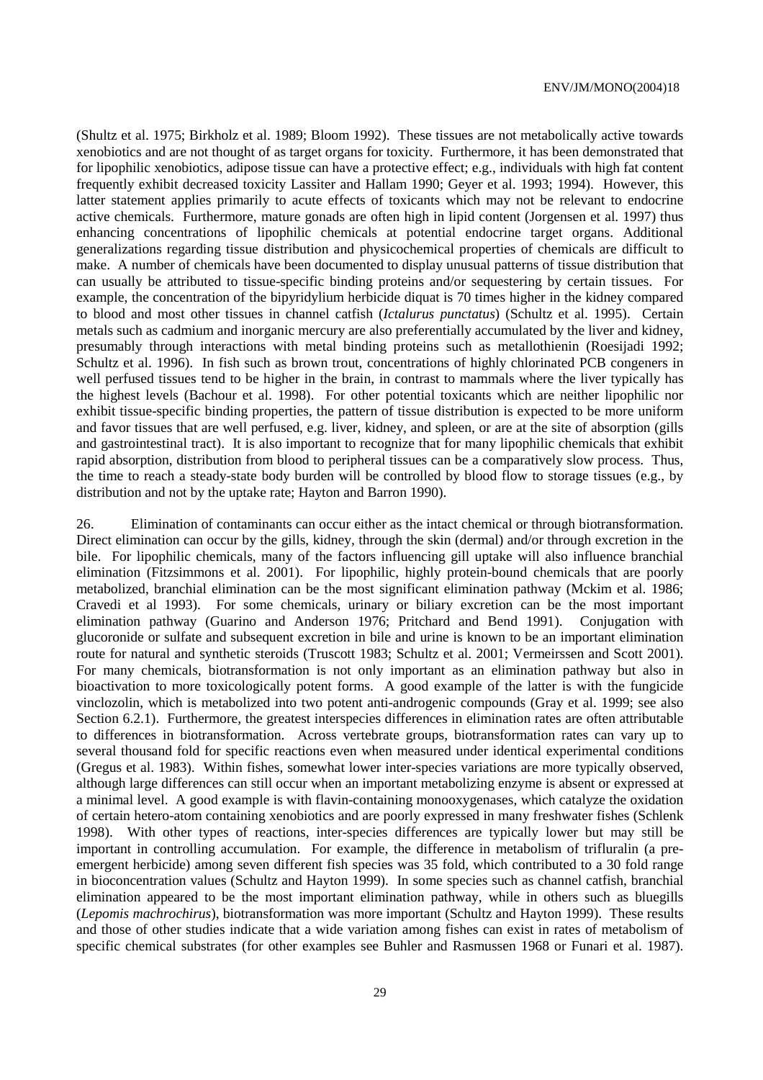(Shultz et al. 1975; Birkholz et al. 1989; Bloom 1992). These tissues are not metabolically active towards xenobiotics and are not thought of as target organs for toxicity. Furthermore, it has been demonstrated that for lipophilic xenobiotics, adipose tissue can have a protective effect; e.g., individuals with high fat content frequently exhibit decreased toxicity Lassiter and Hallam 1990; Geyer et al. 1993; 1994). However, this latter statement applies primarily to acute effects of toxicants which may not be relevant to endocrine active chemicals. Furthermore, mature gonads are often high in lipid content (Jorgensen et al. 1997) thus enhancing concentrations of lipophilic chemicals at potential endocrine target organs. Additional generalizations regarding tissue distribution and physicochemical properties of chemicals are difficult to make. A number of chemicals have been documented to display unusual patterns of tissue distribution that can usually be attributed to tissue-specific binding proteins and/or sequestering by certain tissues. For example, the concentration of the bipyridylium herbicide diquat is 70 times higher in the kidney compared to blood and most other tissues in channel catfish (*Ictalurus punctatus*) (Schultz et al. 1995). Certain metals such as cadmium and inorganic mercury are also preferentially accumulated by the liver and kidney, presumably through interactions with metal binding proteins such as metallothienin (Roesijadi 1992; Schultz et al. 1996). In fish such as brown trout, concentrations of highly chlorinated PCB congeners in well perfused tissues tend to be higher in the brain, in contrast to mammals where the liver typically has the highest levels (Bachour et al. 1998). For other potential toxicants which are neither lipophilic nor exhibit tissue-specific binding properties, the pattern of tissue distribution is expected to be more uniform and favor tissues that are well perfused, e.g. liver, kidney, and spleen, or are at the site of absorption (gills and gastrointestinal tract). It is also important to recognize that for many lipophilic chemicals that exhibit rapid absorption, distribution from blood to peripheral tissues can be a comparatively slow process. Thus, the time to reach a steady-state body burden will be controlled by blood flow to storage tissues (e.g., by distribution and not by the uptake rate; Hayton and Barron 1990).

26. Elimination of contaminants can occur either as the intact chemical or through biotransformation. Direct elimination can occur by the gills, kidney, through the skin (dermal) and/or through excretion in the bile. For lipophilic chemicals, many of the factors influencing gill uptake will also influence branchial elimination (Fitzsimmons et al. 2001). For lipophilic, highly protein-bound chemicals that are poorly metabolized, branchial elimination can be the most significant elimination pathway (Mckim et al. 1986; Cravedi et al 1993). For some chemicals, urinary or biliary excretion can be the most important elimination pathway (Guarino and Anderson 1976; Pritchard and Bend 1991). Conjugation with glucoronide or sulfate and subsequent excretion in bile and urine is known to be an important elimination route for natural and synthetic steroids (Truscott 1983; Schultz et al. 2001; Vermeirssen and Scott 2001). For many chemicals, biotransformation is not only important as an elimination pathway but also in bioactivation to more toxicologically potent forms. A good example of the latter is with the fungicide vinclozolin, which is metabolized into two potent anti-androgenic compounds (Gray et al. 1999; see also Section 6.2.1). Furthermore, the greatest interspecies differences in elimination rates are often attributable to differences in biotransformation. Across vertebrate groups, biotransformation rates can vary up to several thousand fold for specific reactions even when measured under identical experimental conditions (Gregus et al. 1983). Within fishes, somewhat lower inter-species variations are more typically observed, although large differences can still occur when an important metabolizing enzyme is absent or expressed at a minimal level. A good example is with flavin-containing monooxygenases, which catalyze the oxidation of certain hetero-atom containing xenobiotics and are poorly expressed in many freshwater fishes (Schlenk 1998). With other types of reactions, inter-species differences are typically lower but may still be important in controlling accumulation. For example, the difference in metabolism of trifluralin (a preemergent herbicide) among seven different fish species was 35 fold, which contributed to a 30 fold range in bioconcentration values (Schultz and Hayton 1999). In some species such as channel catfish, branchial elimination appeared to be the most important elimination pathway, while in others such as bluegills (*Lepomis machrochirus*), biotransformation was more important (Schultz and Hayton 1999). These results and those of other studies indicate that a wide variation among fishes can exist in rates of metabolism of specific chemical substrates (for other examples see Buhler and Rasmussen 1968 or Funari et al. 1987).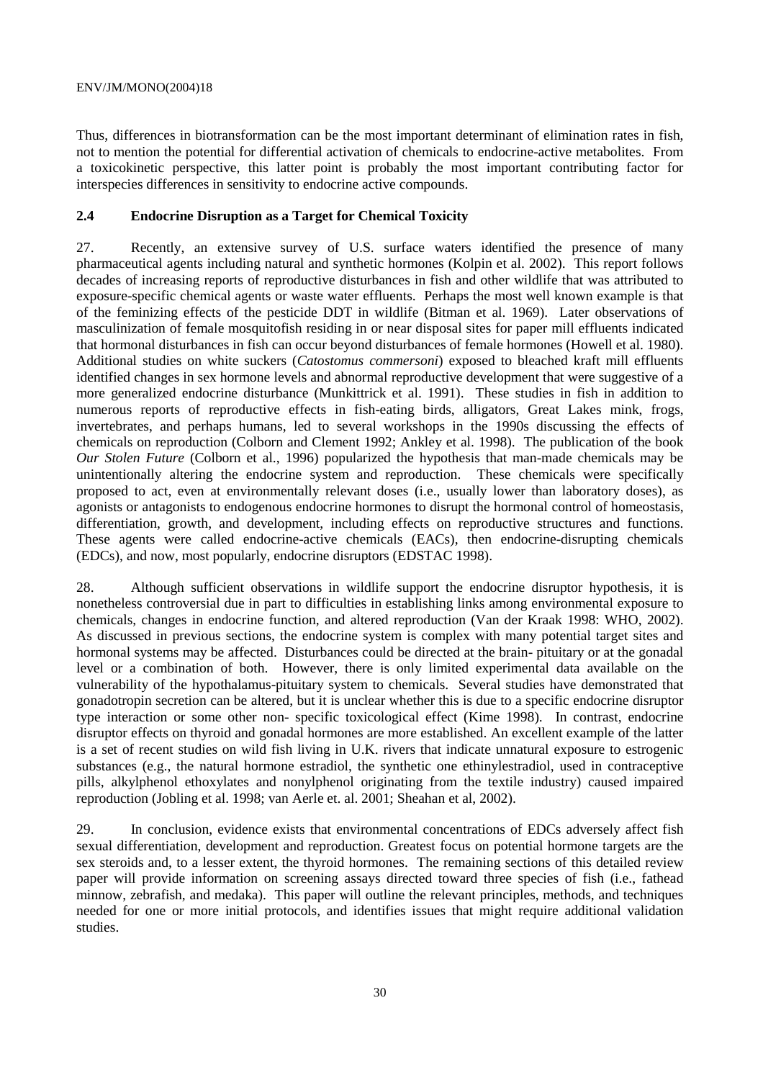Thus, differences in biotransformation can be the most important determinant of elimination rates in fish, not to mention the potential for differential activation of chemicals to endocrine-active metabolites. From a toxicokinetic perspective, this latter point is probably the most important contributing factor for interspecies differences in sensitivity to endocrine active compounds.

#### **2.4 Endocrine Disruption as a Target for Chemical Toxicity**

27. Recently, an extensive survey of U.S. surface waters identified the presence of many pharmaceutical agents including natural and synthetic hormones (Kolpin et al. 2002). This report follows decades of increasing reports of reproductive disturbances in fish and other wildlife that was attributed to exposure-specific chemical agents or waste water effluents. Perhaps the most well known example is that of the feminizing effects of the pesticide DDT in wildlife (Bitman et al. 1969). Later observations of masculinization of female mosquitofish residing in or near disposal sites for paper mill effluents indicated that hormonal disturbances in fish can occur beyond disturbances of female hormones (Howell et al. 1980). Additional studies on white suckers (*Catostomus commersoni*) exposed to bleached kraft mill effluents identified changes in sex hormone levels and abnormal reproductive development that were suggestive of a more generalized endocrine disturbance (Munkittrick et al. 1991). These studies in fish in addition to numerous reports of reproductive effects in fish-eating birds, alligators, Great Lakes mink, frogs, invertebrates, and perhaps humans, led to several workshops in the 1990s discussing the effects of chemicals on reproduction (Colborn and Clement 1992; Ankley et al. 1998). The publication of the book *Our Stolen Future* (Colborn et al., 1996) popularized the hypothesis that man-made chemicals may be unintentionally altering the endocrine system and reproduction. These chemicals were specifically proposed to act, even at environmentally relevant doses (i.e., usually lower than laboratory doses), as agonists or antagonists to endogenous endocrine hormones to disrupt the hormonal control of homeostasis, differentiation, growth, and development, including effects on reproductive structures and functions. These agents were called endocrine-active chemicals (EACs), then endocrine-disrupting chemicals (EDCs), and now, most popularly, endocrine disruptors (EDSTAC 1998).

28. Although sufficient observations in wildlife support the endocrine disruptor hypothesis, it is nonetheless controversial due in part to difficulties in establishing links among environmental exposure to chemicals, changes in endocrine function, and altered reproduction (Van der Kraak 1998: WHO, 2002). As discussed in previous sections, the endocrine system is complex with many potential target sites and hormonal systems may be affected. Disturbances could be directed at the brain- pituitary or at the gonadal level or a combination of both. However, there is only limited experimental data available on the vulnerability of the hypothalamus-pituitary system to chemicals. Several studies have demonstrated that gonadotropin secretion can be altered, but it is unclear whether this is due to a specific endocrine disruptor type interaction or some other non- specific toxicological effect (Kime 1998). In contrast, endocrine disruptor effects on thyroid and gonadal hormones are more established. An excellent example of the latter is a set of recent studies on wild fish living in U.K. rivers that indicate unnatural exposure to estrogenic substances (e.g., the natural hormone estradiol, the synthetic one ethinylestradiol, used in contraceptive pills, alkylphenol ethoxylates and nonylphenol originating from the textile industry) caused impaired reproduction (Jobling et al. 1998; van Aerle et. al. 2001; Sheahan et al, 2002).

29. In conclusion, evidence exists that environmental concentrations of EDCs adversely affect fish sexual differentiation, development and reproduction. Greatest focus on potential hormone targets are the sex steroids and, to a lesser extent, the thyroid hormones. The remaining sections of this detailed review paper will provide information on screening assays directed toward three species of fish (i.e., fathead minnow, zebrafish, and medaka). This paper will outline the relevant principles, methods, and techniques needed for one or more initial protocols, and identifies issues that might require additional validation studies.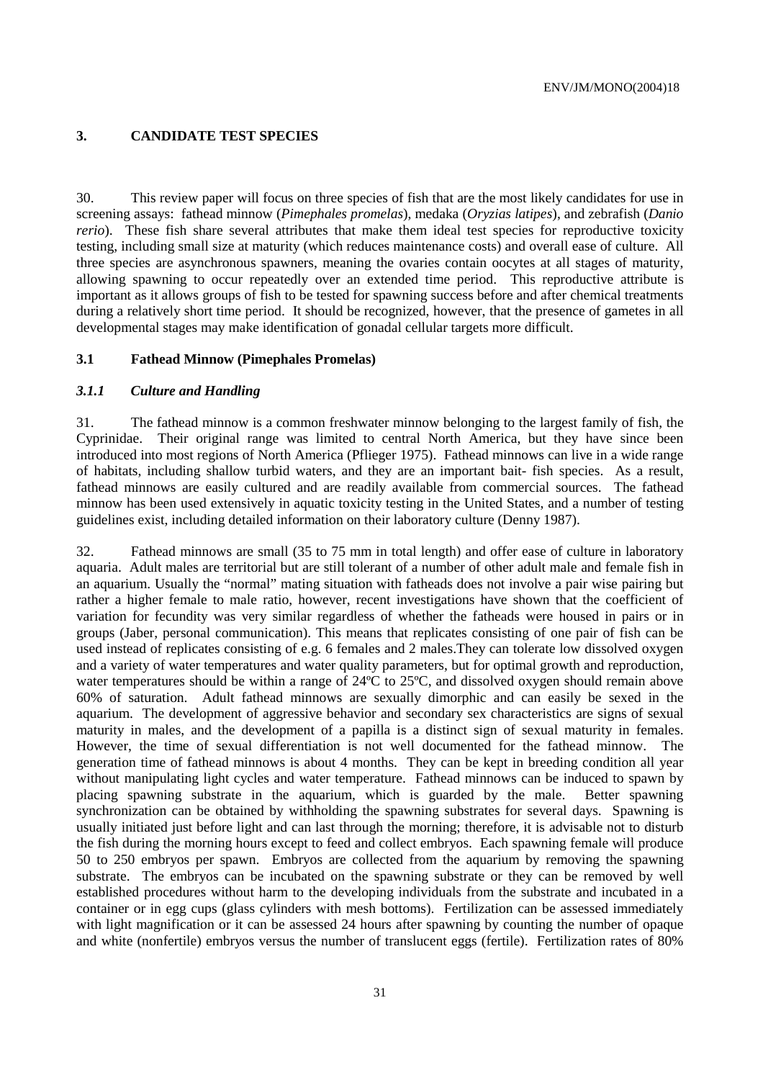#### **3. CANDIDATE TEST SPECIES**

30. This review paper will focus on three species of fish that are the most likely candidates for use in screening assays: fathead minnow (*Pimephales promelas*), medaka (*Oryzias latipes*), and zebrafish (*Danio rerio*). These fish share several attributes that make them ideal test species for reproductive toxicity testing, including small size at maturity (which reduces maintenance costs) and overall ease of culture. All three species are asynchronous spawners, meaning the ovaries contain oocytes at all stages of maturity, allowing spawning to occur repeatedly over an extended time period. This reproductive attribute is important as it allows groups of fish to be tested for spawning success before and after chemical treatments during a relatively short time period. It should be recognized, however, that the presence of gametes in all developmental stages may make identification of gonadal cellular targets more difficult.

#### **3.1 Fathead Minnow (Pimephales Promelas)**

#### *3.1.1 Culture and Handling*

31. The fathead minnow is a common freshwater minnow belonging to the largest family of fish, the Cyprinidae. Their original range was limited to central North America, but they have since been introduced into most regions of North America (Pflieger 1975). Fathead minnows can live in a wide range of habitats, including shallow turbid waters, and they are an important bait- fish species. As a result, fathead minnows are easily cultured and are readily available from commercial sources. The fathead minnow has been used extensively in aquatic toxicity testing in the United States, and a number of testing guidelines exist, including detailed information on their laboratory culture (Denny 1987).

32. Fathead minnows are small (35 to 75 mm in total length) and offer ease of culture in laboratory aquaria. Adult males are territorial but are still tolerant of a number of other adult male and female fish in an aquarium. Usually the "normal" mating situation with fatheads does not involve a pair wise pairing but rather a higher female to male ratio, however, recent investigations have shown that the coefficient of variation for fecundity was very similar regardless of whether the fatheads were housed in pairs or in groups (Jaber, personal communication). This means that replicates consisting of one pair of fish can be used instead of replicates consisting of e.g. 6 females and 2 males.They can tolerate low dissolved oxygen and a variety of water temperatures and water quality parameters, but for optimal growth and reproduction, water temperatures should be within a range of 24°C to 25°C, and dissolved oxygen should remain above 60% of saturation. Adult fathead minnows are sexually dimorphic and can easily be sexed in the aquarium. The development of aggressive behavior and secondary sex characteristics are signs of sexual maturity in males, and the development of a papilla is a distinct sign of sexual maturity in females. However, the time of sexual differentiation is not well documented for the fathead minnow. The generation time of fathead minnows is about 4 months. They can be kept in breeding condition all year without manipulating light cycles and water temperature. Fathead minnows can be induced to spawn by placing spawning substrate in the aquarium, which is guarded by the male. Better spawning synchronization can be obtained by withholding the spawning substrates for several days. Spawning is usually initiated just before light and can last through the morning; therefore, it is advisable not to disturb the fish during the morning hours except to feed and collect embryos. Each spawning female will produce 50 to 250 embryos per spawn. Embryos are collected from the aquarium by removing the spawning substrate. The embryos can be incubated on the spawning substrate or they can be removed by well established procedures without harm to the developing individuals from the substrate and incubated in a container or in egg cups (glass cylinders with mesh bottoms). Fertilization can be assessed immediately with light magnification or it can be assessed 24 hours after spawning by counting the number of opaque and white (nonfertile) embryos versus the number of translucent eggs (fertile). Fertilization rates of 80%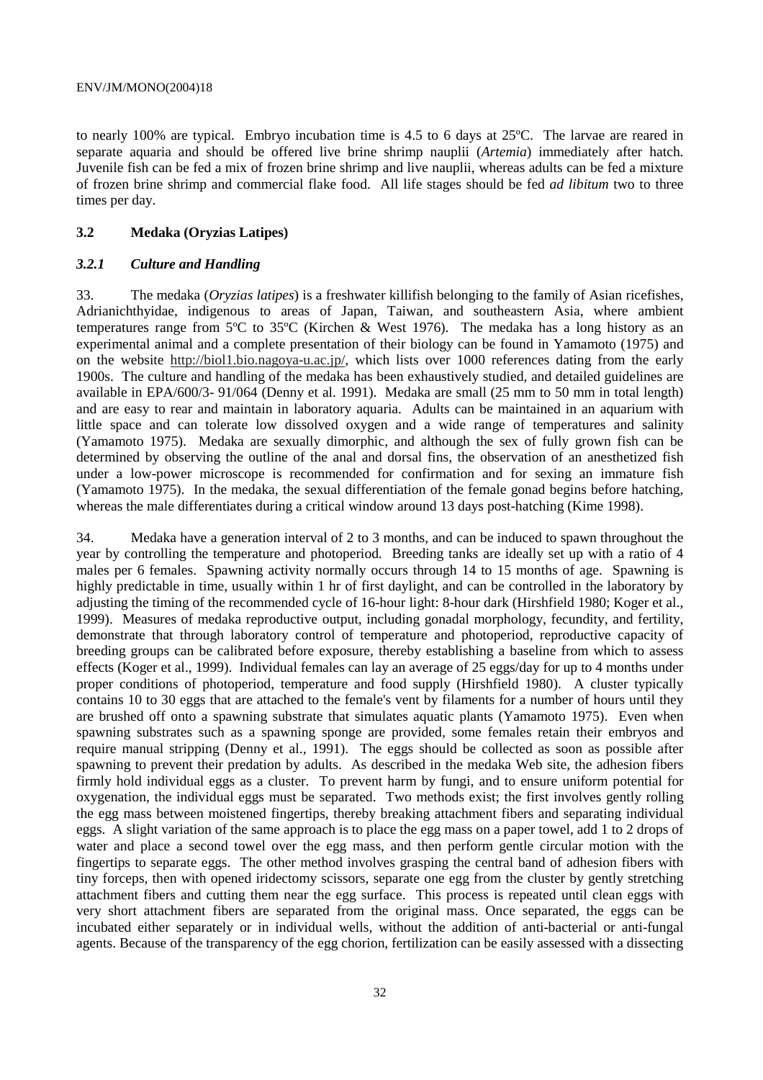to nearly 100% are typical. Embryo incubation time is 4.5 to 6 days at 25ºC. The larvae are reared in separate aquaria and should be offered live brine shrimp nauplii (*Artemia*) immediately after hatch. Juvenile fish can be fed a mix of frozen brine shrimp and live nauplii, whereas adults can be fed a mixture of frozen brine shrimp and commercial flake food. All life stages should be fed *ad libitum* two to three times per day.

#### **3.2 Medaka (Oryzias Latipes)**

#### *3.2.1 Culture and Handling*

33. The medaka (*Oryzias latipes*) is a freshwater killifish belonging to the family of Asian ricefishes, Adrianichthyidae, indigenous to areas of Japan, Taiwan, and southeastern Asia, where ambient temperatures range from 5ºC to 35ºC (Kirchen & West 1976). The medaka has a long history as an experimental animal and a complete presentation of their biology can be found in Yamamoto (1975) and on the website http://biol1.bio.nagoya-u.ac.jp/, which lists over 1000 references dating from the early 1900s. The culture and handling of the medaka has been exhaustively studied, and detailed guidelines are available in EPA/600/3- 91/064 (Denny et al. 1991). Medaka are small (25 mm to 50 mm in total length) and are easy to rear and maintain in laboratory aquaria. Adults can be maintained in an aquarium with little space and can tolerate low dissolved oxygen and a wide range of temperatures and salinity (Yamamoto 1975). Medaka are sexually dimorphic, and although the sex of fully grown fish can be determined by observing the outline of the anal and dorsal fins, the observation of an anesthetized fish under a low-power microscope is recommended for confirmation and for sexing an immature fish (Yamamoto 1975). In the medaka, the sexual differentiation of the female gonad begins before hatching, whereas the male differentiates during a critical window around 13 days post-hatching (Kime 1998).

34. Medaka have a generation interval of 2 to 3 months, and can be induced to spawn throughout the year by controlling the temperature and photoperiod. Breeding tanks are ideally set up with a ratio of 4 males per 6 females. Spawning activity normally occurs through 14 to 15 months of age. Spawning is highly predictable in time, usually within 1 hr of first daylight, and can be controlled in the laboratory by adjusting the timing of the recommended cycle of 16-hour light: 8-hour dark (Hirshfield 1980; Koger et al., 1999). Measures of medaka reproductive output, including gonadal morphology, fecundity, and fertility, demonstrate that through laboratory control of temperature and photoperiod, reproductive capacity of breeding groups can be calibrated before exposure, thereby establishing a baseline from which to assess effects (Koger et al., 1999). Individual females can lay an average of 25 eggs/day for up to 4 months under proper conditions of photoperiod, temperature and food supply (Hirshfield 1980). A cluster typically contains 10 to 30 eggs that are attached to the female's vent by filaments for a number of hours until they are brushed off onto a spawning substrate that simulates aquatic plants (Yamamoto 1975). Even when spawning substrates such as a spawning sponge are provided, some females retain their embryos and require manual stripping (Denny et al., 1991). The eggs should be collected as soon as possible after spawning to prevent their predation by adults. As described in the medaka Web site, the adhesion fibers firmly hold individual eggs as a cluster. To prevent harm by fungi, and to ensure uniform potential for oxygenation, the individual eggs must be separated. Two methods exist; the first involves gently rolling the egg mass between moistened fingertips, thereby breaking attachment fibers and separating individual eggs. A slight variation of the same approach is to place the egg mass on a paper towel, add 1 to 2 drops of water and place a second towel over the egg mass, and then perform gentle circular motion with the fingertips to separate eggs. The other method involves grasping the central band of adhesion fibers with tiny forceps, then with opened iridectomy scissors, separate one egg from the cluster by gently stretching attachment fibers and cutting them near the egg surface. This process is repeated until clean eggs with very short attachment fibers are separated from the original mass. Once separated, the eggs can be incubated either separately or in individual wells, without the addition of anti-bacterial or anti-fungal agents. Because of the transparency of the egg chorion, fertilization can be easily assessed with a dissecting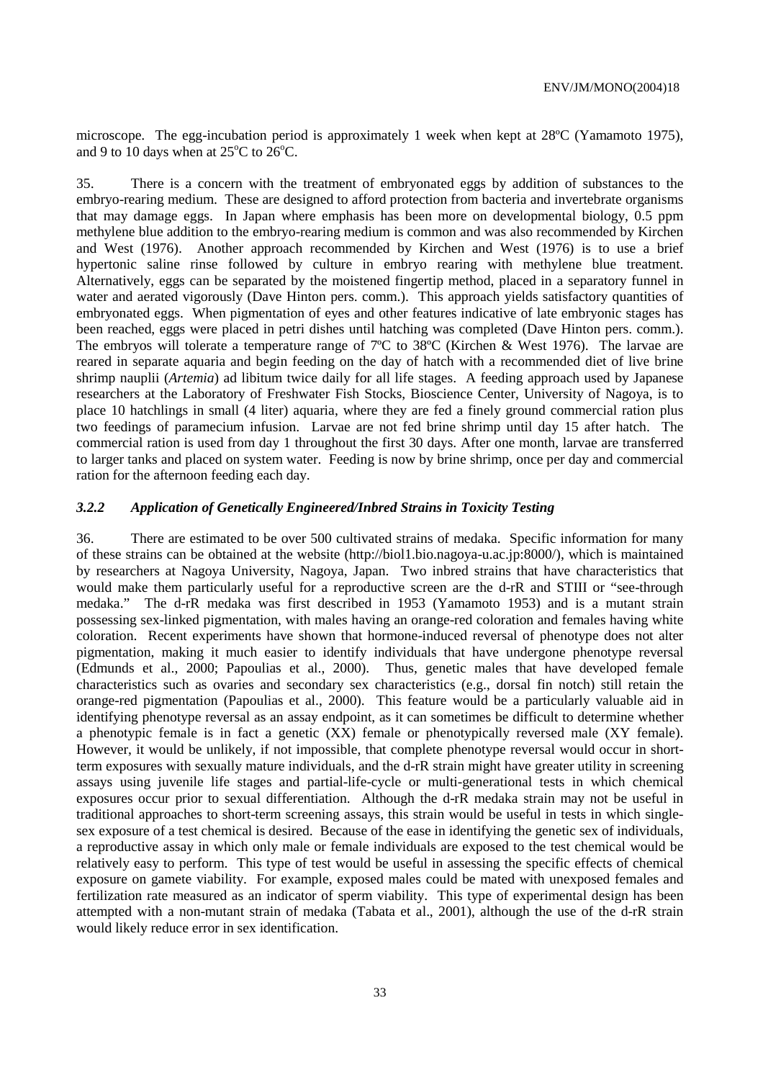microscope. The egg-incubation period is approximately 1 week when kept at 28ºC (Yamamoto 1975), and 9 to 10 days when at  $25^{\circ}$ C to  $26^{\circ}$ C.

35. There is a concern with the treatment of embryonated eggs by addition of substances to the embryo-rearing medium. These are designed to afford protection from bacteria and invertebrate organisms that may damage eggs. In Japan where emphasis has been more on developmental biology, 0.5 ppm methylene blue addition to the embryo-rearing medium is common and was also recommended by Kirchen and West (1976). Another approach recommended by Kirchen and West (1976) is to use a brief hypertonic saline rinse followed by culture in embryo rearing with methylene blue treatment. Alternatively, eggs can be separated by the moistened fingertip method, placed in a separatory funnel in water and aerated vigorously (Dave Hinton pers. comm.). This approach yields satisfactory quantities of embryonated eggs. When pigmentation of eyes and other features indicative of late embryonic stages has been reached, eggs were placed in petri dishes until hatching was completed (Dave Hinton pers. comm.). The embryos will tolerate a temperature range of 7ºC to 38ºC (Kirchen & West 1976). The larvae are reared in separate aquaria and begin feeding on the day of hatch with a recommended diet of live brine shrimp nauplii (*Artemia*) ad libitum twice daily for all life stages. A feeding approach used by Japanese researchers at the Laboratory of Freshwater Fish Stocks, Bioscience Center, University of Nagoya, is to place 10 hatchlings in small (4 liter) aquaria, where they are fed a finely ground commercial ration plus two feedings of paramecium infusion. Larvae are not fed brine shrimp until day 15 after hatch. The commercial ration is used from day 1 throughout the first 30 days. After one month, larvae are transferred to larger tanks and placed on system water. Feeding is now by brine shrimp, once per day and commercial ration for the afternoon feeding each day.

#### *3.2.2 Application of Genetically Engineered/Inbred Strains in Toxicity Testing*

36. There are estimated to be over 500 cultivated strains of medaka. Specific information for many of these strains can be obtained at the website (http://biol1.bio.nagoya-u.ac.jp:8000/), which is maintained by researchers at Nagoya University, Nagoya, Japan. Two inbred strains that have characteristics that would make them particularly useful for a reproductive screen are the d-rR and STIII or "see-through medaka." The d-rR medaka was first described in 1953 (Yamamoto 1953) and is a mutant strain possessing sex-linked pigmentation, with males having an orange-red coloration and females having white coloration. Recent experiments have shown that hormone-induced reversal of phenotype does not alter pigmentation, making it much easier to identify individuals that have undergone phenotype reversal (Edmunds et al., 2000; Papoulias et al., 2000). Thus, genetic males that have developed female characteristics such as ovaries and secondary sex characteristics (e.g., dorsal fin notch) still retain the orange-red pigmentation (Papoulias et al., 2000). This feature would be a particularly valuable aid in identifying phenotype reversal as an assay endpoint, as it can sometimes be difficult to determine whether a phenotypic female is in fact a genetic (XX) female or phenotypically reversed male (XY female). However, it would be unlikely, if not impossible, that complete phenotype reversal would occur in shortterm exposures with sexually mature individuals, and the d-rR strain might have greater utility in screening assays using juvenile life stages and partial-life-cycle or multi-generational tests in which chemical exposures occur prior to sexual differentiation. Although the d-rR medaka strain may not be useful in traditional approaches to short-term screening assays, this strain would be useful in tests in which singlesex exposure of a test chemical is desired. Because of the ease in identifying the genetic sex of individuals, a reproductive assay in which only male or female individuals are exposed to the test chemical would be relatively easy to perform. This type of test would be useful in assessing the specific effects of chemical exposure on gamete viability. For example, exposed males could be mated with unexposed females and fertilization rate measured as an indicator of sperm viability. This type of experimental design has been attempted with a non-mutant strain of medaka (Tabata et al., 2001), although the use of the d-rR strain would likely reduce error in sex identification.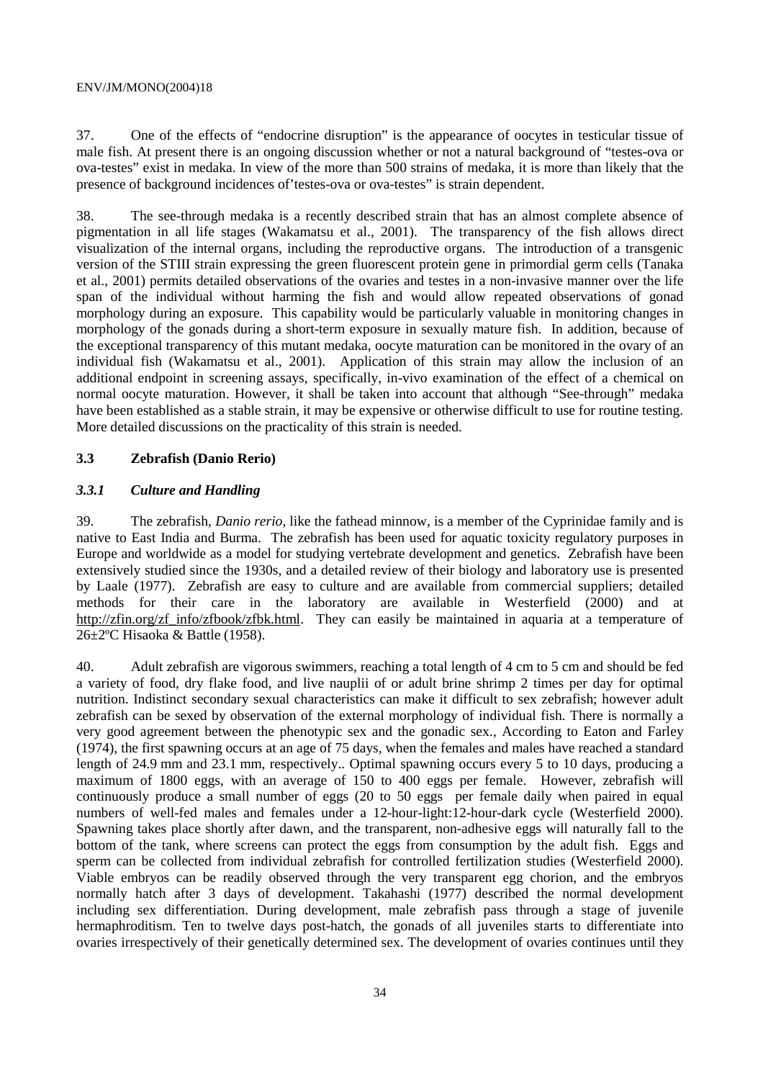37. One of the effects of "endocrine disruption" is the appearance of oocytes in testicular tissue of male fish. At present there is an ongoing discussion whether or not a natural background of "testes-ova or ova-testes" exist in medaka. In view of the more than 500 strains of medaka, it is more than likely that the presence of background incidences of'testes-ova or ova-testes" is strain dependent.

38. The see-through medaka is a recently described strain that has an almost complete absence of pigmentation in all life stages (Wakamatsu et al., 2001). The transparency of the fish allows direct visualization of the internal organs, including the reproductive organs. The introduction of a transgenic version of the STIII strain expressing the green fluorescent protein gene in primordial germ cells (Tanaka et al., 2001) permits detailed observations of the ovaries and testes in a non-invasive manner over the life span of the individual without harming the fish and would allow repeated observations of gonad morphology during an exposure. This capability would be particularly valuable in monitoring changes in morphology of the gonads during a short-term exposure in sexually mature fish. In addition, because of the exceptional transparency of this mutant medaka, oocyte maturation can be monitored in the ovary of an individual fish (Wakamatsu et al., 2001). Application of this strain may allow the inclusion of an additional endpoint in screening assays, specifically, in-vivo examination of the effect of a chemical on normal oocyte maturation. However, it shall be taken into account that although "See-through" medaka have been established as a stable strain, it may be expensive or otherwise difficult to use for routine testing. More detailed discussions on the practicality of this strain is needed.

#### **3.3 Zebrafish (Danio Rerio)**

#### *3.3.1 Culture and Handling*

39. The zebrafish, *Danio rerio,* like the fathead minnow, is a member of the Cyprinidae family and is native to East India and Burma. The zebrafish has been used for aquatic toxicity regulatory purposes in Europe and worldwide as a model for studying vertebrate development and genetics. Zebrafish have been extensively studied since the 1930s, and a detailed review of their biology and laboratory use is presented by Laale (1977). Zebrafish are easy to culture and are available from commercial suppliers; detailed methods for their care in the laboratory are available in Westerfield (2000) and at http://zfin.org/zf\_info/zfbook/zfbk.html. They can easily be maintained in aquaria at a temperature of 26±2ºC Hisaoka & Battle (1958).

40. Adult zebrafish are vigorous swimmers, reaching a total length of 4 cm to 5 cm and should be fed a variety of food, dry flake food, and live nauplii of or adult brine shrimp 2 times per day for optimal nutrition. Indistinct secondary sexual characteristics can make it difficult to sex zebrafish; however adult zebrafish can be sexed by observation of the external morphology of individual fish. There is normally a very good agreement between the phenotypic sex and the gonadic sex., According to Eaton and Farley (1974), the first spawning occurs at an age of 75 days, when the females and males have reached a standard length of 24.9 mm and 23.1 mm, respectively.. Optimal spawning occurs every 5 to 10 days, producing a maximum of 1800 eggs, with an average of 150 to 400 eggs per female. However, zebrafish will continuously produce a small number of eggs (20 to 50 eggs per female daily when paired in equal numbers of well-fed males and females under a 12-hour-light:12-hour-dark cycle (Westerfield 2000). Spawning takes place shortly after dawn, and the transparent, non-adhesive eggs will naturally fall to the bottom of the tank, where screens can protect the eggs from consumption by the adult fish. Eggs and sperm can be collected from individual zebrafish for controlled fertilization studies (Westerfield 2000). Viable embryos can be readily observed through the very transparent egg chorion, and the embryos normally hatch after 3 days of development. Takahashi (1977) described the normal development including sex differentiation. During development, male zebrafish pass through a stage of juvenile hermaphroditism. Ten to twelve days post-hatch, the gonads of all juveniles starts to differentiate into ovaries irrespectively of their genetically determined sex. The development of ovaries continues until they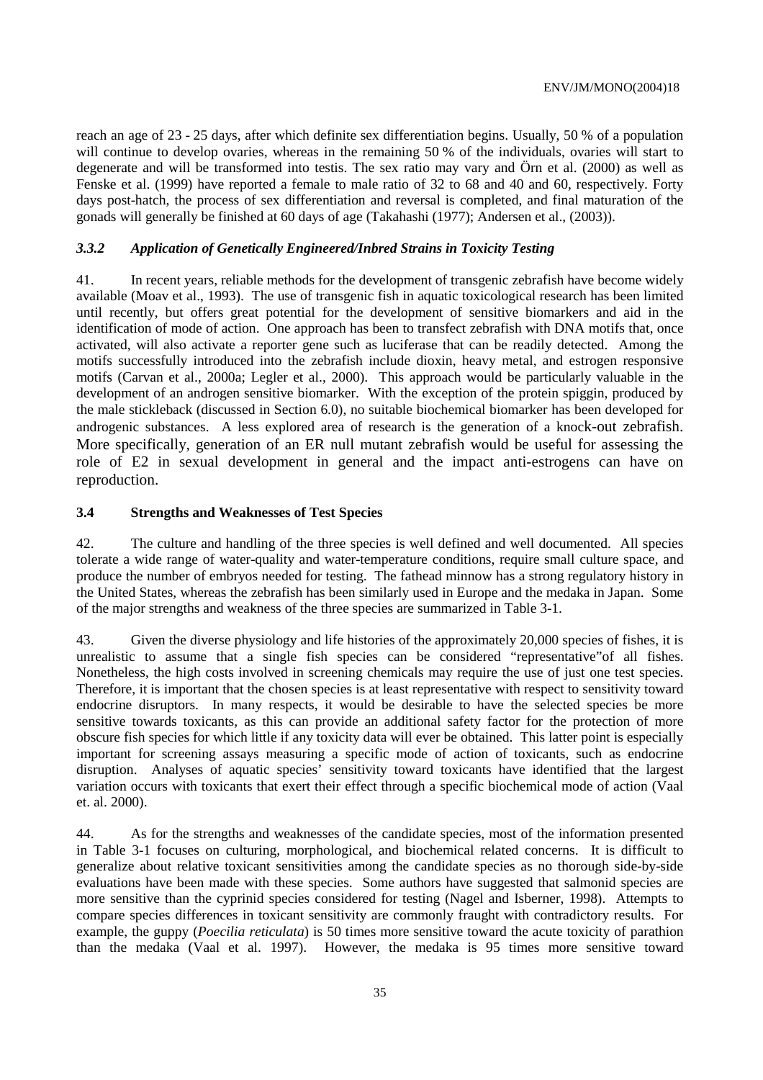reach an age of 23 - 25 days, after which definite sex differentiation begins. Usually, 50 % of a population will continue to develop ovaries, whereas in the remaining 50 % of the individuals, ovaries will start to degenerate and will be transformed into testis. The sex ratio may vary and Örn et al. (2000) as well as Fenske et al. (1999) have reported a female to male ratio of 32 to 68 and 40 and 60, respectively. Forty days post-hatch, the process of sex differentiation and reversal is completed, and final maturation of the gonads will generally be finished at 60 days of age (Takahashi (1977); Andersen et al., (2003)).

#### *3.3.2 Application of Genetically Engineered/Inbred Strains in Toxicity Testing*

41. In recent years, reliable methods for the development of transgenic zebrafish have become widely available (Moav et al., 1993). The use of transgenic fish in aquatic toxicological research has been limited until recently, but offers great potential for the development of sensitive biomarkers and aid in the identification of mode of action. One approach has been to transfect zebrafish with DNA motifs that, once activated, will also activate a reporter gene such as luciferase that can be readily detected. Among the motifs successfully introduced into the zebrafish include dioxin, heavy metal, and estrogen responsive motifs (Carvan et al., 2000a; Legler et al., 2000). This approach would be particularly valuable in the development of an androgen sensitive biomarker. With the exception of the protein spiggin, produced by the male stickleback (discussed in Section 6.0), no suitable biochemical biomarker has been developed for androgenic substances. A less explored area of research is the generation of a knock-out zebrafish. More specifically, generation of an ER null mutant zebrafish would be useful for assessing the role of E2 in sexual development in general and the impact anti-estrogens can have on reproduction.

#### **3.4 Strengths and Weaknesses of Test Species**

42. The culture and handling of the three species is well defined and well documented. All species tolerate a wide range of water-quality and water-temperature conditions, require small culture space, and produce the number of embryos needed for testing. The fathead minnow has a strong regulatory history in the United States, whereas the zebrafish has been similarly used in Europe and the medaka in Japan. Some of the major strengths and weakness of the three species are summarized in Table 3-1.

43. Given the diverse physiology and life histories of the approximately 20,000 species of fishes, it is unrealistic to assume that a single fish species can be considered "representative"of all fishes. Nonetheless, the high costs involved in screening chemicals may require the use of just one test species. Therefore, it is important that the chosen species is at least representative with respect to sensitivity toward endocrine disruptors. In many respects, it would be desirable to have the selected species be more sensitive towards toxicants, as this can provide an additional safety factor for the protection of more obscure fish species for which little if any toxicity data will ever be obtained. This latter point is especially important for screening assays measuring a specific mode of action of toxicants, such as endocrine disruption. Analyses of aquatic species' sensitivity toward toxicants have identified that the largest variation occurs with toxicants that exert their effect through a specific biochemical mode of action (Vaal et. al. 2000).

44. As for the strengths and weaknesses of the candidate species, most of the information presented in Table 3-1 focuses on culturing, morphological, and biochemical related concerns. It is difficult to generalize about relative toxicant sensitivities among the candidate species as no thorough side-by-side evaluations have been made with these species. Some authors have suggested that salmonid species are more sensitive than the cyprinid species considered for testing (Nagel and Isberner, 1998). Attempts to compare species differences in toxicant sensitivity are commonly fraught with contradictory results. For example, the guppy (*Poecilia reticulata*) is 50 times more sensitive toward the acute toxicity of parathion than the medaka (Vaal et al. 1997). However, the medaka is 95 times more sensitive toward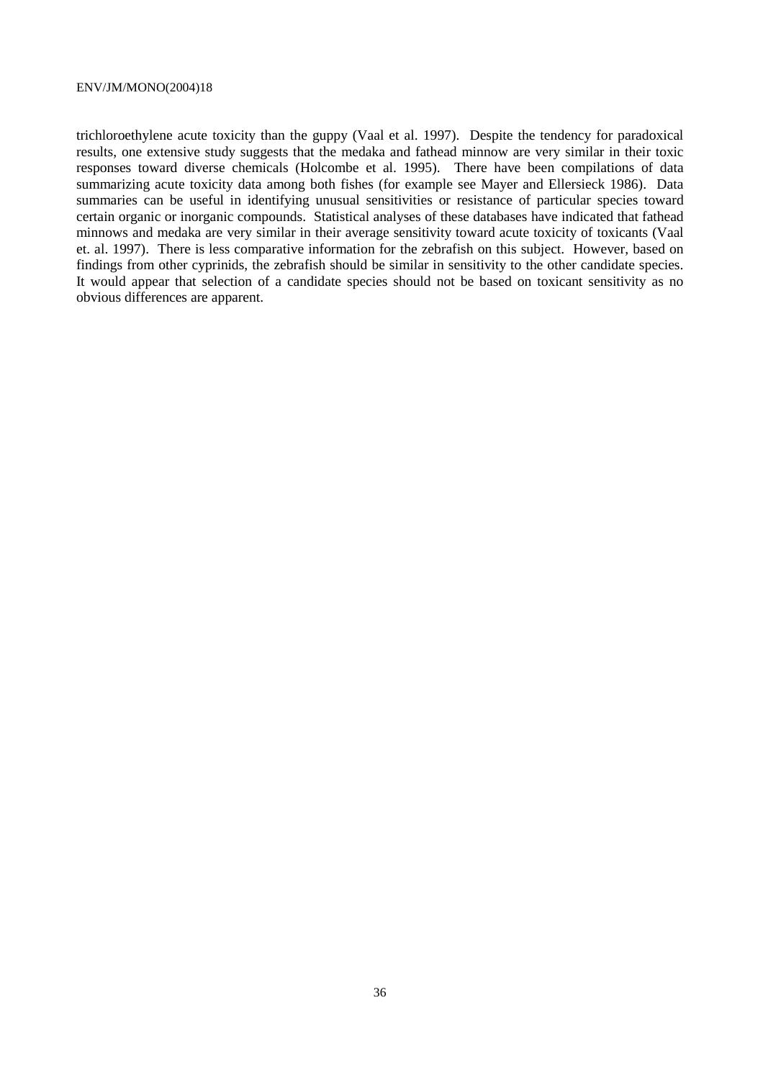trichloroethylene acute toxicity than the guppy (Vaal et al. 1997). Despite the tendency for paradoxical results, one extensive study suggests that the medaka and fathead minnow are very similar in their toxic responses toward diverse chemicals (Holcombe et al. 1995). There have been compilations of data summarizing acute toxicity data among both fishes (for example see Mayer and Ellersieck 1986). Data summaries can be useful in identifying unusual sensitivities or resistance of particular species toward certain organic or inorganic compounds. Statistical analyses of these databases have indicated that fathead minnows and medaka are very similar in their average sensitivity toward acute toxicity of toxicants (Vaal et. al. 1997). There is less comparative information for the zebrafish on this subject. However, based on findings from other cyprinids, the zebrafish should be similar in sensitivity to the other candidate species. It would appear that selection of a candidate species should not be based on toxicant sensitivity as no obvious differences are apparent.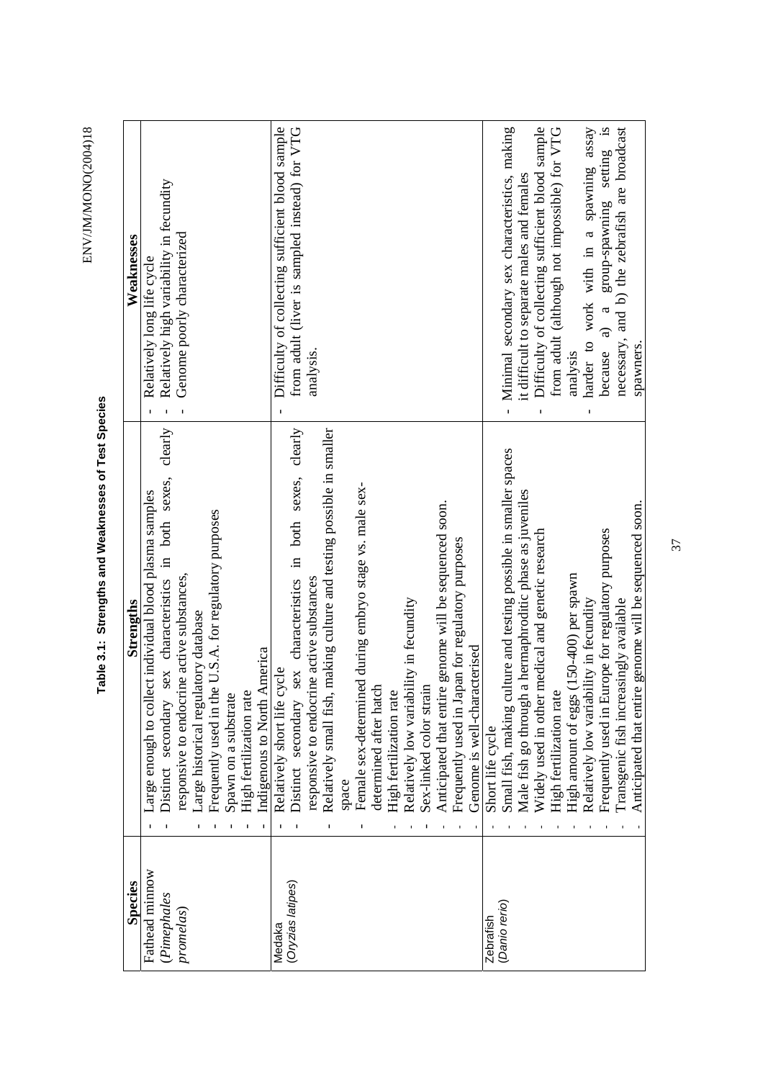ENV/JM/MONO(2004)18 ENV/JM/MONO(2004)18

> Table 3.1: Strengths and Weaknesses of Test Species **Table 3.1: Strengths and Weaknesses of Test Species**

| Species           | Strengths                                                             | Weaknesses                                                    |
|-------------------|-----------------------------------------------------------------------|---------------------------------------------------------------|
| Fathead minnow    | arge enough to collect individual blood plasma samples                | Relatively long life cycle                                    |
| (Pimephales       | sex characteristics in both sexes, clearly<br>Distinct secondary      | Relatively high variability in fecundity                      |
| promelas)         | responsive to endocrine active substances,                            | Genome poorly characterized                                   |
|                   | latory database<br>arge historical regul                              |                                                               |
|                   | Frequently used in the U.S.A. for regulatory purposes                 |                                                               |
|                   | Spawn on a substrate                                                  |                                                               |
|                   | High fertilization rate                                               |                                                               |
|                   | America<br>Indigenous to North .                                      |                                                               |
| Medaka            | Relatively short life cycle                                           | Difficulty of collecting sufficient blood sample              |
| (Oryzias latipes) | sex characteristics in both sexes, clearly<br>Distinct secondary      | from adult (liver is sampled instead) for VTG                 |
|                   | responsive to endocrine active substances                             | analysis.                                                     |
|                   | Relatively small fish, making culture and testing possible in smaller |                                                               |
|                   | space                                                                 |                                                               |
|                   | Female sex-determined during embryo stage vs. male sex-               |                                                               |
|                   | determined after hatch                                                |                                                               |
|                   | High fertilization rate                                               |                                                               |
|                   | Relatively low variability in fecundity                               |                                                               |
|                   | Sex-linked color strain                                               |                                                               |
|                   | Anticipated that entire genome will be sequenced soon.                |                                                               |
|                   | Frequently used in Japan for regulatory purposes                      |                                                               |
|                   | Genome is well-characterised                                          |                                                               |
| Zebrafish         | Short life cycle                                                      |                                                               |
| (Danio rerio)     | Small fish, making culture and testing possible in smaller spaces     | Minimal secondary sex characteristics, making<br>$\mathbf{I}$ |
|                   | a hermaphroditic phase as juveniles<br>Male fish go through           | it difficult to separate males and females                    |
|                   | Widely used in other medical and genetic research                     | Difficulty of collecting sufficient blood sample              |
|                   | High fertilization rate                                               | from adult (although not impossible) for VTG                  |
|                   | High amount of eggs (150-400) per spawn                               | analysis                                                      |
|                   | Relatively low variability in fecundity                               | harder to work with in a spawning assay                       |
|                   | Frequently used in Europe for regulatory purposes                     | group-spawning setting is<br>because $a$ ) $a$                |
|                   | Transgenic fish increasingly available                                | necessary, and b) the zebrafish are broadcast                 |
|                   | Anticipated that entire genome will be sequenced soon.                | spawners.                                                     |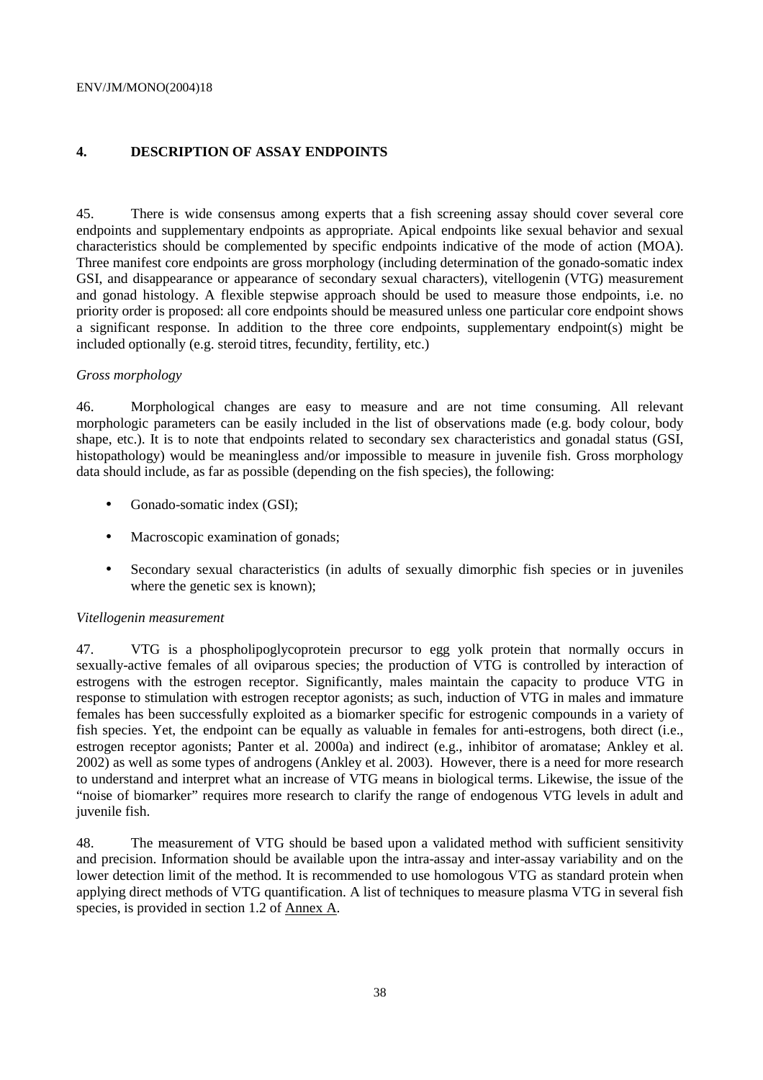### **4. DESCRIPTION OF ASSAY ENDPOINTS**

45. There is wide consensus among experts that a fish screening assay should cover several core endpoints and supplementary endpoints as appropriate. Apical endpoints like sexual behavior and sexual characteristics should be complemented by specific endpoints indicative of the mode of action (MOA). Three manifest core endpoints are gross morphology (including determination of the gonado-somatic index GSI, and disappearance or appearance of secondary sexual characters), vitellogenin (VTG) measurement and gonad histology. A flexible stepwise approach should be used to measure those endpoints, i.e. no priority order is proposed: all core endpoints should be measured unless one particular core endpoint shows a significant response. In addition to the three core endpoints, supplementary endpoint(s) might be included optionally (e.g. steroid titres, fecundity, fertility, etc.)

#### *Gross morphology*

46. Morphological changes are easy to measure and are not time consuming. All relevant morphologic parameters can be easily included in the list of observations made (e.g. body colour, body shape, etc.). It is to note that endpoints related to secondary sex characteristics and gonadal status (GSI, histopathology) would be meaningless and/or impossible to measure in juvenile fish. Gross morphology data should include, as far as possible (depending on the fish species), the following:

- Gonado-somatic index (GSI);
- Macroscopic examination of gonads:
- Secondary sexual characteristics (in adults of sexually dimorphic fish species or in juveniles where the genetic sex is known):

### *Vitellogenin measurement*

47. VTG is a phospholipoglycoprotein precursor to egg yolk protein that normally occurs in sexually-active females of all oviparous species; the production of VTG is controlled by interaction of estrogens with the estrogen receptor. Significantly, males maintain the capacity to produce VTG in response to stimulation with estrogen receptor agonists; as such, induction of VTG in males and immature females has been successfully exploited as a biomarker specific for estrogenic compounds in a variety of fish species. Yet, the endpoint can be equally as valuable in females for anti-estrogens, both direct (i.e., estrogen receptor agonists; Panter et al. 2000a) and indirect (e.g., inhibitor of aromatase; Ankley et al. 2002) as well as some types of androgens (Ankley et al. 2003). However, there is a need for more research to understand and interpret what an increase of VTG means in biological terms. Likewise, the issue of the "noise of biomarker" requires more research to clarify the range of endogenous VTG levels in adult and juvenile fish.

48. The measurement of VTG should be based upon a validated method with sufficient sensitivity and precision. Information should be available upon the intra-assay and inter-assay variability and on the lower detection limit of the method. It is recommended to use homologous VTG as standard protein when applying direct methods of VTG quantification. A list of techniques to measure plasma VTG in several fish species, is provided in section 1.2 of Annex A.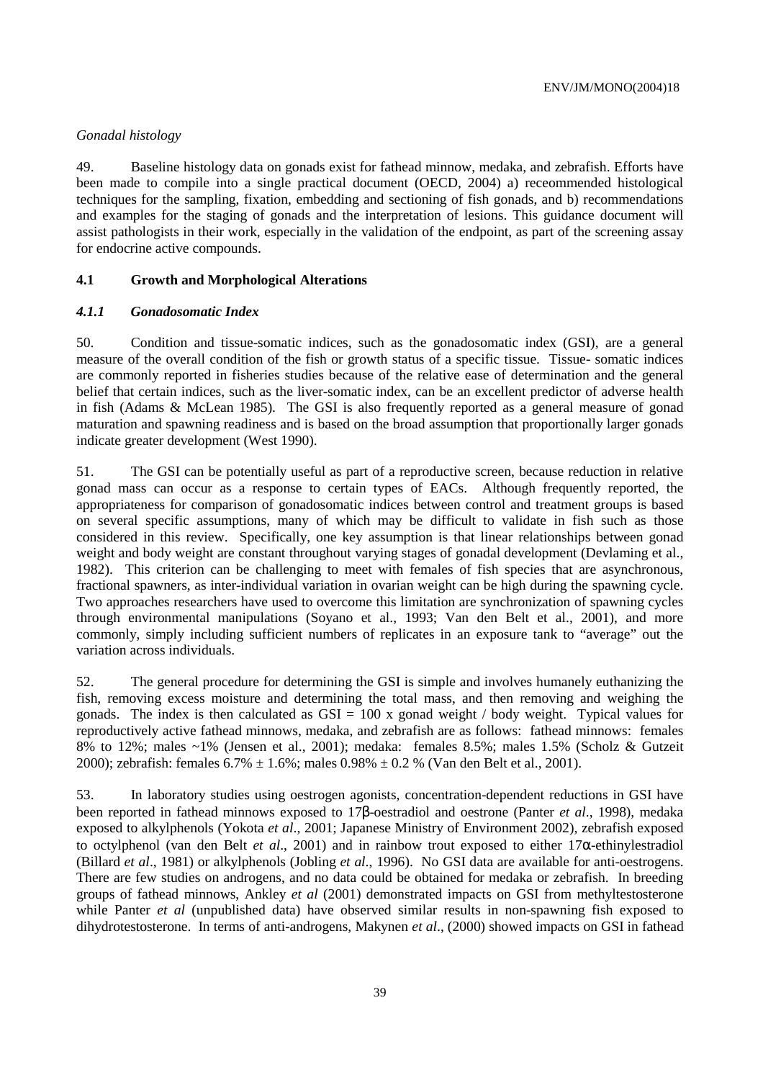### *Gonadal histology*

49. Baseline histology data on gonads exist for fathead minnow, medaka, and zebrafish. Efforts have been made to compile into a single practical document (OECD, 2004) a) receommended histological techniques for the sampling, fixation, embedding and sectioning of fish gonads, and b) recommendations and examples for the staging of gonads and the interpretation of lesions. This guidance document will assist pathologists in their work, especially in the validation of the endpoint, as part of the screening assay for endocrine active compounds.

### **4.1 Growth and Morphological Alterations**

### *4.1.1 Gonadosomatic Index*

50. Condition and tissue-somatic indices, such as the gonadosomatic index (GSI), are a general measure of the overall condition of the fish or growth status of a specific tissue. Tissue- somatic indices are commonly reported in fisheries studies because of the relative ease of determination and the general belief that certain indices, such as the liver-somatic index, can be an excellent predictor of adverse health in fish (Adams & McLean 1985). The GSI is also frequently reported as a general measure of gonad maturation and spawning readiness and is based on the broad assumption that proportionally larger gonads indicate greater development (West 1990).

51. The GSI can be potentially useful as part of a reproductive screen, because reduction in relative gonad mass can occur as a response to certain types of EACs. Although frequently reported, the appropriateness for comparison of gonadosomatic indices between control and treatment groups is based on several specific assumptions, many of which may be difficult to validate in fish such as those considered in this review. Specifically, one key assumption is that linear relationships between gonad weight and body weight are constant throughout varying stages of gonadal development (Devlaming et al., 1982). This criterion can be challenging to meet with females of fish species that are asynchronous, fractional spawners, as inter-individual variation in ovarian weight can be high during the spawning cycle. Two approaches researchers have used to overcome this limitation are synchronization of spawning cycles through environmental manipulations (Soyano et al., 1993; Van den Belt et al., 2001), and more commonly, simply including sufficient numbers of replicates in an exposure tank to "average" out the variation across individuals.

52. The general procedure for determining the GSI is simple and involves humanely euthanizing the fish, removing excess moisture and determining the total mass, and then removing and weighing the gonads. The index is then calculated as  $GSI = 100$  x gonad weight / body weight. Typical values for reproductively active fathead minnows, medaka, and zebrafish are as follows: fathead minnows: females 8% to 12%; males  $\sim$ 1% (Jensen et al., 2001); medaka: females 8.5%; males 1.5% (Scholz & Gutzeit 2000); zebrafish: females  $6.7\% \pm 1.6\%$ ; males  $0.98\% \pm 0.2\%$  (Van den Belt et al., 2001).

53. In laboratory studies using oestrogen agonists, concentration-dependent reductions in GSI have been reported in fathead minnows exposed to 17β-oestradiol and oestrone (Panter *et al*., 1998), medaka exposed to alkylphenols (Yokota *et al*., 2001; Japanese Ministry of Environment 2002), zebrafish exposed to octylphenol (van den Belt *et al*., 2001) and in rainbow trout exposed to either 17α-ethinylestradiol (Billard *et al*., 1981) or alkylphenols (Jobling *et al*., 1996). No GSI data are available for anti-oestrogens. There are few studies on androgens, and no data could be obtained for medaka or zebrafish. In breeding groups of fathead minnows, Ankley *et al* (2001) demonstrated impacts on GSI from methyltestosterone while Panter *et al* (unpublished data) have observed similar results in non-spawning fish exposed to dihydrotestosterone. In terms of anti-androgens, Makynen *et al*., (2000) showed impacts on GSI in fathead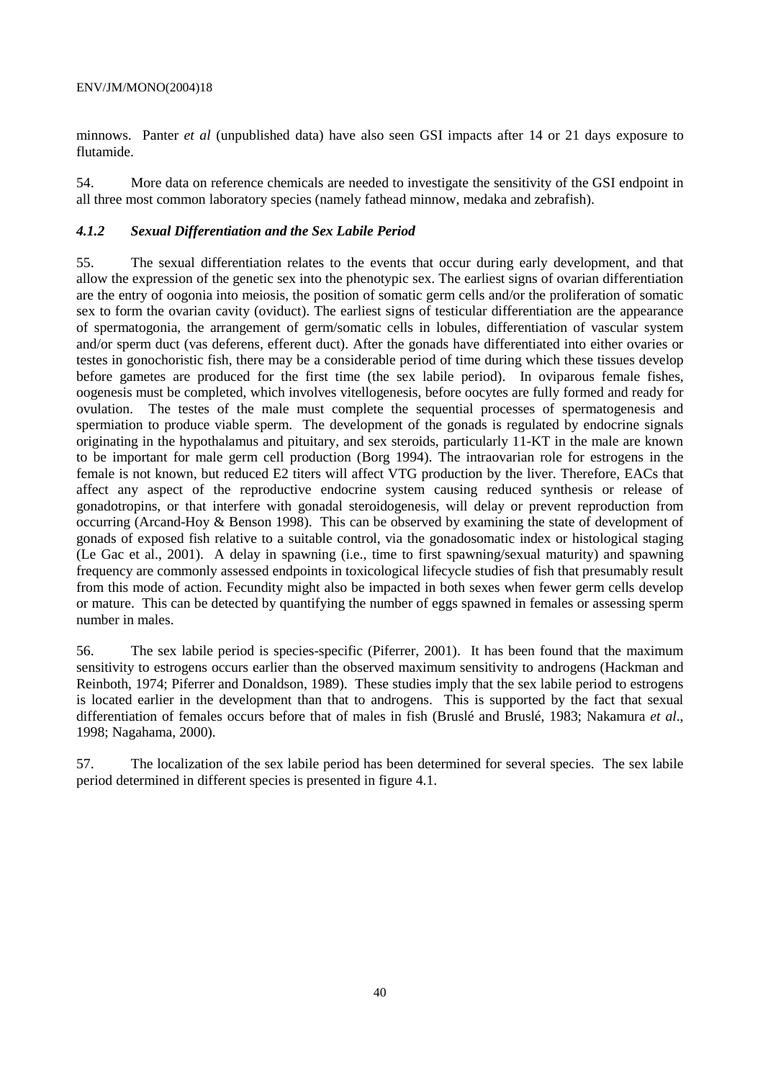minnows. Panter *et al* (unpublished data) have also seen GSI impacts after 14 or 21 days exposure to flutamide.

54. More data on reference chemicals are needed to investigate the sensitivity of the GSI endpoint in all three most common laboratory species (namely fathead minnow, medaka and zebrafish).

### *4.1.2 Sexual Differentiation and the Sex Labile Period*

55. The sexual differentiation relates to the events that occur during early development, and that allow the expression of the genetic sex into the phenotypic sex. The earliest signs of ovarian differentiation are the entry of oogonia into meiosis, the position of somatic germ cells and/or the proliferation of somatic sex to form the ovarian cavity (oviduct). The earliest signs of testicular differentiation are the appearance of spermatogonia, the arrangement of germ/somatic cells in lobules, differentiation of vascular system and/or sperm duct (vas deferens, efferent duct). After the gonads have differentiated into either ovaries or testes in gonochoristic fish, there may be a considerable period of time during which these tissues develop before gametes are produced for the first time (the sex labile period). In oviparous female fishes, oogenesis must be completed, which involves vitellogenesis, before oocytes are fully formed and ready for ovulation. The testes of the male must complete the sequential processes of spermatogenesis and spermiation to produce viable sperm. The development of the gonads is regulated by endocrine signals originating in the hypothalamus and pituitary, and sex steroids, particularly 11-KT in the male are known to be important for male germ cell production (Borg 1994). The intraovarian role for estrogens in the female is not known, but reduced E2 titers will affect VTG production by the liver. Therefore, EACs that affect any aspect of the reproductive endocrine system causing reduced synthesis or release of gonadotropins, or that interfere with gonadal steroidogenesis, will delay or prevent reproduction from occurring (Arcand-Hoy & Benson 1998). This can be observed by examining the state of development of gonads of exposed fish relative to a suitable control, via the gonadosomatic index or histological staging (Le Gac et al., 2001). A delay in spawning (i.e., time to first spawning/sexual maturity) and spawning frequency are commonly assessed endpoints in toxicological lifecycle studies of fish that presumably result from this mode of action. Fecundity might also be impacted in both sexes when fewer germ cells develop or mature. This can be detected by quantifying the number of eggs spawned in females or assessing sperm number in males.

56. The sex labile period is species-specific (Piferrer, 2001). It has been found that the maximum sensitivity to estrogens occurs earlier than the observed maximum sensitivity to androgens (Hackman and Reinboth, 1974; Piferrer and Donaldson, 1989). These studies imply that the sex labile period to estrogens is located earlier in the development than that to androgens. This is supported by the fact that sexual differentiation of females occurs before that of males in fish (Bruslé and Bruslé, 1983; Nakamura *et al*., 1998; Nagahama, 2000).

57. The localization of the sex labile period has been determined for several species. The sex labile period determined in different species is presented in figure 4.1.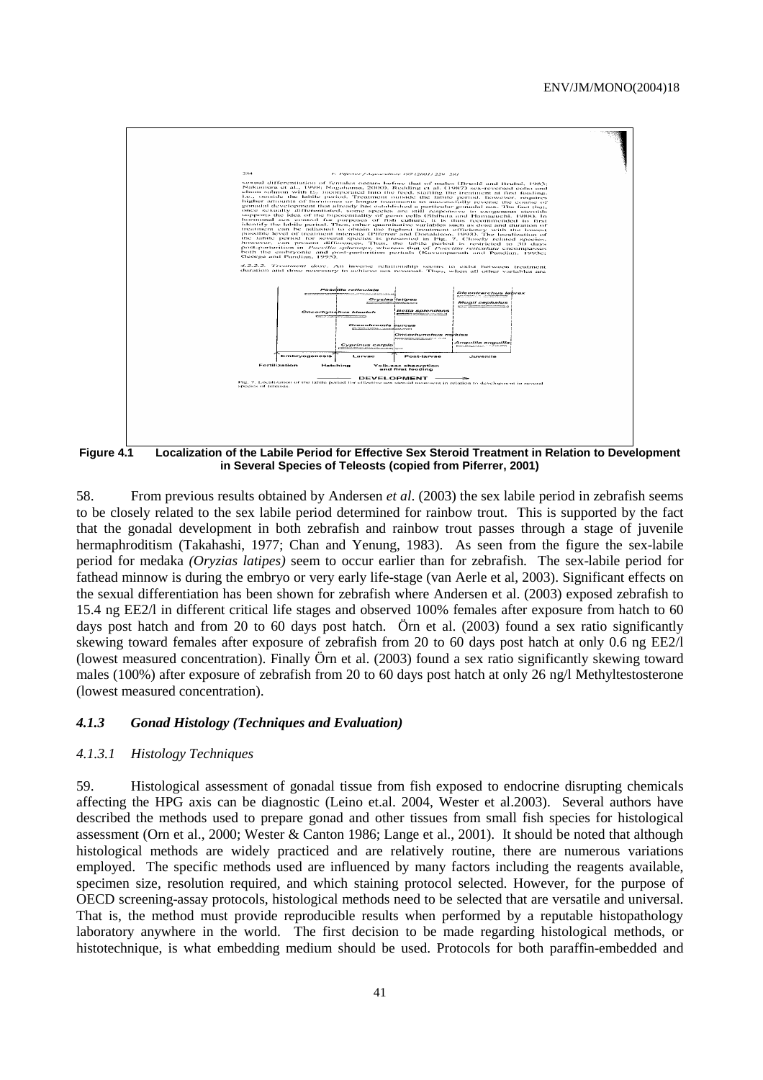

**Figure 4.1 Localization of the Labile Period for Effective Sex Steroid Treatment in Relation to Development in Several Species of Teleosts (copied from Piferrer, 2001)** 

58. From previous results obtained by Andersen *et al*. (2003) the sex labile period in zebrafish seems to be closely related to the sex labile period determined for rainbow trout. This is supported by the fact that the gonadal development in both zebrafish and rainbow trout passes through a stage of juvenile hermaphroditism (Takahashi, 1977; Chan and Yenung, 1983). As seen from the figure the sex-labile period for medaka *(Oryzias latipes)* seem to occur earlier than for zebrafish. The sex-labile period for fathead minnow is during the embryo or very early life-stage (van Aerle et al, 2003). Significant effects on the sexual differentiation has been shown for zebrafish where Andersen et al. (2003) exposed zebrafish to 15.4 ng EE2/l in different critical life stages and observed 100% females after exposure from hatch to 60 days post hatch and from 20 to 60 days post hatch. Örn et al. (2003) found a sex ratio significantly skewing toward females after exposure of zebrafish from 20 to 60 days post hatch at only 0.6 ng EE2/l (lowest measured concentration). Finally Örn et al. (2003) found a sex ratio significantly skewing toward males (100%) after exposure of zebrafish from 20 to 60 days post hatch at only 26 ng/l Methyltestosterone (lowest measured concentration).

#### *4.1.3 Gonad Histology (Techniques and Evaluation)*

### *4.1.3.1 Histology Techniques*

59. Histological assessment of gonadal tissue from fish exposed to endocrine disrupting chemicals affecting the HPG axis can be diagnostic (Leino et.al. 2004, Wester et al.2003). Several authors have described the methods used to prepare gonad and other tissues from small fish species for histological assessment (Orn et al., 2000; Wester & Canton 1986; Lange et al., 2001). It should be noted that although histological methods are widely practiced and are relatively routine, there are numerous variations employed. The specific methods used are influenced by many factors including the reagents available, specimen size, resolution required, and which staining protocol selected. However, for the purpose of OECD screening-assay protocols, histological methods need to be selected that are versatile and universal. That is, the method must provide reproducible results when performed by a reputable histopathology laboratory anywhere in the world. The first decision to be made regarding histological methods, or histotechnique, is what embedding medium should be used. Protocols for both paraffin-embedded and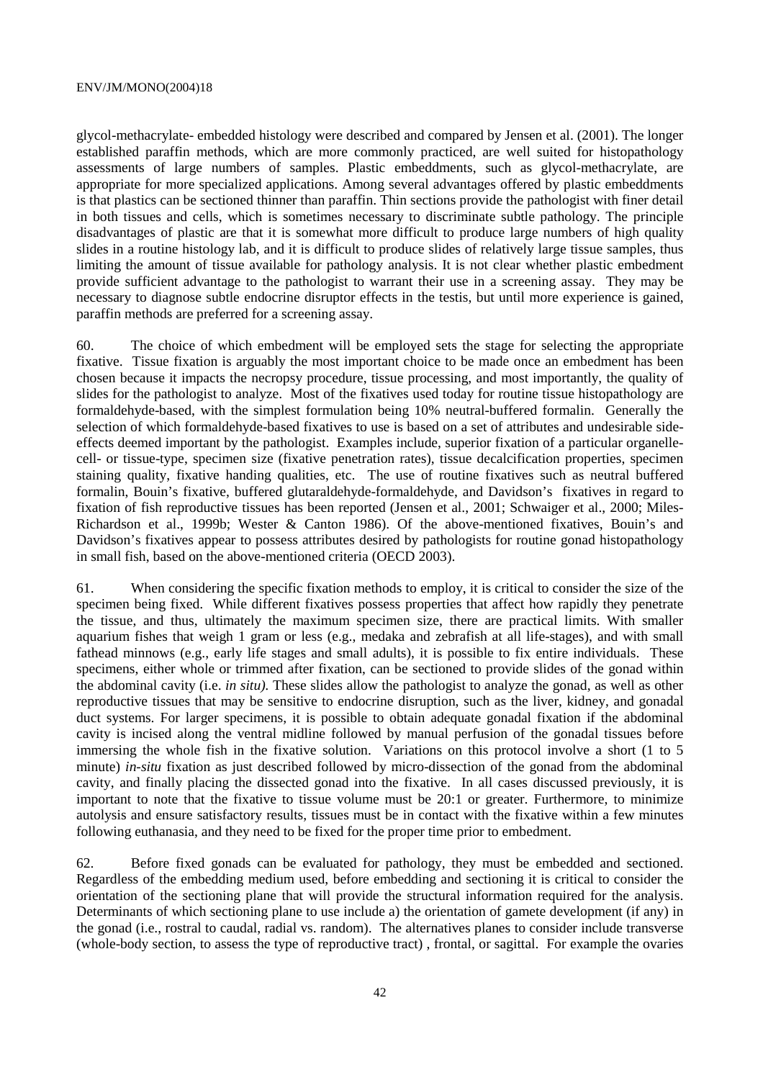glycol-methacrylate- embedded histology were described and compared by Jensen et al. (2001). The longer established paraffin methods, which are more commonly practiced, are well suited for histopathology assessments of large numbers of samples. Plastic embeddments, such as glycol-methacrylate, are appropriate for more specialized applications. Among several advantages offered by plastic embeddments is that plastics can be sectioned thinner than paraffin. Thin sections provide the pathologist with finer detail in both tissues and cells, which is sometimes necessary to discriminate subtle pathology. The principle disadvantages of plastic are that it is somewhat more difficult to produce large numbers of high quality slides in a routine histology lab, and it is difficult to produce slides of relatively large tissue samples, thus limiting the amount of tissue available for pathology analysis. It is not clear whether plastic embedment provide sufficient advantage to the pathologist to warrant their use in a screening assay. They may be necessary to diagnose subtle endocrine disruptor effects in the testis, but until more experience is gained, paraffin methods are preferred for a screening assay.

60. The choice of which embedment will be employed sets the stage for selecting the appropriate fixative. Tissue fixation is arguably the most important choice to be made once an embedment has been chosen because it impacts the necropsy procedure, tissue processing, and most importantly, the quality of slides for the pathologist to analyze. Most of the fixatives used today for routine tissue histopathology are formaldehyde-based, with the simplest formulation being 10% neutral-buffered formalin. Generally the selection of which formaldehyde-based fixatives to use is based on a set of attributes and undesirable sideeffects deemed important by the pathologist. Examples include, superior fixation of a particular organellecell- or tissue-type, specimen size (fixative penetration rates), tissue decalcification properties, specimen staining quality, fixative handing qualities, etc. The use of routine fixatives such as neutral buffered formalin, Bouin's fixative, buffered glutaraldehyde-formaldehyde, and Davidson's fixatives in regard to fixation of fish reproductive tissues has been reported (Jensen et al., 2001; Schwaiger et al., 2000; Miles-Richardson et al., 1999b; Wester & Canton 1986). Of the above-mentioned fixatives, Bouin's and Davidson's fixatives appear to possess attributes desired by pathologists for routine gonad histopathology in small fish, based on the above-mentioned criteria (OECD 2003).

61. When considering the specific fixation methods to employ, it is critical to consider the size of the specimen being fixed. While different fixatives possess properties that affect how rapidly they penetrate the tissue, and thus, ultimately the maximum specimen size, there are practical limits. With smaller aquarium fishes that weigh 1 gram or less (e.g., medaka and zebrafish at all life-stages), and with small fathead minnows (e.g., early life stages and small adults), it is possible to fix entire individuals. These specimens, either whole or trimmed after fixation, can be sectioned to provide slides of the gonad within the abdominal cavity (i.e. *in situ).* These slides allow the pathologist to analyze the gonad, as well as other reproductive tissues that may be sensitive to endocrine disruption, such as the liver, kidney, and gonadal duct systems. For larger specimens, it is possible to obtain adequate gonadal fixation if the abdominal cavity is incised along the ventral midline followed by manual perfusion of the gonadal tissues before immersing the whole fish in the fixative solution. Variations on this protocol involve a short (1 to 5 minute) *in-situ* fixation as just described followed by micro-dissection of the gonad from the abdominal cavity, and finally placing the dissected gonad into the fixative. In all cases discussed previously, it is important to note that the fixative to tissue volume must be 20:1 or greater. Furthermore, to minimize autolysis and ensure satisfactory results, tissues must be in contact with the fixative within a few minutes following euthanasia, and they need to be fixed for the proper time prior to embedment.

62. Before fixed gonads can be evaluated for pathology, they must be embedded and sectioned. Regardless of the embedding medium used, before embedding and sectioning it is critical to consider the orientation of the sectioning plane that will provide the structural information required for the analysis. Determinants of which sectioning plane to use include a) the orientation of gamete development (if any) in the gonad (i.e., rostral to caudal, radial vs. random). The alternatives planes to consider include transverse (whole-body section, to assess the type of reproductive tract) , frontal, or sagittal. For example the ovaries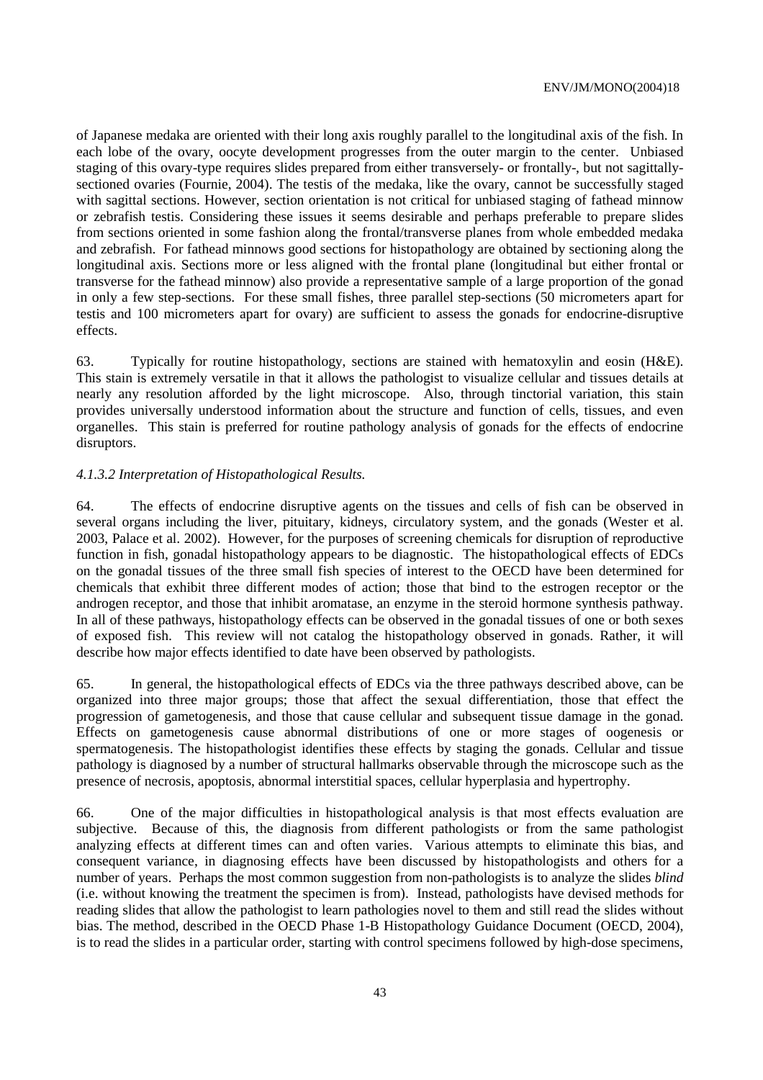of Japanese medaka are oriented with their long axis roughly parallel to the longitudinal axis of the fish. In each lobe of the ovary, oocyte development progresses from the outer margin to the center. Unbiased staging of this ovary-type requires slides prepared from either transversely- or frontally-, but not sagittallysectioned ovaries (Fournie, 2004). The testis of the medaka, like the ovary, cannot be successfully staged with sagittal sections. However, section orientation is not critical for unbiased staging of fathead minnow or zebrafish testis. Considering these issues it seems desirable and perhaps preferable to prepare slides from sections oriented in some fashion along the frontal/transverse planes from whole embedded medaka and zebrafish. For fathead minnows good sections for histopathology are obtained by sectioning along the longitudinal axis. Sections more or less aligned with the frontal plane (longitudinal but either frontal or transverse for the fathead minnow) also provide a representative sample of a large proportion of the gonad in only a few step-sections. For these small fishes, three parallel step-sections (50 micrometers apart for testis and 100 micrometers apart for ovary) are sufficient to assess the gonads for endocrine-disruptive effects.

63. Typically for routine histopathology, sections are stained with hematoxylin and eosin (H&E). This stain is extremely versatile in that it allows the pathologist to visualize cellular and tissues details at nearly any resolution afforded by the light microscope. Also, through tinctorial variation, this stain provides universally understood information about the structure and function of cells, tissues, and even organelles. This stain is preferred for routine pathology analysis of gonads for the effects of endocrine disruptors.

# *4.1.3.2 Interpretation of Histopathological Results.*

64. The effects of endocrine disruptive agents on the tissues and cells of fish can be observed in several organs including the liver, pituitary, kidneys, circulatory system, and the gonads (Wester et al. 2003, Palace et al. 2002). However, for the purposes of screening chemicals for disruption of reproductive function in fish, gonadal histopathology appears to be diagnostic. The histopathological effects of EDCs on the gonadal tissues of the three small fish species of interest to the OECD have been determined for chemicals that exhibit three different modes of action; those that bind to the estrogen receptor or the androgen receptor, and those that inhibit aromatase, an enzyme in the steroid hormone synthesis pathway. In all of these pathways, histopathology effects can be observed in the gonadal tissues of one or both sexes of exposed fish. This review will not catalog the histopathology observed in gonads. Rather, it will describe how major effects identified to date have been observed by pathologists.

65. In general, the histopathological effects of EDCs via the three pathways described above, can be organized into three major groups; those that affect the sexual differentiation, those that effect the progression of gametogenesis, and those that cause cellular and subsequent tissue damage in the gonad. Effects on gametogenesis cause abnormal distributions of one or more stages of oogenesis or spermatogenesis. The histopathologist identifies these effects by staging the gonads. Cellular and tissue pathology is diagnosed by a number of structural hallmarks observable through the microscope such as the presence of necrosis, apoptosis, abnormal interstitial spaces, cellular hyperplasia and hypertrophy.

66. One of the major difficulties in histopathological analysis is that most effects evaluation are subjective. Because of this, the diagnosis from different pathologists or from the same pathologist analyzing effects at different times can and often varies. Various attempts to eliminate this bias, and consequent variance, in diagnosing effects have been discussed by histopathologists and others for a number of years. Perhaps the most common suggestion from non-pathologists is to analyze the slides *blind* (i.e. without knowing the treatment the specimen is from). Instead, pathologists have devised methods for reading slides that allow the pathologist to learn pathologies novel to them and still read the slides without bias. The method, described in the OECD Phase 1-B Histopathology Guidance Document (OECD, 2004), is to read the slides in a particular order, starting with control specimens followed by high-dose specimens,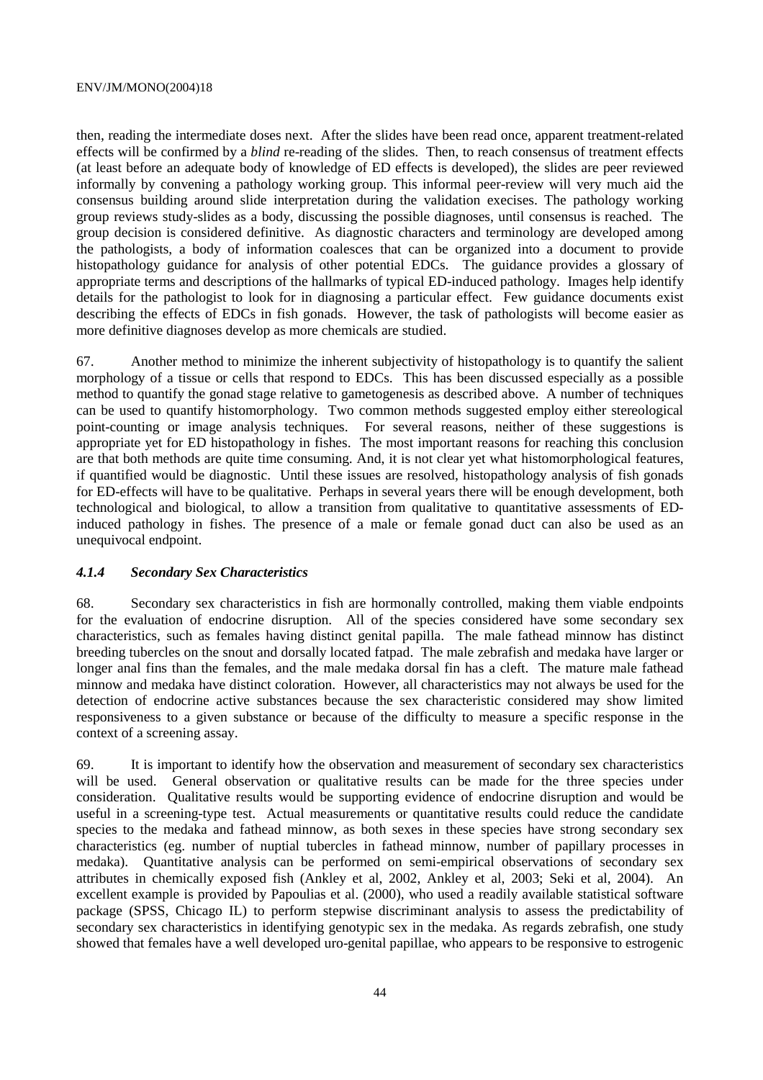then, reading the intermediate doses next. After the slides have been read once, apparent treatment-related effects will be confirmed by a *blind* re-reading of the slides. Then, to reach consensus of treatment effects (at least before an adequate body of knowledge of ED effects is developed), the slides are peer reviewed informally by convening a pathology working group. This informal peer-review will very much aid the consensus building around slide interpretation during the validation execises. The pathology working group reviews study-slides as a body, discussing the possible diagnoses, until consensus is reached. The group decision is considered definitive. As diagnostic characters and terminology are developed among the pathologists, a body of information coalesces that can be organized into a document to provide histopathology guidance for analysis of other potential EDCs. The guidance provides a glossary of appropriate terms and descriptions of the hallmarks of typical ED-induced pathology. Images help identify details for the pathologist to look for in diagnosing a particular effect. Few guidance documents exist describing the effects of EDCs in fish gonads. However, the task of pathologists will become easier as more definitive diagnoses develop as more chemicals are studied.

67. Another method to minimize the inherent subjectivity of histopathology is to quantify the salient morphology of a tissue or cells that respond to EDCs. This has been discussed especially as a possible method to quantify the gonad stage relative to gametogenesis as described above. A number of techniques can be used to quantify histomorphology. Two common methods suggested employ either stereological point-counting or image analysis techniques. For several reasons, neither of these suggestions is appropriate yet for ED histopathology in fishes. The most important reasons for reaching this conclusion are that both methods are quite time consuming. And, it is not clear yet what histomorphological features, if quantified would be diagnostic. Until these issues are resolved, histopathology analysis of fish gonads for ED-effects will have to be qualitative. Perhaps in several years there will be enough development, both technological and biological, to allow a transition from qualitative to quantitative assessments of EDinduced pathology in fishes. The presence of a male or female gonad duct can also be used as an unequivocal endpoint.

### *4.1.4 Secondary Sex Characteristics*

68. Secondary sex characteristics in fish are hormonally controlled, making them viable endpoints for the evaluation of endocrine disruption. All of the species considered have some secondary sex characteristics, such as females having distinct genital papilla. The male fathead minnow has distinct breeding tubercles on the snout and dorsally located fatpad. The male zebrafish and medaka have larger or longer anal fins than the females, and the male medaka dorsal fin has a cleft. The mature male fathead minnow and medaka have distinct coloration. However, all characteristics may not always be used for the detection of endocrine active substances because the sex characteristic considered may show limited responsiveness to a given substance or because of the difficulty to measure a specific response in the context of a screening assay.

69. It is important to identify how the observation and measurement of secondary sex characteristics will be used. General observation or qualitative results can be made for the three species under consideration. Qualitative results would be supporting evidence of endocrine disruption and would be useful in a screening-type test. Actual measurements or quantitative results could reduce the candidate species to the medaka and fathead minnow, as both sexes in these species have strong secondary sex characteristics (eg. number of nuptial tubercles in fathead minnow, number of papillary processes in medaka). Quantitative analysis can be performed on semi-empirical observations of secondary sex attributes in chemically exposed fish (Ankley et al, 2002, Ankley et al, 2003; Seki et al, 2004). An excellent example is provided by Papoulias et al. (2000), who used a readily available statistical software package (SPSS, Chicago IL) to perform stepwise discriminant analysis to assess the predictability of secondary sex characteristics in identifying genotypic sex in the medaka. As regards zebrafish, one study showed that females have a well developed uro-genital papillae, who appears to be responsive to estrogenic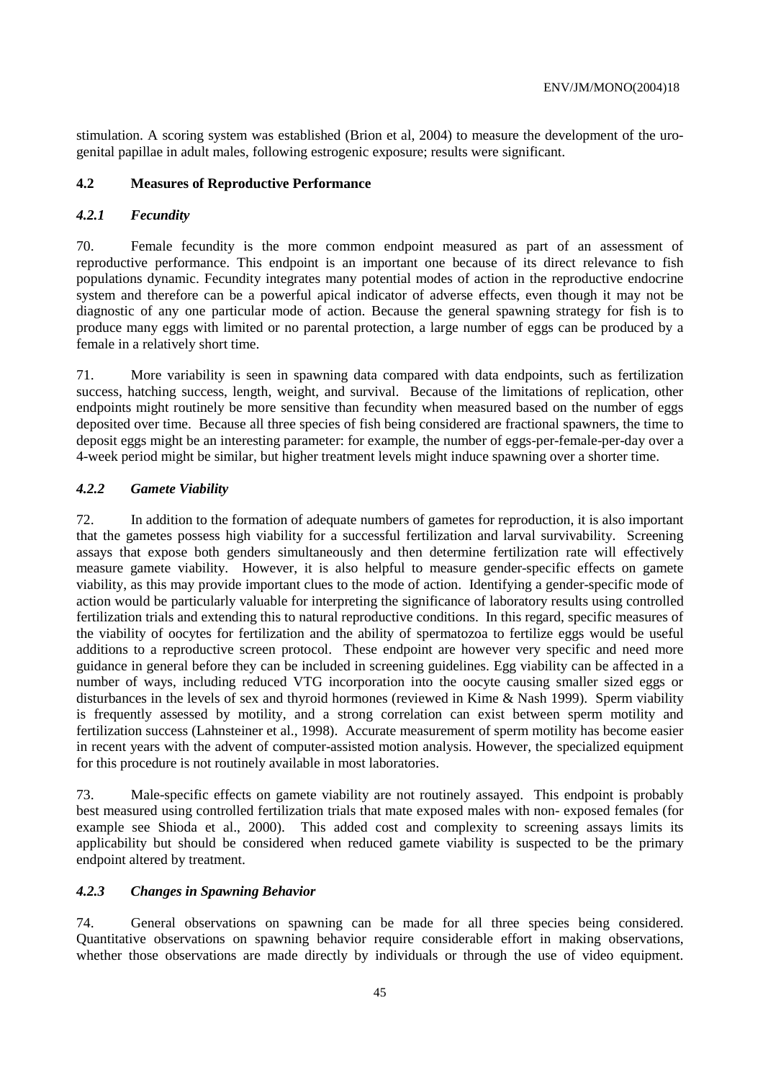stimulation. A scoring system was established (Brion et al, 2004) to measure the development of the urogenital papillae in adult males, following estrogenic exposure; results were significant.

# **4.2 Measures of Reproductive Performance**

# *4.2.1 Fecundity*

70. Female fecundity is the more common endpoint measured as part of an assessment of reproductive performance. This endpoint is an important one because of its direct relevance to fish populations dynamic. Fecundity integrates many potential modes of action in the reproductive endocrine system and therefore can be a powerful apical indicator of adverse effects, even though it may not be diagnostic of any one particular mode of action. Because the general spawning strategy for fish is to produce many eggs with limited or no parental protection, a large number of eggs can be produced by a female in a relatively short time.

71. More variability is seen in spawning data compared with data endpoints, such as fertilization success, hatching success, length, weight, and survival. Because of the limitations of replication, other endpoints might routinely be more sensitive than fecundity when measured based on the number of eggs deposited over time. Because all three species of fish being considered are fractional spawners, the time to deposit eggs might be an interesting parameter: for example, the number of eggs-per-female-per-day over a 4-week period might be similar, but higher treatment levels might induce spawning over a shorter time.

# *4.2.2 Gamete Viability*

72. In addition to the formation of adequate numbers of gametes for reproduction, it is also important that the gametes possess high viability for a successful fertilization and larval survivability. Screening assays that expose both genders simultaneously and then determine fertilization rate will effectively measure gamete viability. However, it is also helpful to measure gender-specific effects on gamete viability, as this may provide important clues to the mode of action. Identifying a gender-specific mode of action would be particularly valuable for interpreting the significance of laboratory results using controlled fertilization trials and extending this to natural reproductive conditions. In this regard, specific measures of the viability of oocytes for fertilization and the ability of spermatozoa to fertilize eggs would be useful additions to a reproductive screen protocol. These endpoint are however very specific and need more guidance in general before they can be included in screening guidelines. Egg viability can be affected in a number of ways, including reduced VTG incorporation into the oocyte causing smaller sized eggs or disturbances in the levels of sex and thyroid hormones (reviewed in Kime & Nash 1999). Sperm viability is frequently assessed by motility, and a strong correlation can exist between sperm motility and fertilization success (Lahnsteiner et al., 1998). Accurate measurement of sperm motility has become easier in recent years with the advent of computer-assisted motion analysis. However, the specialized equipment for this procedure is not routinely available in most laboratories.

73. Male-specific effects on gamete viability are not routinely assayed. This endpoint is probably best measured using controlled fertilization trials that mate exposed males with non- exposed females (for example see Shioda et al., 2000). This added cost and complexity to screening assays limits its applicability but should be considered when reduced gamete viability is suspected to be the primary endpoint altered by treatment.

# *4.2.3 Changes in Spawning Behavior*

74. General observations on spawning can be made for all three species being considered. Quantitative observations on spawning behavior require considerable effort in making observations, whether those observations are made directly by individuals or through the use of video equipment.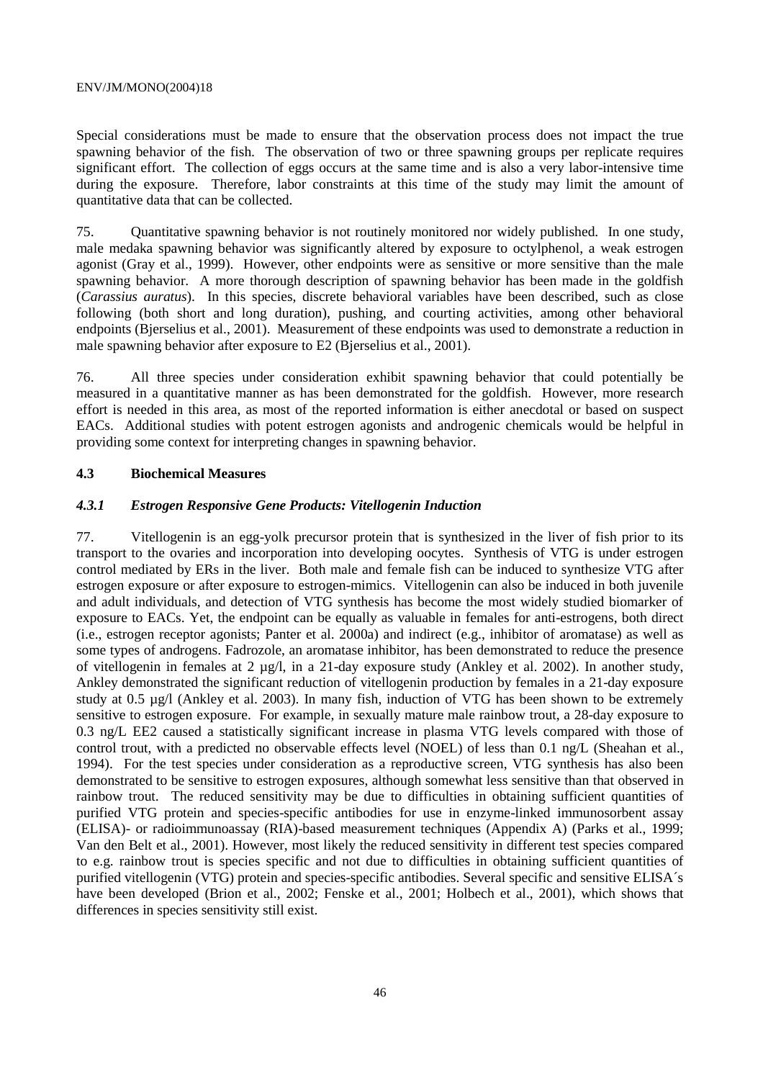Special considerations must be made to ensure that the observation process does not impact the true spawning behavior of the fish. The observation of two or three spawning groups per replicate requires significant effort. The collection of eggs occurs at the same time and is also a very labor-intensive time during the exposure. Therefore, labor constraints at this time of the study may limit the amount of quantitative data that can be collected.

75. Quantitative spawning behavior is not routinely monitored nor widely published. In one study, male medaka spawning behavior was significantly altered by exposure to octylphenol, a weak estrogen agonist (Gray et al., 1999). However, other endpoints were as sensitive or more sensitive than the male spawning behavior. A more thorough description of spawning behavior has been made in the goldfish (*Carassius auratus*). In this species, discrete behavioral variables have been described, such as close following (both short and long duration), pushing, and courting activities, among other behavioral endpoints (Bjerselius et al., 2001). Measurement of these endpoints was used to demonstrate a reduction in male spawning behavior after exposure to E2 (Bjerselius et al., 2001).

76. All three species under consideration exhibit spawning behavior that could potentially be measured in a quantitative manner as has been demonstrated for the goldfish. However, more research effort is needed in this area, as most of the reported information is either anecdotal or based on suspect EACs. Additional studies with potent estrogen agonists and androgenic chemicals would be helpful in providing some context for interpreting changes in spawning behavior.

#### **4.3 Biochemical Measures**

#### *4.3.1 Estrogen Responsive Gene Products: Vitellogenin Induction*

77. Vitellogenin is an egg-yolk precursor protein that is synthesized in the liver of fish prior to its transport to the ovaries and incorporation into developing oocytes. Synthesis of VTG is under estrogen control mediated by ERs in the liver. Both male and female fish can be induced to synthesize VTG after estrogen exposure or after exposure to estrogen-mimics. Vitellogenin can also be induced in both juvenile and adult individuals, and detection of VTG synthesis has become the most widely studied biomarker of exposure to EACs. Yet, the endpoint can be equally as valuable in females for anti-estrogens, both direct (i.e., estrogen receptor agonists; Panter et al. 2000a) and indirect (e.g., inhibitor of aromatase) as well as some types of androgens. Fadrozole, an aromatase inhibitor, has been demonstrated to reduce the presence of vitellogenin in females at 2 µg/l, in a 21-day exposure study (Ankley et al. 2002). In another study, Ankley demonstrated the significant reduction of vitellogenin production by females in a 21-day exposure study at 0.5 µg/l (Ankley et al. 2003). In many fish, induction of VTG has been shown to be extremely sensitive to estrogen exposure. For example, in sexually mature male rainbow trout, a 28-day exposure to 0.3 ng/L EE2 caused a statistically significant increase in plasma VTG levels compared with those of control trout, with a predicted no observable effects level (NOEL) of less than 0.1 ng/L (Sheahan et al., 1994). For the test species under consideration as a reproductive screen, VTG synthesis has also been demonstrated to be sensitive to estrogen exposures, although somewhat less sensitive than that observed in rainbow trout. The reduced sensitivity may be due to difficulties in obtaining sufficient quantities of purified VTG protein and species-specific antibodies for use in enzyme-linked immunosorbent assay (ELISA)- or radioimmunoassay (RIA)-based measurement techniques (Appendix A) (Parks et al., 1999; Van den Belt et al., 2001). However, most likely the reduced sensitivity in different test species compared to e.g. rainbow trout is species specific and not due to difficulties in obtaining sufficient quantities of purified vitellogenin (VTG) protein and species-specific antibodies. Several specific and sensitive ELISA´s have been developed (Brion et al., 2002; Fenske et al., 2001; Holbech et al., 2001), which shows that differences in species sensitivity still exist.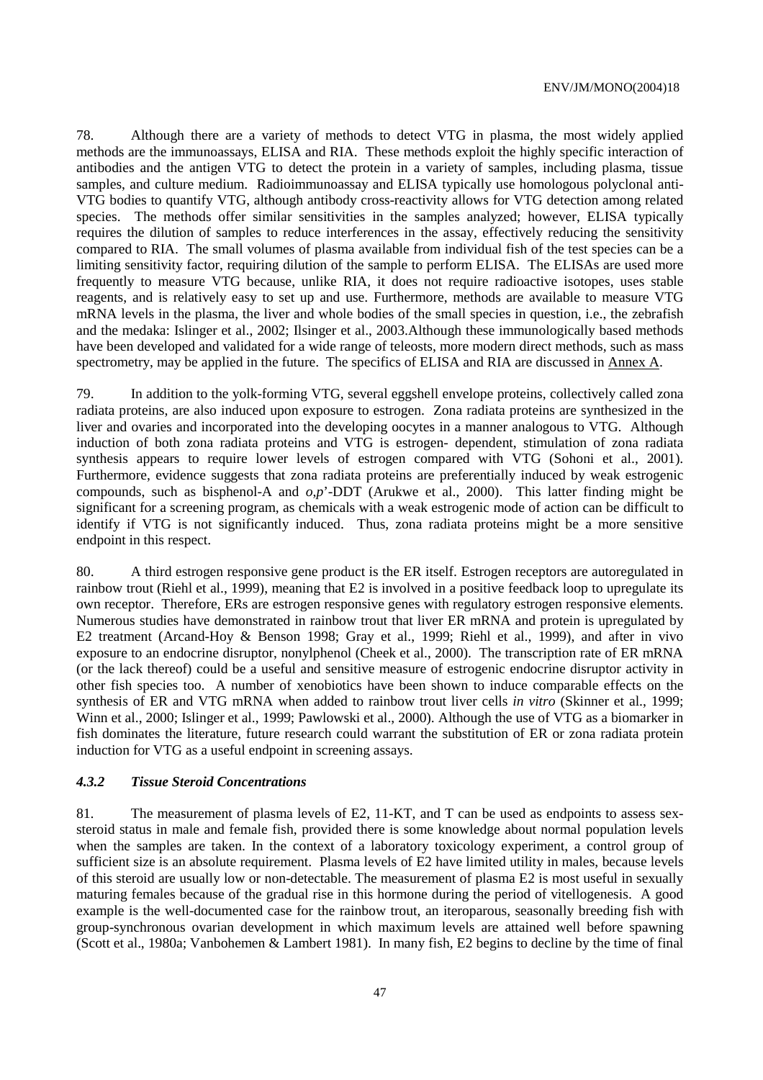78. Although there are a variety of methods to detect VTG in plasma, the most widely applied methods are the immunoassays, ELISA and RIA. These methods exploit the highly specific interaction of antibodies and the antigen VTG to detect the protein in a variety of samples, including plasma, tissue samples, and culture medium. Radioimmunoassay and ELISA typically use homologous polyclonal anti-VTG bodies to quantify VTG, although antibody cross-reactivity allows for VTG detection among related species. The methods offer similar sensitivities in the samples analyzed; however, ELISA typically requires the dilution of samples to reduce interferences in the assay, effectively reducing the sensitivity compared to RIA. The small volumes of plasma available from individual fish of the test species can be a limiting sensitivity factor, requiring dilution of the sample to perform ELISA. The ELISAs are used more frequently to measure VTG because, unlike RIA, it does not require radioactive isotopes, uses stable reagents, and is relatively easy to set up and use. Furthermore, methods are available to measure VTG mRNA levels in the plasma, the liver and whole bodies of the small species in question, i.e., the zebrafish and the medaka: Islinger et al., 2002; Ilsinger et al., 2003.Although these immunologically based methods have been developed and validated for a wide range of teleosts, more modern direct methods, such as mass spectrometry, may be applied in the future. The specifics of ELISA and RIA are discussed in Annex A.

79. In addition to the yolk-forming VTG, several eggshell envelope proteins, collectively called zona radiata proteins, are also induced upon exposure to estrogen. Zona radiata proteins are synthesized in the liver and ovaries and incorporated into the developing oocytes in a manner analogous to VTG. Although induction of both zona radiata proteins and VTG is estrogen- dependent, stimulation of zona radiata synthesis appears to require lower levels of estrogen compared with VTG (Sohoni et al., 2001). Furthermore, evidence suggests that zona radiata proteins are preferentially induced by weak estrogenic compounds, such as bisphenol-A and *o*,*p*'-DDT (Arukwe et al., 2000). This latter finding might be significant for a screening program, as chemicals with a weak estrogenic mode of action can be difficult to identify if VTG is not significantly induced. Thus, zona radiata proteins might be a more sensitive endpoint in this respect.

80. A third estrogen responsive gene product is the ER itself. Estrogen receptors are autoregulated in rainbow trout (Riehl et al., 1999), meaning that E2 is involved in a positive feedback loop to upregulate its own receptor. Therefore, ERs are estrogen responsive genes with regulatory estrogen responsive elements. Numerous studies have demonstrated in rainbow trout that liver ER mRNA and protein is upregulated by E2 treatment (Arcand-Hoy & Benson 1998; Gray et al., 1999; Riehl et al., 1999), and after in vivo exposure to an endocrine disruptor, nonylphenol (Cheek et al., 2000). The transcription rate of ER mRNA (or the lack thereof) could be a useful and sensitive measure of estrogenic endocrine disruptor activity in other fish species too. A number of xenobiotics have been shown to induce comparable effects on the synthesis of ER and VTG mRNA when added to rainbow trout liver cells *in vitro* (Skinner et al., 1999; Winn et al., 2000; Islinger et al., 1999; Pawlowski et al., 2000). Although the use of VTG as a biomarker in fish dominates the literature, future research could warrant the substitution of ER or zona radiata protein induction for VTG as a useful endpoint in screening assays.

#### *4.3.2 Tissue Steroid Concentrations*

81. The measurement of plasma levels of E2, 11-KT, and T can be used as endpoints to assess sexsteroid status in male and female fish, provided there is some knowledge about normal population levels when the samples are taken. In the context of a laboratory toxicology experiment, a control group of sufficient size is an absolute requirement. Plasma levels of E2 have limited utility in males, because levels of this steroid are usually low or non-detectable. The measurement of plasma E2 is most useful in sexually maturing females because of the gradual rise in this hormone during the period of vitellogenesis. A good example is the well-documented case for the rainbow trout, an iteroparous, seasonally breeding fish with group-synchronous ovarian development in which maximum levels are attained well before spawning (Scott et al., 1980a; Vanbohemen & Lambert 1981). In many fish, E2 begins to decline by the time of final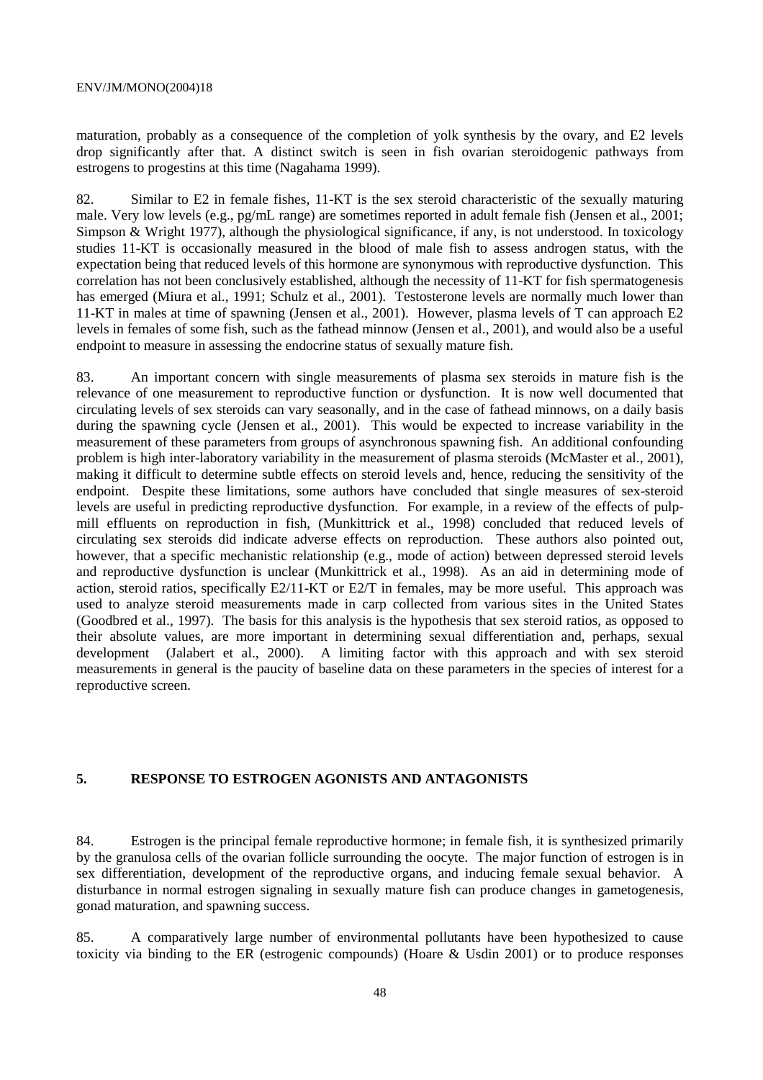maturation, probably as a consequence of the completion of yolk synthesis by the ovary, and E2 levels drop significantly after that. A distinct switch is seen in fish ovarian steroidogenic pathways from estrogens to progestins at this time (Nagahama 1999).

82. Similar to E2 in female fishes, 11-KT is the sex steroid characteristic of the sexually maturing male. Very low levels (e.g., pg/mL range) are sometimes reported in adult female fish (Jensen et al., 2001; Simpson & Wright 1977), although the physiological significance, if any, is not understood. In toxicology studies 11-KT is occasionally measured in the blood of male fish to assess androgen status, with the expectation being that reduced levels of this hormone are synonymous with reproductive dysfunction. This correlation has not been conclusively established, although the necessity of 11-KT for fish spermatogenesis has emerged (Miura et al., 1991; Schulz et al., 2001). Testosterone levels are normally much lower than 11-KT in males at time of spawning (Jensen et al., 2001). However, plasma levels of T can approach E2 levels in females of some fish, such as the fathead minnow (Jensen et al., 2001), and would also be a useful endpoint to measure in assessing the endocrine status of sexually mature fish.

83. An important concern with single measurements of plasma sex steroids in mature fish is the relevance of one measurement to reproductive function or dysfunction. It is now well documented that circulating levels of sex steroids can vary seasonally, and in the case of fathead minnows, on a daily basis during the spawning cycle (Jensen et al., 2001). This would be expected to increase variability in the measurement of these parameters from groups of asynchronous spawning fish. An additional confounding problem is high inter-laboratory variability in the measurement of plasma steroids (McMaster et al., 2001), making it difficult to determine subtle effects on steroid levels and, hence, reducing the sensitivity of the endpoint. Despite these limitations, some authors have concluded that single measures of sex-steroid levels are useful in predicting reproductive dysfunction. For example, in a review of the effects of pulpmill effluents on reproduction in fish, (Munkittrick et al., 1998) concluded that reduced levels of circulating sex steroids did indicate adverse effects on reproduction. These authors also pointed out, however, that a specific mechanistic relationship (e.g., mode of action) between depressed steroid levels and reproductive dysfunction is unclear (Munkittrick et al., 1998). As an aid in determining mode of action, steroid ratios, specifically E2/11-KT or E2/T in females, may be more useful. This approach was used to analyze steroid measurements made in carp collected from various sites in the United States (Goodbred et al., 1997). The basis for this analysis is the hypothesis that sex steroid ratios, as opposed to their absolute values, are more important in determining sexual differentiation and, perhaps, sexual development (Jalabert et al., 2000). A limiting factor with this approach and with sex steroid measurements in general is the paucity of baseline data on these parameters in the species of interest for a reproductive screen.

### **5. RESPONSE TO ESTROGEN AGONISTS AND ANTAGONISTS**

84. Estrogen is the principal female reproductive hormone; in female fish, it is synthesized primarily by the granulosa cells of the ovarian follicle surrounding the oocyte. The major function of estrogen is in sex differentiation, development of the reproductive organs, and inducing female sexual behavior. A disturbance in normal estrogen signaling in sexually mature fish can produce changes in gametogenesis, gonad maturation, and spawning success.

85. A comparatively large number of environmental pollutants have been hypothesized to cause toxicity via binding to the ER (estrogenic compounds) (Hoare & Usdin 2001) or to produce responses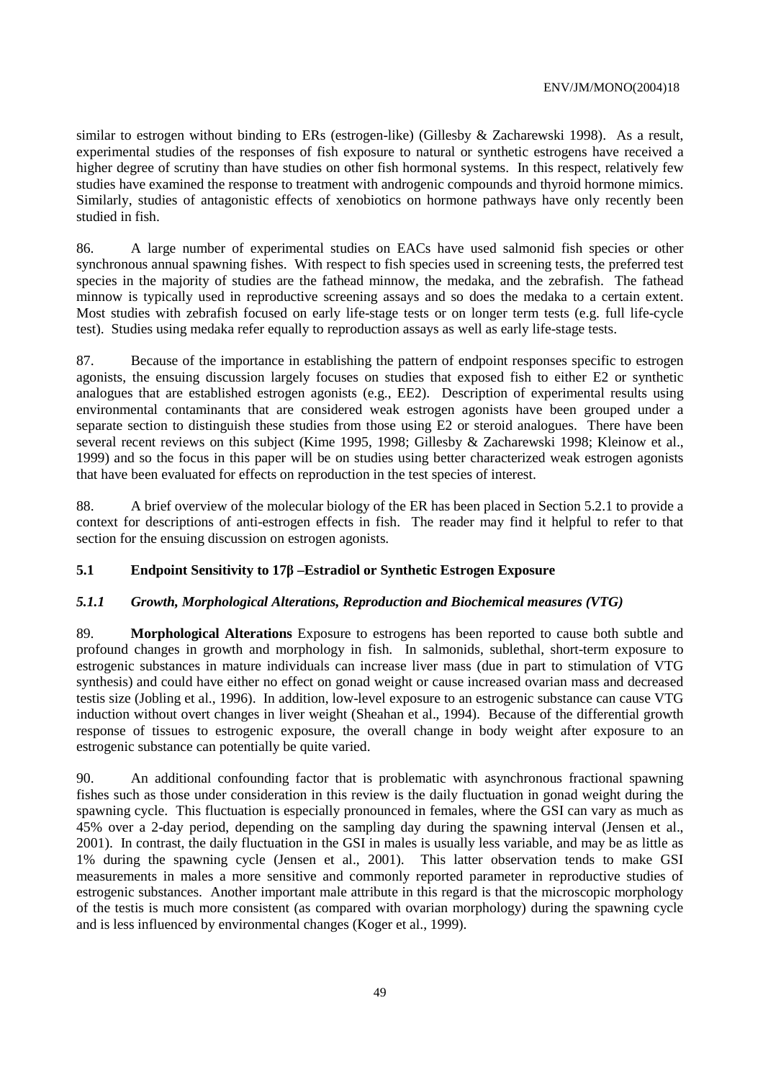similar to estrogen without binding to ERs (estrogen-like) (Gillesby & Zacharewski 1998). As a result, experimental studies of the responses of fish exposure to natural or synthetic estrogens have received a higher degree of scrutiny than have studies on other fish hormonal systems. In this respect, relatively few studies have examined the response to treatment with androgenic compounds and thyroid hormone mimics. Similarly, studies of antagonistic effects of xenobiotics on hormone pathways have only recently been studied in fish.

86. A large number of experimental studies on EACs have used salmonid fish species or other synchronous annual spawning fishes. With respect to fish species used in screening tests, the preferred test species in the majority of studies are the fathead minnow, the medaka, and the zebrafish. The fathead minnow is typically used in reproductive screening assays and so does the medaka to a certain extent. Most studies with zebrafish focused on early life-stage tests or on longer term tests (e.g. full life-cycle test). Studies using medaka refer equally to reproduction assays as well as early life-stage tests.

87. Because of the importance in establishing the pattern of endpoint responses specific to estrogen agonists, the ensuing discussion largely focuses on studies that exposed fish to either E2 or synthetic analogues that are established estrogen agonists (e.g., EE2). Description of experimental results using environmental contaminants that are considered weak estrogen agonists have been grouped under a separate section to distinguish these studies from those using E2 or steroid analogues. There have been several recent reviews on this subject (Kime 1995, 1998; Gillesby & Zacharewski 1998; Kleinow et al., 1999) and so the focus in this paper will be on studies using better characterized weak estrogen agonists that have been evaluated for effects on reproduction in the test species of interest.

88. A brief overview of the molecular biology of the ER has been placed in Section 5.2.1 to provide a context for descriptions of anti-estrogen effects in fish. The reader may find it helpful to refer to that section for the ensuing discussion on estrogen agonists.

# **5.1 Endpoint Sensitivity to 17β –Estradiol or Synthetic Estrogen Exposure**

### *5.1.1 Growth, Morphological Alterations, Reproduction and Biochemical measures (VTG)*

89. **Morphological Alterations** Exposure to estrogens has been reported to cause both subtle and profound changes in growth and morphology in fish. In salmonids, sublethal, short-term exposure to estrogenic substances in mature individuals can increase liver mass (due in part to stimulation of VTG synthesis) and could have either no effect on gonad weight or cause increased ovarian mass and decreased testis size (Jobling et al., 1996). In addition, low-level exposure to an estrogenic substance can cause VTG induction without overt changes in liver weight (Sheahan et al., 1994). Because of the differential growth response of tissues to estrogenic exposure, the overall change in body weight after exposure to an estrogenic substance can potentially be quite varied.

90. An additional confounding factor that is problematic with asynchronous fractional spawning fishes such as those under consideration in this review is the daily fluctuation in gonad weight during the spawning cycle. This fluctuation is especially pronounced in females, where the GSI can vary as much as 45% over a 2-day period, depending on the sampling day during the spawning interval (Jensen et al., 2001). In contrast, the daily fluctuation in the GSI in males is usually less variable, and may be as little as 1% during the spawning cycle (Jensen et al., 2001). This latter observation tends to make GSI measurements in males a more sensitive and commonly reported parameter in reproductive studies of estrogenic substances. Another important male attribute in this regard is that the microscopic morphology of the testis is much more consistent (as compared with ovarian morphology) during the spawning cycle and is less influenced by environmental changes (Koger et al., 1999).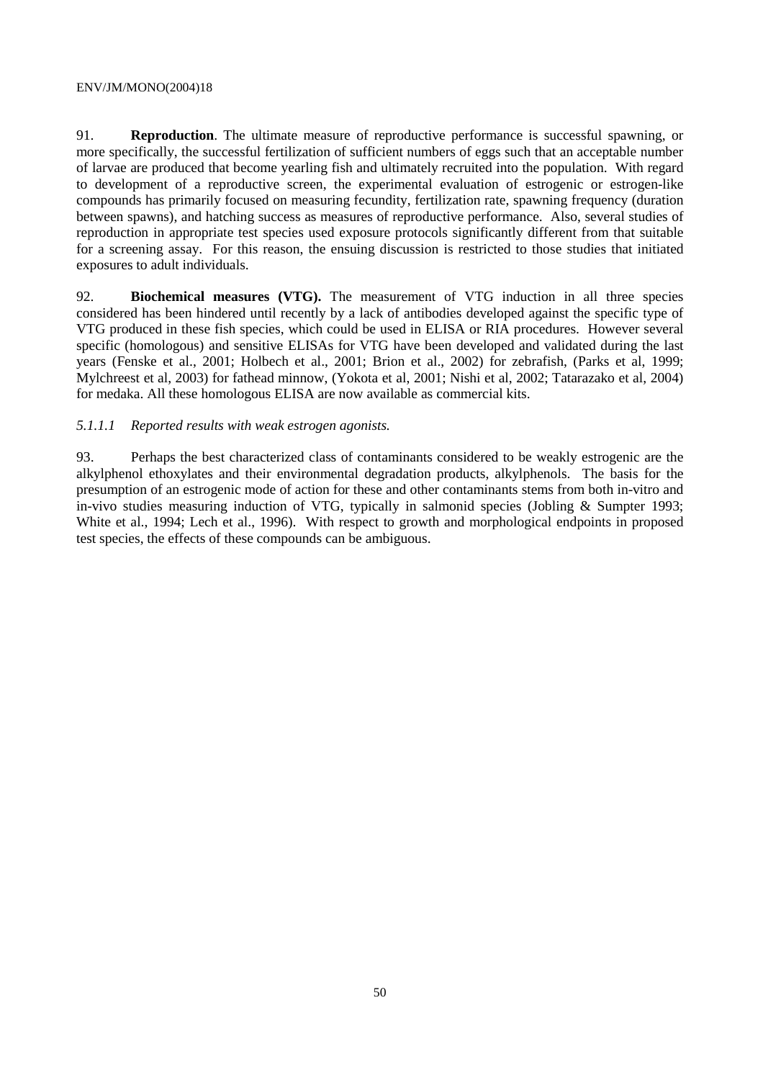91. **Reproduction**. The ultimate measure of reproductive performance is successful spawning, or more specifically, the successful fertilization of sufficient numbers of eggs such that an acceptable number of larvae are produced that become yearling fish and ultimately recruited into the population. With regard to development of a reproductive screen, the experimental evaluation of estrogenic or estrogen-like compounds has primarily focused on measuring fecundity, fertilization rate, spawning frequency (duration between spawns), and hatching success as measures of reproductive performance. Also, several studies of reproduction in appropriate test species used exposure protocols significantly different from that suitable for a screening assay. For this reason, the ensuing discussion is restricted to those studies that initiated exposures to adult individuals.

92. **Biochemical measures (VTG).** The measurement of VTG induction in all three species considered has been hindered until recently by a lack of antibodies developed against the specific type of VTG produced in these fish species, which could be used in ELISA or RIA procedures. However several specific (homologous) and sensitive ELISAs for VTG have been developed and validated during the last years (Fenske et al., 2001; Holbech et al., 2001; Brion et al., 2002) for zebrafish, (Parks et al, 1999; Mylchreest et al, 2003) for fathead minnow, (Yokota et al, 2001; Nishi et al, 2002; Tatarazako et al, 2004) for medaka. All these homologous ELISA are now available as commercial kits.

### *5.1.1.1 Reported results with weak estrogen agonists.*

93. Perhaps the best characterized class of contaminants considered to be weakly estrogenic are the alkylphenol ethoxylates and their environmental degradation products, alkylphenols. The basis for the presumption of an estrogenic mode of action for these and other contaminants stems from both in-vitro and in-vivo studies measuring induction of VTG, typically in salmonid species (Jobling & Sumpter 1993; White et al., 1994; Lech et al., 1996). With respect to growth and morphological endpoints in proposed test species, the effects of these compounds can be ambiguous.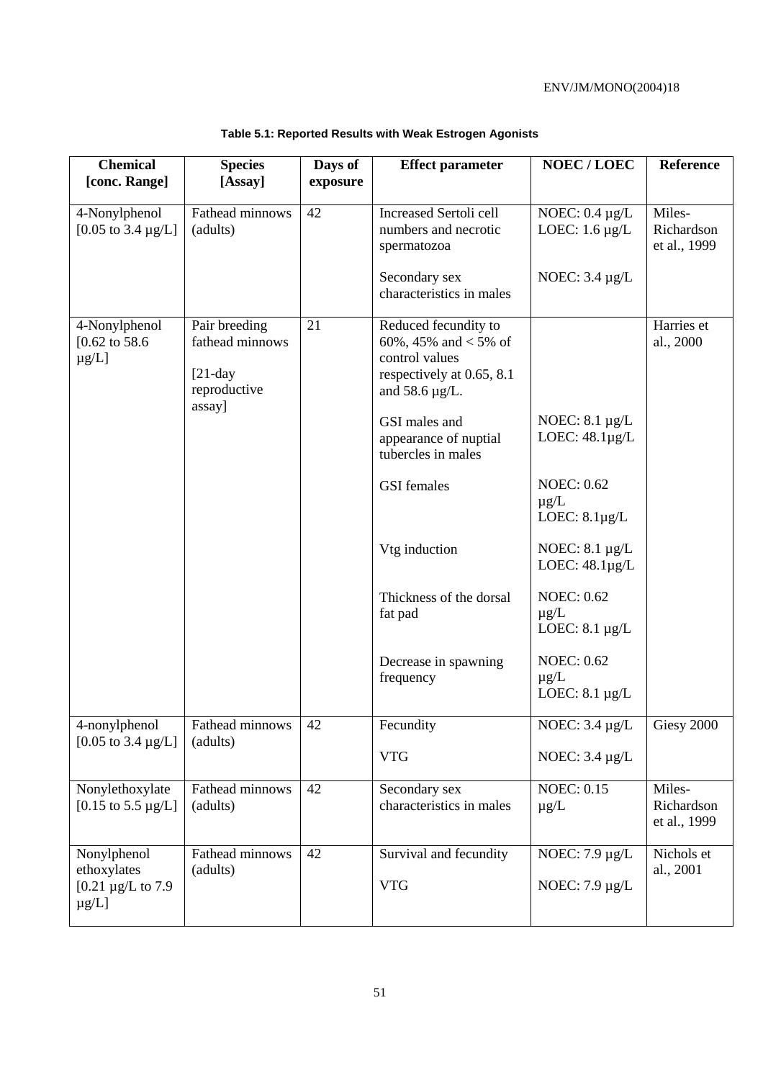| <b>Chemical</b><br>[conc. Range]                                   | <b>Species</b><br>[Assay]                                                | Days of<br>exposure | <b>Effect parameter</b>                                                                                              | <b>NOEC/LOEC</b>                                      | Reference                            |
|--------------------------------------------------------------------|--------------------------------------------------------------------------|---------------------|----------------------------------------------------------------------------------------------------------------------|-------------------------------------------------------|--------------------------------------|
|                                                                    |                                                                          |                     |                                                                                                                      |                                                       |                                      |
| 4-Nonylphenol<br>[0.05 to $3.4 \mu g/L$ ]                          | Fathead minnows<br>(adults)                                              | 42                  | <b>Increased Sertoli cell</b><br>numbers and necrotic<br>spermatozoa                                                 | NOEC: $0.4 \mu g/L$<br>LOEC: $1.6 \mu g/L$            | Miles-<br>Richardson<br>et al., 1999 |
|                                                                    |                                                                          |                     | Secondary sex<br>characteristics in males                                                                            | NOEC: $3.4 \mu g/L$                                   |                                      |
| 4-Nonylphenol<br>$[0.62 \text{ to } 58.6]$<br>$\mu$ g/L]           | Pair breeding<br>fathead minnows<br>$[21-day]$<br>reproductive<br>assay] | 21                  | Reduced fecundity to<br>60%, 45% and $<$ 5% of<br>control values<br>respectively at 0.65, 8.1<br>and 58.6 $\mu$ g/L. |                                                       | Harries et<br>al., 2000              |
|                                                                    |                                                                          |                     | GSI males and<br>appearance of nuptial<br>tubercles in males                                                         | NOEC: $8.1 \mu g/L$<br>LOEC: $48.1\mu g/L$            |                                      |
|                                                                    |                                                                          |                     | <b>GSI</b> females                                                                                                   | <b>NOEC: 0.62</b><br>$\mu$ g/L<br>LOEC: $8.1\mu g/L$  |                                      |
|                                                                    |                                                                          |                     | Vtg induction                                                                                                        | NOEC: $8.1 \mu g/L$<br>LOEC: $48.1\mu g/L$            |                                      |
|                                                                    |                                                                          |                     | Thickness of the dorsal<br>fat pad                                                                                   | <b>NOEC: 0.62</b><br>$\mu g/L$<br>LOEC: $8.1 \mu g/L$ |                                      |
|                                                                    |                                                                          |                     | Decrease in spawning<br>frequency                                                                                    | <b>NOEC: 0.62</b><br>$\mu$ g/L<br>LOEC: $8.1 \mu g/L$ |                                      |
| 4-nonylphenol<br>[0.05 to $3.4 \mu g/L$ ]                          | Fathead minnows<br>(adults)                                              | 42                  | Fecundity                                                                                                            | NOEC: $3.4 \mu g/L$                                   | Giesy 2000                           |
|                                                                    |                                                                          |                     | <b>VTG</b>                                                                                                           | NOEC: $3.4 \mu g/L$                                   |                                      |
| Nonylethoxylate<br>[0.15 to 5.5 $\mu$ g/L]                         | Fathead minnows<br>(adults)                                              | 42                  | Secondary sex<br>characteristics in males                                                                            | <b>NOEC: 0.15</b><br>$\mu$ g/L                        | Miles-<br>Richardson<br>et al., 1999 |
| Nonylphenol<br>ethoxylates<br>[0.21 $\mu$ g/L to 7.9<br>$\mu$ g/L] | Fathead minnows<br>(adults)                                              | 42                  | Survival and fecundity<br><b>VTG</b>                                                                                 | NOEC: $7.9 \mu g/L$<br>NOEC: $7.9 \mu g/L$            | Nichols et<br>al., 2001              |
|                                                                    |                                                                          |                     |                                                                                                                      |                                                       |                                      |

# **Table 5.1: Reported Results with Weak Estrogen Agonists**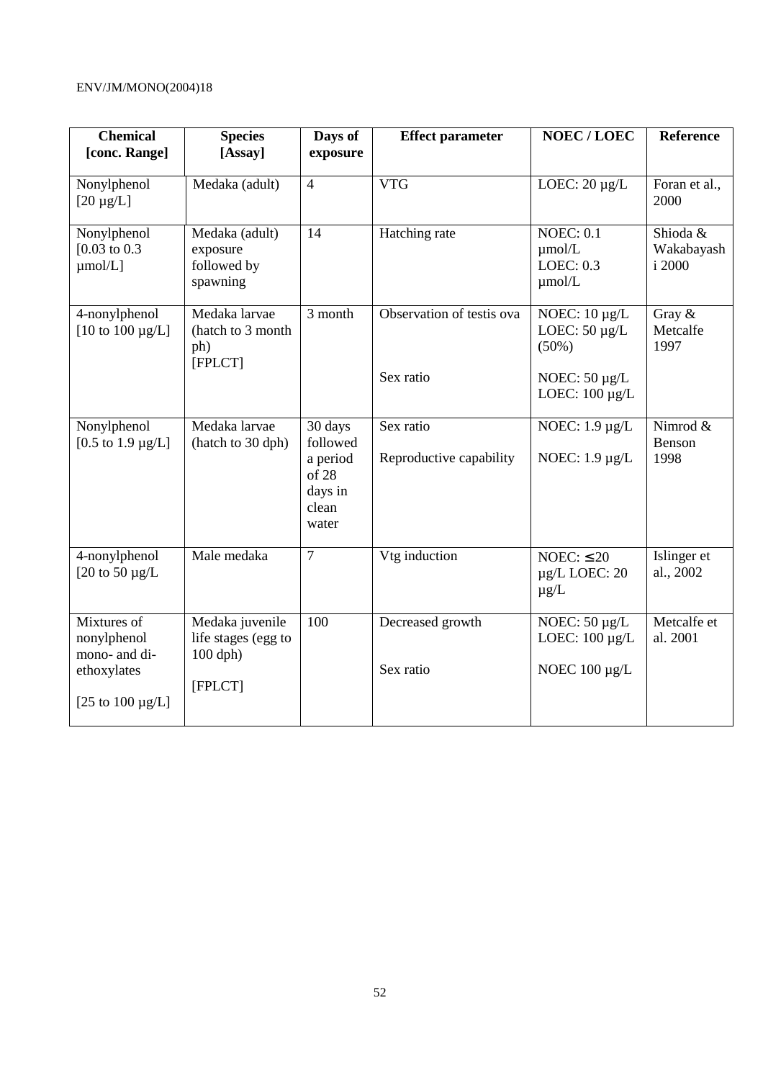| <b>Chemical</b><br>[conc. Range]                                                    | <b>Species</b><br>[Assay]                                       | Days of<br>exposure                                                   | <b>Effect parameter</b>                | <b>NOEC/LOEC</b>                                                                                  | <b>Reference</b>                 |
|-------------------------------------------------------------------------------------|-----------------------------------------------------------------|-----------------------------------------------------------------------|----------------------------------------|---------------------------------------------------------------------------------------------------|----------------------------------|
| Nonylphenol<br>$[20 \mu g/L]$                                                       | Medaka (adult)                                                  | $\overline{4}$                                                        | <b>VTG</b>                             | LOEC: $20 \mu g/L$                                                                                | Foran et al.,<br>2000            |
| Nonylphenol<br>$[0.03 \text{ to } 0.3]$<br>$\mu$ mol/L]                             | Medaka (adult)<br>exposure<br>followed by<br>spawning           | 14                                                                    | Hatching rate                          | <b>NOEC: 0.1</b><br>$\mu$ mol/L<br>LOEC: 0.3<br>$\mu$ mol/L                                       | Shioda &<br>Wakabayash<br>i 2000 |
| 4-nonylphenol<br>[10 to $100 \mu g/L$ ]                                             | Medaka larvae<br>(hatch to 3 month<br>ph)<br>[FPLCT]            | 3 month                                                               | Observation of testis ova<br>Sex ratio | NOEC: $10 \mu g/L$<br>LOEC: $50 \mu g/L$<br>$(50\%)$<br>NOEC: $50 \mu g/L$<br>LOEC: $100 \mu g/L$ | Gray $\&$<br>Metcalfe<br>1997    |
| Nonylphenol<br>[0.5 to 1.9 $\mu$ g/L]                                               | Medaka larvae<br>(hatch to 30 dph)                              | 30 days<br>followed<br>a period<br>of 28<br>days in<br>clean<br>water | Sex ratio<br>Reproductive capability   | NOEC: $1.9 \mu g/L$<br>NOEC: $1.9 \mu g/L$                                                        | Nimrod &<br>Benson<br>1998       |
| 4-nonylphenol<br>[20 to 50 $\mu$ g/L                                                | Male medaka                                                     | $\overline{7}$                                                        | Vtg induction                          | NOEC: $\leq 20$<br>$\mu$ g/L LOEC: 20<br>$\mu$ g/L                                                | Islinger et<br>al., 2002         |
| Mixtures of<br>nonylphenol<br>mono- and di-<br>ethoxylates<br>[25 to 100 $\mu$ g/L] | Medaka juvenile<br>life stages (egg to<br>$100$ dph)<br>[FPLCT] | 100                                                                   | Decreased growth<br>Sex ratio          | NOEC: $50 \mu g/L$<br>LOEC: $100 \mu g/L$<br>NOEC $100 \mu g/L$                                   | Metcalfe et<br>al. 2001          |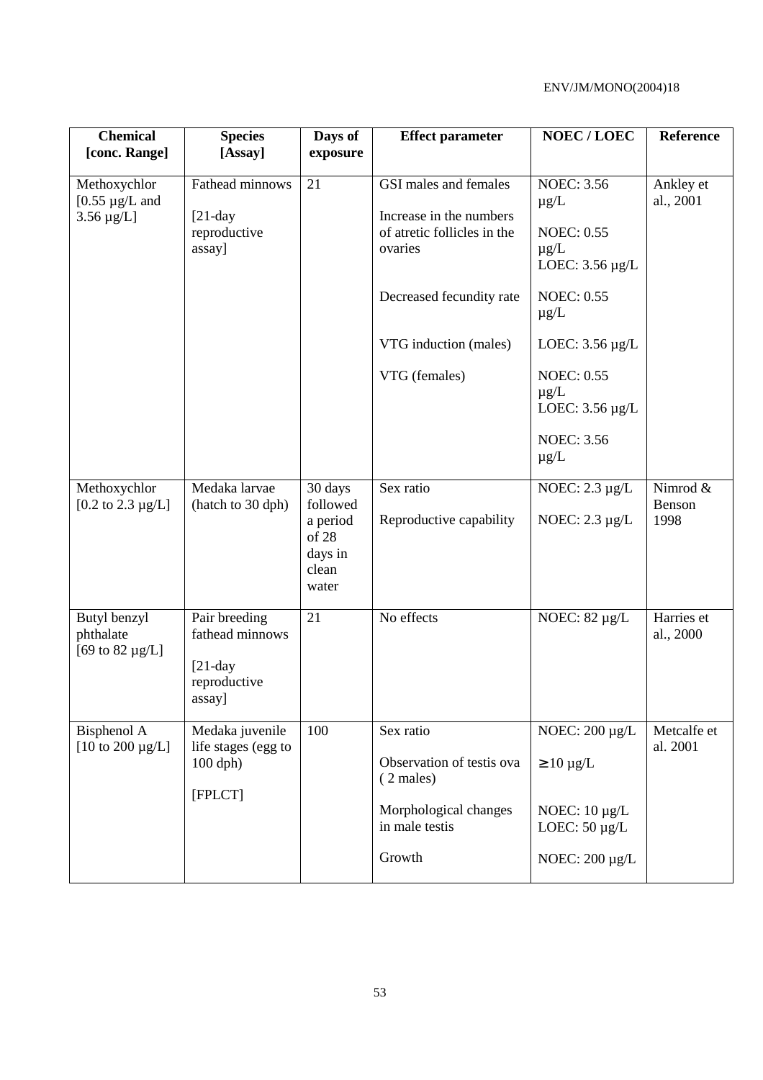| <b>Chemical</b><br>[conc. Range]                  | <b>Species</b><br>[Assay]                      | Days of<br>exposure                            | <b>Effect parameter</b>                                           | NOEC/LOEC                                              | Reference               |
|---------------------------------------------------|------------------------------------------------|------------------------------------------------|-------------------------------------------------------------------|--------------------------------------------------------|-------------------------|
|                                                   | Fathead minnows                                | 21                                             |                                                                   | <b>NOEC: 3.56</b>                                      |                         |
| Methoxychlor<br>[ $0.55 \mu g/L$ and              |                                                |                                                | GSI males and females                                             | $\mu$ g/L                                              | Ankley et<br>al., 2001  |
| $3.56 \,\mu g/L$ ]                                | $[21-day]$<br>reproductive<br>assay]           |                                                | Increase in the numbers<br>of atretic follicles in the<br>ovaries | <b>NOEC: 0.55</b><br>$\mu$ g/L<br>LOEC: $3.56 \mu g/L$ |                         |
|                                                   |                                                |                                                | Decreased fecundity rate                                          | <b>NOEC: 0.55</b><br>$\mu$ g/L                         |                         |
|                                                   |                                                |                                                | VTG induction (males)                                             | LOEC: $3.56 \mu g/L$                                   |                         |
|                                                   |                                                |                                                | VTG (females)                                                     | <b>NOEC: 0.55</b><br>$\mu$ g/L<br>LOEC: $3.56 \mu g/L$ |                         |
|                                                   |                                                |                                                |                                                                   | <b>NOEC: 3.56</b><br>$\mu$ g/L                         |                         |
| Methoxychlor<br>[0.2 to $2.3 \mu g/L$ ]           | Medaka larvae<br>(hatch to 30 dph)             | 30 days<br>followed                            | Sex ratio                                                         | NOEC: $2.3 \mu g/L$                                    | Nimrod &<br>Benson      |
|                                                   |                                                | a period<br>of 28<br>days in<br>clean<br>water | Reproductive capability                                           | NOEC: $2.3 \mu g/L$                                    | 1998                    |
| Butyl benzyl<br>phthalate<br>[69 to 82 $\mu$ g/L] | Pair breeding<br>fathead minnows<br>$[21-day]$ | 21                                             | No effects                                                        | NOEC: $82 \mu g/L$                                     | Harries et<br>al., 2000 |
|                                                   | reproductive<br>assay]                         |                                                |                                                                   |                                                        |                         |
| Bisphenol A<br>[10 to 200 $\mu$ g/L]              | Medaka juvenile<br>life stages (egg to         | 100                                            | Sex ratio                                                         | NOEC: 200 µg/L                                         | Metcalfe et<br>al. 2001 |
|                                                   | $100$ dph)                                     |                                                | Observation of testis ova<br>(2 males)                            | $\geq 10 \mu g/L$                                      |                         |
|                                                   | [FPLCT]                                        |                                                | Morphological changes<br>in male testis                           | NOEC: $10 \mu g/L$<br>LOEC: $50 \mu g/L$               |                         |
|                                                   |                                                |                                                | Growth                                                            | NOEC: 200 µg/L                                         |                         |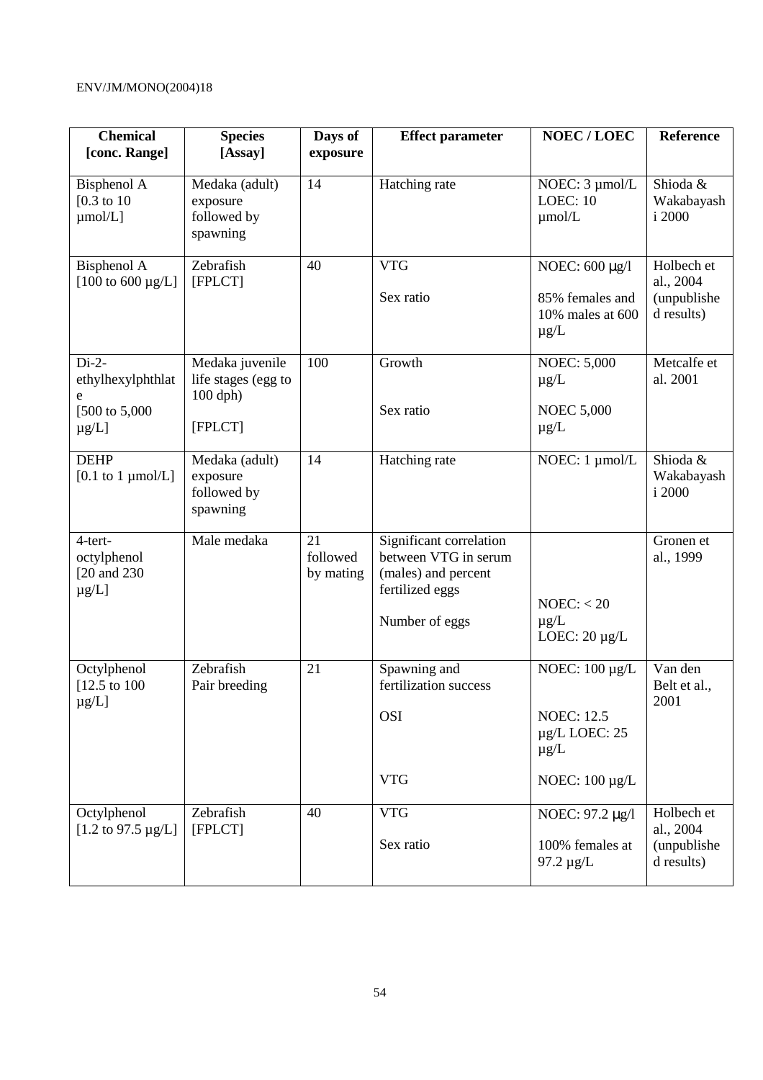| <b>Chemical</b><br>[conc. Range]                                 | <b>Species</b><br>[Assay]                                     | Days of<br>exposure         | <b>Effect parameter</b>                                                                                     | <b>NOEC/LOEC</b>                                                                                   | Reference                                            |
|------------------------------------------------------------------|---------------------------------------------------------------|-----------------------------|-------------------------------------------------------------------------------------------------------------|----------------------------------------------------------------------------------------------------|------------------------------------------------------|
| Bisphenol A<br>[ $0.3$ to 10<br>$\mu$ mol/L]                     | Medaka (adult)<br>exposure<br>followed by<br>spawning         | 14                          | Hatching rate                                                                                               | NOEC: 3 µmol/L<br><b>LOEC: 10</b><br>$\mu$ mol/L                                                   | Shioda &<br>Wakabayash<br>i 2000                     |
| Bisphenol A<br>$[100 \text{ to } 600 \text{ µg/L}]$              | Zebrafish<br>[FPLCT]                                          | 40                          | <b>VTG</b><br>Sex ratio                                                                                     | NOEC: 600 μg/l<br>85% females and<br>10% males at 600<br>$\mu$ g/L                                 | Holbech et<br>al., 2004<br>(unpublishe<br>d results) |
| $Di-2-$<br>ethylhexylphthlat<br>e<br>[500 to 5,000<br>$\mu$ g/L] | Medaka juvenile<br>life stages (egg to<br>100 dph)<br>[FPLCT] | 100                         | Growth<br>Sex ratio                                                                                         | <b>NOEC:</b> 5,000<br>$\mu g/L$<br><b>NOEC 5,000</b><br>$\mu g/L$                                  | Metcalfe et<br>al. 2001                              |
| <b>DEHP</b><br>[0.1 to 1 $\mu$ mol/L]                            | Medaka (adult)<br>exposure<br>followed by<br>spawning         | 14                          | Hatching rate                                                                                               | NOEC: 1 µmol/L                                                                                     | Shioda &<br>Wakabayash<br>i 2000                     |
| 4-tert-<br>octylphenol<br>[20 and 230<br>$\mu$ g/L]              | Male medaka                                                   | 21<br>followed<br>by mating | Significant correlation<br>between VTG in serum<br>(males) and percent<br>fertilized eggs<br>Number of eggs | NOEC: < 20<br>$\mu g/L$<br>LOEC: $20 \mu g/L$                                                      | Gronen et<br>al., 1999                               |
| Octylphenol<br>$[12.5 \text{ to } 100]$<br>$\mu$ g/L]            | Zebrafish<br>Pair breeding                                    | 21                          | Spawning and<br>fertilization success<br><b>OSI</b><br><b>VTG</b>                                           | NOEC: $100 \mu g/L$<br><b>NOEC: 12.5</b><br>$\mu$ g/L LOEC: 25<br>$\mu$ g/L<br>NOEC: $100 \mu g/L$ | Van den<br>Belt et al.,<br>2001                      |
| Octylphenol<br>[1.2 to 97.5 $\mu$ g/L]                           | Zebrafish<br>[FPLCT]                                          | 40                          | <b>VTG</b><br>Sex ratio                                                                                     | NOEC: 97.2 μg/l<br>100% females at<br>$97.2 \mu g/L$                                               | Holbech et<br>al., 2004<br>(unpublishe<br>d results) |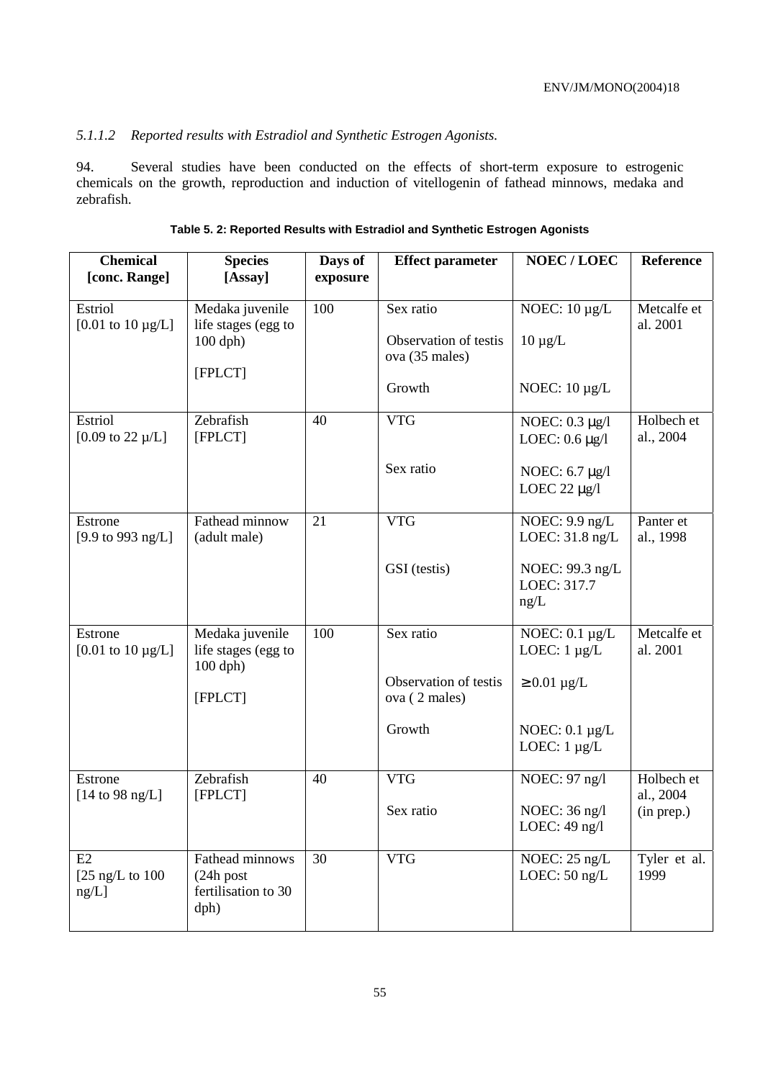# *5.1.1.2 Reported results with Estradiol and Synthetic Estrogen Agonists.*

94. Several studies have been conducted on the effects of short-term exposure to estrogenic chemicals on the growth, reproduction and induction of vitellogenin of fathead minnows, medaka and zebrafish.

| <b>Chemical</b><br>[conc. Range]    | <b>Species</b><br>[Assay]                                       | Days of<br>exposure | <b>Effect parameter</b>                              | NOEC/LOEC                                  | Reference               |
|-------------------------------------|-----------------------------------------------------------------|---------------------|------------------------------------------------------|--------------------------------------------|-------------------------|
|                                     |                                                                 |                     |                                                      |                                            |                         |
| Estriol<br>[0.01 to $10 \mu g/L$ ]  | Medaka juvenile<br>life stages (egg to<br>$100$ dph)<br>[FPLCT] | 100                 | Sex ratio<br>Observation of testis<br>ova (35 males) | NOEC: $10 \mu g/L$<br>$10 \mu g/L$         | Metcalfe et<br>al. 2001 |
|                                     |                                                                 |                     | Growth                                               | NOEC: $10 \mu g/L$                         |                         |
| Estriol<br>[0.09 to 22 $\mu$ /L]    | Zebrafish<br>[FPLCT]                                            | 40                  | <b>VTG</b>                                           | NOEC: $0.3 \mu g/l$<br>LOEC: $0.6 \mu g/l$ | Holbech et<br>al., 2004 |
|                                     |                                                                 |                     | Sex ratio                                            | NOEC: 6.7 µg/l<br>LOEC 22 $\mu$ g/l        |                         |
| Estrone<br>[9.9 to 993 ng/L]        | Fathead minnow<br>(adult male)                                  | 21                  | <b>VTG</b>                                           | NOEC: $9.9$ ng/L<br>LOEC: 31.8 ng/L        | Panter et<br>al., 1998  |
|                                     |                                                                 |                     | GSI (testis)                                         | NOEC: 99.3 ng/L<br>LOEC: 317.7<br>ng/L     |                         |
| Estrone<br>[0.01 to $10 \mu g/L$ ]  | Medaka juvenile<br>life stages (egg to<br>$100$ dph)            | 100                 | Sex ratio                                            | NOEC: $0.1 \mu g/L$<br>LOEC: $1 \mu g/L$   | Metcalfe et<br>al. 2001 |
|                                     | [FPLCT]                                                         |                     | Observation of testis<br>ova (2 males)               | $\geq 0.01 \mu g/L$                        |                         |
|                                     |                                                                 |                     | Growth                                               | NOEC: $0.1 \mu g/L$<br>LOEC: $1 \mu g/L$   |                         |
| Estrone<br>[14 to 98 ng/L]          | Zebrafish<br>[FPLCT]                                            | 40                  | <b>VTG</b>                                           | NOEC: 97 ng/l                              | Holbech et<br>al., 2004 |
|                                     |                                                                 |                     | Sex ratio                                            | NOEC: 36 ng/l<br>LOEC: 49 ng/l             | (in prep.)              |
| E2<br>[ $25$ ng/L to $100$<br>ng/L] | Fathead minnows<br>$(24h$ post<br>fertilisation to 30<br>dph)   | 30                  | <b>VTG</b>                                           | NOEC: 25 ng/L<br>LOEC: $50$ ng/L           | Tyler et al.<br>1999    |

**Table 5. 2: Reported Results with Estradiol and Synthetic Estrogen Agonists**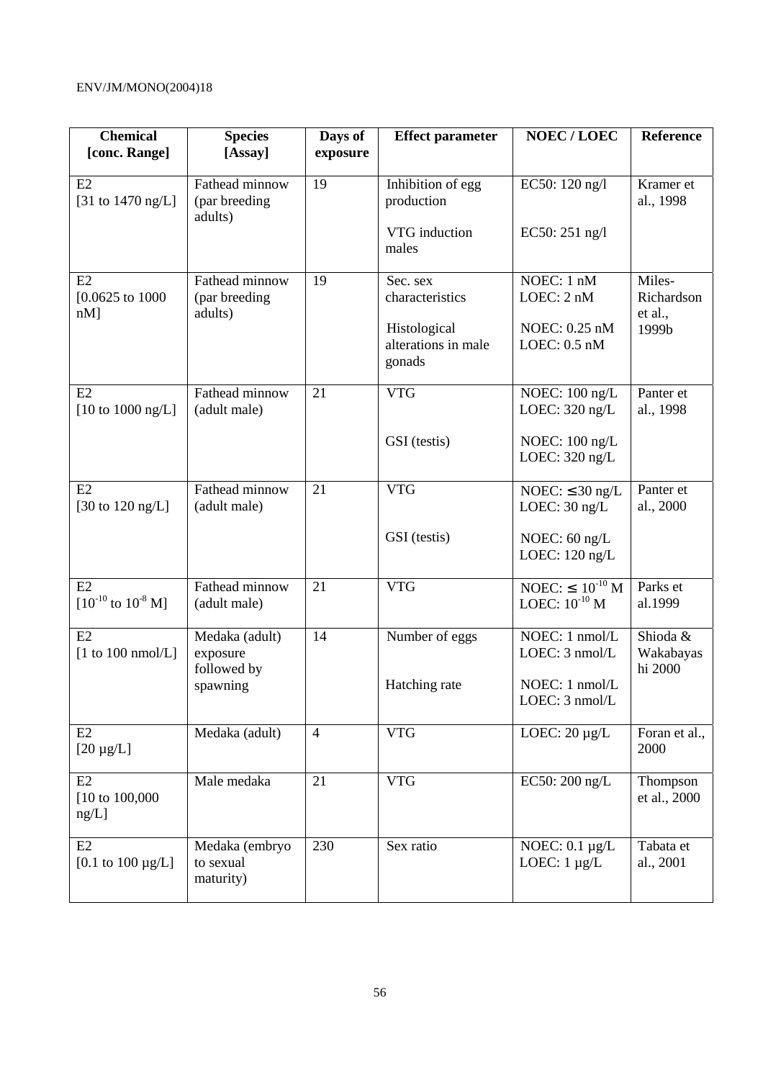| <b>Chemical</b><br>[conc. Range]            | <b>Species</b><br>[Assay]                  | Days of<br>exposure | <b>Effect parameter</b>                       | <b>NOEC/LOEC</b>                              | Reference                        |
|---------------------------------------------|--------------------------------------------|---------------------|-----------------------------------------------|-----------------------------------------------|----------------------------------|
| E2<br>[31 to $1470 \text{ ng/L}$ ]          | Fathead minnow<br>(par breeding<br>adults) | 19                  | Inhibition of egg<br>production               | EC50: 120 ng/l                                | Kramer et<br>al., 1998           |
|                                             |                                            |                     | VTG induction<br>males                        | EC50: 251 ng/l                                |                                  |
| E2<br>$[0.0625 \text{ to } 1000]$<br>$nM$ ] | Fathead minnow<br>(par breeding<br>adults) | 19                  | Sec. sex<br>characteristics                   | NOEC: 1 nM<br>LOEC: 2 nM                      | Miles-<br>Richardson<br>et al.,  |
|                                             |                                            |                     | Histological<br>alterations in male<br>gonads | NOEC: 0.25 nM<br>LOEC: $0.5$ nM               | 1999b                            |
| E2<br>$[10 \text{ to } 1000 \text{ ng/L}]$  | Fathead minnow<br>(adult male)             | 21                  | <b>VTG</b>                                    | NOEC: $100$ ng/L<br>LOEC: $320$ ng/L          | Panter et<br>al., 1998           |
|                                             |                                            |                     | GSI (testis)                                  | NOEC: $100$ ng/L<br>LOEC: $320$ ng/L          |                                  |
| E2<br>[30 to $120 \text{ ng/L}$ ]           | Fathead minnow<br>(adult male)             | 21                  | <b>VTG</b>                                    | NOEC: $\leq$ 30 ng/L<br>LOEC: $30$ ng/L       | Panter et<br>al., 2000           |
|                                             |                                            |                     | GSI (testis)                                  | NOEC: $60$ ng/L<br>LOEC: $120$ ng/L           |                                  |
| E2<br>$[10^{-10}$ to $10^{-8}$ M]           | Fathead minnow<br>(adult male)             | 21                  | <b>VTG</b>                                    | NOEC: $\leq 10^{-10}$ M<br>LOEC: $10^{-10}$ M | Parks et<br>al.1999              |
| E2<br>[1 to 100 nmol/L]                     | Medaka (adult)<br>exposure<br>followed by  | 14                  | Number of eggs                                | NOEC: $1 \text{ nmol/L}$<br>LOEC: 3 nmol/L    | Shioda &<br>Wakabayas<br>hi 2000 |
|                                             | spawning                                   |                     | Hatching rate                                 | NOEC: 1 nmol/L<br>LOEC: 3 nmol/L              |                                  |
| E2<br>$[20 \mu g/L]$                        | Medaka (adult)                             | $\overline{4}$      | <b>VTG</b>                                    | LOEC: $20 \mu g/L$                            | Foran et al.,<br>2000            |
| E2<br>$[10 \text{ to } 100,000]$<br>ng/L]   | Male medaka                                | 21                  | <b>VTG</b>                                    | EC50: 200 ng/L                                | Thompson<br>et al., 2000         |
| E2<br>[0.1 to $100 \mu g/L$ ]               | Medaka (embryo<br>to sexual<br>maturity)   | 230                 | Sex ratio                                     | NOEC: $0.1 \mu g/L$<br>LOEC: $1 \mu g/L$      | Tabata et<br>al., 2001           |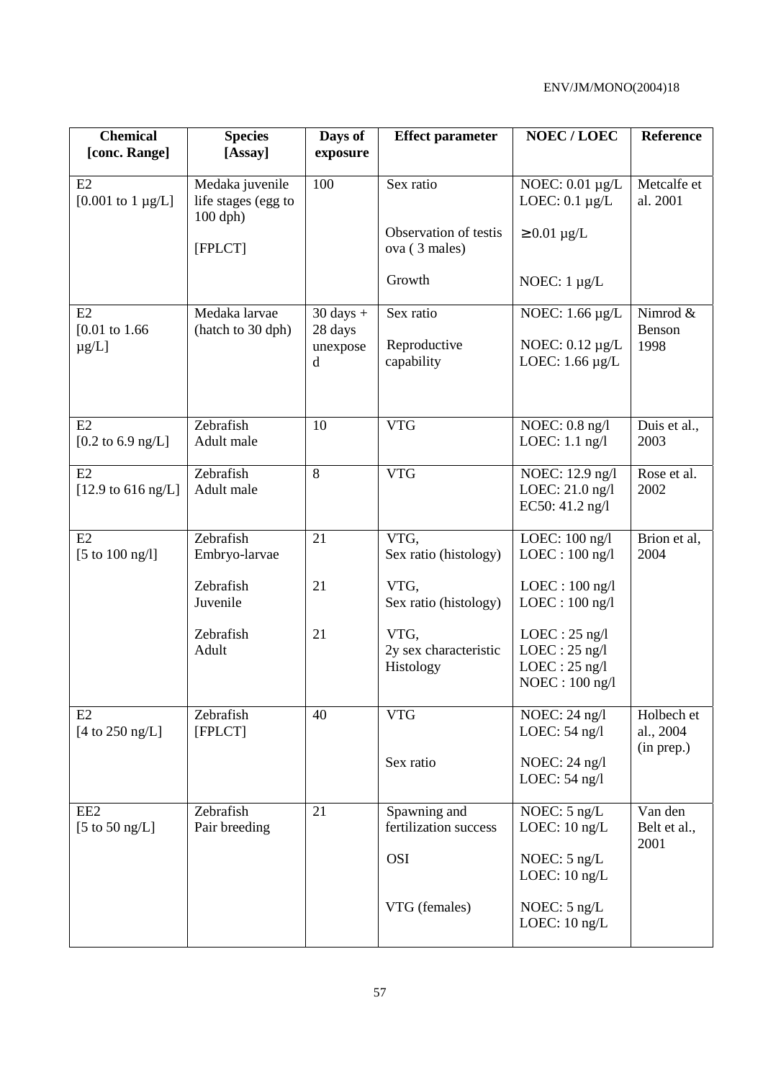| <b>Chemical</b>                             | <b>Species</b>                                       | Days of                        | <b>Effect parameter</b>                    | <b>NOEC/LOEC</b>                                                          | Reference                             |
|---------------------------------------------|------------------------------------------------------|--------------------------------|--------------------------------------------|---------------------------------------------------------------------------|---------------------------------------|
| [conc. Range]                               | [Assay]                                              | exposure                       |                                            |                                                                           |                                       |
| E2<br>$[0.001 \text{ to } 1 \text{ µg/L}]$  | Medaka juvenile<br>life stages (egg to<br>$100$ dph) | 100                            | Sex ratio                                  | NOEC: $0.01 \mu g/L$<br>LOEC: $0.1 \mu g/L$                               | Metcalfe et<br>al. 2001               |
|                                             | [FPLCT]                                              |                                | Observation of testis<br>ova (3 males)     | $\geq 0.01 \mu g/L$                                                       |                                       |
|                                             |                                                      |                                | Growth                                     | NOEC: $1 \mu g/L$                                                         |                                       |
| E2<br>$[0.01 \text{ to } 1.66]$             | Medaka larvae<br>(hatch to 30 dph)                   | $30 \text{ days} +$<br>28 days | Sex ratio                                  | NOEC: $1.66 \mu g/L$                                                      | Nimrod &<br>Benson                    |
| $\mu$ g/L]                                  |                                                      | unexpose<br>d                  | Reproductive<br>capability                 | NOEC: $0.12 \mu g/L$<br>LOEC: $1.66 \mu g/L$                              | 1998                                  |
| E2<br>$[0.2 \text{ to } 6.9 \text{ ng/L}]$  | Zebrafish<br>Adult male                              | 10                             | <b>VTG</b>                                 | NOEC: $0.8$ ng/l<br>LOEC: 1.1 ng/l                                        | Duis et al.,<br>2003                  |
| E2<br>$[12.9 \text{ to } 616 \text{ ng/L}]$ | Zebrafish<br>Adult male                              | 8                              | <b>VTG</b>                                 | NOEC: 12.9 ng/l<br>LOEC: 21.0 ng/l<br>EC50: 41.2 ng/l                     | Rose et al.<br>2002                   |
| E2<br>[5 to $100$ ng/l]                     | Zebrafish<br>Embryo-larvae                           | 21                             | VTG,<br>Sex ratio (histology)              | LOEC: 100 ng/l<br>$LOEC: 100$ ng/l                                        | Brion et al,<br>2004                  |
|                                             | Zebrafish<br>Juvenile                                | 21                             | VTG,<br>Sex ratio (histology)              | $LOEC: 100$ ng/l<br>$LOEC: 100$ ng/l                                      |                                       |
|                                             | Zebrafish<br>Adult                                   | 21                             | VTG,<br>2y sex characteristic<br>Histology | $LOEC: 25$ ng/l<br>$LOEC: 25$ ng/l<br>$LOEC: 25$ ng/l<br>$NOEC: 100$ ng/l |                                       |
| E2<br>[4 to $250$ ng/L]                     | Zebrafish<br>[FPLCT]                                 | 40                             | <b>VTG</b>                                 | NOEC: 24 ng/l<br>LOEC: $54$ ng/l                                          | Holbech et<br>al., 2004<br>(in prep.) |
|                                             |                                                      |                                | Sex ratio                                  | NOEC: $24$ ng/l<br>LOEC: $54$ ng/l                                        |                                       |
| EE <sub>2</sub><br>[5 to 50 ng/L]           | Zebrafish<br>Pair breeding                           | 21                             | Spawning and<br>fertilization success      | NOEC: 5 ng/L<br>LOEC: 10 ng/L                                             | Van den<br>Belt et al.,<br>2001       |
|                                             |                                                      |                                | <b>OSI</b>                                 | NOEC: $5$ ng/L<br>LOEC: $10$ ng/L                                         |                                       |
|                                             |                                                      |                                | VTG (females)                              | NOEC: 5 ng/L<br>LOEC: $10$ ng/L                                           |                                       |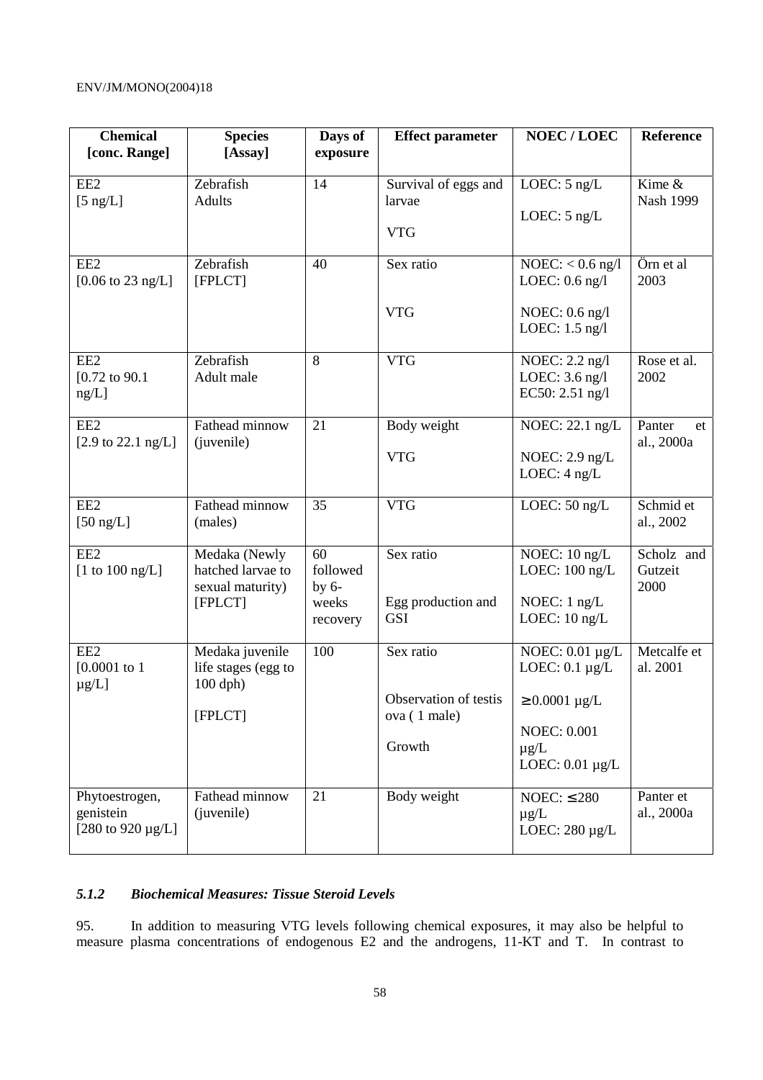| <b>Chemical</b><br>[conc. Range]                        | <b>Species</b><br>[Assay]                                         | Days of<br>exposure                            | <b>Effect parameter</b>                                                                  | <b>NOEC/LOEC</b>                                                                                       | Reference                     |
|---------------------------------------------------------|-------------------------------------------------------------------|------------------------------------------------|------------------------------------------------------------------------------------------|--------------------------------------------------------------------------------------------------------|-------------------------------|
| EE <sub>2</sub><br>$[5 \text{ ng/L}]$                   | Zebrafish<br><b>Adults</b>                                        | 14                                             | Survival of eggs and<br>larvae<br><b>VTG</b>                                             | LOEC: $5$ ng/L<br>LOEC: $5$ ng/L                                                                       | Kime &<br>Nash 1999           |
| EE <sub>2</sub><br>$[0.06 \text{ to } 23 \text{ ng/L}]$ | Zebrafish<br>[FPLCT]                                              | 40                                             | Sex ratio<br><b>VTG</b>                                                                  | $NOEC: < 0.6$ ng/l<br>LOEC: $0.6$ ng/l<br>NOEC: $0.6$ ng/l<br>LOEC: $1.5$ ng/l                         | Örn et al<br>2003             |
| EE <sub>2</sub><br>$[0.72 \text{ to } 90.1]$<br>ng/L]   | Zebrafish<br>Adult male                                           | 8                                              | <b>VTG</b>                                                                               | NOEC: 2.2 ng/l<br>LOEC: 3.6 ng/l<br>EC50: 2.51 ng/l                                                    | Rose et al.<br>2002           |
| EE <sub>2</sub><br>[2.9 to 22.1 ng/L]                   | Fathead minnow<br>(juvenile)                                      | 21                                             | Body weight<br><b>VTG</b>                                                                | NOEC: 22.1 ng/L<br>NOEC: $2.9$ ng/L<br>LOEC: 4 ng/L                                                    | Panter<br>et<br>al., 2000a    |
| EE <sub>2</sub><br>$[50 \; \text{ng/L}]$                | Fathead minnow<br>(males)                                         | 35                                             | <b>VTG</b>                                                                               | LOEC: 50 ng/L                                                                                          | Schmid et<br>al., 2002        |
| EE <sub>2</sub><br>[1 to 100 ng/L]                      | Medaka (Newly<br>hatched larvae to<br>sexual maturity)<br>[FPLCT] | 60<br>followed<br>by $6-$<br>weeks<br>recovery | Sex ratio<br>Egg production and<br><b>GSI</b>                                            | NOEC: 10 ng/L<br>LOEC: $100$ ng/L<br>NOEC: $1$ ng/L<br>LOEC: $10$ ng/L                                 | Scholz and<br>Gutzeit<br>2000 |
| EE <sub>2</sub><br>$[0.0001$ to 1<br>$\mu$ g/L]         | Medaka juvenile<br>life stages (egg to<br>$100$ dph)<br>[FPLCT]   | 100                                            | Sex ratio<br>Observation of testis $\vert \geq 0.0001 \mu g/L$<br>ova (1 male)<br>Growth | NOEC: $0.01 \mu g/L$<br>LOEC: $0.1 \mu g/L$<br><b>NOEC: 0.001</b><br>$\mu$ g/L<br>LOEC: $0.01 \mu g/L$ | Metcalfe et<br>al. 2001       |
| Phytoestrogen,<br>genistein<br>[280 to 920 $\mu$ g/L]   | Fathead minnow<br>(juvenile)                                      | 21                                             | Body weight                                                                              | NOEC: $\leq$ 280<br>$\mu$ g/L<br>LOEC: $280 \mu g/L$                                                   | Panter et<br>al., 2000a       |

### *5.1.2 Biochemical Measures: Tissue Steroid Levels*

95. In addition to measuring VTG levels following chemical exposures, it may also be helpful to measure plasma concentrations of endogenous E2 and the androgens, 11-KT and T. In contrast to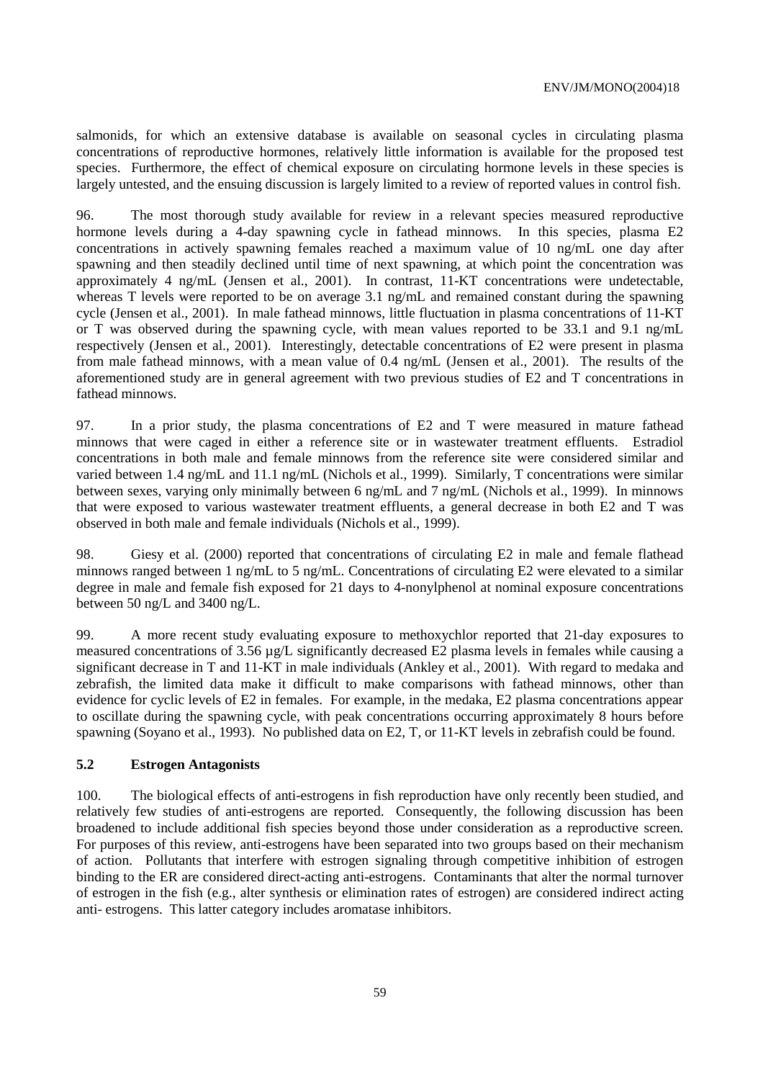salmonids, for which an extensive database is available on seasonal cycles in circulating plasma concentrations of reproductive hormones, relatively little information is available for the proposed test species. Furthermore, the effect of chemical exposure on circulating hormone levels in these species is largely untested, and the ensuing discussion is largely limited to a review of reported values in control fish.

96. The most thorough study available for review in a relevant species measured reproductive hormone levels during a 4-day spawning cycle in fathead minnows. In this species, plasma E2 concentrations in actively spawning females reached a maximum value of 10 ng/mL one day after spawning and then steadily declined until time of next spawning, at which point the concentration was approximately 4 ng/mL (Jensen et al., 2001). In contrast, 11-KT concentrations were undetectable, whereas T levels were reported to be on average 3.1 ng/mL and remained constant during the spawning cycle (Jensen et al., 2001). In male fathead minnows, little fluctuation in plasma concentrations of 11-KT or T was observed during the spawning cycle, with mean values reported to be 33.1 and 9.1 ng/mL respectively (Jensen et al., 2001). Interestingly, detectable concentrations of E2 were present in plasma from male fathead minnows, with a mean value of 0.4 ng/mL (Jensen et al., 2001). The results of the aforementioned study are in general agreement with two previous studies of E2 and T concentrations in fathead minnows.

97. In a prior study, the plasma concentrations of E2 and T were measured in mature fathead minnows that were caged in either a reference site or in wastewater treatment effluents. Estradiol concentrations in both male and female minnows from the reference site were considered similar and varied between 1.4 ng/mL and 11.1 ng/mL (Nichols et al., 1999). Similarly, T concentrations were similar between sexes, varying only minimally between 6 ng/mL and 7 ng/mL (Nichols et al., 1999). In minnows that were exposed to various wastewater treatment effluents, a general decrease in both E2 and T was observed in both male and female individuals (Nichols et al., 1999).

98. Giesy et al. (2000) reported that concentrations of circulating E2 in male and female flathead minnows ranged between 1 ng/mL to 5 ng/mL. Concentrations of circulating E2 were elevated to a similar degree in male and female fish exposed for 21 days to 4-nonylphenol at nominal exposure concentrations between 50 ng/L and 3400 ng/L.

99. A more recent study evaluating exposure to methoxychlor reported that 21-day exposures to measured concentrations of 3.56 µg/L significantly decreased E2 plasma levels in females while causing a significant decrease in T and 11-KT in male individuals (Ankley et al., 2001). With regard to medaka and zebrafish, the limited data make it difficult to make comparisons with fathead minnows, other than evidence for cyclic levels of E2 in females. For example, in the medaka, E2 plasma concentrations appear to oscillate during the spawning cycle, with peak concentrations occurring approximately 8 hours before spawning (Soyano et al., 1993). No published data on E2, T, or 11-KT levels in zebrafish could be found.

#### **5.2 Estrogen Antagonists**

100. The biological effects of anti-estrogens in fish reproduction have only recently been studied, and relatively few studies of anti-estrogens are reported. Consequently, the following discussion has been broadened to include additional fish species beyond those under consideration as a reproductive screen. For purposes of this review, anti-estrogens have been separated into two groups based on their mechanism of action. Pollutants that interfere with estrogen signaling through competitive inhibition of estrogen binding to the ER are considered direct-acting anti-estrogens. Contaminants that alter the normal turnover of estrogen in the fish (e.g., alter synthesis or elimination rates of estrogen) are considered indirect acting anti- estrogens. This latter category includes aromatase inhibitors.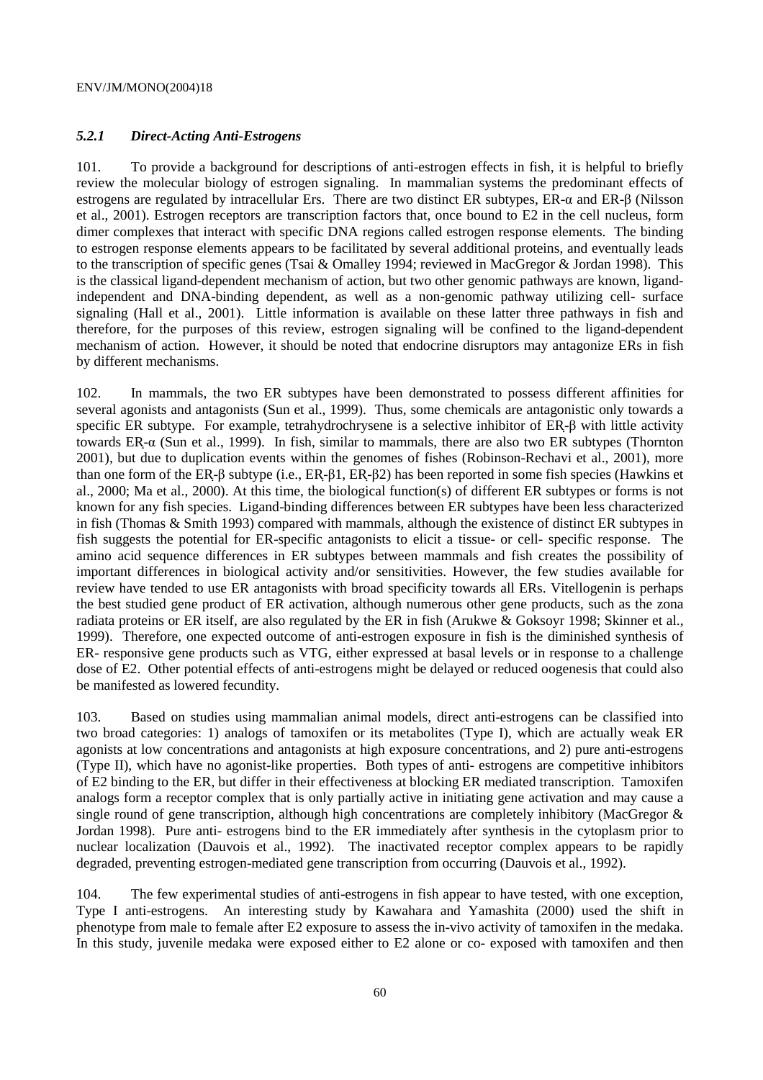#### *5.2.1 Direct-Acting Anti-Estrogens*

101. To provide a background for descriptions of anti-estrogen effects in fish, it is helpful to briefly review the molecular biology of estrogen signaling. In mammalian systems the predominant effects of estrogens are regulated by intracellular Ers. There are two distinct ER subtypes, ER-α and ER-β (Nilsson et al., 2001). Estrogen receptors are transcription factors that, once bound to E2 in the cell nucleus, form dimer complexes that interact with specific DNA regions called estrogen response elements. The binding to estrogen response elements appears to be facilitated by several additional proteins, and eventually leads to the transcription of specific genes (Tsai & Omalley 1994; reviewed in MacGregor & Jordan 1998). This is the classical ligand-dependent mechanism of action, but two other genomic pathways are known, ligandindependent and DNA-binding dependent, as well as a non-genomic pathway utilizing cell- surface signaling (Hall et al., 2001). Little information is available on these latter three pathways in fish and therefore, for the purposes of this review, estrogen signaling will be confined to the ligand-dependent mechanism of action. However, it should be noted that endocrine disruptors may antagonize ERs in fish by different mechanisms.

102. In mammals, the two ER subtypes have been demonstrated to possess different affinities for several agonists and antagonists (Sun et al., 1999). Thus, some chemicals are antagonistic only towards a specific ER subtype. For example, tetrahydrochrysene is a selective inhibitor of ER-β with little activity towards ER-ҏα (Sun et al., 1999). In fish, similar to mammals, there are also two ER subtypes (Thornton 2001), but due to duplication events within the genomes of fishes (Robinson-Rechavi et al., 2001), more than one form of the ER-β subtype (i.e., ER-β1, ER-β2) has been reported in some fish species (Hawkins et al., 2000; Ma et al., 2000). At this time, the biological function(s) of different ER subtypes or forms is not known for any fish species. Ligand-binding differences between ER subtypes have been less characterized in fish (Thomas & Smith 1993) compared with mammals, although the existence of distinct ER subtypes in fish suggests the potential for ER-specific antagonists to elicit a tissue- or cell- specific response. The amino acid sequence differences in ER subtypes between mammals and fish creates the possibility of important differences in biological activity and/or sensitivities. However, the few studies available for review have tended to use ER antagonists with broad specificity towards all ERs. Vitellogenin is perhaps the best studied gene product of ER activation, although numerous other gene products, such as the zona radiata proteins or ER itself, are also regulated by the ER in fish (Arukwe & Goksoyr 1998; Skinner et al., 1999). Therefore, one expected outcome of anti-estrogen exposure in fish is the diminished synthesis of ER- responsive gene products such as VTG, either expressed at basal levels or in response to a challenge dose of E2. Other potential effects of anti-estrogens might be delayed or reduced oogenesis that could also be manifested as lowered fecundity.

103. Based on studies using mammalian animal models, direct anti-estrogens can be classified into two broad categories: 1) analogs of tamoxifen or its metabolites (Type I), which are actually weak ER agonists at low concentrations and antagonists at high exposure concentrations, and 2) pure anti-estrogens (Type II), which have no agonist-like properties. Both types of anti- estrogens are competitive inhibitors of E2 binding to the ER, but differ in their effectiveness at blocking ER mediated transcription. Tamoxifen analogs form a receptor complex that is only partially active in initiating gene activation and may cause a single round of gene transcription, although high concentrations are completely inhibitory (MacGregor & Jordan 1998). Pure anti- estrogens bind to the ER immediately after synthesis in the cytoplasm prior to nuclear localization (Dauvois et al., 1992). The inactivated receptor complex appears to be rapidly degraded, preventing estrogen-mediated gene transcription from occurring (Dauvois et al., 1992).

104. The few experimental studies of anti-estrogens in fish appear to have tested, with one exception, Type I anti-estrogens. An interesting study by Kawahara and Yamashita (2000) used the shift in phenotype from male to female after E2 exposure to assess the in-vivo activity of tamoxifen in the medaka. In this study, juvenile medaka were exposed either to E2 alone or co- exposed with tamoxifen and then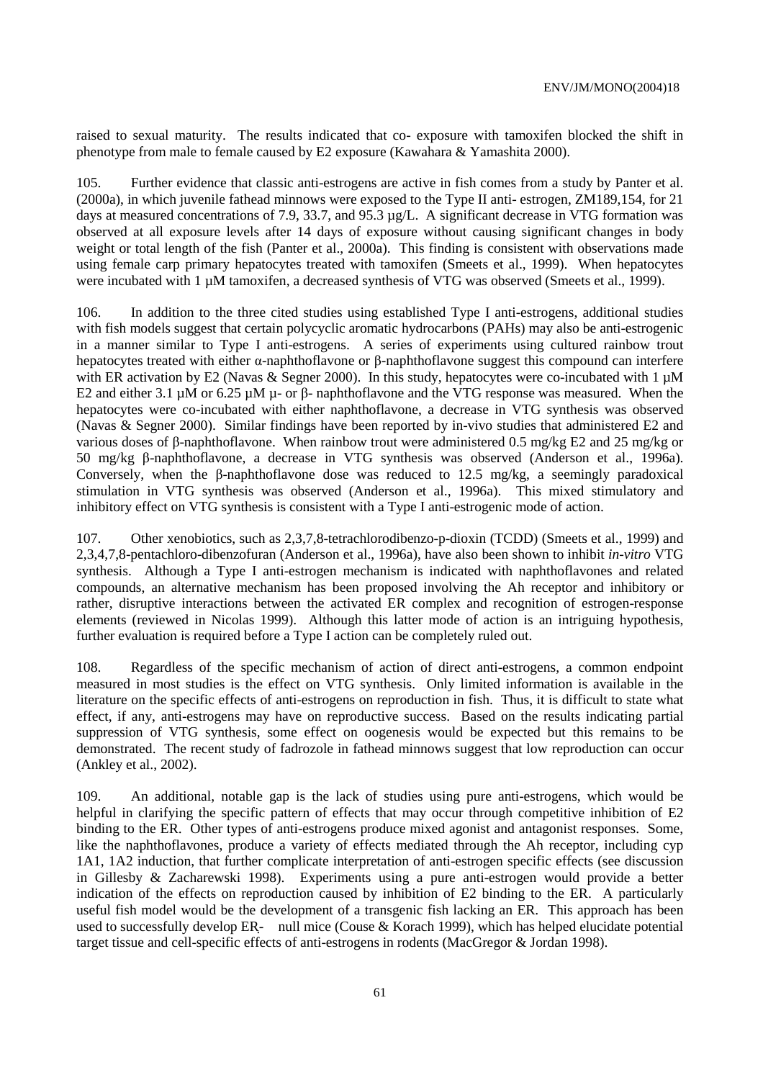raised to sexual maturity. The results indicated that co- exposure with tamoxifen blocked the shift in phenotype from male to female caused by E2 exposure (Kawahara & Yamashita 2000).

105. Further evidence that classic anti-estrogens are active in fish comes from a study by Panter et al. (2000a), in which juvenile fathead minnows were exposed to the Type II anti- estrogen, ZM189,154, for 21 days at measured concentrations of 7.9, 33.7, and 95.3 µg/L. A significant decrease in VTG formation was observed at all exposure levels after 14 days of exposure without causing significant changes in body weight or total length of the fish (Panter et al., 2000a). This finding is consistent with observations made using female carp primary hepatocytes treated with tamoxifen (Smeets et al., 1999). When hepatocytes were incubated with 1  $\mu$ M tamoxifen, a decreased synthesis of VTG was observed (Smeets et al., 1999).

106. In addition to the three cited studies using established Type I anti-estrogens, additional studies with fish models suggest that certain polycyclic aromatic hydrocarbons (PAHs) may also be anti-estrogenic in a manner similar to Type I anti-estrogens. A series of experiments using cultured rainbow trout hepatocytes treated with either α-naphthoflavone or β-naphthoflavone suggest this compound can interfere with ER activation by E2 (Navas & Segner 2000). In this study, hepatocytes were co-incubated with  $1 \mu$ M E2 and either 3.1 µM or 6.25 µM µ- or β- naphthoflavone and the VTG response was measured. When the hepatocytes were co-incubated with either naphthoflavone, a decrease in VTG synthesis was observed (Navas & Segner 2000). Similar findings have been reported by in-vivo studies that administered E2 and various doses of β-naphthoflavone. When rainbow trout were administered 0.5 mg/kg E2 and 25 mg/kg or 50 mg/kg β-naphthoflavone, a decrease in VTG synthesis was observed (Anderson et al., 1996a). Conversely, when the β-naphthoflavone dose was reduced to 12.5 mg/kg, a seemingly paradoxical stimulation in VTG synthesis was observed (Anderson et al., 1996a). This mixed stimulatory and inhibitory effect on VTG synthesis is consistent with a Type I anti-estrogenic mode of action.

107. Other xenobiotics, such as 2,3,7,8-tetrachlorodibenzo-p-dioxin (TCDD) (Smeets et al., 1999) and 2,3,4,7,8-pentachloro-dibenzofuran (Anderson et al., 1996a), have also been shown to inhibit *in-vitro* VTG synthesis. Although a Type I anti-estrogen mechanism is indicated with naphthoflavones and related compounds, an alternative mechanism has been proposed involving the Ah receptor and inhibitory or rather, disruptive interactions between the activated ER complex and recognition of estrogen-response elements (reviewed in Nicolas 1999). Although this latter mode of action is an intriguing hypothesis, further evaluation is required before a Type I action can be completely ruled out.

108. Regardless of the specific mechanism of action of direct anti-estrogens, a common endpoint measured in most studies is the effect on VTG synthesis. Only limited information is available in the literature on the specific effects of anti-estrogens on reproduction in fish. Thus, it is difficult to state what effect, if any, anti-estrogens may have on reproductive success. Based on the results indicating partial suppression of VTG synthesis, some effect on oogenesis would be expected but this remains to be demonstrated. The recent study of fadrozole in fathead minnows suggest that low reproduction can occur (Ankley et al., 2002).

109. An additional, notable gap is the lack of studies using pure anti-estrogens, which would be helpful in clarifying the specific pattern of effects that may occur through competitive inhibition of E2 binding to the ER. Other types of anti-estrogens produce mixed agonist and antagonist responses. Some, like the naphthoflavones, produce a variety of effects mediated through the Ah receptor, including cyp 1A1, 1A2 induction, that further complicate interpretation of anti-estrogen specific effects (see discussion in Gillesby & Zacharewski 1998). Experiments using a pure anti-estrogen would provide a better indication of the effects on reproduction caused by inhibition of E2 binding to the ER. A particularly useful fish model would be the development of a transgenic fish lacking an ER. This approach has been used to successfully develop ER- null mice (Couse & Korach 1999), which has helped elucidate potential target tissue and cell-specific effects of anti-estrogens in rodents (MacGregor & Jordan 1998).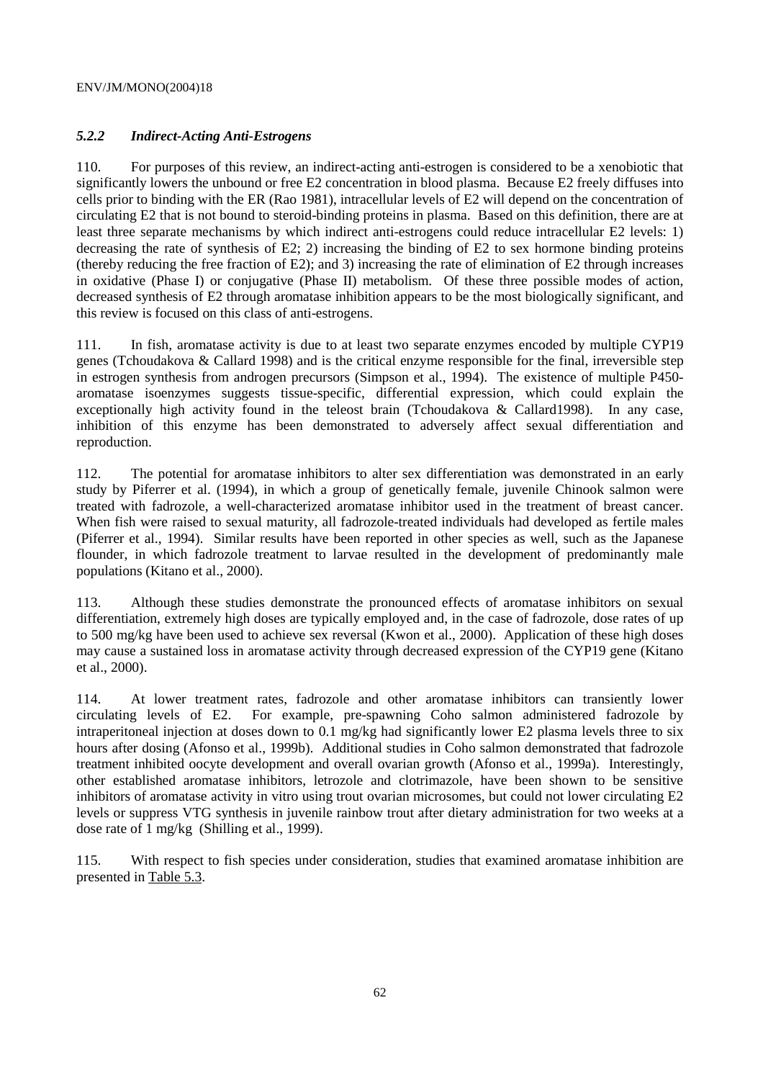# *5.2.2 Indirect-Acting Anti-Estrogens*

110. For purposes of this review, an indirect-acting anti-estrogen is considered to be a xenobiotic that significantly lowers the unbound or free E2 concentration in blood plasma. Because E2 freely diffuses into cells prior to binding with the ER (Rao 1981), intracellular levels of E2 will depend on the concentration of circulating E2 that is not bound to steroid-binding proteins in plasma. Based on this definition, there are at least three separate mechanisms by which indirect anti-estrogens could reduce intracellular E2 levels: 1) decreasing the rate of synthesis of E2; 2) increasing the binding of E2 to sex hormone binding proteins (thereby reducing the free fraction of E2); and 3) increasing the rate of elimination of E2 through increases in oxidative (Phase I) or conjugative (Phase II) metabolism. Of these three possible modes of action, decreased synthesis of E2 through aromatase inhibition appears to be the most biologically significant, and this review is focused on this class of anti-estrogens.

111. In fish, aromatase activity is due to at least two separate enzymes encoded by multiple CYP19 genes (Tchoudakova & Callard 1998) and is the critical enzyme responsible for the final, irreversible step in estrogen synthesis from androgen precursors (Simpson et al., 1994). The existence of multiple P450 aromatase isoenzymes suggests tissue-specific, differential expression, which could explain the exceptionally high activity found in the teleost brain (Tchoudakova & Callard1998). In any case, inhibition of this enzyme has been demonstrated to adversely affect sexual differentiation and reproduction.

112. The potential for aromatase inhibitors to alter sex differentiation was demonstrated in an early study by Piferrer et al. (1994), in which a group of genetically female, juvenile Chinook salmon were treated with fadrozole, a well-characterized aromatase inhibitor used in the treatment of breast cancer. When fish were raised to sexual maturity, all fadrozole-treated individuals had developed as fertile males (Piferrer et al., 1994). Similar results have been reported in other species as well, such as the Japanese flounder, in which fadrozole treatment to larvae resulted in the development of predominantly male populations (Kitano et al., 2000).

113. Although these studies demonstrate the pronounced effects of aromatase inhibitors on sexual differentiation, extremely high doses are typically employed and, in the case of fadrozole, dose rates of up to 500 mg/kg have been used to achieve sex reversal (Kwon et al., 2000). Application of these high doses may cause a sustained loss in aromatase activity through decreased expression of the CYP19 gene (Kitano et al., 2000).

114. At lower treatment rates, fadrozole and other aromatase inhibitors can transiently lower circulating levels of E2. For example, pre-spawning Coho salmon administered fadrozole by intraperitoneal injection at doses down to 0.1 mg/kg had significantly lower E2 plasma levels three to six hours after dosing (Afonso et al., 1999b). Additional studies in Coho salmon demonstrated that fadrozole treatment inhibited oocyte development and overall ovarian growth (Afonso et al., 1999a). Interestingly, other established aromatase inhibitors, letrozole and clotrimazole, have been shown to be sensitive inhibitors of aromatase activity in vitro using trout ovarian microsomes, but could not lower circulating E2 levels or suppress VTG synthesis in juvenile rainbow trout after dietary administration for two weeks at a dose rate of 1 mg/kg (Shilling et al., 1999).

115. With respect to fish species under consideration, studies that examined aromatase inhibition are presented in Table 5.3.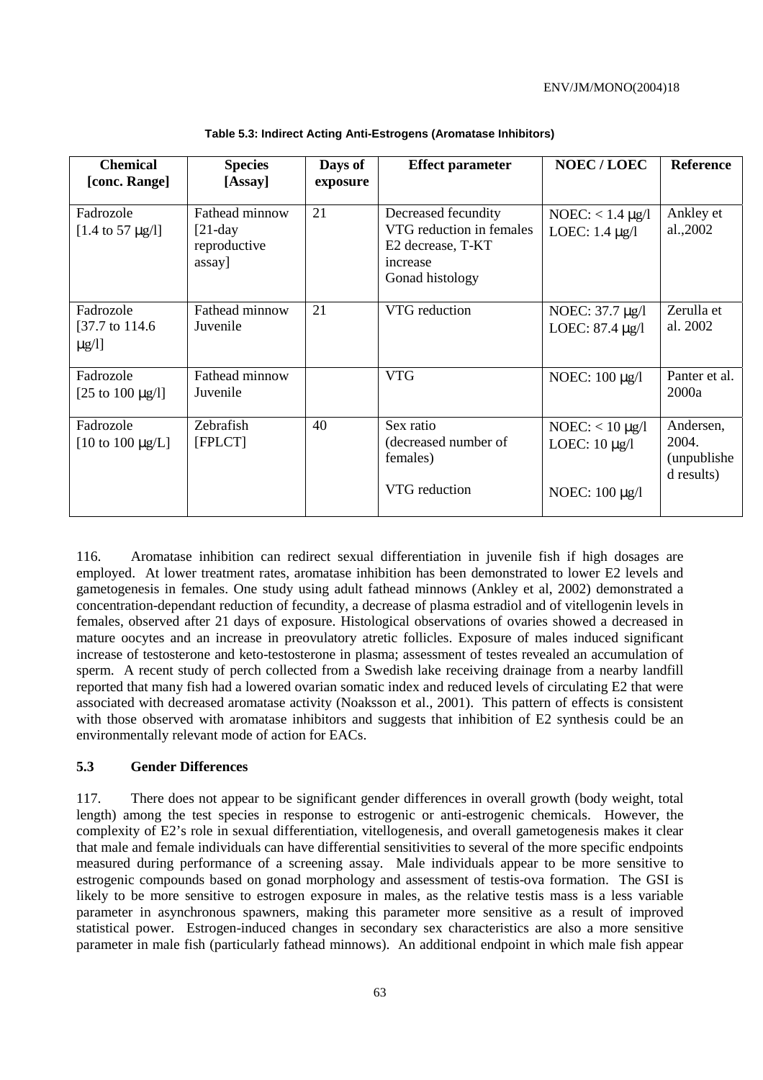| <b>Species</b><br>[Assay]                              | Days of<br>exposure | <b>Effect parameter</b>                                                                             | <b>NOEC/LOEC</b>                                               | <b>Reference</b>                                 |
|--------------------------------------------------------|---------------------|-----------------------------------------------------------------------------------------------------|----------------------------------------------------------------|--------------------------------------------------|
| Fathead minnow<br>$[21-day]$<br>reproductive<br>assay] | 21                  | Decreased fecundity<br>VTG reduction in females<br>E2 decrease, T-KT<br>increase<br>Gonad histology | NOEC: $< 1.4 \mu g/l$<br>LOEC: $1.4 \mu g/l$                   | Ankley et<br>al.,2002                            |
| Fathead minnow<br>Juvenile                             | 21                  | VTG reduction                                                                                       | NOEC: 37.7 µg/l<br>LOEC: 87.4 µg/l                             | Zerulla et<br>al. 2002                           |
| Fathead minnow<br>Juvenile                             |                     | <b>VTG</b>                                                                                          | NOEC: 100 μg/l                                                 | Panter et al.<br>2000a                           |
| Zebrafish<br>[FPLCT]                                   | 40                  | Sex ratio<br>(decreased number of<br>females)<br>VTG reduction                                      | NOEC: $<$ 10 $\mu$ g/l<br>LOEC: $10 \mu g/l$<br>NOEC: 100 μg/l | Andersen,<br>2004.<br>(unpublishe)<br>d results) |
|                                                        |                     |                                                                                                     |                                                                |                                                  |

**Table 5.3: Indirect Acting Anti-Estrogens (Aromatase Inhibitors)** 

116. Aromatase inhibition can redirect sexual differentiation in juvenile fish if high dosages are employed. At lower treatment rates, aromatase inhibition has been demonstrated to lower E2 levels and gametogenesis in females. One study using adult fathead minnows (Ankley et al, 2002) demonstrated a concentration-dependant reduction of fecundity, a decrease of plasma estradiol and of vitellogenin levels in females, observed after 21 days of exposure. Histological observations of ovaries showed a decreased in mature oocytes and an increase in preovulatory atretic follicles. Exposure of males induced significant increase of testosterone and keto-testosterone in plasma; assessment of testes revealed an accumulation of sperm. A recent study of perch collected from a Swedish lake receiving drainage from a nearby landfill reported that many fish had a lowered ovarian somatic index and reduced levels of circulating E2 that were associated with decreased aromatase activity (Noaksson et al., 2001). This pattern of effects is consistent with those observed with aromatase inhibitors and suggests that inhibition of E2 synthesis could be an environmentally relevant mode of action for EACs.

### **5.3 Gender Differences**

117. There does not appear to be significant gender differences in overall growth (body weight, total length) among the test species in response to estrogenic or anti-estrogenic chemicals. However, the complexity of E2's role in sexual differentiation, vitellogenesis, and overall gametogenesis makes it clear that male and female individuals can have differential sensitivities to several of the more specific endpoints measured during performance of a screening assay. Male individuals appear to be more sensitive to estrogenic compounds based on gonad morphology and assessment of testis-ova formation. The GSI is likely to be more sensitive to estrogen exposure in males, as the relative testis mass is a less variable parameter in asynchronous spawners, making this parameter more sensitive as a result of improved statistical power. Estrogen-induced changes in secondary sex characteristics are also a more sensitive parameter in male fish (particularly fathead minnows). An additional endpoint in which male fish appear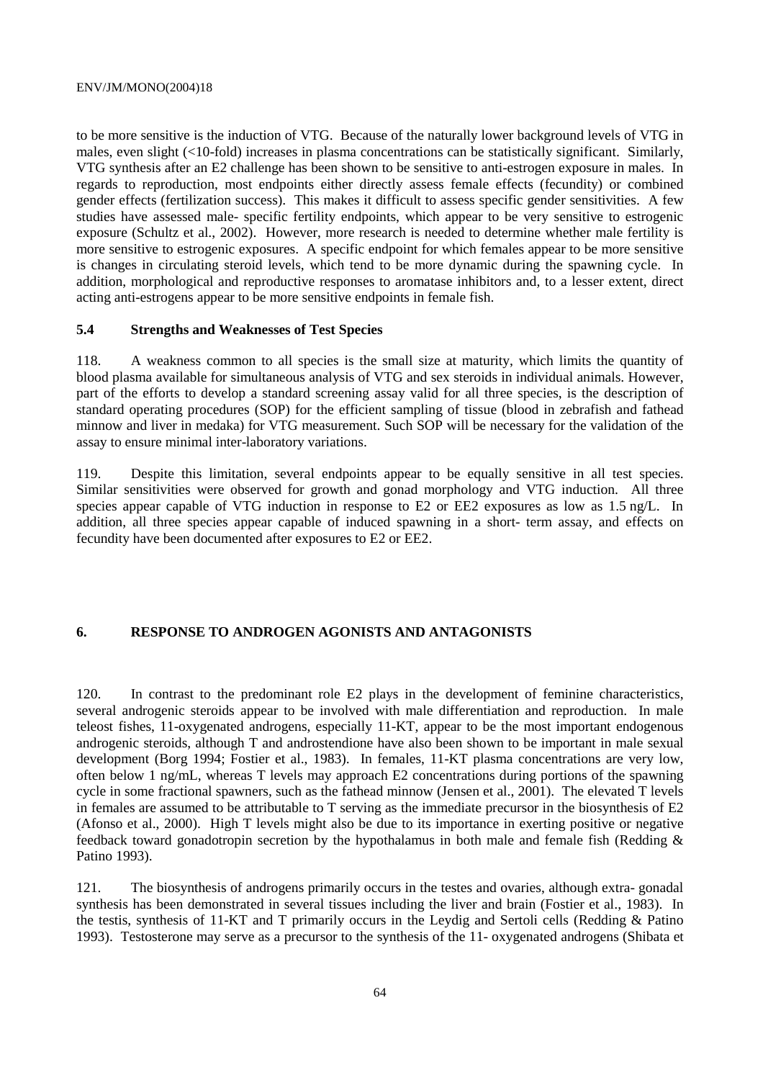to be more sensitive is the induction of VTG. Because of the naturally lower background levels of VTG in males, even slight (<10-fold) increases in plasma concentrations can be statistically significant. Similarly, VTG synthesis after an E2 challenge has been shown to be sensitive to anti-estrogen exposure in males. In regards to reproduction, most endpoints either directly assess female effects (fecundity) or combined gender effects (fertilization success). This makes it difficult to assess specific gender sensitivities. A few studies have assessed male- specific fertility endpoints, which appear to be very sensitive to estrogenic exposure (Schultz et al., 2002). However, more research is needed to determine whether male fertility is more sensitive to estrogenic exposures. A specific endpoint for which females appear to be more sensitive is changes in circulating steroid levels, which tend to be more dynamic during the spawning cycle. In addition, morphological and reproductive responses to aromatase inhibitors and, to a lesser extent, direct acting anti-estrogens appear to be more sensitive endpoints in female fish.

# **5.4 Strengths and Weaknesses of Test Species**

118. A weakness common to all species is the small size at maturity, which limits the quantity of blood plasma available for simultaneous analysis of VTG and sex steroids in individual animals. However, part of the efforts to develop a standard screening assay valid for all three species, is the description of standard operating procedures (SOP) for the efficient sampling of tissue (blood in zebrafish and fathead minnow and liver in medaka) for VTG measurement. Such SOP will be necessary for the validation of the assay to ensure minimal inter-laboratory variations.

119. Despite this limitation, several endpoints appear to be equally sensitive in all test species. Similar sensitivities were observed for growth and gonad morphology and VTG induction. All three species appear capable of VTG induction in response to E2 or EE2 exposures as low as 1.5 ng/L. In addition, all three species appear capable of induced spawning in a short- term assay, and effects on fecundity have been documented after exposures to E2 or EE2.

### **6. RESPONSE TO ANDROGEN AGONISTS AND ANTAGONISTS**

120. In contrast to the predominant role E2 plays in the development of feminine characteristics, several androgenic steroids appear to be involved with male differentiation and reproduction. In male teleost fishes, 11-oxygenated androgens, especially 11-KT, appear to be the most important endogenous androgenic steroids, although T and androstendione have also been shown to be important in male sexual development (Borg 1994; Fostier et al., 1983). In females, 11-KT plasma concentrations are very low, often below 1 ng/mL, whereas T levels may approach E2 concentrations during portions of the spawning cycle in some fractional spawners, such as the fathead minnow (Jensen et al., 2001). The elevated T levels in females are assumed to be attributable to T serving as the immediate precursor in the biosynthesis of E2 (Afonso et al., 2000). High T levels might also be due to its importance in exerting positive or negative feedback toward gonadotropin secretion by the hypothalamus in both male and female fish (Redding & Patino 1993).

121. The biosynthesis of androgens primarily occurs in the testes and ovaries, although extra- gonadal synthesis has been demonstrated in several tissues including the liver and brain (Fostier et al., 1983). In the testis, synthesis of 11-KT and T primarily occurs in the Leydig and Sertoli cells (Redding & Patino 1993). Testosterone may serve as a precursor to the synthesis of the 11- oxygenated androgens (Shibata et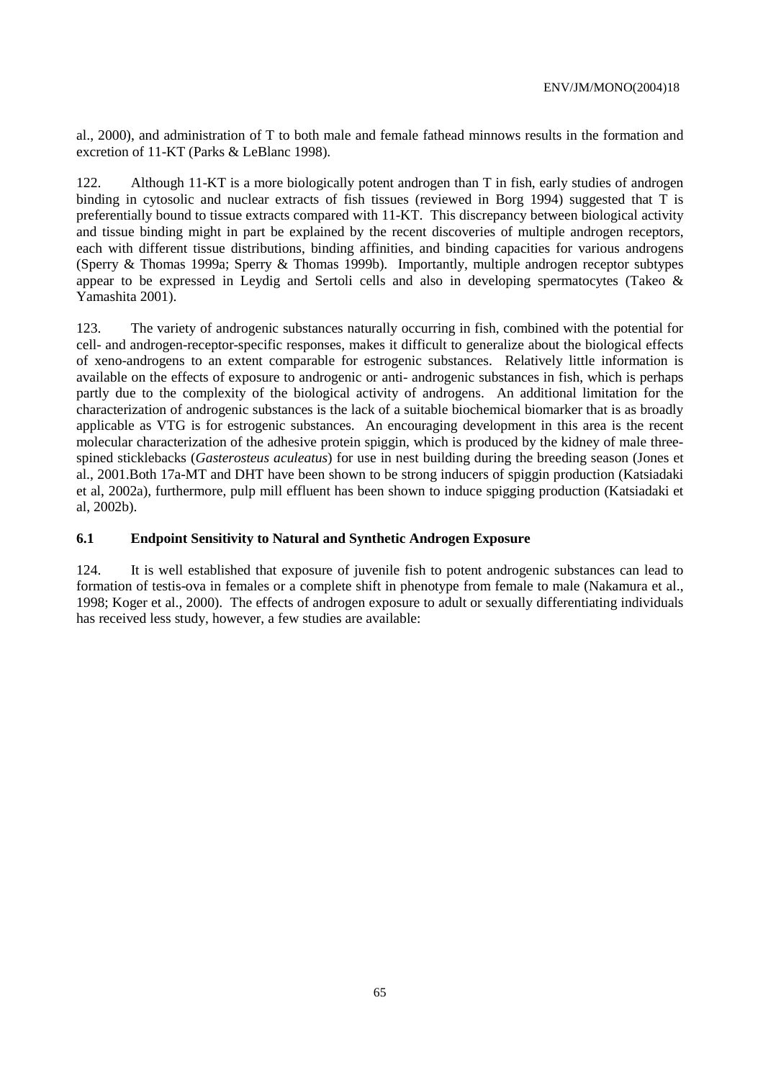al., 2000), and administration of T to both male and female fathead minnows results in the formation and excretion of 11-KT (Parks & LeBlanc 1998).

122. Although 11-KT is a more biologically potent androgen than T in fish, early studies of androgen binding in cytosolic and nuclear extracts of fish tissues (reviewed in Borg 1994) suggested that T is preferentially bound to tissue extracts compared with 11-KT. This discrepancy between biological activity and tissue binding might in part be explained by the recent discoveries of multiple androgen receptors, each with different tissue distributions, binding affinities, and binding capacities for various androgens (Sperry & Thomas 1999a; Sperry & Thomas 1999b). Importantly, multiple androgen receptor subtypes appear to be expressed in Leydig and Sertoli cells and also in developing spermatocytes (Takeo & Yamashita 2001).

123. The variety of androgenic substances naturally occurring in fish, combined with the potential for cell- and androgen-receptor-specific responses, makes it difficult to generalize about the biological effects of xeno-androgens to an extent comparable for estrogenic substances. Relatively little information is available on the effects of exposure to androgenic or anti- androgenic substances in fish, which is perhaps partly due to the complexity of the biological activity of androgens. An additional limitation for the characterization of androgenic substances is the lack of a suitable biochemical biomarker that is as broadly applicable as VTG is for estrogenic substances. An encouraging development in this area is the recent molecular characterization of the adhesive protein spiggin, which is produced by the kidney of male threespined sticklebacks (*Gasterosteus aculeatus*) for use in nest building during the breeding season (Jones et al., 2001.Both 17a-MT and DHT have been shown to be strong inducers of spiggin production (Katsiadaki et al, 2002a), furthermore, pulp mill effluent has been shown to induce spigging production (Katsiadaki et al, 2002b).

### **6.1 Endpoint Sensitivity to Natural and Synthetic Androgen Exposure**

124. It is well established that exposure of juvenile fish to potent androgenic substances can lead to formation of testis-ova in females or a complete shift in phenotype from female to male (Nakamura et al., 1998; Koger et al., 2000). The effects of androgen exposure to adult or sexually differentiating individuals has received less study, however, a few studies are available: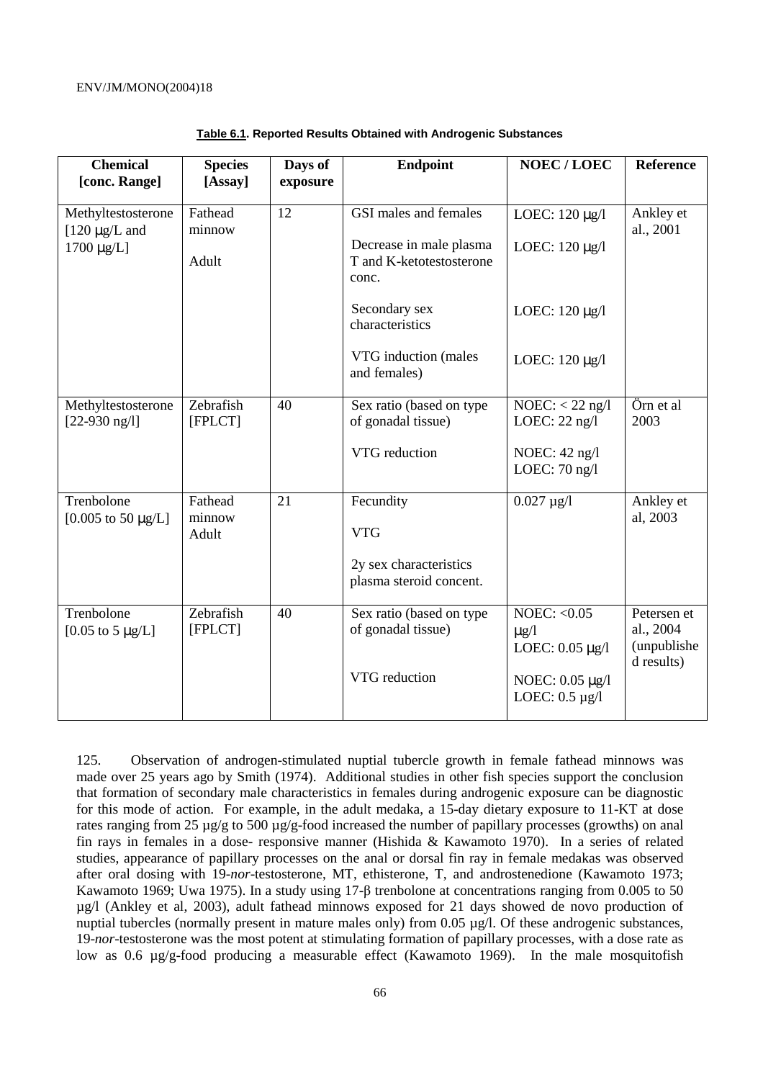| <b>Chemical</b>                               | <b>Species</b>             | Days of  | <b>Endpoint</b>                                              | <b>NOEC/LOEC</b>                                    | <b>Reference</b>                                      |
|-----------------------------------------------|----------------------------|----------|--------------------------------------------------------------|-----------------------------------------------------|-------------------------------------------------------|
| [conc. Range]                                 | [Assay]                    | exposure |                                                              |                                                     |                                                       |
| Methyltestosterone<br>$[120 \mu g/L$ and      | Fathead<br>minnow          | 12       | GSI males and females                                        | LOEC: 120 µg/l                                      | Ankley et<br>al., 2001                                |
| $1700 \mu g/L$                                | Adult                      |          | Decrease in male plasma<br>T and K-ketotestosterone<br>conc. | LOEC: 120 µg/l                                      |                                                       |
|                                               |                            |          | Secondary sex<br>characteristics                             | LOEC: 120 µg/l                                      |                                                       |
|                                               |                            |          | VTG induction (males<br>and females)                         | LOEC: $120 \mu g/l$                                 |                                                       |
| Methyltestosterone<br>$[22-930 \text{ ng/l}]$ | Zebrafish<br>[FPLCT]       | 40       | Sex ratio (based on type<br>of gonadal tissue)               | $NOEC: < 22$ ng/l<br>LOEC: $22$ ng/l                | Örn et al<br>2003                                     |
|                                               |                            |          | VTG reduction                                                | NOEC: $42$ ng/l<br>LOEC: $70$ ng/l                  |                                                       |
| Trenbolone<br>[ $0.005$ to 50 $\mu$ g/L]      | Fathead<br>minnow<br>Adult | 21       | Fecundity<br><b>VTG</b>                                      | $0.027 \,\mu g/l$                                   | Ankley et<br>al, 2003                                 |
|                                               |                            |          | 2y sex characteristics<br>plasma steroid concent.            |                                                     |                                                       |
| Trenbolone<br>[0.05 to 5 $\mu$ g/L]           | Zebrafish<br>[FPLCT]       | 40       | Sex ratio (based on type<br>of gonadal tissue)               | NOEC: $< 0.05$<br>$\mu$ g/l<br>LOEC: $0.05 \mu g/l$ | Petersen et<br>al., 2004<br>(unpublishe<br>d results) |
|                                               |                            |          | VTG reduction                                                | NOEC: 0.05 µg/l<br>LOEC: $0.5 \mu g/l$              |                                                       |

| <b>Table 6.1. Reported Results Obtained with Androgenic Substances</b> |
|------------------------------------------------------------------------|
|------------------------------------------------------------------------|

125. Observation of androgen-stimulated nuptial tubercle growth in female fathead minnows was made over 25 years ago by Smith (1974). Additional studies in other fish species support the conclusion that formation of secondary male characteristics in females during androgenic exposure can be diagnostic for this mode of action. For example, in the adult medaka, a 15-day dietary exposure to 11-KT at dose rates ranging from 25 µg/g to 500 µg/g-food increased the number of papillary processes (growths) on anal fin rays in females in a dose- responsive manner (Hishida & Kawamoto 1970). In a series of related studies, appearance of papillary processes on the anal or dorsal fin ray in female medakas was observed after oral dosing with 19-*nor*-testosterone, MT, ethisterone, T, and androstenedione (Kawamoto 1973; Kawamoto 1969; Uwa 1975). In a study using 17-β trenbolone at concentrations ranging from 0.005 to 50 µg/l (Ankley et al, 2003), adult fathead minnows exposed for 21 days showed de novo production of nuptial tubercles (normally present in mature males only) from 0.05  $\mu$ g/l. Of these androgenic substances, 19-*nor*-testosterone was the most potent at stimulating formation of papillary processes, with a dose rate as low as 0.6 µg/g-food producing a measurable effect (Kawamoto 1969). In the male mosquitofish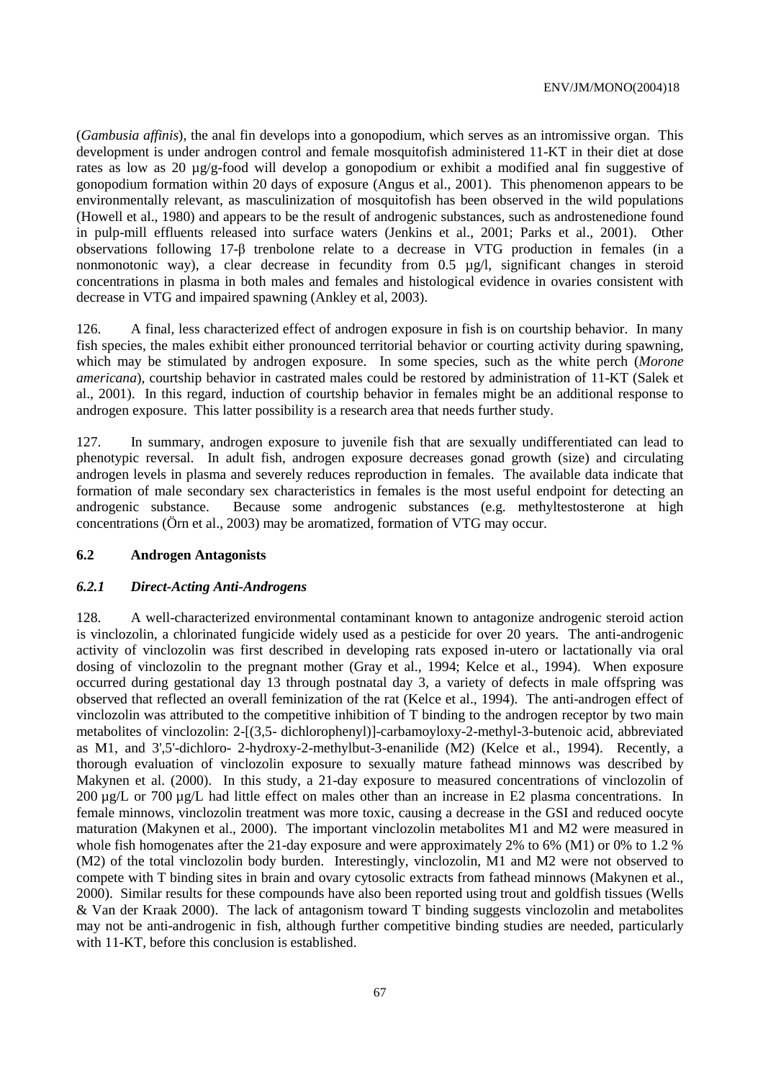(*Gambusia affinis*), the anal fin develops into a gonopodium, which serves as an intromissive organ. This development is under androgen control and female mosquitofish administered 11-KT in their diet at dose rates as low as 20 µg/g-food will develop a gonopodium or exhibit a modified anal fin suggestive of gonopodium formation within 20 days of exposure (Angus et al., 2001). This phenomenon appears to be environmentally relevant, as masculinization of mosquitofish has been observed in the wild populations (Howell et al., 1980) and appears to be the result of androgenic substances, such as androstenedione found in pulp-mill effluents released into surface waters (Jenkins et al., 2001; Parks et al., 2001). Other observations following 17-β trenbolone relate to a decrease in VTG production in females (in a nonmonotonic way), a clear decrease in fecundity from 0.5 µg/l, significant changes in steroid concentrations in plasma in both males and females and histological evidence in ovaries consistent with decrease in VTG and impaired spawning (Ankley et al, 2003).

126. A final, less characterized effect of androgen exposure in fish is on courtship behavior. In many fish species, the males exhibit either pronounced territorial behavior or courting activity during spawning, which may be stimulated by androgen exposure. In some species, such as the white perch (*Morone americana*), courtship behavior in castrated males could be restored by administration of 11-KT (Salek et al., 2001). In this regard, induction of courtship behavior in females might be an additional response to androgen exposure. This latter possibility is a research area that needs further study.

127. In summary, androgen exposure to juvenile fish that are sexually undifferentiated can lead to phenotypic reversal. In adult fish, androgen exposure decreases gonad growth (size) and circulating androgen levels in plasma and severely reduces reproduction in females. The available data indicate that formation of male secondary sex characteristics in females is the most useful endpoint for detecting an androgenic substance. Because some androgenic substances (e.g. methyltestosterone at high concentrations (Örn et al., 2003) may be aromatized, formation of VTG may occur.

#### **6.2 Androgen Antagonists**

#### *6.2.1 Direct-Acting Anti-Androgens*

128. A well-characterized environmental contaminant known to antagonize androgenic steroid action is vinclozolin, a chlorinated fungicide widely used as a pesticide for over 20 years. The anti-androgenic activity of vinclozolin was first described in developing rats exposed in-utero or lactationally via oral dosing of vinclozolin to the pregnant mother (Gray et al., 1994; Kelce et al., 1994). When exposure occurred during gestational day 13 through postnatal day 3, a variety of defects in male offspring was observed that reflected an overall feminization of the rat (Kelce et al., 1994). The anti-androgen effect of vinclozolin was attributed to the competitive inhibition of T binding to the androgen receptor by two main metabolites of vinclozolin: 2-[(3,5- dichlorophenyl)]-carbamoyloxy-2-methyl-3-butenoic acid, abbreviated as M1, and 3',5'-dichloro- 2-hydroxy-2-methylbut-3-enanilide (M2) (Kelce et al., 1994). Recently, a thorough evaluation of vinclozolin exposure to sexually mature fathead minnows was described by Makynen et al. (2000). In this study, a 21-day exposure to measured concentrations of vinclozolin of 200 µg/L or 700 µg/L had little effect on males other than an increase in E2 plasma concentrations. In female minnows, vinclozolin treatment was more toxic, causing a decrease in the GSI and reduced oocyte maturation (Makynen et al., 2000). The important vinclozolin metabolites M1 and M2 were measured in whole fish homogenates after the 21-day exposure and were approximately 2% to 6% (M1) or 0% to 1.2 % (M2) of the total vinclozolin body burden. Interestingly, vinclozolin, M1 and M2 were not observed to compete with T binding sites in brain and ovary cytosolic extracts from fathead minnows (Makynen et al., 2000). Similar results for these compounds have also been reported using trout and goldfish tissues (Wells & Van der Kraak 2000). The lack of antagonism toward T binding suggests vinclozolin and metabolites may not be anti-androgenic in fish, although further competitive binding studies are needed, particularly with 11-KT, before this conclusion is established.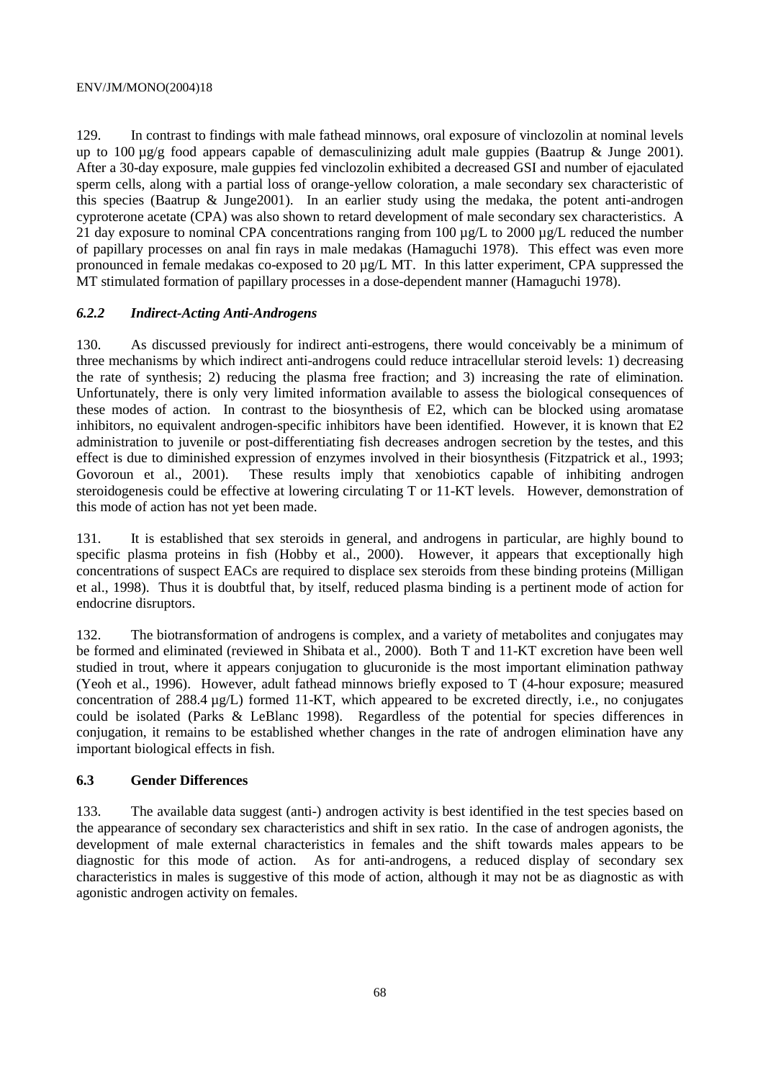129. In contrast to findings with male fathead minnows, oral exposure of vinclozolin at nominal levels up to  $100 \mu g/g$  food appears capable of demasculinizing adult male guppies (Baatrup & Junge 2001). After a 30-day exposure, male guppies fed vinclozolin exhibited a decreased GSI and number of ejaculated sperm cells, along with a partial loss of orange-yellow coloration, a male secondary sex characteristic of this species (Baatrup & Junge2001). In an earlier study using the medaka, the potent anti-androgen cyproterone acetate (CPA) was also shown to retard development of male secondary sex characteristics. A 21 day exposure to nominal CPA concentrations ranging from 100 µg/L to 2000 µg/L reduced the number of papillary processes on anal fin rays in male medakas (Hamaguchi 1978). This effect was even more pronounced in female medakas co-exposed to 20 µg/L MT. In this latter experiment, CPA suppressed the MT stimulated formation of papillary processes in a dose-dependent manner (Hamaguchi 1978).

### *6.2.2 Indirect-Acting Anti-Androgens*

130. As discussed previously for indirect anti-estrogens, there would conceivably be a minimum of three mechanisms by which indirect anti-androgens could reduce intracellular steroid levels: 1) decreasing the rate of synthesis; 2) reducing the plasma free fraction; and 3) increasing the rate of elimination. Unfortunately, there is only very limited information available to assess the biological consequences of these modes of action. In contrast to the biosynthesis of E2, which can be blocked using aromatase inhibitors, no equivalent androgen-specific inhibitors have been identified. However, it is known that E2 administration to juvenile or post-differentiating fish decreases androgen secretion by the testes, and this effect is due to diminished expression of enzymes involved in their biosynthesis (Fitzpatrick et al., 1993; Govoroun et al., 2001). These results imply that xenobiotics capable of inhibiting androgen steroidogenesis could be effective at lowering circulating T or 11-KT levels. However, demonstration of this mode of action has not yet been made.

131. It is established that sex steroids in general, and androgens in particular, are highly bound to specific plasma proteins in fish (Hobby et al., 2000). However, it appears that exceptionally high concentrations of suspect EACs are required to displace sex steroids from these binding proteins (Milligan et al., 1998). Thus it is doubtful that, by itself, reduced plasma binding is a pertinent mode of action for endocrine disruptors.

132. The biotransformation of androgens is complex, and a variety of metabolites and conjugates may be formed and eliminated (reviewed in Shibata et al., 2000). Both T and 11-KT excretion have been well studied in trout, where it appears conjugation to glucuronide is the most important elimination pathway (Yeoh et al., 1996). However, adult fathead minnows briefly exposed to T (4-hour exposure; measured concentration of 288.4 µg/L) formed 11-KT, which appeared to be excreted directly, i.e., no conjugates could be isolated (Parks & LeBlanc 1998). Regardless of the potential for species differences in conjugation, it remains to be established whether changes in the rate of androgen elimination have any important biological effects in fish.

### **6.3 Gender Differences**

133. The available data suggest (anti-) androgen activity is best identified in the test species based on the appearance of secondary sex characteristics and shift in sex ratio. In the case of androgen agonists, the development of male external characteristics in females and the shift towards males appears to be diagnostic for this mode of action. As for anti-androgens, a reduced display of secondary sex characteristics in males is suggestive of this mode of action, although it may not be as diagnostic as with agonistic androgen activity on females.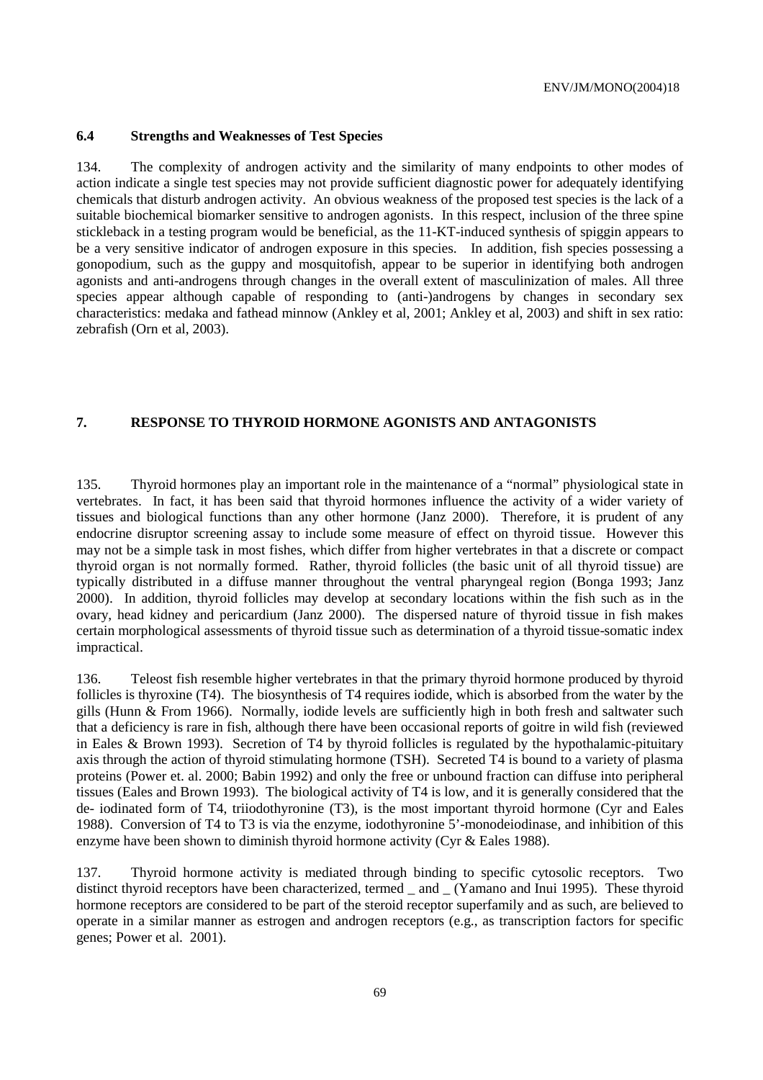#### **6.4 Strengths and Weaknesses of Test Species**

134. The complexity of androgen activity and the similarity of many endpoints to other modes of action indicate a single test species may not provide sufficient diagnostic power for adequately identifying chemicals that disturb androgen activity. An obvious weakness of the proposed test species is the lack of a suitable biochemical biomarker sensitive to androgen agonists. In this respect, inclusion of the three spine stickleback in a testing program would be beneficial, as the 11-KT-induced synthesis of spiggin appears to be a very sensitive indicator of androgen exposure in this species. In addition, fish species possessing a gonopodium, such as the guppy and mosquitofish, appear to be superior in identifying both androgen agonists and anti-androgens through changes in the overall extent of masculinization of males. All three species appear although capable of responding to (anti-)androgens by changes in secondary sex characteristics: medaka and fathead minnow (Ankley et al, 2001; Ankley et al, 2003) and shift in sex ratio: zebrafish (Orn et al, 2003).

#### **7. RESPONSE TO THYROID HORMONE AGONISTS AND ANTAGONISTS**

135. Thyroid hormones play an important role in the maintenance of a "normal" physiological state in vertebrates. In fact, it has been said that thyroid hormones influence the activity of a wider variety of tissues and biological functions than any other hormone (Janz 2000). Therefore, it is prudent of any endocrine disruptor screening assay to include some measure of effect on thyroid tissue. However this may not be a simple task in most fishes, which differ from higher vertebrates in that a discrete or compact thyroid organ is not normally formed. Rather, thyroid follicles (the basic unit of all thyroid tissue) are typically distributed in a diffuse manner throughout the ventral pharyngeal region (Bonga 1993; Janz 2000). In addition, thyroid follicles may develop at secondary locations within the fish such as in the ovary, head kidney and pericardium (Janz 2000). The dispersed nature of thyroid tissue in fish makes certain morphological assessments of thyroid tissue such as determination of a thyroid tissue-somatic index impractical.

136. Teleost fish resemble higher vertebrates in that the primary thyroid hormone produced by thyroid follicles is thyroxine (T4). The biosynthesis of T4 requires iodide, which is absorbed from the water by the gills (Hunn & From 1966). Normally, iodide levels are sufficiently high in both fresh and saltwater such that a deficiency is rare in fish, although there have been occasional reports of goitre in wild fish (reviewed in Eales & Brown 1993). Secretion of T4 by thyroid follicles is regulated by the hypothalamic-pituitary axis through the action of thyroid stimulating hormone (TSH). Secreted T4 is bound to a variety of plasma proteins (Power et. al. 2000; Babin 1992) and only the free or unbound fraction can diffuse into peripheral tissues (Eales and Brown 1993). The biological activity of T4 is low, and it is generally considered that the de- iodinated form of T4, triiodothyronine (T3), is the most important thyroid hormone (Cyr and Eales 1988). Conversion of T4 to T3 is via the enzyme, iodothyronine 5'-monodeiodinase, and inhibition of this enzyme have been shown to diminish thyroid hormone activity (Cyr & Eales 1988).

137. Thyroid hormone activity is mediated through binding to specific cytosolic receptors. Two distinct thyroid receptors have been characterized, termed \_ and \_ (Yamano and Inui 1995). These thyroid hormone receptors are considered to be part of the steroid receptor superfamily and as such, are believed to operate in a similar manner as estrogen and androgen receptors (e.g., as transcription factors for specific genes; Power et al. 2001).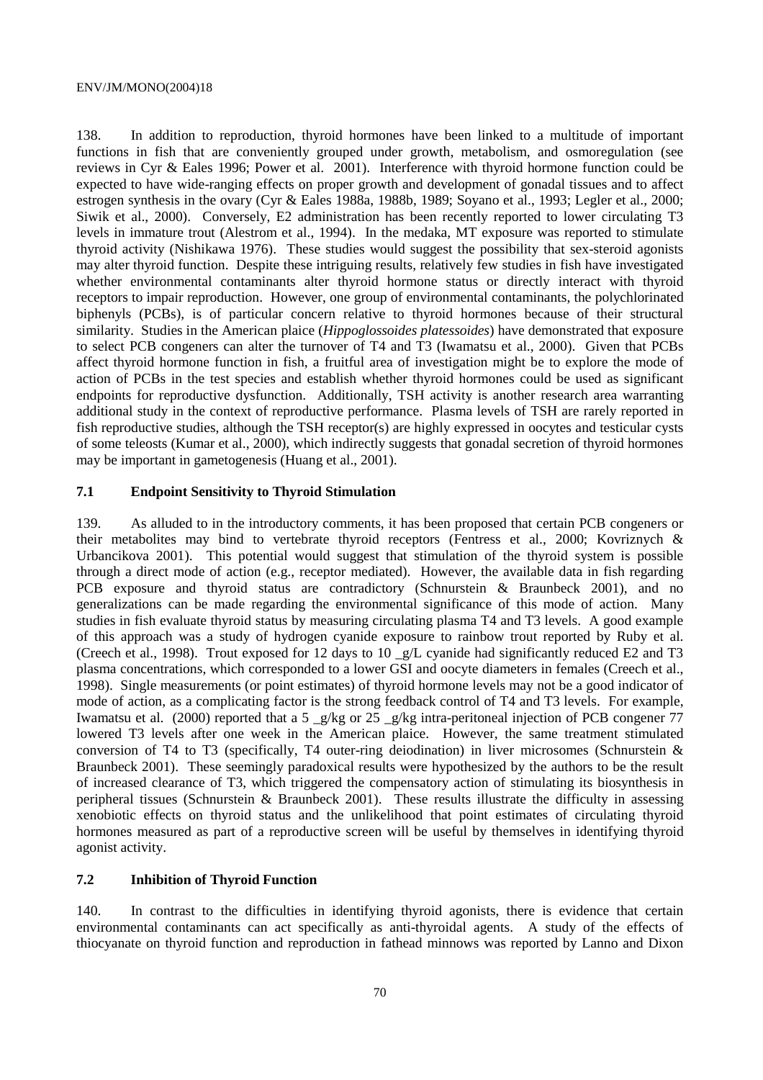138. In addition to reproduction, thyroid hormones have been linked to a multitude of important functions in fish that are conveniently grouped under growth, metabolism, and osmoregulation (see reviews in Cyr & Eales 1996; Power et al. 2001). Interference with thyroid hormone function could be expected to have wide-ranging effects on proper growth and development of gonadal tissues and to affect estrogen synthesis in the ovary (Cyr & Eales 1988a, 1988b, 1989; Soyano et al., 1993; Legler et al., 2000; Siwik et al., 2000). Conversely, E2 administration has been recently reported to lower circulating T3 levels in immature trout (Alestrom et al., 1994). In the medaka, MT exposure was reported to stimulate thyroid activity (Nishikawa 1976). These studies would suggest the possibility that sex-steroid agonists may alter thyroid function. Despite these intriguing results, relatively few studies in fish have investigated whether environmental contaminants alter thyroid hormone status or directly interact with thyroid receptors to impair reproduction. However, one group of environmental contaminants, the polychlorinated biphenyls (PCBs), is of particular concern relative to thyroid hormones because of their structural similarity. Studies in the American plaice (*Hippoglossoides platessoides*) have demonstrated that exposure to select PCB congeners can alter the turnover of T4 and T3 (Iwamatsu et al., 2000). Given that PCBs affect thyroid hormone function in fish, a fruitful area of investigation might be to explore the mode of action of PCBs in the test species and establish whether thyroid hormones could be used as significant endpoints for reproductive dysfunction. Additionally, TSH activity is another research area warranting additional study in the context of reproductive performance. Plasma levels of TSH are rarely reported in fish reproductive studies, although the TSH receptor(s) are highly expressed in oocytes and testicular cysts of some teleosts (Kumar et al., 2000), which indirectly suggests that gonadal secretion of thyroid hormones may be important in gametogenesis (Huang et al., 2001).

#### **7.1 Endpoint Sensitivity to Thyroid Stimulation**

139. As alluded to in the introductory comments, it has been proposed that certain PCB congeners or their metabolites may bind to vertebrate thyroid receptors (Fentress et al., 2000; Kovriznych & Urbancikova 2001). This potential would suggest that stimulation of the thyroid system is possible through a direct mode of action (e.g., receptor mediated). However, the available data in fish regarding PCB exposure and thyroid status are contradictory (Schnurstein & Braunbeck 2001), and no generalizations can be made regarding the environmental significance of this mode of action. Many studies in fish evaluate thyroid status by measuring circulating plasma T4 and T3 levels. A good example of this approach was a study of hydrogen cyanide exposure to rainbow trout reported by Ruby et al. (Creech et al., 1998). Trout exposed for 12 days to 10 \_g/L cyanide had significantly reduced E2 and T3 plasma concentrations, which corresponded to a lower GSI and oocyte diameters in females (Creech et al., 1998). Single measurements (or point estimates) of thyroid hormone levels may not be a good indicator of mode of action, as a complicating factor is the strong feedback control of T4 and T3 levels. For example, Iwamatsu et al. (2000) reported that a 5  $g/kg$  or 25  $g/kg$  intra-peritoneal injection of PCB congener 77 lowered T3 levels after one week in the American plaice. However, the same treatment stimulated conversion of T4 to T3 (specifically, T4 outer-ring deiodination) in liver microsomes (Schnurstein & Braunbeck 2001). These seemingly paradoxical results were hypothesized by the authors to be the result of increased clearance of T3, which triggered the compensatory action of stimulating its biosynthesis in peripheral tissues (Schnurstein & Braunbeck 2001). These results illustrate the difficulty in assessing xenobiotic effects on thyroid status and the unlikelihood that point estimates of circulating thyroid hormones measured as part of a reproductive screen will be useful by themselves in identifying thyroid agonist activity.

### **7.2 Inhibition of Thyroid Function**

140. In contrast to the difficulties in identifying thyroid agonists, there is evidence that certain environmental contaminants can act specifically as anti-thyroidal agents. A study of the effects of thiocyanate on thyroid function and reproduction in fathead minnows was reported by Lanno and Dixon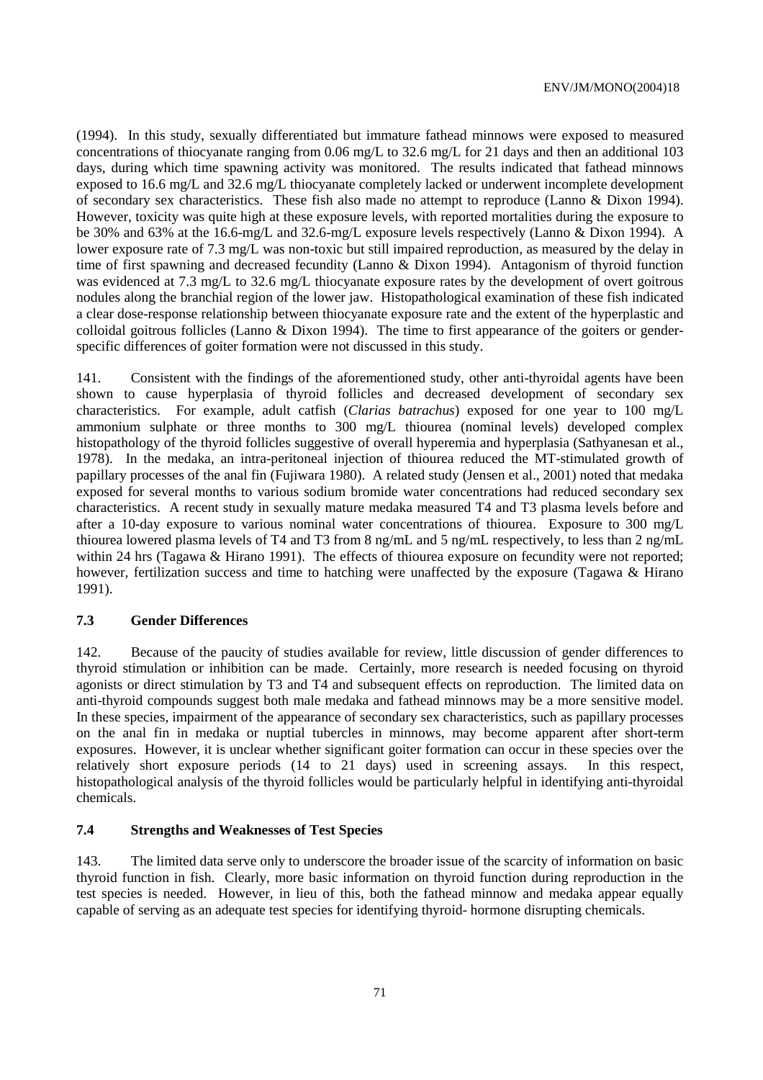(1994). In this study, sexually differentiated but immature fathead minnows were exposed to measured concentrations of thiocyanate ranging from 0.06 mg/L to 32.6 mg/L for 21 days and then an additional 103 days, during which time spawning activity was monitored. The results indicated that fathead minnows exposed to 16.6 mg/L and 32.6 mg/L thiocyanate completely lacked or underwent incomplete development of secondary sex characteristics. These fish also made no attempt to reproduce (Lanno & Dixon 1994). However, toxicity was quite high at these exposure levels, with reported mortalities during the exposure to be 30% and 63% at the 16.6-mg/L and 32.6-mg/L exposure levels respectively (Lanno & Dixon 1994). A lower exposure rate of 7.3 mg/L was non-toxic but still impaired reproduction, as measured by the delay in time of first spawning and decreased fecundity (Lanno & Dixon 1994). Antagonism of thyroid function was evidenced at 7.3 mg/L to 32.6 mg/L thiocyanate exposure rates by the development of overt goitrous nodules along the branchial region of the lower jaw. Histopathological examination of these fish indicated a clear dose-response relationship between thiocyanate exposure rate and the extent of the hyperplastic and colloidal goitrous follicles (Lanno & Dixon 1994). The time to first appearance of the goiters or genderspecific differences of goiter formation were not discussed in this study.

141. Consistent with the findings of the aforementioned study, other anti-thyroidal agents have been shown to cause hyperplasia of thyroid follicles and decreased development of secondary sex characteristics. For example, adult catfish (*Clarias batrachus*) exposed for one year to 100 mg/L ammonium sulphate or three months to 300 mg/L thiourea (nominal levels) developed complex histopathology of the thyroid follicles suggestive of overall hyperemia and hyperplasia (Sathyanesan et al., 1978). In the medaka, an intra-peritoneal injection of thiourea reduced the MT-stimulated growth of papillary processes of the anal fin (Fujiwara 1980). A related study (Jensen et al., 2001) noted that medaka exposed for several months to various sodium bromide water concentrations had reduced secondary sex characteristics. A recent study in sexually mature medaka measured T4 and T3 plasma levels before and after a 10-day exposure to various nominal water concentrations of thiourea. Exposure to 300 mg/L thiourea lowered plasma levels of T4 and T3 from 8 ng/mL and 5 ng/mL respectively, to less than 2 ng/mL within 24 hrs (Tagawa & Hirano 1991). The effects of thiourea exposure on fecundity were not reported; however, fertilization success and time to hatching were unaffected by the exposure (Tagawa & Hirano 1991).

#### **7.3 Gender Differences**

142. Because of the paucity of studies available for review, little discussion of gender differences to thyroid stimulation or inhibition can be made. Certainly, more research is needed focusing on thyroid agonists or direct stimulation by T3 and T4 and subsequent effects on reproduction. The limited data on anti-thyroid compounds suggest both male medaka and fathead minnows may be a more sensitive model. In these species, impairment of the appearance of secondary sex characteristics, such as papillary processes on the anal fin in medaka or nuptial tubercles in minnows, may become apparent after short-term exposures. However, it is unclear whether significant goiter formation can occur in these species over the relatively short exposure periods (14 to 21 days) used in screening assays. In this respect, histopathological analysis of the thyroid follicles would be particularly helpful in identifying anti-thyroidal chemicals.

### **7.4 Strengths and Weaknesses of Test Species**

143. The limited data serve only to underscore the broader issue of the scarcity of information on basic thyroid function in fish. Clearly, more basic information on thyroid function during reproduction in the test species is needed. However, in lieu of this, both the fathead minnow and medaka appear equally capable of serving as an adequate test species for identifying thyroid- hormone disrupting chemicals.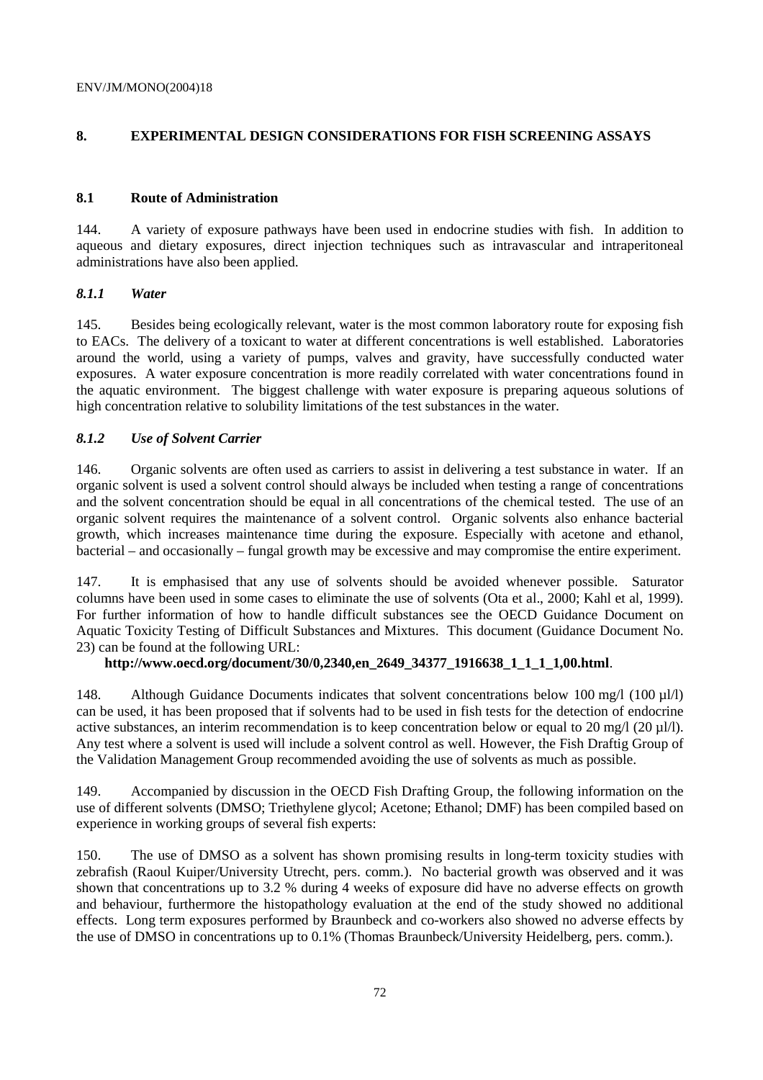# **8. EXPERIMENTAL DESIGN CONSIDERATIONS FOR FISH SCREENING ASSAYS**

### **8.1 Route of Administration**

144. A variety of exposure pathways have been used in endocrine studies with fish. In addition to aqueous and dietary exposures, direct injection techniques such as intravascular and intraperitoneal administrations have also been applied.

# *8.1.1 Water*

145. Besides being ecologically relevant, water is the most common laboratory route for exposing fish to EACs. The delivery of a toxicant to water at different concentrations is well established. Laboratories around the world, using a variety of pumps, valves and gravity, have successfully conducted water exposures. A water exposure concentration is more readily correlated with water concentrations found in the aquatic environment. The biggest challenge with water exposure is preparing aqueous solutions of high concentration relative to solubility limitations of the test substances in the water.

# *8.1.2 Use of Solvent Carrier*

146. Organic solvents are often used as carriers to assist in delivering a test substance in water. If an organic solvent is used a solvent control should always be included when testing a range of concentrations and the solvent concentration should be equal in all concentrations of the chemical tested. The use of an organic solvent requires the maintenance of a solvent control. Organic solvents also enhance bacterial growth, which increases maintenance time during the exposure. Especially with acetone and ethanol, bacterial – and occasionally – fungal growth may be excessive and may compromise the entire experiment.

147. It is emphasised that any use of solvents should be avoided whenever possible. Saturator columns have been used in some cases to eliminate the use of solvents (Ota et al., 2000; Kahl et al, 1999). For further information of how to handle difficult substances see the OECD Guidance Document on Aquatic Toxicity Testing of Difficult Substances and Mixtures. This document (Guidance Document No. 23) can be found at the following URL:

# **http://www.oecd.org/document/30/0,2340,en\_2649\_34377\_1916638\_1\_1\_1\_1,00.html**.

148. Although Guidance Documents indicates that solvent concentrations below 100 mg/l (100 µl/l) can be used, it has been proposed that if solvents had to be used in fish tests for the detection of endocrine active substances, an interim recommendation is to keep concentration below or equal to 20 mg/l (20  $\mu$ l/l). Any test where a solvent is used will include a solvent control as well. However, the Fish Draftig Group of the Validation Management Group recommended avoiding the use of solvents as much as possible.

149. Accompanied by discussion in the OECD Fish Drafting Group, the following information on the use of different solvents (DMSO; Triethylene glycol; Acetone; Ethanol; DMF) has been compiled based on experience in working groups of several fish experts:

150. The use of DMSO as a solvent has shown promising results in long-term toxicity studies with zebrafish (Raoul Kuiper/University Utrecht, pers. comm.). No bacterial growth was observed and it was shown that concentrations up to 3.2 % during 4 weeks of exposure did have no adverse effects on growth and behaviour, furthermore the histopathology evaluation at the end of the study showed no additional effects. Long term exposures performed by Braunbeck and co-workers also showed no adverse effects by the use of DMSO in concentrations up to 0.1% (Thomas Braunbeck/University Heidelberg, pers. comm.).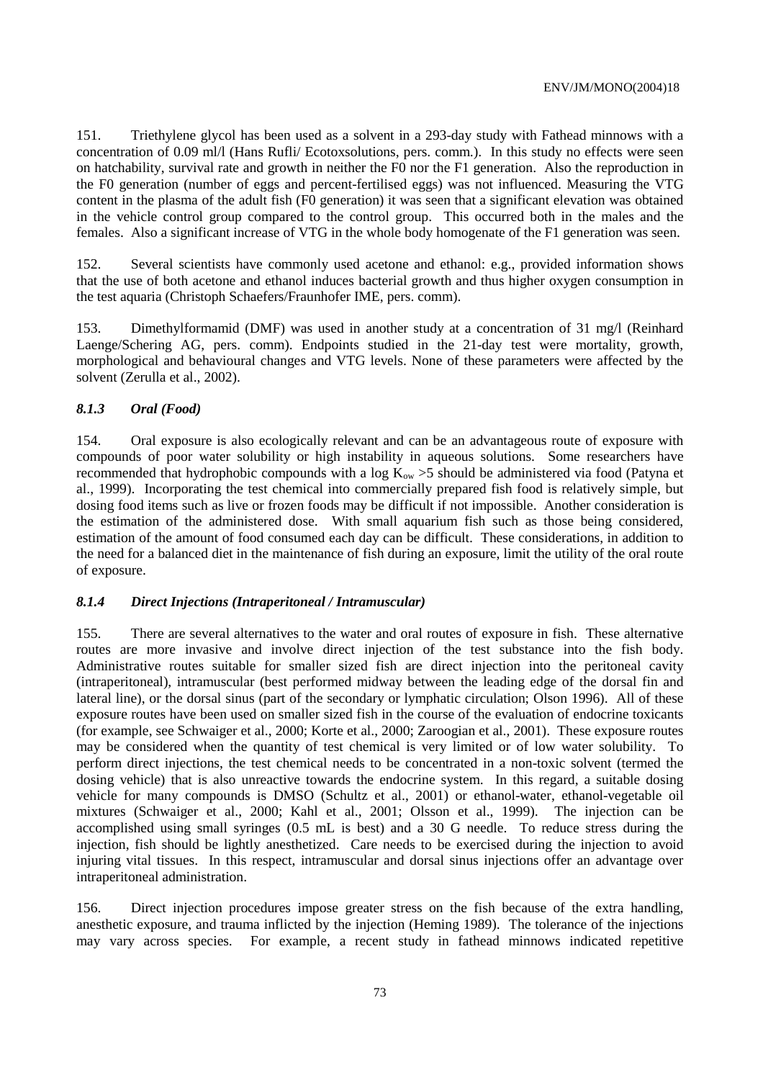151. Triethylene glycol has been used as a solvent in a 293-day study with Fathead minnows with a concentration of 0.09 ml/l (Hans Rufli/ Ecotoxsolutions, pers. comm.). In this study no effects were seen on hatchability, survival rate and growth in neither the F0 nor the F1 generation. Also the reproduction in the F0 generation (number of eggs and percent-fertilised eggs) was not influenced. Measuring the VTG content in the plasma of the adult fish (F0 generation) it was seen that a significant elevation was obtained in the vehicle control group compared to the control group. This occurred both in the males and the females. Also a significant increase of VTG in the whole body homogenate of the F1 generation was seen.

152. Several scientists have commonly used acetone and ethanol: e.g., provided information shows that the use of both acetone and ethanol induces bacterial growth and thus higher oxygen consumption in the test aquaria (Christoph Schaefers/Fraunhofer IME, pers. comm).

153. Dimethylformamid (DMF) was used in another study at a concentration of 31 mg/l (Reinhard Laenge/Schering AG, pers. comm). Endpoints studied in the 21-day test were mortality, growth, morphological and behavioural changes and VTG levels. None of these parameters were affected by the solvent (Zerulla et al., 2002).

#### *8.1.3 Oral (Food)*

154. Oral exposure is also ecologically relevant and can be an advantageous route of exposure with compounds of poor water solubility or high instability in aqueous solutions. Some researchers have recommended that hydrophobic compounds with a log  $K_{ow} > 5$  should be administered via food (Patyna et al., 1999). Incorporating the test chemical into commercially prepared fish food is relatively simple, but dosing food items such as live or frozen foods may be difficult if not impossible. Another consideration is the estimation of the administered dose. With small aquarium fish such as those being considered, estimation of the amount of food consumed each day can be difficult. These considerations, in addition to the need for a balanced diet in the maintenance of fish during an exposure, limit the utility of the oral route of exposure.

#### *8.1.4 Direct Injections (Intraperitoneal / Intramuscular)*

155. There are several alternatives to the water and oral routes of exposure in fish. These alternative routes are more invasive and involve direct injection of the test substance into the fish body. Administrative routes suitable for smaller sized fish are direct injection into the peritoneal cavity (intraperitoneal), intramuscular (best performed midway between the leading edge of the dorsal fin and lateral line), or the dorsal sinus (part of the secondary or lymphatic circulation; Olson 1996). All of these exposure routes have been used on smaller sized fish in the course of the evaluation of endocrine toxicants (for example, see Schwaiger et al., 2000; Korte et al., 2000; Zaroogian et al., 2001). These exposure routes may be considered when the quantity of test chemical is very limited or of low water solubility. To perform direct injections, the test chemical needs to be concentrated in a non-toxic solvent (termed the dosing vehicle) that is also unreactive towards the endocrine system. In this regard, a suitable dosing vehicle for many compounds is DMSO (Schultz et al., 2001) or ethanol-water, ethanol-vegetable oil mixtures (Schwaiger et al., 2000; Kahl et al., 2001; Olsson et al., 1999). The injection can be accomplished using small syringes (0.5 mL is best) and a 30 G needle. To reduce stress during the injection, fish should be lightly anesthetized. Care needs to be exercised during the injection to avoid injuring vital tissues. In this respect, intramuscular and dorsal sinus injections offer an advantage over intraperitoneal administration.

156. Direct injection procedures impose greater stress on the fish because of the extra handling, anesthetic exposure, and trauma inflicted by the injection (Heming 1989). The tolerance of the injections may vary across species. For example, a recent study in fathead minnows indicated repetitive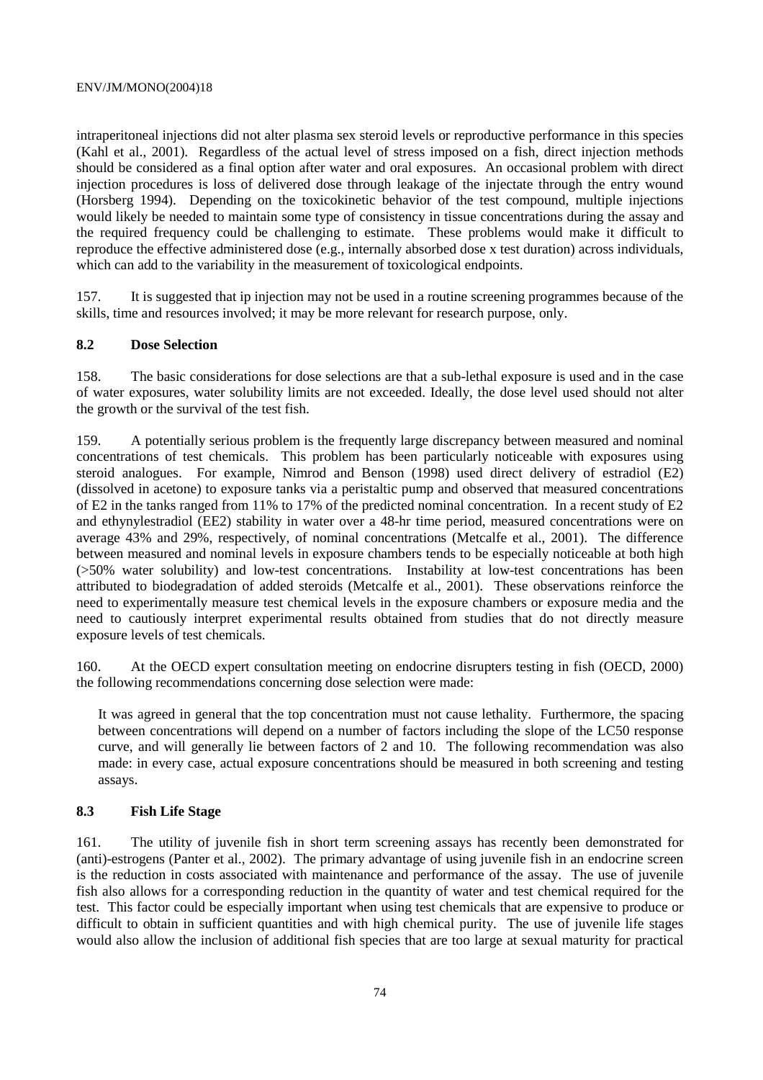#### ENV/JM/MONO(2004)18

intraperitoneal injections did not alter plasma sex steroid levels or reproductive performance in this species (Kahl et al., 2001). Regardless of the actual level of stress imposed on a fish, direct injection methods should be considered as a final option after water and oral exposures. An occasional problem with direct injection procedures is loss of delivered dose through leakage of the injectate through the entry wound (Horsberg 1994). Depending on the toxicokinetic behavior of the test compound, multiple injections would likely be needed to maintain some type of consistency in tissue concentrations during the assay and the required frequency could be challenging to estimate. These problems would make it difficult to reproduce the effective administered dose (e.g., internally absorbed dose x test duration) across individuals, which can add to the variability in the measurement of toxicological endpoints.

157. It is suggested that ip injection may not be used in a routine screening programmes because of the skills, time and resources involved; it may be more relevant for research purpose, only.

# **8.2 Dose Selection**

158. The basic considerations for dose selections are that a sub-lethal exposure is used and in the case of water exposures, water solubility limits are not exceeded. Ideally, the dose level used should not alter the growth or the survival of the test fish.

159. A potentially serious problem is the frequently large discrepancy between measured and nominal concentrations of test chemicals. This problem has been particularly noticeable with exposures using steroid analogues. For example, Nimrod and Benson (1998) used direct delivery of estradiol (E2) (dissolved in acetone) to exposure tanks via a peristaltic pump and observed that measured concentrations of E2 in the tanks ranged from 11% to 17% of the predicted nominal concentration. In a recent study of E2 and ethynylestradiol (EE2) stability in water over a 48-hr time period, measured concentrations were on average 43% and 29%, respectively, of nominal concentrations (Metcalfe et al., 2001). The difference between measured and nominal levels in exposure chambers tends to be especially noticeable at both high (>50% water solubility) and low-test concentrations. Instability at low-test concentrations has been attributed to biodegradation of added steroids (Metcalfe et al., 2001). These observations reinforce the need to experimentally measure test chemical levels in the exposure chambers or exposure media and the need to cautiously interpret experimental results obtained from studies that do not directly measure exposure levels of test chemicals.

160. At the OECD expert consultation meeting on endocrine disrupters testing in fish (OECD, 2000) the following recommendations concerning dose selection were made:

It was agreed in general that the top concentration must not cause lethality. Furthermore, the spacing between concentrations will depend on a number of factors including the slope of the LC50 response curve, and will generally lie between factors of 2 and 10. The following recommendation was also made: in every case, actual exposure concentrations should be measured in both screening and testing assays.

# **8.3 Fish Life Stage**

161. The utility of juvenile fish in short term screening assays has recently been demonstrated for (anti)-estrogens (Panter et al., 2002). The primary advantage of using juvenile fish in an endocrine screen is the reduction in costs associated with maintenance and performance of the assay. The use of juvenile fish also allows for a corresponding reduction in the quantity of water and test chemical required for the test. This factor could be especially important when using test chemicals that are expensive to produce or difficult to obtain in sufficient quantities and with high chemical purity. The use of juvenile life stages would also allow the inclusion of additional fish species that are too large at sexual maturity for practical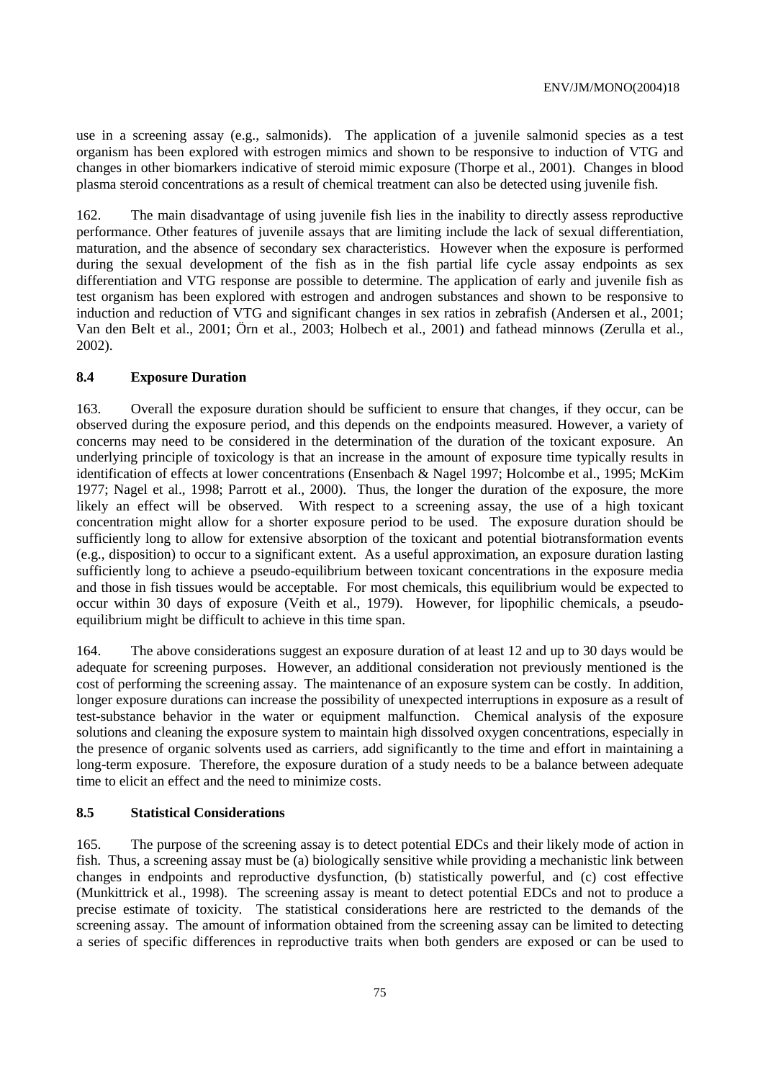use in a screening assay (e.g., salmonids). The application of a juvenile salmonid species as a test organism has been explored with estrogen mimics and shown to be responsive to induction of VTG and changes in other biomarkers indicative of steroid mimic exposure (Thorpe et al., 2001). Changes in blood plasma steroid concentrations as a result of chemical treatment can also be detected using juvenile fish.

162. The main disadvantage of using juvenile fish lies in the inability to directly assess reproductive performance. Other features of juvenile assays that are limiting include the lack of sexual differentiation, maturation, and the absence of secondary sex characteristics. However when the exposure is performed during the sexual development of the fish as in the fish partial life cycle assay endpoints as sex differentiation and VTG response are possible to determine. The application of early and juvenile fish as test organism has been explored with estrogen and androgen substances and shown to be responsive to induction and reduction of VTG and significant changes in sex ratios in zebrafish (Andersen et al., 2001; Van den Belt et al., 2001; Örn et al., 2003; Holbech et al., 2001) and fathead minnows (Zerulla et al., 2002).

#### **8.4 Exposure Duration**

163. Overall the exposure duration should be sufficient to ensure that changes, if they occur, can be observed during the exposure period, and this depends on the endpoints measured. However, a variety of concerns may need to be considered in the determination of the duration of the toxicant exposure. An underlying principle of toxicology is that an increase in the amount of exposure time typically results in identification of effects at lower concentrations (Ensenbach & Nagel 1997; Holcombe et al., 1995; McKim 1977; Nagel et al., 1998; Parrott et al., 2000). Thus, the longer the duration of the exposure, the more likely an effect will be observed. With respect to a screening assay, the use of a high toxicant concentration might allow for a shorter exposure period to be used. The exposure duration should be sufficiently long to allow for extensive absorption of the toxicant and potential biotransformation events (e.g., disposition) to occur to a significant extent. As a useful approximation, an exposure duration lasting sufficiently long to achieve a pseudo-equilibrium between toxicant concentrations in the exposure media and those in fish tissues would be acceptable. For most chemicals, this equilibrium would be expected to occur within 30 days of exposure (Veith et al., 1979). However, for lipophilic chemicals, a pseudoequilibrium might be difficult to achieve in this time span.

164. The above considerations suggest an exposure duration of at least 12 and up to 30 days would be adequate for screening purposes. However, an additional consideration not previously mentioned is the cost of performing the screening assay. The maintenance of an exposure system can be costly. In addition, longer exposure durations can increase the possibility of unexpected interruptions in exposure as a result of test-substance behavior in the water or equipment malfunction. Chemical analysis of the exposure solutions and cleaning the exposure system to maintain high dissolved oxygen concentrations, especially in the presence of organic solvents used as carriers, add significantly to the time and effort in maintaining a long-term exposure. Therefore, the exposure duration of a study needs to be a balance between adequate time to elicit an effect and the need to minimize costs.

# **8.5 Statistical Considerations**

165. The purpose of the screening assay is to detect potential EDCs and their likely mode of action in fish. Thus, a screening assay must be (a) biologically sensitive while providing a mechanistic link between changes in endpoints and reproductive dysfunction, (b) statistically powerful, and (c) cost effective (Munkittrick et al., 1998). The screening assay is meant to detect potential EDCs and not to produce a precise estimate of toxicity. The statistical considerations here are restricted to the demands of the screening assay. The amount of information obtained from the screening assay can be limited to detecting a series of specific differences in reproductive traits when both genders are exposed or can be used to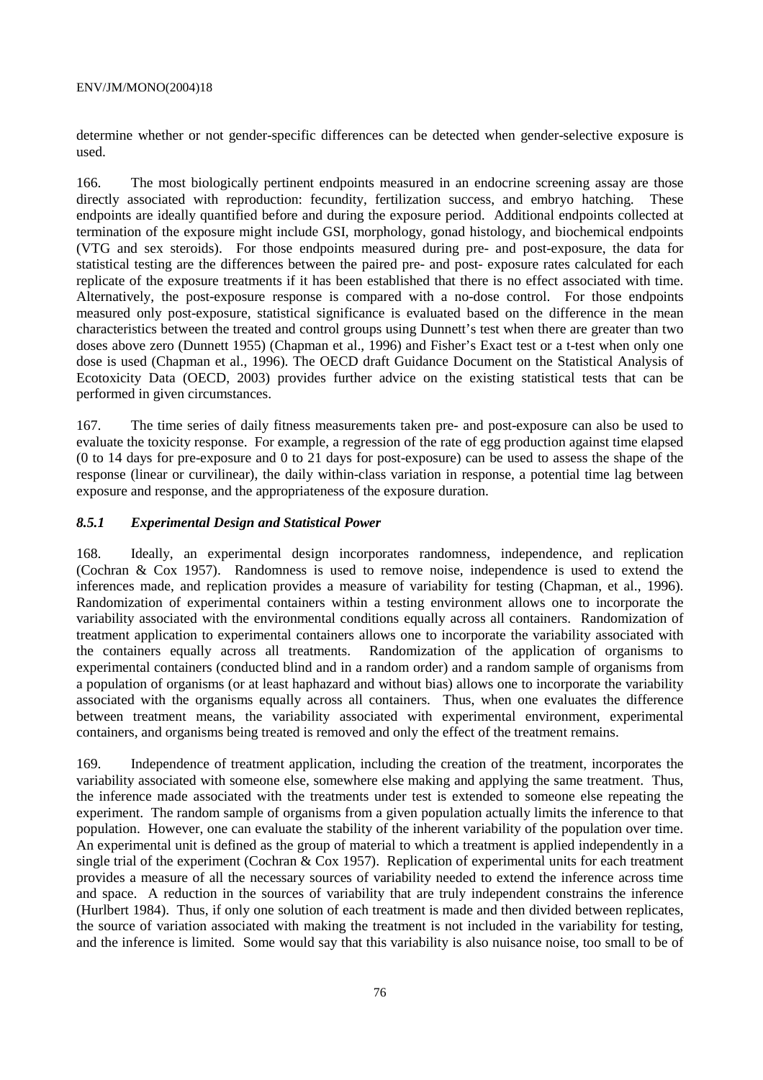determine whether or not gender-specific differences can be detected when gender-selective exposure is used.

166. The most biologically pertinent endpoints measured in an endocrine screening assay are those directly associated with reproduction: fecundity, fertilization success, and embryo hatching. These endpoints are ideally quantified before and during the exposure period. Additional endpoints collected at termination of the exposure might include GSI, morphology, gonad histology, and biochemical endpoints (VTG and sex steroids). For those endpoints measured during pre- and post-exposure, the data for statistical testing are the differences between the paired pre- and post- exposure rates calculated for each replicate of the exposure treatments if it has been established that there is no effect associated with time. Alternatively, the post-exposure response is compared with a no-dose control. For those endpoints measured only post-exposure, statistical significance is evaluated based on the difference in the mean characteristics between the treated and control groups using Dunnett's test when there are greater than two doses above zero (Dunnett 1955) (Chapman et al., 1996) and Fisher's Exact test or a t-test when only one dose is used (Chapman et al., 1996). The OECD draft Guidance Document on the Statistical Analysis of Ecotoxicity Data (OECD, 2003) provides further advice on the existing statistical tests that can be performed in given circumstances.

167. The time series of daily fitness measurements taken pre- and post-exposure can also be used to evaluate the toxicity response. For example, a regression of the rate of egg production against time elapsed (0 to 14 days for pre-exposure and 0 to 21 days for post-exposure) can be used to assess the shape of the response (linear or curvilinear), the daily within-class variation in response, a potential time lag between exposure and response, and the appropriateness of the exposure duration.

# *8.5.1 Experimental Design and Statistical Power*

168. Ideally, an experimental design incorporates randomness, independence, and replication (Cochran & Cox 1957). Randomness is used to remove noise, independence is used to extend the inferences made, and replication provides a measure of variability for testing (Chapman, et al., 1996). Randomization of experimental containers within a testing environment allows one to incorporate the variability associated with the environmental conditions equally across all containers. Randomization of treatment application to experimental containers allows one to incorporate the variability associated with the containers equally across all treatments. Randomization of the application of organisms to experimental containers (conducted blind and in a random order) and a random sample of organisms from a population of organisms (or at least haphazard and without bias) allows one to incorporate the variability associated with the organisms equally across all containers. Thus, when one evaluates the difference between treatment means, the variability associated with experimental environment, experimental containers, and organisms being treated is removed and only the effect of the treatment remains.

169. Independence of treatment application, including the creation of the treatment, incorporates the variability associated with someone else, somewhere else making and applying the same treatment. Thus, the inference made associated with the treatments under test is extended to someone else repeating the experiment. The random sample of organisms from a given population actually limits the inference to that population. However, one can evaluate the stability of the inherent variability of the population over time. An experimental unit is defined as the group of material to which a treatment is applied independently in a single trial of the experiment (Cochran & Cox 1957). Replication of experimental units for each treatment provides a measure of all the necessary sources of variability needed to extend the inference across time and space. A reduction in the sources of variability that are truly independent constrains the inference (Hurlbert 1984). Thus, if only one solution of each treatment is made and then divided between replicates, the source of variation associated with making the treatment is not included in the variability for testing, and the inference is limited. Some would say that this variability is also nuisance noise, too small to be of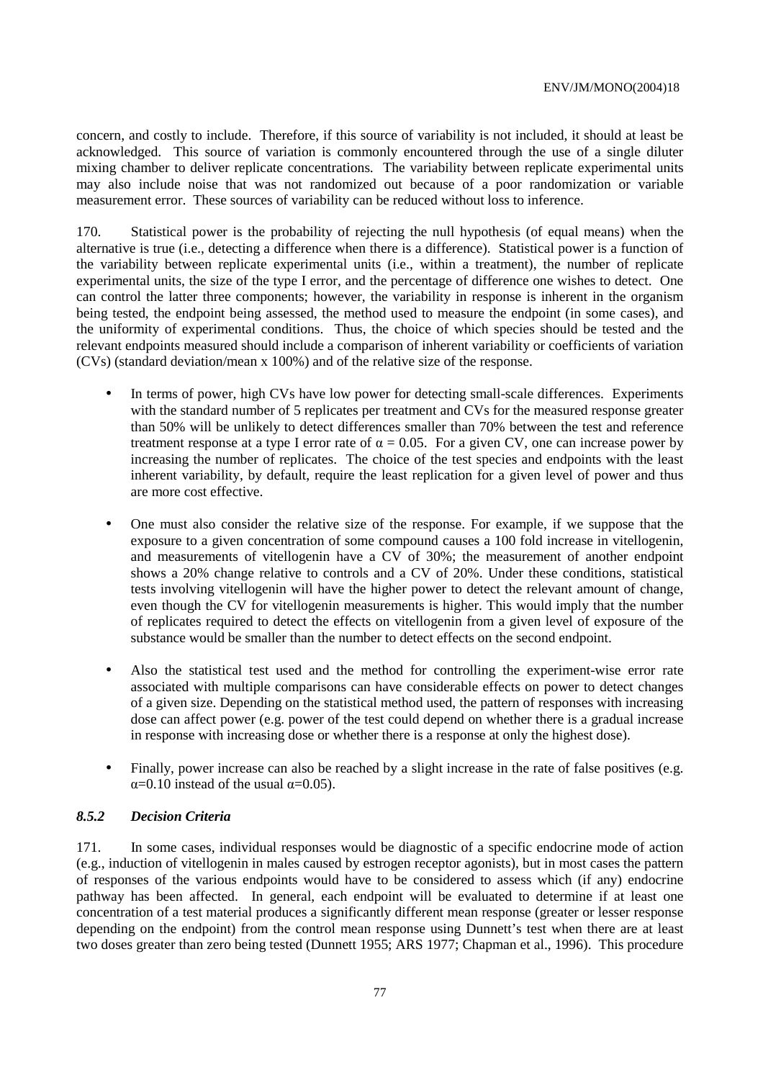concern, and costly to include. Therefore, if this source of variability is not included, it should at least be acknowledged. This source of variation is commonly encountered through the use of a single diluter mixing chamber to deliver replicate concentrations. The variability between replicate experimental units may also include noise that was not randomized out because of a poor randomization or variable measurement error. These sources of variability can be reduced without loss to inference.

170. Statistical power is the probability of rejecting the null hypothesis (of equal means) when the alternative is true (i.e., detecting a difference when there is a difference). Statistical power is a function of the variability between replicate experimental units (i.e., within a treatment), the number of replicate experimental units, the size of the type I error, and the percentage of difference one wishes to detect. One can control the latter three components; however, the variability in response is inherent in the organism being tested, the endpoint being assessed, the method used to measure the endpoint (in some cases), and the uniformity of experimental conditions. Thus, the choice of which species should be tested and the relevant endpoints measured should include a comparison of inherent variability or coefficients of variation (CVs) (standard deviation/mean x 100%) and of the relative size of the response.

- In terms of power, high CVs have low power for detecting small-scale differences. Experiments with the standard number of 5 replicates per treatment and CVs for the measured response greater than 50% will be unlikely to detect differences smaller than 70% between the test and reference treatment response at a type I error rate of  $\alpha = 0.05$ . For a given CV, one can increase power by increasing the number of replicates. The choice of the test species and endpoints with the least inherent variability, by default, require the least replication for a given level of power and thus are more cost effective.
- One must also consider the relative size of the response. For example, if we suppose that the exposure to a given concentration of some compound causes a 100 fold increase in vitellogenin, and measurements of vitellogenin have a CV of 30%; the measurement of another endpoint shows a 20% change relative to controls and a CV of 20%. Under these conditions, statistical tests involving vitellogenin will have the higher power to detect the relevant amount of change, even though the CV for vitellogenin measurements is higher. This would imply that the number of replicates required to detect the effects on vitellogenin from a given level of exposure of the substance would be smaller than the number to detect effects on the second endpoint.
- Also the statistical test used and the method for controlling the experiment-wise error rate associated with multiple comparisons can have considerable effects on power to detect changes of a given size. Depending on the statistical method used, the pattern of responses with increasing dose can affect power (e.g. power of the test could depend on whether there is a gradual increase in response with increasing dose or whether there is a response at only the highest dose).
- Finally, power increase can also be reached by a slight increase in the rate of false positives (e.g.  $\alpha$ =0.10 instead of the usual  $\alpha$ =0.05).

# *8.5.2 Decision Criteria*

171. In some cases, individual responses would be diagnostic of a specific endocrine mode of action (e.g., induction of vitellogenin in males caused by estrogen receptor agonists), but in most cases the pattern of responses of the various endpoints would have to be considered to assess which (if any) endocrine pathway has been affected. In general, each endpoint will be evaluated to determine if at least one concentration of a test material produces a significantly different mean response (greater or lesser response depending on the endpoint) from the control mean response using Dunnett's test when there are at least two doses greater than zero being tested (Dunnett 1955; ARS 1977; Chapman et al., 1996). This procedure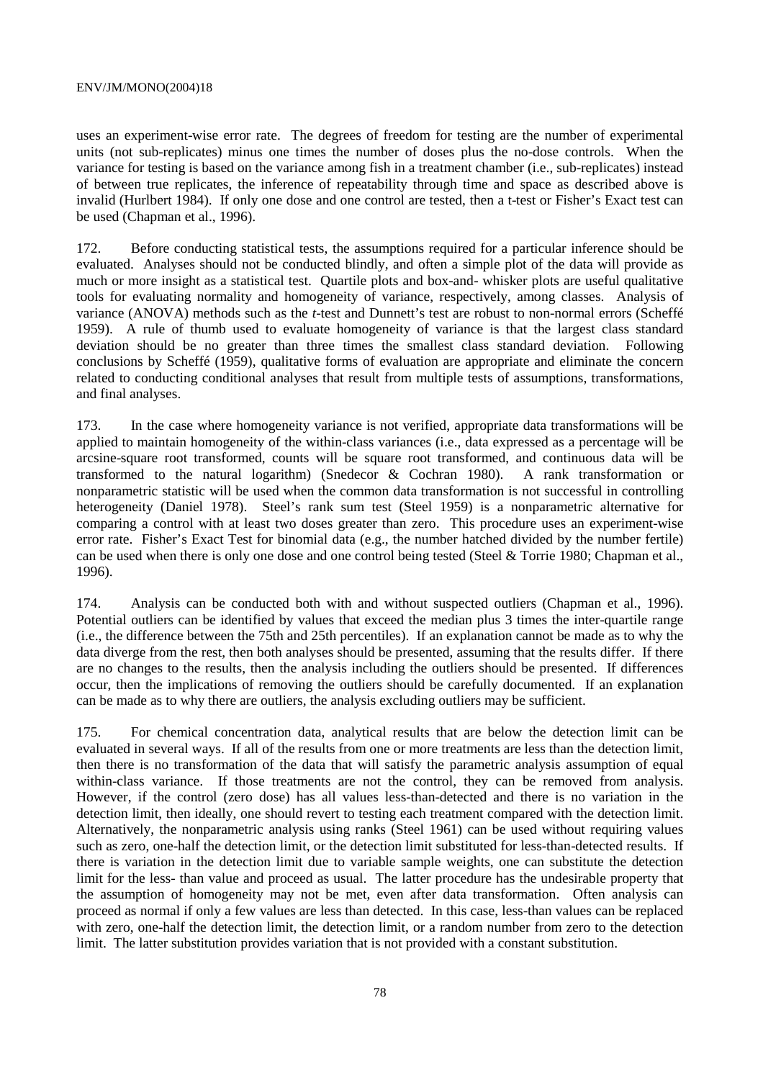#### ENV/JM/MONO(2004)18

uses an experiment-wise error rate. The degrees of freedom for testing are the number of experimental units (not sub-replicates) minus one times the number of doses plus the no-dose controls. When the variance for testing is based on the variance among fish in a treatment chamber (i.e., sub-replicates) instead of between true replicates, the inference of repeatability through time and space as described above is invalid (Hurlbert 1984). If only one dose and one control are tested, then a t-test or Fisher's Exact test can be used (Chapman et al., 1996).

172. Before conducting statistical tests, the assumptions required for a particular inference should be evaluated. Analyses should not be conducted blindly, and often a simple plot of the data will provide as much or more insight as a statistical test. Quartile plots and box-and- whisker plots are useful qualitative tools for evaluating normality and homogeneity of variance, respectively, among classes. Analysis of variance (ANOVA) methods such as the *t*-test and Dunnett's test are robust to non-normal errors (Scheffé 1959). A rule of thumb used to evaluate homogeneity of variance is that the largest class standard deviation should be no greater than three times the smallest class standard deviation. Following conclusions by Scheffé (1959), qualitative forms of evaluation are appropriate and eliminate the concern related to conducting conditional analyses that result from multiple tests of assumptions, transformations, and final analyses.

173. In the case where homogeneity variance is not verified, appropriate data transformations will be applied to maintain homogeneity of the within-class variances (i.e., data expressed as a percentage will be arcsine-square root transformed, counts will be square root transformed, and continuous data will be transformed to the natural logarithm) (Snedecor & Cochran 1980). A rank transformation or nonparametric statistic will be used when the common data transformation is not successful in controlling heterogeneity (Daniel 1978). Steel's rank sum test (Steel 1959) is a nonparametric alternative for comparing a control with at least two doses greater than zero. This procedure uses an experiment-wise error rate. Fisher's Exact Test for binomial data (e.g., the number hatched divided by the number fertile) can be used when there is only one dose and one control being tested (Steel & Torrie 1980; Chapman et al., 1996).

174. Analysis can be conducted both with and without suspected outliers (Chapman et al., 1996). Potential outliers can be identified by values that exceed the median plus 3 times the inter-quartile range (i.e., the difference between the 75th and 25th percentiles). If an explanation cannot be made as to why the data diverge from the rest, then both analyses should be presented, assuming that the results differ. If there are no changes to the results, then the analysis including the outliers should be presented. If differences occur, then the implications of removing the outliers should be carefully documented. If an explanation can be made as to why there are outliers, the analysis excluding outliers may be sufficient.

175. For chemical concentration data, analytical results that are below the detection limit can be evaluated in several ways. If all of the results from one or more treatments are less than the detection limit, then there is no transformation of the data that will satisfy the parametric analysis assumption of equal within-class variance. If those treatments are not the control, they can be removed from analysis. However, if the control (zero dose) has all values less-than-detected and there is no variation in the detection limit, then ideally, one should revert to testing each treatment compared with the detection limit. Alternatively, the nonparametric analysis using ranks (Steel 1961) can be used without requiring values such as zero, one-half the detection limit, or the detection limit substituted for less-than-detected results. If there is variation in the detection limit due to variable sample weights, one can substitute the detection limit for the less- than value and proceed as usual. The latter procedure has the undesirable property that the assumption of homogeneity may not be met, even after data transformation. Often analysis can proceed as normal if only a few values are less than detected. In this case, less-than values can be replaced with zero, one-half the detection limit, the detection limit, or a random number from zero to the detection limit. The latter substitution provides variation that is not provided with a constant substitution.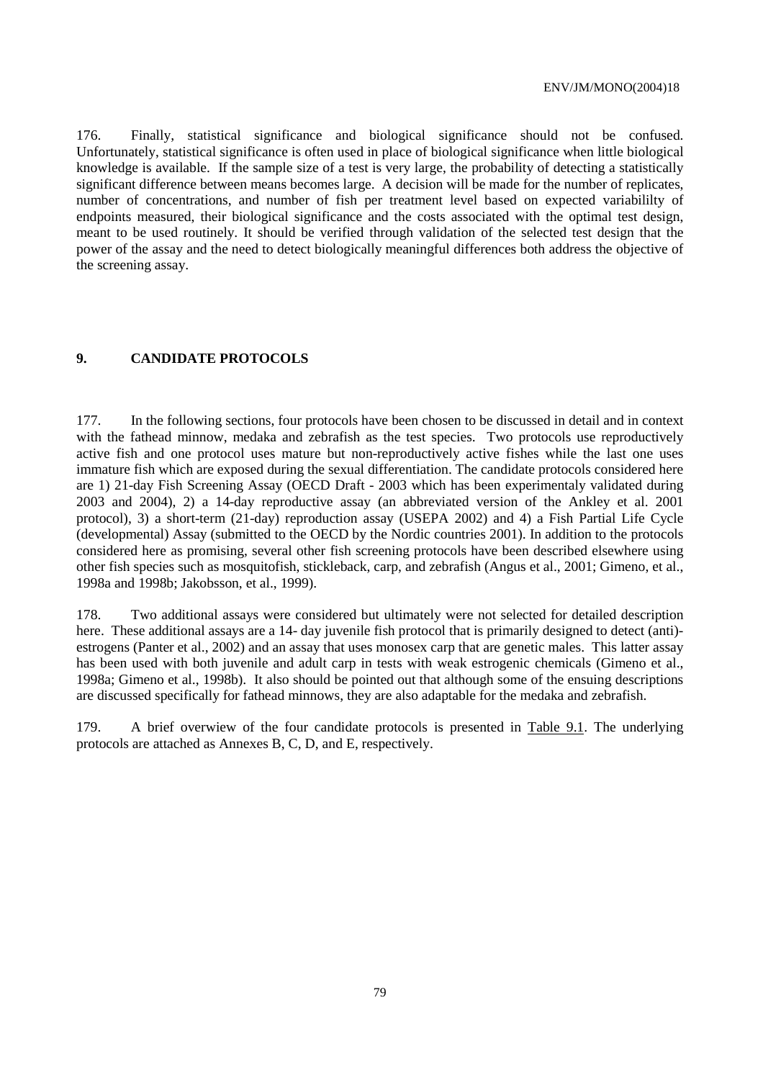176. Finally, statistical significance and biological significance should not be confused. Unfortunately, statistical significance is often used in place of biological significance when little biological knowledge is available. If the sample size of a test is very large, the probability of detecting a statistically significant difference between means becomes large. A decision will be made for the number of replicates, number of concentrations, and number of fish per treatment level based on expected variabililty of endpoints measured, their biological significance and the costs associated with the optimal test design, meant to be used routinely. It should be verified through validation of the selected test design that the power of the assay and the need to detect biologically meaningful differences both address the objective of the screening assay.

# **9. CANDIDATE PROTOCOLS**

177. In the following sections, four protocols have been chosen to be discussed in detail and in context with the fathead minnow, medaka and zebrafish as the test species. Two protocols use reproductively active fish and one protocol uses mature but non-reproductively active fishes while the last one uses immature fish which are exposed during the sexual differentiation. The candidate protocols considered here are 1) 21-day Fish Screening Assay (OECD Draft - 2003 which has been experimentaly validated during 2003 and 2004), 2) a 14-day reproductive assay (an abbreviated version of the Ankley et al. 2001 protocol), 3) a short-term (21-day) reproduction assay (USEPA 2002) and 4) a Fish Partial Life Cycle (developmental) Assay (submitted to the OECD by the Nordic countries 2001). In addition to the protocols considered here as promising, several other fish screening protocols have been described elsewhere using other fish species such as mosquitofish, stickleback, carp, and zebrafish (Angus et al., 2001; Gimeno, et al., 1998a and 1998b; Jakobsson, et al., 1999).

178. Two additional assays were considered but ultimately were not selected for detailed description here. These additional assays are a 14- day juvenile fish protocol that is primarily designed to detect (anti)estrogens (Panter et al., 2002) and an assay that uses monosex carp that are genetic males. This latter assay has been used with both juvenile and adult carp in tests with weak estrogenic chemicals (Gimeno et al., 1998a; Gimeno et al., 1998b). It also should be pointed out that although some of the ensuing descriptions are discussed specifically for fathead minnows, they are also adaptable for the medaka and zebrafish.

179. A brief overwiew of the four candidate protocols is presented in Table 9.1. The underlying protocols are attached as Annexes B, C, D, and E, respectively.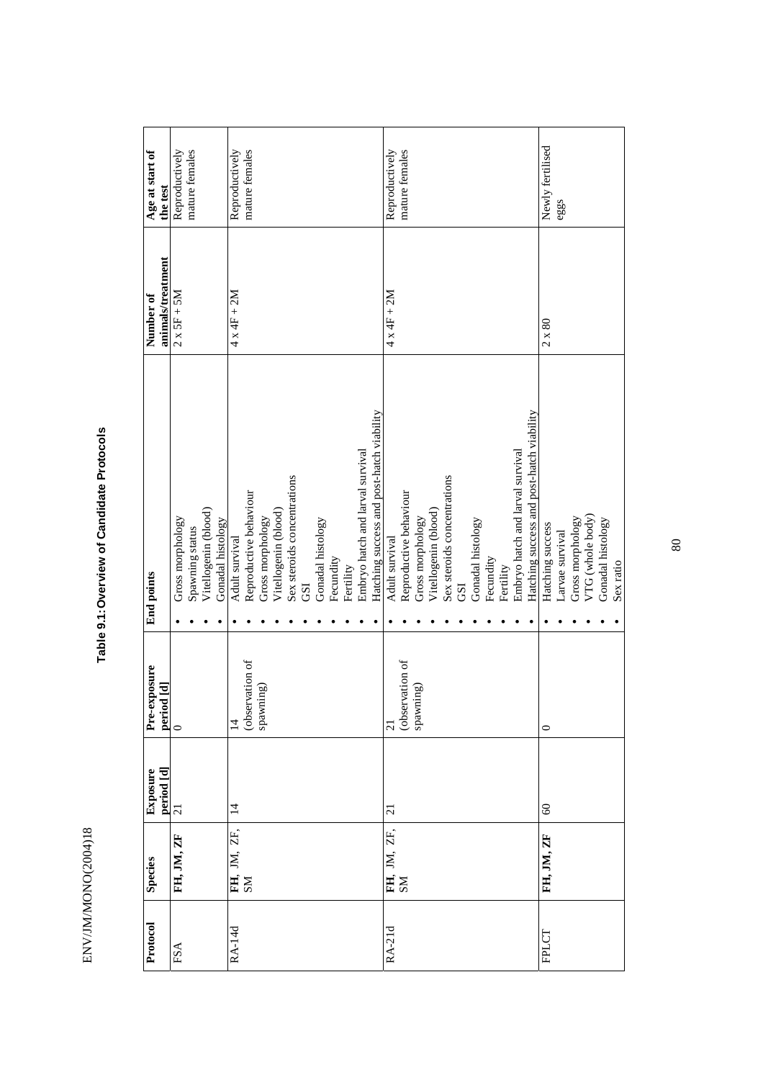| $\circ$<br>$\overline{ }$<br>Ŕ |
|--------------------------------|
|                                |
|                                |
|                                |
|                                |
| Î                              |
|                                |
|                                |
|                                |
|                                |
|                                |
|                                |
|                                |
|                                |
|                                |
|                                |
|                                |
|                                |
|                                |
|                                |
|                                |
|                                |

# Table 9.1: Overview of Candidate Protocols **Table 9.1: Overview of Candidate Protocols**

| Protocol     | <b>Species</b>    | $\begin{array}{ l } \hline \text{period [d]} \\ \hline 21 \\ \hline \end{array}$<br>Exposure | Pre-exposure<br>$\begin{array}{c} \hspace{.2cm} \textbf{period [d]} \\ \hline 0 \end{array}$ | <b>End</b> points                         | animals/treatment<br>Number of | Age at start of<br>the test |
|--------------|-------------------|----------------------------------------------------------------------------------------------|----------------------------------------------------------------------------------------------|-------------------------------------------|--------------------------------|-----------------------------|
| $_{\rm FSA}$ | FH, JM, ZF        |                                                                                              |                                                                                              | Gross morphology                          | $2 \times 5F + 5M$             | Reproductively              |
|              |                   |                                                                                              |                                                                                              | Spawning status                           |                                | mature females              |
|              |                   |                                                                                              |                                                                                              | Vitellogenin (blood)                      |                                |                             |
|              |                   |                                                                                              |                                                                                              | Gonadal histology                         |                                |                             |
| RA-14d       | FH, JM, ZF,<br>SM | $\overline{4}$                                                                               | $\overline{1}$                                                                               | Adult survival                            | $4 \times 4F + 2M$             | Reproductively              |
|              |                   |                                                                                              | (observation of                                                                              | Reproductive behaviour                    |                                | mature females              |
|              |                   |                                                                                              | spawning)                                                                                    | Gross morphology                          |                                |                             |
|              |                   |                                                                                              |                                                                                              | Vitellogenin (blood)                      |                                |                             |
|              |                   |                                                                                              |                                                                                              | Sex steroids concentrations               |                                |                             |
|              |                   |                                                                                              |                                                                                              | GSI                                       |                                |                             |
|              |                   |                                                                                              |                                                                                              | Gonadal histology                         |                                |                             |
|              |                   |                                                                                              |                                                                                              | Fecundity                                 |                                |                             |
|              |                   |                                                                                              |                                                                                              | Fertility                                 |                                |                             |
|              |                   |                                                                                              |                                                                                              | Embryo hatch and larval survival          |                                |                             |
|              |                   |                                                                                              |                                                                                              | Hatching success and post-hatch viability |                                |                             |
| RA-21d       |                   | $\overline{c}$                                                                               | $\overline{21}$                                                                              | Adult survival                            | $4 \times 4F + 2M$             | Reproductively              |
|              | FH, JM, ZF,<br>SM |                                                                                              | (observation of                                                                              | Reproductive behaviour                    |                                | mature females              |
|              |                   |                                                                                              | spawning)                                                                                    |                                           |                                |                             |
|              |                   |                                                                                              |                                                                                              | Gross morphology                          |                                |                             |
|              |                   |                                                                                              |                                                                                              | Vitellogenin (blood)                      |                                |                             |
|              |                   |                                                                                              |                                                                                              | Sex steroids concentrations               |                                |                             |
|              |                   |                                                                                              |                                                                                              | GSI                                       |                                |                             |
|              |                   |                                                                                              |                                                                                              | Gonadal histology                         |                                |                             |
|              |                   |                                                                                              |                                                                                              | Fecundity                                 |                                |                             |
|              |                   |                                                                                              |                                                                                              | Fertility                                 |                                |                             |
|              |                   |                                                                                              |                                                                                              | Embryo hatch and larval survival          |                                |                             |
|              |                   |                                                                                              |                                                                                              | Hatching success and post-hatch viability |                                |                             |
| <b>FPLCT</b> | FH, JM, ZF        | $\infty$                                                                                     | $\circ$                                                                                      | Hatching success                          | $2 \times 80$                  | Newly fertilised            |
|              |                   |                                                                                              |                                                                                              | Larvae survival                           |                                | eggs                        |
|              |                   |                                                                                              |                                                                                              | Gross morphology                          |                                |                             |
|              |                   |                                                                                              |                                                                                              | VTG (whole body)                          |                                |                             |
|              |                   |                                                                                              |                                                                                              | Gonadal histology                         |                                |                             |
|              |                   |                                                                                              |                                                                                              | Sex ratio                                 |                                |                             |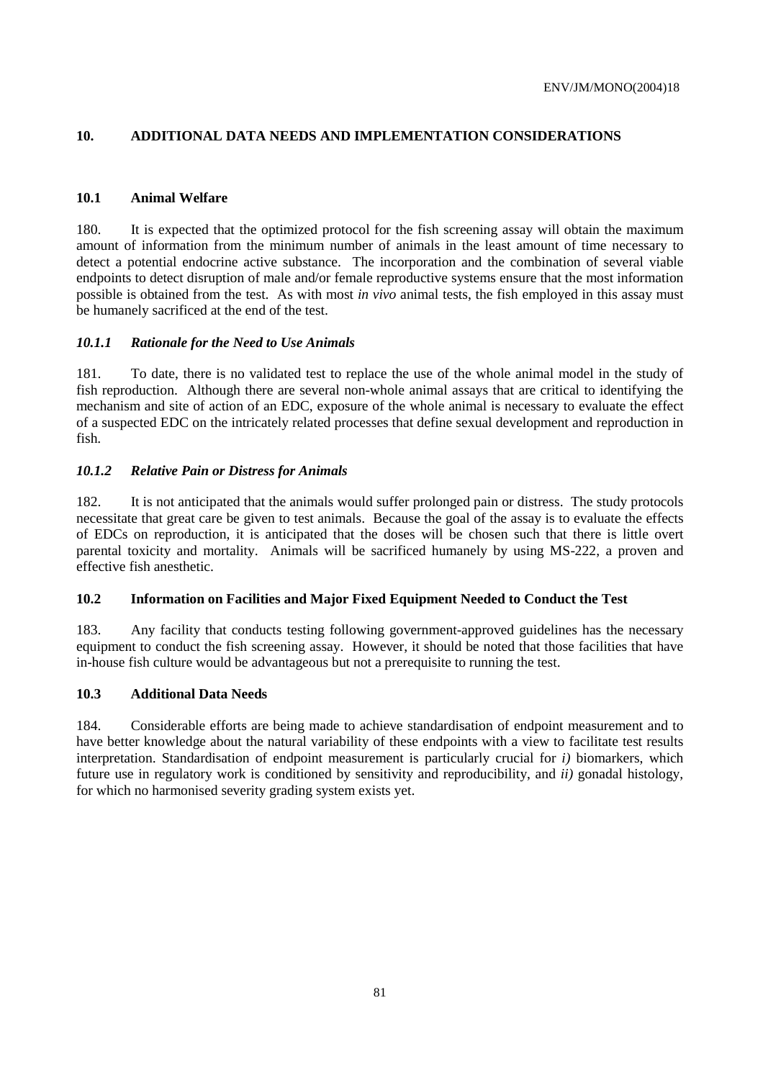# **10. ADDITIONAL DATA NEEDS AND IMPLEMENTATION CONSIDERATIONS**

# **10.1 Animal Welfare**

180. It is expected that the optimized protocol for the fish screening assay will obtain the maximum amount of information from the minimum number of animals in the least amount of time necessary to detect a potential endocrine active substance. The incorporation and the combination of several viable endpoints to detect disruption of male and/or female reproductive systems ensure that the most information possible is obtained from the test. As with most *in vivo* animal tests, the fish employed in this assay must be humanely sacrificed at the end of the test.

# *10.1.1 Rationale for the Need to Use Animals*

181. To date, there is no validated test to replace the use of the whole animal model in the study of fish reproduction. Although there are several non-whole animal assays that are critical to identifying the mechanism and site of action of an EDC, exposure of the whole animal is necessary to evaluate the effect of a suspected EDC on the intricately related processes that define sexual development and reproduction in fish.

# *10.1.2 Relative Pain or Distress for Animals*

182. It is not anticipated that the animals would suffer prolonged pain or distress. The study protocols necessitate that great care be given to test animals. Because the goal of the assay is to evaluate the effects of EDCs on reproduction, it is anticipated that the doses will be chosen such that there is little overt parental toxicity and mortality. Animals will be sacrificed humanely by using MS-222, a proven and effective fish anesthetic.

# **10.2 Information on Facilities and Major Fixed Equipment Needed to Conduct the Test**

183. Any facility that conducts testing following government-approved guidelines has the necessary equipment to conduct the fish screening assay. However, it should be noted that those facilities that have in-house fish culture would be advantageous but not a prerequisite to running the test.

# **10.3 Additional Data Needs**

184. Considerable efforts are being made to achieve standardisation of endpoint measurement and to have better knowledge about the natural variability of these endpoints with a view to facilitate test results interpretation. Standardisation of endpoint measurement is particularly crucial for *i)* biomarkers, which future use in regulatory work is conditioned by sensitivity and reproducibility, and *ii)* gonadal histology, for which no harmonised severity grading system exists yet.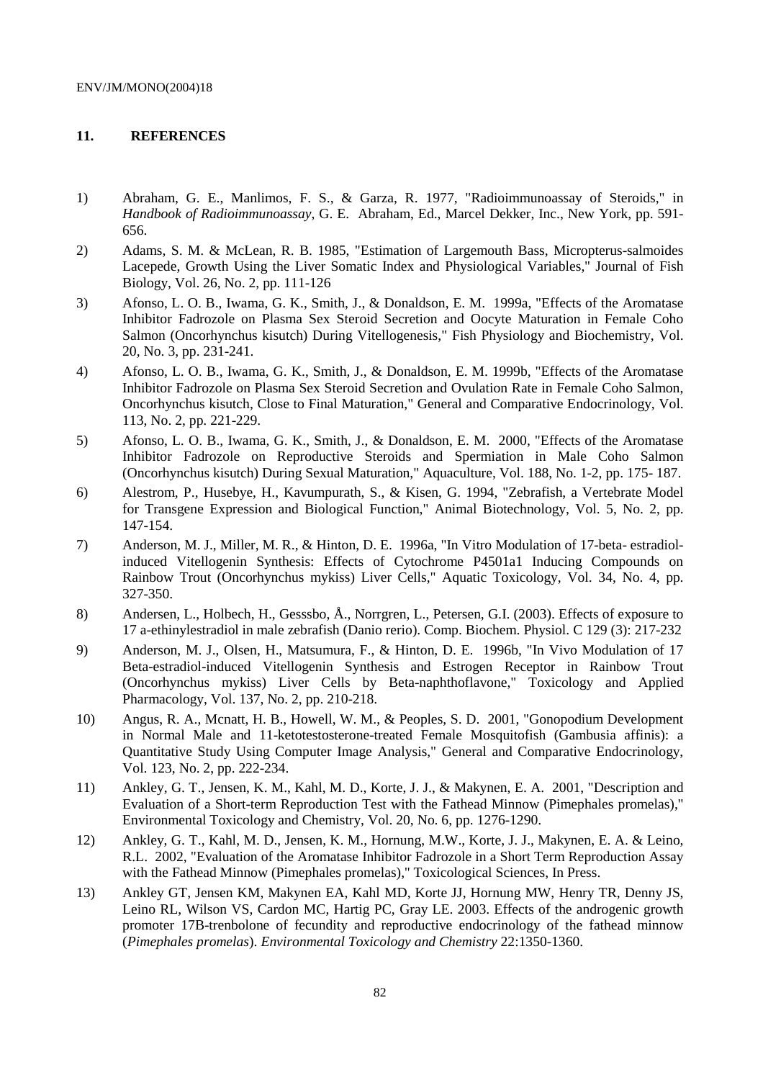# **11. REFERENCES**

- 1) Abraham, G. E., Manlimos, F. S., & Garza, R. 1977, "Radioimmunoassay of Steroids," in *Handbook of Radioimmunoassay*, G. E. Abraham, Ed., Marcel Dekker, Inc., New York, pp. 591- 656.
- 2) Adams, S. M. & McLean, R. B. 1985, "Estimation of Largemouth Bass, Micropterus-salmoides Lacepede, Growth Using the Liver Somatic Index and Physiological Variables," Journal of Fish Biology, Vol. 26, No. 2, pp. 111-126
- 3) Afonso, L. O. B., Iwama, G. K., Smith, J., & Donaldson, E. M. 1999a, "Effects of the Aromatase Inhibitor Fadrozole on Plasma Sex Steroid Secretion and Oocyte Maturation in Female Coho Salmon (Oncorhynchus kisutch) During Vitellogenesis," Fish Physiology and Biochemistry, Vol. 20, No. 3, pp. 231-241.
- 4) Afonso, L. O. B., Iwama, G. K., Smith, J., & Donaldson, E. M. 1999b, "Effects of the Aromatase Inhibitor Fadrozole on Plasma Sex Steroid Secretion and Ovulation Rate in Female Coho Salmon, Oncorhynchus kisutch, Close to Final Maturation," General and Comparative Endocrinology, Vol. 113, No. 2, pp. 221-229.
- 5) Afonso, L. O. B., Iwama, G. K., Smith, J., & Donaldson, E. M. 2000, "Effects of the Aromatase Inhibitor Fadrozole on Reproductive Steroids and Spermiation in Male Coho Salmon (Oncorhynchus kisutch) During Sexual Maturation," Aquaculture, Vol. 188, No. 1-2, pp. 175- 187.
- 6) Alestrom, P., Husebye, H., Kavumpurath, S., & Kisen, G. 1994, "Zebrafish, a Vertebrate Model for Transgene Expression and Biological Function," Animal Biotechnology, Vol. 5, No. 2, pp. 147-154.
- 7) Anderson, M. J., Miller, M. R., & Hinton, D. E. 1996a, "In Vitro Modulation of 17-beta- estradiolinduced Vitellogenin Synthesis: Effects of Cytochrome P4501a1 Inducing Compounds on Rainbow Trout (Oncorhynchus mykiss) Liver Cells," Aquatic Toxicology, Vol. 34, No. 4, pp. 327-350.
- 8) Andersen, L., Holbech, H., Gesssbo, Å., Norrgren, L., Petersen, G.I. (2003). Effects of exposure to 17 a-ethinylestradiol in male zebrafish (Danio rerio). Comp. Biochem. Physiol. C 129 (3): 217-232
- 9) Anderson, M. J., Olsen, H., Matsumura, F., & Hinton, D. E. 1996b, "In Vivo Modulation of 17 Beta-estradiol-induced Vitellogenin Synthesis and Estrogen Receptor in Rainbow Trout (Oncorhynchus mykiss) Liver Cells by Beta-naphthoflavone," Toxicology and Applied Pharmacology, Vol. 137, No. 2, pp. 210-218.
- 10) Angus, R. A., Mcnatt, H. B., Howell, W. M., & Peoples, S. D. 2001, "Gonopodium Development in Normal Male and 11-ketotestosterone-treated Female Mosquitofish (Gambusia affinis): a Quantitative Study Using Computer Image Analysis," General and Comparative Endocrinology, Vol. 123, No. 2, pp. 222-234.
- 11) Ankley, G. T., Jensen, K. M., Kahl, M. D., Korte, J. J., & Makynen, E. A. 2001, "Description and Evaluation of a Short-term Reproduction Test with the Fathead Minnow (Pimephales promelas)," Environmental Toxicology and Chemistry, Vol. 20, No. 6, pp. 1276-1290.
- 12) Ankley, G. T., Kahl, M. D., Jensen, K. M., Hornung, M.W., Korte, J. J., Makynen, E. A. & Leino, R.L. 2002, "Evaluation of the Aromatase Inhibitor Fadrozole in a Short Term Reproduction Assay with the Fathead Minnow (Pimephales promelas)," Toxicological Sciences, In Press.
- 13) Ankley GT, Jensen KM, Makynen EA, Kahl MD, Korte JJ, Hornung MW, Henry TR, Denny JS, Leino RL, Wilson VS, Cardon MC, Hartig PC, Gray LE. 2003. Effects of the androgenic growth promoter 17B-trenbolone of fecundity and reproductive endocrinology of the fathead minnow (*Pimephales promelas*). *Environmental Toxicology and Chemistry* 22:1350-1360.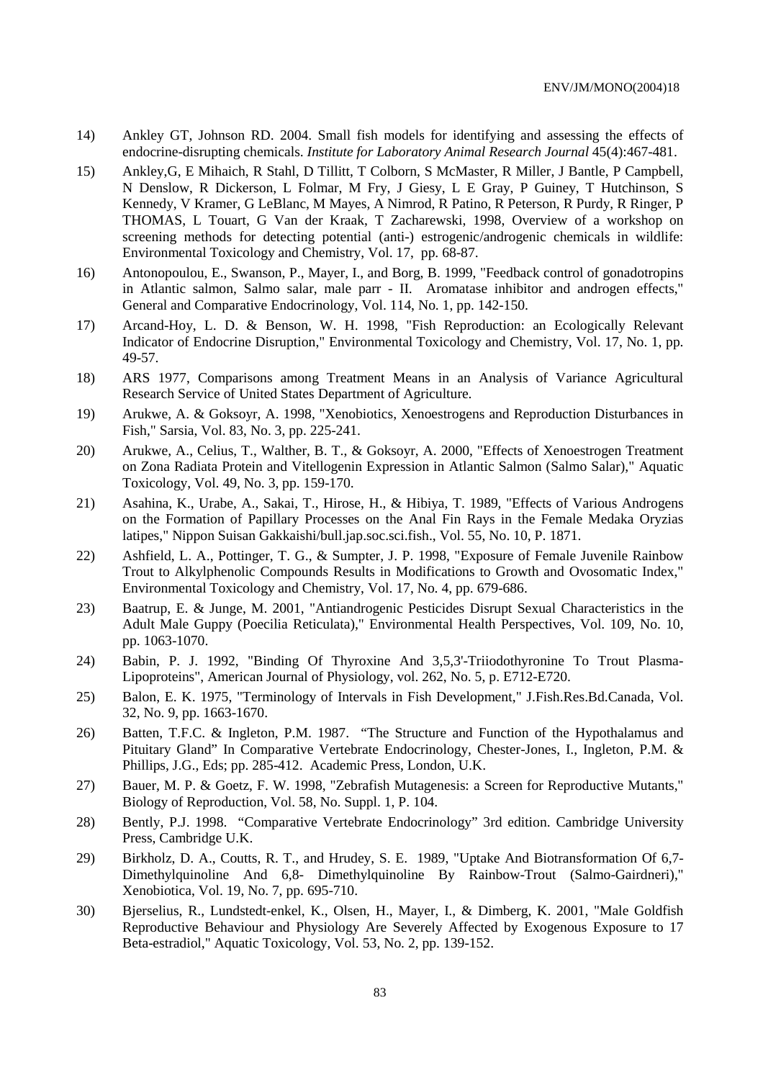- 14) Ankley GT, Johnson RD. 2004. Small fish models for identifying and assessing the effects of endocrine-disrupting chemicals. *Institute for Laboratory Animal Research Journal* 45(4):467-481.
- 15) Ankley,G, E Mihaich, R Stahl, D Tillitt, T Colborn, S McMaster, R Miller, J Bantle, P Campbell, N Denslow, R Dickerson, L Folmar, M Fry, J Giesy, L E Gray, P Guiney, T Hutchinson, S Kennedy, V Kramer, G LeBlanc, M Mayes, A Nimrod, R Patino, R Peterson, R Purdy, R Ringer, P THOMAS, L Touart, G Van der Kraak, T Zacharewski, 1998, Overview of a workshop on screening methods for detecting potential (anti-) estrogenic/androgenic chemicals in wildlife: Environmental Toxicology and Chemistry, Vol. 17, pp. 68-87.
- 16) Antonopoulou, E., Swanson, P., Mayer, I., and Borg, B. 1999, "Feedback control of gonadotropins in Atlantic salmon, Salmo salar, male parr - II. Aromatase inhibitor and androgen effects," General and Comparative Endocrinology, Vol. 114, No. 1, pp. 142-150.
- 17) Arcand-Hoy, L. D. & Benson, W. H. 1998, "Fish Reproduction: an Ecologically Relevant Indicator of Endocrine Disruption," Environmental Toxicology and Chemistry, Vol. 17, No. 1, pp. 49-57.
- 18) ARS 1977, Comparisons among Treatment Means in an Analysis of Variance Agricultural Research Service of United States Department of Agriculture.
- 19) Arukwe, A. & Goksoyr, A. 1998, "Xenobiotics, Xenoestrogens and Reproduction Disturbances in Fish," Sarsia, Vol. 83, No. 3, pp. 225-241.
- 20) Arukwe, A., Celius, T., Walther, B. T., & Goksoyr, A. 2000, "Effects of Xenoestrogen Treatment on Zona Radiata Protein and Vitellogenin Expression in Atlantic Salmon (Salmo Salar)," Aquatic Toxicology, Vol. 49, No. 3, pp. 159-170.
- 21) Asahina, K., Urabe, A., Sakai, T., Hirose, H., & Hibiya, T. 1989, "Effects of Various Androgens on the Formation of Papillary Processes on the Anal Fin Rays in the Female Medaka Oryzias latipes," Nippon Suisan Gakkaishi/bull.jap.soc.sci.fish., Vol. 55, No. 10, P. 1871.
- 22) Ashfield, L. A., Pottinger, T. G., & Sumpter, J. P. 1998, "Exposure of Female Juvenile Rainbow Trout to Alkylphenolic Compounds Results in Modifications to Growth and Ovosomatic Index," Environmental Toxicology and Chemistry, Vol. 17, No. 4, pp. 679-686.
- 23) Baatrup, E. & Junge, M. 2001, "Antiandrogenic Pesticides Disrupt Sexual Characteristics in the Adult Male Guppy (Poecilia Reticulata)," Environmental Health Perspectives, Vol. 109, No. 10, pp. 1063-1070.
- 24) Babin, P. J. 1992, "Binding Of Thyroxine And 3,5,3'-Triiodothyronine To Trout Plasma-Lipoproteins", American Journal of Physiology, vol. 262, No. 5, p. E712-E720.
- 25) Balon, E. K. 1975, "Terminology of Intervals in Fish Development," J.Fish.Res.Bd.Canada, Vol. 32, No. 9, pp. 1663-1670.
- 26) Batten, T.F.C. & Ingleton, P.M. 1987. "The Structure and Function of the Hypothalamus and Pituitary Gland" In Comparative Vertebrate Endocrinology, Chester-Jones, I., Ingleton, P.M. & Phillips, J.G., Eds; pp. 285-412. Academic Press, London, U.K.
- 27) Bauer, M. P. & Goetz, F. W. 1998, "Zebrafish Mutagenesis: a Screen for Reproductive Mutants," Biology of Reproduction, Vol. 58, No. Suppl. 1, P. 104.
- 28) Bently, P.J. 1998. "Comparative Vertebrate Endocrinology" 3rd edition. Cambridge University Press, Cambridge U.K.
- 29) Birkholz, D. A., Coutts, R. T., and Hrudey, S. E. 1989, "Uptake And Biotransformation Of 6,7- Dimethylquinoline And 6,8- Dimethylquinoline By Rainbow-Trout (Salmo-Gairdneri)," Xenobiotica, Vol. 19, No. 7, pp. 695-710.
- 30) Bjerselius, R., Lundstedt-enkel, K., Olsen, H., Mayer, I., & Dimberg, K. 2001, "Male Goldfish Reproductive Behaviour and Physiology Are Severely Affected by Exogenous Exposure to 17 Beta-estradiol," Aquatic Toxicology, Vol. 53, No. 2, pp. 139-152.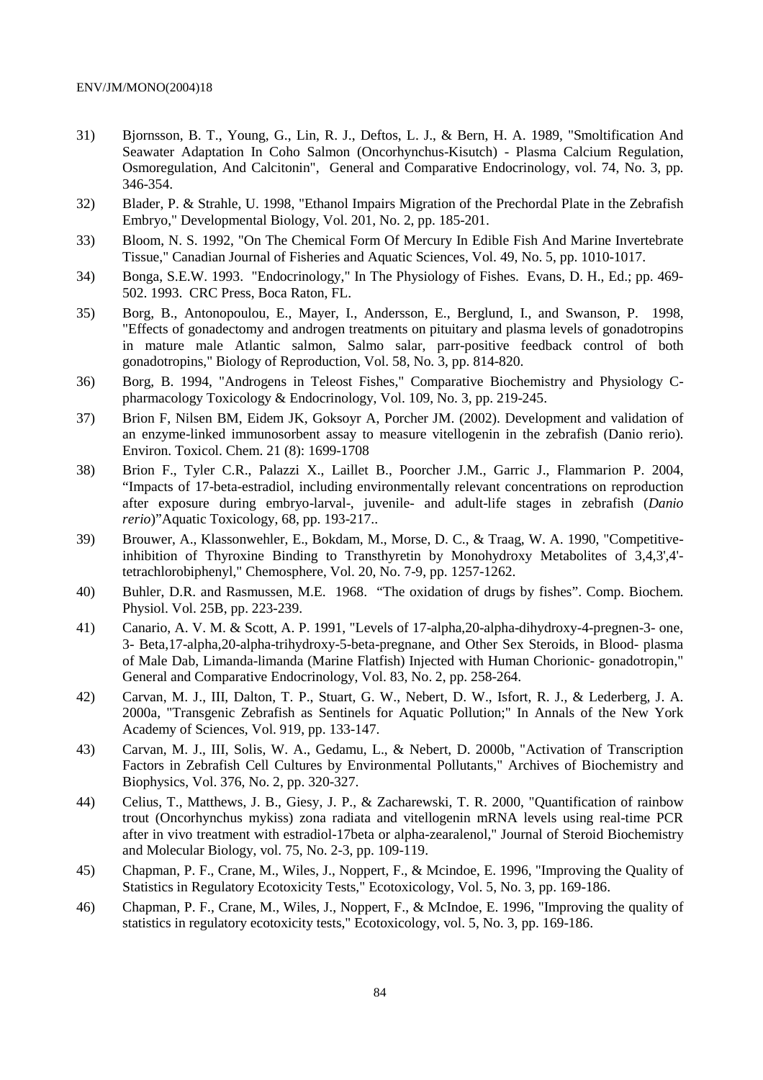- 31) Bjornsson, B. T., Young, G., Lin, R. J., Deftos, L. J., & Bern, H. A. 1989, "Smoltification And Seawater Adaptation In Coho Salmon (Oncorhynchus-Kisutch) - Plasma Calcium Regulation, Osmoregulation, And Calcitonin", General and Comparative Endocrinology, vol. 74, No. 3, pp. 346-354.
- 32) Blader, P. & Strahle, U. 1998, "Ethanol Impairs Migration of the Prechordal Plate in the Zebrafish Embryo," Developmental Biology, Vol. 201, No. 2, pp. 185-201.
- 33) Bloom, N. S. 1992, "On The Chemical Form Of Mercury In Edible Fish And Marine Invertebrate Tissue," Canadian Journal of Fisheries and Aquatic Sciences, Vol. 49, No. 5, pp. 1010-1017.
- 34) Bonga, S.E.W. 1993. "Endocrinology," In The Physiology of Fishes. Evans, D. H., Ed.; pp. 469- 502. 1993. CRC Press, Boca Raton, FL.
- 35) Borg, B., Antonopoulou, E., Mayer, I., Andersson, E., Berglund, I., and Swanson, P. 1998, "Effects of gonadectomy and androgen treatments on pituitary and plasma levels of gonadotropins in mature male Atlantic salmon, Salmo salar, parr-positive feedback control of both gonadotropins," Biology of Reproduction, Vol. 58, No. 3, pp. 814-820.
- 36) Borg, B. 1994, "Androgens in Teleost Fishes," Comparative Biochemistry and Physiology Cpharmacology Toxicology & Endocrinology, Vol. 109, No. 3, pp. 219-245.
- 37) Brion F, Nilsen BM, Eidem JK, Goksoyr A, Porcher JM. (2002). Development and validation of an enzyme-linked immunosorbent assay to measure vitellogenin in the zebrafish (Danio rerio). Environ. Toxicol. Chem. 21 (8): 1699-1708
- 38) Brion F., Tyler C.R., Palazzi X., Laillet B., Poorcher J.M., Garric J., Flammarion P. 2004, "Impacts of 17-beta-estradiol, including environmentally relevant concentrations on reproduction after exposure during embryo-larval-, juvenile- and adult-life stages in zebrafish (*Danio rerio*)"Aquatic Toxicology, 68, pp. 193-217..
- 39) Brouwer, A., Klassonwehler, E., Bokdam, M., Morse, D. C., & Traag, W. A. 1990, "Competitiveinhibition of Thyroxine Binding to Transthyretin by Monohydroxy Metabolites of 3,4,3',4' tetrachlorobiphenyl," Chemosphere, Vol. 20, No. 7-9, pp. 1257-1262.
- 40) Buhler, D.R. and Rasmussen, M.E. 1968. "The oxidation of drugs by fishes". Comp. Biochem. Physiol. Vol. 25B, pp. 223-239.
- 41) Canario, A. V. M. & Scott, A. P. 1991, "Levels of 17-alpha,20-alpha-dihydroxy-4-pregnen-3- one, 3- Beta,17-alpha,20-alpha-trihydroxy-5-beta-pregnane, and Other Sex Steroids, in Blood- plasma of Male Dab, Limanda-limanda (Marine Flatfish) Injected with Human Chorionic- gonadotropin," General and Comparative Endocrinology, Vol. 83, No. 2, pp. 258-264.
- 42) Carvan, M. J., III, Dalton, T. P., Stuart, G. W., Nebert, D. W., Isfort, R. J., & Lederberg, J. A. 2000a, "Transgenic Zebrafish as Sentinels for Aquatic Pollution;" In Annals of the New York Academy of Sciences, Vol. 919, pp. 133-147.
- 43) Carvan, M. J., III, Solis, W. A., Gedamu, L., & Nebert, D. 2000b, "Activation of Transcription Factors in Zebrafish Cell Cultures by Environmental Pollutants," Archives of Biochemistry and Biophysics, Vol. 376, No. 2, pp. 320-327.
- 44) Celius, T., Matthews, J. B., Giesy, J. P., & Zacharewski, T. R. 2000, "Quantification of rainbow trout (Oncorhynchus mykiss) zona radiata and vitellogenin mRNA levels using real-time PCR after in vivo treatment with estradiol-17beta or alpha-zearalenol," Journal of Steroid Biochemistry and Molecular Biology, vol. 75, No. 2-3, pp. 109-119.
- 45) Chapman, P. F., Crane, M., Wiles, J., Noppert, F., & Mcindoe, E. 1996, "Improving the Quality of Statistics in Regulatory Ecotoxicity Tests," Ecotoxicology, Vol. 5, No. 3, pp. 169-186.
- 46) Chapman, P. F., Crane, M., Wiles, J., Noppert, F., & McIndoe, E. 1996, "Improving the quality of statistics in regulatory ecotoxicity tests," Ecotoxicology, vol. 5, No. 3, pp. 169-186.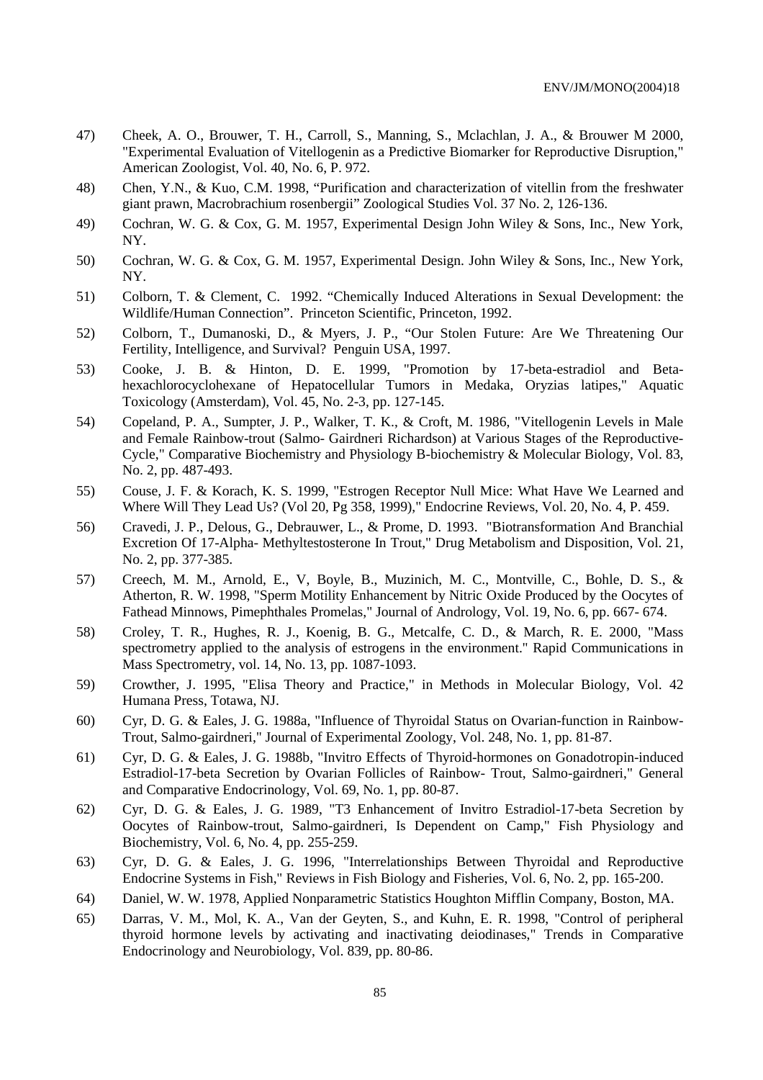- 47) Cheek, A. O., Brouwer, T. H., Carroll, S., Manning, S., Mclachlan, J. A., & Brouwer M 2000, "Experimental Evaluation of Vitellogenin as a Predictive Biomarker for Reproductive Disruption," American Zoologist, Vol. 40, No. 6, P. 972.
- 48) Chen, Y.N., & Kuo, C.M. 1998, "Purification and characterization of vitellin from the freshwater giant prawn, Macrobrachium rosenbergii" Zoological Studies Vol. 37 No. 2, 126-136.
- 49) Cochran, W. G. & Cox, G. M. 1957, Experimental Design John Wiley & Sons, Inc., New York, NY.
- 50) Cochran, W. G. & Cox, G. M. 1957, Experimental Design. John Wiley & Sons, Inc., New York, NY.
- 51) Colborn, T. & Clement, C. 1992. "Chemically Induced Alterations in Sexual Development: the Wildlife/Human Connection". Princeton Scientific, Princeton, 1992.
- 52) Colborn, T., Dumanoski, D., & Myers, J. P., "Our Stolen Future: Are We Threatening Our Fertility, Intelligence, and Survival? Penguin USA, 1997.
- 53) Cooke, J. B. & Hinton, D. E. 1999, "Promotion by 17-beta-estradiol and Betahexachlorocyclohexane of Hepatocellular Tumors in Medaka, Oryzias latipes," Aquatic Toxicology (Amsterdam), Vol. 45, No. 2-3, pp. 127-145.
- 54) Copeland, P. A., Sumpter, J. P., Walker, T. K., & Croft, M. 1986, "Vitellogenin Levels in Male and Female Rainbow-trout (Salmo- Gairdneri Richardson) at Various Stages of the Reproductive-Cycle," Comparative Biochemistry and Physiology B-biochemistry & Molecular Biology, Vol. 83, No. 2, pp. 487-493.
- 55) Couse, J. F. & Korach, K. S. 1999, "Estrogen Receptor Null Mice: What Have We Learned and Where Will They Lead Us? (Vol 20, Pg 358, 1999)," Endocrine Reviews, Vol. 20, No. 4, P. 459.
- 56) Cravedi, J. P., Delous, G., Debrauwer, L., & Prome, D. 1993. "Biotransformation And Branchial Excretion Of 17-Alpha- Methyltestosterone In Trout," Drug Metabolism and Disposition, Vol. 21, No. 2, pp. 377-385.
- 57) Creech, M. M., Arnold, E., V, Boyle, B., Muzinich, M. C., Montville, C., Bohle, D. S., & Atherton, R. W. 1998, "Sperm Motility Enhancement by Nitric Oxide Produced by the Oocytes of Fathead Minnows, Pimephthales Promelas," Journal of Andrology, Vol. 19, No. 6, pp. 667- 674.
- 58) Croley, T. R., Hughes, R. J., Koenig, B. G., Metcalfe, C. D., & March, R. E. 2000, "Mass spectrometry applied to the analysis of estrogens in the environment." Rapid Communications in Mass Spectrometry, vol. 14, No. 13, pp. 1087-1093.
- 59) Crowther, J. 1995, "Elisa Theory and Practice," in Methods in Molecular Biology, Vol. 42 Humana Press, Totawa, NJ.
- 60) Cyr, D. G. & Eales, J. G. 1988a, "Influence of Thyroidal Status on Ovarian-function in Rainbow-Trout, Salmo-gairdneri," Journal of Experimental Zoology, Vol. 248, No. 1, pp. 81-87.
- 61) Cyr, D. G. & Eales, J. G. 1988b, "Invitro Effects of Thyroid-hormones on Gonadotropin-induced Estradiol-17-beta Secretion by Ovarian Follicles of Rainbow- Trout, Salmo-gairdneri," General and Comparative Endocrinology, Vol. 69, No. 1, pp. 80-87.
- 62) Cyr, D. G. & Eales, J. G. 1989, "T3 Enhancement of Invitro Estradiol-17-beta Secretion by Oocytes of Rainbow-trout, Salmo-gairdneri, Is Dependent on Camp," Fish Physiology and Biochemistry, Vol. 6, No. 4, pp. 255-259.
- 63) Cyr, D. G. & Eales, J. G. 1996, "Interrelationships Between Thyroidal and Reproductive Endocrine Systems in Fish," Reviews in Fish Biology and Fisheries, Vol. 6, No. 2, pp. 165-200.
- 64) Daniel, W. W. 1978, Applied Nonparametric Statistics Houghton Mifflin Company, Boston, MA.
- 65) Darras, V. M., Mol, K. A., Van der Geyten, S., and Kuhn, E. R. 1998, "Control of peripheral thyroid hormone levels by activating and inactivating deiodinases," Trends in Comparative Endocrinology and Neurobiology, Vol. 839, pp. 80-86.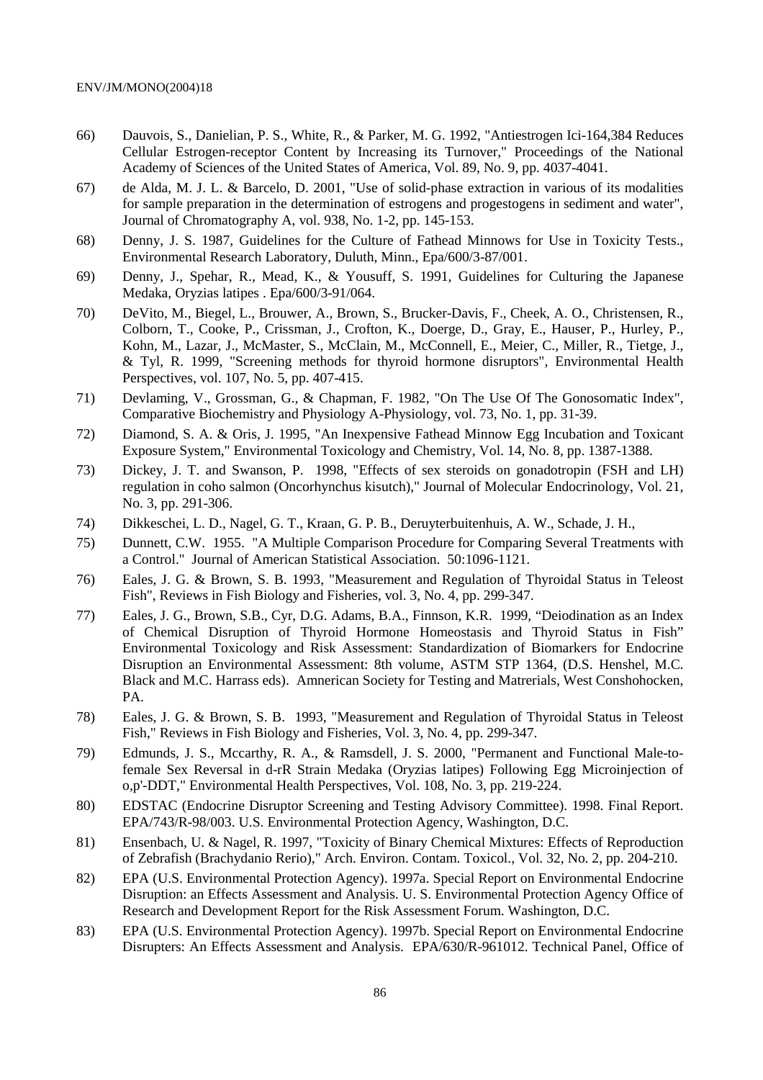- 66) Dauvois, S., Danielian, P. S., White, R., & Parker, M. G. 1992, "Antiestrogen Ici-164,384 Reduces Cellular Estrogen-receptor Content by Increasing its Turnover," Proceedings of the National Academy of Sciences of the United States of America, Vol. 89, No. 9, pp. 4037-4041.
- 67) de Alda, M. J. L. & Barcelo, D. 2001, "Use of solid-phase extraction in various of its modalities for sample preparation in the determination of estrogens and progestogens in sediment and water", Journal of Chromatography A, vol. 938, No. 1-2, pp. 145-153.
- 68) Denny, J. S. 1987, Guidelines for the Culture of Fathead Minnows for Use in Toxicity Tests., Environmental Research Laboratory, Duluth, Minn., Epa/600/3-87/001.
- 69) Denny, J., Spehar, R., Mead, K., & Yousuff, S. 1991, Guidelines for Culturing the Japanese Medaka, Oryzias latipes . Epa/600/3-91/064.
- 70) DeVito, M., Biegel, L., Brouwer, A., Brown, S., Brucker-Davis, F., Cheek, A. O., Christensen, R., Colborn, T., Cooke, P., Crissman, J., Crofton, K., Doerge, D., Gray, E., Hauser, P., Hurley, P., Kohn, M., Lazar, J., McMaster, S., McClain, M., McConnell, E., Meier, C., Miller, R., Tietge, J., & Tyl, R. 1999, "Screening methods for thyroid hormone disruptors", Environmental Health Perspectives, vol. 107, No. 5, pp. 407-415.
- 71) Devlaming, V., Grossman, G., & Chapman, F. 1982, "On The Use Of The Gonosomatic Index", Comparative Biochemistry and Physiology A-Physiology, vol. 73, No. 1, pp. 31-39.
- 72) Diamond, S. A. & Oris, J. 1995, "An Inexpensive Fathead Minnow Egg Incubation and Toxicant Exposure System," Environmental Toxicology and Chemistry, Vol. 14, No. 8, pp. 1387-1388.
- 73) Dickey, J. T. and Swanson, P. 1998, "Effects of sex steroids on gonadotropin (FSH and LH) regulation in coho salmon (Oncorhynchus kisutch)," Journal of Molecular Endocrinology, Vol. 21, No. 3, pp. 291-306.
- 74) Dikkeschei, L. D., Nagel, G. T., Kraan, G. P. B., Deruyterbuitenhuis, A. W., Schade, J. H.,
- 75) Dunnett, C.W. 1955. "A Multiple Comparison Procedure for Comparing Several Treatments with a Control." Journal of American Statistical Association. 50:1096-1121.
- 76) Eales, J. G. & Brown, S. B. 1993, "Measurement and Regulation of Thyroidal Status in Teleost Fish", Reviews in Fish Biology and Fisheries, vol. 3, No. 4, pp. 299-347.
- 77) Eales, J. G., Brown, S.B., Cyr, D.G. Adams, B.A., Finnson, K.R. 1999, "Deiodination as an Index of Chemical Disruption of Thyroid Hormone Homeostasis and Thyroid Status in Fish" Environmental Toxicology and Risk Assessment: Standardization of Biomarkers for Endocrine Disruption an Environmental Assessment: 8th volume, ASTM STP 1364, (D.S. Henshel, M.C. Black and M.C. Harrass eds). Amnerican Society for Testing and Matrerials, West Conshohocken, PA.
- 78) Eales, J. G. & Brown, S. B. 1993, "Measurement and Regulation of Thyroidal Status in Teleost Fish," Reviews in Fish Biology and Fisheries, Vol. 3, No. 4, pp. 299-347.
- 79) Edmunds, J. S., Mccarthy, R. A., & Ramsdell, J. S. 2000, "Permanent and Functional Male-tofemale Sex Reversal in d-rR Strain Medaka (Oryzias latipes) Following Egg Microinjection of o,p'-DDT," Environmental Health Perspectives, Vol. 108, No. 3, pp. 219-224.
- 80) EDSTAC (Endocrine Disruptor Screening and Testing Advisory Committee). 1998. Final Report. EPA/743/R-98/003. U.S. Environmental Protection Agency, Washington, D.C.
- 81) Ensenbach, U. & Nagel, R. 1997, "Toxicity of Binary Chemical Mixtures: Effects of Reproduction of Zebrafish (Brachydanio Rerio)," Arch. Environ. Contam. Toxicol., Vol. 32, No. 2, pp. 204-210.
- 82) EPA (U.S. Environmental Protection Agency). 1997a. Special Report on Environmental Endocrine Disruption: an Effects Assessment and Analysis. U. S. Environmental Protection Agency Office of Research and Development Report for the Risk Assessment Forum. Washington, D.C.
- 83) EPA (U.S. Environmental Protection Agency). 1997b. Special Report on Environmental Endocrine Disrupters: An Effects Assessment and Analysis. EPA/630/R-961012. Technical Panel, Office of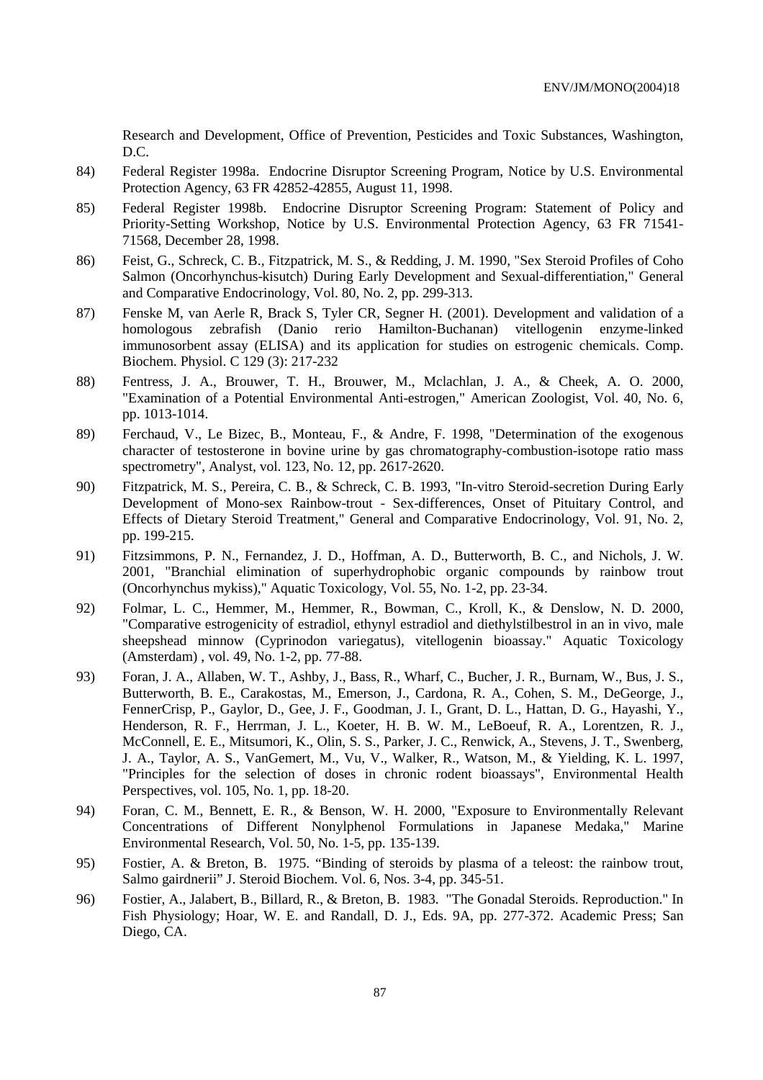Research and Development, Office of Prevention, Pesticides and Toxic Substances, Washington, D.C.

- 84) Federal Register 1998a. Endocrine Disruptor Screening Program, Notice by U.S. Environmental Protection Agency, 63 FR 42852-42855, August 11, 1998.
- 85) Federal Register 1998b. Endocrine Disruptor Screening Program: Statement of Policy and Priority-Setting Workshop, Notice by U.S. Environmental Protection Agency, 63 FR 71541- 71568, December 28, 1998.
- 86) Feist, G., Schreck, C. B., Fitzpatrick, M. S., & Redding, J. M. 1990, "Sex Steroid Profiles of Coho Salmon (Oncorhynchus-kisutch) During Early Development and Sexual-differentiation," General and Comparative Endocrinology, Vol. 80, No. 2, pp. 299-313.
- 87) Fenske M, van Aerle R, Brack S, Tyler CR, Segner H. (2001). Development and validation of a homologous zebrafish (Danio rerio Hamilton-Buchanan) vitellogenin enzyme-linked immunosorbent assay (ELISA) and its application for studies on estrogenic chemicals. Comp. Biochem. Physiol. C 129 (3): 217-232
- 88) Fentress, J. A., Brouwer, T. H., Brouwer, M., Mclachlan, J. A., & Cheek, A. O. 2000, "Examination of a Potential Environmental Anti-estrogen," American Zoologist, Vol. 40, No. 6, pp. 1013-1014.
- 89) Ferchaud, V., Le Bizec, B., Monteau, F., & Andre, F. 1998, "Determination of the exogenous character of testosterone in bovine urine by gas chromatography-combustion-isotope ratio mass spectrometry", Analyst, vol. 123, No. 12, pp. 2617-2620.
- 90) Fitzpatrick, M. S., Pereira, C. B., & Schreck, C. B. 1993, "In-vitro Steroid-secretion During Early Development of Mono-sex Rainbow-trout - Sex-differences, Onset of Pituitary Control, and Effects of Dietary Steroid Treatment," General and Comparative Endocrinology, Vol. 91, No. 2, pp. 199-215.
- 91) Fitzsimmons, P. N., Fernandez, J. D., Hoffman, A. D., Butterworth, B. C., and Nichols, J. W. 2001, "Branchial elimination of superhydrophobic organic compounds by rainbow trout (Oncorhynchus mykiss)," Aquatic Toxicology, Vol. 55, No. 1-2, pp. 23-34.
- 92) Folmar, L. C., Hemmer, M., Hemmer, R., Bowman, C., Kroll, K., & Denslow, N. D. 2000, "Comparative estrogenicity of estradiol, ethynyl estradiol and diethylstilbestrol in an in vivo, male sheepshead minnow (Cyprinodon variegatus), vitellogenin bioassay." Aquatic Toxicology (Amsterdam) , vol. 49, No. 1-2, pp. 77-88.
- 93) Foran, J. A., Allaben, W. T., Ashby, J., Bass, R., Wharf, C., Bucher, J. R., Burnam, W., Bus, J. S., Butterworth, B. E., Carakostas, M., Emerson, J., Cardona, R. A., Cohen, S. M., DeGeorge, J., FennerCrisp, P., Gaylor, D., Gee, J. F., Goodman, J. I., Grant, D. L., Hattan, D. G., Hayashi, Y., Henderson, R. F., Herrman, J. L., Koeter, H. B. W. M., LeBoeuf, R. A., Lorentzen, R. J., McConnell, E. E., Mitsumori, K., Olin, S. S., Parker, J. C., Renwick, A., Stevens, J. T., Swenberg, J. A., Taylor, A. S., VanGemert, M., Vu, V., Walker, R., Watson, M., & Yielding, K. L. 1997, "Principles for the selection of doses in chronic rodent bioassays", Environmental Health Perspectives, vol. 105, No. 1, pp. 18-20.
- 94) Foran, C. M., Bennett, E. R., & Benson, W. H. 2000, "Exposure to Environmentally Relevant Concentrations of Different Nonylphenol Formulations in Japanese Medaka," Marine Environmental Research, Vol. 50, No. 1-5, pp. 135-139.
- 95) Fostier, A. & Breton, B. 1975. "Binding of steroids by plasma of a teleost: the rainbow trout, Salmo gairdnerii" J. Steroid Biochem. Vol. 6, Nos. 3-4, pp. 345-51.
- 96) Fostier, A., Jalabert, B., Billard, R., & Breton, B. 1983. "The Gonadal Steroids. Reproduction." In Fish Physiology; Hoar, W. E. and Randall, D. J., Eds. 9A, pp. 277-372. Academic Press; San Diego, CA.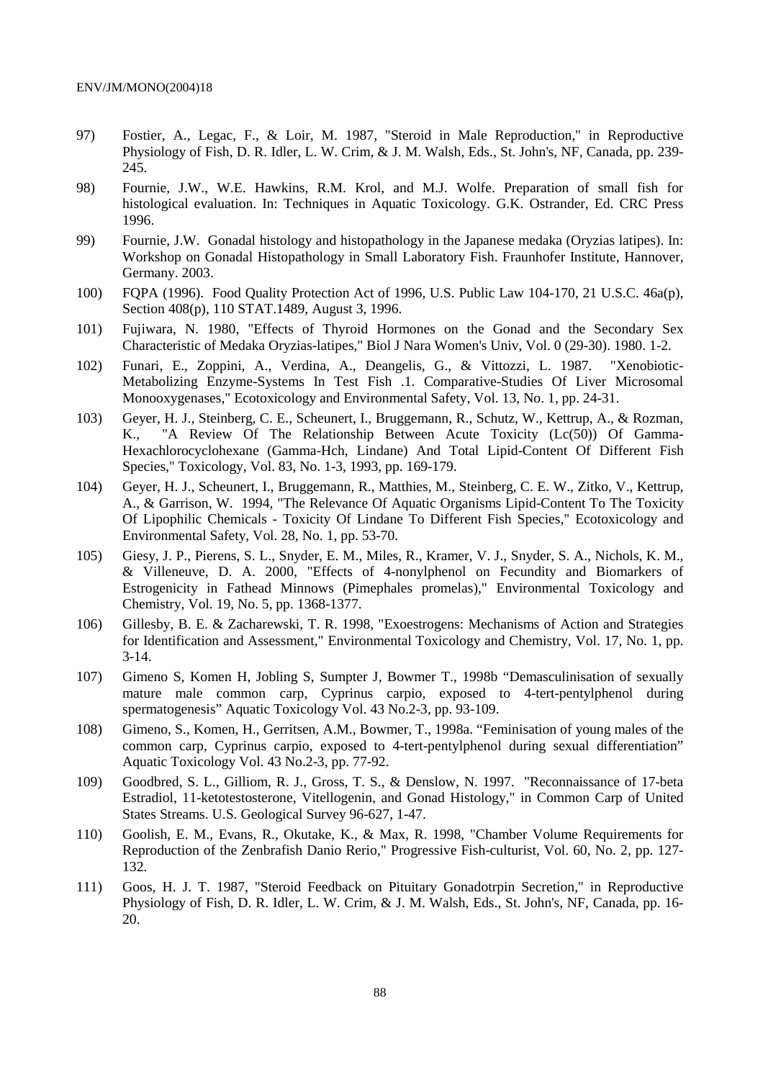- 97) Fostier, A., Legac, F., & Loir, M. 1987, "Steroid in Male Reproduction," in Reproductive Physiology of Fish, D. R. Idler, L. W. Crim, & J. M. Walsh, Eds., St. John's, NF, Canada, pp. 239- 245.
- 98) Fournie, J.W., W.E. Hawkins, R.M. Krol, and M.J. Wolfe. Preparation of small fish for histological evaluation. In: Techniques in Aquatic Toxicology. G.K. Ostrander, Ed. CRC Press 1996.
- 99) Fournie, J.W. Gonadal histology and histopathology in the Japanese medaka (Oryzias latipes). In: Workshop on Gonadal Histopathology in Small Laboratory Fish. Fraunhofer Institute, Hannover, Germany. 2003.
- 100) FQPA (1996). Food Quality Protection Act of 1996, U.S. Public Law 104-170, 21 U.S.C. 46a(p), Section 408(p), 110 STAT.1489, August 3, 1996.
- 101) Fujiwara, N. 1980, "Effects of Thyroid Hormones on the Gonad and the Secondary Sex Characteristic of Medaka Oryzias-latipes," Biol J Nara Women's Univ, Vol. 0 (29-30). 1980. 1-2.
- 102) Funari, E., Zoppini, A., Verdina, A., Deangelis, G., & Vittozzi, L. 1987. "Xenobiotic-Metabolizing Enzyme-Systems In Test Fish .1. Comparative-Studies Of Liver Microsomal Monooxygenases," Ecotoxicology and Environmental Safety, Vol. 13, No. 1, pp. 24-31.
- 103) Geyer, H. J., Steinberg, C. E., Scheunert, I., Bruggemann, R., Schutz, W., Kettrup, A., & Rozman, K., "A Review Of The Relationship Between Acute Toxicity (Lc(50)) Of Gamma-Hexachlorocyclohexane (Gamma-Hch, Lindane) And Total Lipid-Content Of Different Fish Species," Toxicology, Vol. 83, No. 1-3, 1993, pp. 169-179.
- 104) Geyer, H. J., Scheunert, I., Bruggemann, R., Matthies, M., Steinberg, C. E. W., Zitko, V., Kettrup, A., & Garrison, W. 1994, "The Relevance Of Aquatic Organisms Lipid-Content To The Toxicity Of Lipophilic Chemicals - Toxicity Of Lindane To Different Fish Species," Ecotoxicology and Environmental Safety, Vol. 28, No. 1, pp. 53-70.
- 105) Giesy, J. P., Pierens, S. L., Snyder, E. M., Miles, R., Kramer, V. J., Snyder, S. A., Nichols, K. M., & Villeneuve, D. A. 2000, "Effects of 4-nonylphenol on Fecundity and Biomarkers of Estrogenicity in Fathead Minnows (Pimephales promelas)," Environmental Toxicology and Chemistry, Vol. 19, No. 5, pp. 1368-1377.
- 106) Gillesby, B. E. & Zacharewski, T. R. 1998, "Exoestrogens: Mechanisms of Action and Strategies for Identification and Assessment," Environmental Toxicology and Chemistry, Vol. 17, No. 1, pp. 3-14.
- 107) Gimeno S, Komen H, Jobling S, Sumpter J, Bowmer T., 1998b "Demasculinisation of sexually mature male common carp, Cyprinus carpio, exposed to 4-tert-pentylphenol during spermatogenesis" Aquatic Toxicology Vol. 43 No.2-3, pp. 93-109.
- 108) Gimeno, S., Komen, H., Gerritsen, A.M., Bowmer, T., 1998a. "Feminisation of young males of the common carp, Cyprinus carpio, exposed to 4-tert-pentylphenol during sexual differentiation" Aquatic Toxicology Vol. 43 No.2-3, pp. 77-92.
- 109) Goodbred, S. L., Gilliom, R. J., Gross, T. S., & Denslow, N. 1997. "Reconnaissance of 17-beta Estradiol, 11-ketotestosterone, Vitellogenin, and Gonad Histology," in Common Carp of United States Streams. U.S. Geological Survey 96-627, 1-47.
- 110) Goolish, E. M., Evans, R., Okutake, K., & Max, R. 1998, "Chamber Volume Requirements for Reproduction of the Zenbrafish Danio Rerio," Progressive Fish-culturist, Vol. 60, No. 2, pp. 127- 132.
- 111) Goos, H. J. T. 1987, "Steroid Feedback on Pituitary Gonadotrpin Secretion," in Reproductive Physiology of Fish, D. R. Idler, L. W. Crim, & J. M. Walsh, Eds., St. John's, NF, Canada, pp. 16- 20.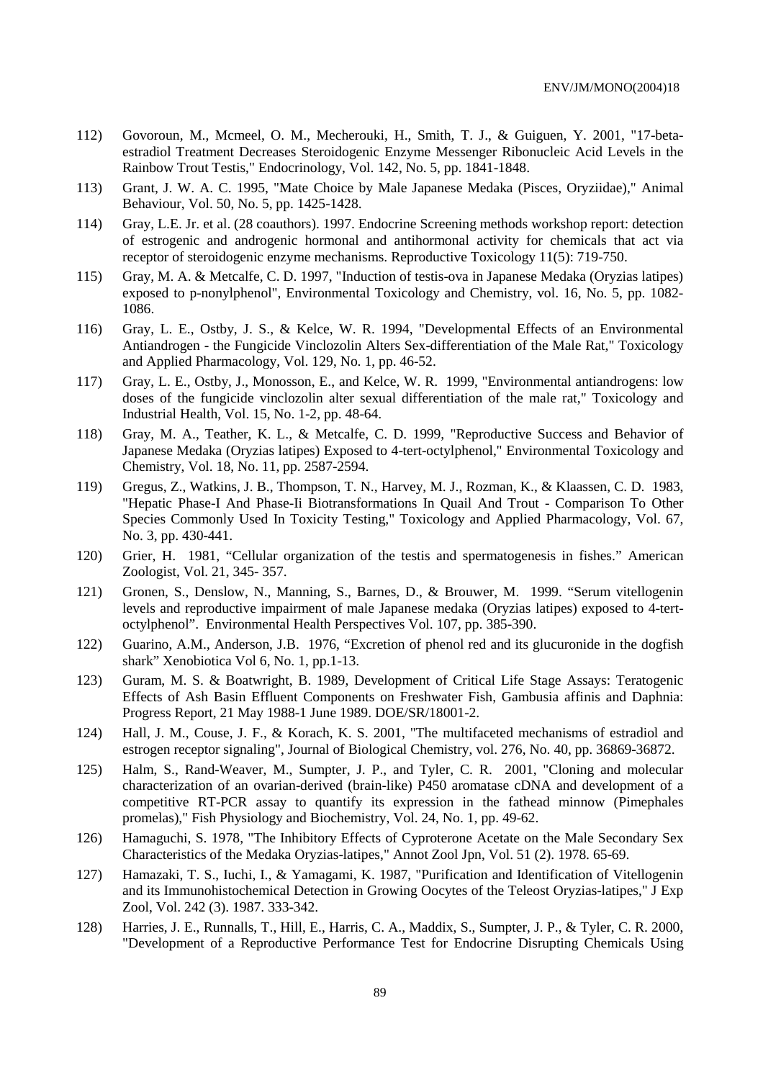- 112) Govoroun, M., Mcmeel, O. M., Mecherouki, H., Smith, T. J., & Guiguen, Y. 2001, "17-betaestradiol Treatment Decreases Steroidogenic Enzyme Messenger Ribonucleic Acid Levels in the Rainbow Trout Testis," Endocrinology, Vol. 142, No. 5, pp. 1841-1848.
- 113) Grant, J. W. A. C. 1995, "Mate Choice by Male Japanese Medaka (Pisces, Oryziidae)," Animal Behaviour, Vol. 50, No. 5, pp. 1425-1428.
- 114) Gray, L.E. Jr. et al. (28 coauthors). 1997. Endocrine Screening methods workshop report: detection of estrogenic and androgenic hormonal and antihormonal activity for chemicals that act via receptor of steroidogenic enzyme mechanisms. Reproductive Toxicology 11(5): 719-750.
- 115) Gray, M. A. & Metcalfe, C. D. 1997, "Induction of testis-ova in Japanese Medaka (Oryzias latipes) exposed to p-nonylphenol", Environmental Toxicology and Chemistry, vol. 16, No. 5, pp. 1082- 1086.
- 116) Gray, L. E., Ostby, J. S., & Kelce, W. R. 1994, "Developmental Effects of an Environmental Antiandrogen - the Fungicide Vinclozolin Alters Sex-differentiation of the Male Rat," Toxicology and Applied Pharmacology, Vol. 129, No. 1, pp. 46-52.
- 117) Gray, L. E., Ostby, J., Monosson, E., and Kelce, W. R. 1999, "Environmental antiandrogens: low doses of the fungicide vinclozolin alter sexual differentiation of the male rat," Toxicology and Industrial Health, Vol. 15, No. 1-2, pp. 48-64.
- 118) Gray, M. A., Teather, K. L., & Metcalfe, C. D. 1999, "Reproductive Success and Behavior of Japanese Medaka (Oryzias latipes) Exposed to 4-tert-octylphenol," Environmental Toxicology and Chemistry, Vol. 18, No. 11, pp. 2587-2594.
- 119) Gregus, Z., Watkins, J. B., Thompson, T. N., Harvey, M. J., Rozman, K., & Klaassen, C. D. 1983, "Hepatic Phase-I And Phase-Ii Biotransformations In Quail And Trout - Comparison To Other Species Commonly Used In Toxicity Testing," Toxicology and Applied Pharmacology, Vol. 67, No. 3, pp. 430-441.
- 120) Grier, H. 1981, "Cellular organization of the testis and spermatogenesis in fishes." American Zoologist, Vol. 21, 345- 357.
- 121) Gronen, S., Denslow, N., Manning, S., Barnes, D., & Brouwer, M. 1999. "Serum vitellogenin levels and reproductive impairment of male Japanese medaka (Oryzias latipes) exposed to 4-tertoctylphenol". Environmental Health Perspectives Vol. 107, pp. 385-390.
- 122) Guarino, A.M., Anderson, J.B. 1976, "Excretion of phenol red and its glucuronide in the dogfish shark" Xenobiotica Vol 6, No. 1, pp.1-13.
- 123) Guram, M. S. & Boatwright, B. 1989, Development of Critical Life Stage Assays: Teratogenic Effects of Ash Basin Effluent Components on Freshwater Fish, Gambusia affinis and Daphnia: Progress Report, 21 May 1988-1 June 1989. DOE/SR/18001-2.
- 124) Hall, J. M., Couse, J. F., & Korach, K. S. 2001, "The multifaceted mechanisms of estradiol and estrogen receptor signaling", Journal of Biological Chemistry, vol. 276, No. 40, pp. 36869-36872.
- 125) Halm, S., Rand-Weaver, M., Sumpter, J. P., and Tyler, C. R. 2001, "Cloning and molecular characterization of an ovarian-derived (brain-like) P450 aromatase cDNA and development of a competitive RT-PCR assay to quantify its expression in the fathead minnow (Pimephales promelas)," Fish Physiology and Biochemistry, Vol. 24, No. 1, pp. 49-62.
- 126) Hamaguchi, S. 1978, "The Inhibitory Effects of Cyproterone Acetate on the Male Secondary Sex Characteristics of the Medaka Oryzias-latipes," Annot Zool Jpn, Vol. 51 (2). 1978. 65-69.
- 127) Hamazaki, T. S., Iuchi, I., & Yamagami, K. 1987, "Purification and Identification of Vitellogenin and its Immunohistochemical Detection in Growing Oocytes of the Teleost Oryzias-latipes," J Exp Zool, Vol. 242 (3). 1987. 333-342.
- 128) Harries, J. E., Runnalls, T., Hill, E., Harris, C. A., Maddix, S., Sumpter, J. P., & Tyler, C. R. 2000, "Development of a Reproductive Performance Test for Endocrine Disrupting Chemicals Using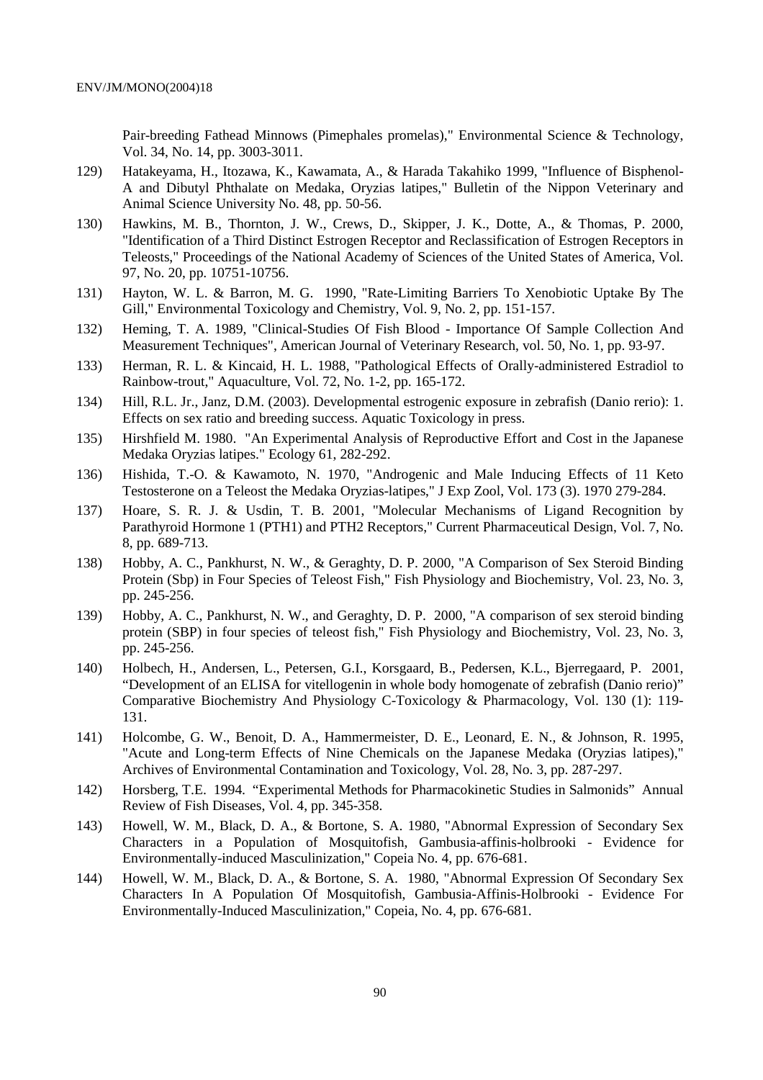Pair-breeding Fathead Minnows (Pimephales promelas)," Environmental Science & Technology, Vol. 34, No. 14, pp. 3003-3011.

- 129) Hatakeyama, H., Itozawa, K., Kawamata, A., & Harada Takahiko 1999, "Influence of Bisphenol-A and Dibutyl Phthalate on Medaka, Oryzias latipes," Bulletin of the Nippon Veterinary and Animal Science University No. 48, pp. 50-56.
- 130) Hawkins, M. B., Thornton, J. W., Crews, D., Skipper, J. K., Dotte, A., & Thomas, P. 2000, "Identification of a Third Distinct Estrogen Receptor and Reclassification of Estrogen Receptors in Teleosts," Proceedings of the National Academy of Sciences of the United States of America, Vol. 97, No. 20, pp. 10751-10756.
- 131) Hayton, W. L. & Barron, M. G. 1990, "Rate-Limiting Barriers To Xenobiotic Uptake By The Gill," Environmental Toxicology and Chemistry, Vol. 9, No. 2, pp. 151-157.
- 132) Heming, T. A. 1989, "Clinical-Studies Of Fish Blood Importance Of Sample Collection And Measurement Techniques", American Journal of Veterinary Research, vol. 50, No. 1, pp. 93-97.
- 133) Herman, R. L. & Kincaid, H. L. 1988, "Pathological Effects of Orally-administered Estradiol to Rainbow-trout," Aquaculture, Vol. 72, No. 1-2, pp. 165-172.
- 134) Hill, R.L. Jr., Janz, D.M. (2003). Developmental estrogenic exposure in zebrafish (Danio rerio): 1. Effects on sex ratio and breeding success. Aquatic Toxicology in press.
- 135) Hirshfield M. 1980. "An Experimental Analysis of Reproductive Effort and Cost in the Japanese Medaka Oryzias latipes." Ecology 61, 282-292.
- 136) Hishida, T.-O. & Kawamoto, N. 1970, "Androgenic and Male Inducing Effects of 11 Keto Testosterone on a Teleost the Medaka Oryzias-latipes," J Exp Zool, Vol. 173 (3). 1970 279-284.
- 137) Hoare, S. R. J. & Usdin, T. B. 2001, "Molecular Mechanisms of Ligand Recognition by Parathyroid Hormone 1 (PTH1) and PTH2 Receptors," Current Pharmaceutical Design, Vol. 7, No. 8, pp. 689-713.
- 138) Hobby, A. C., Pankhurst, N. W., & Geraghty, D. P. 2000, "A Comparison of Sex Steroid Binding Protein (Sbp) in Four Species of Teleost Fish," Fish Physiology and Biochemistry, Vol. 23, No. 3, pp. 245-256.
- 139) Hobby, A. C., Pankhurst, N. W., and Geraghty, D. P. 2000, "A comparison of sex steroid binding protein (SBP) in four species of teleost fish," Fish Physiology and Biochemistry, Vol. 23, No. 3, pp. 245-256.
- 140) Holbech, H., Andersen, L., Petersen, G.I., Korsgaard, B., Pedersen, K.L., Bjerregaard, P. 2001, "Development of an ELISA for vitellogenin in whole body homogenate of zebrafish (Danio rerio)" Comparative Biochemistry And Physiology C-Toxicology & Pharmacology, Vol. 130 (1): 119- 131.
- 141) Holcombe, G. W., Benoit, D. A., Hammermeister, D. E., Leonard, E. N., & Johnson, R. 1995, "Acute and Long-term Effects of Nine Chemicals on the Japanese Medaka (Oryzias latipes)," Archives of Environmental Contamination and Toxicology, Vol. 28, No. 3, pp. 287-297.
- 142) Horsberg, T.E. 1994. "Experimental Methods for Pharmacokinetic Studies in Salmonids" Annual Review of Fish Diseases, Vol. 4, pp. 345-358.
- 143) Howell, W. M., Black, D. A., & Bortone, S. A. 1980, "Abnormal Expression of Secondary Sex Characters in a Population of Mosquitofish, Gambusia-affinis-holbrooki - Evidence for Environmentally-induced Masculinization," Copeia No. 4, pp. 676-681.
- 144) Howell, W. M., Black, D. A., & Bortone, S. A. 1980, "Abnormal Expression Of Secondary Sex Characters In A Population Of Mosquitofish, Gambusia-Affinis-Holbrooki - Evidence For Environmentally-Induced Masculinization," Copeia, No. 4, pp. 676-681.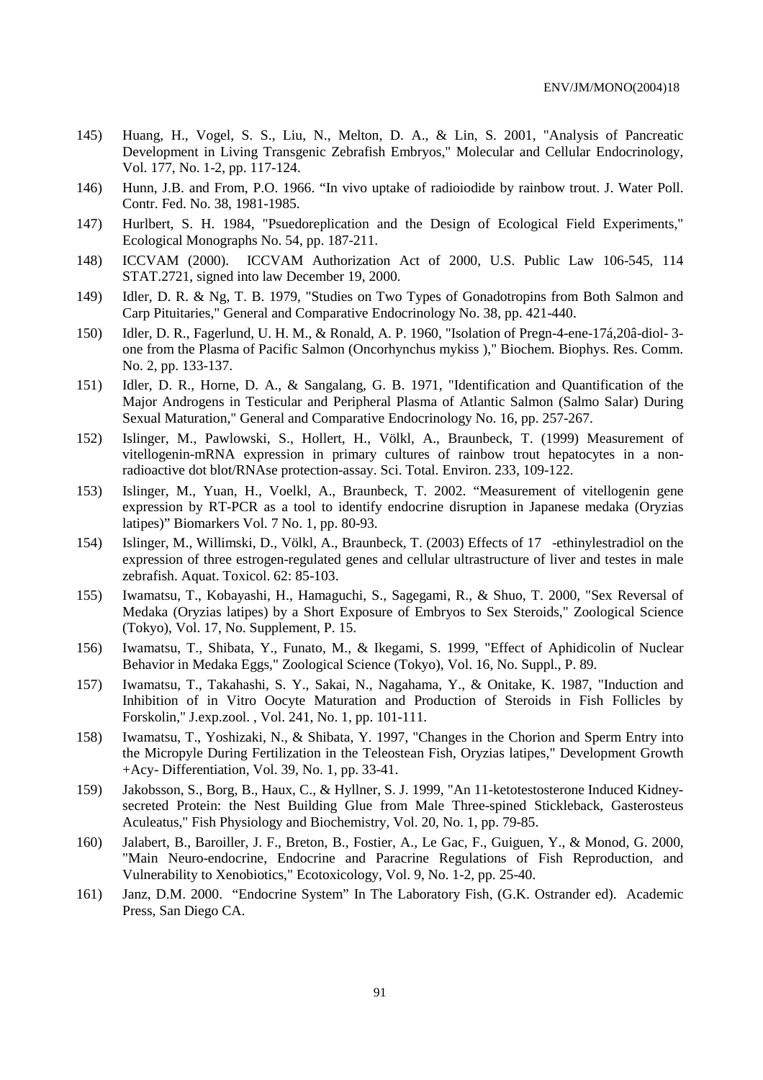- 145) Huang, H., Vogel, S. S., Liu, N., Melton, D. A., & Lin, S. 2001, "Analysis of Pancreatic Development in Living Transgenic Zebrafish Embryos," Molecular and Cellular Endocrinology, Vol. 177, No. 1-2, pp. 117-124.
- 146) Hunn, J.B. and From, P.O. 1966. "In vivo uptake of radioiodide by rainbow trout. J. Water Poll. Contr. Fed. No. 38, 1981-1985.
- 147) Hurlbert, S. H. 1984, "Psuedoreplication and the Design of Ecological Field Experiments," Ecological Monographs No. 54, pp. 187-211.
- 148) ICCVAM (2000). ICCVAM Authorization Act of 2000, U.S. Public Law 106-545, 114 STAT.2721, signed into law December 19, 2000.
- 149) Idler, D. R. & Ng, T. B. 1979, "Studies on Two Types of Gonadotropins from Both Salmon and Carp Pituitaries," General and Comparative Endocrinology No. 38, pp. 421-440.
- 150) Idler, D. R., Fagerlund, U. H. M., & Ronald, A. P. 1960, "Isolation of Pregn-4-ene-17á,20â-diol- 3 one from the Plasma of Pacific Salmon (Oncorhynchus mykiss )," Biochem. Biophys. Res. Comm. No. 2, pp. 133-137.
- 151) Idler, D. R., Horne, D. A., & Sangalang, G. B. 1971, "Identification and Quantification of the Major Androgens in Testicular and Peripheral Plasma of Atlantic Salmon (Salmo Salar) During Sexual Maturation," General and Comparative Endocrinology No. 16, pp. 257-267.
- 152) Islinger, M., Pawlowski, S., Hollert, H., Völkl, A., Braunbeck, T. (1999) Measurement of vitellogenin-mRNA expression in primary cultures of rainbow trout hepatocytes in a nonradioactive dot blot/RNAse protection-assay. Sci. Total. Environ. 233, 109-122.
- 153) Islinger, M., Yuan, H., Voelkl, A., Braunbeck, T. 2002. "Measurement of vitellogenin gene expression by RT-PCR as a tool to identify endocrine disruption in Japanese medaka (Oryzias latipes)" Biomarkers Vol. 7 No. 1, pp. 80-93.
- 154) Islinger, M., Willimski, D., Völkl, A., Braunbeck, T. (2003) Effects of 17-ethinylestradiol on the expression of three estrogen-regulated genes and cellular ultrastructure of liver and testes in male zebrafish. Aquat. Toxicol. 62: 85-103.
- 155) Iwamatsu, T., Kobayashi, H., Hamaguchi, S., Sagegami, R., & Shuo, T. 2000, "Sex Reversal of Medaka (Oryzias latipes) by a Short Exposure of Embryos to Sex Steroids," Zoological Science (Tokyo), Vol. 17, No. Supplement, P. 15.
- 156) Iwamatsu, T., Shibata, Y., Funato, M., & Ikegami, S. 1999, "Effect of Aphidicolin of Nuclear Behavior in Medaka Eggs," Zoological Science (Tokyo), Vol. 16, No. Suppl., P. 89.
- 157) Iwamatsu, T., Takahashi, S. Y., Sakai, N., Nagahama, Y., & Onitake, K. 1987, "Induction and Inhibition of in Vitro Oocyte Maturation and Production of Steroids in Fish Follicles by Forskolin," J.exp.zool. , Vol. 241, No. 1, pp. 101-111.
- 158) Iwamatsu, T., Yoshizaki, N., & Shibata, Y. 1997, "Changes in the Chorion and Sperm Entry into the Micropyle During Fertilization in the Teleostean Fish, Oryzias latipes," Development Growth +Acy- Differentiation, Vol. 39, No. 1, pp. 33-41.
- 159) Jakobsson, S., Borg, B., Haux, C., & Hyllner, S. J. 1999, "An 11-ketotestosterone Induced Kidneysecreted Protein: the Nest Building Glue from Male Three-spined Stickleback, Gasterosteus Aculeatus," Fish Physiology and Biochemistry, Vol. 20, No. 1, pp. 79-85.
- 160) Jalabert, B., Baroiller, J. F., Breton, B., Fostier, A., Le Gac, F., Guiguen, Y., & Monod, G. 2000, "Main Neuro-endocrine, Endocrine and Paracrine Regulations of Fish Reproduction, and Vulnerability to Xenobiotics," Ecotoxicology, Vol. 9, No. 1-2, pp. 25-40.
- 161) Janz, D.M. 2000. "Endocrine System" In The Laboratory Fish, (G.K. Ostrander ed). Academic Press, San Diego CA.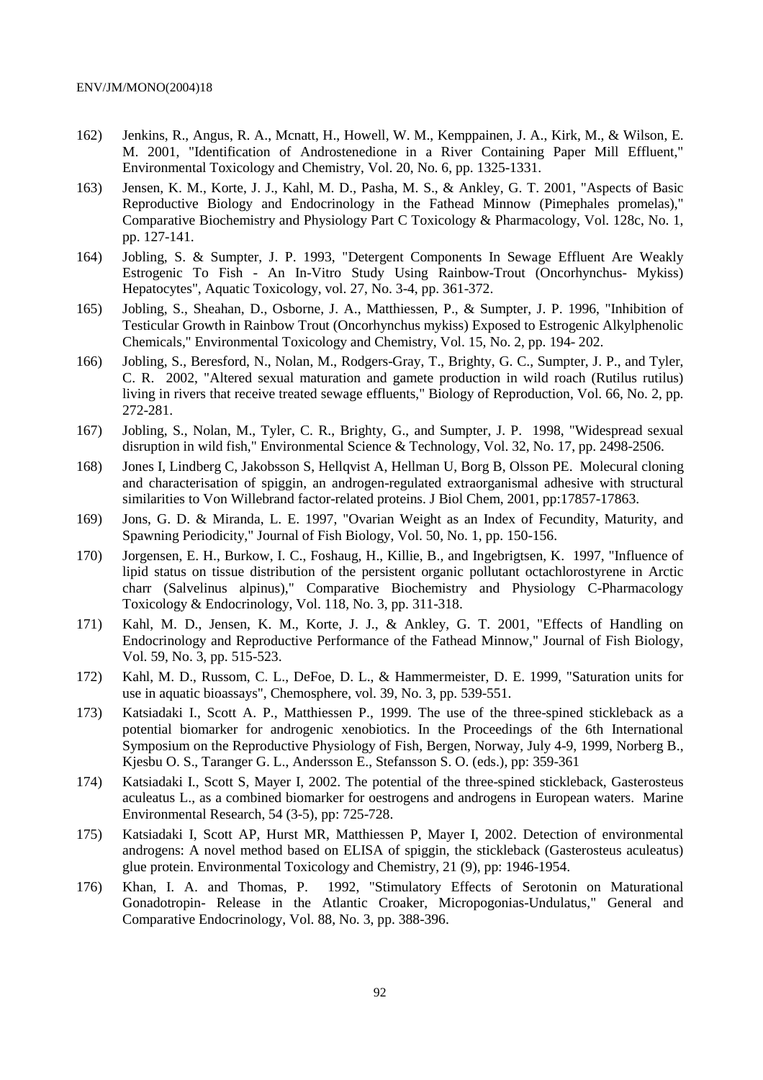- 162) Jenkins, R., Angus, R. A., Mcnatt, H., Howell, W. M., Kemppainen, J. A., Kirk, M., & Wilson, E. M. 2001, "Identification of Androstenedione in a River Containing Paper Mill Effluent," Environmental Toxicology and Chemistry, Vol. 20, No. 6, pp. 1325-1331.
- 163) Jensen, K. M., Korte, J. J., Kahl, M. D., Pasha, M. S., & Ankley, G. T. 2001, "Aspects of Basic Reproductive Biology and Endocrinology in the Fathead Minnow (Pimephales promelas)," Comparative Biochemistry and Physiology Part C Toxicology & Pharmacology, Vol. 128c, No. 1, pp. 127-141.
- 164) Jobling, S. & Sumpter, J. P. 1993, "Detergent Components In Sewage Effluent Are Weakly Estrogenic To Fish - An In-Vitro Study Using Rainbow-Trout (Oncorhynchus- Mykiss) Hepatocytes", Aquatic Toxicology, vol. 27, No. 3-4, pp. 361-372.
- 165) Jobling, S., Sheahan, D., Osborne, J. A., Matthiessen, P., & Sumpter, J. P. 1996, "Inhibition of Testicular Growth in Rainbow Trout (Oncorhynchus mykiss) Exposed to Estrogenic Alkylphenolic Chemicals," Environmental Toxicology and Chemistry, Vol. 15, No. 2, pp. 194- 202.
- 166) Jobling, S., Beresford, N., Nolan, M., Rodgers-Gray, T., Brighty, G. C., Sumpter, J. P., and Tyler, C. R. 2002, "Altered sexual maturation and gamete production in wild roach (Rutilus rutilus) living in rivers that receive treated sewage effluents," Biology of Reproduction, Vol. 66, No. 2, pp. 272-281.
- 167) Jobling, S., Nolan, M., Tyler, C. R., Brighty, G., and Sumpter, J. P. 1998, "Widespread sexual disruption in wild fish," Environmental Science & Technology, Vol. 32, No. 17, pp. 2498-2506.
- 168) Jones I, Lindberg C, Jakobsson S, Hellqvist A, Hellman U, Borg B, Olsson PE. Molecural cloning and characterisation of spiggin, an androgen-regulated extraorganismal adhesive with structural similarities to Von Willebrand factor-related proteins. J Biol Chem, 2001, pp:17857-17863.
- 169) Jons, G. D. & Miranda, L. E. 1997, "Ovarian Weight as an Index of Fecundity, Maturity, and Spawning Periodicity," Journal of Fish Biology, Vol. 50, No. 1, pp. 150-156.
- 170) Jorgensen, E. H., Burkow, I. C., Foshaug, H., Killie, B., and Ingebrigtsen, K. 1997, "Influence of lipid status on tissue distribution of the persistent organic pollutant octachlorostyrene in Arctic charr (Salvelinus alpinus)," Comparative Biochemistry and Physiology C-Pharmacology Toxicology & Endocrinology, Vol. 118, No. 3, pp. 311-318.
- 171) Kahl, M. D., Jensen, K. M., Korte, J. J., & Ankley, G. T. 2001, "Effects of Handling on Endocrinology and Reproductive Performance of the Fathead Minnow," Journal of Fish Biology, Vol. 59, No. 3, pp. 515-523.
- 172) Kahl, M. D., Russom, C. L., DeFoe, D. L., & Hammermeister, D. E. 1999, "Saturation units for use in aquatic bioassays", Chemosphere, vol. 39, No. 3, pp. 539-551.
- 173) Katsiadaki I., Scott A. P., Matthiessen P., 1999. The use of the three-spined stickleback as a potential biomarker for androgenic xenobiotics. In the Proceedings of the 6th International Symposium on the Reproductive Physiology of Fish, Bergen, Norway, July 4-9, 1999, Norberg B., Kjesbu O. S., Taranger G. L., Andersson E., Stefansson S. O. (eds.), pp: 359-361
- 174) Katsiadaki I., Scott S, Mayer I, 2002. The potential of the three-spined stickleback, Gasterosteus aculeatus L., as a combined biomarker for oestrogens and androgens in European waters. Marine Environmental Research, 54 (3-5), pp: 725-728.
- 175) Katsiadaki I, Scott AP, Hurst MR, Matthiessen P, Mayer I, 2002. Detection of environmental androgens: A novel method based on ELISA of spiggin, the stickleback (Gasterosteus aculeatus) glue protein. Environmental Toxicology and Chemistry, 21 (9), pp: 1946-1954.
- 176) Khan, I. A. and Thomas, P. 1992, "Stimulatory Effects of Serotonin on Maturational Gonadotropin- Release in the Atlantic Croaker, Micropogonias-Undulatus," General and Comparative Endocrinology, Vol. 88, No. 3, pp. 388-396.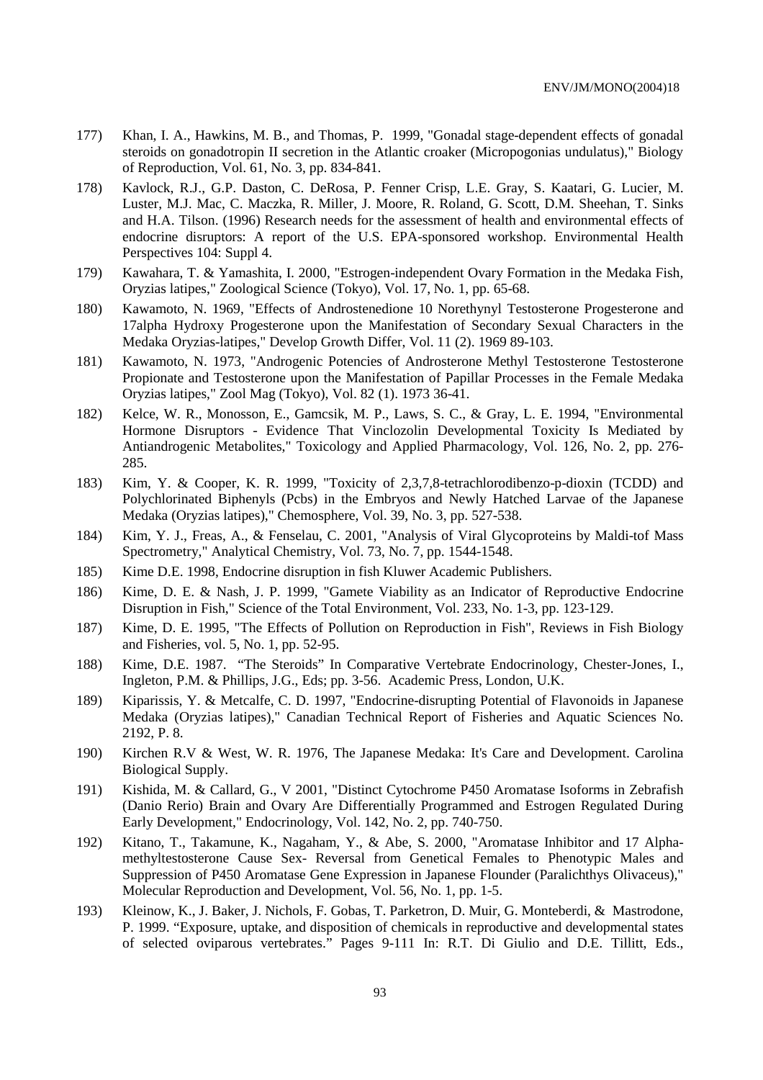- 177) Khan, I. A., Hawkins, M. B., and Thomas, P. 1999, "Gonadal stage-dependent effects of gonadal steroids on gonadotropin II secretion in the Atlantic croaker (Micropogonias undulatus)," Biology of Reproduction, Vol. 61, No. 3, pp. 834-841.
- 178) Kavlock, R.J., G.P. Daston, C. DeRosa, P. Fenner Crisp, L.E. Gray, S. Kaatari, G. Lucier, M. Luster, M.J. Mac, C. Maczka, R. Miller, J. Moore, R. Roland, G. Scott, D.M. Sheehan, T. Sinks and H.A. Tilson. (1996) Research needs for the assessment of health and environmental effects of endocrine disruptors: A report of the U.S. EPA-sponsored workshop. Environmental Health Perspectives 104: Suppl 4.
- 179) Kawahara, T. & Yamashita, I. 2000, "Estrogen-independent Ovary Formation in the Medaka Fish, Oryzias latipes," Zoological Science (Tokyo), Vol. 17, No. 1, pp. 65-68.
- 180) Kawamoto, N. 1969, "Effects of Androstenedione 10 Norethynyl Testosterone Progesterone and 17alpha Hydroxy Progesterone upon the Manifestation of Secondary Sexual Characters in the Medaka Oryzias-latipes," Develop Growth Differ, Vol. 11 (2). 1969 89-103.
- 181) Kawamoto, N. 1973, "Androgenic Potencies of Androsterone Methyl Testosterone Testosterone Propionate and Testosterone upon the Manifestation of Papillar Processes in the Female Medaka Oryzias latipes," Zool Mag (Tokyo), Vol. 82 (1). 1973 36-41.
- 182) Kelce, W. R., Monosson, E., Gamcsik, M. P., Laws, S. C., & Gray, L. E. 1994, "Environmental Hormone Disruptors - Evidence That Vinclozolin Developmental Toxicity Is Mediated by Antiandrogenic Metabolites," Toxicology and Applied Pharmacology, Vol. 126, No. 2, pp. 276- 285.
- 183) Kim, Y. & Cooper, K. R. 1999, "Toxicity of 2,3,7,8-tetrachlorodibenzo-p-dioxin (TCDD) and Polychlorinated Biphenyls (Pcbs) in the Embryos and Newly Hatched Larvae of the Japanese Medaka (Oryzias latipes)," Chemosphere, Vol. 39, No. 3, pp. 527-538.
- 184) Kim, Y. J., Freas, A., & Fenselau, C. 2001, "Analysis of Viral Glycoproteins by Maldi-tof Mass Spectrometry," Analytical Chemistry, Vol. 73, No. 7, pp. 1544-1548.
- 185) Kime D.E. 1998, Endocrine disruption in fish Kluwer Academic Publishers.
- 186) Kime, D. E. & Nash, J. P. 1999, "Gamete Viability as an Indicator of Reproductive Endocrine Disruption in Fish," Science of the Total Environment, Vol. 233, No. 1-3, pp. 123-129.
- 187) Kime, D. E. 1995, "The Effects of Pollution on Reproduction in Fish", Reviews in Fish Biology and Fisheries, vol. 5, No. 1, pp. 52-95.
- 188) Kime, D.E. 1987. "The Steroids" In Comparative Vertebrate Endocrinology, Chester-Jones, I., Ingleton, P.M. & Phillips, J.G., Eds; pp. 3-56. Academic Press, London, U.K.
- 189) Kiparissis, Y. & Metcalfe, C. D. 1997, "Endocrine-disrupting Potential of Flavonoids in Japanese Medaka (Oryzias latipes)," Canadian Technical Report of Fisheries and Aquatic Sciences No. 2192, P. 8.
- 190) Kirchen R.V & West, W. R. 1976, The Japanese Medaka: It's Care and Development. Carolina Biological Supply.
- 191) Kishida, M. & Callard, G., V 2001, "Distinct Cytochrome P450 Aromatase Isoforms in Zebrafish (Danio Rerio) Brain and Ovary Are Differentially Programmed and Estrogen Regulated During Early Development," Endocrinology, Vol. 142, No. 2, pp. 740-750.
- 192) Kitano, T., Takamune, K., Nagaham, Y., & Abe, S. 2000, "Aromatase Inhibitor and 17 Alphamethyltestosterone Cause Sex- Reversal from Genetical Females to Phenotypic Males and Suppression of P450 Aromatase Gene Expression in Japanese Flounder (Paralichthys Olivaceus)," Molecular Reproduction and Development, Vol. 56, No. 1, pp. 1-5.
- 193) Kleinow, K., J. Baker, J. Nichols, F. Gobas, T. Parketron, D. Muir, G. Monteberdi, & Mastrodone, P. 1999. "Exposure, uptake, and disposition of chemicals in reproductive and developmental states of selected oviparous vertebrates." Pages 9-111 In: R.T. Di Giulio and D.E. Tillitt, Eds.,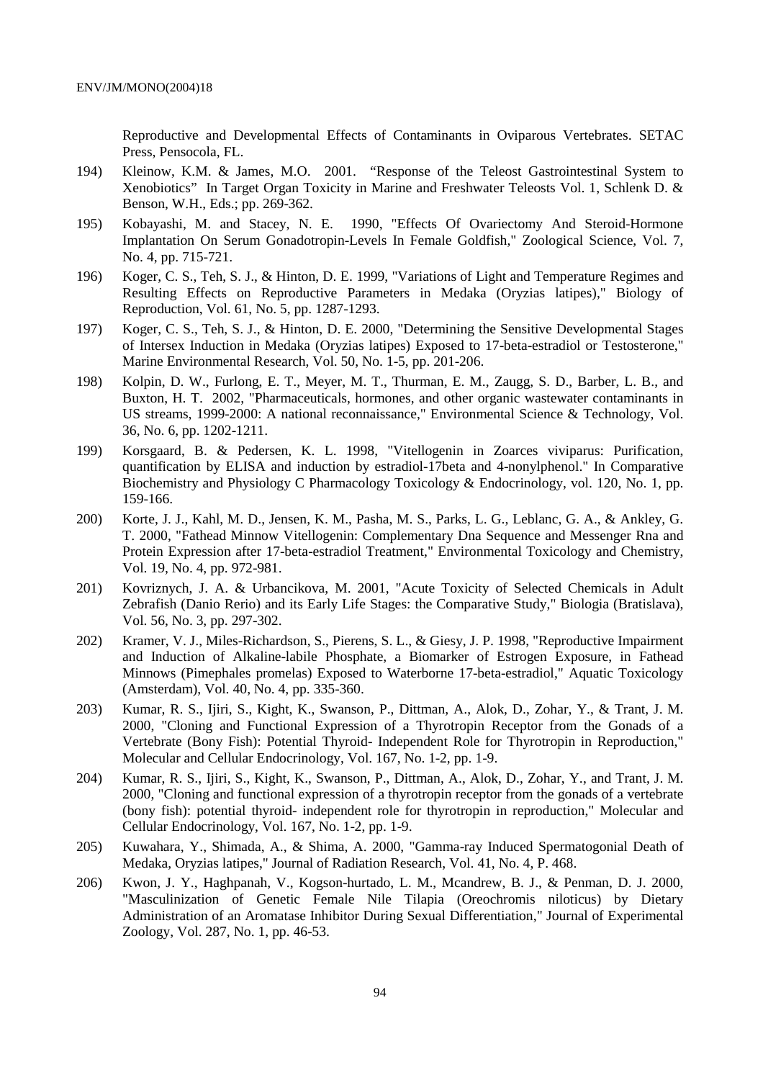Reproductive and Developmental Effects of Contaminants in Oviparous Vertebrates. SETAC Press, Pensocola, FL.

- 194) Kleinow, K.M. & James, M.O. 2001. "Response of the Teleost Gastrointestinal System to Xenobiotics" In Target Organ Toxicity in Marine and Freshwater Teleosts Vol. 1, Schlenk D. & Benson, W.H., Eds.; pp. 269-362.
- 195) Kobayashi, M. and Stacey, N. E. 1990, "Effects Of Ovariectomy And Steroid-Hormone Implantation On Serum Gonadotropin-Levels In Female Goldfish," Zoological Science, Vol. 7, No. 4, pp. 715-721.
- 196) Koger, C. S., Teh, S. J., & Hinton, D. E. 1999, "Variations of Light and Temperature Regimes and Resulting Effects on Reproductive Parameters in Medaka (Oryzias latipes)," Biology of Reproduction, Vol. 61, No. 5, pp. 1287-1293.
- 197) Koger, C. S., Teh, S. J., & Hinton, D. E. 2000, "Determining the Sensitive Developmental Stages of Intersex Induction in Medaka (Oryzias latipes) Exposed to 17-beta-estradiol or Testosterone," Marine Environmental Research, Vol. 50, No. 1-5, pp. 201-206.
- 198) Kolpin, D. W., Furlong, E. T., Meyer, M. T., Thurman, E. M., Zaugg, S. D., Barber, L. B., and Buxton, H. T. 2002, "Pharmaceuticals, hormones, and other organic wastewater contaminants in US streams, 1999-2000: A national reconnaissance," Environmental Science & Technology, Vol. 36, No. 6, pp. 1202-1211.
- 199) Korsgaard, B. & Pedersen, K. L. 1998, "Vitellogenin in Zoarces viviparus: Purification, quantification by ELISA and induction by estradiol-17beta and 4-nonylphenol." In Comparative Biochemistry and Physiology C Pharmacology Toxicology & Endocrinology, vol. 120, No. 1, pp. 159-166.
- 200) Korte, J. J., Kahl, M. D., Jensen, K. M., Pasha, M. S., Parks, L. G., Leblanc, G. A., & Ankley, G. T. 2000, "Fathead Minnow Vitellogenin: Complementary Dna Sequence and Messenger Rna and Protein Expression after 17-beta-estradiol Treatment," Environmental Toxicology and Chemistry, Vol. 19, No. 4, pp. 972-981.
- 201) Kovriznych, J. A. & Urbancikova, M. 2001, "Acute Toxicity of Selected Chemicals in Adult Zebrafish (Danio Rerio) and its Early Life Stages: the Comparative Study," Biologia (Bratislava), Vol. 56, No. 3, pp. 297-302.
- 202) Kramer, V. J., Miles-Richardson, S., Pierens, S. L., & Giesy, J. P. 1998, "Reproductive Impairment and Induction of Alkaline-labile Phosphate, a Biomarker of Estrogen Exposure, in Fathead Minnows (Pimephales promelas) Exposed to Waterborne 17-beta-estradiol," Aquatic Toxicology (Amsterdam), Vol. 40, No. 4, pp. 335-360.
- 203) Kumar, R. S., Ijiri, S., Kight, K., Swanson, P., Dittman, A., Alok, D., Zohar, Y., & Trant, J. M. 2000, "Cloning and Functional Expression of a Thyrotropin Receptor from the Gonads of a Vertebrate (Bony Fish): Potential Thyroid- Independent Role for Thyrotropin in Reproduction," Molecular and Cellular Endocrinology, Vol. 167, No. 1-2, pp. 1-9.
- 204) Kumar, R. S., Ijiri, S., Kight, K., Swanson, P., Dittman, A., Alok, D., Zohar, Y., and Trant, J. M. 2000, "Cloning and functional expression of a thyrotropin receptor from the gonads of a vertebrate (bony fish): potential thyroid- independent role for thyrotropin in reproduction," Molecular and Cellular Endocrinology, Vol. 167, No. 1-2, pp. 1-9.
- 205) Kuwahara, Y., Shimada, A., & Shima, A. 2000, "Gamma-ray Induced Spermatogonial Death of Medaka, Oryzias latipes," Journal of Radiation Research, Vol. 41, No. 4, P. 468.
- 206) Kwon, J. Y., Haghpanah, V., Kogson-hurtado, L. M., Mcandrew, B. J., & Penman, D. J. 2000, "Masculinization of Genetic Female Nile Tilapia (Oreochromis niloticus) by Dietary Administration of an Aromatase Inhibitor During Sexual Differentiation," Journal of Experimental Zoology, Vol. 287, No. 1, pp. 46-53.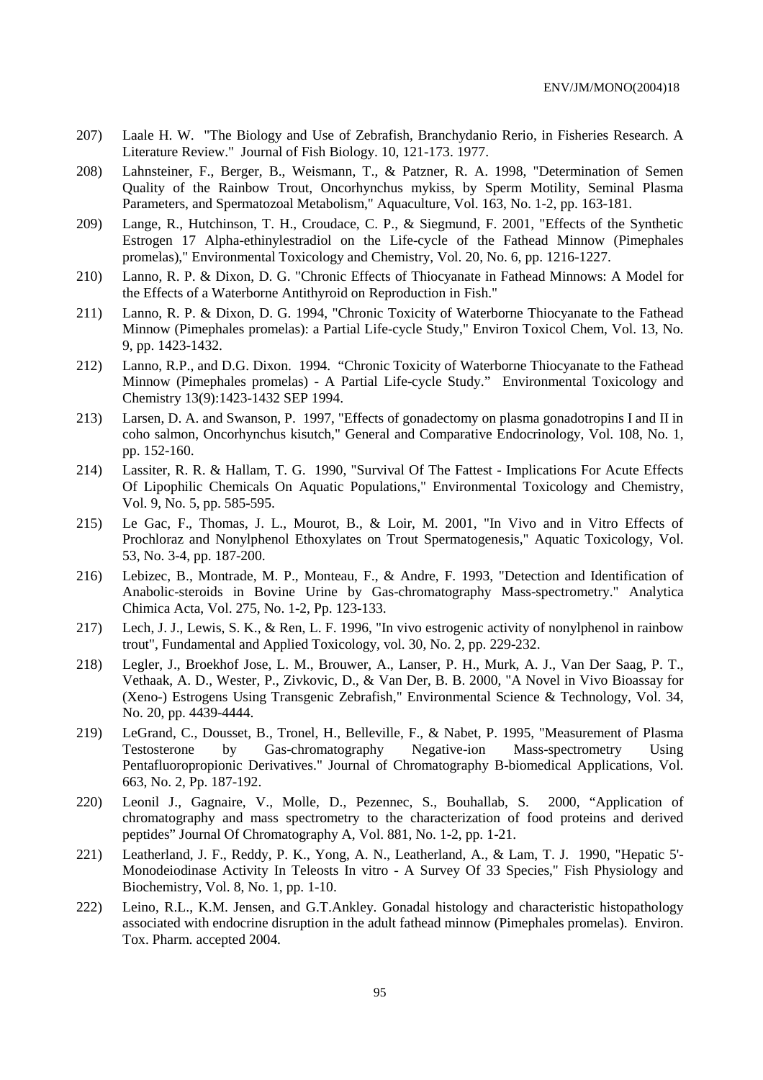- 207) Laale H. W. "The Biology and Use of Zebrafish, Branchydanio Rerio, in Fisheries Research. A Literature Review." Journal of Fish Biology. 10, 121-173. 1977.
- 208) Lahnsteiner, F., Berger, B., Weismann, T., & Patzner, R. A. 1998, "Determination of Semen Quality of the Rainbow Trout, Oncorhynchus mykiss, by Sperm Motility, Seminal Plasma Parameters, and Spermatozoal Metabolism," Aquaculture, Vol. 163, No. 1-2, pp. 163-181.
- 209) Lange, R., Hutchinson, T. H., Croudace, C. P., & Siegmund, F. 2001, "Effects of the Synthetic Estrogen 17 Alpha-ethinylestradiol on the Life-cycle of the Fathead Minnow (Pimephales promelas)," Environmental Toxicology and Chemistry, Vol. 20, No. 6, pp. 1216-1227.
- 210) Lanno, R. P. & Dixon, D. G. "Chronic Effects of Thiocyanate in Fathead Minnows: A Model for the Effects of a Waterborne Antithyroid on Reproduction in Fish."
- 211) Lanno, R. P. & Dixon, D. G. 1994, "Chronic Toxicity of Waterborne Thiocyanate to the Fathead Minnow (Pimephales promelas): a Partial Life-cycle Study," Environ Toxicol Chem, Vol. 13, No. 9, pp. 1423-1432.
- 212) Lanno, R.P., and D.G. Dixon. 1994. "Chronic Toxicity of Waterborne Thiocyanate to the Fathead Minnow (Pimephales promelas) - A Partial Life-cycle Study." Environmental Toxicology and Chemistry 13(9):1423-1432 SEP 1994.
- 213) Larsen, D. A. and Swanson, P. 1997, "Effects of gonadectomy on plasma gonadotropins I and II in coho salmon, Oncorhynchus kisutch," General and Comparative Endocrinology, Vol. 108, No. 1, pp. 152-160.
- 214) Lassiter, R. R. & Hallam, T. G. 1990, "Survival Of The Fattest Implications For Acute Effects Of Lipophilic Chemicals On Aquatic Populations," Environmental Toxicology and Chemistry, Vol. 9, No. 5, pp. 585-595.
- 215) Le Gac, F., Thomas, J. L., Mourot, B., & Loir, M. 2001, "In Vivo and in Vitro Effects of Prochloraz and Nonylphenol Ethoxylates on Trout Spermatogenesis," Aquatic Toxicology, Vol. 53, No. 3-4, pp. 187-200.
- 216) Lebizec, B., Montrade, M. P., Monteau, F., & Andre, F. 1993, "Detection and Identification of Anabolic-steroids in Bovine Urine by Gas-chromatography Mass-spectrometry." Analytica Chimica Acta, Vol. 275, No. 1-2, Pp. 123-133.
- 217) Lech, J. J., Lewis, S. K., & Ren, L. F. 1996, "In vivo estrogenic activity of nonylphenol in rainbow trout", Fundamental and Applied Toxicology, vol. 30, No. 2, pp. 229-232.
- 218) Legler, J., Broekhof Jose, L. M., Brouwer, A., Lanser, P. H., Murk, A. J., Van Der Saag, P. T., Vethaak, A. D., Wester, P., Zivkovic, D., & Van Der, B. B. 2000, "A Novel in Vivo Bioassay for (Xeno-) Estrogens Using Transgenic Zebrafish," Environmental Science & Technology, Vol. 34, No. 20, pp. 4439-4444.
- 219) LeGrand, C., Dousset, B., Tronel, H., Belleville, F., & Nabet, P. 1995, "Measurement of Plasma Testosterone by Gas-chromatography Negative-ion Mass-spectrometry Using Pentafluoropropionic Derivatives." Journal of Chromatography B-biomedical Applications, Vol. 663, No. 2, Pp. 187-192.
- 220) Leonil J., Gagnaire, V., Molle, D., Pezennec, S., Bouhallab, S. 2000, "Application of chromatography and mass spectrometry to the characterization of food proteins and derived peptides" Journal Of Chromatography A, Vol. 881, No. 1-2, pp. 1-21.
- 221) Leatherland, J. F., Reddy, P. K., Yong, A. N., Leatherland, A., & Lam, T. J. 1990, "Hepatic 5'- Monodeiodinase Activity In Teleosts In vitro - A Survey Of 33 Species," Fish Physiology and Biochemistry, Vol. 8, No. 1, pp. 1-10.
- 222) Leino, R.L., K.M. Jensen, and G.T.Ankley. Gonadal histology and characteristic histopathology associated with endocrine disruption in the adult fathead minnow (Pimephales promelas). Environ. Tox. Pharm. accepted 2004.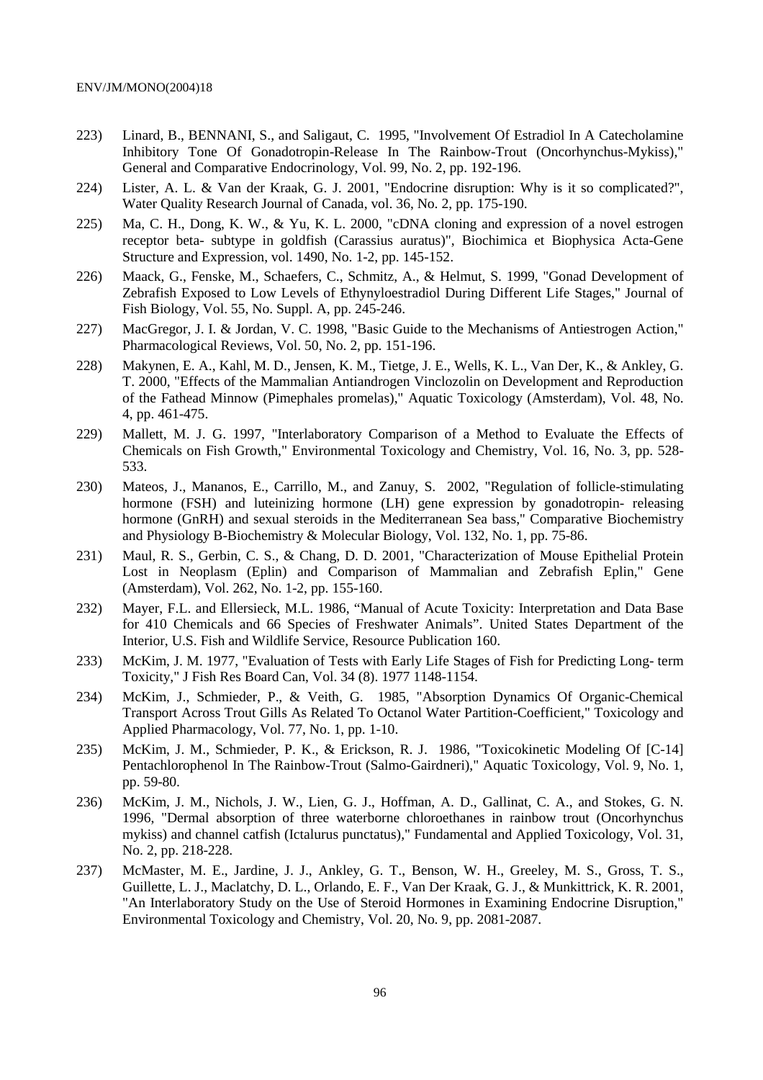- 223) Linard, B., BENNANI, S., and Saligaut, C. 1995, "Involvement Of Estradiol In A Catecholamine Inhibitory Tone Of Gonadotropin-Release In The Rainbow-Trout (Oncorhynchus-Mykiss)," General and Comparative Endocrinology, Vol. 99, No. 2, pp. 192-196.
- 224) Lister, A. L. & Van der Kraak, G. J. 2001, "Endocrine disruption: Why is it so complicated?", Water Quality Research Journal of Canada, vol. 36, No. 2, pp. 175-190.
- 225) Ma, C. H., Dong, K. W., & Yu, K. L. 2000, "cDNA cloning and expression of a novel estrogen receptor beta- subtype in goldfish (Carassius auratus)", Biochimica et Biophysica Acta-Gene Structure and Expression, vol. 1490, No. 1-2, pp. 145-152.
- 226) Maack, G., Fenske, M., Schaefers, C., Schmitz, A., & Helmut, S. 1999, "Gonad Development of Zebrafish Exposed to Low Levels of Ethynyloestradiol During Different Life Stages," Journal of Fish Biology, Vol. 55, No. Suppl. A, pp. 245-246.
- 227) MacGregor, J. I. & Jordan, V. C. 1998, "Basic Guide to the Mechanisms of Antiestrogen Action," Pharmacological Reviews, Vol. 50, No. 2, pp. 151-196.
- 228) Makynen, E. A., Kahl, M. D., Jensen, K. M., Tietge, J. E., Wells, K. L., Van Der, K., & Ankley, G. T. 2000, "Effects of the Mammalian Antiandrogen Vinclozolin on Development and Reproduction of the Fathead Minnow (Pimephales promelas)," Aquatic Toxicology (Amsterdam), Vol. 48, No. 4, pp. 461-475.
- 229) Mallett, M. J. G. 1997, "Interlaboratory Comparison of a Method to Evaluate the Effects of Chemicals on Fish Growth," Environmental Toxicology and Chemistry, Vol. 16, No. 3, pp. 528- 533.
- 230) Mateos, J., Mananos, E., Carrillo, M., and Zanuy, S. 2002, "Regulation of follicle-stimulating hormone (FSH) and luteinizing hormone (LH) gene expression by gonadotropin-releasing hormone (GnRH) and sexual steroids in the Mediterranean Sea bass," Comparative Biochemistry and Physiology B-Biochemistry & Molecular Biology, Vol. 132, No. 1, pp. 75-86.
- 231) Maul, R. S., Gerbin, C. S., & Chang, D. D. 2001, "Characterization of Mouse Epithelial Protein Lost in Neoplasm (Eplin) and Comparison of Mammalian and Zebrafish Eplin," Gene (Amsterdam), Vol. 262, No. 1-2, pp. 155-160.
- 232) Mayer, F.L. and Ellersieck, M.L. 1986, "Manual of Acute Toxicity: Interpretation and Data Base for 410 Chemicals and 66 Species of Freshwater Animals". United States Department of the Interior, U.S. Fish and Wildlife Service, Resource Publication 160.
- 233) McKim, J. M. 1977, "Evaluation of Tests with Early Life Stages of Fish for Predicting Long- term Toxicity," J Fish Res Board Can, Vol. 34 (8). 1977 1148-1154.
- 234) McKim, J., Schmieder, P., & Veith, G. 1985, "Absorption Dynamics Of Organic-Chemical Transport Across Trout Gills As Related To Octanol Water Partition-Coefficient," Toxicology and Applied Pharmacology, Vol. 77, No. 1, pp. 1-10.
- 235) McKim, J. M., Schmieder, P. K., & Erickson, R. J. 1986, "Toxicokinetic Modeling Of [C-14] Pentachlorophenol In The Rainbow-Trout (Salmo-Gairdneri)," Aquatic Toxicology, Vol. 9, No. 1, pp. 59-80.
- 236) McKim, J. M., Nichols, J. W., Lien, G. J., Hoffman, A. D., Gallinat, C. A., and Stokes, G. N. 1996, "Dermal absorption of three waterborne chloroethanes in rainbow trout (Oncorhynchus mykiss) and channel catfish (Ictalurus punctatus)," Fundamental and Applied Toxicology, Vol. 31, No. 2, pp. 218-228.
- 237) McMaster, M. E., Jardine, J. J., Ankley, G. T., Benson, W. H., Greeley, M. S., Gross, T. S., Guillette, L. J., Maclatchy, D. L., Orlando, E. F., Van Der Kraak, G. J., & Munkittrick, K. R. 2001, "An Interlaboratory Study on the Use of Steroid Hormones in Examining Endocrine Disruption," Environmental Toxicology and Chemistry, Vol. 20, No. 9, pp. 2081-2087.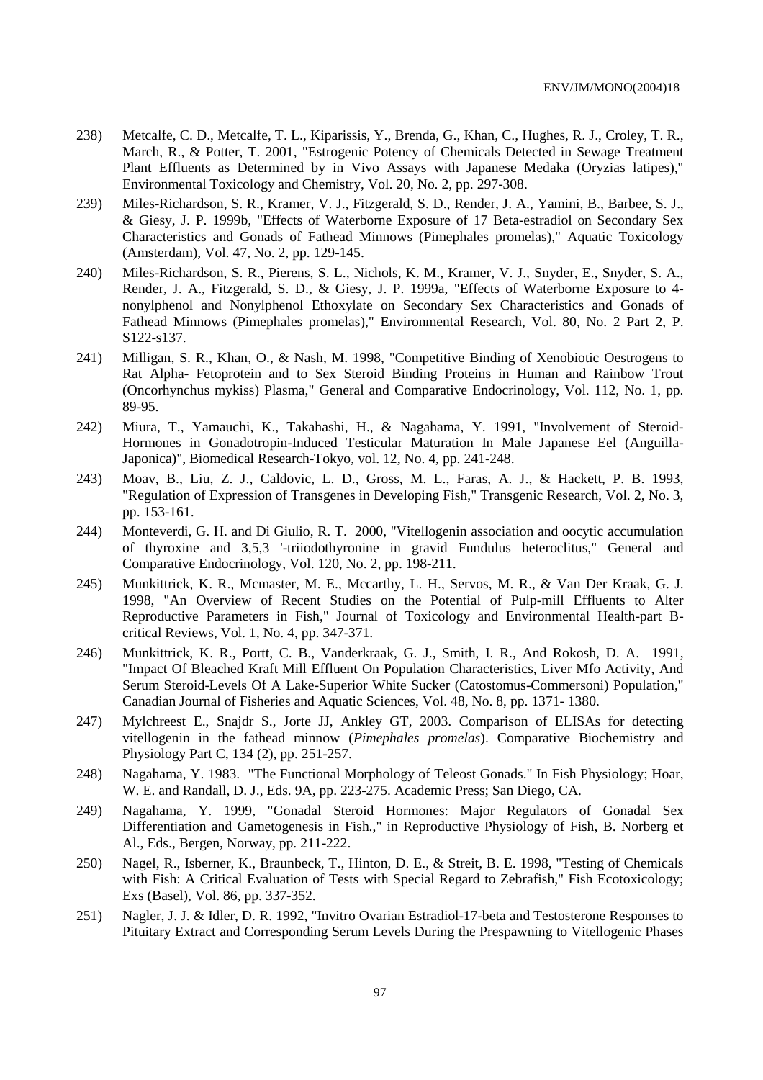- 238) Metcalfe, C. D., Metcalfe, T. L., Kiparissis, Y., Brenda, G., Khan, C., Hughes, R. J., Croley, T. R., March, R., & Potter, T. 2001, "Estrogenic Potency of Chemicals Detected in Sewage Treatment Plant Effluents as Determined by in Vivo Assays with Japanese Medaka (Oryzias latipes)," Environmental Toxicology and Chemistry, Vol. 20, No. 2, pp. 297-308.
- 239) Miles-Richardson, S. R., Kramer, V. J., Fitzgerald, S. D., Render, J. A., Yamini, B., Barbee, S. J., & Giesy, J. P. 1999b, "Effects of Waterborne Exposure of 17 Beta-estradiol on Secondary Sex Characteristics and Gonads of Fathead Minnows (Pimephales promelas)," Aquatic Toxicology (Amsterdam), Vol. 47, No. 2, pp. 129-145.
- 240) Miles-Richardson, S. R., Pierens, S. L., Nichols, K. M., Kramer, V. J., Snyder, E., Snyder, S. A., Render, J. A., Fitzgerald, S. D., & Giesy, J. P. 1999a, "Effects of Waterborne Exposure to 4 nonylphenol and Nonylphenol Ethoxylate on Secondary Sex Characteristics and Gonads of Fathead Minnows (Pimephales promelas)," Environmental Research, Vol. 80, No. 2 Part 2, P. S122-s137.
- 241) Milligan, S. R., Khan, O., & Nash, M. 1998, "Competitive Binding of Xenobiotic Oestrogens to Rat Alpha- Fetoprotein and to Sex Steroid Binding Proteins in Human and Rainbow Trout (Oncorhynchus mykiss) Plasma," General and Comparative Endocrinology, Vol. 112, No. 1, pp. 89-95.
- 242) Miura, T., Yamauchi, K., Takahashi, H., & Nagahama, Y. 1991, "Involvement of Steroid-Hormones in Gonadotropin-Induced Testicular Maturation In Male Japanese Eel (Anguilla-Japonica)", Biomedical Research-Tokyo, vol. 12, No. 4, pp. 241-248.
- 243) Moav, B., Liu, Z. J., Caldovic, L. D., Gross, M. L., Faras, A. J., & Hackett, P. B. 1993, "Regulation of Expression of Transgenes in Developing Fish," Transgenic Research, Vol. 2, No. 3, pp. 153-161.
- 244) Monteverdi, G. H. and Di Giulio, R. T. 2000, "Vitellogenin association and oocytic accumulation of thyroxine and 3,5,3 '-triiodothyronine in gravid Fundulus heteroclitus," General and Comparative Endocrinology, Vol. 120, No. 2, pp. 198-211.
- 245) Munkittrick, K. R., Mcmaster, M. E., Mccarthy, L. H., Servos, M. R., & Van Der Kraak, G. J. 1998, "An Overview of Recent Studies on the Potential of Pulp-mill Effluents to Alter Reproductive Parameters in Fish," Journal of Toxicology and Environmental Health-part Bcritical Reviews, Vol. 1, No. 4, pp. 347-371.
- 246) Munkittrick, K. R., Portt, C. B., Vanderkraak, G. J., Smith, I. R., And Rokosh, D. A. 1991, "Impact Of Bleached Kraft Mill Effluent On Population Characteristics, Liver Mfo Activity, And Serum Steroid-Levels Of A Lake-Superior White Sucker (Catostomus-Commersoni) Population," Canadian Journal of Fisheries and Aquatic Sciences, Vol. 48, No. 8, pp. 1371- 1380.
- 247) Mylchreest E., Snajdr S., Jorte JJ, Ankley GT, 2003. Comparison of ELISAs for detecting vitellogenin in the fathead minnow (*Pimephales promelas*). Comparative Biochemistry and Physiology Part C, 134 (2), pp. 251-257.
- 248) Nagahama, Y. 1983. "The Functional Morphology of Teleost Gonads." In Fish Physiology; Hoar, W. E. and Randall, D. J., Eds. 9A, pp. 223-275. Academic Press; San Diego, CA.
- 249) Nagahama, Y. 1999, "Gonadal Steroid Hormones: Major Regulators of Gonadal Sex Differentiation and Gametogenesis in Fish.," in Reproductive Physiology of Fish, B. Norberg et Al., Eds., Bergen, Norway, pp. 211-222.
- 250) Nagel, R., Isberner, K., Braunbeck, T., Hinton, D. E., & Streit, B. E. 1998, "Testing of Chemicals with Fish: A Critical Evaluation of Tests with Special Regard to Zebrafish," Fish Ecotoxicology; Exs (Basel), Vol. 86, pp. 337-352.
- 251) Nagler, J. J. & Idler, D. R. 1992, "Invitro Ovarian Estradiol-17-beta and Testosterone Responses to Pituitary Extract and Corresponding Serum Levels During the Prespawning to Vitellogenic Phases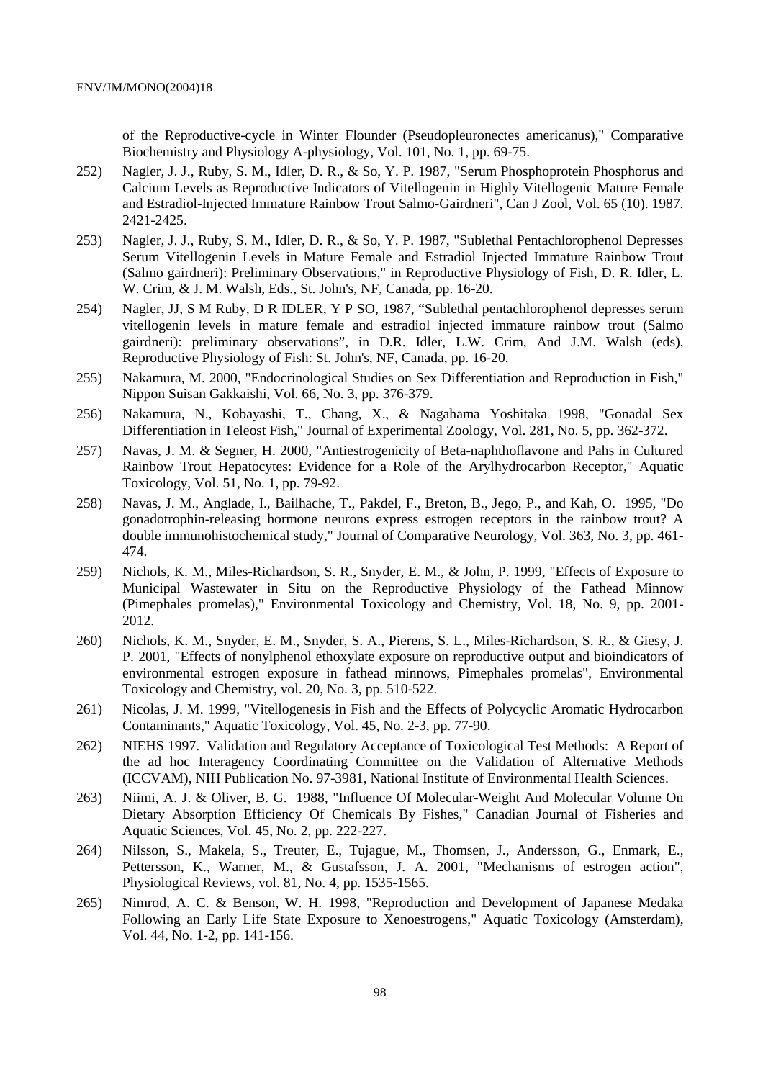of the Reproductive-cycle in Winter Flounder (Pseudopleuronectes americanus)," Comparative Biochemistry and Physiology A-physiology, Vol. 101, No. 1, pp. 69-75.

- 252) Nagler, J. J., Ruby, S. M., Idler, D. R., & So, Y. P. 1987, "Serum Phosphoprotein Phosphorus and Calcium Levels as Reproductive Indicators of Vitellogenin in Highly Vitellogenic Mature Female and Estradiol-Injected Immature Rainbow Trout Salmo-Gairdneri", Can J Zool, Vol. 65 (10). 1987. 2421-2425.
- 253) Nagler, J. J., Ruby, S. M., Idler, D. R., & So, Y. P. 1987, "Sublethal Pentachlorophenol Depresses Serum Vitellogenin Levels in Mature Female and Estradiol Injected Immature Rainbow Trout (Salmo gairdneri): Preliminary Observations," in Reproductive Physiology of Fish, D. R. Idler, L. W. Crim, & J. M. Walsh, Eds., St. John's, NF, Canada, pp. 16-20.
- 254) Nagler, JJ, S M Ruby, D R IDLER, Y P SO, 1987, "Sublethal pentachlorophenol depresses serum vitellogenin levels in mature female and estradiol injected immature rainbow trout (Salmo gairdneri): preliminary observations", in D.R. Idler, L.W. Crim, And J.M. Walsh (eds), Reproductive Physiology of Fish: St. John's, NF, Canada, pp. 16-20.
- 255) Nakamura, M. 2000, "Endocrinological Studies on Sex Differentiation and Reproduction in Fish," Nippon Suisan Gakkaishi, Vol. 66, No. 3, pp. 376-379.
- 256) Nakamura, N., Kobayashi, T., Chang, X., & Nagahama Yoshitaka 1998, "Gonadal Sex Differentiation in Teleost Fish," Journal of Experimental Zoology, Vol. 281, No. 5, pp. 362-372.
- 257) Navas, J. M. & Segner, H. 2000, "Antiestrogenicity of Beta-naphthoflavone and Pahs in Cultured Rainbow Trout Hepatocytes: Evidence for a Role of the Arylhydrocarbon Receptor," Aquatic Toxicology, Vol. 51, No. 1, pp. 79-92.
- 258) Navas, J. M., Anglade, I., Bailhache, T., Pakdel, F., Breton, B., Jego, P., and Kah, O. 1995, "Do gonadotrophin-releasing hormone neurons express estrogen receptors in the rainbow trout? A double immunohistochemical study," Journal of Comparative Neurology, Vol. 363, No. 3, pp. 461- 474.
- 259) Nichols, K. M., Miles-Richardson, S. R., Snyder, E. M., & John, P. 1999, "Effects of Exposure to Municipal Wastewater in Situ on the Reproductive Physiology of the Fathead Minnow (Pimephales promelas)," Environmental Toxicology and Chemistry, Vol. 18, No. 9, pp. 2001- 2012.
- 260) Nichols, K. M., Snyder, E. M., Snyder, S. A., Pierens, S. L., Miles-Richardson, S. R., & Giesy, J. P. 2001, "Effects of nonylphenol ethoxylate exposure on reproductive output and bioindicators of environmental estrogen exposure in fathead minnows, Pimephales promelas", Environmental Toxicology and Chemistry, vol. 20, No. 3, pp. 510-522.
- 261) Nicolas, J. M. 1999, "Vitellogenesis in Fish and the Effects of Polycyclic Aromatic Hydrocarbon Contaminants," Aquatic Toxicology, Vol. 45, No. 2-3, pp. 77-90.
- 262) NIEHS 1997. Validation and Regulatory Acceptance of Toxicological Test Methods: A Report of the ad hoc Interagency Coordinating Committee on the Validation of Alternative Methods (ICCVAM), NIH Publication No. 97-3981, National Institute of Environmental Health Sciences.
- 263) Niimi, A. J. & Oliver, B. G. 1988, "Influence Of Molecular-Weight And Molecular Volume On Dietary Absorption Efficiency Of Chemicals By Fishes," Canadian Journal of Fisheries and Aquatic Sciences, Vol. 45, No. 2, pp. 222-227.
- 264) Nilsson, S., Makela, S., Treuter, E., Tujague, M., Thomsen, J., Andersson, G., Enmark, E., Pettersson, K., Warner, M., & Gustafsson, J. A. 2001, "Mechanisms of estrogen action", Physiological Reviews, vol. 81, No. 4, pp. 1535-1565.
- 265) Nimrod, A. C. & Benson, W. H. 1998, "Reproduction and Development of Japanese Medaka Following an Early Life State Exposure to Xenoestrogens," Aquatic Toxicology (Amsterdam), Vol. 44, No. 1-2, pp. 141-156.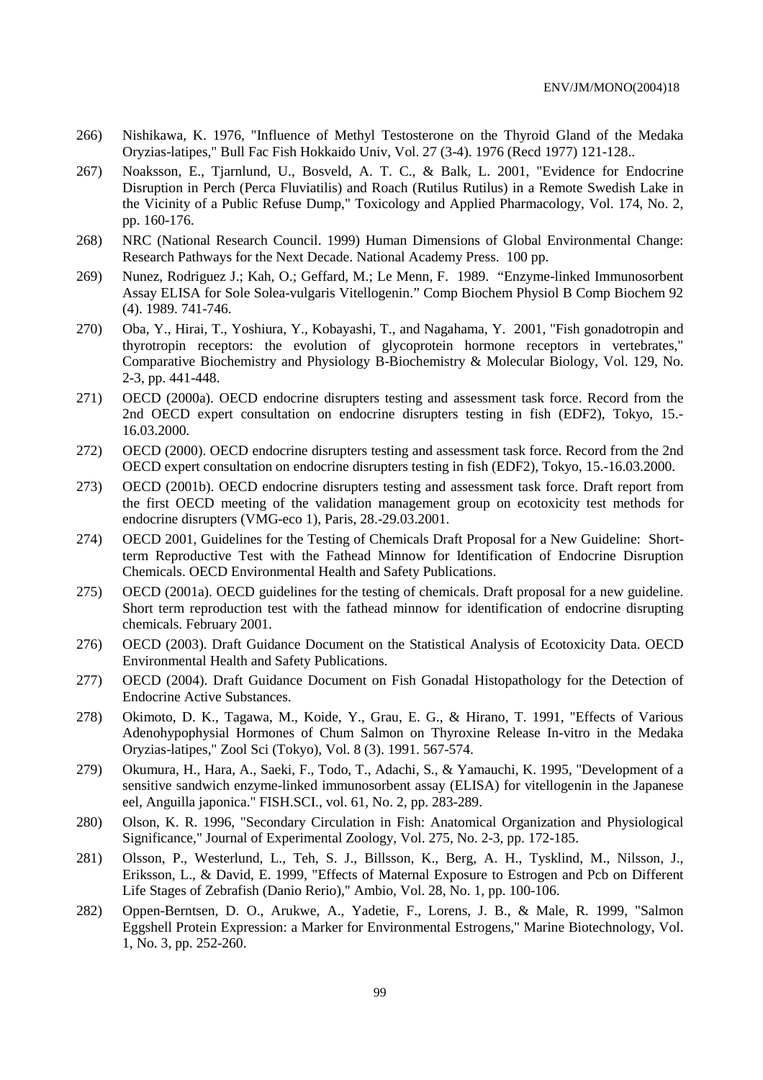- 266) Nishikawa, K. 1976, "Influence of Methyl Testosterone on the Thyroid Gland of the Medaka Oryzias-latipes," Bull Fac Fish Hokkaido Univ, Vol. 27 (3-4). 1976 (Recd 1977) 121-128..
- 267) Noaksson, E., Tjarnlund, U., Bosveld, A. T. C., & Balk, L. 2001, "Evidence for Endocrine Disruption in Perch (Perca Fluviatilis) and Roach (Rutilus Rutilus) in a Remote Swedish Lake in the Vicinity of a Public Refuse Dump," Toxicology and Applied Pharmacology, Vol. 174, No. 2, pp. 160-176.
- 268) NRC (National Research Council. 1999) Human Dimensions of Global Environmental Change: Research Pathways for the Next Decade. National Academy Press. 100 pp.
- 269) Nunez, Rodriguez J.; Kah, O.; Geffard, M.; Le Menn, F. 1989. "Enzyme-linked Immunosorbent Assay ELISA for Sole Solea-vulgaris Vitellogenin." Comp Biochem Physiol B Comp Biochem 92 (4). 1989. 741-746.
- 270) Oba, Y., Hirai, T., Yoshiura, Y., Kobayashi, T., and Nagahama, Y. 2001, "Fish gonadotropin and thyrotropin receptors: the evolution of glycoprotein hormone receptors in vertebrates," Comparative Biochemistry and Physiology B-Biochemistry & Molecular Biology, Vol. 129, No. 2-3, pp. 441-448.
- 271) OECD (2000a). OECD endocrine disrupters testing and assessment task force. Record from the 2nd OECD expert consultation on endocrine disrupters testing in fish (EDF2), Tokyo, 15.- 16.03.2000.
- 272) OECD (2000). OECD endocrine disrupters testing and assessment task force. Record from the 2nd OECD expert consultation on endocrine disrupters testing in fish (EDF2), Tokyo, 15.-16.03.2000.
- 273) OECD (2001b). OECD endocrine disrupters testing and assessment task force. Draft report from the first OECD meeting of the validation management group on ecotoxicity test methods for endocrine disrupters (VMG-eco 1), Paris, 28.-29.03.2001.
- 274) OECD 2001, Guidelines for the Testing of Chemicals Draft Proposal for a New Guideline: Shortterm Reproductive Test with the Fathead Minnow for Identification of Endocrine Disruption Chemicals. OECD Environmental Health and Safety Publications.
- 275) OECD (2001a). OECD guidelines for the testing of chemicals. Draft proposal for a new guideline. Short term reproduction test with the fathead minnow for identification of endocrine disrupting chemicals. February 2001.
- 276) OECD (2003). Draft Guidance Document on the Statistical Analysis of Ecotoxicity Data. OECD Environmental Health and Safety Publications.
- 277) OECD (2004). Draft Guidance Document on Fish Gonadal Histopathology for the Detection of Endocrine Active Substances.
- 278) Okimoto, D. K., Tagawa, M., Koide, Y., Grau, E. G., & Hirano, T. 1991, "Effects of Various Adenohypophysial Hormones of Chum Salmon on Thyroxine Release In-vitro in the Medaka Oryzias-latipes," Zool Sci (Tokyo), Vol. 8 (3). 1991. 567-574.
- 279) Okumura, H., Hara, A., Saeki, F., Todo, T., Adachi, S., & Yamauchi, K. 1995, "Development of a sensitive sandwich enzyme-linked immunosorbent assay (ELISA) for vitellogenin in the Japanese eel, Anguilla japonica." FISH.SCI., vol. 61, No. 2, pp. 283-289.
- 280) Olson, K. R. 1996, "Secondary Circulation in Fish: Anatomical Organization and Physiological Significance," Journal of Experimental Zoology, Vol. 275, No. 2-3, pp. 172-185.
- 281) Olsson, P., Westerlund, L., Teh, S. J., Billsson, K., Berg, A. H., Tysklind, M., Nilsson, J., Eriksson, L., & David, E. 1999, "Effects of Maternal Exposure to Estrogen and Pcb on Different Life Stages of Zebrafish (Danio Rerio)," Ambio, Vol. 28, No. 1, pp. 100-106.
- 282) Oppen-Berntsen, D. O., Arukwe, A., Yadetie, F., Lorens, J. B., & Male, R. 1999, "Salmon Eggshell Protein Expression: a Marker for Environmental Estrogens," Marine Biotechnology, Vol. 1, No. 3, pp. 252-260.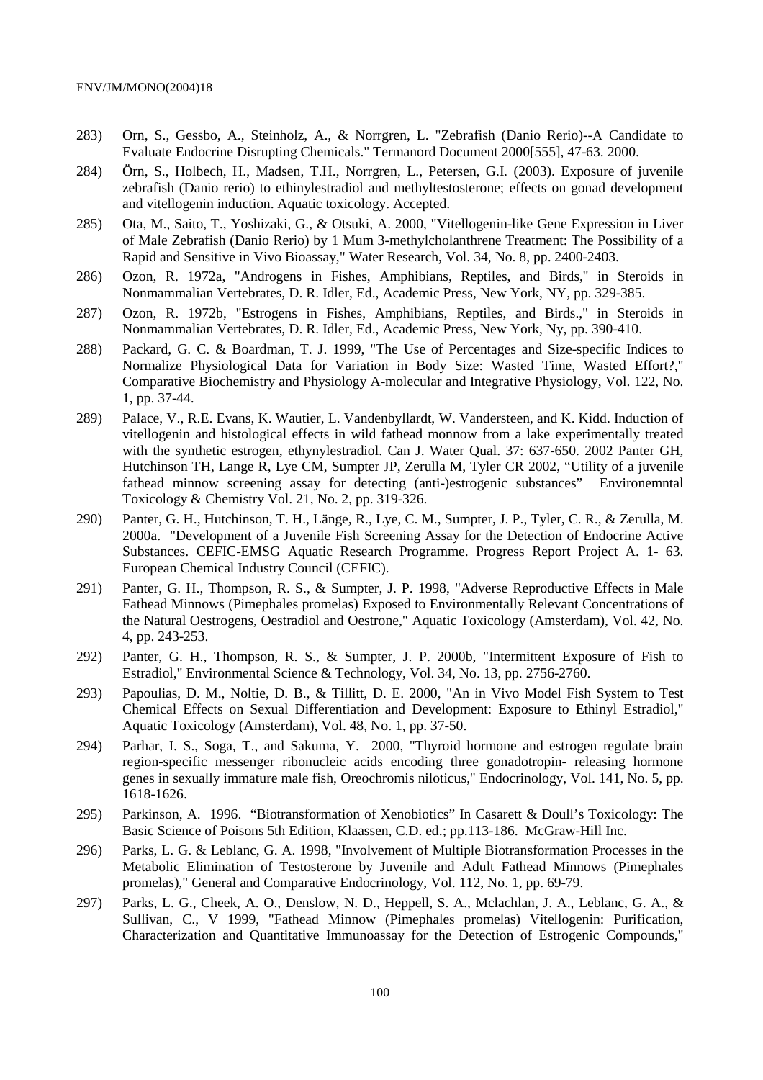- 283) Orn, S., Gessbo, A., Steinholz, A., & Norrgren, L. "Zebrafish (Danio Rerio)--A Candidate to Evaluate Endocrine Disrupting Chemicals." Termanord Document 2000[555], 47-63. 2000.
- 284) Örn, S., Holbech, H., Madsen, T.H., Norrgren, L., Petersen, G.I. (2003). Exposure of juvenile zebrafish (Danio rerio) to ethinylestradiol and methyltestosterone; effects on gonad development and vitellogenin induction. Aquatic toxicology. Accepted.
- 285) Ota, M., Saito, T., Yoshizaki, G., & Otsuki, A. 2000, "Vitellogenin-like Gene Expression in Liver of Male Zebrafish (Danio Rerio) by 1 Mum 3-methylcholanthrene Treatment: The Possibility of a Rapid and Sensitive in Vivo Bioassay," Water Research, Vol. 34, No. 8, pp. 2400-2403.
- 286) Ozon, R. 1972a, "Androgens in Fishes, Amphibians, Reptiles, and Birds," in Steroids in Nonmammalian Vertebrates, D. R. Idler, Ed., Academic Press, New York, NY, pp. 329-385.
- 287) Ozon, R. 1972b, "Estrogens in Fishes, Amphibians, Reptiles, and Birds.," in Steroids in Nonmammalian Vertebrates, D. R. Idler, Ed., Academic Press, New York, Ny, pp. 390-410.
- 288) Packard, G. C. & Boardman, T. J. 1999, "The Use of Percentages and Size-specific Indices to Normalize Physiological Data for Variation in Body Size: Wasted Time, Wasted Effort?," Comparative Biochemistry and Physiology A-molecular and Integrative Physiology, Vol. 122, No. 1, pp. 37-44.
- 289) Palace, V., R.E. Evans, K. Wautier, L. Vandenbyllardt, W. Vandersteen, and K. Kidd. Induction of vitellogenin and histological effects in wild fathead monnow from a lake experimentally treated with the synthetic estrogen, ethynylestradiol. Can J. Water Qual. 37: 637-650. 2002 Panter GH, Hutchinson TH, Lange R, Lye CM, Sumpter JP, Zerulla M, Tyler CR 2002, "Utility of a juvenile fathead minnow screening assay for detecting (anti-)estrogenic substances" Environemntal Toxicology & Chemistry Vol. 21, No. 2, pp. 319-326.
- 290) Panter, G. H., Hutchinson, T. H., Länge, R., Lye, C. M., Sumpter, J. P., Tyler, C. R., & Zerulla, M. 2000a. "Development of a Juvenile Fish Screening Assay for the Detection of Endocrine Active Substances. CEFIC-EMSG Aquatic Research Programme. Progress Report Project A. 1- 63. European Chemical Industry Council (CEFIC).
- 291) Panter, G. H., Thompson, R. S., & Sumpter, J. P. 1998, "Adverse Reproductive Effects in Male Fathead Minnows (Pimephales promelas) Exposed to Environmentally Relevant Concentrations of the Natural Oestrogens, Oestradiol and Oestrone," Aquatic Toxicology (Amsterdam), Vol. 42, No. 4, pp. 243-253.
- 292) Panter, G. H., Thompson, R. S., & Sumpter, J. P. 2000b, "Intermittent Exposure of Fish to Estradiol," Environmental Science & Technology, Vol. 34, No. 13, pp. 2756-2760.
- 293) Papoulias, D. M., Noltie, D. B., & Tillitt, D. E. 2000, "An in Vivo Model Fish System to Test Chemical Effects on Sexual Differentiation and Development: Exposure to Ethinyl Estradiol," Aquatic Toxicology (Amsterdam), Vol. 48, No. 1, pp. 37-50.
- 294) Parhar, I. S., Soga, T., and Sakuma, Y. 2000, "Thyroid hormone and estrogen regulate brain region-specific messenger ribonucleic acids encoding three gonadotropin- releasing hormone genes in sexually immature male fish, Oreochromis niloticus," Endocrinology, Vol. 141, No. 5, pp. 1618-1626.
- 295) Parkinson, A. 1996. "Biotransformation of Xenobiotics" In Casarett & Doull's Toxicology: The Basic Science of Poisons 5th Edition, Klaassen, C.D. ed.; pp.113-186. McGraw-Hill Inc.
- 296) Parks, L. G. & Leblanc, G. A. 1998, "Involvement of Multiple Biotransformation Processes in the Metabolic Elimination of Testosterone by Juvenile and Adult Fathead Minnows (Pimephales promelas)," General and Comparative Endocrinology, Vol. 112, No. 1, pp. 69-79.
- 297) Parks, L. G., Cheek, A. O., Denslow, N. D., Heppell, S. A., Mclachlan, J. A., Leblanc, G. A., & Sullivan, C., V 1999, "Fathead Minnow (Pimephales promelas) Vitellogenin: Purification, Characterization and Quantitative Immunoassay for the Detection of Estrogenic Compounds,"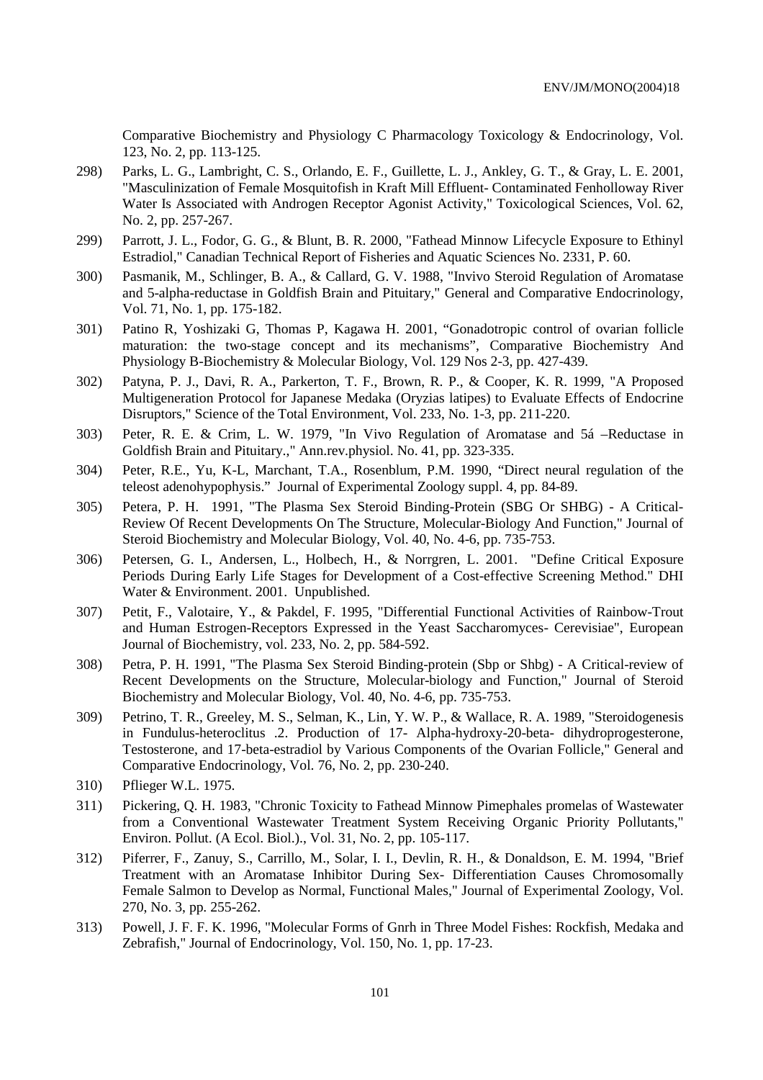Comparative Biochemistry and Physiology C Pharmacology Toxicology & Endocrinology, Vol. 123, No. 2, pp. 113-125.

- 298) Parks, L. G., Lambright, C. S., Orlando, E. F., Guillette, L. J., Ankley, G. T., & Gray, L. E. 2001, "Masculinization of Female Mosquitofish in Kraft Mill Effluent- Contaminated Fenholloway River Water Is Associated with Androgen Receptor Agonist Activity," Toxicological Sciences, Vol. 62, No. 2, pp. 257-267.
- 299) Parrott, J. L., Fodor, G. G., & Blunt, B. R. 2000, "Fathead Minnow Lifecycle Exposure to Ethinyl Estradiol," Canadian Technical Report of Fisheries and Aquatic Sciences No. 2331, P. 60.
- 300) Pasmanik, M., Schlinger, B. A., & Callard, G. V. 1988, "Invivo Steroid Regulation of Aromatase and 5-alpha-reductase in Goldfish Brain and Pituitary," General and Comparative Endocrinology, Vol. 71, No. 1, pp. 175-182.
- 301) Patino R, Yoshizaki G, Thomas P, Kagawa H. 2001, "Gonadotropic control of ovarian follicle maturation: the two-stage concept and its mechanisms", Comparative Biochemistry And Physiology B-Biochemistry & Molecular Biology, Vol. 129 Nos 2-3, pp. 427-439.
- 302) Patyna, P. J., Davi, R. A., Parkerton, T. F., Brown, R. P., & Cooper, K. R. 1999, "A Proposed Multigeneration Protocol for Japanese Medaka (Oryzias latipes) to Evaluate Effects of Endocrine Disruptors," Science of the Total Environment, Vol. 233, No. 1-3, pp. 211-220.
- 303) Peter, R. E. & Crim, L. W. 1979, "In Vivo Regulation of Aromatase and 5á –Reductase in Goldfish Brain and Pituitary.," Ann.rev.physiol. No. 41, pp. 323-335.
- 304) Peter, R.E., Yu, K-L, Marchant, T.A., Rosenblum, P.M. 1990, "Direct neural regulation of the teleost adenohypophysis." Journal of Experimental Zoology suppl. 4, pp. 84-89.
- 305) Petera, P. H. 1991, "The Plasma Sex Steroid Binding-Protein (SBG Or SHBG) A Critical-Review Of Recent Developments On The Structure, Molecular-Biology And Function," Journal of Steroid Biochemistry and Molecular Biology, Vol. 40, No. 4-6, pp. 735-753.
- 306) Petersen, G. I., Andersen, L., Holbech, H., & Norrgren, L. 2001. "Define Critical Exposure Periods During Early Life Stages for Development of a Cost-effective Screening Method." DHI Water & Environment. 2001. Unpublished.
- 307) Petit, F., Valotaire, Y., & Pakdel, F. 1995, "Differential Functional Activities of Rainbow-Trout and Human Estrogen-Receptors Expressed in the Yeast Saccharomyces- Cerevisiae", European Journal of Biochemistry, vol. 233, No. 2, pp. 584-592.
- 308) Petra, P. H. 1991, "The Plasma Sex Steroid Binding-protein (Sbp or Shbg) A Critical-review of Recent Developments on the Structure, Molecular-biology and Function," Journal of Steroid Biochemistry and Molecular Biology, Vol. 40, No. 4-6, pp. 735-753.
- 309) Petrino, T. R., Greeley, M. S., Selman, K., Lin, Y. W. P., & Wallace, R. A. 1989, "Steroidogenesis in Fundulus-heteroclitus .2. Production of 17- Alpha-hydroxy-20-beta- dihydroprogesterone, Testosterone, and 17-beta-estradiol by Various Components of the Ovarian Follicle," General and Comparative Endocrinology, Vol. 76, No. 2, pp. 230-240.
- 310) Pflieger W.L. 1975.
- 311) Pickering, Q. H. 1983, "Chronic Toxicity to Fathead Minnow Pimephales promelas of Wastewater from a Conventional Wastewater Treatment System Receiving Organic Priority Pollutants," Environ. Pollut. (A Ecol. Biol.)., Vol. 31, No. 2, pp. 105-117.
- 312) Piferrer, F., Zanuy, S., Carrillo, M., Solar, I. I., Devlin, R. H., & Donaldson, E. M. 1994, "Brief Treatment with an Aromatase Inhibitor During Sex- Differentiation Causes Chromosomally Female Salmon to Develop as Normal, Functional Males," Journal of Experimental Zoology, Vol. 270, No. 3, pp. 255-262.
- 313) Powell, J. F. F. K. 1996, "Molecular Forms of Gnrh in Three Model Fishes: Rockfish, Medaka and Zebrafish," Journal of Endocrinology, Vol. 150, No. 1, pp. 17-23.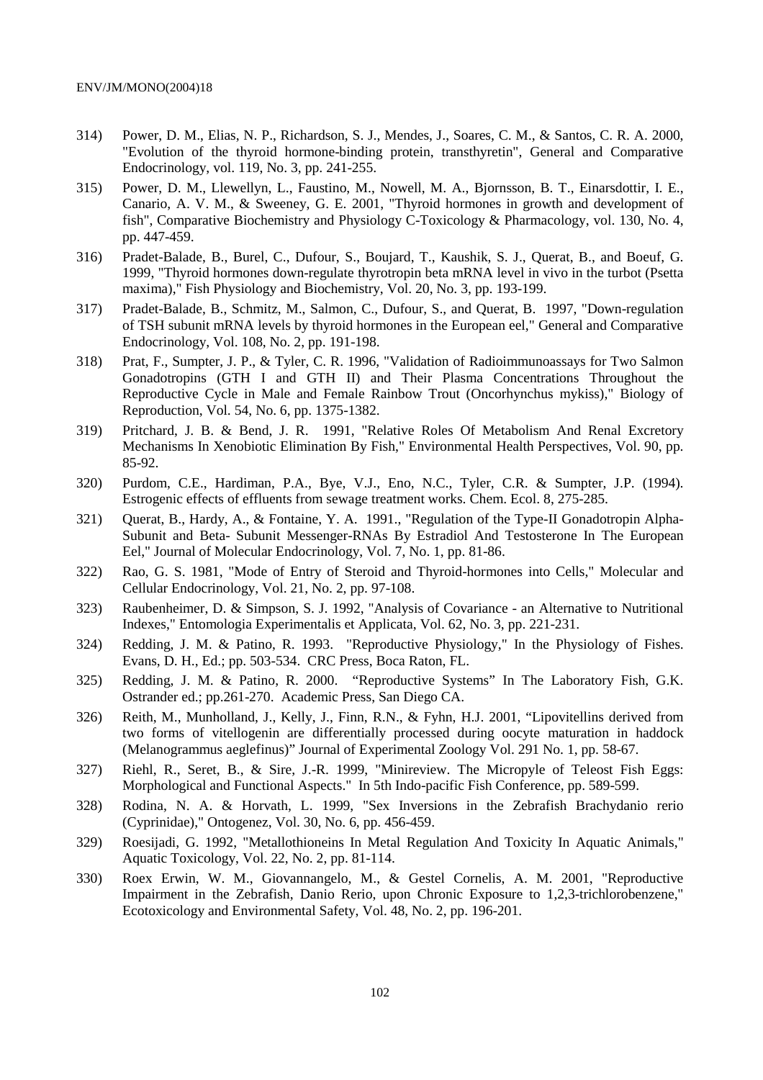- 314) Power, D. M., Elias, N. P., Richardson, S. J., Mendes, J., Soares, C. M., & Santos, C. R. A. 2000, "Evolution of the thyroid hormone-binding protein, transthyretin", General and Comparative Endocrinology, vol. 119, No. 3, pp. 241-255.
- 315) Power, D. M., Llewellyn, L., Faustino, M., Nowell, M. A., Bjornsson, B. T., Einarsdottir, I. E., Canario, A. V. M., & Sweeney, G. E. 2001, "Thyroid hormones in growth and development of fish", Comparative Biochemistry and Physiology C-Toxicology & Pharmacology, vol. 130, No. 4, pp. 447-459.
- 316) Pradet-Balade, B., Burel, C., Dufour, S., Boujard, T., Kaushik, S. J., Querat, B., and Boeuf, G. 1999, "Thyroid hormones down-regulate thyrotropin beta mRNA level in vivo in the turbot (Psetta maxima)," Fish Physiology and Biochemistry, Vol. 20, No. 3, pp. 193-199.
- 317) Pradet-Balade, B., Schmitz, M., Salmon, C., Dufour, S., and Querat, B. 1997, "Down-regulation of TSH subunit mRNA levels by thyroid hormones in the European eel," General and Comparative Endocrinology, Vol. 108, No. 2, pp. 191-198.
- 318) Prat, F., Sumpter, J. P., & Tyler, C. R. 1996, "Validation of Radioimmunoassays for Two Salmon Gonadotropins (GTH I and GTH II) and Their Plasma Concentrations Throughout the Reproductive Cycle in Male and Female Rainbow Trout (Oncorhynchus mykiss)," Biology of Reproduction, Vol. 54, No. 6, pp. 1375-1382.
- 319) Pritchard, J. B. & Bend, J. R. 1991, "Relative Roles Of Metabolism And Renal Excretory Mechanisms In Xenobiotic Elimination By Fish," Environmental Health Perspectives, Vol. 90, pp. 85-92.
- 320) Purdom, C.E., Hardiman, P.A., Bye, V.J., Eno, N.C., Tyler, C.R. & Sumpter, J.P. (1994). Estrogenic effects of effluents from sewage treatment works. Chem. Ecol. 8, 275-285.
- 321) Querat, B., Hardy, A., & Fontaine, Y. A. 1991., "Regulation of the Type-II Gonadotropin Alpha-Subunit and Beta- Subunit Messenger-RNAs By Estradiol And Testosterone In The European Eel," Journal of Molecular Endocrinology, Vol. 7, No. 1, pp. 81-86.
- 322) Rao, G. S. 1981, "Mode of Entry of Steroid and Thyroid-hormones into Cells," Molecular and Cellular Endocrinology, Vol. 21, No. 2, pp. 97-108.
- 323) Raubenheimer, D. & Simpson, S. J. 1992, "Analysis of Covariance an Alternative to Nutritional Indexes," Entomologia Experimentalis et Applicata, Vol. 62, No. 3, pp. 221-231.
- 324) Redding, J. M. & Patino, R. 1993. "Reproductive Physiology," In the Physiology of Fishes. Evans, D. H., Ed.; pp. 503-534. CRC Press, Boca Raton, FL.
- 325) Redding, J. M. & Patino, R. 2000. "Reproductive Systems" In The Laboratory Fish, G.K. Ostrander ed.; pp.261-270. Academic Press, San Diego CA.
- 326) Reith, M., Munholland, J., Kelly, J., Finn, R.N., & Fyhn, H.J. 2001, "Lipovitellins derived from two forms of vitellogenin are differentially processed during oocyte maturation in haddock (Melanogrammus aeglefinus)" Journal of Experimental Zoology Vol. 291 No. 1, pp. 58-67.
- 327) Riehl, R., Seret, B., & Sire, J.-R. 1999, "Minireview. The Micropyle of Teleost Fish Eggs: Morphological and Functional Aspects." In 5th Indo-pacific Fish Conference, pp. 589-599.
- 328) Rodina, N. A. & Horvath, L. 1999, "Sex Inversions in the Zebrafish Brachydanio rerio (Cyprinidae)," Ontogenez, Vol. 30, No. 6, pp. 456-459.
- 329) Roesijadi, G. 1992, "Metallothioneins In Metal Regulation And Toxicity In Aquatic Animals," Aquatic Toxicology, Vol. 22, No. 2, pp. 81-114.
- 330) Roex Erwin, W. M., Giovannangelo, M., & Gestel Cornelis, A. M. 2001, "Reproductive Impairment in the Zebrafish, Danio Rerio, upon Chronic Exposure to 1,2,3-trichlorobenzene," Ecotoxicology and Environmental Safety, Vol. 48, No. 2, pp. 196-201.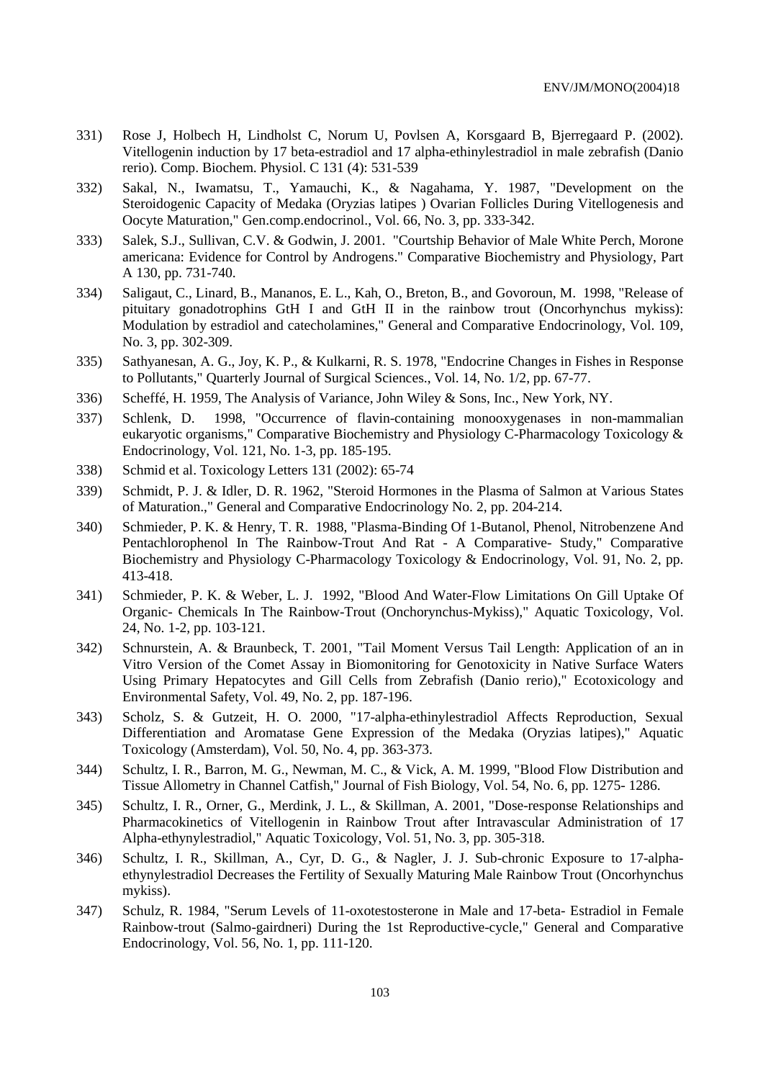- 331) Rose J, Holbech H, Lindholst C, Norum U, Povlsen A, Korsgaard B, Bjerregaard P. (2002). Vitellogenin induction by 17 beta-estradiol and 17 alpha-ethinylestradiol in male zebrafish (Danio rerio). Comp. Biochem. Physiol. C 131 (4): 531-539
- 332) Sakal, N., Iwamatsu, T., Yamauchi, K., & Nagahama, Y. 1987, "Development on the Steroidogenic Capacity of Medaka (Oryzias latipes ) Ovarian Follicles During Vitellogenesis and Oocyte Maturation," Gen.comp.endocrinol., Vol. 66, No. 3, pp. 333-342.
- 333) Salek, S.J., Sullivan, C.V. & Godwin, J. 2001. "Courtship Behavior of Male White Perch, Morone americana: Evidence for Control by Androgens." Comparative Biochemistry and Physiology, Part A 130, pp. 731-740.
- 334) Saligaut, C., Linard, B., Mananos, E. L., Kah, O., Breton, B., and Govoroun, M. 1998, "Release of pituitary gonadotrophins GtH I and GtH II in the rainbow trout (Oncorhynchus mykiss): Modulation by estradiol and catecholamines," General and Comparative Endocrinology, Vol. 109, No. 3, pp. 302-309.
- 335) Sathyanesan, A. G., Joy, K. P., & Kulkarni, R. S. 1978, "Endocrine Changes in Fishes in Response to Pollutants," Quarterly Journal of Surgical Sciences., Vol. 14, No. 1/2, pp. 67-77.
- 336) Scheffé, H. 1959, The Analysis of Variance, John Wiley & Sons, Inc., New York, NY.
- 337) Schlenk, D. 1998, "Occurrence of flavin-containing monooxygenases in non-mammalian eukaryotic organisms," Comparative Biochemistry and Physiology C-Pharmacology Toxicology & Endocrinology, Vol. 121, No. 1-3, pp. 185-195.
- 338) Schmid et al. Toxicology Letters 131 (2002): 65-74
- 339) Schmidt, P. J. & Idler, D. R. 1962, "Steroid Hormones in the Plasma of Salmon at Various States of Maturation.," General and Comparative Endocrinology No. 2, pp. 204-214.
- 340) Schmieder, P. K. & Henry, T. R. 1988, "Plasma-Binding Of 1-Butanol, Phenol, Nitrobenzene And Pentachlorophenol In The Rainbow-Trout And Rat - A Comparative- Study," Comparative Biochemistry and Physiology C-Pharmacology Toxicology & Endocrinology, Vol. 91, No. 2, pp. 413-418.
- 341) Schmieder, P. K. & Weber, L. J. 1992, "Blood And Water-Flow Limitations On Gill Uptake Of Organic- Chemicals In The Rainbow-Trout (Onchorynchus-Mykiss)," Aquatic Toxicology, Vol. 24, No. 1-2, pp. 103-121.
- 342) Schnurstein, A. & Braunbeck, T. 2001, "Tail Moment Versus Tail Length: Application of an in Vitro Version of the Comet Assay in Biomonitoring for Genotoxicity in Native Surface Waters Using Primary Hepatocytes and Gill Cells from Zebrafish (Danio rerio)," Ecotoxicology and Environmental Safety, Vol. 49, No. 2, pp. 187-196.
- 343) Scholz, S. & Gutzeit, H. O. 2000, "17-alpha-ethinylestradiol Affects Reproduction, Sexual Differentiation and Aromatase Gene Expression of the Medaka (Oryzias latipes)," Aquatic Toxicology (Amsterdam), Vol. 50, No. 4, pp. 363-373.
- 344) Schultz, I. R., Barron, M. G., Newman, M. C., & Vick, A. M. 1999, "Blood Flow Distribution and Tissue Allometry in Channel Catfish," Journal of Fish Biology, Vol. 54, No. 6, pp. 1275- 1286.
- 345) Schultz, I. R., Orner, G., Merdink, J. L., & Skillman, A. 2001, "Dose-response Relationships and Pharmacokinetics of Vitellogenin in Rainbow Trout after Intravascular Administration of 17 Alpha-ethynylestradiol," Aquatic Toxicology, Vol. 51, No. 3, pp. 305-318.
- 346) Schultz, I. R., Skillman, A., Cyr, D. G., & Nagler, J. J. Sub-chronic Exposure to 17-alphaethynylestradiol Decreases the Fertility of Sexually Maturing Male Rainbow Trout (Oncorhynchus mykiss).
- 347) Schulz, R. 1984, "Serum Levels of 11-oxotestosterone in Male and 17-beta- Estradiol in Female Rainbow-trout (Salmo-gairdneri) During the 1st Reproductive-cycle," General and Comparative Endocrinology, Vol. 56, No. 1, pp. 111-120.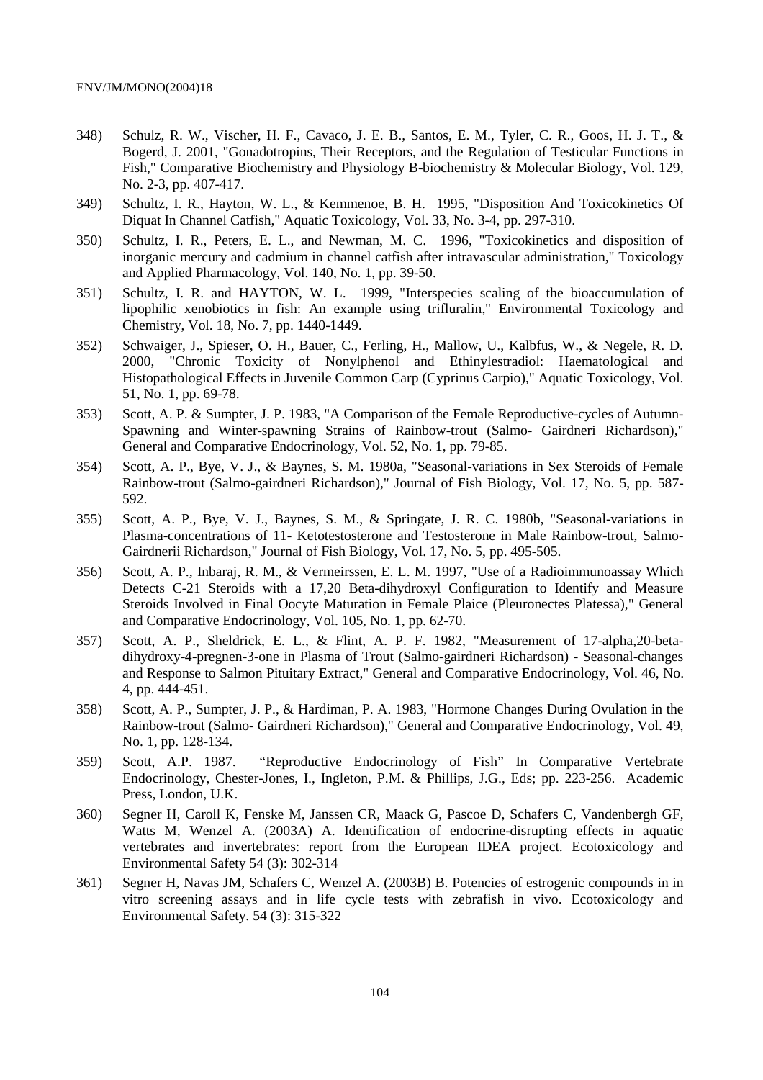- 348) Schulz, R. W., Vischer, H. F., Cavaco, J. E. B., Santos, E. M., Tyler, C. R., Goos, H. J. T., & Bogerd, J. 2001, "Gonadotropins, Their Receptors, and the Regulation of Testicular Functions in Fish," Comparative Biochemistry and Physiology B-biochemistry & Molecular Biology, Vol. 129, No. 2-3, pp. 407-417.
- 349) Schultz, I. R., Hayton, W. L., & Kemmenoe, B. H. 1995, "Disposition And Toxicokinetics Of Diquat In Channel Catfish," Aquatic Toxicology, Vol. 33, No. 3-4, pp. 297-310.
- 350) Schultz, I. R., Peters, E. L., and Newman, M. C. 1996, "Toxicokinetics and disposition of inorganic mercury and cadmium in channel catfish after intravascular administration," Toxicology and Applied Pharmacology, Vol. 140, No. 1, pp. 39-50.
- 351) Schultz, I. R. and HAYTON, W. L. 1999, "Interspecies scaling of the bioaccumulation of lipophilic xenobiotics in fish: An example using trifluralin," Environmental Toxicology and Chemistry, Vol. 18, No. 7, pp. 1440-1449.
- 352) Schwaiger, J., Spieser, O. H., Bauer, C., Ferling, H., Mallow, U., Kalbfus, W., & Negele, R. D. 2000, "Chronic Toxicity of Nonylphenol and Ethinylestradiol: Haematological and Histopathological Effects in Juvenile Common Carp (Cyprinus Carpio)," Aquatic Toxicology, Vol. 51, No. 1, pp. 69-78.
- 353) Scott, A. P. & Sumpter, J. P. 1983, "A Comparison of the Female Reproductive-cycles of Autumn-Spawning and Winter-spawning Strains of Rainbow-trout (Salmo- Gairdneri Richardson)," General and Comparative Endocrinology, Vol. 52, No. 1, pp. 79-85.
- 354) Scott, A. P., Bye, V. J., & Baynes, S. M. 1980a, "Seasonal-variations in Sex Steroids of Female Rainbow-trout (Salmo-gairdneri Richardson)," Journal of Fish Biology, Vol. 17, No. 5, pp. 587- 592.
- 355) Scott, A. P., Bye, V. J., Baynes, S. M., & Springate, J. R. C. 1980b, "Seasonal-variations in Plasma-concentrations of 11- Ketotestosterone and Testosterone in Male Rainbow-trout, Salmo-Gairdnerii Richardson," Journal of Fish Biology, Vol. 17, No. 5, pp. 495-505.
- 356) Scott, A. P., Inbaraj, R. M., & Vermeirssen, E. L. M. 1997, "Use of a Radioimmunoassay Which Detects C-21 Steroids with a 17,20 Beta-dihydroxyl Configuration to Identify and Measure Steroids Involved in Final Oocyte Maturation in Female Plaice (Pleuronectes Platessa)," General and Comparative Endocrinology, Vol. 105, No. 1, pp. 62-70.
- 357) Scott, A. P., Sheldrick, E. L., & Flint, A. P. F. 1982, "Measurement of 17-alpha,20-betadihydroxy-4-pregnen-3-one in Plasma of Trout (Salmo-gairdneri Richardson) - Seasonal-changes and Response to Salmon Pituitary Extract," General and Comparative Endocrinology, Vol. 46, No. 4, pp. 444-451.
- 358) Scott, A. P., Sumpter, J. P., & Hardiman, P. A. 1983, "Hormone Changes During Ovulation in the Rainbow-trout (Salmo- Gairdneri Richardson)," General and Comparative Endocrinology, Vol. 49, No. 1, pp. 128-134.
- 359) Scott, A.P. 1987. "Reproductive Endocrinology of Fish" In Comparative Vertebrate Endocrinology, Chester-Jones, I., Ingleton, P.M. & Phillips, J.G., Eds; pp. 223-256. Academic Press, London, U.K.
- 360) Segner H, Caroll K, Fenske M, Janssen CR, Maack G, Pascoe D, Schafers C, Vandenbergh GF, Watts M, Wenzel A. (2003A) A. Identification of endocrine-disrupting effects in aquatic vertebrates and invertebrates: report from the European IDEA project. Ecotoxicology and Environmental Safety 54 (3): 302-314
- 361) Segner H, Navas JM, Schafers C, Wenzel A. (2003B) B. Potencies of estrogenic compounds in in vitro screening assays and in life cycle tests with zebrafish in vivo. Ecotoxicology and Environmental Safety. 54 (3): 315-322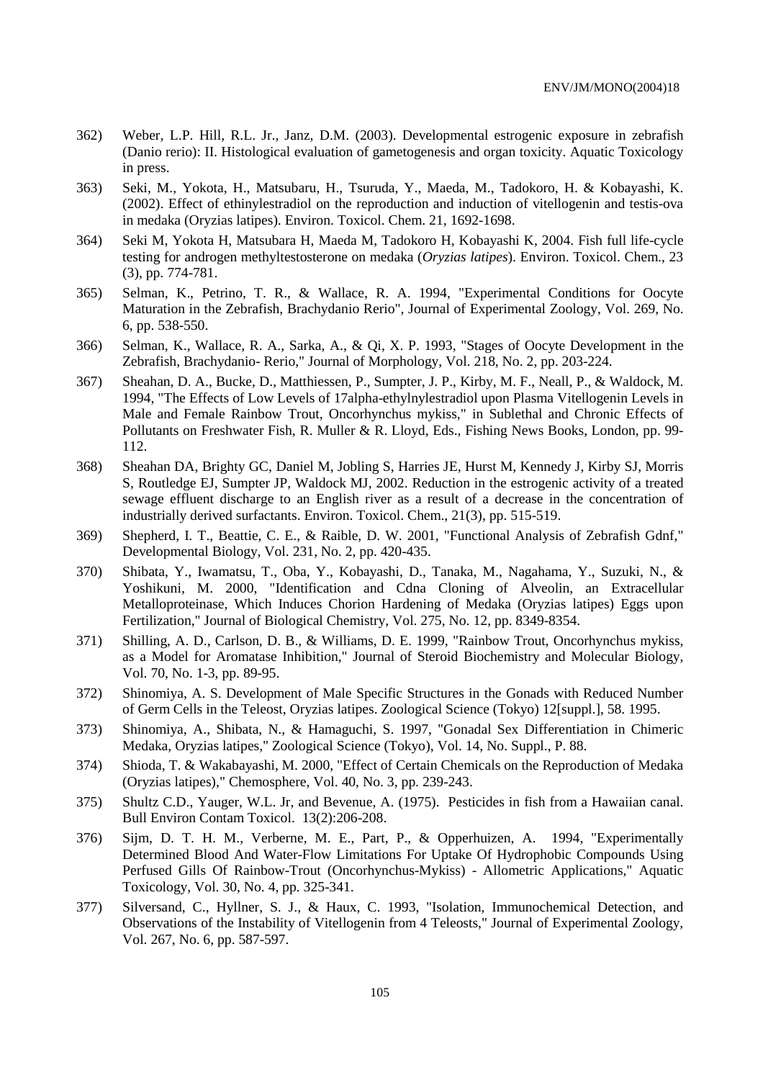- 362) Weber, L.P. Hill, R.L. Jr., Janz, D.M. (2003). Developmental estrogenic exposure in zebrafish (Danio rerio): II. Histological evaluation of gametogenesis and organ toxicity. Aquatic Toxicology in press.
- 363) Seki, M., Yokota, H., Matsubaru, H., Tsuruda, Y., Maeda, M., Tadokoro, H. & Kobayashi, K. (2002). Effect of ethinylestradiol on the reproduction and induction of vitellogenin and testis-ova in medaka (Oryzias latipes). Environ. Toxicol. Chem. 21, 1692-1698.
- 364) Seki M, Yokota H, Matsubara H, Maeda M, Tadokoro H, Kobayashi K, 2004. Fish full life-cycle testing for androgen methyltestosterone on medaka (*Oryzias latipes*). Environ. Toxicol. Chem., 23 (3), pp. 774-781.
- 365) Selman, K., Petrino, T. R., & Wallace, R. A. 1994, "Experimental Conditions for Oocyte Maturation in the Zebrafish, Brachydanio Rerio", Journal of Experimental Zoology, Vol. 269, No. 6, pp. 538-550.
- 366) Selman, K., Wallace, R. A., Sarka, A., & Qi, X. P. 1993, "Stages of Oocyte Development in the Zebrafish, Brachydanio- Rerio," Journal of Morphology, Vol. 218, No. 2, pp. 203-224.
- 367) Sheahan, D. A., Bucke, D., Matthiessen, P., Sumpter, J. P., Kirby, M. F., Neall, P., & Waldock, M. 1994, "The Effects of Low Levels of 17alpha-ethylnylestradiol upon Plasma Vitellogenin Levels in Male and Female Rainbow Trout, Oncorhynchus mykiss," in Sublethal and Chronic Effects of Pollutants on Freshwater Fish, R. Muller & R. Lloyd, Eds., Fishing News Books, London, pp. 99- 112.
- 368) Sheahan DA, Brighty GC, Daniel M, Jobling S, Harries JE, Hurst M, Kennedy J, Kirby SJ, Morris S, Routledge EJ, Sumpter JP, Waldock MJ, 2002. Reduction in the estrogenic activity of a treated sewage effluent discharge to an English river as a result of a decrease in the concentration of industrially derived surfactants. Environ. Toxicol. Chem., 21(3), pp. 515-519.
- 369) Shepherd, I. T., Beattie, C. E., & Raible, D. W. 2001, "Functional Analysis of Zebrafish Gdnf," Developmental Biology, Vol. 231, No. 2, pp. 420-435.
- 370) Shibata, Y., Iwamatsu, T., Oba, Y., Kobayashi, D., Tanaka, M., Nagahama, Y., Suzuki, N., & Yoshikuni, M. 2000, "Identification and Cdna Cloning of Alveolin, an Extracellular Metalloproteinase, Which Induces Chorion Hardening of Medaka (Oryzias latipes) Eggs upon Fertilization," Journal of Biological Chemistry, Vol. 275, No. 12, pp. 8349-8354.
- 371) Shilling, A. D., Carlson, D. B., & Williams, D. E. 1999, "Rainbow Trout, Oncorhynchus mykiss, as a Model for Aromatase Inhibition," Journal of Steroid Biochemistry and Molecular Biology, Vol. 70, No. 1-3, pp. 89-95.
- 372) Shinomiya, A. S. Development of Male Specific Structures in the Gonads with Reduced Number of Germ Cells in the Teleost, Oryzias latipes. Zoological Science (Tokyo) 12[suppl.], 58. 1995.
- 373) Shinomiya, A., Shibata, N., & Hamaguchi, S. 1997, "Gonadal Sex Differentiation in Chimeric Medaka, Oryzias latipes," Zoological Science (Tokyo), Vol. 14, No. Suppl., P. 88.
- 374) Shioda, T. & Wakabayashi, M. 2000, "Effect of Certain Chemicals on the Reproduction of Medaka (Oryzias latipes)," Chemosphere, Vol. 40, No. 3, pp. 239-243.
- 375) Shultz C.D., Yauger, W.L. Jr, and Bevenue, A. (1975). Pesticides in fish from a Hawaiian canal. Bull Environ Contam Toxicol. 13(2):206-208.
- 376) Sijm, D. T. H. M., Verberne, M. E., Part, P., & Opperhuizen, A. 1994, "Experimentally Determined Blood And Water-Flow Limitations For Uptake Of Hydrophobic Compounds Using Perfused Gills Of Rainbow-Trout (Oncorhynchus-Mykiss) - Allometric Applications," Aquatic Toxicology, Vol. 30, No. 4, pp. 325-341.
- 377) Silversand, C., Hyllner, S. J., & Haux, C. 1993, "Isolation, Immunochemical Detection, and Observations of the Instability of Vitellogenin from 4 Teleosts," Journal of Experimental Zoology, Vol. 267, No. 6, pp. 587-597.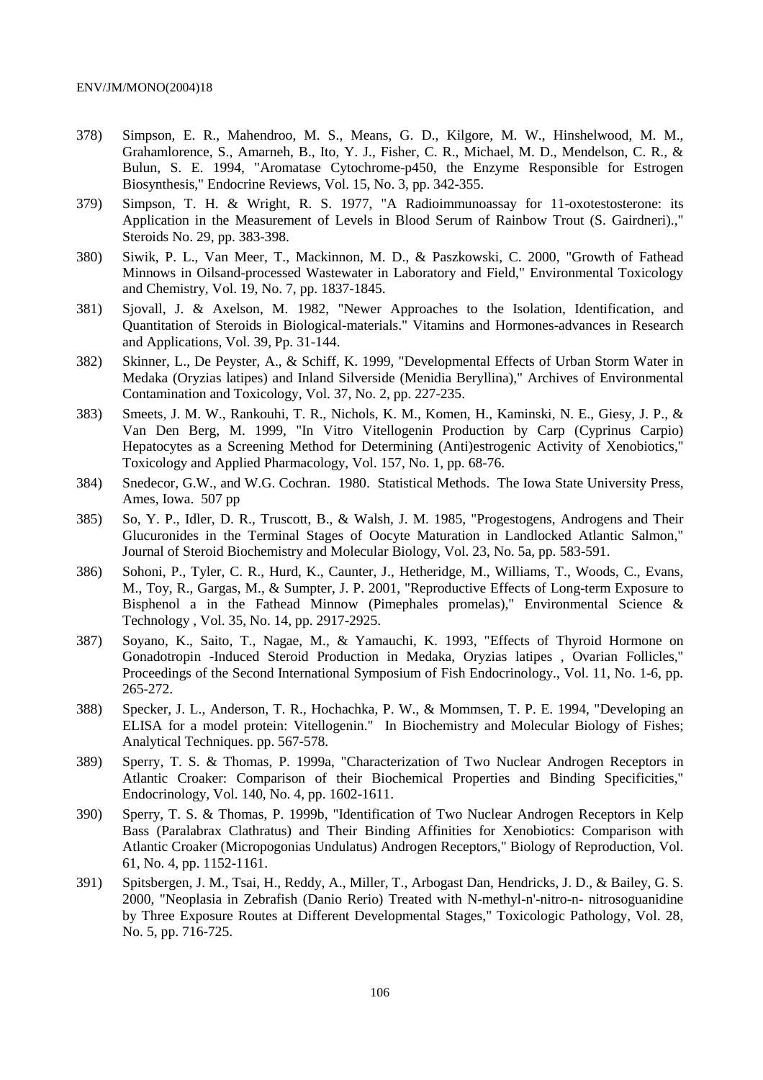- 378) Simpson, E. R., Mahendroo, M. S., Means, G. D., Kilgore, M. W., Hinshelwood, M. M., Grahamlorence, S., Amarneh, B., Ito, Y. J., Fisher, C. R., Michael, M. D., Mendelson, C. R., & Bulun, S. E. 1994, "Aromatase Cytochrome-p450, the Enzyme Responsible for Estrogen Biosynthesis," Endocrine Reviews, Vol. 15, No. 3, pp. 342-355.
- 379) Simpson, T. H. & Wright, R. S. 1977, "A Radioimmunoassay for 11-oxotestosterone: its Application in the Measurement of Levels in Blood Serum of Rainbow Trout (S. Gairdneri).," Steroids No. 29, pp. 383-398.
- 380) Siwik, P. L., Van Meer, T., Mackinnon, M. D., & Paszkowski, C. 2000, "Growth of Fathead Minnows in Oilsand-processed Wastewater in Laboratory and Field," Environmental Toxicology and Chemistry, Vol. 19, No. 7, pp. 1837-1845.
- 381) Sjovall, J. & Axelson, M. 1982, "Newer Approaches to the Isolation, Identification, and Quantitation of Steroids in Biological-materials." Vitamins and Hormones-advances in Research and Applications, Vol. 39, Pp. 31-144.
- 382) Skinner, L., De Peyster, A., & Schiff, K. 1999, "Developmental Effects of Urban Storm Water in Medaka (Oryzias latipes) and Inland Silverside (Menidia Beryllina)," Archives of Environmental Contamination and Toxicology, Vol. 37, No. 2, pp. 227-235.
- 383) Smeets, J. M. W., Rankouhi, T. R., Nichols, K. M., Komen, H., Kaminski, N. E., Giesy, J. P., & Van Den Berg, M. 1999, "In Vitro Vitellogenin Production by Carp (Cyprinus Carpio) Hepatocytes as a Screening Method for Determining (Anti)estrogenic Activity of Xenobiotics," Toxicology and Applied Pharmacology, Vol. 157, No. 1, pp. 68-76.
- 384) Snedecor, G.W., and W.G. Cochran. 1980. Statistical Methods. The Iowa State University Press, Ames, Iowa. 507 pp
- 385) So, Y. P., Idler, D. R., Truscott, B., & Walsh, J. M. 1985, "Progestogens, Androgens and Their Glucuronides in the Terminal Stages of Oocyte Maturation in Landlocked Atlantic Salmon," Journal of Steroid Biochemistry and Molecular Biology, Vol. 23, No. 5a, pp. 583-591.
- 386) Sohoni, P., Tyler, C. R., Hurd, K., Caunter, J., Hetheridge, M., Williams, T., Woods, C., Evans, M., Toy, R., Gargas, M., & Sumpter, J. P. 2001, "Reproductive Effects of Long-term Exposure to Bisphenol a in the Fathead Minnow (Pimephales promelas)," Environmental Science & Technology , Vol. 35, No. 14, pp. 2917-2925.
- 387) Soyano, K., Saito, T., Nagae, M., & Yamauchi, K. 1993, "Effects of Thyroid Hormone on Gonadotropin -Induced Steroid Production in Medaka, Oryzias latipes , Ovarian Follicles," Proceedings of the Second International Symposium of Fish Endocrinology., Vol. 11, No. 1-6, pp. 265-272.
- 388) Specker, J. L., Anderson, T. R., Hochachka, P. W., & Mommsen, T. P. E. 1994, "Developing an ELISA for a model protein: Vitellogenin." In Biochemistry and Molecular Biology of Fishes; Analytical Techniques. pp. 567-578.
- 389) Sperry, T. S. & Thomas, P. 1999a, "Characterization of Two Nuclear Androgen Receptors in Atlantic Croaker: Comparison of their Biochemical Properties and Binding Specificities," Endocrinology, Vol. 140, No. 4, pp. 1602-1611.
- 390) Sperry, T. S. & Thomas, P. 1999b, "Identification of Two Nuclear Androgen Receptors in Kelp Bass (Paralabrax Clathratus) and Their Binding Affinities for Xenobiotics: Comparison with Atlantic Croaker (Micropogonias Undulatus) Androgen Receptors," Biology of Reproduction, Vol. 61, No. 4, pp. 1152-1161.
- 391) Spitsbergen, J. M., Tsai, H., Reddy, A., Miller, T., Arbogast Dan, Hendricks, J. D., & Bailey, G. S. 2000, "Neoplasia in Zebrafish (Danio Rerio) Treated with N-methyl-n'-nitro-n- nitrosoguanidine by Three Exposure Routes at Different Developmental Stages," Toxicologic Pathology, Vol. 28, No. 5, pp. 716-725.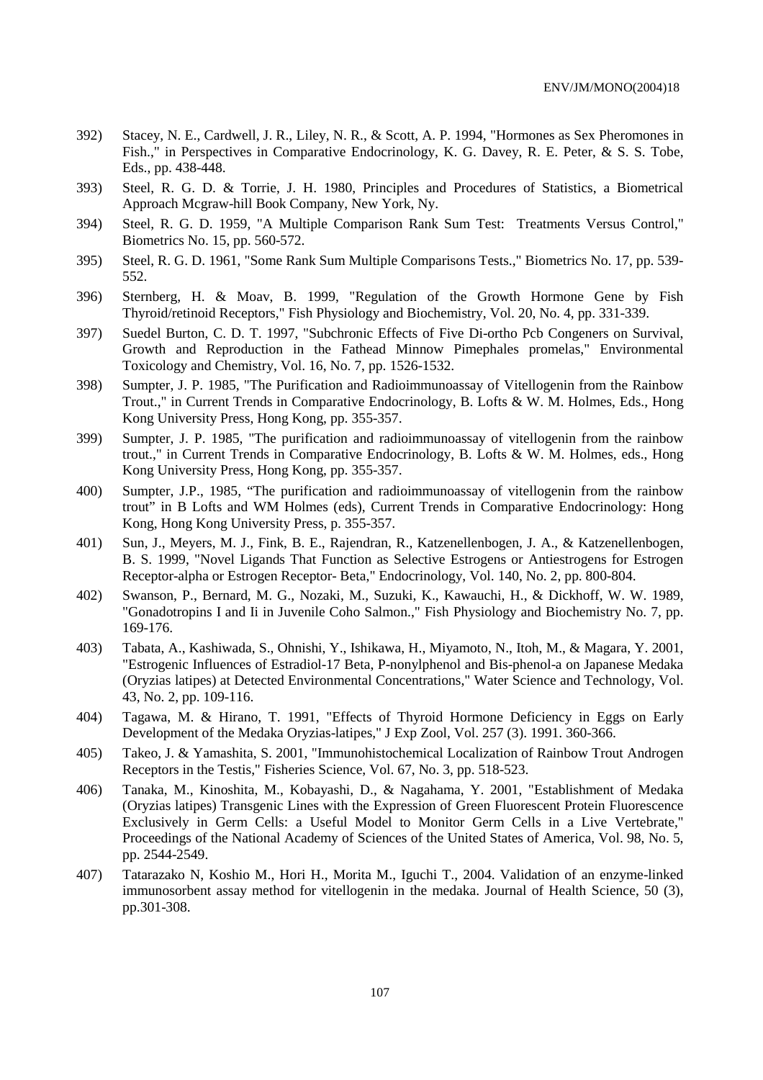- 392) Stacey, N. E., Cardwell, J. R., Liley, N. R., & Scott, A. P. 1994, "Hormones as Sex Pheromones in Fish.," in Perspectives in Comparative Endocrinology, K. G. Davey, R. E. Peter, & S. S. Tobe, Eds., pp. 438-448.
- 393) Steel, R. G. D. & Torrie, J. H. 1980, Principles and Procedures of Statistics, a Biometrical Approach Mcgraw-hill Book Company, New York, Ny.
- 394) Steel, R. G. D. 1959, "A Multiple Comparison Rank Sum Test: Treatments Versus Control," Biometrics No. 15, pp. 560-572.
- 395) Steel, R. G. D. 1961, "Some Rank Sum Multiple Comparisons Tests.," Biometrics No. 17, pp. 539- 552.
- 396) Sternberg, H. & Moav, B. 1999, "Regulation of the Growth Hormone Gene by Fish Thyroid/retinoid Receptors," Fish Physiology and Biochemistry, Vol. 20, No. 4, pp. 331-339.
- 397) Suedel Burton, C. D. T. 1997, "Subchronic Effects of Five Di-ortho Pcb Congeners on Survival, Growth and Reproduction in the Fathead Minnow Pimephales promelas," Environmental Toxicology and Chemistry, Vol. 16, No. 7, pp. 1526-1532.
- 398) Sumpter, J. P. 1985, "The Purification and Radioimmunoassay of Vitellogenin from the Rainbow Trout.," in Current Trends in Comparative Endocrinology, B. Lofts & W. M. Holmes, Eds., Hong Kong University Press, Hong Kong, pp. 355-357.
- 399) Sumpter, J. P. 1985, "The purification and radioimmunoassay of vitellogenin from the rainbow trout.," in Current Trends in Comparative Endocrinology, B. Lofts & W. M. Holmes, eds., Hong Kong University Press, Hong Kong, pp. 355-357.
- 400) Sumpter, J.P., 1985, "The purification and radioimmunoassay of vitellogenin from the rainbow trout" in B Lofts and WM Holmes (eds), Current Trends in Comparative Endocrinology: Hong Kong, Hong Kong University Press, p. 355-357.
- 401) Sun, J., Meyers, M. J., Fink, B. E., Rajendran, R., Katzenellenbogen, J. A., & Katzenellenbogen, B. S. 1999, "Novel Ligands That Function as Selective Estrogens or Antiestrogens for Estrogen Receptor-alpha or Estrogen Receptor- Beta," Endocrinology, Vol. 140, No. 2, pp. 800-804.
- 402) Swanson, P., Bernard, M. G., Nozaki, M., Suzuki, K., Kawauchi, H., & Dickhoff, W. W. 1989, "Gonadotropins I and Ii in Juvenile Coho Salmon.," Fish Physiology and Biochemistry No. 7, pp. 169-176.
- 403) Tabata, A., Kashiwada, S., Ohnishi, Y., Ishikawa, H., Miyamoto, N., Itoh, M., & Magara, Y. 2001, "Estrogenic Influences of Estradiol-17 Beta, P-nonylphenol and Bis-phenol-a on Japanese Medaka (Oryzias latipes) at Detected Environmental Concentrations," Water Science and Technology, Vol. 43, No. 2, pp. 109-116.
- 404) Tagawa, M. & Hirano, T. 1991, "Effects of Thyroid Hormone Deficiency in Eggs on Early Development of the Medaka Oryzias-latipes," J Exp Zool, Vol. 257 (3). 1991. 360-366.
- 405) Takeo, J. & Yamashita, S. 2001, "Immunohistochemical Localization of Rainbow Trout Androgen Receptors in the Testis," Fisheries Science, Vol. 67, No. 3, pp. 518-523.
- 406) Tanaka, M., Kinoshita, M., Kobayashi, D., & Nagahama, Y. 2001, "Establishment of Medaka (Oryzias latipes) Transgenic Lines with the Expression of Green Fluorescent Protein Fluorescence Exclusively in Germ Cells: a Useful Model to Monitor Germ Cells in a Live Vertebrate," Proceedings of the National Academy of Sciences of the United States of America, Vol. 98, No. 5, pp. 2544-2549.
- 407) Tatarazako N, Koshio M., Hori H., Morita M., Iguchi T., 2004. Validation of an enzyme-linked immunosorbent assay method for vitellogenin in the medaka. Journal of Health Science, 50 (3), pp.301-308.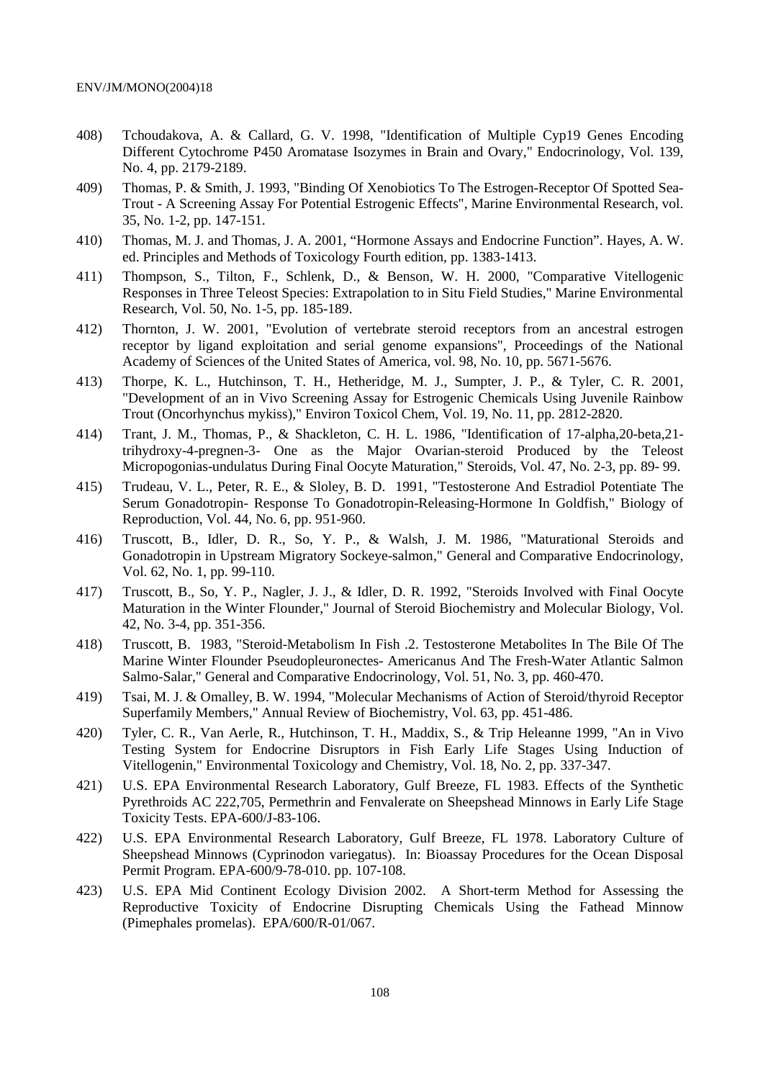- 408) Tchoudakova, A. & Callard, G. V. 1998, "Identification of Multiple Cyp19 Genes Encoding Different Cytochrome P450 Aromatase Isozymes in Brain and Ovary," Endocrinology, Vol. 139, No. 4, pp. 2179-2189.
- 409) Thomas, P. & Smith, J. 1993, "Binding Of Xenobiotics To The Estrogen-Receptor Of Spotted Sea-Trout - A Screening Assay For Potential Estrogenic Effects", Marine Environmental Research, vol. 35, No. 1-2, pp. 147-151.
- 410) Thomas, M. J. and Thomas, J. A. 2001, "Hormone Assays and Endocrine Function". Hayes, A. W. ed. Principles and Methods of Toxicology Fourth edition, pp. 1383-1413.
- 411) Thompson, S., Tilton, F., Schlenk, D., & Benson, W. H. 2000, "Comparative Vitellogenic Responses in Three Teleost Species: Extrapolation to in Situ Field Studies," Marine Environmental Research, Vol. 50, No. 1-5, pp. 185-189.
- 412) Thornton, J. W. 2001, "Evolution of vertebrate steroid receptors from an ancestral estrogen receptor by ligand exploitation and serial genome expansions", Proceedings of the National Academy of Sciences of the United States of America, vol. 98, No. 10, pp. 5671-5676.
- 413) Thorpe, K. L., Hutchinson, T. H., Hetheridge, M. J., Sumpter, J. P., & Tyler, C. R. 2001, "Development of an in Vivo Screening Assay for Estrogenic Chemicals Using Juvenile Rainbow Trout (Oncorhynchus mykiss)," Environ Toxicol Chem, Vol. 19, No. 11, pp. 2812-2820.
- 414) Trant, J. M., Thomas, P., & Shackleton, C. H. L. 1986, "Identification of 17-alpha,20-beta,21 trihydroxy-4-pregnen-3- One as the Major Ovarian-steroid Produced by the Teleost Micropogonias-undulatus During Final Oocyte Maturation," Steroids, Vol. 47, No. 2-3, pp. 89- 99.
- 415) Trudeau, V. L., Peter, R. E., & Sloley, B. D. 1991, "Testosterone And Estradiol Potentiate The Serum Gonadotropin- Response To Gonadotropin-Releasing-Hormone In Goldfish," Biology of Reproduction, Vol. 44, No. 6, pp. 951-960.
- 416) Truscott, B., Idler, D. R., So, Y. P., & Walsh, J. M. 1986, "Maturational Steroids and Gonadotropin in Upstream Migratory Sockeye-salmon," General and Comparative Endocrinology, Vol. 62, No. 1, pp. 99-110.
- 417) Truscott, B., So, Y. P., Nagler, J. J., & Idler, D. R. 1992, "Steroids Involved with Final Oocyte Maturation in the Winter Flounder," Journal of Steroid Biochemistry and Molecular Biology, Vol. 42, No. 3-4, pp. 351-356.
- 418) Truscott, B. 1983, "Steroid-Metabolism In Fish .2. Testosterone Metabolites In The Bile Of The Marine Winter Flounder Pseudopleuronectes- Americanus And The Fresh-Water Atlantic Salmon Salmo-Salar," General and Comparative Endocrinology, Vol. 51, No. 3, pp. 460-470.
- 419) Tsai, M. J. & Omalley, B. W. 1994, "Molecular Mechanisms of Action of Steroid/thyroid Receptor Superfamily Members," Annual Review of Biochemistry, Vol. 63, pp. 451-486.
- 420) Tyler, C. R., Van Aerle, R., Hutchinson, T. H., Maddix, S., & Trip Heleanne 1999, "An in Vivo Testing System for Endocrine Disruptors in Fish Early Life Stages Using Induction of Vitellogenin," Environmental Toxicology and Chemistry, Vol. 18, No. 2, pp. 337-347.
- 421) U.S. EPA Environmental Research Laboratory, Gulf Breeze, FL 1983. Effects of the Synthetic Pyrethroids AC 222,705, Permethrin and Fenvalerate on Sheepshead Minnows in Early Life Stage Toxicity Tests. EPA-600/J-83-106.
- 422) U.S. EPA Environmental Research Laboratory, Gulf Breeze, FL 1978. Laboratory Culture of Sheepshead Minnows (Cyprinodon variegatus). In: Bioassay Procedures for the Ocean Disposal Permit Program. EPA-600/9-78-010. pp. 107-108.
- 423) U.S. EPA Mid Continent Ecology Division 2002. A Short-term Method for Assessing the Reproductive Toxicity of Endocrine Disrupting Chemicals Using the Fathead Minnow (Pimephales promelas). EPA/600/R-01/067.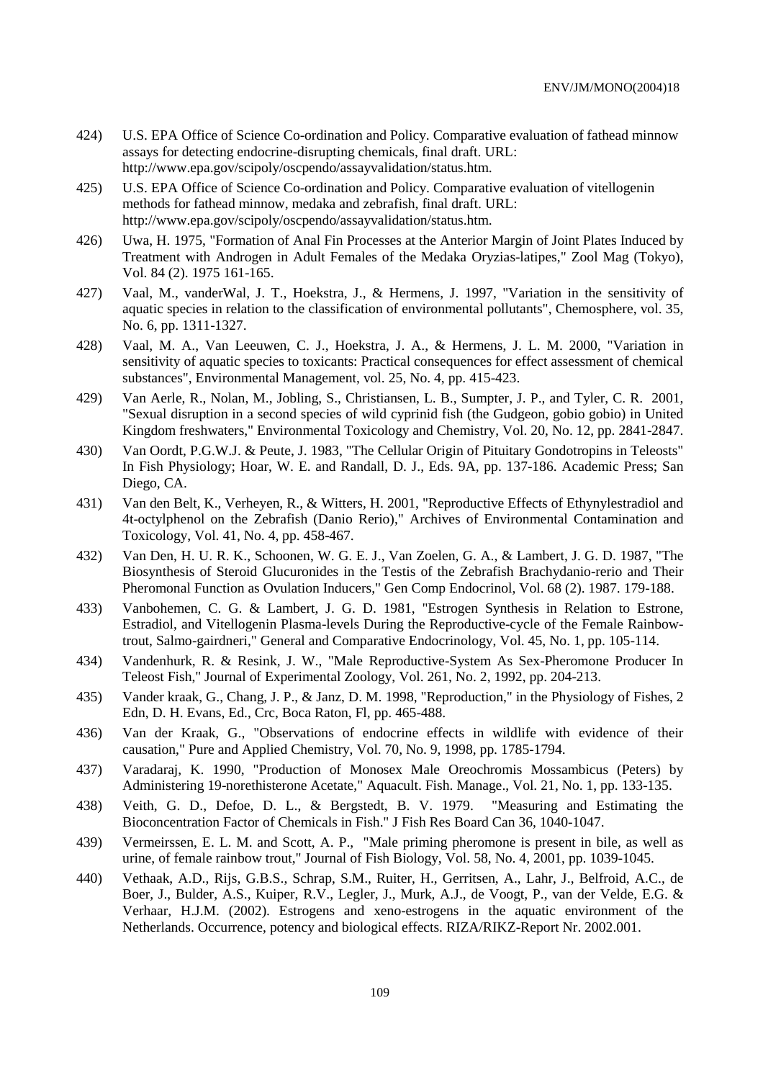- 424) U.S. EPA Office of Science Co-ordination and Policy. Comparative evaluation of fathead minnow assays for detecting endocrine-disrupting chemicals, final draft. URL: http://www.epa.gov/scipoly/oscpendo/assayvalidation/status.htm.
- 425) U.S. EPA Office of Science Co-ordination and Policy. Comparative evaluation of vitellogenin methods for fathead minnow, medaka and zebrafish, final draft. URL: http://www.epa.gov/scipoly/oscpendo/assayvalidation/status.htm.
- 426) Uwa, H. 1975, "Formation of Anal Fin Processes at the Anterior Margin of Joint Plates Induced by Treatment with Androgen in Adult Females of the Medaka Oryzias-latipes," Zool Mag (Tokyo), Vol. 84 (2). 1975 161-165.
- 427) Vaal, M., vanderWal, J. T., Hoekstra, J., & Hermens, J. 1997, "Variation in the sensitivity of aquatic species in relation to the classification of environmental pollutants", Chemosphere, vol. 35, No. 6, pp. 1311-1327.
- 428) Vaal, M. A., Van Leeuwen, C. J., Hoekstra, J. A., & Hermens, J. L. M. 2000, "Variation in sensitivity of aquatic species to toxicants: Practical consequences for effect assessment of chemical substances", Environmental Management, vol. 25, No. 4, pp. 415-423.
- 429) Van Aerle, R., Nolan, M., Jobling, S., Christiansen, L. B., Sumpter, J. P., and Tyler, C. R. 2001, "Sexual disruption in a second species of wild cyprinid fish (the Gudgeon, gobio gobio) in United Kingdom freshwaters," Environmental Toxicology and Chemistry, Vol. 20, No. 12, pp. 2841-2847.
- 430) Van Oordt, P.G.W.J. & Peute, J. 1983, "The Cellular Origin of Pituitary Gondotropins in Teleosts" In Fish Physiology; Hoar, W. E. and Randall, D. J., Eds. 9A, pp. 137-186. Academic Press; San Diego, CA.
- 431) Van den Belt, K., Verheyen, R., & Witters, H. 2001, "Reproductive Effects of Ethynylestradiol and 4t-octylphenol on the Zebrafish (Danio Rerio)," Archives of Environmental Contamination and Toxicology, Vol. 41, No. 4, pp. 458-467.
- 432) Van Den, H. U. R. K., Schoonen, W. G. E. J., Van Zoelen, G. A., & Lambert, J. G. D. 1987, "The Biosynthesis of Steroid Glucuronides in the Testis of the Zebrafish Brachydanio-rerio and Their Pheromonal Function as Ovulation Inducers," Gen Comp Endocrinol, Vol. 68 (2). 1987. 179-188.
- 433) Vanbohemen, C. G. & Lambert, J. G. D. 1981, "Estrogen Synthesis in Relation to Estrone, Estradiol, and Vitellogenin Plasma-levels During the Reproductive-cycle of the Female Rainbowtrout, Salmo-gairdneri," General and Comparative Endocrinology, Vol. 45, No. 1, pp. 105-114.
- 434) Vandenhurk, R. & Resink, J. W., "Male Reproductive-System As Sex-Pheromone Producer In Teleost Fish," Journal of Experimental Zoology, Vol. 261, No. 2, 1992, pp. 204-213.
- 435) Vander kraak, G., Chang, J. P., & Janz, D. M. 1998, "Reproduction," in the Physiology of Fishes, 2 Edn, D. H. Evans, Ed., Crc, Boca Raton, Fl, pp. 465-488.
- 436) Van der Kraak, G., "Observations of endocrine effects in wildlife with evidence of their causation," Pure and Applied Chemistry, Vol. 70, No. 9, 1998, pp. 1785-1794.
- 437) Varadaraj, K. 1990, "Production of Monosex Male Oreochromis Mossambicus (Peters) by Administering 19-norethisterone Acetate," Aquacult. Fish. Manage., Vol. 21, No. 1, pp. 133-135.
- 438) Veith, G. D., Defoe, D. L., & Bergstedt, B. V. 1979. "Measuring and Estimating the Bioconcentration Factor of Chemicals in Fish." J Fish Res Board Can 36, 1040-1047.
- 439) Vermeirssen, E. L. M. and Scott, A. P., "Male priming pheromone is present in bile, as well as urine, of female rainbow trout," Journal of Fish Biology, Vol. 58, No. 4, 2001, pp. 1039-1045.
- 440) Vethaak, A.D., Rijs, G.B.S., Schrap, S.M., Ruiter, H., Gerritsen, A., Lahr, J., Belfroid, A.C., de Boer, J., Bulder, A.S., Kuiper, R.V., Legler, J., Murk, A.J., de Voogt, P., van der Velde, E.G. & Verhaar, H.J.M. (2002). Estrogens and xeno-estrogens in the aquatic environment of the Netherlands. Occurrence, potency and biological effects. RIZA/RIKZ-Report Nr. 2002.001.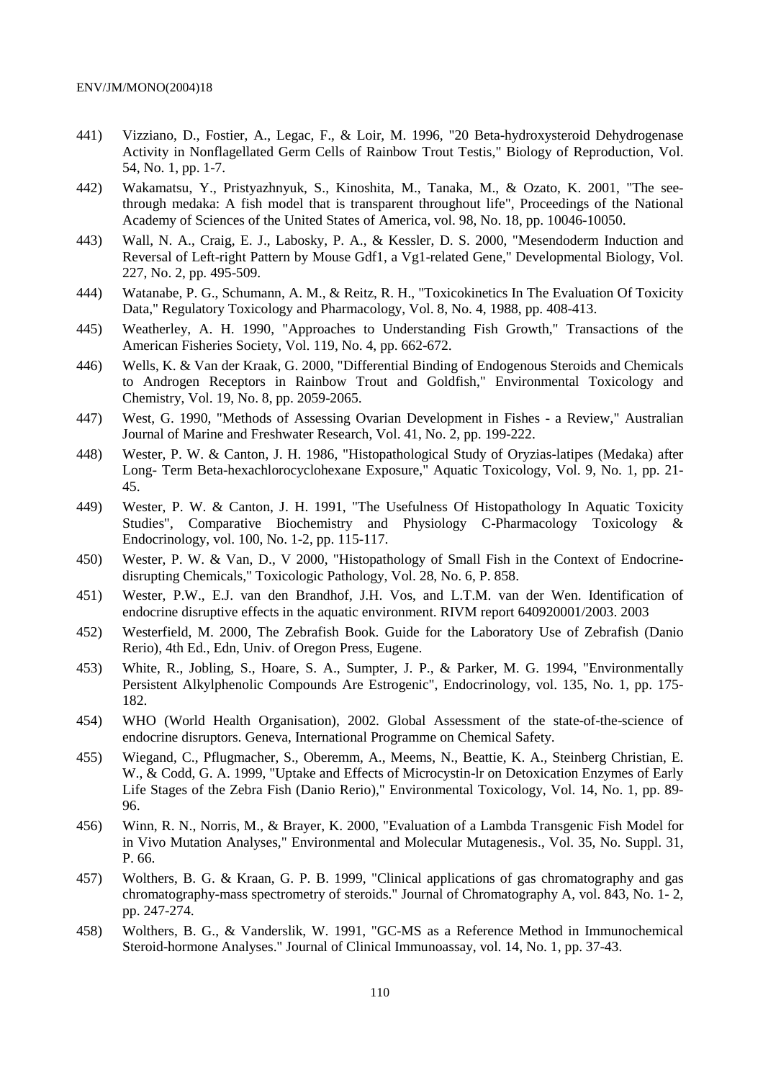- 441) Vizziano, D., Fostier, A., Legac, F., & Loir, M. 1996, "20 Beta-hydroxysteroid Dehydrogenase Activity in Nonflagellated Germ Cells of Rainbow Trout Testis," Biology of Reproduction, Vol. 54, No. 1, pp. 1-7.
- 442) Wakamatsu, Y., Pristyazhnyuk, S., Kinoshita, M., Tanaka, M., & Ozato, K. 2001, "The seethrough medaka: A fish model that is transparent throughout life", Proceedings of the National Academy of Sciences of the United States of America, vol. 98, No. 18, pp. 10046-10050.
- 443) Wall, N. A., Craig, E. J., Labosky, P. A., & Kessler, D. S. 2000, "Mesendoderm Induction and Reversal of Left-right Pattern by Mouse Gdf1, a Vg1-related Gene," Developmental Biology, Vol. 227, No. 2, pp. 495-509.
- 444) Watanabe, P. G., Schumann, A. M., & Reitz, R. H., "Toxicokinetics In The Evaluation Of Toxicity Data," Regulatory Toxicology and Pharmacology, Vol. 8, No. 4, 1988, pp. 408-413.
- 445) Weatherley, A. H. 1990, "Approaches to Understanding Fish Growth," Transactions of the American Fisheries Society, Vol. 119, No. 4, pp. 662-672.
- 446) Wells, K. & Van der Kraak, G. 2000, "Differential Binding of Endogenous Steroids and Chemicals to Androgen Receptors in Rainbow Trout and Goldfish," Environmental Toxicology and Chemistry, Vol. 19, No. 8, pp. 2059-2065.
- 447) West, G. 1990, "Methods of Assessing Ovarian Development in Fishes a Review," Australian Journal of Marine and Freshwater Research, Vol. 41, No. 2, pp. 199-222.
- 448) Wester, P. W. & Canton, J. H. 1986, "Histopathological Study of Oryzias-latipes (Medaka) after Long- Term Beta-hexachlorocyclohexane Exposure," Aquatic Toxicology, Vol. 9, No. 1, pp. 21- 45.
- 449) Wester, P. W. & Canton, J. H. 1991, "The Usefulness Of Histopathology In Aquatic Toxicity Studies", Comparative Biochemistry and Physiology C-Pharmacology Toxicology & Endocrinology, vol. 100, No. 1-2, pp. 115-117.
- 450) Wester, P. W. & Van, D., V 2000, "Histopathology of Small Fish in the Context of Endocrinedisrupting Chemicals," Toxicologic Pathology, Vol. 28, No. 6, P. 858.
- 451) Wester, P.W., E.J. van den Brandhof, J.H. Vos, and L.T.M. van der Wen. Identification of endocrine disruptive effects in the aquatic environment. RIVM report 640920001/2003. 2003
- 452) Westerfield, M. 2000, The Zebrafish Book. Guide for the Laboratory Use of Zebrafish (Danio Rerio), 4th Ed., Edn, Univ. of Oregon Press, Eugene.
- 453) White, R., Jobling, S., Hoare, S. A., Sumpter, J. P., & Parker, M. G. 1994, "Environmentally Persistent Alkylphenolic Compounds Are Estrogenic", Endocrinology, vol. 135, No. 1, pp. 175- 182.
- 454) WHO (World Health Organisation), 2002. Global Assessment of the state-of-the-science of endocrine disruptors. Geneva, International Programme on Chemical Safety.
- 455) Wiegand, C., Pflugmacher, S., Oberemm, A., Meems, N., Beattie, K. A., Steinberg Christian, E. W., & Codd, G. A. 1999, "Uptake and Effects of Microcystin-lr on Detoxication Enzymes of Early Life Stages of the Zebra Fish (Danio Rerio)," Environmental Toxicology, Vol. 14, No. 1, pp. 89- 96.
- 456) Winn, R. N., Norris, M., & Brayer, K. 2000, "Evaluation of a Lambda Transgenic Fish Model for in Vivo Mutation Analyses," Environmental and Molecular Mutagenesis., Vol. 35, No. Suppl. 31, P. 66.
- 457) Wolthers, B. G. & Kraan, G. P. B. 1999, "Clinical applications of gas chromatography and gas chromatography-mass spectrometry of steroids." Journal of Chromatography A, vol. 843, No. 1- 2, pp. 247-274.
- 458) Wolthers, B. G., & Vanderslik, W. 1991, "GC-MS as a Reference Method in Immunochemical Steroid-hormone Analyses." Journal of Clinical Immunoassay, vol. 14, No. 1, pp. 37-43.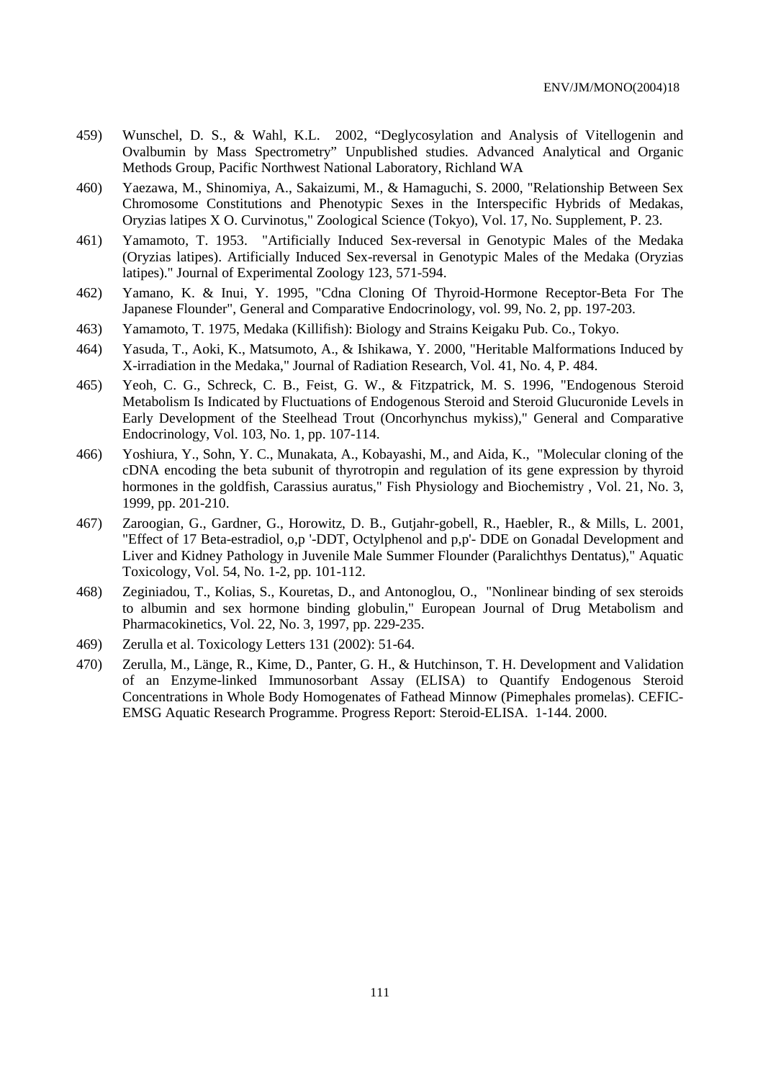- 459) Wunschel, D. S., & Wahl, K.L. 2002, "Deglycosylation and Analysis of Vitellogenin and Ovalbumin by Mass Spectrometry" Unpublished studies. Advanced Analytical and Organic Methods Group, Pacific Northwest National Laboratory, Richland WA
- 460) Yaezawa, M., Shinomiya, A., Sakaizumi, M., & Hamaguchi, S. 2000, "Relationship Between Sex Chromosome Constitutions and Phenotypic Sexes in the Interspecific Hybrids of Medakas, Oryzias latipes X O. Curvinotus," Zoological Science (Tokyo), Vol. 17, No. Supplement, P. 23.
- 461) Yamamoto, T. 1953. "Artificially Induced Sex-reversal in Genotypic Males of the Medaka (Oryzias latipes). Artificially Induced Sex-reversal in Genotypic Males of the Medaka (Oryzias latipes)." Journal of Experimental Zoology 123, 571-594.
- 462) Yamano, K. & Inui, Y. 1995, "Cdna Cloning Of Thyroid-Hormone Receptor-Beta For The Japanese Flounder", General and Comparative Endocrinology, vol. 99, No. 2, pp. 197-203.
- 463) Yamamoto, T. 1975, Medaka (Killifish): Biology and Strains Keigaku Pub. Co., Tokyo.
- 464) Yasuda, T., Aoki, K., Matsumoto, A., & Ishikawa, Y. 2000, "Heritable Malformations Induced by X-irradiation in the Medaka," Journal of Radiation Research, Vol. 41, No. 4, P. 484.
- 465) Yeoh, C. G., Schreck, C. B., Feist, G. W., & Fitzpatrick, M. S. 1996, "Endogenous Steroid Metabolism Is Indicated by Fluctuations of Endogenous Steroid and Steroid Glucuronide Levels in Early Development of the Steelhead Trout (Oncorhynchus mykiss)," General and Comparative Endocrinology, Vol. 103, No. 1, pp. 107-114.
- 466) Yoshiura, Y., Sohn, Y. C., Munakata, A., Kobayashi, M., and Aida, K., "Molecular cloning of the cDNA encoding the beta subunit of thyrotropin and regulation of its gene expression by thyroid hormones in the goldfish, Carassius auratus," Fish Physiology and Biochemistry , Vol. 21, No. 3, 1999, pp. 201-210.
- 467) Zaroogian, G., Gardner, G., Horowitz, D. B., Gutjahr-gobell, R., Haebler, R., & Mills, L. 2001, "Effect of 17 Beta-estradiol, o,p '-DDT, Octylphenol and p,p'- DDE on Gonadal Development and Liver and Kidney Pathology in Juvenile Male Summer Flounder (Paralichthys Dentatus)," Aquatic Toxicology, Vol. 54, No. 1-2, pp. 101-112.
- 468) Zeginiadou, T., Kolias, S., Kouretas, D., and Antonoglou, O., "Nonlinear binding of sex steroids to albumin and sex hormone binding globulin," European Journal of Drug Metabolism and Pharmacokinetics, Vol. 22, No. 3, 1997, pp. 229-235.
- 469) Zerulla et al. Toxicology Letters 131 (2002): 51-64.
- 470) Zerulla, M., Länge, R., Kime, D., Panter, G. H., & Hutchinson, T. H. Development and Validation of an Enzyme-linked Immunosorbant Assay (ELISA) to Quantify Endogenous Steroid Concentrations in Whole Body Homogenates of Fathead Minnow (Pimephales promelas). CEFIC-EMSG Aquatic Research Programme. Progress Report: Steroid-ELISA. 1-144. 2000.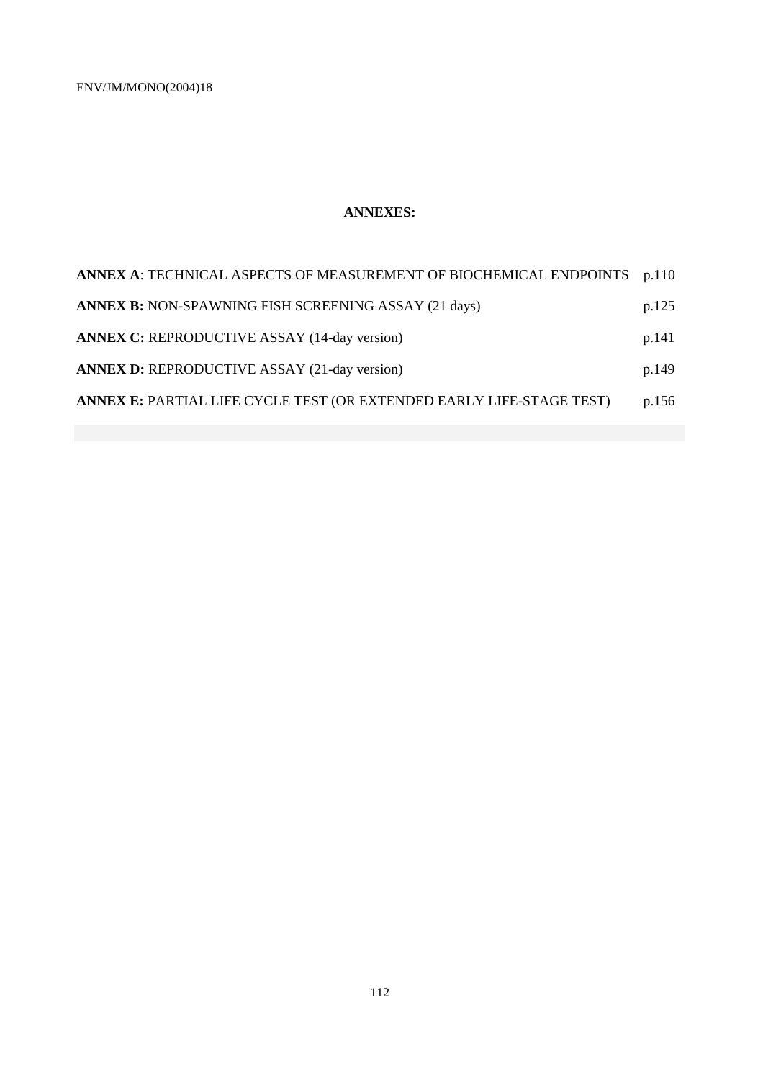# **ANNEXES:**

| ANNEX A: TECHNICAL ASPECTS OF MEASUREMENT OF BIOCHEMICAL ENDPOINTS p.110 |       |
|--------------------------------------------------------------------------|-------|
| <b>ANNEX B: NON-SPAWNING FISH SCREENING ASSAY (21 days)</b>              | p.125 |
| <b>ANNEX C: REPRODUCTIVE ASSAY (14-day version)</b>                      | p.141 |
| <b>ANNEX D: REPRODUCTIVE ASSAY (21-day version)</b>                      | p.149 |
| ANNEX E: PARTIAL LIFE CYCLE TEST (OR EXTENDED EARLY LIFE-STAGE TEST)     | p.156 |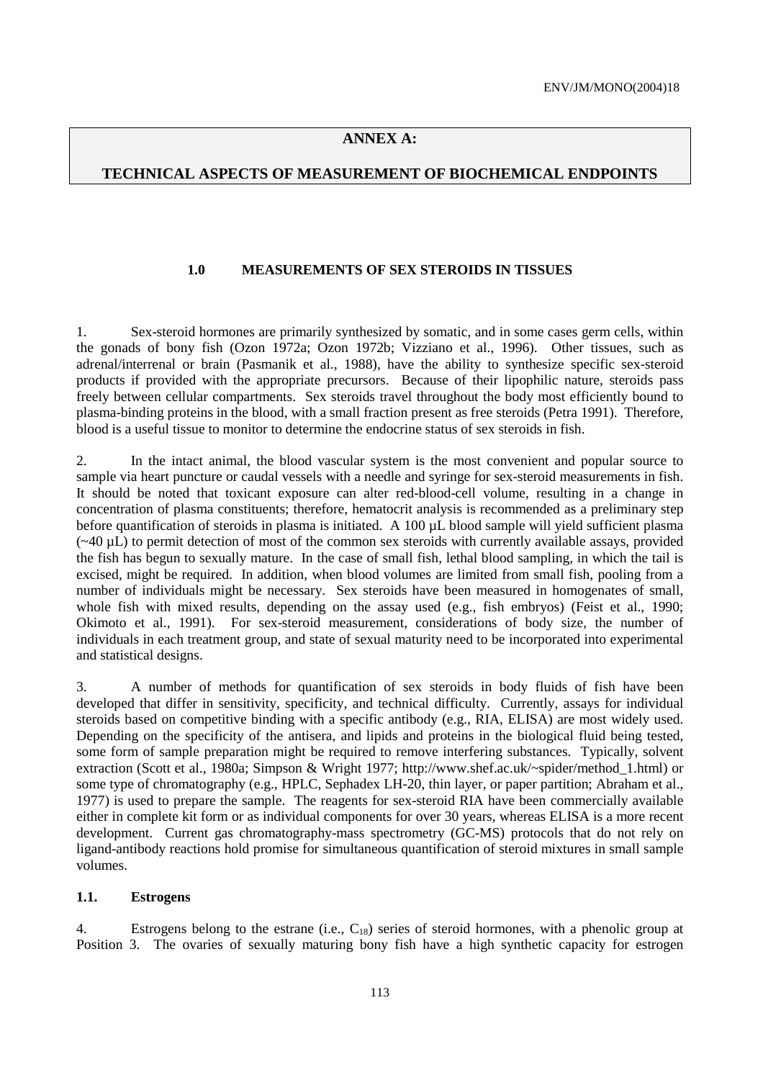# **ANNEX A:**

### **TECHNICAL ASPECTS OF MEASUREMENT OF BIOCHEMICAL ENDPOINTS**

#### **1.0 MEASUREMENTS OF SEX STEROIDS IN TISSUES**

1. Sex-steroid hormones are primarily synthesized by somatic, and in some cases germ cells, within the gonads of bony fish (Ozon 1972a; Ozon 1972b; Vizziano et al., 1996). Other tissues, such as adrenal/interrenal or brain (Pasmanik et al., 1988), have the ability to synthesize specific sex-steroid products if provided with the appropriate precursors. Because of their lipophilic nature, steroids pass freely between cellular compartments. Sex steroids travel throughout the body most efficiently bound to plasma-binding proteins in the blood, with a small fraction present as free steroids (Petra 1991). Therefore, blood is a useful tissue to monitor to determine the endocrine status of sex steroids in fish.

2. In the intact animal, the blood vascular system is the most convenient and popular source to sample via heart puncture or caudal vessels with a needle and syringe for sex-steroid measurements in fish. It should be noted that toxicant exposure can alter red-blood-cell volume, resulting in a change in concentration of plasma constituents; therefore, hematocrit analysis is recommended as a preliminary step before quantification of steroids in plasma is initiated. A 100 µL blood sample will yield sufficient plasma  $(-40 \mu L)$  to permit detection of most of the common sex steroids with currently available assays, provided the fish has begun to sexually mature. In the case of small fish, lethal blood sampling, in which the tail is excised, might be required. In addition, when blood volumes are limited from small fish, pooling from a number of individuals might be necessary. Sex steroids have been measured in homogenates of small, whole fish with mixed results, depending on the assay used (e.g., fish embryos) (Feist et al., 1990; Okimoto et al., 1991). For sex-steroid measurement, considerations of body size, the number of individuals in each treatment group, and state of sexual maturity need to be incorporated into experimental and statistical designs.

3. A number of methods for quantification of sex steroids in body fluids of fish have been developed that differ in sensitivity, specificity, and technical difficulty. Currently, assays for individual steroids based on competitive binding with a specific antibody (e.g., RIA, ELISA) are most widely used. Depending on the specificity of the antisera, and lipids and proteins in the biological fluid being tested, some form of sample preparation might be required to remove interfering substances. Typically, solvent extraction (Scott et al., 1980a; Simpson & Wright 1977; http://www.shef.ac.uk/~spider/method\_1.html) or some type of chromatography (e.g., HPLC, Sephadex LH-20, thin layer, or paper partition; Abraham et al., 1977) is used to prepare the sample. The reagents for sex-steroid RIA have been commercially available either in complete kit form or as individual components for over 30 years, whereas ELISA is a more recent development. Current gas chromatography-mass spectrometry (GC-MS) protocols that do not rely on ligand-antibody reactions hold promise for simultaneous quantification of steroid mixtures in small sample volumes.

#### **1.1. Estrogens**

4. Estrogens belong to the estrane (i.e., C<sub>18</sub>) series of steroid hormones, with a phenolic group at Position 3. The ovaries of sexually maturing bony fish have a high synthetic capacity for estrogen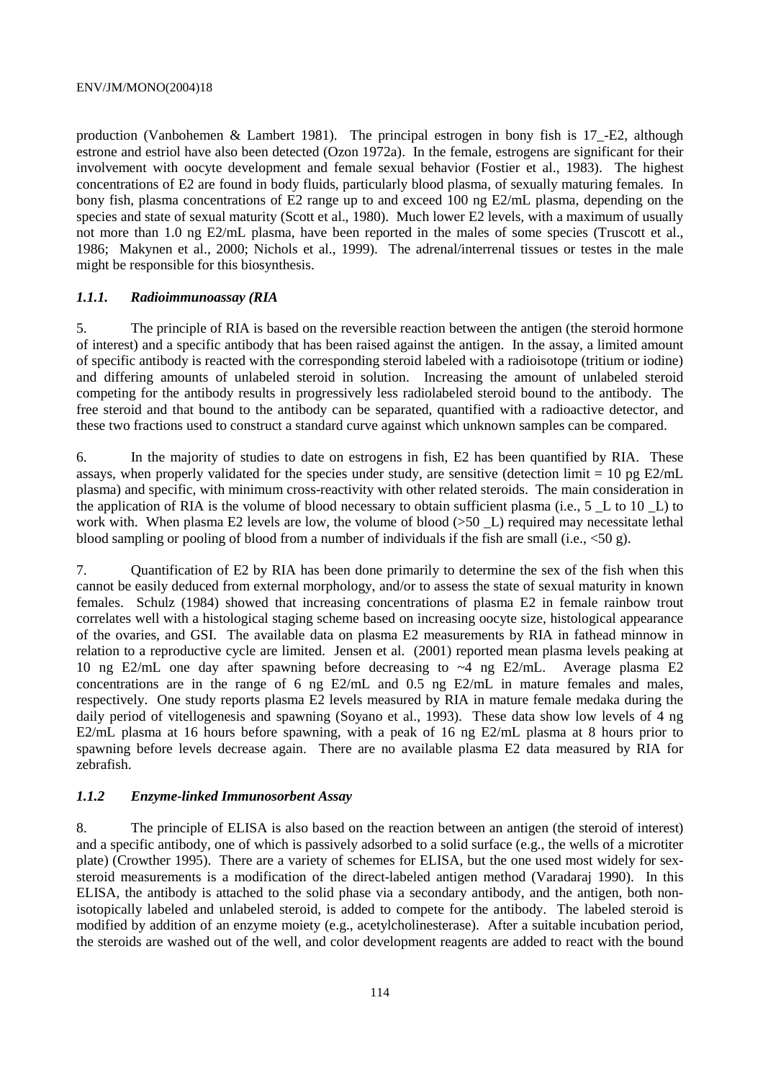production (Vanbohemen & Lambert 1981). The principal estrogen in bony fish is 17\_-E2, although estrone and estriol have also been detected (Ozon 1972a). In the female, estrogens are significant for their involvement with oocyte development and female sexual behavior (Fostier et al., 1983). The highest concentrations of E2 are found in body fluids, particularly blood plasma, of sexually maturing females. In bony fish, plasma concentrations of E2 range up to and exceed 100 ng E2/mL plasma, depending on the species and state of sexual maturity (Scott et al., 1980). Much lower E2 levels, with a maximum of usually not more than 1.0 ng E2/mL plasma, have been reported in the males of some species (Truscott et al., 1986; Makynen et al., 2000; Nichols et al., 1999). The adrenal/interrenal tissues or testes in the male might be responsible for this biosynthesis.

# *1.1.1. Radioimmunoassay (RIA*

5. The principle of RIA is based on the reversible reaction between the antigen (the steroid hormone of interest) and a specific antibody that has been raised against the antigen. In the assay, a limited amount of specific antibody is reacted with the corresponding steroid labeled with a radioisotope (tritium or iodine) and differing amounts of unlabeled steroid in solution. Increasing the amount of unlabeled steroid competing for the antibody results in progressively less radiolabeled steroid bound to the antibody. The free steroid and that bound to the antibody can be separated, quantified with a radioactive detector, and these two fractions used to construct a standard curve against which unknown samples can be compared.

6. In the majority of studies to date on estrogens in fish, E2 has been quantified by RIA. These assays, when properly validated for the species under study, are sensitive (detection limit = 10 pg  $E2/mL$ plasma) and specific, with minimum cross-reactivity with other related steroids. The main consideration in the application of RIA is the volume of blood necessary to obtain sufficient plasma (i.e., 5 \_L to 10 \_L) to work with. When plasma E2 levels are low, the volume of blood ( $>50$  L) required may necessitate lethal blood sampling or pooling of blood from a number of individuals if the fish are small (i.e., <50 g).

7. Quantification of E2 by RIA has been done primarily to determine the sex of the fish when this cannot be easily deduced from external morphology, and/or to assess the state of sexual maturity in known females. Schulz (1984) showed that increasing concentrations of plasma E2 in female rainbow trout correlates well with a histological staging scheme based on increasing oocyte size, histological appearance of the ovaries, and GSI. The available data on plasma E2 measurements by RIA in fathead minnow in relation to a reproductive cycle are limited. Jensen et al. (2001) reported mean plasma levels peaking at 10 ng E2/mL one day after spawning before decreasing to ~4 ng E2/mL. Average plasma E2 concentrations are in the range of 6 ng E2/mL and 0.5 ng E2/mL in mature females and males, respectively. One study reports plasma E2 levels measured by RIA in mature female medaka during the daily period of vitellogenesis and spawning (Soyano et al., 1993). These data show low levels of 4 ng E2/mL plasma at 16 hours before spawning, with a peak of 16 ng E2/mL plasma at 8 hours prior to spawning before levels decrease again. There are no available plasma E2 data measured by RIA for zebrafish.

### *1.1.2 Enzyme-linked Immunosorbent Assay*

8. The principle of ELISA is also based on the reaction between an antigen (the steroid of interest) and a specific antibody, one of which is passively adsorbed to a solid surface (e.g., the wells of a microtiter plate) (Crowther 1995). There are a variety of schemes for ELISA, but the one used most widely for sexsteroid measurements is a modification of the direct-labeled antigen method (Varadaraj 1990). In this ELISA, the antibody is attached to the solid phase via a secondary antibody, and the antigen, both nonisotopically labeled and unlabeled steroid, is added to compete for the antibody. The labeled steroid is modified by addition of an enzyme moiety (e.g., acetylcholinesterase). After a suitable incubation period, the steroids are washed out of the well, and color development reagents are added to react with the bound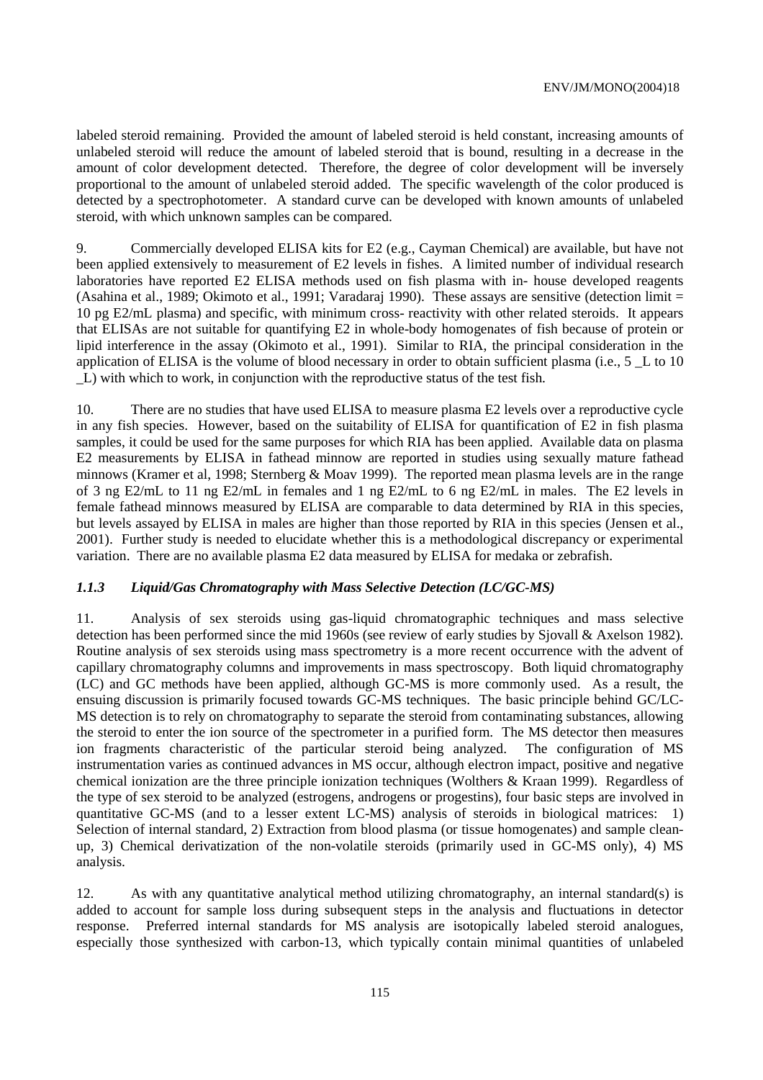labeled steroid remaining. Provided the amount of labeled steroid is held constant, increasing amounts of unlabeled steroid will reduce the amount of labeled steroid that is bound, resulting in a decrease in the amount of color development detected. Therefore, the degree of color development will be inversely proportional to the amount of unlabeled steroid added. The specific wavelength of the color produced is detected by a spectrophotometer. A standard curve can be developed with known amounts of unlabeled steroid, with which unknown samples can be compared.

9. Commercially developed ELISA kits for E2 (e.g., Cayman Chemical) are available, but have not been applied extensively to measurement of E2 levels in fishes. A limited number of individual research laboratories have reported E2 ELISA methods used on fish plasma with in- house developed reagents (Asahina et al., 1989; Okimoto et al., 1991; Varadaraj 1990). These assays are sensitive (detection limit = 10 pg E2/mL plasma) and specific, with minimum cross- reactivity with other related steroids. It appears that ELISAs are not suitable for quantifying E2 in whole-body homogenates of fish because of protein or lipid interference in the assay (Okimoto et al., 1991). Similar to RIA, the principal consideration in the application of ELISA is the volume of blood necessary in order to obtain sufficient plasma (i.e.,  $5 \text{ L}$  to 10 \_L) with which to work, in conjunction with the reproductive status of the test fish.

10. There are no studies that have used ELISA to measure plasma E2 levels over a reproductive cycle in any fish species. However, based on the suitability of ELISA for quantification of E2 in fish plasma samples, it could be used for the same purposes for which RIA has been applied. Available data on plasma E2 measurements by ELISA in fathead minnow are reported in studies using sexually mature fathead minnows (Kramer et al, 1998; Sternberg & Moav 1999). The reported mean plasma levels are in the range of 3 ng E2/mL to 11 ng E2/mL in females and 1 ng E2/mL to 6 ng E2/mL in males. The E2 levels in female fathead minnows measured by ELISA are comparable to data determined by RIA in this species, but levels assayed by ELISA in males are higher than those reported by RIA in this species (Jensen et al., 2001). Further study is needed to elucidate whether this is a methodological discrepancy or experimental variation. There are no available plasma E2 data measured by ELISA for medaka or zebrafish.

## *1.1.3 Liquid/Gas Chromatography with Mass Selective Detection (LC/GC-MS)*

11. Analysis of sex steroids using gas-liquid chromatographic techniques and mass selective detection has been performed since the mid 1960s (see review of early studies by Sjovall & Axelson 1982). Routine analysis of sex steroids using mass spectrometry is a more recent occurrence with the advent of capillary chromatography columns and improvements in mass spectroscopy. Both liquid chromatography (LC) and GC methods have been applied, although GC-MS is more commonly used. As a result, the ensuing discussion is primarily focused towards GC-MS techniques. The basic principle behind GC/LC-MS detection is to rely on chromatography to separate the steroid from contaminating substances, allowing the steroid to enter the ion source of the spectrometer in a purified form. The MS detector then measures ion fragments characteristic of the particular steroid being analyzed. The configuration of MS instrumentation varies as continued advances in MS occur, although electron impact, positive and negative chemical ionization are the three principle ionization techniques (Wolthers & Kraan 1999). Regardless of the type of sex steroid to be analyzed (estrogens, androgens or progestins), four basic steps are involved in quantitative GC-MS (and to a lesser extent LC-MS) analysis of steroids in biological matrices: 1) Selection of internal standard, 2) Extraction from blood plasma (or tissue homogenates) and sample cleanup, 3) Chemical derivatization of the non-volatile steroids (primarily used in GC-MS only), 4) MS analysis.

12. As with any quantitative analytical method utilizing chromatography, an internal standard(s) is added to account for sample loss during subsequent steps in the analysis and fluctuations in detector response. Preferred internal standards for MS analysis are isotopically labeled steroid analogues, especially those synthesized with carbon-13, which typically contain minimal quantities of unlabeled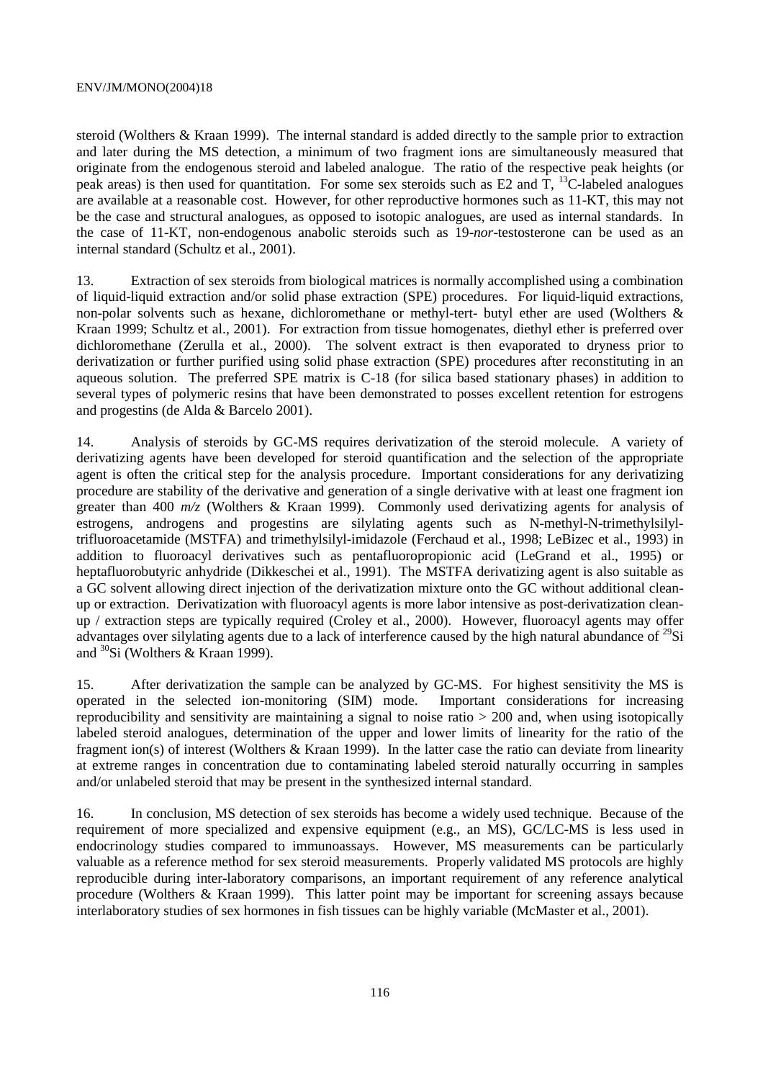steroid (Wolthers & Kraan 1999). The internal standard is added directly to the sample prior to extraction and later during the MS detection, a minimum of two fragment ions are simultaneously measured that originate from the endogenous steroid and labeled analogue. The ratio of the respective peak heights (or peak areas) is then used for quantitation. For some sex steroids such as E2 and  $T$ , <sup>13</sup>C-labeled analogues are available at a reasonable cost. However, for other reproductive hormones such as 11-KT, this may not be the case and structural analogues, as opposed to isotopic analogues, are used as internal standards. In the case of 11-KT, non-endogenous anabolic steroids such as 19-*nor*-testosterone can be used as an internal standard (Schultz et al., 2001).

13. Extraction of sex steroids from biological matrices is normally accomplished using a combination of liquid-liquid extraction and/or solid phase extraction (SPE) procedures. For liquid-liquid extractions, non-polar solvents such as hexane, dichloromethane or methyl-tert- butyl ether are used (Wolthers & Kraan 1999; Schultz et al., 2001). For extraction from tissue homogenates, diethyl ether is preferred over dichloromethane (Zerulla et al., 2000). The solvent extract is then evaporated to dryness prior to derivatization or further purified using solid phase extraction (SPE) procedures after reconstituting in an aqueous solution. The preferred SPE matrix is C-18 (for silica based stationary phases) in addition to several types of polymeric resins that have been demonstrated to posses excellent retention for estrogens and progestins (de Alda & Barcelo 2001).

14. Analysis of steroids by GC-MS requires derivatization of the steroid molecule. A variety of derivatizing agents have been developed for steroid quantification and the selection of the appropriate agent is often the critical step for the analysis procedure. Important considerations for any derivatizing procedure are stability of the derivative and generation of a single derivative with at least one fragment ion greater than 400 *m/z* (Wolthers & Kraan 1999). Commonly used derivatizing agents for analysis of estrogens, androgens and progestins are silylating agents such as N-methyl-N-trimethylsilyltrifluoroacetamide (MSTFA) and trimethylsilyl-imidazole (Ferchaud et al., 1998; LeBizec et al., 1993) in addition to fluoroacyl derivatives such as pentafluoropropionic acid (LeGrand et al., 1995) or heptafluorobutyric anhydride (Dikkeschei et al., 1991). The MSTFA derivatizing agent is also suitable as a GC solvent allowing direct injection of the derivatization mixture onto the GC without additional cleanup or extraction. Derivatization with fluoroacyl agents is more labor intensive as post-derivatization cleanup / extraction steps are typically required (Croley et al., 2000). However, fluoroacyl agents may offer advantages over silylating agents due to a lack of interference caused by the high natural abundance of  $^{29}Si$ and 30Si (Wolthers & Kraan 1999).

15. After derivatization the sample can be analyzed by GC-MS. For highest sensitivity the MS is operated in the selected ion-monitoring (SIM) mode. Important considerations for increasing reproducibility and sensitivity are maintaining a signal to noise ratio > 200 and, when using isotopically labeled steroid analogues, determination of the upper and lower limits of linearity for the ratio of the fragment ion(s) of interest (Wolthers & Kraan 1999). In the latter case the ratio can deviate from linearity at extreme ranges in concentration due to contaminating labeled steroid naturally occurring in samples and/or unlabeled steroid that may be present in the synthesized internal standard.

16. In conclusion, MS detection of sex steroids has become a widely used technique. Because of the requirement of more specialized and expensive equipment (e.g., an MS), GC/LC-MS is less used in endocrinology studies compared to immunoassays. However, MS measurements can be particularly valuable as a reference method for sex steroid measurements. Properly validated MS protocols are highly reproducible during inter-laboratory comparisons, an important requirement of any reference analytical procedure (Wolthers & Kraan 1999). This latter point may be important for screening assays because interlaboratory studies of sex hormones in fish tissues can be highly variable (McMaster et al., 2001).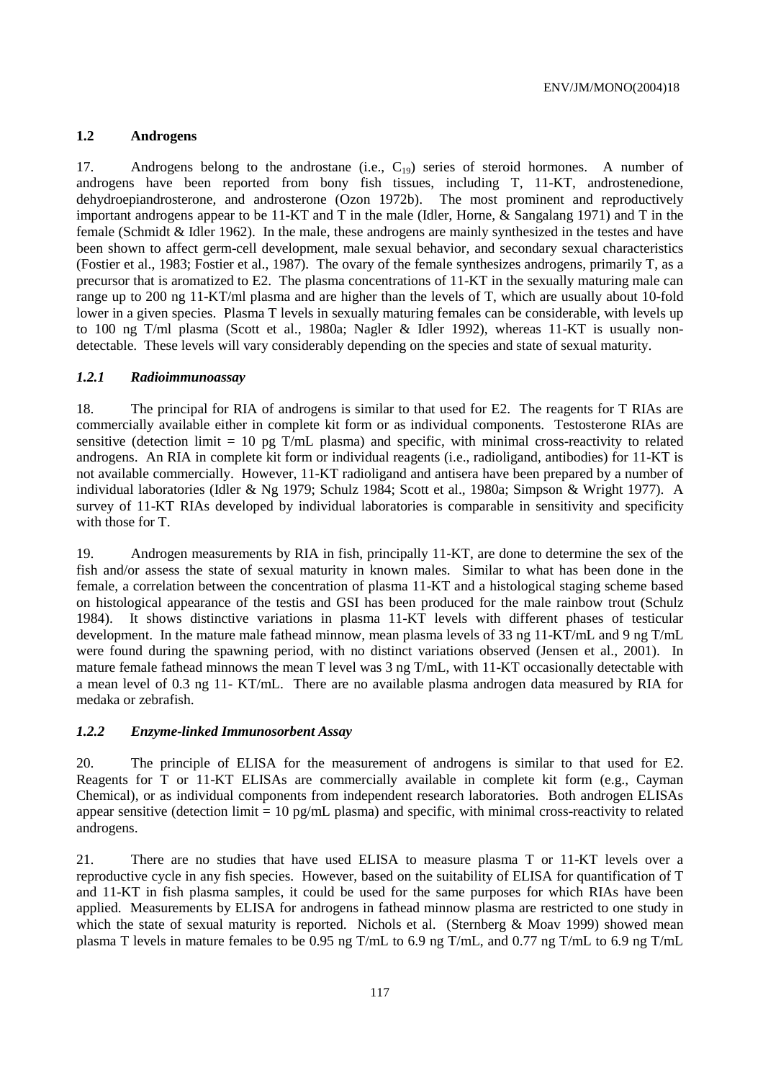### **1.2 Androgens**

17. Androgens belong to the androstane (i.e.,  $C_{19}$ ) series of steroid hormones. A number of androgens have been reported from bony fish tissues, including T, 11-KT, androstenedione, dehydroepiandrosterone, and androsterone (Ozon 1972b). The most prominent and reproductively important androgens appear to be 11-KT and T in the male (Idler, Horne, & Sangalang 1971) and T in the female (Schmidt & Idler 1962). In the male, these androgens are mainly synthesized in the testes and have been shown to affect germ-cell development, male sexual behavior, and secondary sexual characteristics (Fostier et al., 1983; Fostier et al., 1987). The ovary of the female synthesizes androgens, primarily T, as a precursor that is aromatized to E2. The plasma concentrations of 11-KT in the sexually maturing male can range up to 200 ng 11-KT/ml plasma and are higher than the levels of T, which are usually about 10-fold lower in a given species. Plasma T levels in sexually maturing females can be considerable, with levels up to 100 ng T/ml plasma (Scott et al., 1980a; Nagler & Idler 1992), whereas 11-KT is usually nondetectable. These levels will vary considerably depending on the species and state of sexual maturity.

#### *1.2.1 Radioimmunoassay*

18. The principal for RIA of androgens is similar to that used for E2. The reagents for T RIAs are commercially available either in complete kit form or as individual components. Testosterone RIAs are sensitive (detection limit  $= 10$  pg T/mL plasma) and specific, with minimal cross-reactivity to related androgens. An RIA in complete kit form or individual reagents (i.e., radioligand, antibodies) for 11-KT is not available commercially. However, 11-KT radioligand and antisera have been prepared by a number of individual laboratories (Idler & Ng 1979; Schulz 1984; Scott et al., 1980a; Simpson & Wright 1977). A survey of 11-KT RIAs developed by individual laboratories is comparable in sensitivity and specificity with those for T.

19. Androgen measurements by RIA in fish, principally 11-KT, are done to determine the sex of the fish and/or assess the state of sexual maturity in known males. Similar to what has been done in the female, a correlation between the concentration of plasma 11-KT and a histological staging scheme based on histological appearance of the testis and GSI has been produced for the male rainbow trout (Schulz 1984). It shows distinctive variations in plasma 11-KT levels with different phases of testicular development. In the mature male fathead minnow, mean plasma levels of 33 ng 11-KT/mL and 9 ng T/mL were found during the spawning period, with no distinct variations observed (Jensen et al., 2001). In mature female fathead minnows the mean T level was 3 ng T/mL, with 11-KT occasionally detectable with a mean level of 0.3 ng 11- KT/mL. There are no available plasma androgen data measured by RIA for medaka or zebrafish.

#### *1.2.2 Enzyme-linked Immunosorbent Assay*

20. The principle of ELISA for the measurement of androgens is similar to that used for E2. Reagents for T or 11-KT ELISAs are commercially available in complete kit form (e.g., Cayman Chemical), or as individual components from independent research laboratories. Both androgen ELISAs appear sensitive (detection limit  $= 10$  pg/mL plasma) and specific, with minimal cross-reactivity to related androgens.

21. There are no studies that have used ELISA to measure plasma T or 11-KT levels over a reproductive cycle in any fish species. However, based on the suitability of ELISA for quantification of T and 11-KT in fish plasma samples, it could be used for the same purposes for which RIAs have been applied. Measurements by ELISA for androgens in fathead minnow plasma are restricted to one study in which the state of sexual maturity is reported. Nichols et al. (Sternberg  $\&$  Moav 1999) showed mean plasma T levels in mature females to be 0.95 ng T/mL to 6.9 ng T/mL, and 0.77 ng T/mL to 6.9 ng T/mL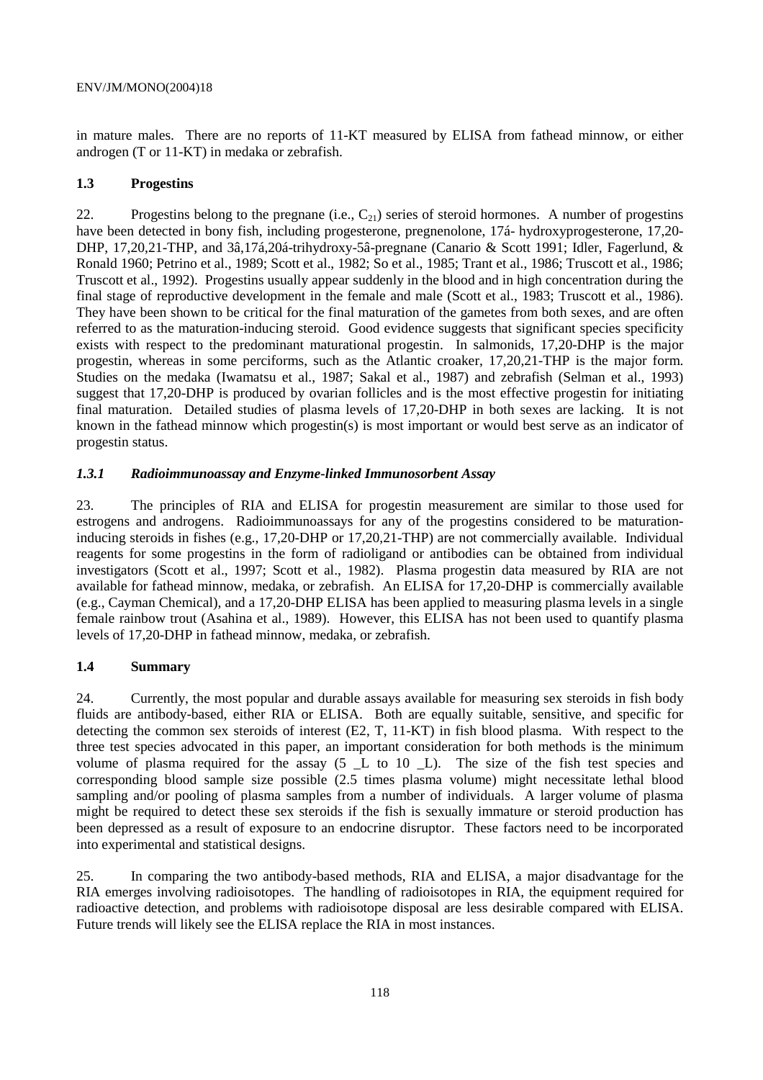in mature males. There are no reports of 11-KT measured by ELISA from fathead minnow, or either androgen (T or 11-KT) in medaka or zebrafish.

## **1.3 Progestins**

22. Progestins belong to the pregnane (i.e.,  $C_{21}$ ) series of steroid hormones. A number of progestins have been detected in bony fish, including progesterone, pregnenolone, 17á- hydroxyprogesterone, 17,20- DHP, 17,20,21-THP, and 3â,17á,20á-trihydroxy-5â-pregnane (Canario & Scott 1991; Idler, Fagerlund, & Ronald 1960; Petrino et al., 1989; Scott et al., 1982; So et al., 1985; Trant et al., 1986; Truscott et al., 1986; Truscott et al., 1992). Progestins usually appear suddenly in the blood and in high concentration during the final stage of reproductive development in the female and male (Scott et al., 1983; Truscott et al., 1986). They have been shown to be critical for the final maturation of the gametes from both sexes, and are often referred to as the maturation-inducing steroid. Good evidence suggests that significant species specificity exists with respect to the predominant maturational progestin. In salmonids, 17,20-DHP is the major progestin, whereas in some perciforms, such as the Atlantic croaker, 17,20,21-THP is the major form. Studies on the medaka (Iwamatsu et al., 1987; Sakal et al., 1987) and zebrafish (Selman et al., 1993) suggest that 17,20-DHP is produced by ovarian follicles and is the most effective progestin for initiating final maturation. Detailed studies of plasma levels of 17,20-DHP in both sexes are lacking. It is not known in the fathead minnow which progestin(s) is most important or would best serve as an indicator of progestin status.

# *1.3.1 Radioimmunoassay and Enzyme-linked Immunosorbent Assay*

23. The principles of RIA and ELISA for progestin measurement are similar to those used for estrogens and androgens. Radioimmunoassays for any of the progestins considered to be maturationinducing steroids in fishes (e.g., 17,20-DHP or 17,20,21-THP) are not commercially available. Individual reagents for some progestins in the form of radioligand or antibodies can be obtained from individual investigators (Scott et al., 1997; Scott et al., 1982). Plasma progestin data measured by RIA are not available for fathead minnow, medaka, or zebrafish. An ELISA for 17,20-DHP is commercially available (e.g., Cayman Chemical), and a 17,20-DHP ELISA has been applied to measuring plasma levels in a single female rainbow trout (Asahina et al., 1989). However, this ELISA has not been used to quantify plasma levels of 17,20-DHP in fathead minnow, medaka, or zebrafish.

# **1.4 Summary**

24. Currently, the most popular and durable assays available for measuring sex steroids in fish body fluids are antibody-based, either RIA or ELISA. Both are equally suitable, sensitive, and specific for detecting the common sex steroids of interest (E2, T, 11-KT) in fish blood plasma. With respect to the three test species advocated in this paper, an important consideration for both methods is the minimum volume of plasma required for the assay (5 \_L to 10 \_L). The size of the fish test species and corresponding blood sample size possible (2.5 times plasma volume) might necessitate lethal blood sampling and/or pooling of plasma samples from a number of individuals. A larger volume of plasma might be required to detect these sex steroids if the fish is sexually immature or steroid production has been depressed as a result of exposure to an endocrine disruptor. These factors need to be incorporated into experimental and statistical designs.

25. In comparing the two antibody-based methods, RIA and ELISA, a major disadvantage for the RIA emerges involving radioisotopes. The handling of radioisotopes in RIA, the equipment required for radioactive detection, and problems with radioisotope disposal are less desirable compared with ELISA. Future trends will likely see the ELISA replace the RIA in most instances.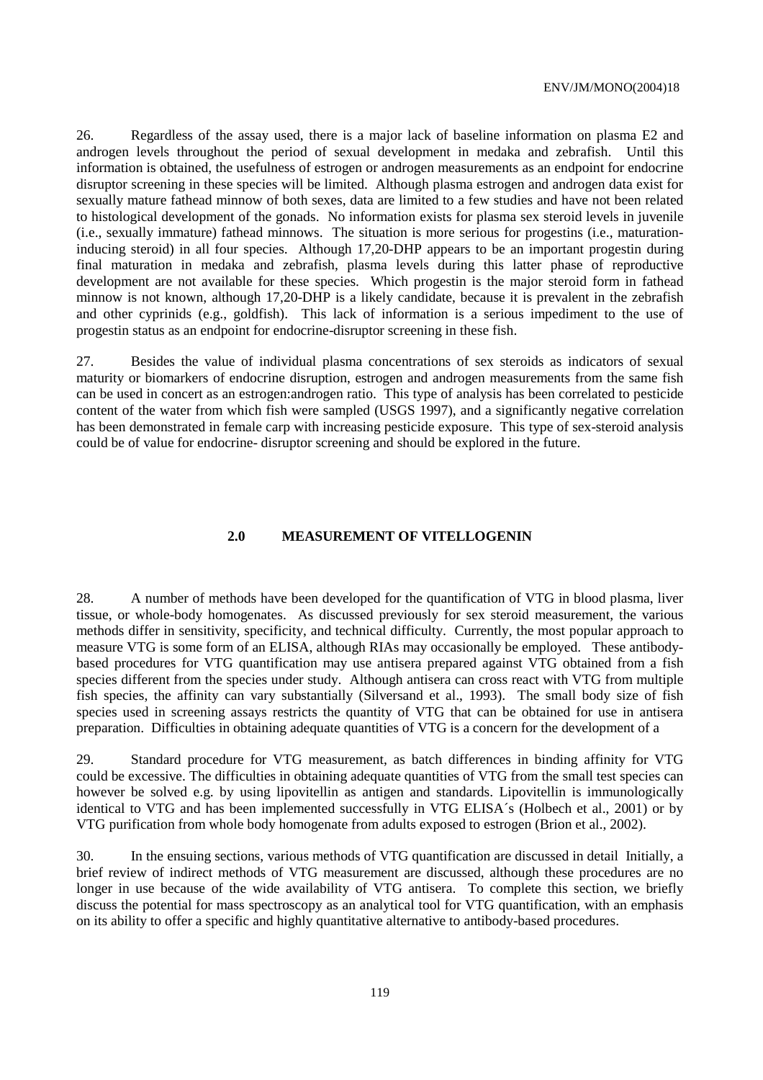26. Regardless of the assay used, there is a major lack of baseline information on plasma E2 and androgen levels throughout the period of sexual development in medaka and zebrafish. Until this information is obtained, the usefulness of estrogen or androgen measurements as an endpoint for endocrine disruptor screening in these species will be limited. Although plasma estrogen and androgen data exist for sexually mature fathead minnow of both sexes, data are limited to a few studies and have not been related to histological development of the gonads. No information exists for plasma sex steroid levels in juvenile (i.e., sexually immature) fathead minnows. The situation is more serious for progestins (i.e., maturationinducing steroid) in all four species. Although 17,20-DHP appears to be an important progestin during final maturation in medaka and zebrafish, plasma levels during this latter phase of reproductive development are not available for these species. Which progestin is the major steroid form in fathead minnow is not known, although 17,20-DHP is a likely candidate, because it is prevalent in the zebrafish and other cyprinids (e.g., goldfish). This lack of information is a serious impediment to the use of progestin status as an endpoint for endocrine-disruptor screening in these fish.

27. Besides the value of individual plasma concentrations of sex steroids as indicators of sexual maturity or biomarkers of endocrine disruption, estrogen and androgen measurements from the same fish can be used in concert as an estrogen:androgen ratio. This type of analysis has been correlated to pesticide content of the water from which fish were sampled (USGS 1997), and a significantly negative correlation has been demonstrated in female carp with increasing pesticide exposure. This type of sex-steroid analysis could be of value for endocrine- disruptor screening and should be explored in the future.

#### **2.0 MEASUREMENT OF VITELLOGENIN**

28. A number of methods have been developed for the quantification of VTG in blood plasma, liver tissue, or whole-body homogenates. As discussed previously for sex steroid measurement, the various methods differ in sensitivity, specificity, and technical difficulty. Currently, the most popular approach to measure VTG is some form of an ELISA, although RIAs may occasionally be employed. These antibodybased procedures for VTG quantification may use antisera prepared against VTG obtained from a fish species different from the species under study. Although antisera can cross react with VTG from multiple fish species, the affinity can vary substantially (Silversand et al., 1993). The small body size of fish species used in screening assays restricts the quantity of VTG that can be obtained for use in antisera preparation. Difficulties in obtaining adequate quantities of VTG is a concern for the development of a

29. Standard procedure for VTG measurement, as batch differences in binding affinity for VTG could be excessive. The difficulties in obtaining adequate quantities of VTG from the small test species can however be solved e.g. by using lipovitellin as antigen and standards. Lipovitellin is immunologically identical to VTG and has been implemented successfully in VTG ELISA´s (Holbech et al., 2001) or by VTG purification from whole body homogenate from adults exposed to estrogen (Brion et al., 2002).

30. In the ensuing sections, various methods of VTG quantification are discussed in detail Initially, a brief review of indirect methods of VTG measurement are discussed, although these procedures are no longer in use because of the wide availability of VTG antisera. To complete this section, we briefly discuss the potential for mass spectroscopy as an analytical tool for VTG quantification, with an emphasis on its ability to offer a specific and highly quantitative alternative to antibody-based procedures.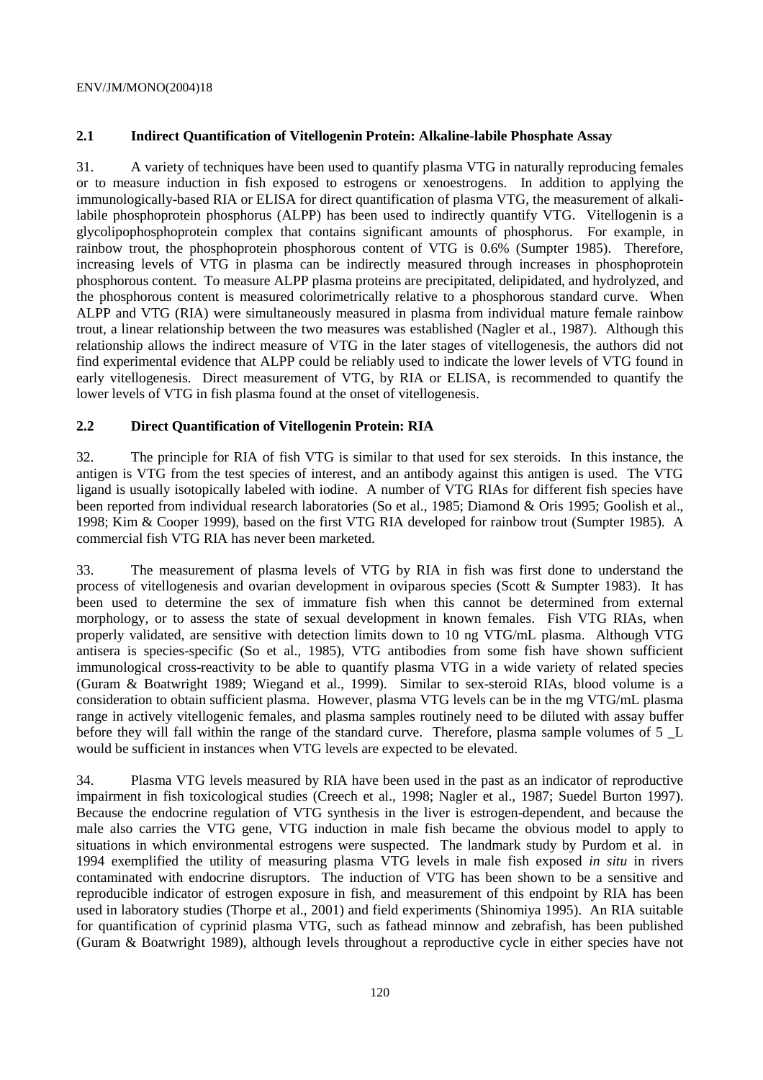# **2.1 Indirect Quantification of Vitellogenin Protein: Alkaline-labile Phosphate Assay**

31. A variety of techniques have been used to quantify plasma VTG in naturally reproducing females or to measure induction in fish exposed to estrogens or xenoestrogens. In addition to applying the immunologically-based RIA or ELISA for direct quantification of plasma VTG, the measurement of alkalilabile phosphoprotein phosphorus (ALPP) has been used to indirectly quantify VTG. Vitellogenin is a glycolipophosphoprotein complex that contains significant amounts of phosphorus. For example, in rainbow trout, the phosphoprotein phosphorous content of VTG is 0.6% (Sumpter 1985). Therefore, increasing levels of VTG in plasma can be indirectly measured through increases in phosphoprotein phosphorous content. To measure ALPP plasma proteins are precipitated, delipidated, and hydrolyzed, and the phosphorous content is measured colorimetrically relative to a phosphorous standard curve. When ALPP and VTG (RIA) were simultaneously measured in plasma from individual mature female rainbow trout, a linear relationship between the two measures was established (Nagler et al., 1987). Although this relationship allows the indirect measure of VTG in the later stages of vitellogenesis, the authors did not find experimental evidence that ALPP could be reliably used to indicate the lower levels of VTG found in early vitellogenesis. Direct measurement of VTG, by RIA or ELISA, is recommended to quantify the lower levels of VTG in fish plasma found at the onset of vitellogenesis.

### **2.2 Direct Quantification of Vitellogenin Protein: RIA**

32. The principle for RIA of fish VTG is similar to that used for sex steroids. In this instance, the antigen is VTG from the test species of interest, and an antibody against this antigen is used. The VTG ligand is usually isotopically labeled with iodine. A number of VTG RIAs for different fish species have been reported from individual research laboratories (So et al., 1985; Diamond & Oris 1995; Goolish et al., 1998; Kim & Cooper 1999), based on the first VTG RIA developed for rainbow trout (Sumpter 1985). A commercial fish VTG RIA has never been marketed.

33. The measurement of plasma levels of VTG by RIA in fish was first done to understand the process of vitellogenesis and ovarian development in oviparous species (Scott & Sumpter 1983). It has been used to determine the sex of immature fish when this cannot be determined from external morphology, or to assess the state of sexual development in known females. Fish VTG RIAs, when properly validated, are sensitive with detection limits down to 10 ng VTG/mL plasma. Although VTG antisera is species-specific (So et al., 1985), VTG antibodies from some fish have shown sufficient immunological cross-reactivity to be able to quantify plasma VTG in a wide variety of related species (Guram & Boatwright 1989; Wiegand et al., 1999). Similar to sex-steroid RIAs, blood volume is a consideration to obtain sufficient plasma. However, plasma VTG levels can be in the mg VTG/mL plasma range in actively vitellogenic females, and plasma samples routinely need to be diluted with assay buffer before they will fall within the range of the standard curve. Therefore, plasma sample volumes of 5 L would be sufficient in instances when VTG levels are expected to be elevated.

34. Plasma VTG levels measured by RIA have been used in the past as an indicator of reproductive impairment in fish toxicological studies (Creech et al., 1998; Nagler et al., 1987; Suedel Burton 1997). Because the endocrine regulation of VTG synthesis in the liver is estrogen-dependent, and because the male also carries the VTG gene, VTG induction in male fish became the obvious model to apply to situations in which environmental estrogens were suspected. The landmark study by Purdom et al. in 1994 exemplified the utility of measuring plasma VTG levels in male fish exposed *in situ* in rivers contaminated with endocrine disruptors. The induction of VTG has been shown to be a sensitive and reproducible indicator of estrogen exposure in fish, and measurement of this endpoint by RIA has been used in laboratory studies (Thorpe et al., 2001) and field experiments (Shinomiya 1995). An RIA suitable for quantification of cyprinid plasma VTG, such as fathead minnow and zebrafish, has been published (Guram & Boatwright 1989), although levels throughout a reproductive cycle in either species have not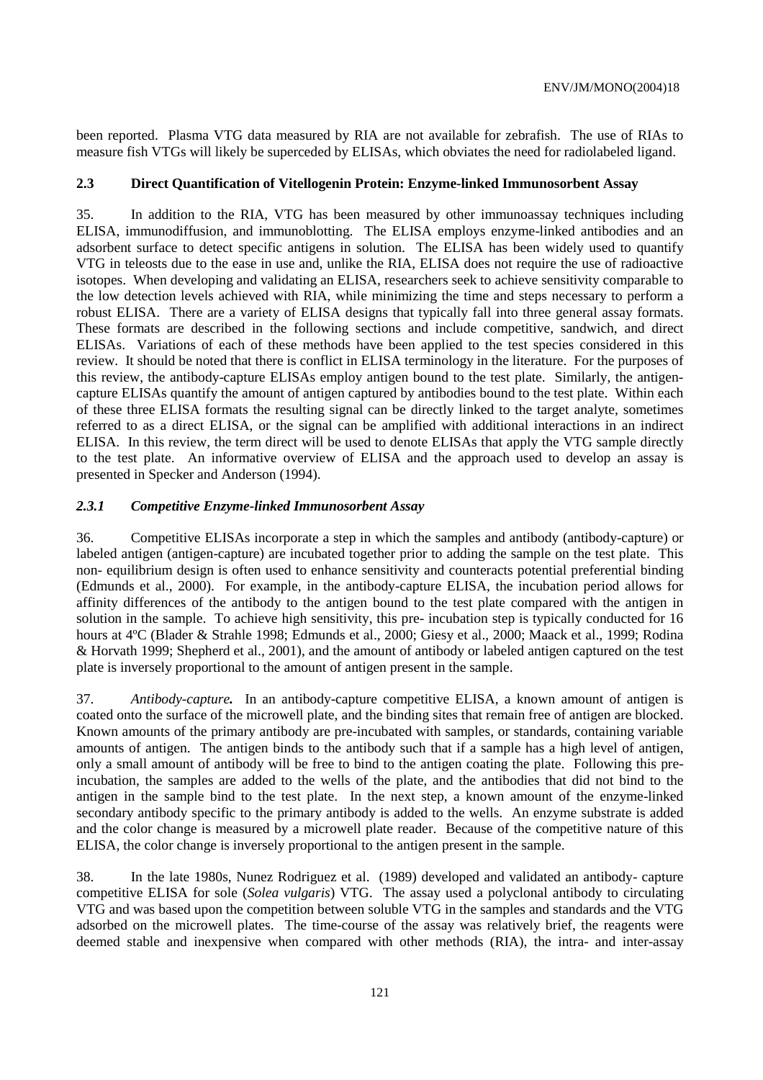been reported. Plasma VTG data measured by RIA are not available for zebrafish. The use of RIAs to measure fish VTGs will likely be superceded by ELISAs, which obviates the need for radiolabeled ligand.

### **2.3 Direct Quantification of Vitellogenin Protein: Enzyme-linked Immunosorbent Assay**

35. In addition to the RIA, VTG has been measured by other immunoassay techniques including ELISA, immunodiffusion, and immunoblotting. The ELISA employs enzyme-linked antibodies and an adsorbent surface to detect specific antigens in solution. The ELISA has been widely used to quantify VTG in teleosts due to the ease in use and, unlike the RIA, ELISA does not require the use of radioactive isotopes. When developing and validating an ELISA, researchers seek to achieve sensitivity comparable to the low detection levels achieved with RIA, while minimizing the time and steps necessary to perform a robust ELISA. There are a variety of ELISA designs that typically fall into three general assay formats. These formats are described in the following sections and include competitive, sandwich, and direct ELISAs. Variations of each of these methods have been applied to the test species considered in this review. It should be noted that there is conflict in ELISA terminology in the literature. For the purposes of this review, the antibody-capture ELISAs employ antigen bound to the test plate. Similarly, the antigencapture ELISAs quantify the amount of antigen captured by antibodies bound to the test plate. Within each of these three ELISA formats the resulting signal can be directly linked to the target analyte, sometimes referred to as a direct ELISA, or the signal can be amplified with additional interactions in an indirect ELISA. In this review, the term direct will be used to denote ELISAs that apply the VTG sample directly to the test plate. An informative overview of ELISA and the approach used to develop an assay is presented in Specker and Anderson (1994).

#### *2.3.1 Competitive Enzyme-linked Immunosorbent Assay*

36. Competitive ELISAs incorporate a step in which the samples and antibody (antibody-capture) or labeled antigen (antigen-capture) are incubated together prior to adding the sample on the test plate. This non- equilibrium design is often used to enhance sensitivity and counteracts potential preferential binding (Edmunds et al., 2000). For example, in the antibody-capture ELISA, the incubation period allows for affinity differences of the antibody to the antigen bound to the test plate compared with the antigen in solution in the sample. To achieve high sensitivity, this pre- incubation step is typically conducted for 16 hours at 4ºC (Blader & Strahle 1998; Edmunds et al., 2000; Giesy et al., 2000; Maack et al., 1999; Rodina & Horvath 1999; Shepherd et al., 2001), and the amount of antibody or labeled antigen captured on the test plate is inversely proportional to the amount of antigen present in the sample.

37. *Antibody-capture.* In an antibody-capture competitive ELISA, a known amount of antigen is coated onto the surface of the microwell plate, and the binding sites that remain free of antigen are blocked. Known amounts of the primary antibody are pre-incubated with samples, or standards, containing variable amounts of antigen. The antigen binds to the antibody such that if a sample has a high level of antigen, only a small amount of antibody will be free to bind to the antigen coating the plate. Following this preincubation, the samples are added to the wells of the plate, and the antibodies that did not bind to the antigen in the sample bind to the test plate. In the next step, a known amount of the enzyme-linked secondary antibody specific to the primary antibody is added to the wells. An enzyme substrate is added and the color change is measured by a microwell plate reader. Because of the competitive nature of this ELISA, the color change is inversely proportional to the antigen present in the sample.

38. In the late 1980s, Nunez Rodriguez et al. (1989) developed and validated an antibody- capture competitive ELISA for sole (*Solea vulgaris*) VTG. The assay used a polyclonal antibody to circulating VTG and was based upon the competition between soluble VTG in the samples and standards and the VTG adsorbed on the microwell plates. The time-course of the assay was relatively brief, the reagents were deemed stable and inexpensive when compared with other methods (RIA), the intra- and inter-assay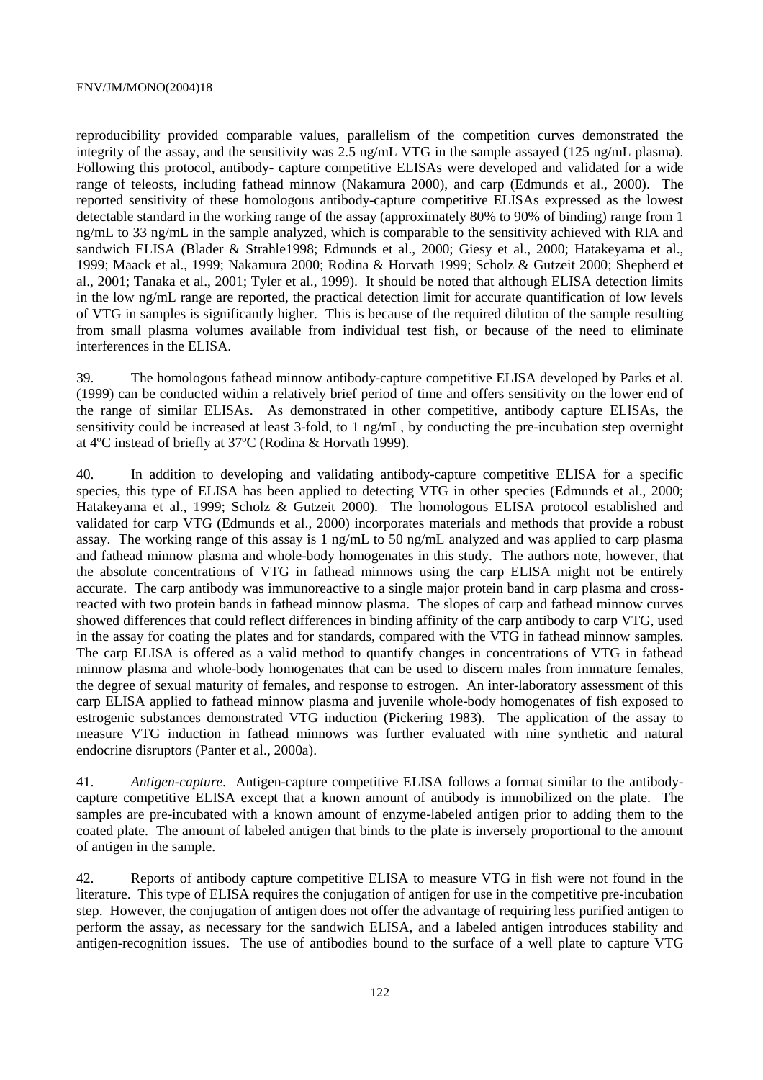reproducibility provided comparable values, parallelism of the competition curves demonstrated the integrity of the assay, and the sensitivity was 2.5 ng/mL VTG in the sample assayed (125 ng/mL plasma). Following this protocol, antibody- capture competitive ELISAs were developed and validated for a wide range of teleosts, including fathead minnow (Nakamura 2000), and carp (Edmunds et al., 2000). The reported sensitivity of these homologous antibody-capture competitive ELISAs expressed as the lowest detectable standard in the working range of the assay (approximately 80% to 90% of binding) range from 1 ng/mL to 33 ng/mL in the sample analyzed, which is comparable to the sensitivity achieved with RIA and sandwich ELISA (Blader & Strahle1998; Edmunds et al., 2000; Giesy et al., 2000; Hatakeyama et al., 1999; Maack et al., 1999; Nakamura 2000; Rodina & Horvath 1999; Scholz & Gutzeit 2000; Shepherd et al., 2001; Tanaka et al., 2001; Tyler et al., 1999). It should be noted that although ELISA detection limits in the low ng/mL range are reported, the practical detection limit for accurate quantification of low levels of VTG in samples is significantly higher. This is because of the required dilution of the sample resulting from small plasma volumes available from individual test fish, or because of the need to eliminate interferences in the ELISA.

39. The homologous fathead minnow antibody-capture competitive ELISA developed by Parks et al. (1999) can be conducted within a relatively brief period of time and offers sensitivity on the lower end of the range of similar ELISAs. As demonstrated in other competitive, antibody capture ELISAs, the sensitivity could be increased at least 3-fold, to 1 ng/mL, by conducting the pre-incubation step overnight at 4ºC instead of briefly at 37ºC (Rodina & Horvath 1999).

40. In addition to developing and validating antibody-capture competitive ELISA for a specific species, this type of ELISA has been applied to detecting VTG in other species (Edmunds et al., 2000; Hatakeyama et al., 1999; Scholz & Gutzeit 2000). The homologous ELISA protocol established and validated for carp VTG (Edmunds et al., 2000) incorporates materials and methods that provide a robust assay. The working range of this assay is 1 ng/mL to 50 ng/mL analyzed and was applied to carp plasma and fathead minnow plasma and whole-body homogenates in this study. The authors note, however, that the absolute concentrations of VTG in fathead minnows using the carp ELISA might not be entirely accurate. The carp antibody was immunoreactive to a single major protein band in carp plasma and crossreacted with two protein bands in fathead minnow plasma. The slopes of carp and fathead minnow curves showed differences that could reflect differences in binding affinity of the carp antibody to carp VTG, used in the assay for coating the plates and for standards, compared with the VTG in fathead minnow samples. The carp ELISA is offered as a valid method to quantify changes in concentrations of VTG in fathead minnow plasma and whole-body homogenates that can be used to discern males from immature females, the degree of sexual maturity of females, and response to estrogen. An inter-laboratory assessment of this carp ELISA applied to fathead minnow plasma and juvenile whole-body homogenates of fish exposed to estrogenic substances demonstrated VTG induction (Pickering 1983). The application of the assay to measure VTG induction in fathead minnows was further evaluated with nine synthetic and natural endocrine disruptors (Panter et al., 2000a).

41. *Antigen-capture.* Antigen-capture competitive ELISA follows a format similar to the antibodycapture competitive ELISA except that a known amount of antibody is immobilized on the plate. The samples are pre-incubated with a known amount of enzyme-labeled antigen prior to adding them to the coated plate. The amount of labeled antigen that binds to the plate is inversely proportional to the amount of antigen in the sample.

42. Reports of antibody capture competitive ELISA to measure VTG in fish were not found in the literature. This type of ELISA requires the conjugation of antigen for use in the competitive pre-incubation step. However, the conjugation of antigen does not offer the advantage of requiring less purified antigen to perform the assay, as necessary for the sandwich ELISA, and a labeled antigen introduces stability and antigen-recognition issues. The use of antibodies bound to the surface of a well plate to capture VTG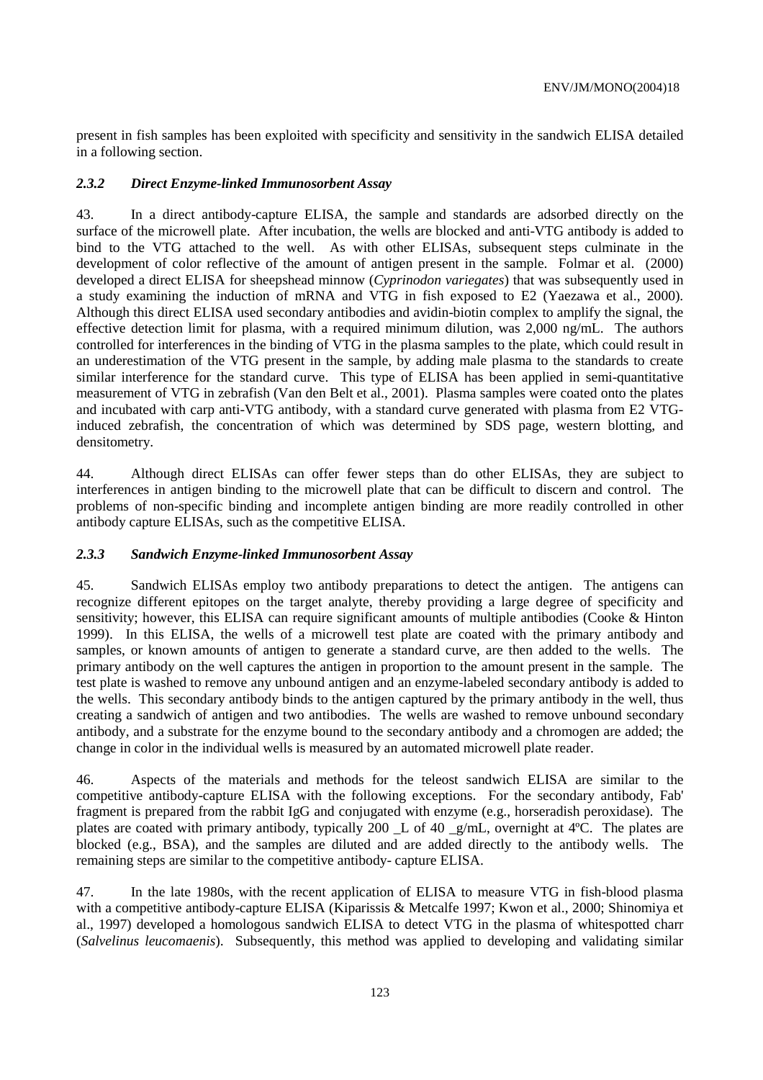present in fish samples has been exploited with specificity and sensitivity in the sandwich ELISA detailed in a following section.

### *2.3.2 Direct Enzyme-linked Immunosorbent Assay*

43. In a direct antibody-capture ELISA, the sample and standards are adsorbed directly on the surface of the microwell plate. After incubation, the wells are blocked and anti-VTG antibody is added to bind to the VTG attached to the well. As with other ELISAs, subsequent steps culminate in the development of color reflective of the amount of antigen present in the sample. Folmar et al. (2000) developed a direct ELISA for sheepshead minnow (*Cyprinodon variegates*) that was subsequently used in a study examining the induction of mRNA and VTG in fish exposed to E2 (Yaezawa et al., 2000). Although this direct ELISA used secondary antibodies and avidin-biotin complex to amplify the signal, the effective detection limit for plasma, with a required minimum dilution, was 2,000 ng/mL. The authors controlled for interferences in the binding of VTG in the plasma samples to the plate, which could result in an underestimation of the VTG present in the sample, by adding male plasma to the standards to create similar interference for the standard curve. This type of ELISA has been applied in semi-quantitative measurement of VTG in zebrafish (Van den Belt et al., 2001). Plasma samples were coated onto the plates and incubated with carp anti-VTG antibody, with a standard curve generated with plasma from E2 VTGinduced zebrafish, the concentration of which was determined by SDS page, western blotting, and densitometry.

44. Although direct ELISAs can offer fewer steps than do other ELISAs, they are subject to interferences in antigen binding to the microwell plate that can be difficult to discern and control. The problems of non-specific binding and incomplete antigen binding are more readily controlled in other antibody capture ELISAs, such as the competitive ELISA.

### *2.3.3 Sandwich Enzyme-linked Immunosorbent Assay*

45. Sandwich ELISAs employ two antibody preparations to detect the antigen. The antigens can recognize different epitopes on the target analyte, thereby providing a large degree of specificity and sensitivity; however, this ELISA can require significant amounts of multiple antibodies (Cooke & Hinton 1999). In this ELISA, the wells of a microwell test plate are coated with the primary antibody and samples, or known amounts of antigen to generate a standard curve, are then added to the wells. The primary antibody on the well captures the antigen in proportion to the amount present in the sample. The test plate is washed to remove any unbound antigen and an enzyme-labeled secondary antibody is added to the wells. This secondary antibody binds to the antigen captured by the primary antibody in the well, thus creating a sandwich of antigen and two antibodies. The wells are washed to remove unbound secondary antibody, and a substrate for the enzyme bound to the secondary antibody and a chromogen are added; the change in color in the individual wells is measured by an automated microwell plate reader.

46. Aspects of the materials and methods for the teleost sandwich ELISA are similar to the competitive antibody-capture ELISA with the following exceptions. For the secondary antibody, Fab' fragment is prepared from the rabbit IgG and conjugated with enzyme (e.g., horseradish peroxidase). The plates are coated with primary antibody, typically 200 \_L of 40 \_g/mL, overnight at 4ºC. The plates are blocked (e.g., BSA), and the samples are diluted and are added directly to the antibody wells. The remaining steps are similar to the competitive antibody- capture ELISA.

47. In the late 1980s, with the recent application of ELISA to measure VTG in fish-blood plasma with a competitive antibody-capture ELISA (Kiparissis & Metcalfe 1997; Kwon et al., 2000; Shinomiya et al., 1997) developed a homologous sandwich ELISA to detect VTG in the plasma of whitespotted charr (*Salvelinus leucomaenis*). Subsequently, this method was applied to developing and validating similar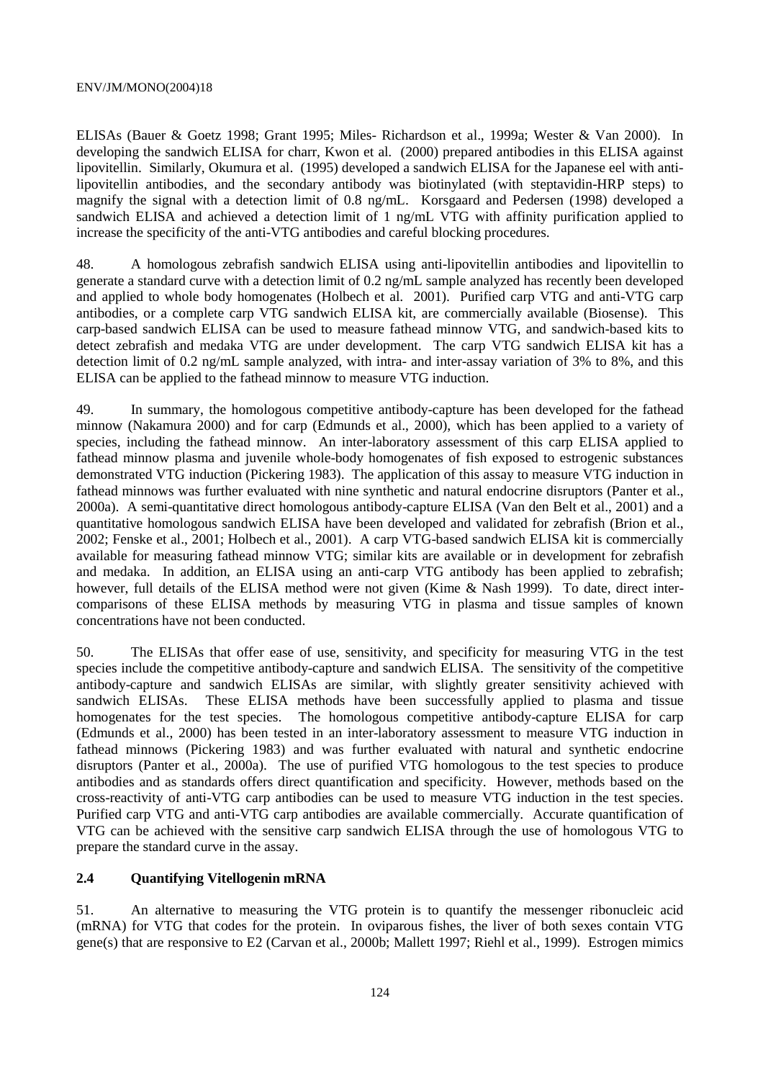ELISAs (Bauer & Goetz 1998; Grant 1995; Miles- Richardson et al., 1999a; Wester & Van 2000). In developing the sandwich ELISA for charr, Kwon et al. (2000) prepared antibodies in this ELISA against lipovitellin. Similarly, Okumura et al. (1995) developed a sandwich ELISA for the Japanese eel with antilipovitellin antibodies, and the secondary antibody was biotinylated (with steptavidin-HRP steps) to magnify the signal with a detection limit of 0.8 ng/mL. Korsgaard and Pedersen (1998) developed a sandwich ELISA and achieved a detection limit of 1 ng/mL VTG with affinity purification applied to increase the specificity of the anti-VTG antibodies and careful blocking procedures.

48. A homologous zebrafish sandwich ELISA using anti-lipovitellin antibodies and lipovitellin to generate a standard curve with a detection limit of 0.2 ng/mL sample analyzed has recently been developed and applied to whole body homogenates (Holbech et al. 2001). Purified carp VTG and anti-VTG carp antibodies, or a complete carp VTG sandwich ELISA kit, are commercially available (Biosense). This carp-based sandwich ELISA can be used to measure fathead minnow VTG, and sandwich-based kits to detect zebrafish and medaka VTG are under development. The carp VTG sandwich ELISA kit has a detection limit of 0.2 ng/mL sample analyzed, with intra- and inter-assay variation of 3% to 8%, and this ELISA can be applied to the fathead minnow to measure VTG induction.

49. In summary, the homologous competitive antibody-capture has been developed for the fathead minnow (Nakamura 2000) and for carp (Edmunds et al., 2000), which has been applied to a variety of species, including the fathead minnow. An inter-laboratory assessment of this carp ELISA applied to fathead minnow plasma and juvenile whole-body homogenates of fish exposed to estrogenic substances demonstrated VTG induction (Pickering 1983). The application of this assay to measure VTG induction in fathead minnows was further evaluated with nine synthetic and natural endocrine disruptors (Panter et al., 2000a). A semi-quantitative direct homologous antibody-capture ELISA (Van den Belt et al., 2001) and a quantitative homologous sandwich ELISA have been developed and validated for zebrafish (Brion et al., 2002; Fenske et al., 2001; Holbech et al., 2001). A carp VTG-based sandwich ELISA kit is commercially available for measuring fathead minnow VTG; similar kits are available or in development for zebrafish and medaka. In addition, an ELISA using an anti-carp VTG antibody has been applied to zebrafish; however, full details of the ELISA method were not given (Kime & Nash 1999). To date, direct intercomparisons of these ELISA methods by measuring VTG in plasma and tissue samples of known concentrations have not been conducted.

50. The ELISAs that offer ease of use, sensitivity, and specificity for measuring VTG in the test species include the competitive antibody-capture and sandwich ELISA. The sensitivity of the competitive antibody-capture and sandwich ELISAs are similar, with slightly greater sensitivity achieved with sandwich ELISAs. These ELISA methods have been successfully applied to plasma and tissue homogenates for the test species. The homologous competitive antibody-capture ELISA for carp (Edmunds et al., 2000) has been tested in an inter-laboratory assessment to measure VTG induction in fathead minnows (Pickering 1983) and was further evaluated with natural and synthetic endocrine disruptors (Panter et al., 2000a). The use of purified VTG homologous to the test species to produce antibodies and as standards offers direct quantification and specificity. However, methods based on the cross-reactivity of anti-VTG carp antibodies can be used to measure VTG induction in the test species. Purified carp VTG and anti-VTG carp antibodies are available commercially. Accurate quantification of VTG can be achieved with the sensitive carp sandwich ELISA through the use of homologous VTG to prepare the standard curve in the assay.

### **2.4 Quantifying Vitellogenin mRNA**

51. An alternative to measuring the VTG protein is to quantify the messenger ribonucleic acid (mRNA) for VTG that codes for the protein. In oviparous fishes, the liver of both sexes contain VTG gene(s) that are responsive to E2 (Carvan et al., 2000b; Mallett 1997; Riehl et al., 1999). Estrogen mimics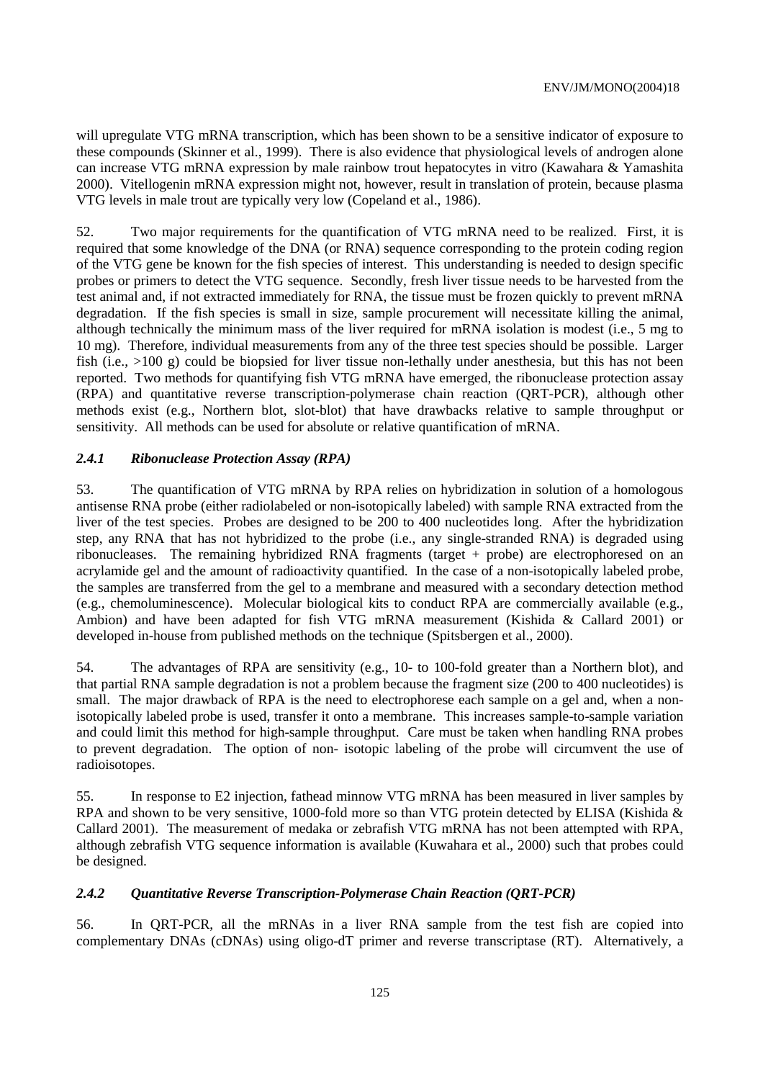will upregulate VTG mRNA transcription, which has been shown to be a sensitive indicator of exposure to these compounds (Skinner et al., 1999). There is also evidence that physiological levels of androgen alone can increase VTG mRNA expression by male rainbow trout hepatocytes in vitro (Kawahara & Yamashita 2000). Vitellogenin mRNA expression might not, however, result in translation of protein, because plasma VTG levels in male trout are typically very low (Copeland et al., 1986).

52. Two major requirements for the quantification of VTG mRNA need to be realized. First, it is required that some knowledge of the DNA (or RNA) sequence corresponding to the protein coding region of the VTG gene be known for the fish species of interest. This understanding is needed to design specific probes or primers to detect the VTG sequence. Secondly, fresh liver tissue needs to be harvested from the test animal and, if not extracted immediately for RNA, the tissue must be frozen quickly to prevent mRNA degradation. If the fish species is small in size, sample procurement will necessitate killing the animal, although technically the minimum mass of the liver required for mRNA isolation is modest (i.e., 5 mg to 10 mg). Therefore, individual measurements from any of the three test species should be possible. Larger fish (i.e., >100 g) could be biopsied for liver tissue non-lethally under anesthesia, but this has not been reported. Two methods for quantifying fish VTG mRNA have emerged, the ribonuclease protection assay (RPA) and quantitative reverse transcription-polymerase chain reaction (QRT-PCR), although other methods exist (e.g., Northern blot, slot-blot) that have drawbacks relative to sample throughput or sensitivity. All methods can be used for absolute or relative quantification of mRNA.

# *2.4.1 Ribonuclease Protection Assay (RPA)*

53. The quantification of VTG mRNA by RPA relies on hybridization in solution of a homologous antisense RNA probe (either radiolabeled or non-isotopically labeled) with sample RNA extracted from the liver of the test species. Probes are designed to be 200 to 400 nucleotides long. After the hybridization step, any RNA that has not hybridized to the probe (i.e., any single-stranded RNA) is degraded using ribonucleases. The remaining hybridized RNA fragments (target + probe) are electrophoresed on an acrylamide gel and the amount of radioactivity quantified. In the case of a non-isotopically labeled probe, the samples are transferred from the gel to a membrane and measured with a secondary detection method (e.g., chemoluminescence). Molecular biological kits to conduct RPA are commercially available (e.g., Ambion) and have been adapted for fish VTG mRNA measurement (Kishida & Callard 2001) or developed in-house from published methods on the technique (Spitsbergen et al., 2000).

54. The advantages of RPA are sensitivity (e.g., 10- to 100-fold greater than a Northern blot), and that partial RNA sample degradation is not a problem because the fragment size (200 to 400 nucleotides) is small. The major drawback of RPA is the need to electrophorese each sample on a gel and, when a nonisotopically labeled probe is used, transfer it onto a membrane. This increases sample-to-sample variation and could limit this method for high-sample throughput. Care must be taken when handling RNA probes to prevent degradation. The option of non- isotopic labeling of the probe will circumvent the use of radioisotopes.

55. In response to E2 injection, fathead minnow VTG mRNA has been measured in liver samples by RPA and shown to be very sensitive, 1000-fold more so than VTG protein detected by ELISA (Kishida & Callard 2001). The measurement of medaka or zebrafish VTG mRNA has not been attempted with RPA, although zebrafish VTG sequence information is available (Kuwahara et al., 2000) such that probes could be designed.

## *2.4.2 Quantitative Reverse Transcription-Polymerase Chain Reaction (QRT-PCR)*

56. In QRT-PCR, all the mRNAs in a liver RNA sample from the test fish are copied into complementary DNAs (cDNAs) using oligo-dT primer and reverse transcriptase (RT). Alternatively, a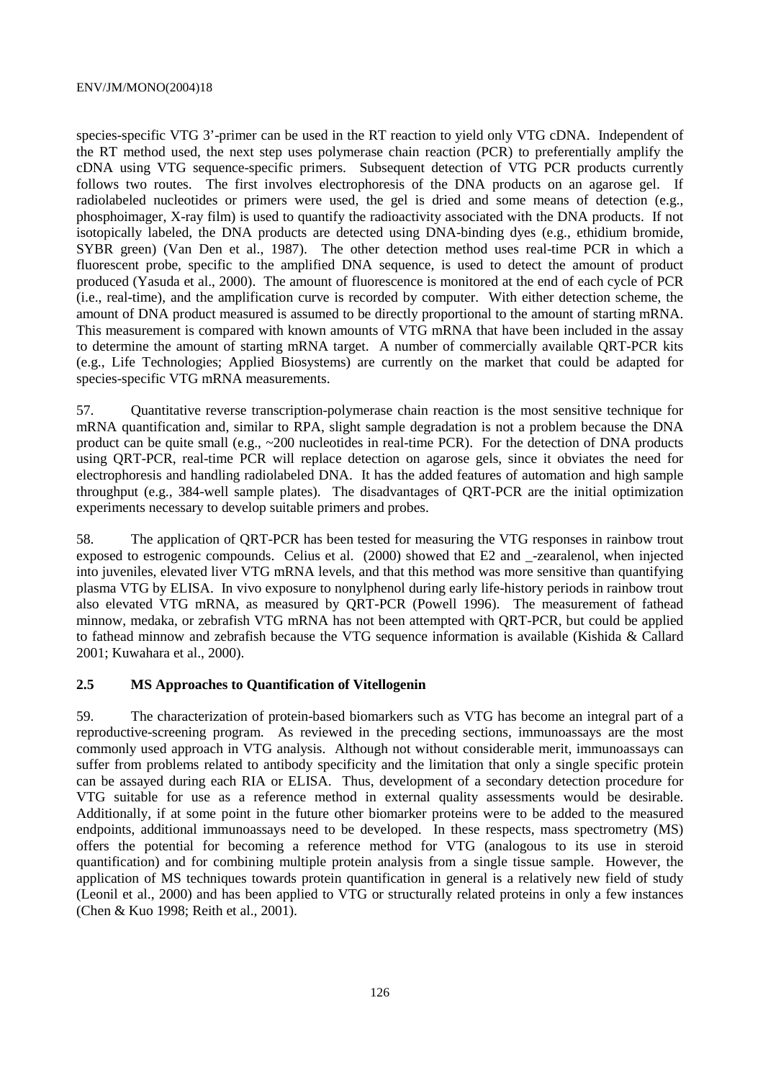species-specific VTG 3'-primer can be used in the RT reaction to yield only VTG cDNA. Independent of the RT method used, the next step uses polymerase chain reaction (PCR) to preferentially amplify the cDNA using VTG sequence-specific primers. Subsequent detection of VTG PCR products currently follows two routes. The first involves electrophoresis of the DNA products on an agarose gel. If radiolabeled nucleotides or primers were used, the gel is dried and some means of detection (e.g., phosphoimager, X-ray film) is used to quantify the radioactivity associated with the DNA products. If not isotopically labeled, the DNA products are detected using DNA-binding dyes (e.g., ethidium bromide, SYBR green) (Van Den et al., 1987). The other detection method uses real-time PCR in which a fluorescent probe, specific to the amplified DNA sequence, is used to detect the amount of product produced (Yasuda et al., 2000). The amount of fluorescence is monitored at the end of each cycle of PCR (i.e., real-time), and the amplification curve is recorded by computer. With either detection scheme, the amount of DNA product measured is assumed to be directly proportional to the amount of starting mRNA. This measurement is compared with known amounts of VTG mRNA that have been included in the assay to determine the amount of starting mRNA target. A number of commercially available QRT-PCR kits (e.g., Life Technologies; Applied Biosystems) are currently on the market that could be adapted for species-specific VTG mRNA measurements.

57. Quantitative reverse transcription-polymerase chain reaction is the most sensitive technique for mRNA quantification and, similar to RPA, slight sample degradation is not a problem because the DNA product can be quite small (e.g.,  $\sim$  200 nucleotides in real-time PCR). For the detection of DNA products using QRT-PCR, real-time PCR will replace detection on agarose gels, since it obviates the need for electrophoresis and handling radiolabeled DNA. It has the added features of automation and high sample throughput (e.g., 384-well sample plates). The disadvantages of QRT-PCR are the initial optimization experiments necessary to develop suitable primers and probes.

58. The application of QRT-PCR has been tested for measuring the VTG responses in rainbow trout exposed to estrogenic compounds. Celius et al. (2000) showed that E2 and \_-zearalenol, when injected into juveniles, elevated liver VTG mRNA levels, and that this method was more sensitive than quantifying plasma VTG by ELISA. In vivo exposure to nonylphenol during early life-history periods in rainbow trout also elevated VTG mRNA, as measured by QRT-PCR (Powell 1996). The measurement of fathead minnow, medaka, or zebrafish VTG mRNA has not been attempted with QRT-PCR, but could be applied to fathead minnow and zebrafish because the VTG sequence information is available (Kishida & Callard 2001; Kuwahara et al., 2000).

### **2.5 MS Approaches to Quantification of Vitellogenin**

59. The characterization of protein-based biomarkers such as VTG has become an integral part of a reproductive-screening program. As reviewed in the preceding sections, immunoassays are the most commonly used approach in VTG analysis. Although not without considerable merit, immunoassays can suffer from problems related to antibody specificity and the limitation that only a single specific protein can be assayed during each RIA or ELISA. Thus, development of a secondary detection procedure for VTG suitable for use as a reference method in external quality assessments would be desirable. Additionally, if at some point in the future other biomarker proteins were to be added to the measured endpoints, additional immunoassays need to be developed. In these respects, mass spectrometry (MS) offers the potential for becoming a reference method for VTG (analogous to its use in steroid quantification) and for combining multiple protein analysis from a single tissue sample. However, the application of MS techniques towards protein quantification in general is a relatively new field of study (Leonil et al., 2000) and has been applied to VTG or structurally related proteins in only a few instances (Chen & Kuo 1998; Reith et al., 2001).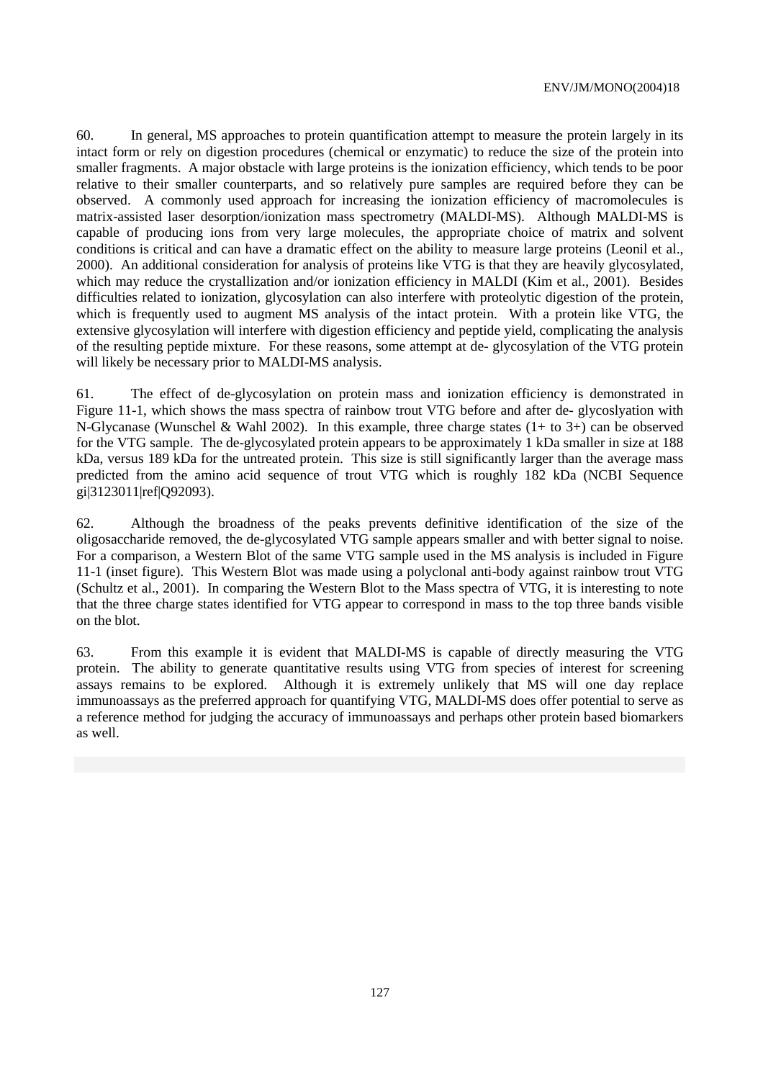60. In general, MS approaches to protein quantification attempt to measure the protein largely in its intact form or rely on digestion procedures (chemical or enzymatic) to reduce the size of the protein into smaller fragments. A major obstacle with large proteins is the ionization efficiency, which tends to be poor relative to their smaller counterparts, and so relatively pure samples are required before they can be observed. A commonly used approach for increasing the ionization efficiency of macromolecules is matrix-assisted laser desorption/ionization mass spectrometry (MALDI-MS). Although MALDI-MS is capable of producing ions from very large molecules, the appropriate choice of matrix and solvent conditions is critical and can have a dramatic effect on the ability to measure large proteins (Leonil et al., 2000). An additional consideration for analysis of proteins like VTG is that they are heavily glycosylated, which may reduce the crystallization and/or ionization efficiency in MALDI (Kim et al., 2001). Besides difficulties related to ionization, glycosylation can also interfere with proteolytic digestion of the protein, which is frequently used to augment MS analysis of the intact protein. With a protein like VTG, the extensive glycosylation will interfere with digestion efficiency and peptide yield, complicating the analysis of the resulting peptide mixture. For these reasons, some attempt at de- glycosylation of the VTG protein will likely be necessary prior to MALDI-MS analysis.

61. The effect of de-glycosylation on protein mass and ionization efficiency is demonstrated in Figure 11-1, which shows the mass spectra of rainbow trout VTG before and after de- glycoslyation with N-Glycanase (Wunschel & Wahl 2002). In this example, three charge states (1+ to 3+) can be observed for the VTG sample. The de-glycosylated protein appears to be approximately 1 kDa smaller in size at 188 kDa, versus 189 kDa for the untreated protein. This size is still significantly larger than the average mass predicted from the amino acid sequence of trout VTG which is roughly 182 kDa (NCBI Sequence gi|3123011|ref|Q92093).

62. Although the broadness of the peaks prevents definitive identification of the size of the oligosaccharide removed, the de-glycosylated VTG sample appears smaller and with better signal to noise. For a comparison, a Western Blot of the same VTG sample used in the MS analysis is included in Figure 11-1 (inset figure). This Western Blot was made using a polyclonal anti-body against rainbow trout VTG (Schultz et al., 2001). In comparing the Western Blot to the Mass spectra of VTG, it is interesting to note that the three charge states identified for VTG appear to correspond in mass to the top three bands visible on the blot.

63. From this example it is evident that MALDI-MS is capable of directly measuring the VTG protein. The ability to generate quantitative results using VTG from species of interest for screening assays remains to be explored. Although it is extremely unlikely that MS will one day replace immunoassays as the preferred approach for quantifying VTG, MALDI-MS does offer potential to serve as a reference method for judging the accuracy of immunoassays and perhaps other protein based biomarkers as well.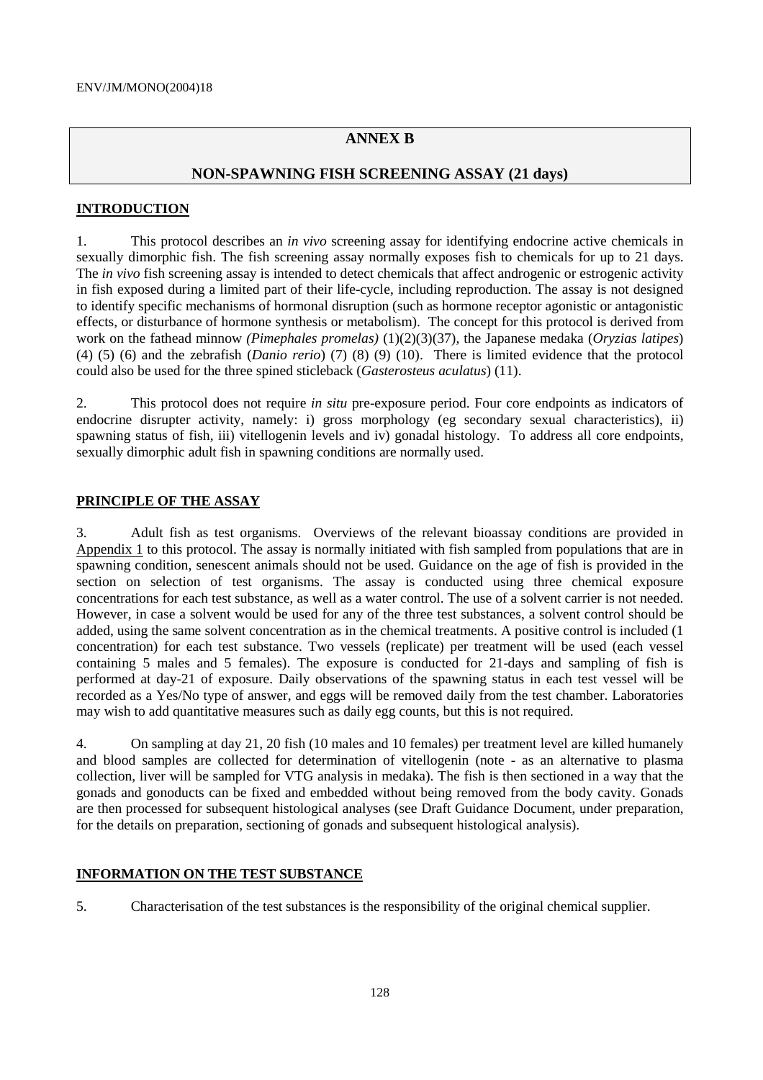# **ANNEX B**

# **NON-SPAWNING FISH SCREENING ASSAY (21 days)**

## **INTRODUCTION**

1. This protocol describes an *in vivo* screening assay for identifying endocrine active chemicals in sexually dimorphic fish. The fish screening assay normally exposes fish to chemicals for up to 21 days. The *in vivo* fish screening assay is intended to detect chemicals that affect androgenic or estrogenic activity in fish exposed during a limited part of their life-cycle, including reproduction. The assay is not designed to identify specific mechanisms of hormonal disruption (such as hormone receptor agonistic or antagonistic effects, or disturbance of hormone synthesis or metabolism). The concept for this protocol is derived from work on the fathead minnow *(Pimephales promelas)* (1)(2)(3)(37), the Japanese medaka (*Oryzias latipes*) (4) (5) (6) and the zebrafish (*Danio rerio*) (7) (8) (9) (10). There is limited evidence that the protocol could also be used for the three spined sticleback (*Gasterosteus aculatus*) (11).

2. This protocol does not require *in situ* pre-exposure period. Four core endpoints as indicators of endocrine disrupter activity, namely: i) gross morphology (eg secondary sexual characteristics), ii) spawning status of fish, iii) vitellogenin levels and iv) gonadal histology. To address all core endpoints, sexually dimorphic adult fish in spawning conditions are normally used.

# **PRINCIPLE OF THE ASSAY**

3. Adult fish as test organisms. Overviews of the relevant bioassay conditions are provided in Appendix 1 to this protocol. The assay is normally initiated with fish sampled from populations that are in spawning condition, senescent animals should not be used. Guidance on the age of fish is provided in the section on selection of test organisms. The assay is conducted using three chemical exposure concentrations for each test substance, as well as a water control. The use of a solvent carrier is not needed. However, in case a solvent would be used for any of the three test substances, a solvent control should be added, using the same solvent concentration as in the chemical treatments. A positive control is included (1 concentration) for each test substance. Two vessels (replicate) per treatment will be used (each vessel containing 5 males and 5 females). The exposure is conducted for 21-days and sampling of fish is performed at day-21 of exposure. Daily observations of the spawning status in each test vessel will be recorded as a Yes/No type of answer, and eggs will be removed daily from the test chamber. Laboratories may wish to add quantitative measures such as daily egg counts, but this is not required.

4. On sampling at day 21, 20 fish (10 males and 10 females) per treatment level are killed humanely and blood samples are collected for determination of vitellogenin (note - as an alternative to plasma collection, liver will be sampled for VTG analysis in medaka). The fish is then sectioned in a way that the gonads and gonoducts can be fixed and embedded without being removed from the body cavity. Gonads are then processed for subsequent histological analyses (see Draft Guidance Document, under preparation, for the details on preparation, sectioning of gonads and subsequent histological analysis).

### **INFORMATION ON THE TEST SUBSTANCE**

5. Characterisation of the test substances is the responsibility of the original chemical supplier.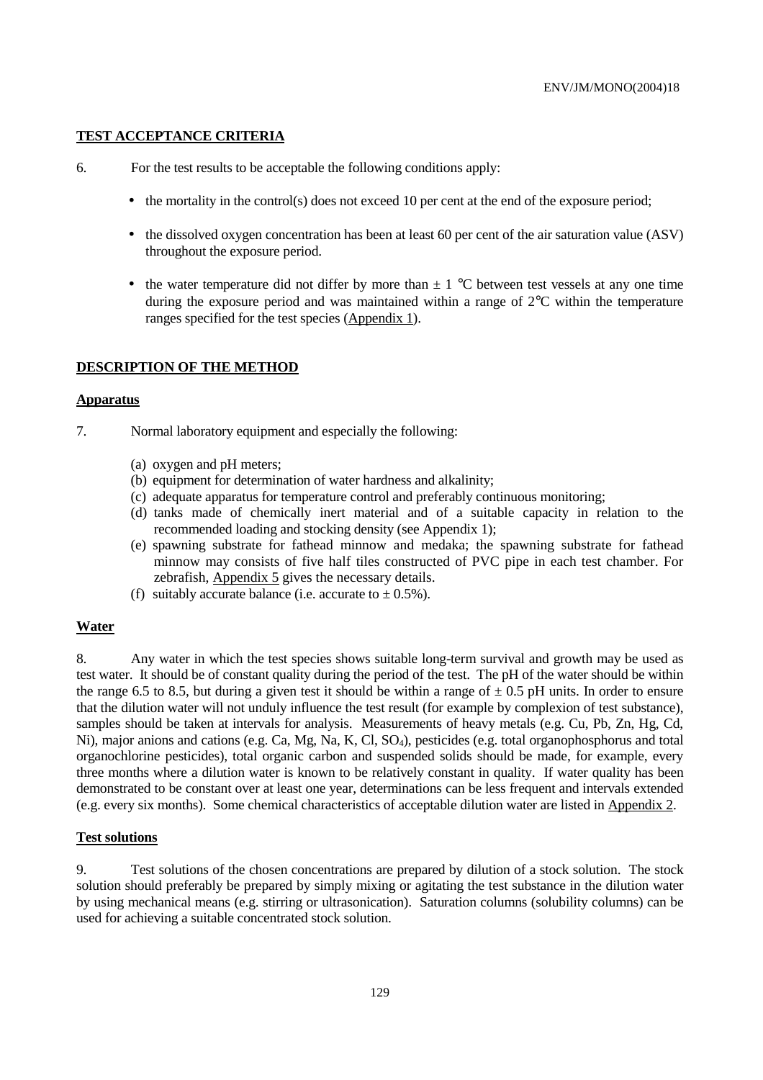#### **TEST ACCEPTANCE CRITERIA**

- 6. For the test results to be acceptable the following conditions apply:
	- the mortality in the control(s) does not exceed 10 per cent at the end of the exposure period;
	- the dissolved oxygen concentration has been at least 60 per cent of the air saturation value (ASV) throughout the exposure period.
	- the water temperature did not differ by more than  $\pm 1$  °C between test vessels at any one time during the exposure period and was maintained within a range of 2°C within the temperature ranges specified for the test species (Appendix 1).

#### **DESCRIPTION OF THE METHOD**

#### **Apparatus**

- 7. Normal laboratory equipment and especially the following:
	- (a) oxygen and pH meters;
	- (b) equipment for determination of water hardness and alkalinity;
	- (c) adequate apparatus for temperature control and preferably continuous monitoring;
	- (d) tanks made of chemically inert material and of a suitable capacity in relation to the recommended loading and stocking density (see Appendix 1);
	- (e) spawning substrate for fathead minnow and medaka; the spawning substrate for fathead minnow may consists of five half tiles constructed of PVC pipe in each test chamber. For zebrafish, Appendix 5 gives the necessary details.
	- (f) suitably accurate balance (i.e. accurate to  $\pm$  0.5%).

#### **Water**

8. Any water in which the test species shows suitable long-term survival and growth may be used as test water. It should be of constant quality during the period of the test. The pH of the water should be within the range 6.5 to 8.5, but during a given test it should be within a range of  $\pm$  0.5 pH units. In order to ensure that the dilution water will not unduly influence the test result (for example by complexion of test substance), samples should be taken at intervals for analysis. Measurements of heavy metals (e.g. Cu, Pb, Zn, Hg, Cd, Ni), major anions and cations (e.g. Ca, Mg, Na, K, Cl, SO4), pesticides (e.g. total organophosphorus and total organochlorine pesticides), total organic carbon and suspended solids should be made, for example, every three months where a dilution water is known to be relatively constant in quality. If water quality has been demonstrated to be constant over at least one year, determinations can be less frequent and intervals extended (e.g. every six months). Some chemical characteristics of acceptable dilution water are listed in Appendix 2.

#### **Test solutions**

9. Test solutions of the chosen concentrations are prepared by dilution of a stock solution. The stock solution should preferably be prepared by simply mixing or agitating the test substance in the dilution water by using mechanical means (e.g. stirring or ultrasonication). Saturation columns (solubility columns) can be used for achieving a suitable concentrated stock solution.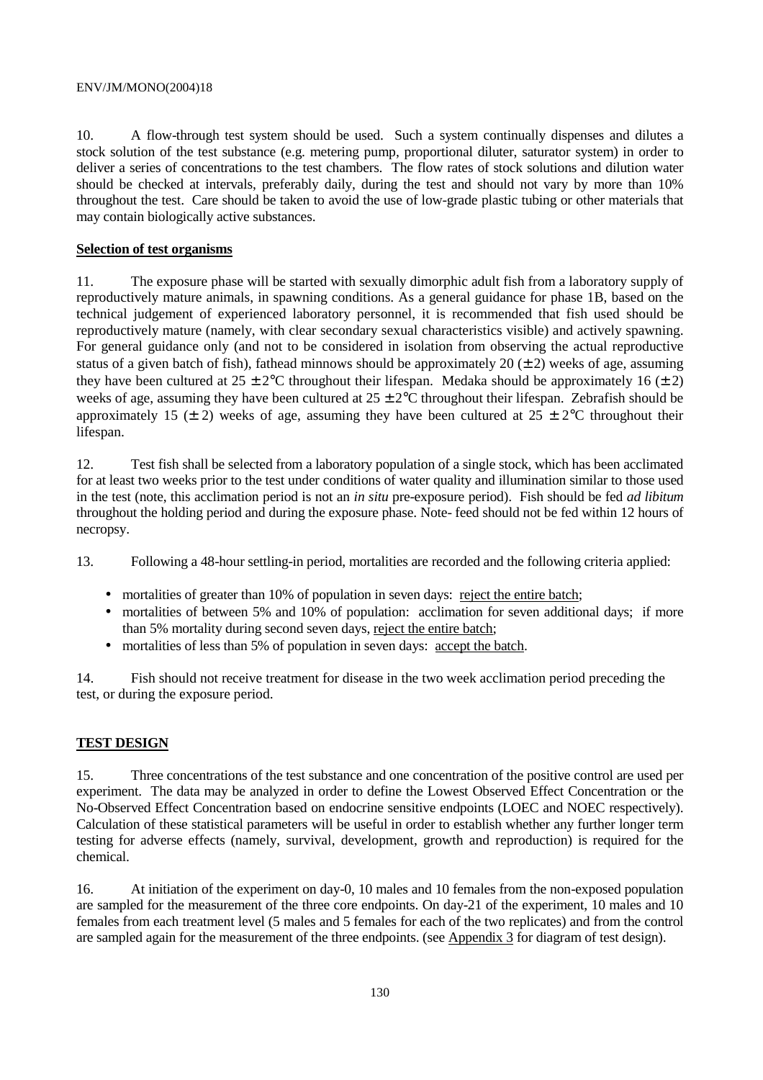10. A flow-through test system should be used. Such a system continually dispenses and dilutes a stock solution of the test substance (e.g. metering pump, proportional diluter, saturator system) in order to deliver a series of concentrations to the test chambers. The flow rates of stock solutions and dilution water should be checked at intervals, preferably daily, during the test and should not vary by more than 10% throughout the test. Care should be taken to avoid the use of low-grade plastic tubing or other materials that may contain biologically active substances.

## **Selection of test organisms**

11. The exposure phase will be started with sexually dimorphic adult fish from a laboratory supply of reproductively mature animals, in spawning conditions. As a general guidance for phase 1B, based on the technical judgement of experienced laboratory personnel, it is recommended that fish used should be reproductively mature (namely, with clear secondary sexual characteristics visible) and actively spawning. For general guidance only (and not to be considered in isolation from observing the actual reproductive status of a given batch of fish), fathead minnows should be approximately 20  $(\pm 2)$  weeks of age, assuming they have been cultured at  $25 \pm 2^{\circ}$ C throughout their lifespan. Medaka should be approximately 16 ( $\pm 2$ ) weeks of age, assuming they have been cultured at  $25 \pm 2$ °C throughout their lifespan. Zebrafish should be approximately 15 ( $\pm$  2) weeks of age, assuming they have been cultured at 25  $\pm$  2°C throughout their lifespan.

12. Test fish shall be selected from a laboratory population of a single stock, which has been acclimated for at least two weeks prior to the test under conditions of water quality and illumination similar to those used in the test (note, this acclimation period is not an *in situ* pre-exposure period). Fish should be fed *ad libitum* throughout the holding period and during the exposure phase. Note- feed should not be fed within 12 hours of necropsy.

13. Following a 48-hour settling-in period, mortalities are recorded and the following criteria applied:

- mortalities of greater than 10% of population in seven days: reject the entire batch;
- mortalities of between 5% and 10% of population: acclimation for seven additional days; if more than 5% mortality during second seven days, reject the entire batch;
- mortalities of less than 5% of population in seven days: accept the batch.

14. Fish should not receive treatment for disease in the two week acclimation period preceding the test, or during the exposure period.

# **TEST DESIGN**

15. Three concentrations of the test substance and one concentration of the positive control are used per experiment. The data may be analyzed in order to define the Lowest Observed Effect Concentration or the No-Observed Effect Concentration based on endocrine sensitive endpoints (LOEC and NOEC respectively). Calculation of these statistical parameters will be useful in order to establish whether any further longer term testing for adverse effects (namely, survival, development, growth and reproduction) is required for the chemical.

16. At initiation of the experiment on day-0, 10 males and 10 females from the non-exposed population are sampled for the measurement of the three core endpoints. On day-21 of the experiment, 10 males and 10 females from each treatment level (5 males and 5 females for each of the two replicates) and from the control are sampled again for the measurement of the three endpoints. (see Appendix 3 for diagram of test design).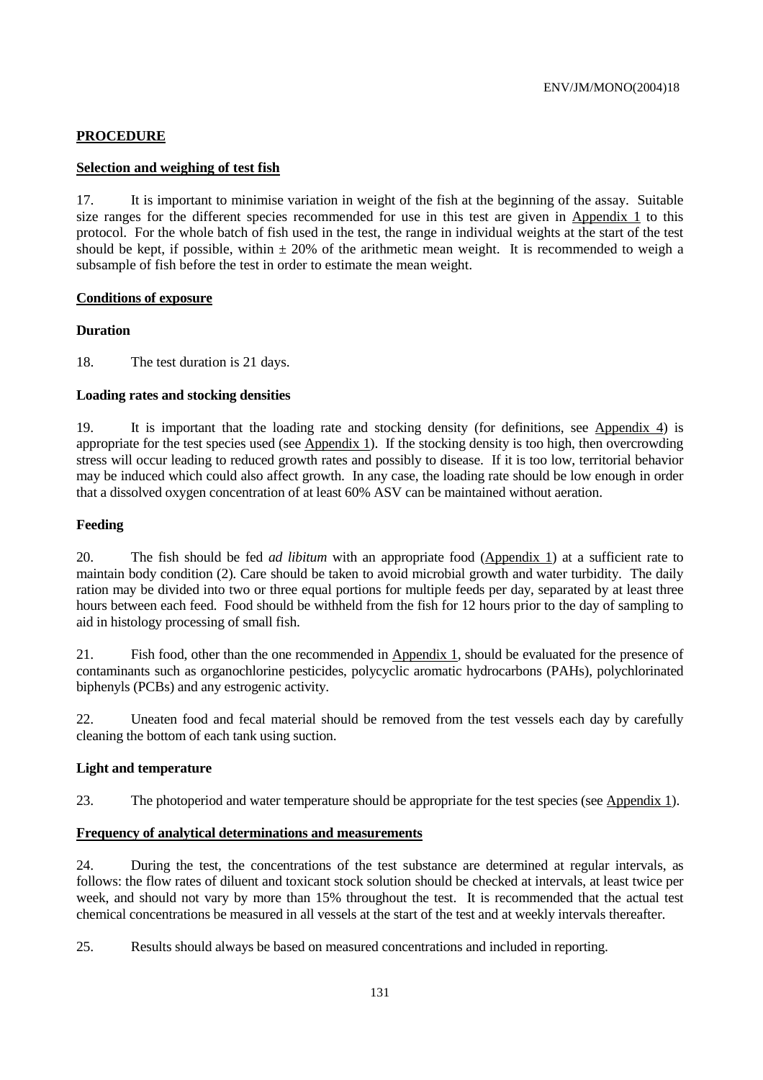# **PROCEDURE**

### **Selection and weighing of test fish**

17. It is important to minimise variation in weight of the fish at the beginning of the assay. Suitable size ranges for the different species recommended for use in this test are given in Appendix 1 to this protocol. For the whole batch of fish used in the test, the range in individual weights at the start of the test should be kept, if possible, within  $\pm 20\%$  of the arithmetic mean weight. It is recommended to weigh a subsample of fish before the test in order to estimate the mean weight.

#### **Conditions of exposure**

#### **Duration**

18. The test duration is 21 days.

#### **Loading rates and stocking densities**

19. It is important that the loading rate and stocking density (for definitions, see Appendix 4) is appropriate for the test species used (see Appendix 1). If the stocking density is too high, then overcrowding stress will occur leading to reduced growth rates and possibly to disease. If it is too low, territorial behavior may be induced which could also affect growth. In any case, the loading rate should be low enough in order that a dissolved oxygen concentration of at least 60% ASV can be maintained without aeration.

### **Feeding**

20. The fish should be fed *ad libitum* with an appropriate food (Appendix 1) at a sufficient rate to maintain body condition (2). Care should be taken to avoid microbial growth and water turbidity. The daily ration may be divided into two or three equal portions for multiple feeds per day, separated by at least three hours between each feed. Food should be withheld from the fish for 12 hours prior to the day of sampling to aid in histology processing of small fish.

21. Fish food, other than the one recommended in Appendix 1, should be evaluated for the presence of contaminants such as organochlorine pesticides, polycyclic aromatic hydrocarbons (PAHs), polychlorinated biphenyls (PCBs) and any estrogenic activity.

22. Uneaten food and fecal material should be removed from the test vessels each day by carefully cleaning the bottom of each tank using suction.

#### **Light and temperature**

23. The photoperiod and water temperature should be appropriate for the test species (see Appendix 1).

#### **Frequency of analytical determinations and measurements**

24. During the test, the concentrations of the test substance are determined at regular intervals, as follows: the flow rates of diluent and toxicant stock solution should be checked at intervals, at least twice per week, and should not vary by more than 15% throughout the test. It is recommended that the actual test chemical concentrations be measured in all vessels at the start of the test and at weekly intervals thereafter.

25. Results should always be based on measured concentrations and included in reporting.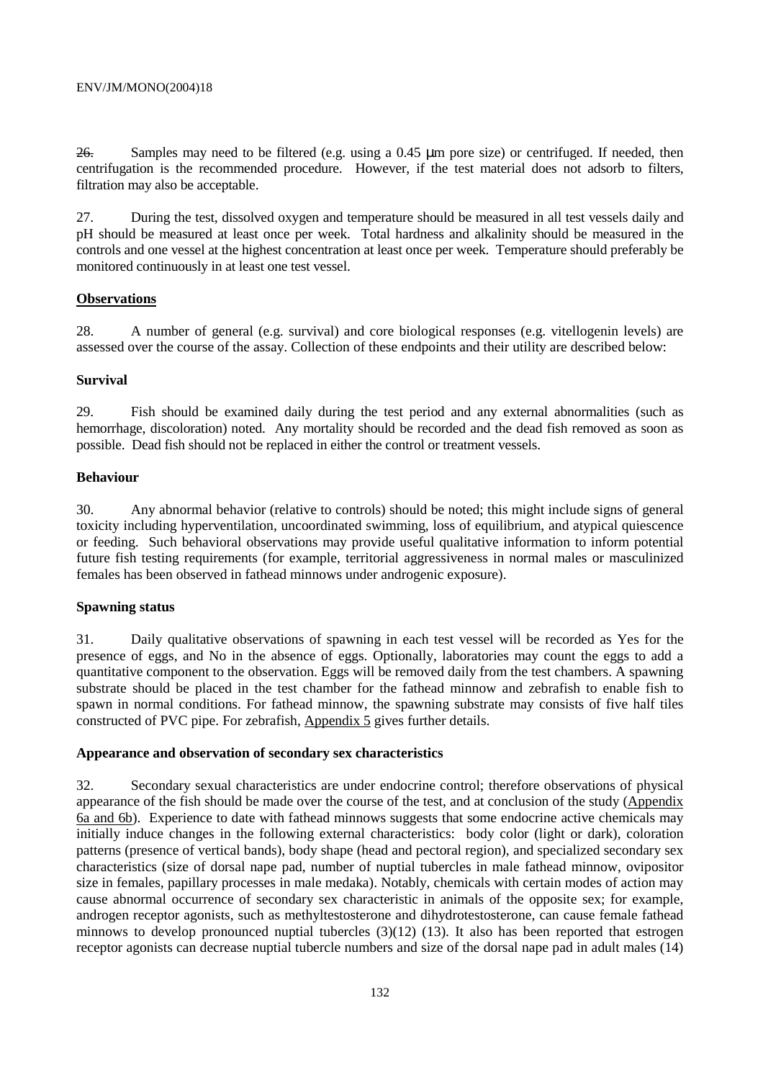26. Samples may need to be filtered (e.g. using a 0.45 µm pore size) or centrifuged. If needed, then centrifugation is the recommended procedure. However, if the test material does not adsorb to filters, filtration may also be acceptable.

27. During the test, dissolved oxygen and temperature should be measured in all test vessels daily and pH should be measured at least once per week. Total hardness and alkalinity should be measured in the controls and one vessel at the highest concentration at least once per week. Temperature should preferably be monitored continuously in at least one test vessel.

### **Observations**

28. A number of general (e.g. survival) and core biological responses (e.g. vitellogenin levels) are assessed over the course of the assay. Collection of these endpoints and their utility are described below:

#### **Survival**

29. Fish should be examined daily during the test period and any external abnormalities (such as hemorrhage, discoloration) noted. Any mortality should be recorded and the dead fish removed as soon as possible. Dead fish should not be replaced in either the control or treatment vessels.

#### **Behaviour**

30. Any abnormal behavior (relative to controls) should be noted; this might include signs of general toxicity including hyperventilation, uncoordinated swimming, loss of equilibrium, and atypical quiescence or feeding. Such behavioral observations may provide useful qualitative information to inform potential future fish testing requirements (for example, territorial aggressiveness in normal males or masculinized females has been observed in fathead minnows under androgenic exposure).

### **Spawning status**

31. Daily qualitative observations of spawning in each test vessel will be recorded as Yes for the presence of eggs, and No in the absence of eggs. Optionally, laboratories may count the eggs to add a quantitative component to the observation. Eggs will be removed daily from the test chambers. A spawning substrate should be placed in the test chamber for the fathead minnow and zebrafish to enable fish to spawn in normal conditions. For fathead minnow, the spawning substrate may consists of five half tiles constructed of PVC pipe. For zebrafish, Appendix 5 gives further details.

#### **Appearance and observation of secondary sex characteristics**

32. Secondary sexual characteristics are under endocrine control; therefore observations of physical appearance of the fish should be made over the course of the test, and at conclusion of the study (Appendix 6a and 6b). Experience to date with fathead minnows suggests that some endocrine active chemicals may initially induce changes in the following external characteristics: body color (light or dark), coloration patterns (presence of vertical bands), body shape (head and pectoral region), and specialized secondary sex characteristics (size of dorsal nape pad, number of nuptial tubercles in male fathead minnow, ovipositor size in females, papillary processes in male medaka). Notably, chemicals with certain modes of action may cause abnormal occurrence of secondary sex characteristic in animals of the opposite sex; for example, androgen receptor agonists, such as methyltestosterone and dihydrotestosterone, can cause female fathead minnows to develop pronounced nuptial tubercles (3)(12) (13). It also has been reported that estrogen receptor agonists can decrease nuptial tubercle numbers and size of the dorsal nape pad in adult males (14)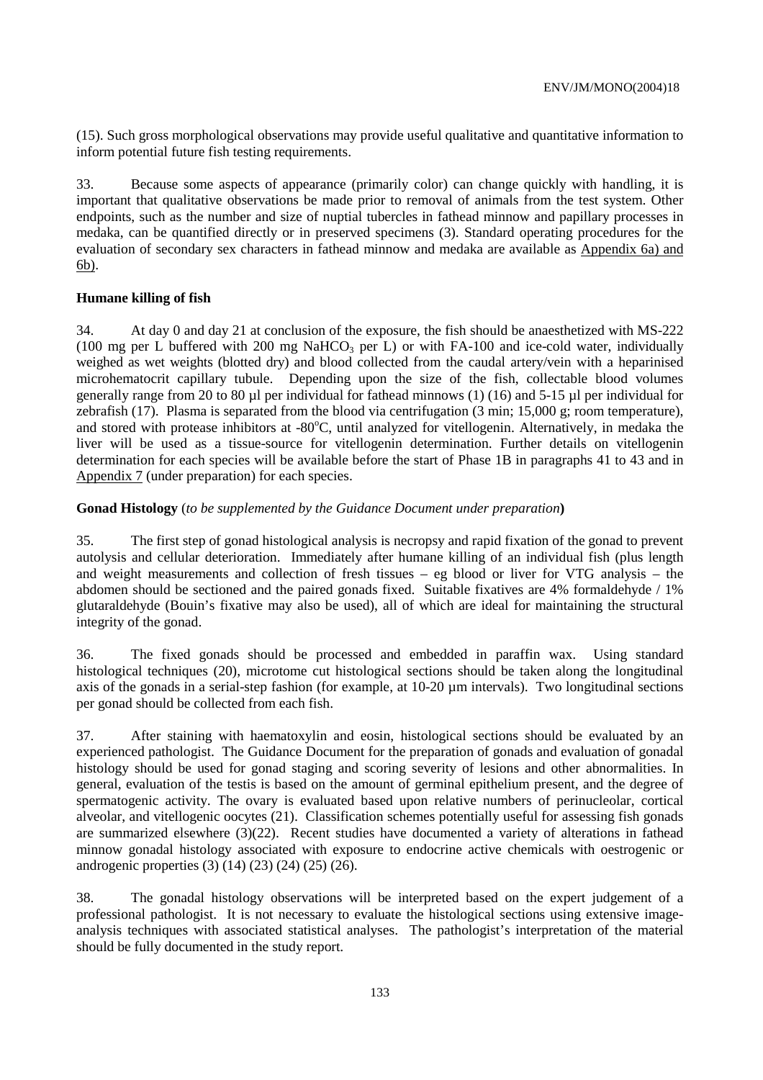(15). Such gross morphological observations may provide useful qualitative and quantitative information to inform potential future fish testing requirements.

33. Because some aspects of appearance (primarily color) can change quickly with handling, it is important that qualitative observations be made prior to removal of animals from the test system. Other endpoints, such as the number and size of nuptial tubercles in fathead minnow and papillary processes in medaka, can be quantified directly or in preserved specimens (3). Standard operating procedures for the evaluation of secondary sex characters in fathead minnow and medaka are available as Appendix 6a) and 6b).

### **Humane killing of fish**

34. At day 0 and day 21 at conclusion of the exposure, the fish should be anaesthetized with MS-222 (100 mg per L buffered with 200 mg NaHCO<sub>3</sub> per L) or with FA-100 and ice-cold water, individually weighed as wet weights (blotted dry) and blood collected from the caudal artery/vein with a heparinised microhematocrit capillary tubule. Depending upon the size of the fish, collectable blood volumes generally range from 20 to 80 µl per individual for fathead minnows (1) (16) and 5-15 µl per individual for zebrafish (17). Plasma is separated from the blood via centrifugation (3 min; 15,000 g; room temperature), and stored with protease inhibitors at -80°C, until analyzed for vitellogenin. Alternatively, in medaka the liver will be used as a tissue-source for vitellogenin determination. Further details on vitellogenin determination for each species will be available before the start of Phase 1B in paragraphs 41 to 43 and in Appendix 7 (under preparation) for each species.

# **Gonad Histology** (*to be supplemented by the Guidance Document under preparation***)**

35. The first step of gonad histological analysis is necropsy and rapid fixation of the gonad to prevent autolysis and cellular deterioration. Immediately after humane killing of an individual fish (plus length and weight measurements and collection of fresh tissues – eg blood or liver for VTG analysis – the abdomen should be sectioned and the paired gonads fixed. Suitable fixatives are 4% formaldehyde / 1% glutaraldehyde (Bouin's fixative may also be used), all of which are ideal for maintaining the structural integrity of the gonad.

36. The fixed gonads should be processed and embedded in paraffin wax. Using standard histological techniques (20), microtome cut histological sections should be taken along the longitudinal axis of the gonads in a serial-step fashion (for example, at 10-20 µm intervals). Two longitudinal sections per gonad should be collected from each fish.

37. After staining with haematoxylin and eosin, histological sections should be evaluated by an experienced pathologist. The Guidance Document for the preparation of gonads and evaluation of gonadal histology should be used for gonad staging and scoring severity of lesions and other abnormalities. In general, evaluation of the testis is based on the amount of germinal epithelium present, and the degree of spermatogenic activity. The ovary is evaluated based upon relative numbers of perinucleolar, cortical alveolar, and vitellogenic oocytes (21). Classification schemes potentially useful for assessing fish gonads are summarized elsewhere (3)(22). Recent studies have documented a variety of alterations in fathead minnow gonadal histology associated with exposure to endocrine active chemicals with oestrogenic or androgenic properties (3) (14) (23) (24) (25) (26).

38. The gonadal histology observations will be interpreted based on the expert judgement of a professional pathologist. It is not necessary to evaluate the histological sections using extensive imageanalysis techniques with associated statistical analyses. The pathologist's interpretation of the material should be fully documented in the study report.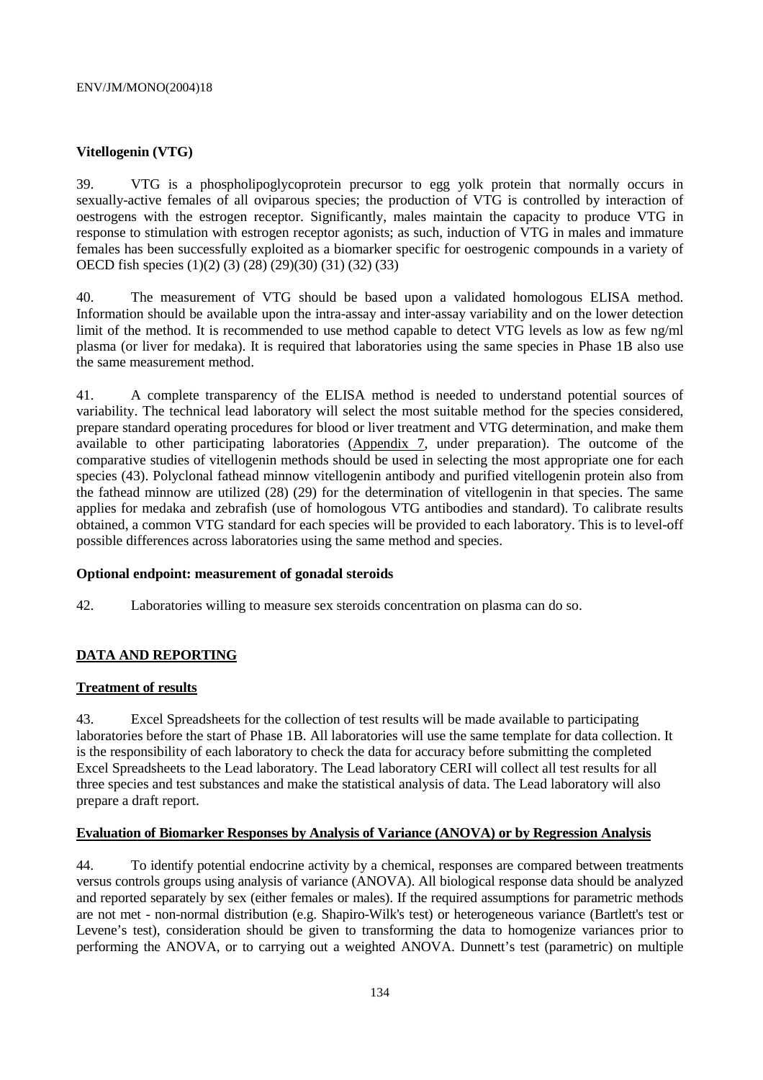## **Vitellogenin (VTG)**

39. VTG is a phospholipoglycoprotein precursor to egg yolk protein that normally occurs in sexually-active females of all oviparous species; the production of VTG is controlled by interaction of oestrogens with the estrogen receptor. Significantly, males maintain the capacity to produce VTG in response to stimulation with estrogen receptor agonists; as such, induction of VTG in males and immature females has been successfully exploited as a biomarker specific for oestrogenic compounds in a variety of OECD fish species (1)(2) (3) (28) (29)(30) (31) (32) (33)

40. The measurement of VTG should be based upon a validated homologous ELISA method. Information should be available upon the intra-assay and inter-assay variability and on the lower detection limit of the method. It is recommended to use method capable to detect VTG levels as low as few ng/ml plasma (or liver for medaka). It is required that laboratories using the same species in Phase 1B also use the same measurement method.

41. A complete transparency of the ELISA method is needed to understand potential sources of variability. The technical lead laboratory will select the most suitable method for the species considered, prepare standard operating procedures for blood or liver treatment and VTG determination, and make them available to other participating laboratories (Appendix 7, under preparation). The outcome of the comparative studies of vitellogenin methods should be used in selecting the most appropriate one for each species (43). Polyclonal fathead minnow vitellogenin antibody and purified vitellogenin protein also from the fathead minnow are utilized (28) (29) for the determination of vitellogenin in that species. The same applies for medaka and zebrafish (use of homologous VTG antibodies and standard). To calibrate results obtained, a common VTG standard for each species will be provided to each laboratory. This is to level-off possible differences across laboratories using the same method and species.

### **Optional endpoint: measurement of gonadal steroids**

42. Laboratories willing to measure sex steroids concentration on plasma can do so.

# **DATA AND REPORTING**

### **Treatment of results**

43. Excel Spreadsheets for the collection of test results will be made available to participating laboratories before the start of Phase 1B. All laboratories will use the same template for data collection. It is the responsibility of each laboratory to check the data for accuracy before submitting the completed Excel Spreadsheets to the Lead laboratory. The Lead laboratory CERI will collect all test results for all three species and test substances and make the statistical analysis of data. The Lead laboratory will also prepare a draft report.

### **Evaluation of Biomarker Responses by Analysis of Variance (ANOVA) or by Regression Analysis**

44. To identify potential endocrine activity by a chemical, responses are compared between treatments versus controls groups using analysis of variance (ANOVA). All biological response data should be analyzed and reported separately by sex (either females or males). If the required assumptions for parametric methods are not met - non-normal distribution (e.g. Shapiro-Wilk's test) or heterogeneous variance (Bartlett's test or Levene's test), consideration should be given to transforming the data to homogenize variances prior to performing the ANOVA, or to carrying out a weighted ANOVA. Dunnett's test (parametric) on multiple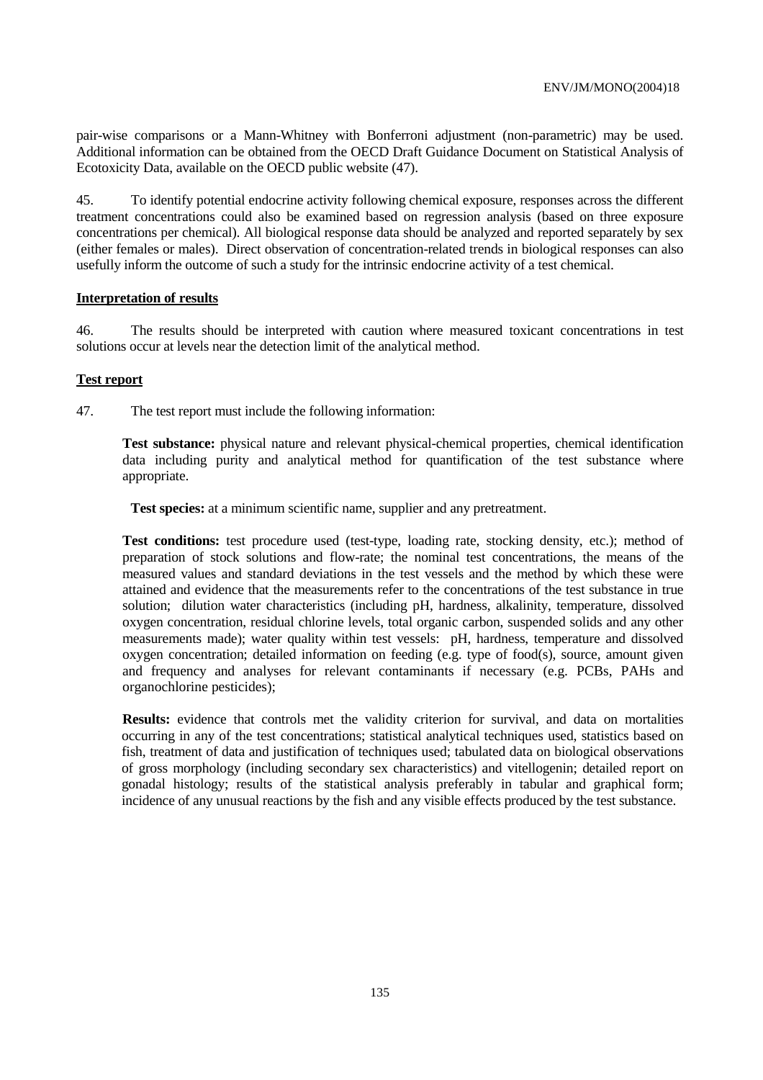pair-wise comparisons or a Mann-Whitney with Bonferroni adjustment (non-parametric) may be used. Additional information can be obtained from the OECD Draft Guidance Document on Statistical Analysis of Ecotoxicity Data, available on the OECD public website (47).

45. To identify potential endocrine activity following chemical exposure, responses across the different treatment concentrations could also be examined based on regression analysis (based on three exposure concentrations per chemical). All biological response data should be analyzed and reported separately by sex (either females or males). Direct observation of concentration-related trends in biological responses can also usefully inform the outcome of such a study for the intrinsic endocrine activity of a test chemical.

#### **Interpretation of results**

46. The results should be interpreted with caution where measured toxicant concentrations in test solutions occur at levels near the detection limit of the analytical method.

#### **Test report**

47. The test report must include the following information:

**Test substance:** physical nature and relevant physical-chemical properties, chemical identification data including purity and analytical method for quantification of the test substance where appropriate.

**Test species:** at a minimum scientific name, supplier and any pretreatment.

**Test conditions:** test procedure used (test-type, loading rate, stocking density, etc.); method of preparation of stock solutions and flow-rate; the nominal test concentrations, the means of the measured values and standard deviations in the test vessels and the method by which these were attained and evidence that the measurements refer to the concentrations of the test substance in true solution; dilution water characteristics (including pH, hardness, alkalinity, temperature, dissolved oxygen concentration, residual chlorine levels, total organic carbon, suspended solids and any other measurements made); water quality within test vessels: pH, hardness, temperature and dissolved oxygen concentration; detailed information on feeding (e.g. type of food(s), source, amount given and frequency and analyses for relevant contaminants if necessary (e.g. PCBs, PAHs and organochlorine pesticides);

**Results:** evidence that controls met the validity criterion for survival, and data on mortalities occurring in any of the test concentrations; statistical analytical techniques used, statistics based on fish, treatment of data and justification of techniques used; tabulated data on biological observations of gross morphology (including secondary sex characteristics) and vitellogenin; detailed report on gonadal histology; results of the statistical analysis preferably in tabular and graphical form; incidence of any unusual reactions by the fish and any visible effects produced by the test substance.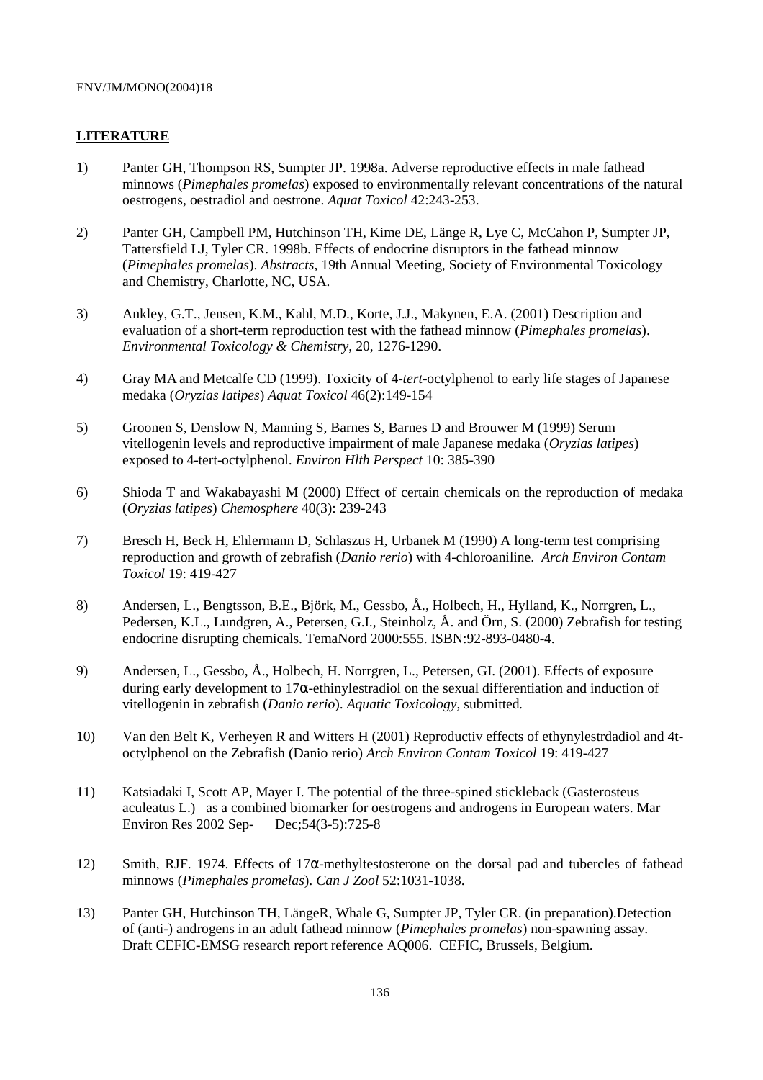### **LITERATURE**

- 1) Panter GH, Thompson RS, Sumpter JP. 1998a. Adverse reproductive effects in male fathead minnows (*Pimephales promelas*) exposed to environmentally relevant concentrations of the natural oestrogens, oestradiol and oestrone. *Aquat Toxicol* 42:243-253.
- 2) Panter GH, Campbell PM, Hutchinson TH, Kime DE, Länge R, Lye C, McCahon P, Sumpter JP, Tattersfield LJ, Tyler CR. 1998b. Effects of endocrine disruptors in the fathead minnow (*Pimephales promelas*). *Abstracts*, 19th Annual Meeting, Society of Environmental Toxicology and Chemistry, Charlotte, NC, USA.
- 3) Ankley, G.T., Jensen, K.M., Kahl, M.D., Korte, J.J., Makynen, E.A. (2001) Description and evaluation of a short-term reproduction test with the fathead minnow (*Pimephales promelas*). *Environmental Toxicology & Chemistry*, 20, 1276-1290.
- 4) Gray MA and Metcalfe CD (1999). Toxicity of 4-*tert*-octylphenol to early life stages of Japanese medaka (*Oryzias latipes*) *Aquat Toxicol* 46(2):149-154
- 5) Groonen S, Denslow N, Manning S, Barnes S, Barnes D and Brouwer M (1999) Serum vitellogenin levels and reproductive impairment of male Japanese medaka (*Oryzias latipes*) exposed to 4-tert-octylphenol. *Environ Hlth Perspect* 10: 385-390
- 6) Shioda T and Wakabayashi M (2000) Effect of certain chemicals on the reproduction of medaka (*Oryzias latipes*) *Chemosphere* 40(3): 239-243
- 7) Bresch H, Beck H, Ehlermann D, Schlaszus H, Urbanek M (1990) A long-term test comprising reproduction and growth of zebrafish (*Danio rerio*) with 4-chloroaniline. *Arch Environ Contam Toxicol* 19: 419-427
- 8) Andersen, L., Bengtsson, B.E., Björk, M., Gessbo, Å., Holbech, H., Hylland, K., Norrgren, L., Pedersen, K.L., Lundgren, A., Petersen, G.I., Steinholz, Å. and Örn, S. (2000) Zebrafish for testing endocrine disrupting chemicals. TemaNord 2000:555. ISBN:92-893-0480-4.
- 9) Andersen, L., Gessbo, Å., Holbech, H. Norrgren, L., Petersen, GI. (2001). Effects of exposure during early development to 17 $\alpha$ -ethinylestradiol on the sexual differentiation and induction of vitellogenin in zebrafish (*Danio rerio*). *Aquatic Toxicology*, submitted*.*
- 10) Van den Belt K, Verheyen R and Witters H (2001) Reproductiv effects of ethynylestrdadiol and 4toctylphenol on the Zebrafish (Danio rerio) *Arch Environ Contam Toxicol* 19: 419-427
- 11) Katsiadaki I, Scott AP, Mayer I. The potential of the three-spined stickleback (Gasterosteus aculeatus L.) as a combined biomarker for oestrogens and androgens in European waters. Mar Environ Res 2002 Sep- Dec;54(3-5):725-8
- 12) Smith, RJF. 1974. Effects of 17α-methyltestosterone on the dorsal pad and tubercles of fathead minnows (*Pimephales promelas*). *Can J Zool* 52:1031-1038.
- 13) Panter GH, Hutchinson TH, LängeR, Whale G, Sumpter JP, Tyler CR. (in preparation).Detection of (anti-) androgens in an adult fathead minnow (*Pimephales promelas*) non-spawning assay. Draft CEFIC-EMSG research report reference AQ006. CEFIC, Brussels, Belgium.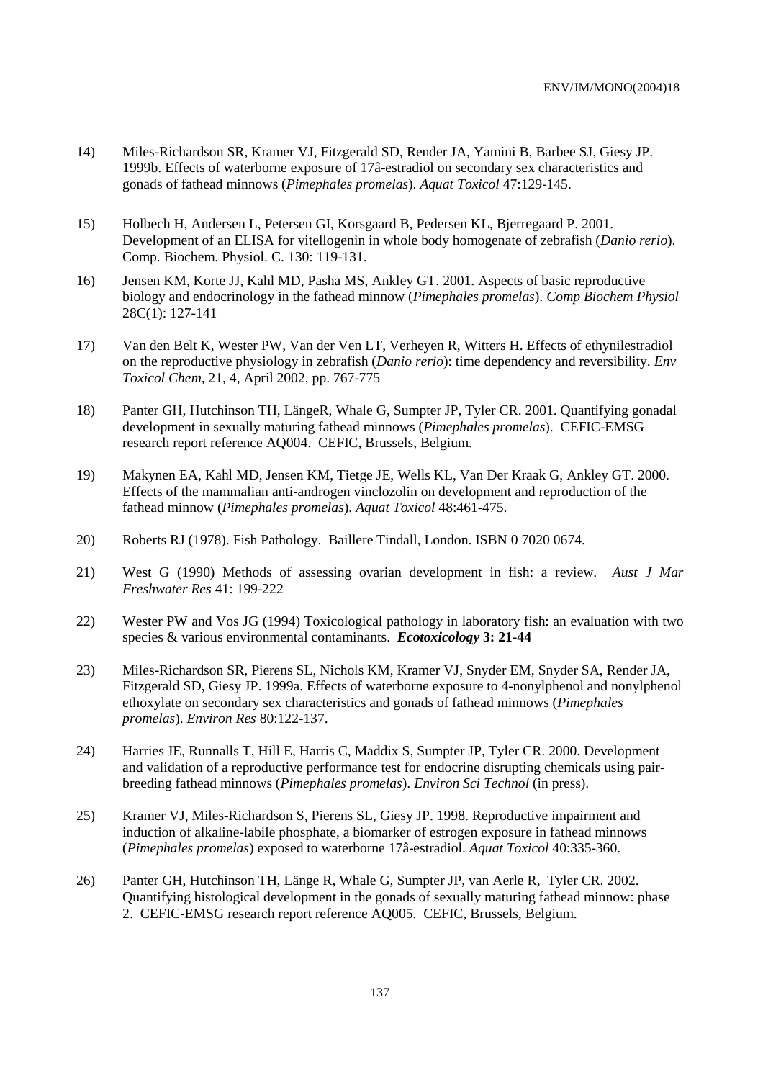- 14) Miles-Richardson SR, Kramer VJ, Fitzgerald SD, Render JA, Yamini B, Barbee SJ, Giesy JP. 1999b. Effects of waterborne exposure of 17â-estradiol on secondary sex characteristics and gonads of fathead minnows (*Pimephales promelas*). *Aquat Toxicol* 47:129-145.
- 15) Holbech H, Andersen L, Petersen GI, Korsgaard B, Pedersen KL, Bjerregaard P. 2001. Development of an ELISA for vitellogenin in whole body homogenate of zebrafish (*Danio rerio*). Comp. Biochem. Physiol. C. 130: 119-131.
- 16) Jensen KM, Korte JJ, Kahl MD, Pasha MS, Ankley GT. 2001. Aspects of basic reproductive biology and endocrinology in the fathead minnow (*Pimephales promelas*). *Comp Biochem Physiol*  28C(1): 127-141
- 17) Van den Belt K, Wester PW, Van der Ven LT, Verheyen R, Witters H. Effects of ethynilestradiol on the reproductive physiology in zebrafish (*Danio rerio*): time dependency and reversibility. *Env Toxicol Chem*, 21, 4, April 2002, pp. 767-775
- 18) Panter GH, Hutchinson TH, LängeR, Whale G, Sumpter JP, Tyler CR. 2001. Quantifying gonadal development in sexually maturing fathead minnows (*Pimephales promelas*). CEFIC-EMSG research report reference AQ004. CEFIC, Brussels, Belgium.
- 19) Makynen EA, Kahl MD, Jensen KM, Tietge JE, Wells KL, Van Der Kraak G, Ankley GT. 2000. Effects of the mammalian anti-androgen vinclozolin on development and reproduction of the fathead minnow (*Pimephales promelas*). *Aquat Toxicol* 48:461-475.
- 20) Roberts RJ (1978). Fish Pathology. Baillere Tindall, London. ISBN 0 7020 0674.
- 21) West G (1990) Methods of assessing ovarian development in fish: a review. *Aust J Mar Freshwater Res* 41: 199-222
- 22) Wester PW and Vos JG (1994) Toxicological pathology in laboratory fish: an evaluation with two species & various environmental contaminants.*Ecotoxicology* **3: 21-44**
- 23) Miles-Richardson SR, Pierens SL, Nichols KM, Kramer VJ, Snyder EM, Snyder SA, Render JA, Fitzgerald SD, Giesy JP. 1999a. Effects of waterborne exposure to 4-nonylphenol and nonylphenol ethoxylate on secondary sex characteristics and gonads of fathead minnows (*Pimephales promelas*). *Environ Res* 80:122-137.
- 24) Harries JE, Runnalls T, Hill E, Harris C, Maddix S, Sumpter JP, Tyler CR. 2000. Development and validation of a reproductive performance test for endocrine disrupting chemicals using pairbreeding fathead minnows (*Pimephales promelas*). *Environ Sci Technol* (in press).
- 25) Kramer VJ, Miles-Richardson S, Pierens SL, Giesy JP. 1998. Reproductive impairment and induction of alkaline-labile phosphate, a biomarker of estrogen exposure in fathead minnows (*Pimephales promelas*) exposed to waterborne 17â-estradiol. *Aquat Toxicol* 40:335-360.
- 26) Panter GH, Hutchinson TH, Länge R, Whale G, Sumpter JP, van Aerle R, Tyler CR. 2002. Quantifying histological development in the gonads of sexually maturing fathead minnow: phase 2. CEFIC-EMSG research report reference AQ005. CEFIC, Brussels, Belgium.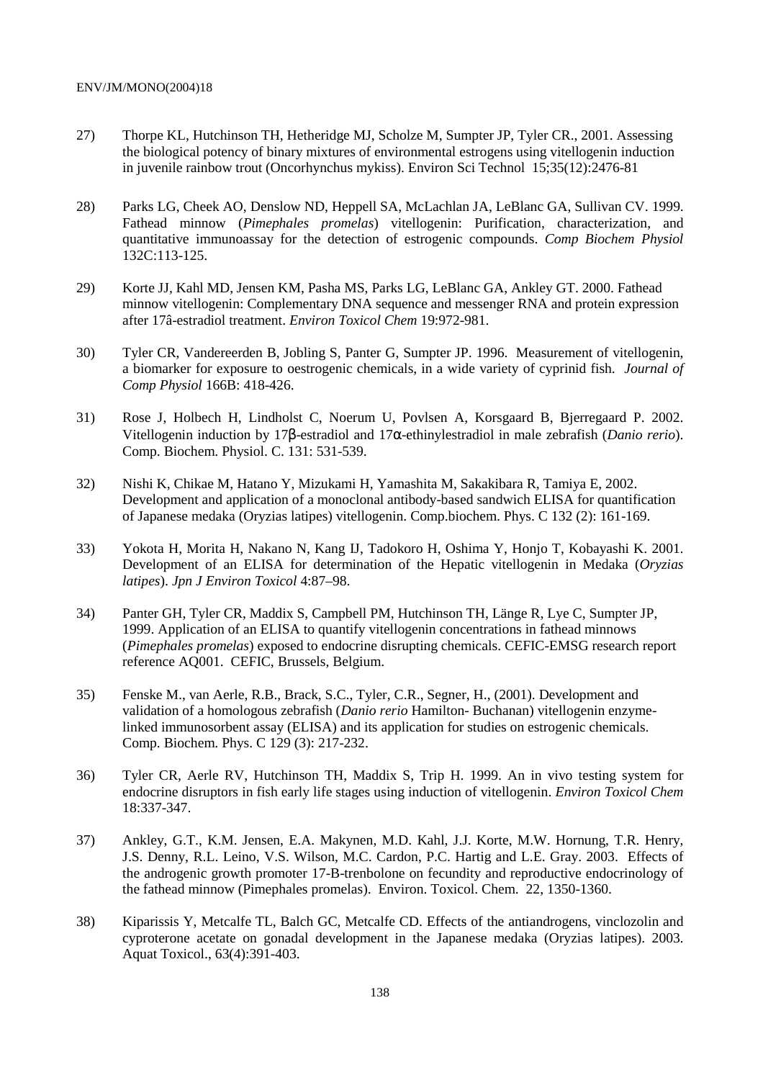- 27) Thorpe KL, Hutchinson TH, Hetheridge MJ, Scholze M, Sumpter JP, Tyler CR., 2001. Assessing the biological potency of binary mixtures of environmental estrogens using vitellogenin induction in juvenile rainbow trout (Oncorhynchus mykiss). Environ Sci Technol 15;35(12):2476-81
- 28) Parks LG, Cheek AO, Denslow ND, Heppell SA, McLachlan JA, LeBlanc GA, Sullivan CV. 1999. Fathead minnow (*Pimephales promelas*) vitellogenin: Purification, characterization, and quantitative immunoassay for the detection of estrogenic compounds. *Comp Biochem Physiol* 132C:113-125.
- 29) Korte JJ, Kahl MD, Jensen KM, Pasha MS, Parks LG, LeBlanc GA, Ankley GT. 2000. Fathead minnow vitellogenin: Complementary DNA sequence and messenger RNA and protein expression after 17â-estradiol treatment. *Environ Toxicol Chem* 19:972-981.
- 30) Tyler CR, Vandereerden B, Jobling S, Panter G, Sumpter JP. 1996. Measurement of vitellogenin, a biomarker for exposure to oestrogenic chemicals, in a wide variety of cyprinid fish. *Journal of Comp Physiol* 166B: 418-426.
- 31) Rose J, Holbech H, Lindholst C, Noerum U, Povlsen A, Korsgaard B, Bjerregaard P. 2002. Vitellogenin induction by 17β-estradiol and 17α-ethinylestradiol in male zebrafish (*Danio rerio*). Comp. Biochem. Physiol. C. 131: 531-539.
- 32) Nishi K, Chikae M, Hatano Y, Mizukami H, Yamashita M, Sakakibara R, Tamiya E, 2002. Development and application of a monoclonal antibody-based sandwich ELISA for quantification of Japanese medaka (Oryzias latipes) vitellogenin. Comp.biochem. Phys. C 132 (2): 161-169.
- 33) Yokota H, Morita H, Nakano N, Kang IJ, Tadokoro H, Oshima Y, Honjo T, Kobayashi K. 2001. Development of an ELISA for determination of the Hepatic vitellogenin in Medaka (*Oryzias latipes*). *Jpn J Environ Toxicol* 4:87–98.
- 34) Panter GH, Tyler CR, Maddix S, Campbell PM, Hutchinson TH, Länge R, Lye C, Sumpter JP, 1999. Application of an ELISA to quantify vitellogenin concentrations in fathead minnows (*Pimephales promelas*) exposed to endocrine disrupting chemicals. CEFIC-EMSG research report reference AQ001. CEFIC, Brussels, Belgium.
- 35) Fenske M., van Aerle, R.B., Brack, S.C., Tyler, C.R., Segner, H., (2001). Development and validation of a homologous zebrafish (*Danio rerio* Hamilton- Buchanan) vitellogenin enzymelinked immunosorbent assay (ELISA) and its application for studies on estrogenic chemicals. Comp. Biochem. Phys. C 129 (3): 217-232.
- 36) Tyler CR, Aerle RV, Hutchinson TH, Maddix S, Trip H. 1999. An in vivo testing system for endocrine disruptors in fish early life stages using induction of vitellogenin. *Environ Toxicol Chem* 18:337-347.
- 37) Ankley, G.T., K.M. Jensen, E.A. Makynen, M.D. Kahl, J.J. Korte, M.W. Hornung, T.R. Henry, J.S. Denny, R.L. Leino, V.S. Wilson, M.C. Cardon, P.C. Hartig and L.E. Gray. 2003. Effects of the androgenic growth promoter 17-B-trenbolone on fecundity and reproductive endocrinology of the fathead minnow (Pimephales promelas). Environ. Toxicol. Chem. 22, 1350-1360.
- 38) Kiparissis Y, Metcalfe TL, Balch GC, Metcalfe CD. Effects of the antiandrogens, vinclozolin and cyproterone acetate on gonadal development in the Japanese medaka (Oryzias latipes). 2003. Aquat Toxicol., 63(4):391-403.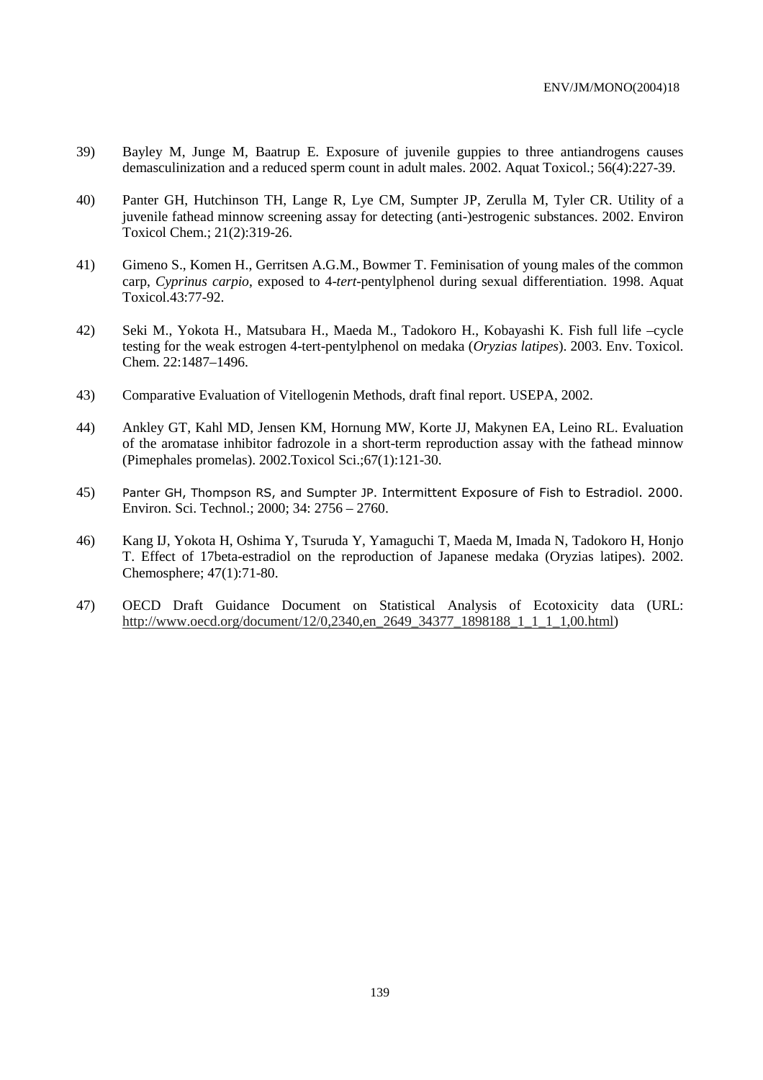- 39) Bayley M, Junge M, Baatrup E. Exposure of juvenile guppies to three antiandrogens causes demasculinization and a reduced sperm count in adult males. 2002. Aquat Toxicol.; 56(4):227-39.
- 40) Panter GH, Hutchinson TH, Lange R, Lye CM, Sumpter JP, Zerulla M, Tyler CR. Utility of a juvenile fathead minnow screening assay for detecting (anti-)estrogenic substances. 2002. Environ Toxicol Chem.; 21(2):319-26.
- 41) Gimeno S., Komen H., Gerritsen A.G.M., Bowmer T. Feminisation of young males of the common carp, *Cyprinus carpio*, exposed to 4-*tert*-pentylphenol during sexual differentiation. 1998. Aquat Toxicol.43:77-92.
- 42) Seki M., Yokota H., Matsubara H., Maeda M., Tadokoro H., Kobayashi K. Fish full life –cycle testing for the weak estrogen 4-tert-pentylphenol on medaka (*Oryzias latipes*). 2003. Env. Toxicol. Chem. 22:1487–1496.
- 43) Comparative Evaluation of Vitellogenin Methods, draft final report. USEPA, 2002.
- 44) Ankley GT, Kahl MD, Jensen KM, Hornung MW, Korte JJ, Makynen EA, Leino RL. Evaluation of the aromatase inhibitor fadrozole in a short-term reproduction assay with the fathead minnow (Pimephales promelas). 2002.Toxicol Sci.;67(1):121-30.
- 45) Panter GH, Thompson RS, and Sumpter JP. Intermittent Exposure of Fish to Estradiol. 2000. Environ. Sci. Technol.; 2000; 34: 2756 – 2760.
- 46) Kang IJ, Yokota H, Oshima Y, Tsuruda Y, Yamaguchi T, Maeda M, Imada N, Tadokoro H, Honjo T. Effect of 17beta-estradiol on the reproduction of Japanese medaka (Oryzias latipes). 2002. Chemosphere; 47(1):71-80.
- 47) OECD Draft Guidance Document on Statistical Analysis of Ecotoxicity data (URL: http://www.oecd.org/document/12/0,2340,en\_2649\_34377\_1898188\_1\_1\_1\_1,00.html)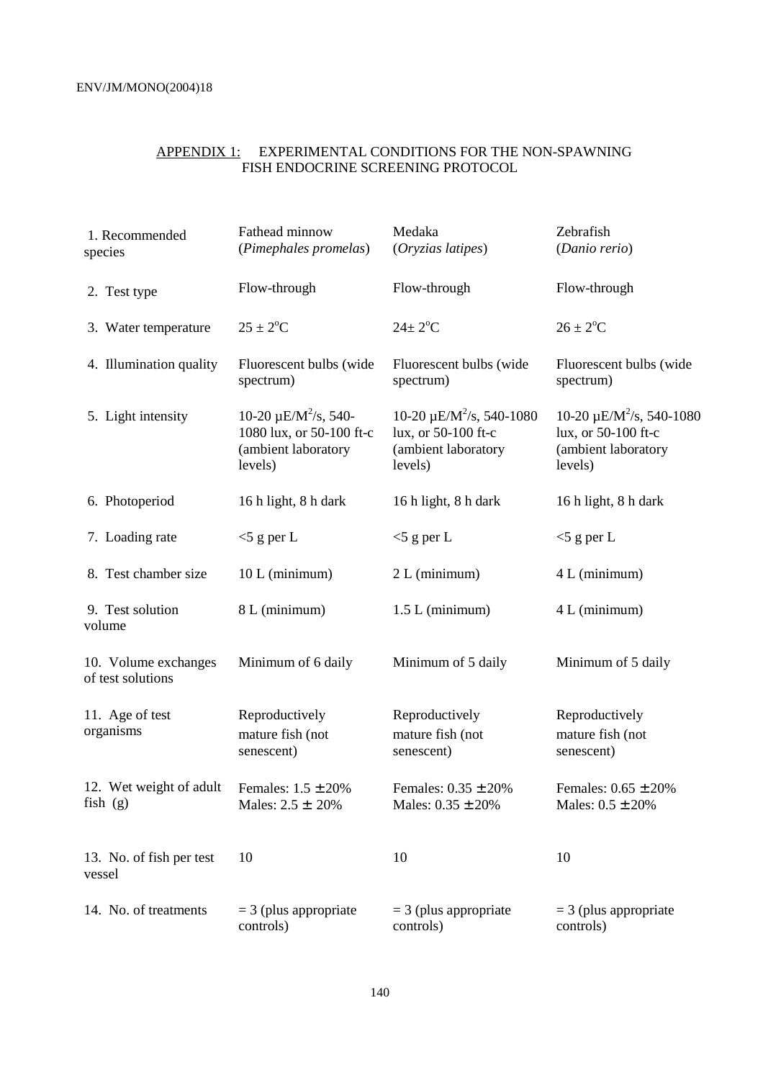#### APPENDIX 1: EXPERIMENTAL CONDITIONS FOR THE NON-SPAWNING FISH ENDOCRINE SCREENING PROTOCOL

| 1. Recommended<br>species                 | Fathead minnow<br>(Pimephales promelas)                                                             | Medaka<br>(Oryzias latipes)                                                             | Zebrafish<br>(Danio rerio)                                                                         |
|-------------------------------------------|-----------------------------------------------------------------------------------------------------|-----------------------------------------------------------------------------------------|----------------------------------------------------------------------------------------------------|
| 2. Test type                              | Flow-through                                                                                        | Flow-through                                                                            | Flow-through                                                                                       |
| 3. Water temperature                      | $25 \pm 2$ <sup>o</sup> C                                                                           | $24 \pm 2$ <sup>o</sup> C                                                               | $26 \pm 2$ <sup>o</sup> C                                                                          |
| 4. Illumination quality                   | Fluorescent bulbs (wide<br>spectrum)                                                                | Fluorescent bulbs (wide<br>spectrum)                                                    | Fluorescent bulbs (wide<br>spectrum)                                                               |
| 5. Light intensity                        | 10-20 $\mu$ E/M <sup>2</sup> /s, 540-<br>1080 lux, or 50-100 ft-c<br>(ambient laboratory<br>levels) | $10-20 \mu E/M^2/s$ , 540-1080<br>lux, or 50-100 ft-c<br>(ambient laboratory<br>levels) | 10-20 $\mu$ E/M <sup>2</sup> /s, 540-1080<br>lux, or 50-100 ft-c<br>(ambient laboratory<br>levels) |
| 6. Photoperiod                            | 16 h light, 8 h dark                                                                                | 16 h light, 8 h dark                                                                    | 16 h light, 8 h dark                                                                               |
| 7. Loading rate                           | $<$ 5 g per L                                                                                       | $<$ 5 g per L                                                                           | $<$ 5 g per L                                                                                      |
| 8. Test chamber size                      | 10 L (minimum)                                                                                      | 2 L (minimum)                                                                           | 4 L (minimum)                                                                                      |
| 9. Test solution<br>volume                | 8 L (minimum)                                                                                       | $1.5 L$ (minimum)                                                                       | 4 L (minimum)                                                                                      |
| 10. Volume exchanges<br>of test solutions | Minimum of 6 daily                                                                                  | Minimum of 5 daily                                                                      | Minimum of 5 daily                                                                                 |
| 11. Age of test<br>organisms              | Reproductively<br>mature fish (not<br>senescent)                                                    | Reproductively<br>mature fish (not<br>senescent)                                        | Reproductively<br>mature fish (not<br>senescent)                                                   |
| 12. Wet weight of adult<br>fish(g)        | Females: $1.5 \pm 20\%$<br>Males: $2.5 \pm 20\%$                                                    | Females: $0.35 \pm 20\%$<br>Males: $0.35 \pm 20\%$                                      | Females: $0.65 \pm 20\%$<br>Males: $0.5 \pm 20\%$                                                  |
| 13. No. of fish per test<br>vessel        | 10                                                                                                  | 10                                                                                      | 10                                                                                                 |
| 14. No. of treatments                     | $=$ 3 (plus appropriate<br>controls)                                                                | $=$ 3 (plus appropriate<br>controls)                                                    | $=$ 3 (plus appropriate<br>controls)                                                               |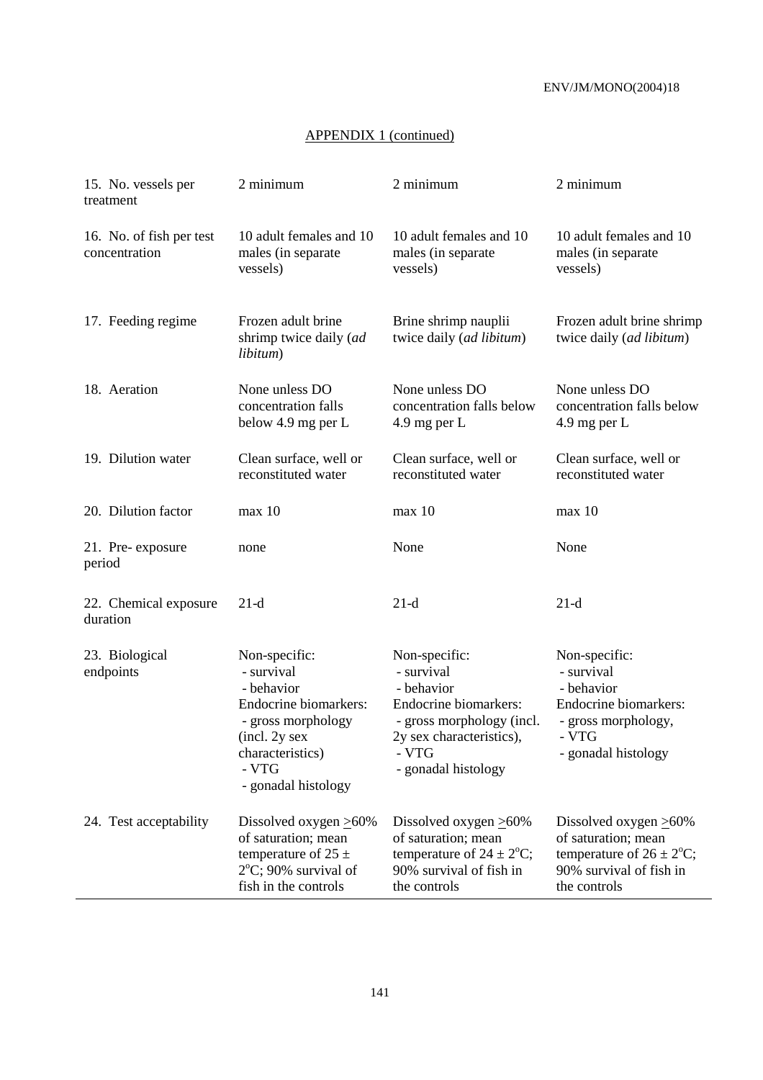# APPENDIX 1 (continued)

| 15. No. vessels per<br>treatment          | 2 minimum                                                                                                                                                     | 2 minimum                                                                                                                                                   | 2 minimum                                                                                                                              |
|-------------------------------------------|---------------------------------------------------------------------------------------------------------------------------------------------------------------|-------------------------------------------------------------------------------------------------------------------------------------------------------------|----------------------------------------------------------------------------------------------------------------------------------------|
| 16. No. of fish per test<br>concentration | 10 adult females and 10<br>males (in separate<br>vessels)                                                                                                     | 10 adult females and 10<br>males (in separate<br>vessels)                                                                                                   | 10 adult females and 10<br>males (in separate<br>vessels)                                                                              |
| 17. Feeding regime                        | Frozen adult brine<br>shrimp twice daily (ad<br>libitum)                                                                                                      | Brine shrimp nauplii<br>twice daily (ad libitum)                                                                                                            | Frozen adult brine shrimp<br>twice daily (ad libitum)                                                                                  |
| 18. Aeration                              | None unless DO<br>concentration falls<br>below 4.9 mg per L                                                                                                   | None unless DO<br>concentration falls below<br>4.9 mg per $L$                                                                                               | None unless DO<br>concentration falls below<br>4.9 mg per $L$                                                                          |
| 19. Dilution water                        | Clean surface, well or<br>reconstituted water                                                                                                                 | Clean surface, well or<br>reconstituted water                                                                                                               | Clean surface, well or<br>reconstituted water                                                                                          |
| 20. Dilution factor                       | max 10                                                                                                                                                        | max 10                                                                                                                                                      | max 10                                                                                                                                 |
| 21. Pre-exposure<br>period                | none                                                                                                                                                          | None                                                                                                                                                        | None                                                                                                                                   |
| 22. Chemical exposure<br>duration         | $21-d$                                                                                                                                                        | $21-d$                                                                                                                                                      | $21-d$                                                                                                                                 |
| 23. Biological<br>endpoints               | Non-specific:<br>- survival<br>- behavior<br>Endocrine biomarkers:<br>- gross morphology<br>(incl. 2y sex<br>characteristics)<br>- VTG<br>- gonadal histology | Non-specific:<br>- survival<br>- behavior<br>Endocrine biomarkers:<br>- gross morphology (incl.<br>2y sex characteristics),<br>- VTG<br>- gonadal histology | Non-specific:<br>- survival<br>- behavior<br>Endocrine biomarkers:<br>- gross morphology,<br>- VTG<br>- gonadal histology              |
| 24. Test acceptability                    | Dissolved oxygen $\geq 60\%$<br>of saturation; mean<br>temperature of 25 $\pm$<br>$2^{\circ}$ C; 90% survival of<br>fish in the controls                      | Dissolved oxygen $\geq 60\%$<br>of saturation; mean<br>temperature of $24 \pm 2$ °C;<br>90% survival of fish in<br>the controls                             | Dissolved oxygen $\geq 60\%$<br>of saturation; mean<br>temperature of $26 \pm 2^{\circ}$ C;<br>90% survival of fish in<br>the controls |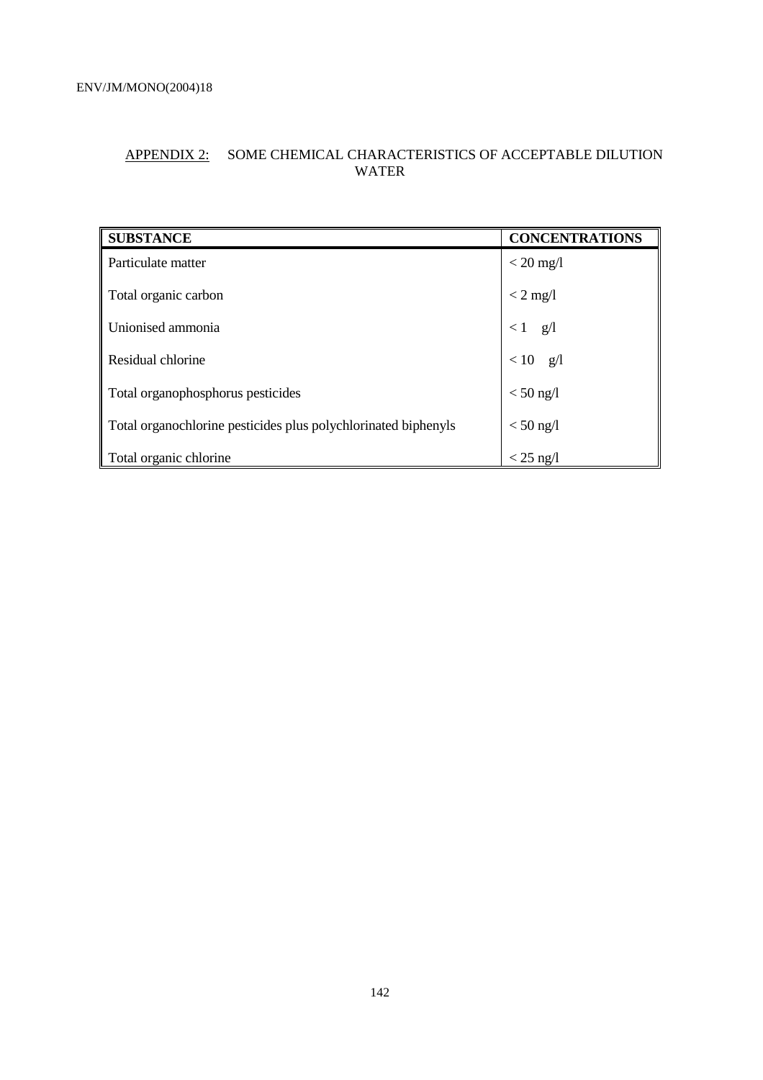# APPENDIX 2: SOME CHEMICAL CHARACTERISTICS OF ACCEPTABLE DILUTION WATER

| <b>SUBSTANCE</b>                                               | <b>CONCENTRATIONS</b> |
|----------------------------------------------------------------|-----------------------|
| Particulate matter                                             | $<$ 20 mg/l           |
| Total organic carbon                                           | $< 2$ mg/l            |
| Unionised ammonia                                              | g/1<br>$\leq 1$       |
| Residual chlorine                                              | $< 10$ g/l            |
| Total organophosphorus pesticides                              | $<$ 50 ng/l           |
| Total organochlorine pesticides plus polychlorinated biphenyls | $< 50$ ng/l           |
| Total organic chlorine                                         | $<$ 25 ng/l           |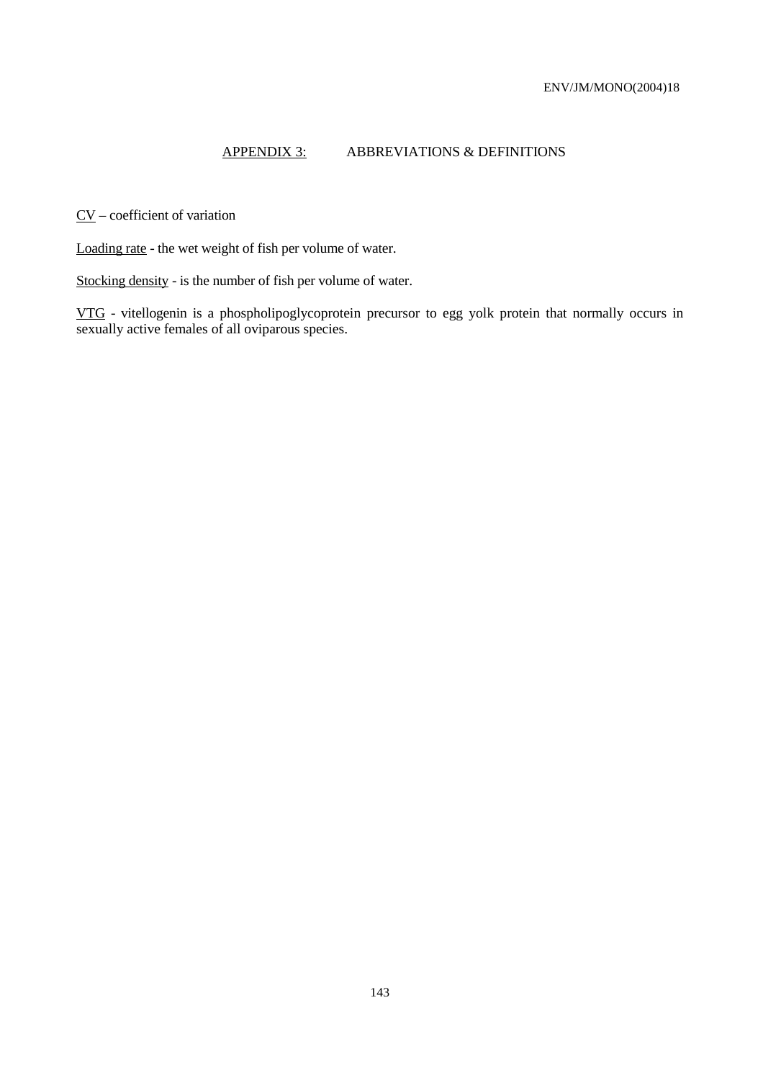# APPENDIX 3: ABBREVIATIONS & DEFINITIONS

CV – coefficient of variation

Loading rate - the wet weight of fish per volume of water.

Stocking density - is the number of fish per volume of water.

VTG - vitellogenin is a phospholipoglycoprotein precursor to egg yolk protein that normally occurs in sexually active females of all oviparous species.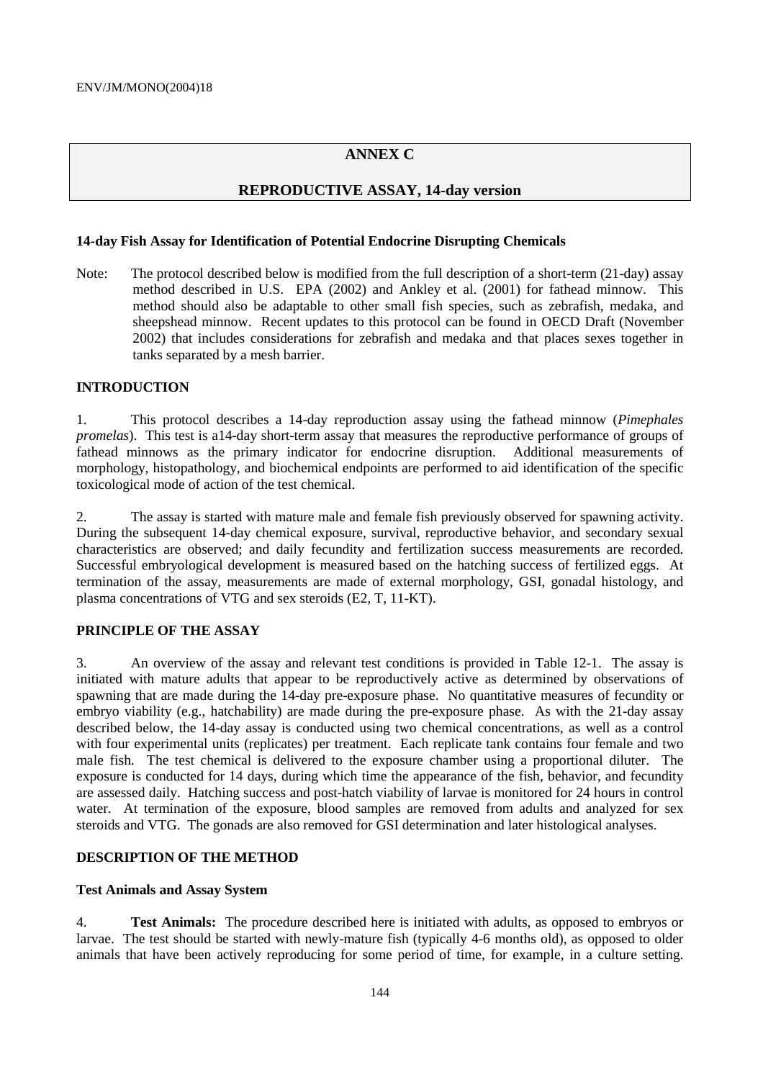# **ANNEX C**

### **REPRODUCTIVE ASSAY, 14-day version**

#### **14-day Fish Assay for Identification of Potential Endocrine Disrupting Chemicals**

Note: The protocol described below is modified from the full description of a short-term (21-day) assay method described in U.S. EPA (2002) and Ankley et al. (2001) for fathead minnow. This method should also be adaptable to other small fish species, such as zebrafish, medaka, and sheepshead minnow. Recent updates to this protocol can be found in OECD Draft (November 2002) that includes considerations for zebrafish and medaka and that places sexes together in tanks separated by a mesh barrier.

## **INTRODUCTION**

1. This protocol describes a 14-day reproduction assay using the fathead minnow (*Pimephales promelas*). This test is a14-day short-term assay that measures the reproductive performance of groups of fathead minnows as the primary indicator for endocrine disruption. Additional measurements of morphology, histopathology, and biochemical endpoints are performed to aid identification of the specific toxicological mode of action of the test chemical.

2. The assay is started with mature male and female fish previously observed for spawning activity. During the subsequent 14-day chemical exposure, survival, reproductive behavior, and secondary sexual characteristics are observed; and daily fecundity and fertilization success measurements are recorded. Successful embryological development is measured based on the hatching success of fertilized eggs. At termination of the assay, measurements are made of external morphology, GSI, gonadal histology, and plasma concentrations of VTG and sex steroids (E2, T, 11-KT).

#### **PRINCIPLE OF THE ASSAY**

3. An overview of the assay and relevant test conditions is provided in Table 12-1. The assay is initiated with mature adults that appear to be reproductively active as determined by observations of spawning that are made during the 14-day pre-exposure phase. No quantitative measures of fecundity or embryo viability (e.g., hatchability) are made during the pre-exposure phase. As with the 21-day assay described below, the 14-day assay is conducted using two chemical concentrations, as well as a control with four experimental units (replicates) per treatment. Each replicate tank contains four female and two male fish. The test chemical is delivered to the exposure chamber using a proportional diluter. The exposure is conducted for 14 days, during which time the appearance of the fish, behavior, and fecundity are assessed daily. Hatching success and post-hatch viability of larvae is monitored for 24 hours in control water. At termination of the exposure, blood samples are removed from adults and analyzed for sex steroids and VTG. The gonads are also removed for GSI determination and later histological analyses.

#### **DESCRIPTION OF THE METHOD**

### **Test Animals and Assay System**

4. **Test Animals:** The procedure described here is initiated with adults, as opposed to embryos or larvae. The test should be started with newly-mature fish (typically 4-6 months old), as opposed to older animals that have been actively reproducing for some period of time, for example, in a culture setting.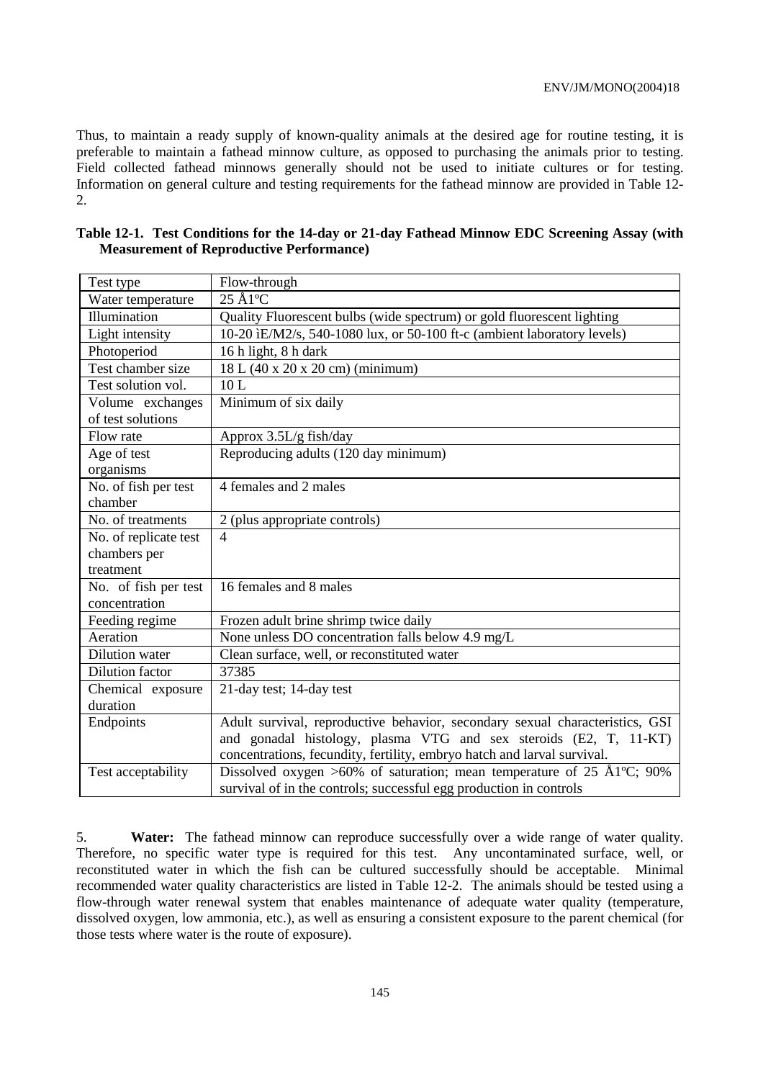Thus, to maintain a ready supply of known-quality animals at the desired age for routine testing, it is preferable to maintain a fathead minnow culture, as opposed to purchasing the animals prior to testing. Field collected fathead minnows generally should not be used to initiate cultures or for testing. Information on general culture and testing requirements for the fathead minnow are provided in Table 12- 2.

| Test type             | Flow-through                                                                                   |
|-----------------------|------------------------------------------------------------------------------------------------|
| Water temperature     | $25 \text{ Å}1^{\circ}\text{C}$                                                                |
| Illumination          | Quality Fluorescent bulbs (wide spectrum) or gold fluorescent lighting                         |
| Light intensity       | 10-20 ìE/M2/s, 540-1080 lux, or 50-100 ft-c (ambient laboratory levels)                        |
| Photoperiod           | 16 h light, 8 h dark                                                                           |
| Test chamber size     | 18 L (40 x 20 x 20 cm) (minimum)                                                               |
| Test solution vol.    | 10L                                                                                            |
| Volume exchanges      | Minimum of six daily                                                                           |
| of test solutions     |                                                                                                |
| Flow rate             | Approx $3.5L/g$ fish/day                                                                       |
| Age of test           | Reproducing adults (120 day minimum)                                                           |
| organisms             |                                                                                                |
| No. of fish per test  | 4 females and 2 males                                                                          |
| chamber               |                                                                                                |
| No. of treatments     | 2 (plus appropriate controls)                                                                  |
| No. of replicate test | $\overline{4}$                                                                                 |
| chambers per          |                                                                                                |
| treatment             |                                                                                                |
| No. of fish per test  | 16 females and 8 males                                                                         |
| concentration         |                                                                                                |
| Feeding regime        | Frozen adult brine shrimp twice daily                                                          |
| Aeration              | None unless DO concentration falls below 4.9 mg/L                                              |
| Dilution water        | Clean surface, well, or reconstituted water                                                    |
| Dilution factor       | 37385                                                                                          |
| Chemical exposure     | 21-day test; 14-day test                                                                       |
| duration              |                                                                                                |
| Endpoints             | Adult survival, reproductive behavior, secondary sexual characteristics, GSI                   |
|                       | and gonadal histology, plasma VTG and sex steroids (E2, T, 11-KT)                              |
|                       | concentrations, fecundity, fertility, embryo hatch and larval survival.                        |
| Test acceptability    | Dissolved oxygen >60% of saturation; mean temperature of $25 \text{ Å}1^{\circ}\text{C}$ ; 90% |
|                       | survival of in the controls; successful egg production in controls                             |

| Table 12-1. Test Conditions for the 14-day or 21-day Fathead Minnow EDC Screening Assay (with |  |  |  |
|-----------------------------------------------------------------------------------------------|--|--|--|
| <b>Measurement of Reproductive Performance</b> )                                              |  |  |  |

5. **Water:** The fathead minnow can reproduce successfully over a wide range of water quality. Therefore, no specific water type is required for this test. Any uncontaminated surface, well, or reconstituted water in which the fish can be cultured successfully should be acceptable. Minimal recommended water quality characteristics are listed in Table 12-2. The animals should be tested using a flow-through water renewal system that enables maintenance of adequate water quality (temperature, dissolved oxygen, low ammonia, etc.), as well as ensuring a consistent exposure to the parent chemical (for those tests where water is the route of exposure).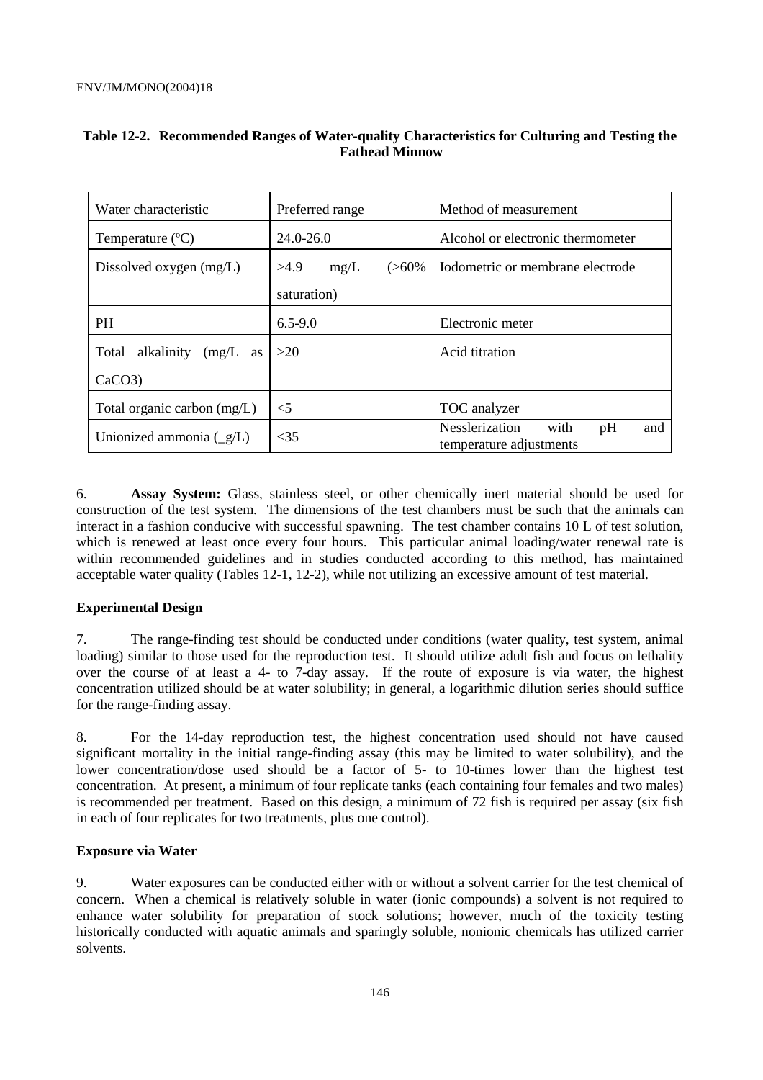| Water characteristic                      | Preferred range          | Method of measurement                                          |  |  |
|-------------------------------------------|--------------------------|----------------------------------------------------------------|--|--|
| Temperature $(^{\circ}C)$                 | $24.0 - 26.0$            | Alcohol or electronic thermometer                              |  |  |
| Dissolved oxygen $(mg/L)$                 | >4.9<br>$(>60\%$<br>mg/L | Iodometric or membrane electrode                               |  |  |
|                                           | saturation)              |                                                                |  |  |
| <b>PH</b>                                 | $6.5 - 9.0$              | Electronic meter                                               |  |  |
| Total<br>alkalinity<br>$(mg/L \text{ as}$ | >20                      | Acid titration                                                 |  |  |
| CaCO3                                     |                          |                                                                |  |  |
| Total organic carbon $(mg/L)$             | $<$ 5                    | TOC analyzer                                                   |  |  |
| Unionized ammonia $(g/L)$                 | $\leq$ 35                | Nesslerization<br>with<br>pH<br>and<br>temperature adjustments |  |  |

## **Table 12-2. Recommended Ranges of Water-quality Characteristics for Culturing and Testing the Fathead Minnow**

6. **Assay System:** Glass, stainless steel, or other chemically inert material should be used for construction of the test system. The dimensions of the test chambers must be such that the animals can interact in a fashion conducive with successful spawning. The test chamber contains 10 L of test solution, which is renewed at least once every four hours. This particular animal loading/water renewal rate is within recommended guidelines and in studies conducted according to this method, has maintained acceptable water quality (Tables 12-1, 12-2), while not utilizing an excessive amount of test material.

# **Experimental Design**

7. The range-finding test should be conducted under conditions (water quality, test system, animal loading) similar to those used for the reproduction test. It should utilize adult fish and focus on lethality over the course of at least a 4- to 7-day assay. If the route of exposure is via water, the highest concentration utilized should be at water solubility; in general, a logarithmic dilution series should suffice for the range-finding assay.

8. For the 14-day reproduction test, the highest concentration used should not have caused significant mortality in the initial range-finding assay (this may be limited to water solubility), and the lower concentration/dose used should be a factor of 5- to 10-times lower than the highest test concentration. At present, a minimum of four replicate tanks (each containing four females and two males) is recommended per treatment. Based on this design, a minimum of 72 fish is required per assay (six fish in each of four replicates for two treatments, plus one control).

## **Exposure via Water**

9. Water exposures can be conducted either with or without a solvent carrier for the test chemical of concern. When a chemical is relatively soluble in water (ionic compounds) a solvent is not required to enhance water solubility for preparation of stock solutions; however, much of the toxicity testing historically conducted with aquatic animals and sparingly soluble, nonionic chemicals has utilized carrier solvents.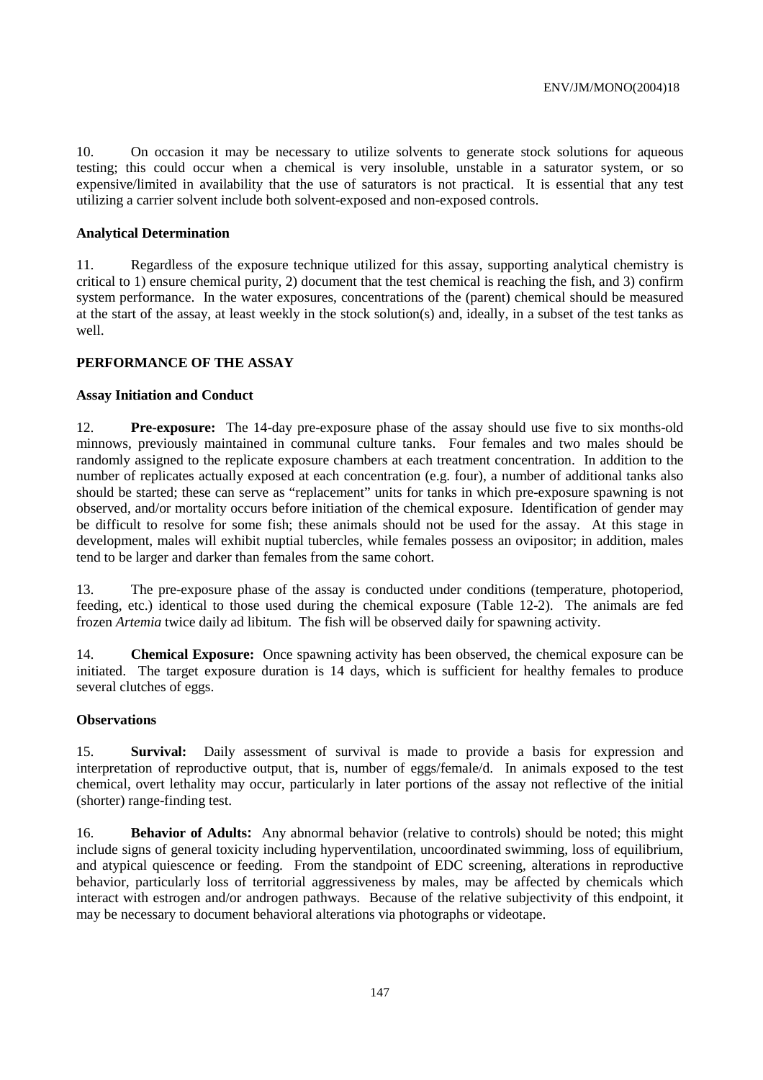10. On occasion it may be necessary to utilize solvents to generate stock solutions for aqueous testing; this could occur when a chemical is very insoluble, unstable in a saturator system, or so expensive/limited in availability that the use of saturators is not practical. It is essential that any test utilizing a carrier solvent include both solvent-exposed and non-exposed controls.

#### **Analytical Determination**

11. Regardless of the exposure technique utilized for this assay, supporting analytical chemistry is critical to 1) ensure chemical purity, 2) document that the test chemical is reaching the fish, and 3) confirm system performance. In the water exposures, concentrations of the (parent) chemical should be measured at the start of the assay, at least weekly in the stock solution(s) and, ideally, in a subset of the test tanks as well.

## **PERFORMANCE OF THE ASSAY**

#### **Assay Initiation and Conduct**

12. **Pre-exposure:** The 14-day pre-exposure phase of the assay should use five to six months-old minnows, previously maintained in communal culture tanks. Four females and two males should be randomly assigned to the replicate exposure chambers at each treatment concentration. In addition to the number of replicates actually exposed at each concentration (e.g. four), a number of additional tanks also should be started; these can serve as "replacement" units for tanks in which pre-exposure spawning is not observed, and/or mortality occurs before initiation of the chemical exposure. Identification of gender may be difficult to resolve for some fish; these animals should not be used for the assay. At this stage in development, males will exhibit nuptial tubercles, while females possess an ovipositor; in addition, males tend to be larger and darker than females from the same cohort.

13. The pre-exposure phase of the assay is conducted under conditions (temperature, photoperiod, feeding, etc.) identical to those used during the chemical exposure (Table 12-2). The animals are fed frozen *Artemia* twice daily ad libitum. The fish will be observed daily for spawning activity.

14. **Chemical Exposure:** Once spawning activity has been observed, the chemical exposure can be initiated. The target exposure duration is 14 days, which is sufficient for healthy females to produce several clutches of eggs.

#### **Observations**

15. **Survival:** Daily assessment of survival is made to provide a basis for expression and interpretation of reproductive output, that is, number of eggs/female/d. In animals exposed to the test chemical, overt lethality may occur, particularly in later portions of the assay not reflective of the initial (shorter) range-finding test.

16. **Behavior of Adults:** Any abnormal behavior (relative to controls) should be noted; this might include signs of general toxicity including hyperventilation, uncoordinated swimming, loss of equilibrium, and atypical quiescence or feeding. From the standpoint of EDC screening, alterations in reproductive behavior, particularly loss of territorial aggressiveness by males, may be affected by chemicals which interact with estrogen and/or androgen pathways. Because of the relative subjectivity of this endpoint, it may be necessary to document behavioral alterations via photographs or videotape.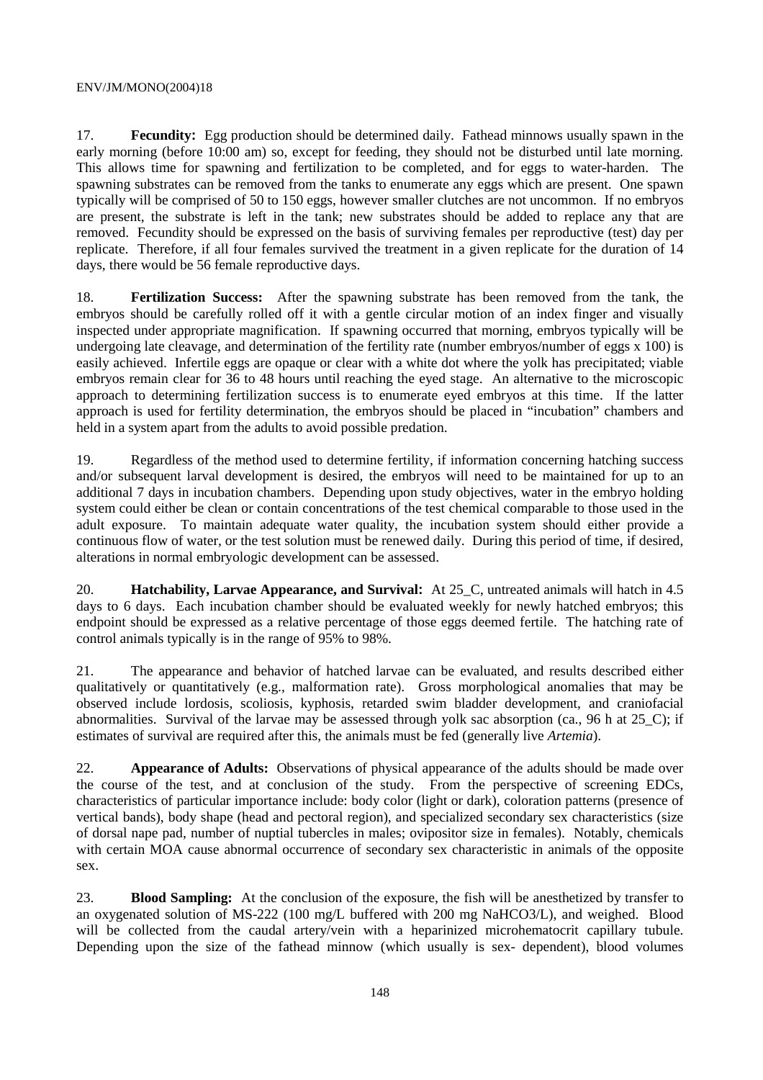#### ENV/JM/MONO(2004)18

17. **Fecundity:** Egg production should be determined daily. Fathead minnows usually spawn in the early morning (before 10:00 am) so, except for feeding, they should not be disturbed until late morning. This allows time for spawning and fertilization to be completed, and for eggs to water-harden. The spawning substrates can be removed from the tanks to enumerate any eggs which are present. One spawn typically will be comprised of 50 to 150 eggs, however smaller clutches are not uncommon. If no embryos are present, the substrate is left in the tank; new substrates should be added to replace any that are removed. Fecundity should be expressed on the basis of surviving females per reproductive (test) day per replicate. Therefore, if all four females survived the treatment in a given replicate for the duration of 14 days, there would be 56 female reproductive days.

18. **Fertilization Success:** After the spawning substrate has been removed from the tank, the embryos should be carefully rolled off it with a gentle circular motion of an index finger and visually inspected under appropriate magnification. If spawning occurred that morning, embryos typically will be undergoing late cleavage, and determination of the fertility rate (number embryos/number of eggs x 100) is easily achieved. Infertile eggs are opaque or clear with a white dot where the yolk has precipitated; viable embryos remain clear for 36 to 48 hours until reaching the eyed stage. An alternative to the microscopic approach to determining fertilization success is to enumerate eyed embryos at this time. If the latter approach is used for fertility determination, the embryos should be placed in "incubation" chambers and held in a system apart from the adults to avoid possible predation.

19. Regardless of the method used to determine fertility, if information concerning hatching success and/or subsequent larval development is desired, the embryos will need to be maintained for up to an additional 7 days in incubation chambers. Depending upon study objectives, water in the embryo holding system could either be clean or contain concentrations of the test chemical comparable to those used in the adult exposure. To maintain adequate water quality, the incubation system should either provide a continuous flow of water, or the test solution must be renewed daily. During this period of time, if desired, alterations in normal embryologic development can be assessed.

20. **Hatchability, Larvae Appearance, and Survival:** At 25\_C, untreated animals will hatch in 4.5 days to 6 days. Each incubation chamber should be evaluated weekly for newly hatched embryos; this endpoint should be expressed as a relative percentage of those eggs deemed fertile. The hatching rate of control animals typically is in the range of 95% to 98%.

21. The appearance and behavior of hatched larvae can be evaluated, and results described either qualitatively or quantitatively (e.g., malformation rate). Gross morphological anomalies that may be observed include lordosis, scoliosis, kyphosis, retarded swim bladder development, and craniofacial abnormalities. Survival of the larvae may be assessed through yolk sac absorption (ca., 96 h at 25\_C); if estimates of survival are required after this, the animals must be fed (generally live *Artemia*).

22. **Appearance of Adults:** Observations of physical appearance of the adults should be made over the course of the test, and at conclusion of the study. From the perspective of screening EDCs, characteristics of particular importance include: body color (light or dark), coloration patterns (presence of vertical bands), body shape (head and pectoral region), and specialized secondary sex characteristics (size of dorsal nape pad, number of nuptial tubercles in males; ovipositor size in females). Notably, chemicals with certain MOA cause abnormal occurrence of secondary sex characteristic in animals of the opposite sex.

23. **Blood Sampling:** At the conclusion of the exposure, the fish will be anesthetized by transfer to an oxygenated solution of MS-222 (100 mg/L buffered with 200 mg NaHCO3/L), and weighed. Blood will be collected from the caudal artery/vein with a heparinized microhematocrit capillary tubule. Depending upon the size of the fathead minnow (which usually is sex- dependent), blood volumes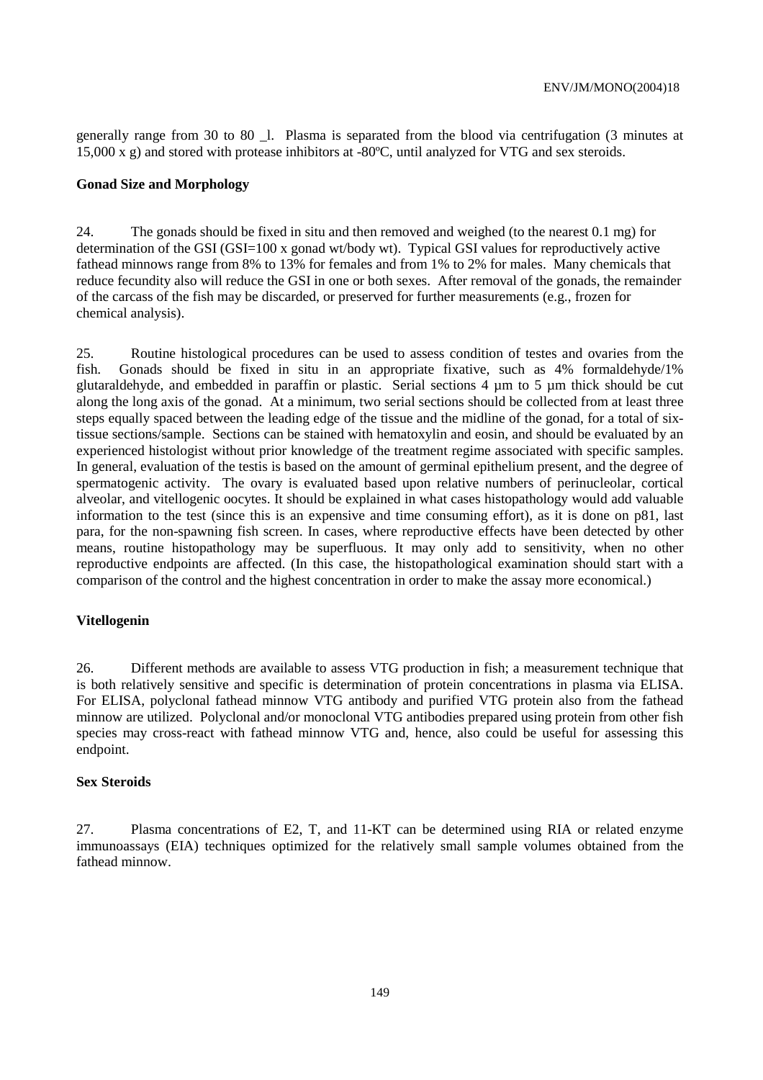generally range from 30 to 80  $\,$  l. Plasma is separated from the blood via centrifugation (3 minutes at 15,000 x g) and stored with protease inhibitors at -80ºC, until analyzed for VTG and sex steroids.

#### **Gonad Size and Morphology**

24. The gonads should be fixed in situ and then removed and weighed (to the nearest 0.1 mg) for determination of the GSI (GSI=100 x gonad wt/body wt). Typical GSI values for reproductively active fathead minnows range from 8% to 13% for females and from 1% to 2% for males. Many chemicals that reduce fecundity also will reduce the GSI in one or both sexes. After removal of the gonads, the remainder of the carcass of the fish may be discarded, or preserved for further measurements (e.g., frozen for chemical analysis).

25. Routine histological procedures can be used to assess condition of testes and ovaries from the fish. Gonads should be fixed in situ in an appropriate fixative, such as 4% formaldehyde/1% glutaraldehyde, and embedded in paraffin or plastic. Serial sections 4 µm to 5 µm thick should be cut along the long axis of the gonad. At a minimum, two serial sections should be collected from at least three steps equally spaced between the leading edge of the tissue and the midline of the gonad, for a total of sixtissue sections/sample. Sections can be stained with hematoxylin and eosin, and should be evaluated by an experienced histologist without prior knowledge of the treatment regime associated with specific samples. In general, evaluation of the testis is based on the amount of germinal epithelium present, and the degree of spermatogenic activity. The ovary is evaluated based upon relative numbers of perinucleolar, cortical alveolar, and vitellogenic oocytes. It should be explained in what cases histopathology would add valuable information to the test (since this is an expensive and time consuming effort), as it is done on p81, last para, for the non-spawning fish screen. In cases, where reproductive effects have been detected by other means, routine histopathology may be superfluous. It may only add to sensitivity, when no other reproductive endpoints are affected. (In this case, the histopathological examination should start with a comparison of the control and the highest concentration in order to make the assay more economical.)

#### **Vitellogenin**

26. Different methods are available to assess VTG production in fish; a measurement technique that is both relatively sensitive and specific is determination of protein concentrations in plasma via ELISA. For ELISA, polyclonal fathead minnow VTG antibody and purified VTG protein also from the fathead minnow are utilized. Polyclonal and/or monoclonal VTG antibodies prepared using protein from other fish species may cross-react with fathead minnow VTG and, hence, also could be useful for assessing this endpoint.

### **Sex Steroids**

27. Plasma concentrations of E2, T, and 11-KT can be determined using RIA or related enzyme immunoassays (EIA) techniques optimized for the relatively small sample volumes obtained from the fathead minnow.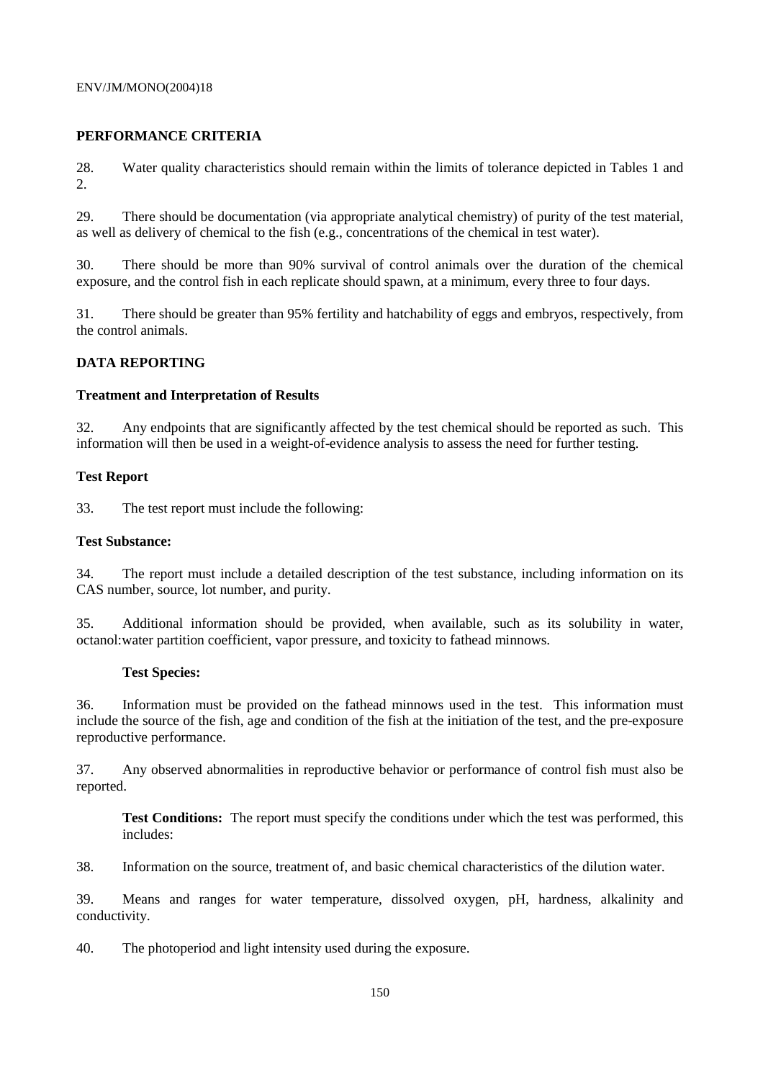#### ENV/JM/MONO(2004)18

## **PERFORMANCE CRITERIA**

28. Water quality characteristics should remain within the limits of tolerance depicted in Tables 1 and 2.

29. There should be documentation (via appropriate analytical chemistry) of purity of the test material, as well as delivery of chemical to the fish (e.g., concentrations of the chemical in test water).

30. There should be more than 90% survival of control animals over the duration of the chemical exposure, and the control fish in each replicate should spawn, at a minimum, every three to four days.

31. There should be greater than 95% fertility and hatchability of eggs and embryos, respectively, from the control animals.

## **DATA REPORTING**

## **Treatment and Interpretation of Results**

32. Any endpoints that are significantly affected by the test chemical should be reported as such. This information will then be used in a weight-of-evidence analysis to assess the need for further testing.

## **Test Report**

33. The test report must include the following:

#### **Test Substance:**

34. The report must include a detailed description of the test substance, including information on its CAS number, source, lot number, and purity.

35. Additional information should be provided, when available, such as its solubility in water, octanol:water partition coefficient, vapor pressure, and toxicity to fathead minnows.

#### **Test Species:**

36. Information must be provided on the fathead minnows used in the test. This information must include the source of the fish, age and condition of the fish at the initiation of the test, and the pre-exposure reproductive performance.

37. Any observed abnormalities in reproductive behavior or performance of control fish must also be reported.

**Test Conditions:** The report must specify the conditions under which the test was performed, this includes:

38. Information on the source, treatment of, and basic chemical characteristics of the dilution water.

39. Means and ranges for water temperature, dissolved oxygen, pH, hardness, alkalinity and conductivity.

40. The photoperiod and light intensity used during the exposure.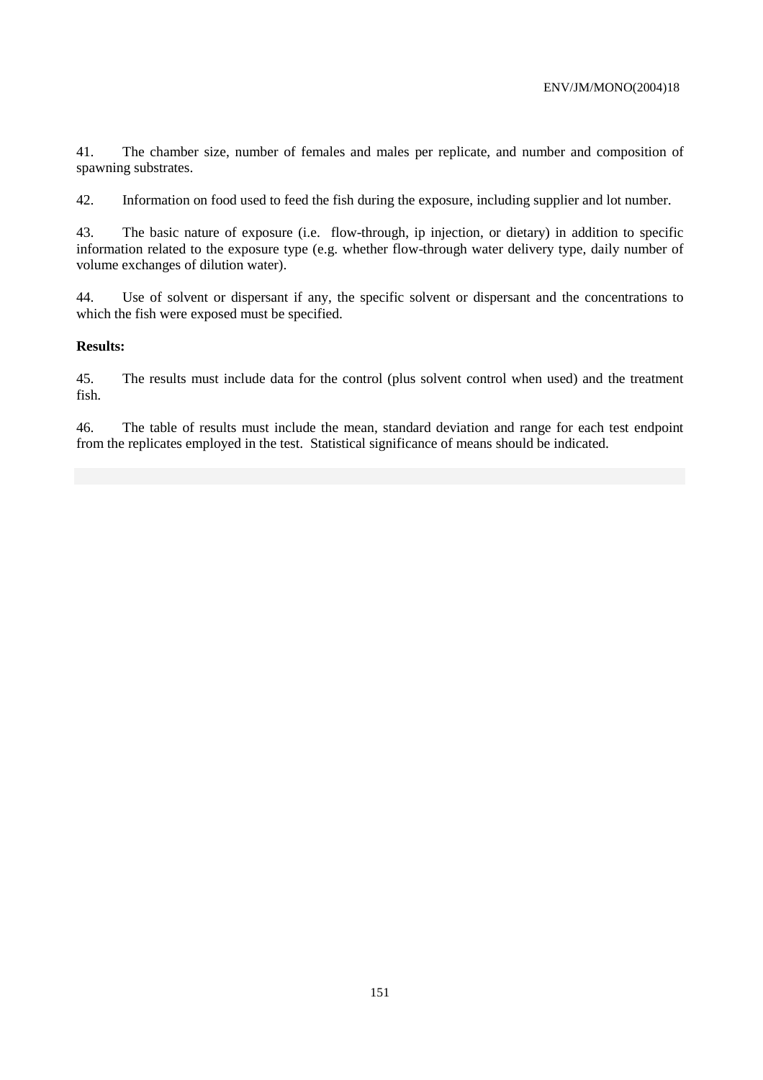41. The chamber size, number of females and males per replicate, and number and composition of spawning substrates.

42. Information on food used to feed the fish during the exposure, including supplier and lot number.

43. The basic nature of exposure (i.e. flow-through, ip injection, or dietary) in addition to specific information related to the exposure type (e.g. whether flow-through water delivery type, daily number of volume exchanges of dilution water).

44. Use of solvent or dispersant if any, the specific solvent or dispersant and the concentrations to which the fish were exposed must be specified.

## **Results:**

45. The results must include data for the control (plus solvent control when used) and the treatment fish.

46. The table of results must include the mean, standard deviation and range for each test endpoint from the replicates employed in the test. Statistical significance of means should be indicated.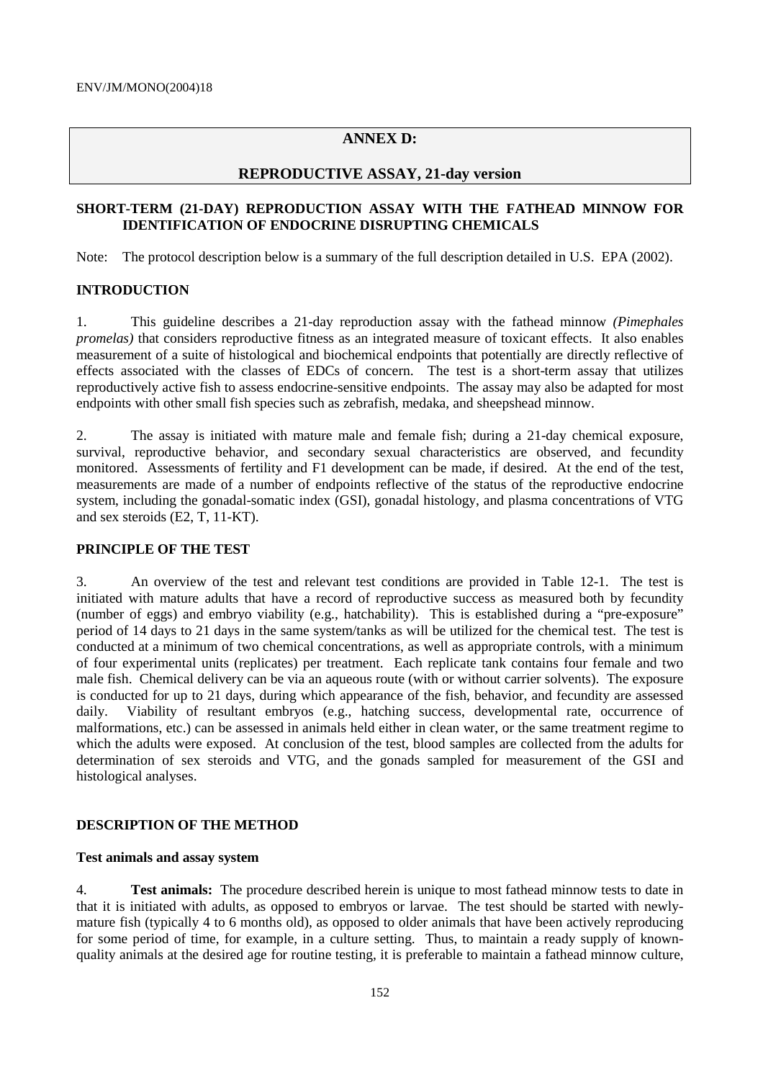## **ANNEX D:**

## **REPRODUCTIVE ASSAY, 21-day version**

## **SHORT-TERM (21-DAY) REPRODUCTION ASSAY WITH THE FATHEAD MINNOW FOR IDENTIFICATION OF ENDOCRINE DISRUPTING CHEMICALS**

Note: The protocol description below is a summary of the full description detailed in U.S. EPA (2002).

## **INTRODUCTION**

1. This guideline describes a 21-day reproduction assay with the fathead minnow *(Pimephales promelas)* that considers reproductive fitness as an integrated measure of toxicant effects. It also enables measurement of a suite of histological and biochemical endpoints that potentially are directly reflective of effects associated with the classes of EDCs of concern. The test is a short-term assay that utilizes reproductively active fish to assess endocrine-sensitive endpoints. The assay may also be adapted for most endpoints with other small fish species such as zebrafish, medaka, and sheepshead minnow.

2. The assay is initiated with mature male and female fish; during a 21-day chemical exposure, survival, reproductive behavior, and secondary sexual characteristics are observed, and fecundity monitored. Assessments of fertility and F1 development can be made, if desired. At the end of the test, measurements are made of a number of endpoints reflective of the status of the reproductive endocrine system, including the gonadal-somatic index (GSI), gonadal histology, and plasma concentrations of VTG and sex steroids (E2, T, 11-KT).

## **PRINCIPLE OF THE TEST**

3. An overview of the test and relevant test conditions are provided in Table 12-1. The test is initiated with mature adults that have a record of reproductive success as measured both by fecundity (number of eggs) and embryo viability (e.g., hatchability). This is established during a "pre-exposure" period of 14 days to 21 days in the same system/tanks as will be utilized for the chemical test. The test is conducted at a minimum of two chemical concentrations, as well as appropriate controls, with a minimum of four experimental units (replicates) per treatment. Each replicate tank contains four female and two male fish. Chemical delivery can be via an aqueous route (with or without carrier solvents). The exposure is conducted for up to 21 days, during which appearance of the fish, behavior, and fecundity are assessed daily. Viability of resultant embryos (e.g., hatching success, developmental rate, occurrence of malformations, etc.) can be assessed in animals held either in clean water, or the same treatment regime to which the adults were exposed. At conclusion of the test, blood samples are collected from the adults for determination of sex steroids and VTG, and the gonads sampled for measurement of the GSI and histological analyses.

#### **DESCRIPTION OF THE METHOD**

#### **Test animals and assay system**

4. **Test animals:** The procedure described herein is unique to most fathead minnow tests to date in that it is initiated with adults, as opposed to embryos or larvae. The test should be started with newlymature fish (typically 4 to 6 months old), as opposed to older animals that have been actively reproducing for some period of time, for example, in a culture setting. Thus, to maintain a ready supply of knownquality animals at the desired age for routine testing, it is preferable to maintain a fathead minnow culture,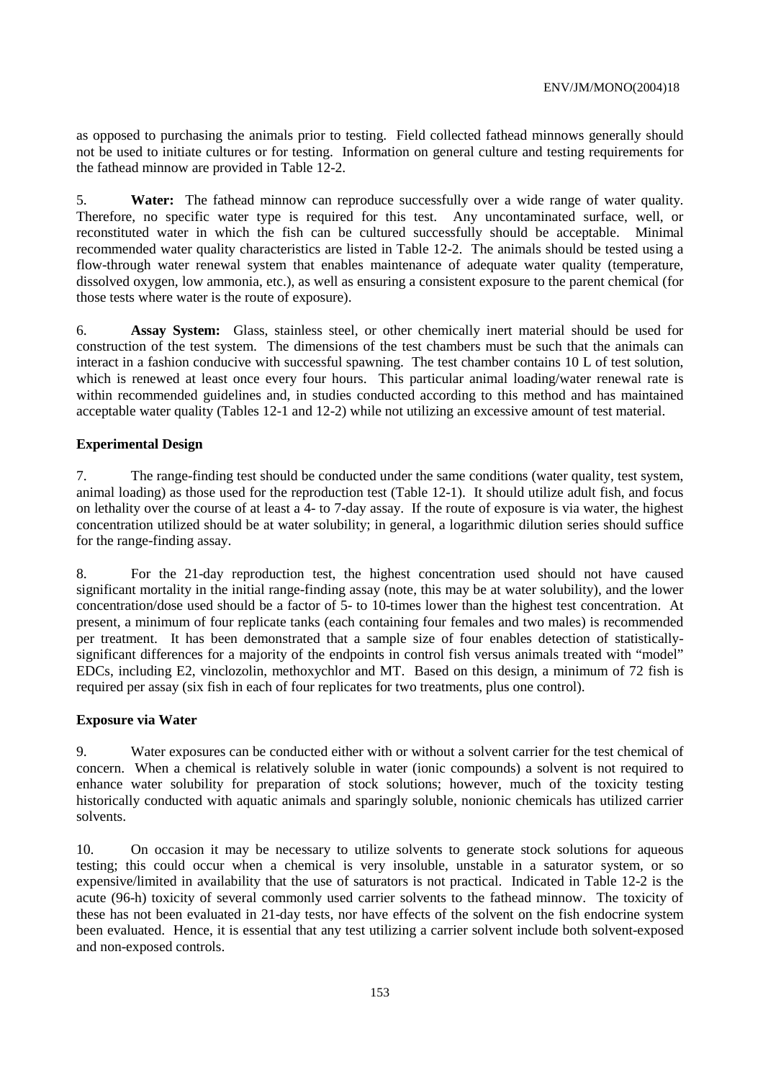as opposed to purchasing the animals prior to testing. Field collected fathead minnows generally should not be used to initiate cultures or for testing. Information on general culture and testing requirements for the fathead minnow are provided in Table 12-2.

5. **Water:** The fathead minnow can reproduce successfully over a wide range of water quality. Therefore, no specific water type is required for this test. Any uncontaminated surface, well, or reconstituted water in which the fish can be cultured successfully should be acceptable. Minimal recommended water quality characteristics are listed in Table 12-2. The animals should be tested using a flow-through water renewal system that enables maintenance of adequate water quality (temperature, dissolved oxygen, low ammonia, etc.), as well as ensuring a consistent exposure to the parent chemical (for those tests where water is the route of exposure).

6. **Assay System:** Glass, stainless steel, or other chemically inert material should be used for construction of the test system. The dimensions of the test chambers must be such that the animals can interact in a fashion conducive with successful spawning. The test chamber contains 10 L of test solution, which is renewed at least once every four hours. This particular animal loading/water renewal rate is within recommended guidelines and, in studies conducted according to this method and has maintained acceptable water quality (Tables 12-1 and 12-2) while not utilizing an excessive amount of test material.

## **Experimental Design**

7. The range-finding test should be conducted under the same conditions (water quality, test system, animal loading) as those used for the reproduction test (Table 12-1). It should utilize adult fish, and focus on lethality over the course of at least a 4- to 7-day assay. If the route of exposure is via water, the highest concentration utilized should be at water solubility; in general, a logarithmic dilution series should suffice for the range-finding assay.

8. For the 21-day reproduction test, the highest concentration used should not have caused significant mortality in the initial range-finding assay (note, this may be at water solubility), and the lower concentration/dose used should be a factor of 5- to 10-times lower than the highest test concentration. At present, a minimum of four replicate tanks (each containing four females and two males) is recommended per treatment. It has been demonstrated that a sample size of four enables detection of statisticallysignificant differences for a majority of the endpoints in control fish versus animals treated with "model" EDCs, including E2, vinclozolin, methoxychlor and MT. Based on this design, a minimum of 72 fish is required per assay (six fish in each of four replicates for two treatments, plus one control).

## **Exposure via Water**

9. Water exposures can be conducted either with or without a solvent carrier for the test chemical of concern. When a chemical is relatively soluble in water (ionic compounds) a solvent is not required to enhance water solubility for preparation of stock solutions; however, much of the toxicity testing historically conducted with aquatic animals and sparingly soluble, nonionic chemicals has utilized carrier solvents.

10. On occasion it may be necessary to utilize solvents to generate stock solutions for aqueous testing; this could occur when a chemical is very insoluble, unstable in a saturator system, or so expensive/limited in availability that the use of saturators is not practical. Indicated in Table 12-2 is the acute (96-h) toxicity of several commonly used carrier solvents to the fathead minnow. The toxicity of these has not been evaluated in 21-day tests, nor have effects of the solvent on the fish endocrine system been evaluated. Hence, it is essential that any test utilizing a carrier solvent include both solvent-exposed and non-exposed controls.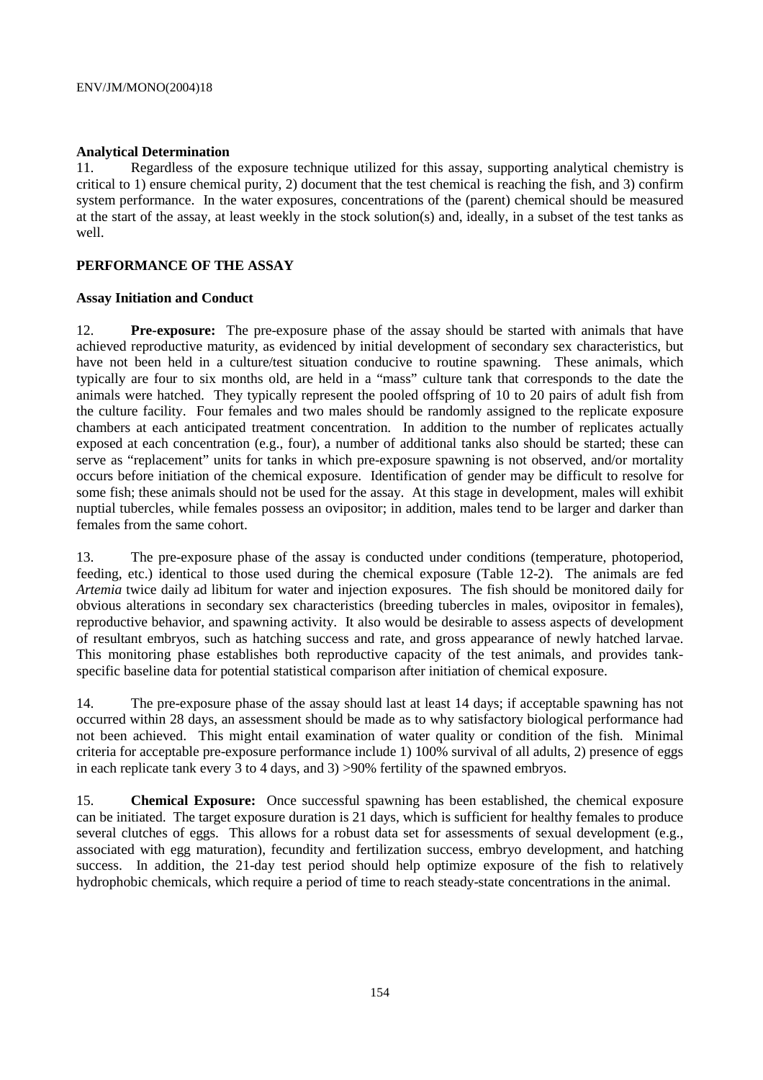# **Analytical Determination**

Regardless of the exposure technique utilized for this assay, supporting analytical chemistry is critical to 1) ensure chemical purity, 2) document that the test chemical is reaching the fish, and 3) confirm system performance. In the water exposures, concentrations of the (parent) chemical should be measured at the start of the assay, at least weekly in the stock solution(s) and, ideally, in a subset of the test tanks as well.

## **PERFORMANCE OF THE ASSAY**

## **Assay Initiation and Conduct**

12. **Pre-exposure:** The pre-exposure phase of the assay should be started with animals that have achieved reproductive maturity, as evidenced by initial development of secondary sex characteristics, but have not been held in a culture/test situation conducive to routine spawning. These animals, which typically are four to six months old, are held in a "mass" culture tank that corresponds to the date the animals were hatched. They typically represent the pooled offspring of 10 to 20 pairs of adult fish from the culture facility. Four females and two males should be randomly assigned to the replicate exposure chambers at each anticipated treatment concentration. In addition to the number of replicates actually exposed at each concentration (e.g., four), a number of additional tanks also should be started; these can serve as "replacement" units for tanks in which pre-exposure spawning is not observed, and/or mortality occurs before initiation of the chemical exposure. Identification of gender may be difficult to resolve for some fish; these animals should not be used for the assay. At this stage in development, males will exhibit nuptial tubercles, while females possess an ovipositor; in addition, males tend to be larger and darker than females from the same cohort.

13. The pre-exposure phase of the assay is conducted under conditions (temperature, photoperiod, feeding, etc.) identical to those used during the chemical exposure (Table 12-2). The animals are fed *Artemia* twice daily ad libitum for water and injection exposures. The fish should be monitored daily for obvious alterations in secondary sex characteristics (breeding tubercles in males, ovipositor in females), reproductive behavior, and spawning activity. It also would be desirable to assess aspects of development of resultant embryos, such as hatching success and rate, and gross appearance of newly hatched larvae. This monitoring phase establishes both reproductive capacity of the test animals, and provides tankspecific baseline data for potential statistical comparison after initiation of chemical exposure.

14. The pre-exposure phase of the assay should last at least 14 days; if acceptable spawning has not occurred within 28 days, an assessment should be made as to why satisfactory biological performance had not been achieved. This might entail examination of water quality or condition of the fish. Minimal criteria for acceptable pre-exposure performance include 1) 100% survival of all adults, 2) presence of eggs in each replicate tank every 3 to 4 days, and 3) >90% fertility of the spawned embryos.

15. **Chemical Exposure:** Once successful spawning has been established, the chemical exposure can be initiated. The target exposure duration is 21 days, which is sufficient for healthy females to produce several clutches of eggs. This allows for a robust data set for assessments of sexual development (e.g., associated with egg maturation), fecundity and fertilization success, embryo development, and hatching success. In addition, the 21-day test period should help optimize exposure of the fish to relatively hydrophobic chemicals, which require a period of time to reach steady-state concentrations in the animal.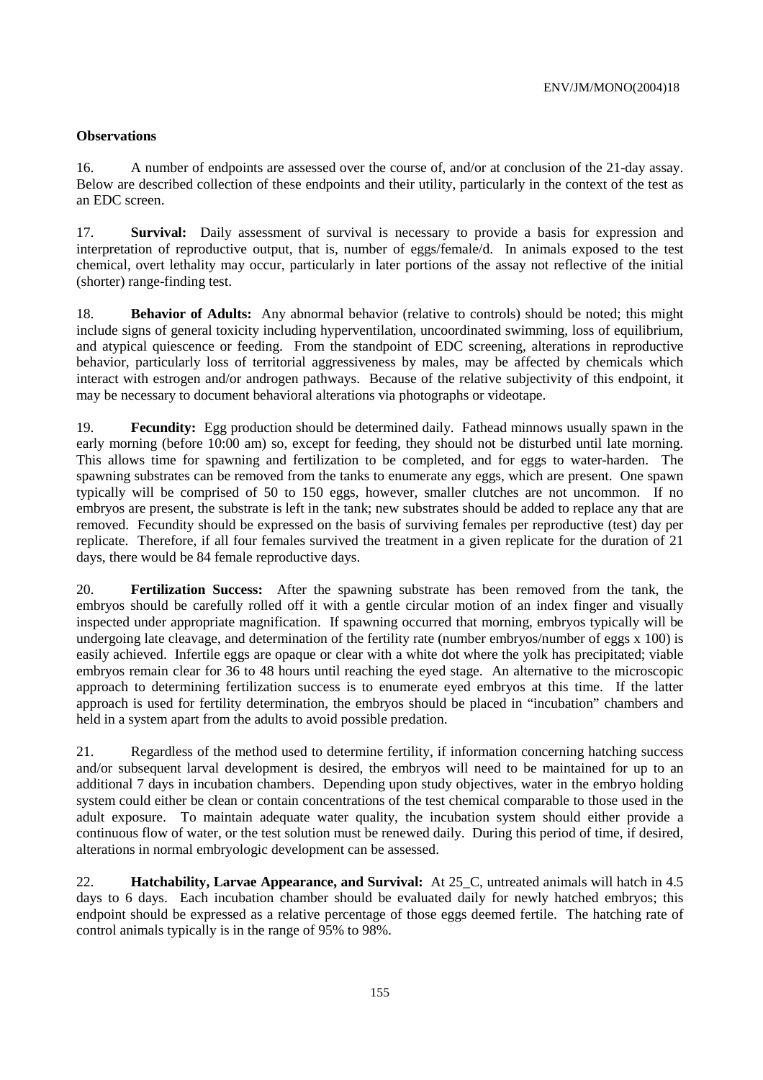## **Observations**

16. A number of endpoints are assessed over the course of, and/or at conclusion of the 21-day assay. Below are described collection of these endpoints and their utility, particularly in the context of the test as an EDC screen.

17. **Survival:** Daily assessment of survival is necessary to provide a basis for expression and interpretation of reproductive output, that is, number of eggs/female/d. In animals exposed to the test chemical, overt lethality may occur, particularly in later portions of the assay not reflective of the initial (shorter) range-finding test.

18. **Behavior of Adults:** Any abnormal behavior (relative to controls) should be noted; this might include signs of general toxicity including hyperventilation, uncoordinated swimming, loss of equilibrium, and atypical quiescence or feeding. From the standpoint of EDC screening, alterations in reproductive behavior, particularly loss of territorial aggressiveness by males, may be affected by chemicals which interact with estrogen and/or androgen pathways. Because of the relative subjectivity of this endpoint, it may be necessary to document behavioral alterations via photographs or videotape.

19. **Fecundity:** Egg production should be determined daily. Fathead minnows usually spawn in the early morning (before 10:00 am) so, except for feeding, they should not be disturbed until late morning. This allows time for spawning and fertilization to be completed, and for eggs to water-harden. The spawning substrates can be removed from the tanks to enumerate any eggs, which are present. One spawn typically will be comprised of 50 to 150 eggs, however, smaller clutches are not uncommon. If no embryos are present, the substrate is left in the tank; new substrates should be added to replace any that are removed. Fecundity should be expressed on the basis of surviving females per reproductive (test) day per replicate. Therefore, if all four females survived the treatment in a given replicate for the duration of 21 days, there would be 84 female reproductive days.

20. **Fertilization Success:** After the spawning substrate has been removed from the tank, the embryos should be carefully rolled off it with a gentle circular motion of an index finger and visually inspected under appropriate magnification. If spawning occurred that morning, embryos typically will be undergoing late cleavage, and determination of the fertility rate (number embryos/number of eggs x 100) is easily achieved. Infertile eggs are opaque or clear with a white dot where the yolk has precipitated; viable embryos remain clear for 36 to 48 hours until reaching the eyed stage. An alternative to the microscopic approach to determining fertilization success is to enumerate eyed embryos at this time. If the latter approach is used for fertility determination, the embryos should be placed in "incubation" chambers and held in a system apart from the adults to avoid possible predation.

21. Regardless of the method used to determine fertility, if information concerning hatching success and/or subsequent larval development is desired, the embryos will need to be maintained for up to an additional 7 days in incubation chambers. Depending upon study objectives, water in the embryo holding system could either be clean or contain concentrations of the test chemical comparable to those used in the adult exposure. To maintain adequate water quality, the incubation system should either provide a continuous flow of water, or the test solution must be renewed daily. During this period of time, if desired, alterations in normal embryologic development can be assessed.

22. **Hatchability, Larvae Appearance, and Survival:** At 25\_C, untreated animals will hatch in 4.5 days to 6 days. Each incubation chamber should be evaluated daily for newly hatched embryos; this endpoint should be expressed as a relative percentage of those eggs deemed fertile. The hatching rate of control animals typically is in the range of 95% to 98%.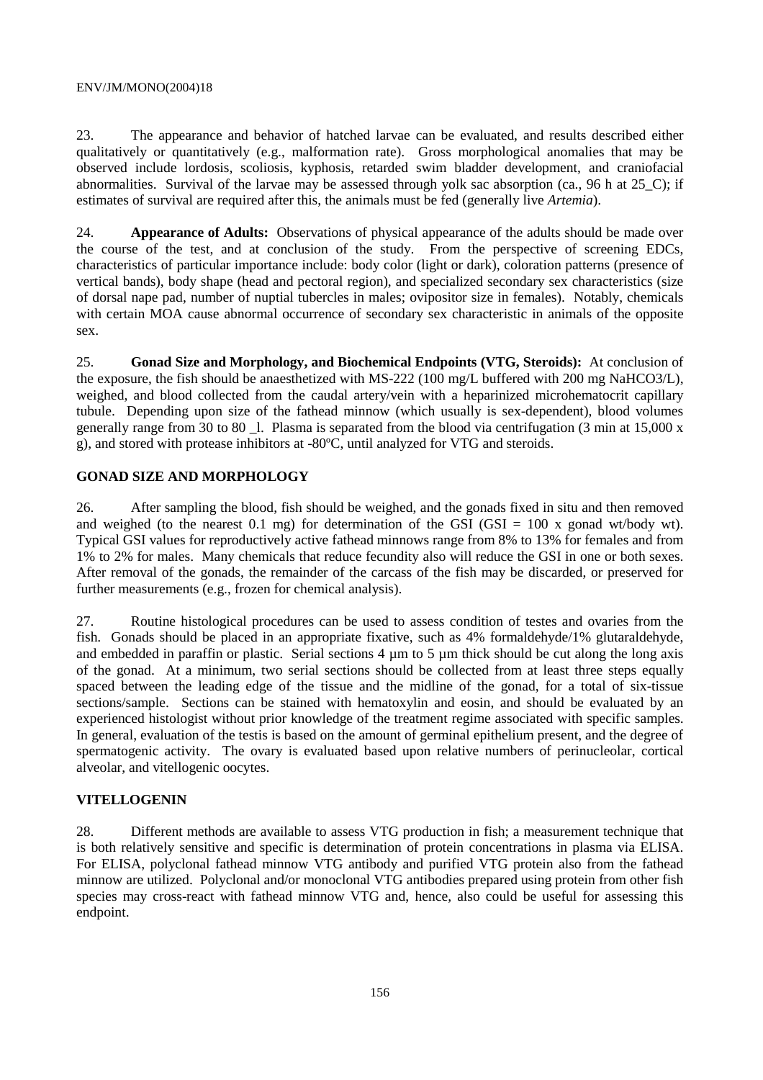#### ENV/JM/MONO(2004)18

23. The appearance and behavior of hatched larvae can be evaluated, and results described either qualitatively or quantitatively (e.g., malformation rate). Gross morphological anomalies that may be observed include lordosis, scoliosis, kyphosis, retarded swim bladder development, and craniofacial abnormalities. Survival of the larvae may be assessed through yolk sac absorption (ca., 96 h at 25\_C); if estimates of survival are required after this, the animals must be fed (generally live *Artemia*).

24. **Appearance of Adults:** Observations of physical appearance of the adults should be made over the course of the test, and at conclusion of the study. From the perspective of screening EDCs, characteristics of particular importance include: body color (light or dark), coloration patterns (presence of vertical bands), body shape (head and pectoral region), and specialized secondary sex characteristics (size of dorsal nape pad, number of nuptial tubercles in males; ovipositor size in females). Notably, chemicals with certain MOA cause abnormal occurrence of secondary sex characteristic in animals of the opposite sex.

25. **Gonad Size and Morphology, and Biochemical Endpoints (VTG, Steroids):** At conclusion of the exposure, the fish should be anaesthetized with MS-222 (100 mg/L buffered with 200 mg NaHCO3/L), weighed, and blood collected from the caudal artery/vein with a heparinized microhematocrit capillary tubule. Depending upon size of the fathead minnow (which usually is sex-dependent), blood volumes generally range from 30 to 80  $\,$  l. Plasma is separated from the blood via centrifugation (3 min at 15,000 x g), and stored with protease inhibitors at -80ºC, until analyzed for VTG and steroids.

# **GONAD SIZE AND MORPHOLOGY**

26. After sampling the blood, fish should be weighed, and the gonads fixed in situ and then removed and weighed (to the nearest 0.1 mg) for determination of the GSI (GSI = 100 x gonad wt/body wt). Typical GSI values for reproductively active fathead minnows range from 8% to 13% for females and from 1% to 2% for males. Many chemicals that reduce fecundity also will reduce the GSI in one or both sexes. After removal of the gonads, the remainder of the carcass of the fish may be discarded, or preserved for further measurements (e.g., frozen for chemical analysis).

27. Routine histological procedures can be used to assess condition of testes and ovaries from the fish. Gonads should be placed in an appropriate fixative, such as 4% formaldehyde/1% glutaraldehyde, and embedded in paraffin or plastic. Serial sections 4  $\mu$ m to 5  $\mu$ m thick should be cut along the long axis of the gonad. At a minimum, two serial sections should be collected from at least three steps equally spaced between the leading edge of the tissue and the midline of the gonad, for a total of six-tissue sections/sample. Sections can be stained with hematoxylin and eosin, and should be evaluated by an experienced histologist without prior knowledge of the treatment regime associated with specific samples. In general, evaluation of the testis is based on the amount of germinal epithelium present, and the degree of spermatogenic activity. The ovary is evaluated based upon relative numbers of perinucleolar, cortical alveolar, and vitellogenic oocytes.

# **VITELLOGENIN**

28. Different methods are available to assess VTG production in fish; a measurement technique that is both relatively sensitive and specific is determination of protein concentrations in plasma via ELISA. For ELISA, polyclonal fathead minnow VTG antibody and purified VTG protein also from the fathead minnow are utilized. Polyclonal and/or monoclonal VTG antibodies prepared using protein from other fish species may cross-react with fathead minnow VTG and, hence, also could be useful for assessing this endpoint.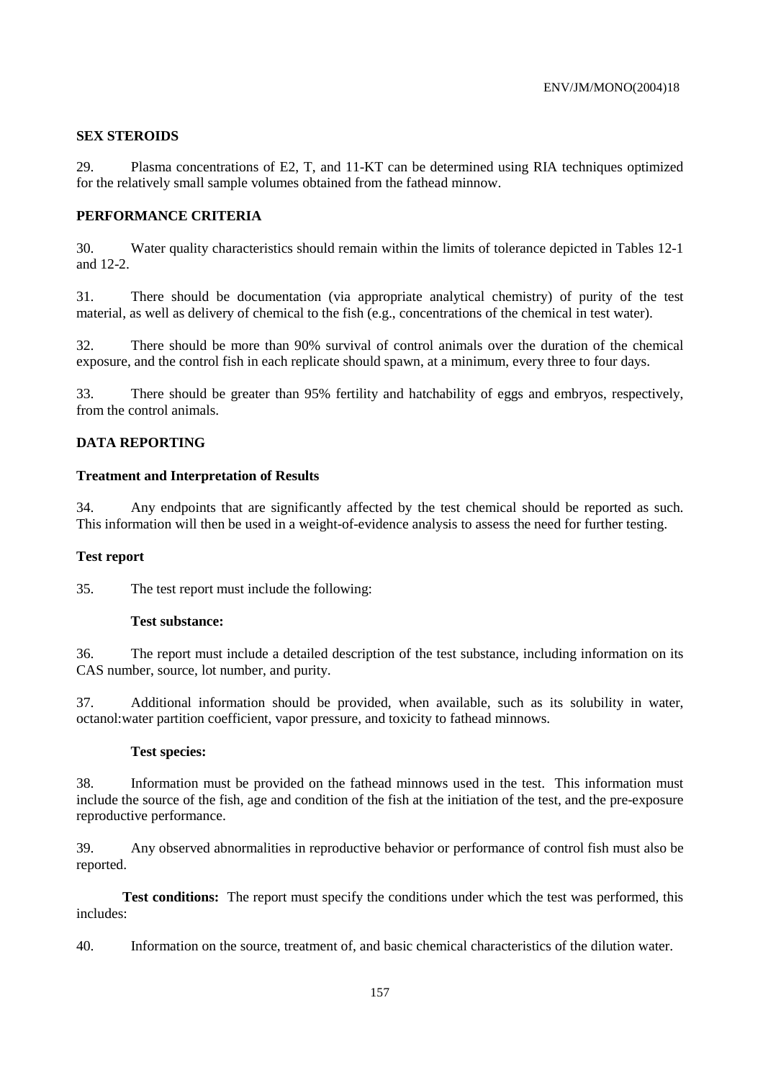## **SEX STEROIDS**

29. Plasma concentrations of E2, T, and 11-KT can be determined using RIA techniques optimized for the relatively small sample volumes obtained from the fathead minnow.

## **PERFORMANCE CRITERIA**

30. Water quality characteristics should remain within the limits of tolerance depicted in Tables 12-1 and 12-2.

31. There should be documentation (via appropriate analytical chemistry) of purity of the test material, as well as delivery of chemical to the fish (e.g., concentrations of the chemical in test water).

32. There should be more than 90% survival of control animals over the duration of the chemical exposure, and the control fish in each replicate should spawn, at a minimum, every three to four days.

33. There should be greater than 95% fertility and hatchability of eggs and embryos, respectively, from the control animals.

## **DATA REPORTING**

## **Treatment and Interpretation of Results**

34. Any endpoints that are significantly affected by the test chemical should be reported as such. This information will then be used in a weight-of-evidence analysis to assess the need for further testing.

## **Test report**

35. The test report must include the following:

#### **Test substance:**

36. The report must include a detailed description of the test substance, including information on its CAS number, source, lot number, and purity.

37. Additional information should be provided, when available, such as its solubility in water, octanol:water partition coefficient, vapor pressure, and toxicity to fathead minnows.

#### **Test species:**

38. Information must be provided on the fathead minnows used in the test. This information must include the source of the fish, age and condition of the fish at the initiation of the test, and the pre-exposure reproductive performance.

39. Any observed abnormalities in reproductive behavior or performance of control fish must also be reported.

 **Test conditions:** The report must specify the conditions under which the test was performed, this includes:

40. Information on the source, treatment of, and basic chemical characteristics of the dilution water.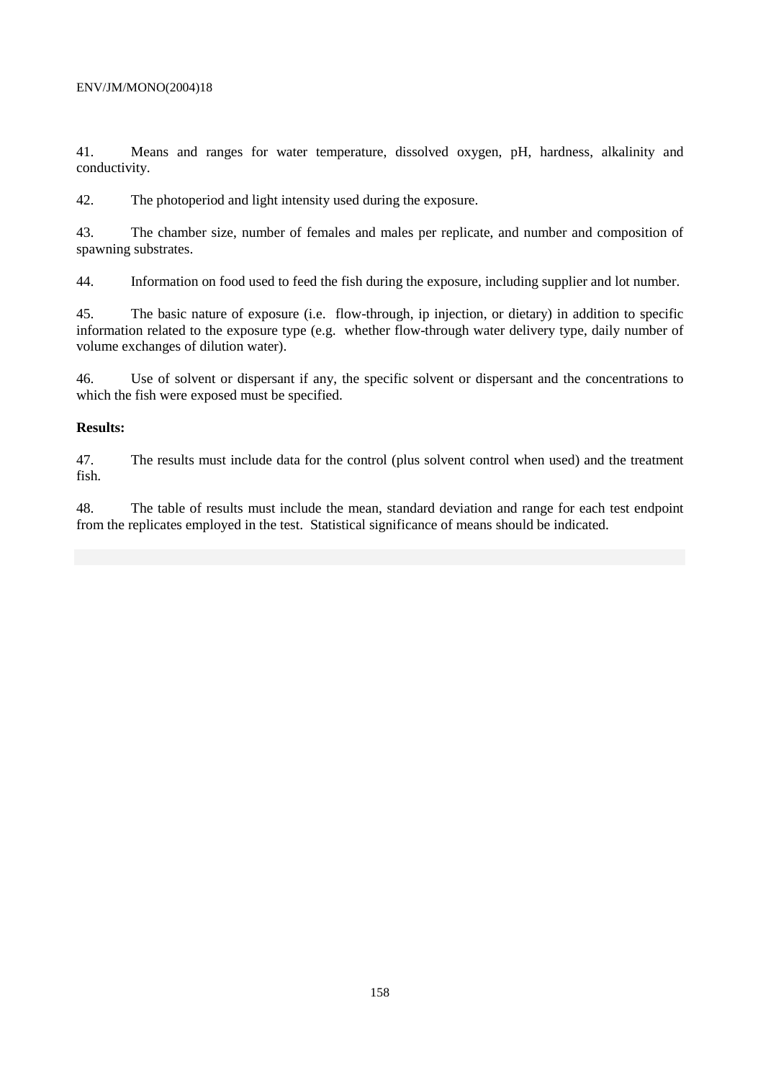41. Means and ranges for water temperature, dissolved oxygen, pH, hardness, alkalinity and conductivity.

42. The photoperiod and light intensity used during the exposure.

43. The chamber size, number of females and males per replicate, and number and composition of spawning substrates.

44. Information on food used to feed the fish during the exposure, including supplier and lot number.

45. The basic nature of exposure (i.e. flow-through, ip injection, or dietary) in addition to specific information related to the exposure type (e.g. whether flow-through water delivery type, daily number of volume exchanges of dilution water).

46. Use of solvent or dispersant if any, the specific solvent or dispersant and the concentrations to which the fish were exposed must be specified.

## **Results:**

47. The results must include data for the control (plus solvent control when used) and the treatment fish.

48. The table of results must include the mean, standard deviation and range for each test endpoint from the replicates employed in the test. Statistical significance of means should be indicated.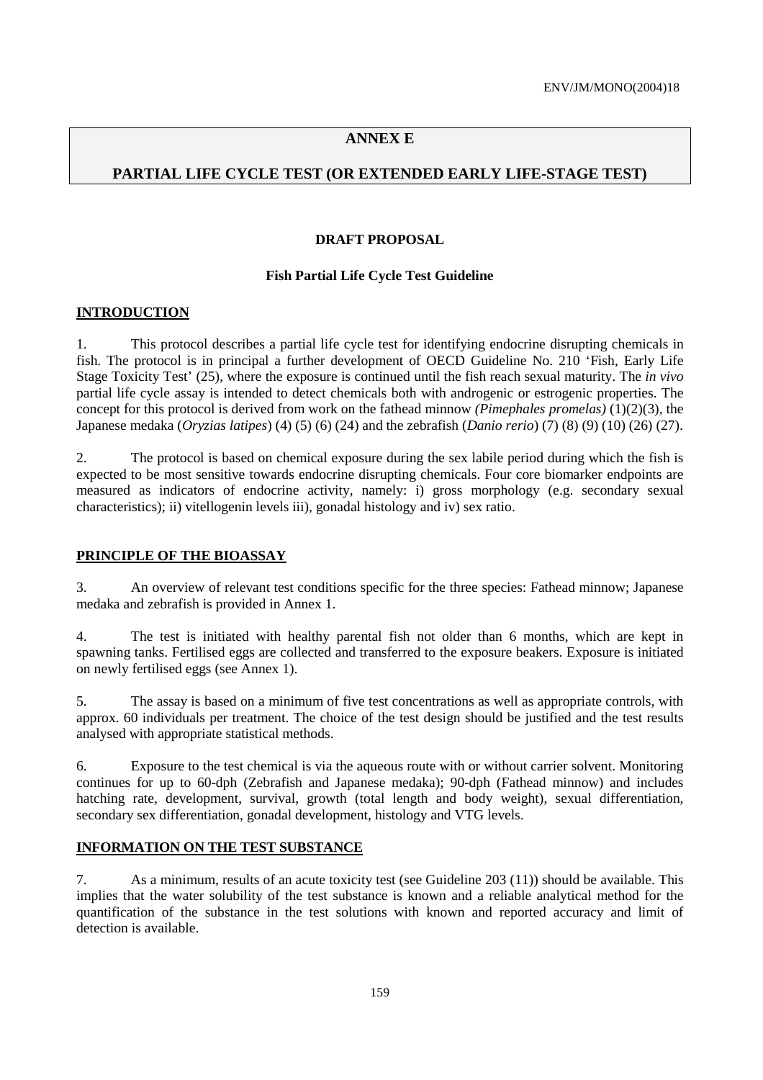# **ANNEX E**

# **PARTIAL LIFE CYCLE TEST (OR EXTENDED EARLY LIFE-STAGE TEST)**

## **DRAFT PROPOSAL**

## **Fish Partial Life Cycle Test Guideline**

## **INTRODUCTION**

1. This protocol describes a partial life cycle test for identifying endocrine disrupting chemicals in fish. The protocol is in principal a further development of OECD Guideline No. 210 'Fish, Early Life Stage Toxicity Test' (25), where the exposure is continued until the fish reach sexual maturity. The *in vivo* partial life cycle assay is intended to detect chemicals both with androgenic or estrogenic properties. The concept for this protocol is derived from work on the fathead minnow *(Pimephales promelas)* (1)(2)(3), the Japanese medaka (*Oryzias latipes*) (4) (5) (6) (24) and the zebrafish (*Danio rerio*) (7) (8) (9) (10) (26) (27).

2. The protocol is based on chemical exposure during the sex labile period during which the fish is expected to be most sensitive towards endocrine disrupting chemicals. Four core biomarker endpoints are measured as indicators of endocrine activity, namely: i) gross morphology (e.g. secondary sexual characteristics); ii) vitellogenin levels iii), gonadal histology and iv) sex ratio.

## **PRINCIPLE OF THE BIOASSAY**

3. An overview of relevant test conditions specific for the three species: Fathead minnow; Japanese medaka and zebrafish is provided in Annex 1.

4. The test is initiated with healthy parental fish not older than 6 months, which are kept in spawning tanks. Fertilised eggs are collected and transferred to the exposure beakers. Exposure is initiated on newly fertilised eggs (see Annex 1).

5. The assay is based on a minimum of five test concentrations as well as appropriate controls, with approx. 60 individuals per treatment. The choice of the test design should be justified and the test results analysed with appropriate statistical methods.

6. Exposure to the test chemical is via the aqueous route with or without carrier solvent. Monitoring continues for up to 60-dph (Zebrafish and Japanese medaka); 90-dph (Fathead minnow) and includes hatching rate, development, survival, growth (total length and body weight), sexual differentiation, secondary sex differentiation, gonadal development, histology and VTG levels.

# **INFORMATION ON THE TEST SUBSTANCE**

7. As a minimum, results of an acute toxicity test (see Guideline 203 (11)) should be available. This implies that the water solubility of the test substance is known and a reliable analytical method for the quantification of the substance in the test solutions with known and reported accuracy and limit of detection is available.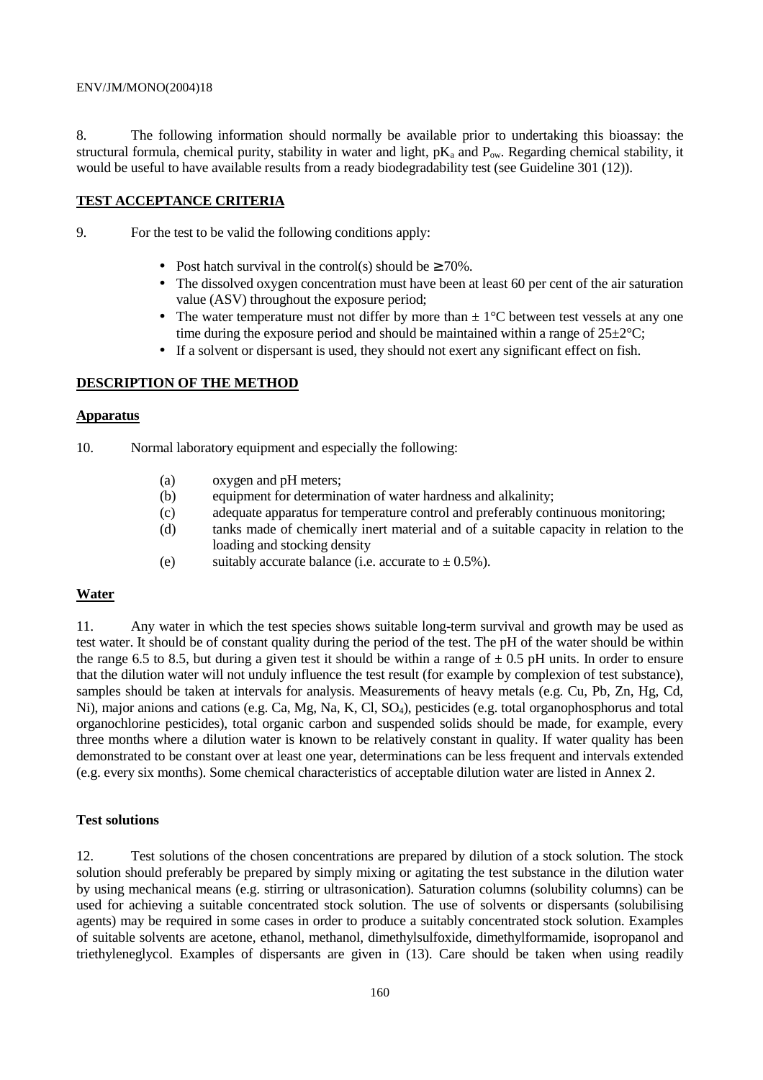#### ENV/JM/MONO(2004)18

8. The following information should normally be available prior to undertaking this bioassay: the structural formula, chemical purity, stability in water and light,  $pK_a$  and  $P_{ow}$ . Regarding chemical stability, it would be useful to have available results from a ready biodegradability test (see Guideline 301 (12)).

## **TEST ACCEPTANCE CRITERIA**

- 9. For the test to be valid the following conditions apply:
	- Post hatch survival in the control(s) should be  $\geq 70\%$ .
	- The dissolved oxygen concentration must have been at least 60 per cent of the air saturation value (ASV) throughout the exposure period;
	- The water temperature must not differ by more than  $\pm 1^{\circ}$ C between test vessels at any one time during the exposure period and should be maintained within a range of  $25\pm2\degree C$ ;
	- If a solvent or dispersant is used, they should not exert any significant effect on fish.

## **DESCRIPTION OF THE METHOD**

### **Apparatus**

- 10. Normal laboratory equipment and especially the following:
	- (a) oxygen and pH meters;
	- (b) equipment for determination of water hardness and alkalinity;
	- (c) adequate apparatus for temperature control and preferably continuous monitoring;
	- (d) tanks made of chemically inert material and of a suitable capacity in relation to the loading and stocking density
	- (e) suitably accurate balance (i.e. accurate to  $\pm$  0.5%).

## **Water**

11. Any water in which the test species shows suitable long-term survival and growth may be used as test water. It should be of constant quality during the period of the test. The pH of the water should be within the range 6.5 to 8.5, but during a given test it should be within a range of  $\pm$  0.5 pH units. In order to ensure that the dilution water will not unduly influence the test result (for example by complexion of test substance), samples should be taken at intervals for analysis. Measurements of heavy metals (e.g. Cu, Pb, Zn, Hg, Cd, Ni), major anions and cations (e.g. Ca, Mg, Na, K, Cl, SO4), pesticides (e.g. total organophosphorus and total organochlorine pesticides), total organic carbon and suspended solids should be made, for example, every three months where a dilution water is known to be relatively constant in quality. If water quality has been demonstrated to be constant over at least one year, determinations can be less frequent and intervals extended (e.g. every six months). Some chemical characteristics of acceptable dilution water are listed in Annex 2.

## **Test solutions**

12. Test solutions of the chosen concentrations are prepared by dilution of a stock solution. The stock solution should preferably be prepared by simply mixing or agitating the test substance in the dilution water by using mechanical means (e.g. stirring or ultrasonication). Saturation columns (solubility columns) can be used for achieving a suitable concentrated stock solution. The use of solvents or dispersants (solubilising agents) may be required in some cases in order to produce a suitably concentrated stock solution. Examples of suitable solvents are acetone, ethanol, methanol, dimethylsulfoxide, dimethylformamide, isopropanol and triethyleneglycol. Examples of dispersants are given in (13). Care should be taken when using readily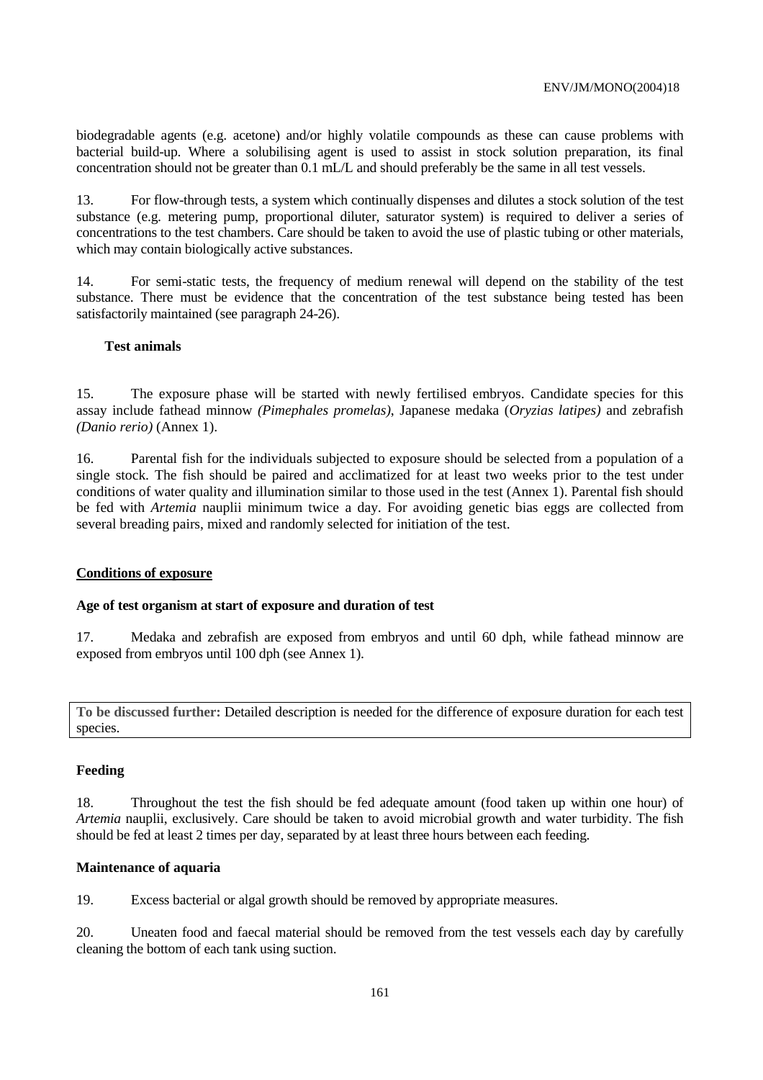biodegradable agents (e.g. acetone) and/or highly volatile compounds as these can cause problems with bacterial build-up. Where a solubilising agent is used to assist in stock solution preparation, its final concentration should not be greater than 0.1 mL/L and should preferably be the same in all test vessels.

13. For flow-through tests, a system which continually dispenses and dilutes a stock solution of the test substance (e.g. metering pump, proportional diluter, saturator system) is required to deliver a series of concentrations to the test chambers. Care should be taken to avoid the use of plastic tubing or other materials, which may contain biologically active substances.

14. For semi-static tests, the frequency of medium renewal will depend on the stability of the test substance. There must be evidence that the concentration of the test substance being tested has been satisfactorily maintained (see paragraph 24-26).

## **Test animals**

15. The exposure phase will be started with newly fertilised embryos. Candidate species for this assay include fathead minnow *(Pimephales promelas)*, Japanese medaka (*Oryzias latipes)* and zebrafish *(Danio rerio)* (Annex 1).

16. Parental fish for the individuals subjected to exposure should be selected from a population of a single stock. The fish should be paired and acclimatized for at least two weeks prior to the test under conditions of water quality and illumination similar to those used in the test (Annex 1). Parental fish should be fed with *Artemia* nauplii minimum twice a day. For avoiding genetic bias eggs are collected from several breading pairs, mixed and randomly selected for initiation of the test.

#### **Conditions of exposure**

#### **Age of test organism at start of exposure and duration of test**

17. Medaka and zebrafish are exposed from embryos and until 60 dph, while fathead minnow are exposed from embryos until 100 dph (see Annex 1).

**To be discussed further:** Detailed description is needed for the difference of exposure duration for each test species.

#### **Feeding**

18. Throughout the test the fish should be fed adequate amount (food taken up within one hour) of *Artemia* nauplii, exclusively. Care should be taken to avoid microbial growth and water turbidity. The fish should be fed at least 2 times per day, separated by at least three hours between each feeding.

#### **Maintenance of aquaria**

19. Excess bacterial or algal growth should be removed by appropriate measures.

20. Uneaten food and faecal material should be removed from the test vessels each day by carefully cleaning the bottom of each tank using suction.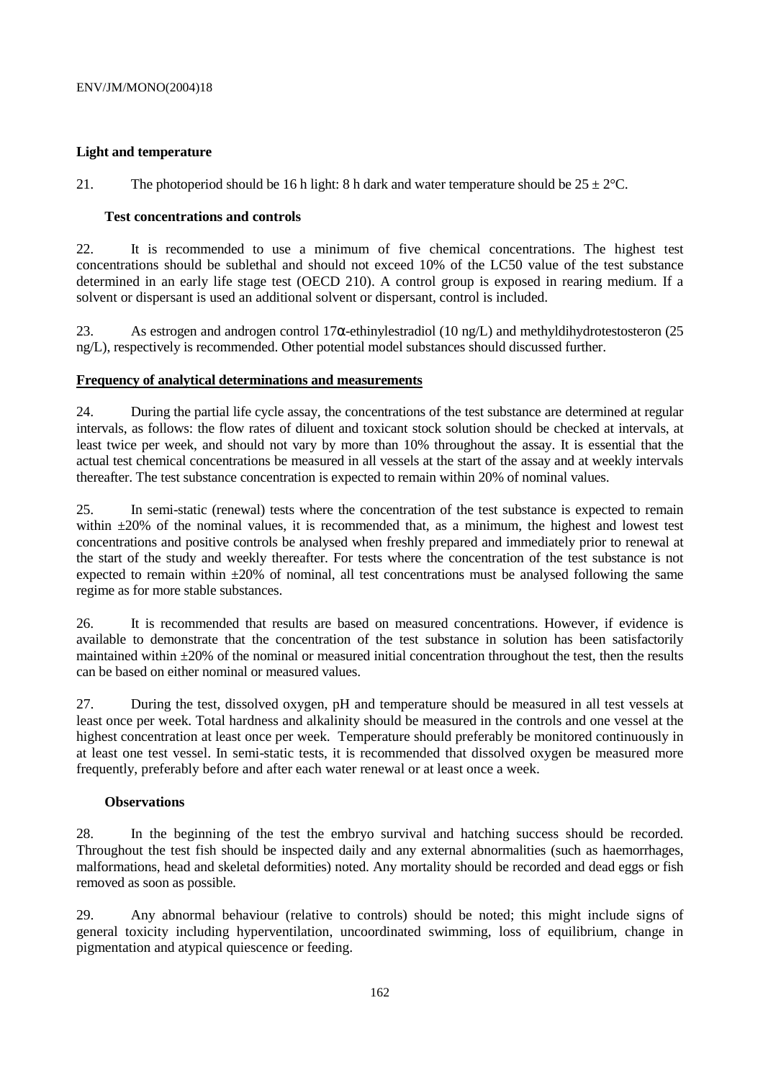## **Light and temperature**

21. The photoperiod should be 16 h light: 8 h dark and water temperature should be  $25 \pm 2^{\circ}$ C.

## **Test concentrations and controls**

22. It is recommended to use a minimum of five chemical concentrations. The highest test concentrations should be sublethal and should not exceed 10% of the LC50 value of the test substance determined in an early life stage test (OECD 210). A control group is exposed in rearing medium. If a solvent or dispersant is used an additional solvent or dispersant, control is included.

23. As estrogen and androgen control 17α-ethinylestradiol (10 ng/L) and methyldihydrotestosteron (25 ng/L), respectively is recommended. Other potential model substances should discussed further.

## **Frequency of analytical determinations and measurements**

24. During the partial life cycle assay, the concentrations of the test substance are determined at regular intervals, as follows: the flow rates of diluent and toxicant stock solution should be checked at intervals, at least twice per week, and should not vary by more than 10% throughout the assay. It is essential that the actual test chemical concentrations be measured in all vessels at the start of the assay and at weekly intervals thereafter. The test substance concentration is expected to remain within 20% of nominal values.

25. In semi-static (renewal) tests where the concentration of the test substance is expected to remain within  $\pm 20\%$  of the nominal values, it is recommended that, as a minimum, the highest and lowest test concentrations and positive controls be analysed when freshly prepared and immediately prior to renewal at the start of the study and weekly thereafter. For tests where the concentration of the test substance is not expected to remain within  $\pm 20\%$  of nominal, all test concentrations must be analysed following the same regime as for more stable substances.

26. It is recommended that results are based on measured concentrations. However, if evidence is available to demonstrate that the concentration of the test substance in solution has been satisfactorily maintained within ±20% of the nominal or measured initial concentration throughout the test, then the results can be based on either nominal or measured values.

27. During the test, dissolved oxygen, pH and temperature should be measured in all test vessels at least once per week. Total hardness and alkalinity should be measured in the controls and one vessel at the highest concentration at least once per week. Temperature should preferably be monitored continuously in at least one test vessel. In semi-static tests, it is recommended that dissolved oxygen be measured more frequently, preferably before and after each water renewal or at least once a week.

# **Observations**

28. In the beginning of the test the embryo survival and hatching success should be recorded. Throughout the test fish should be inspected daily and any external abnormalities (such as haemorrhages, malformations, head and skeletal deformities) noted. Any mortality should be recorded and dead eggs or fish removed as soon as possible.

29. Any abnormal behaviour (relative to controls) should be noted; this might include signs of general toxicity including hyperventilation, uncoordinated swimming, loss of equilibrium, change in pigmentation and atypical quiescence or feeding.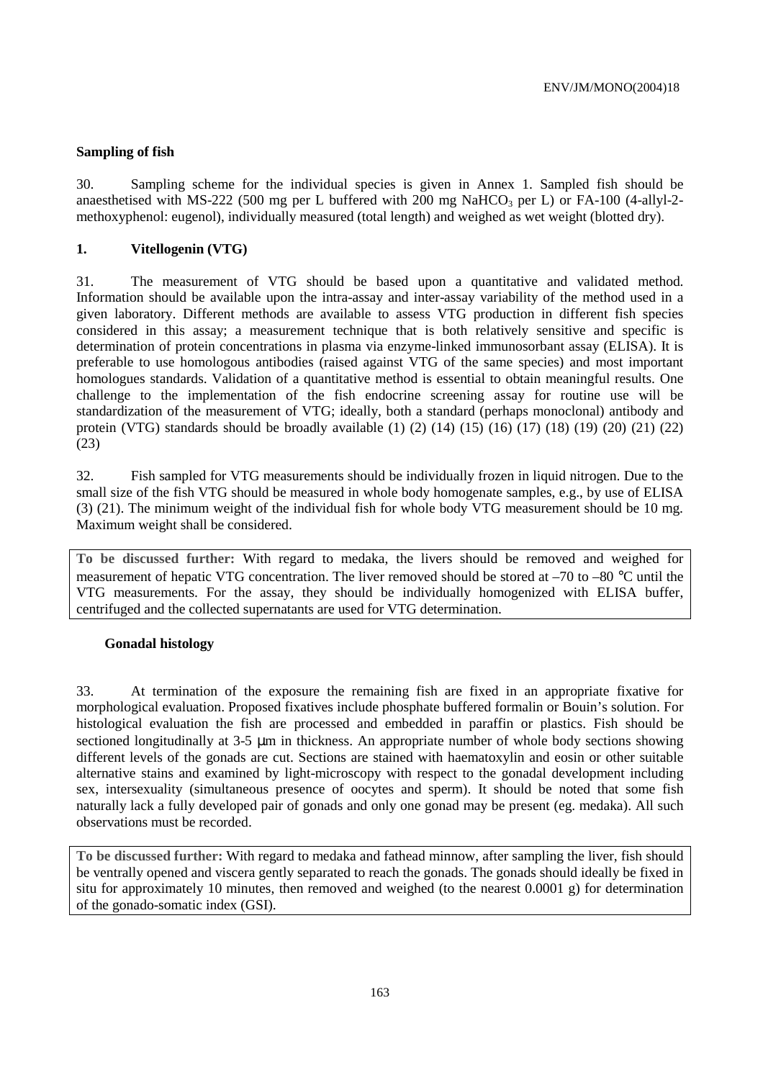## **Sampling of fish**

30. Sampling scheme for the individual species is given in Annex 1. Sampled fish should be anaesthetised with MS-222 (500 mg per L buffered with 200 mg NaHCO<sub>3</sub> per L) or FA-100 (4-allyl-2methoxyphenol: eugenol), individually measured (total length) and weighed as wet weight (blotted dry).

## **1. Vitellogenin (VTG)**

31. The measurement of VTG should be based upon a quantitative and validated method. Information should be available upon the intra-assay and inter-assay variability of the method used in a given laboratory. Different methods are available to assess VTG production in different fish species considered in this assay; a measurement technique that is both relatively sensitive and specific is determination of protein concentrations in plasma via enzyme-linked immunosorbant assay (ELISA). It is preferable to use homologous antibodies (raised against VTG of the same species) and most important homologues standards. Validation of a quantitative method is essential to obtain meaningful results. One challenge to the implementation of the fish endocrine screening assay for routine use will be standardization of the measurement of VTG; ideally, both a standard (perhaps monoclonal) antibody and protein (VTG) standards should be broadly available (1) (2) (14) (15) (16) (17) (18) (19) (20) (21) (22) (23)

32. Fish sampled for VTG measurements should be individually frozen in liquid nitrogen. Due to the small size of the fish VTG should be measured in whole body homogenate samples, e.g., by use of ELISA (3) (21). The minimum weight of the individual fish for whole body VTG measurement should be 10 mg. Maximum weight shall be considered.

**To be discussed further:** With regard to medaka, the livers should be removed and weighed for measurement of hepatic VTG concentration. The liver removed should be stored at –70 to –80 °C until the VTG measurements. For the assay, they should be individually homogenized with ELISA buffer, centrifuged and the collected supernatants are used for VTG determination.

## **Gonadal histology**

33. At termination of the exposure the remaining fish are fixed in an appropriate fixative for morphological evaluation. Proposed fixatives include phosphate buffered formalin or Bouin's solution. For histological evaluation the fish are processed and embedded in paraffin or plastics. Fish should be sectioned longitudinally at 3-5  $\mu$ m in thickness. An appropriate number of whole body sections showing different levels of the gonads are cut. Sections are stained with haematoxylin and eosin or other suitable alternative stains and examined by light-microscopy with respect to the gonadal development including sex, intersexuality (simultaneous presence of oocytes and sperm). It should be noted that some fish naturally lack a fully developed pair of gonads and only one gonad may be present (eg. medaka). All such observations must be recorded.

**To be discussed further:** With regard to medaka and fathead minnow, after sampling the liver, fish should be ventrally opened and viscera gently separated to reach the gonads. The gonads should ideally be fixed in situ for approximately 10 minutes, then removed and weighed (to the nearest 0.0001 g) for determination of the gonado-somatic index (GSI).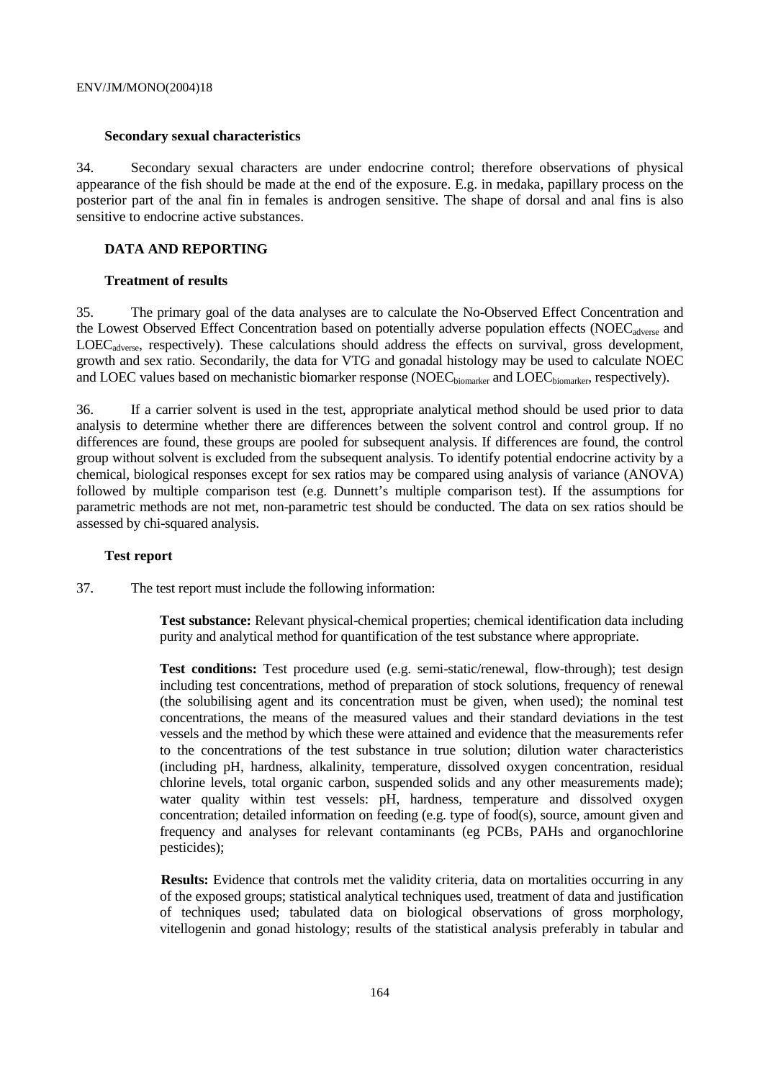#### **Secondary sexual characteristics**

34. Secondary sexual characters are under endocrine control; therefore observations of physical appearance of the fish should be made at the end of the exposure. E.g. in medaka, papillary process on the posterior part of the anal fin in females is androgen sensitive. The shape of dorsal and anal fins is also sensitive to endocrine active substances.

## **DATA AND REPORTING**

#### **Treatment of results**

35. The primary goal of the data analyses are to calculate the No-Observed Effect Concentration and the Lowest Observed Effect Concentration based on potentially adverse population effects (NOEC<sub>adverse</sub> and LOECadverse, respectively). These calculations should address the effects on survival, gross development, growth and sex ratio. Secondarily, the data for VTG and gonadal histology may be used to calculate NOEC and LOEC values based on mechanistic biomarker response (NOEC<sub>biomarker</sub> and LOEC<sub>biomarker</sub>, respectively).

36. If a carrier solvent is used in the test, appropriate analytical method should be used prior to data analysis to determine whether there are differences between the solvent control and control group. If no differences are found, these groups are pooled for subsequent analysis. If differences are found, the control group without solvent is excluded from the subsequent analysis. To identify potential endocrine activity by a chemical, biological responses except for sex ratios may be compared using analysis of variance (ANOVA) followed by multiple comparison test (e.g. Dunnett's multiple comparison test). If the assumptions for parametric methods are not met, non-parametric test should be conducted. The data on sex ratios should be assessed by chi-squared analysis.

#### **Test report**

37. The test report must include the following information:

**Test substance:** Relevant physical-chemical properties; chemical identification data including purity and analytical method for quantification of the test substance where appropriate.

**Test conditions:** Test procedure used (e.g. semi-static/renewal, flow-through); test design including test concentrations, method of preparation of stock solutions, frequency of renewal (the solubilising agent and its concentration must be given, when used); the nominal test concentrations, the means of the measured values and their standard deviations in the test vessels and the method by which these were attained and evidence that the measurements refer to the concentrations of the test substance in true solution; dilution water characteristics (including pH, hardness, alkalinity, temperature, dissolved oxygen concentration, residual chlorine levels, total organic carbon, suspended solids and any other measurements made); water quality within test vessels: pH, hardness, temperature and dissolved oxygen concentration; detailed information on feeding (e.g. type of food(s), source, amount given and frequency and analyses for relevant contaminants (eg PCBs, PAHs and organochlorine pesticides);

**Results:** Evidence that controls met the validity criteria, data on mortalities occurring in any of the exposed groups; statistical analytical techniques used, treatment of data and justification of techniques used; tabulated data on biological observations of gross morphology, vitellogenin and gonad histology; results of the statistical analysis preferably in tabular and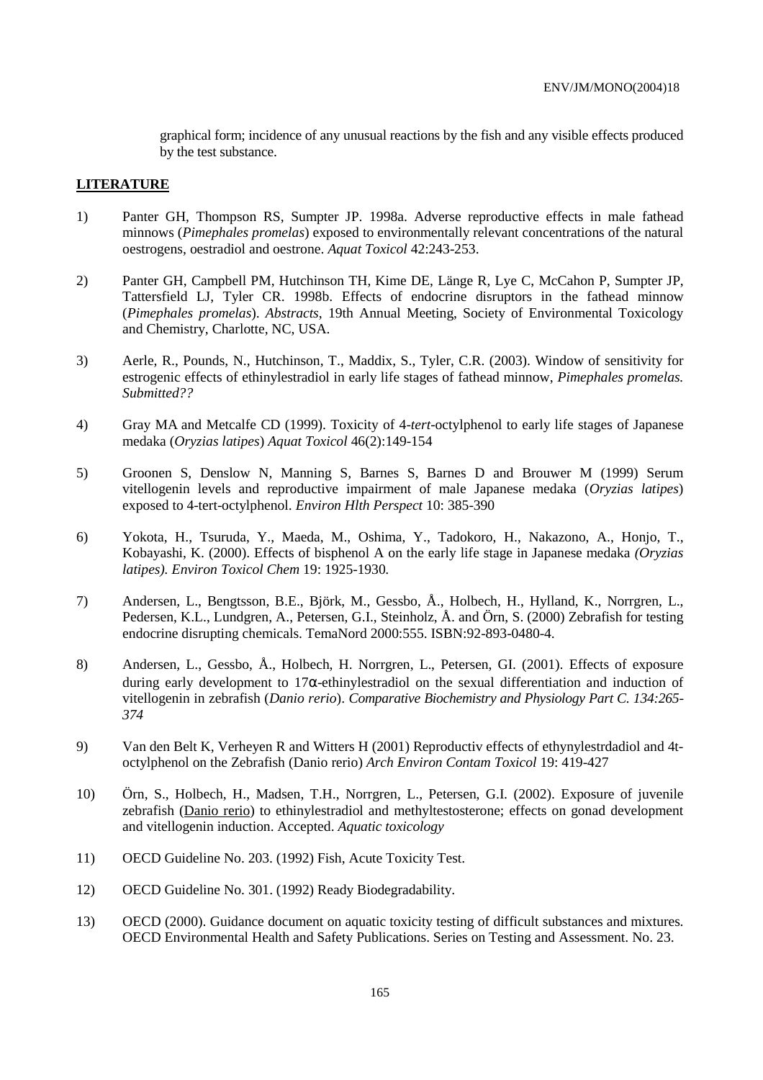graphical form; incidence of any unusual reactions by the fish and any visible effects produced by the test substance.

#### **LITERATURE**

- 1) Panter GH, Thompson RS, Sumpter JP. 1998a. Adverse reproductive effects in male fathead minnows (*Pimephales promelas*) exposed to environmentally relevant concentrations of the natural oestrogens, oestradiol and oestrone. *Aquat Toxicol* 42:243-253.
- 2) Panter GH, Campbell PM, Hutchinson TH, Kime DE, Länge R, Lye C, McCahon P, Sumpter JP, Tattersfield LJ, Tyler CR. 1998b. Effects of endocrine disruptors in the fathead minnow (*Pimephales promelas*). *Abstracts*, 19th Annual Meeting, Society of Environmental Toxicology and Chemistry, Charlotte, NC, USA.
- 3) Aerle, R., Pounds, N., Hutchinson, T., Maddix, S., Tyler, C.R. (2003). Window of sensitivity for estrogenic effects of ethinylestradiol in early life stages of fathead minnow, *Pimephales promelas. Submitted??*
- 4) Gray MA and Metcalfe CD (1999). Toxicity of 4-*tert*-octylphenol to early life stages of Japanese medaka (*Oryzias latipes*) *Aquat Toxicol* 46(2):149-154
- 5) Groonen S, Denslow N, Manning S, Barnes S, Barnes D and Brouwer M (1999) Serum vitellogenin levels and reproductive impairment of male Japanese medaka (*Oryzias latipes*) exposed to 4-tert-octylphenol. *Environ Hlth Perspect* 10: 385-390
- 6) Yokota, H., Tsuruda, Y., Maeda, M., Oshima, Y., Tadokoro, H., Nakazono, A., Honjo, T., Kobayashi, K. (2000). Effects of bisphenol A on the early life stage in Japanese medaka *(Oryzias latipes). Environ Toxicol Chem* 19: 1925-1930*.*
- 7) Andersen, L., Bengtsson, B.E., Björk, M., Gessbo, Å., Holbech, H., Hylland, K., Norrgren, L., Pedersen, K.L., Lundgren, A., Petersen, G.I., Steinholz, Å. and Örn, S. (2000) Zebrafish for testing endocrine disrupting chemicals. TemaNord 2000:555. ISBN:92-893-0480-4.
- 8) Andersen, L., Gessbo, Å., Holbech, H. Norrgren, L., Petersen, GI. (2001). Effects of exposure during early development to 17α-ethinylestradiol on the sexual differentiation and induction of vitellogenin in zebrafish (*Danio rerio*). *Comparative Biochemistry and Physiology Part C. 134:265- 374*
- 9) Van den Belt K, Verheyen R and Witters H (2001) Reproductiv effects of ethynylestrdadiol and 4toctylphenol on the Zebrafish (Danio rerio) *Arch Environ Contam Toxicol* 19: 419-427
- 10) Örn, S., Holbech, H., Madsen, T.H., Norrgren, L., Petersen, G.I. (2002). Exposure of juvenile zebrafish (Danio rerio) to ethinylestradiol and methyltestosterone; effects on gonad development and vitellogenin induction. Accepted. *Aquatic toxicology*
- 11) OECD Guideline No. 203. (1992) Fish, Acute Toxicity Test.
- 12) OECD Guideline No. 301. (1992) Ready Biodegradability.
- 13) OECD (2000). Guidance document on aquatic toxicity testing of difficult substances and mixtures. OECD Environmental Health and Safety Publications. Series on Testing and Assessment. No. 23.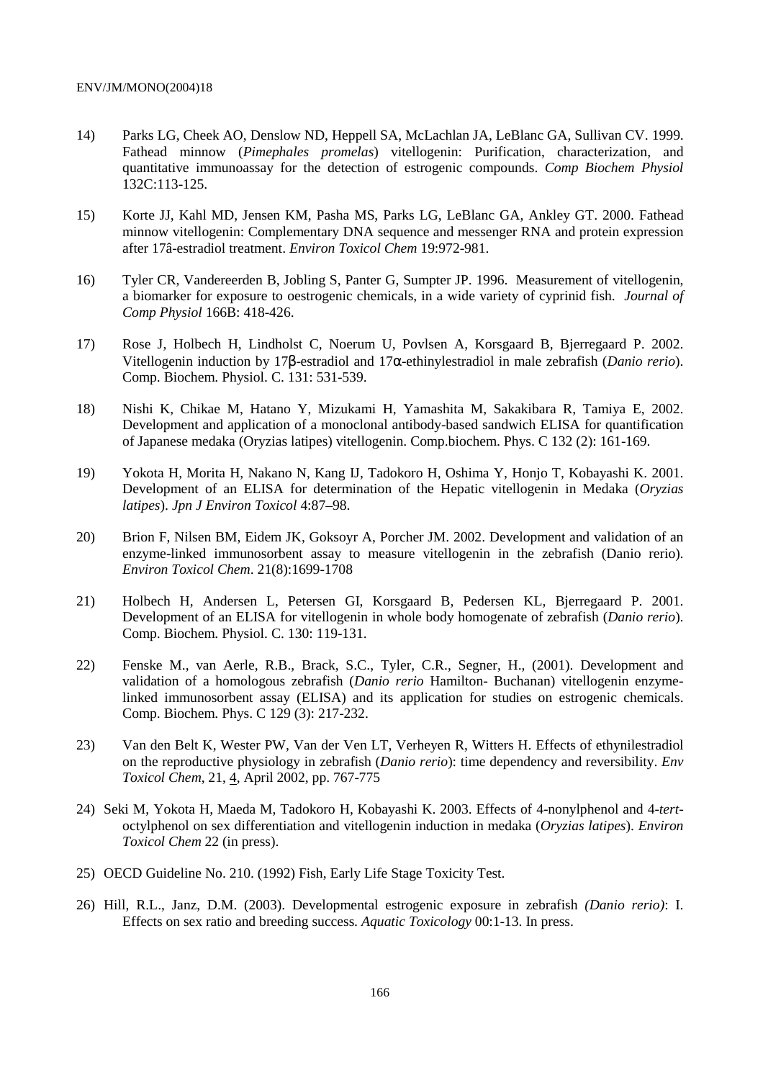- 14) Parks LG, Cheek AO, Denslow ND, Heppell SA, McLachlan JA, LeBlanc GA, Sullivan CV. 1999. Fathead minnow (*Pimephales promelas*) vitellogenin: Purification, characterization, and quantitative immunoassay for the detection of estrogenic compounds. *Comp Biochem Physiol* 132C:113-125.
- 15) Korte JJ, Kahl MD, Jensen KM, Pasha MS, Parks LG, LeBlanc GA, Ankley GT. 2000. Fathead minnow vitellogenin: Complementary DNA sequence and messenger RNA and protein expression after 17â-estradiol treatment. *Environ Toxicol Chem* 19:972-981.
- 16) Tyler CR, Vandereerden B, Jobling S, Panter G, Sumpter JP. 1996. Measurement of vitellogenin, a biomarker for exposure to oestrogenic chemicals, in a wide variety of cyprinid fish. *Journal of Comp Physiol* 166B: 418-426.
- 17) Rose J, Holbech H, Lindholst C, Noerum U, Povlsen A, Korsgaard B, Bjerregaard P. 2002. Vitellogenin induction by 17β-estradiol and 17α-ethinylestradiol in male zebrafish (*Danio rerio*). Comp. Biochem. Physiol. C. 131: 531-539.
- 18) Nishi K, Chikae M, Hatano Y, Mizukami H, Yamashita M, Sakakibara R, Tamiya E, 2002. Development and application of a monoclonal antibody-based sandwich ELISA for quantification of Japanese medaka (Oryzias latipes) vitellogenin. Comp.biochem. Phys. C 132 (2): 161-169.
- 19) Yokota H, Morita H, Nakano N, Kang IJ, Tadokoro H, Oshima Y, Honjo T, Kobayashi K. 2001. Development of an ELISA for determination of the Hepatic vitellogenin in Medaka (*Oryzias latipes*). *Jpn J Environ Toxicol* 4:87–98.
- 20) Brion F, Nilsen BM, Eidem JK, Goksoyr A, Porcher JM. 2002. Development and validation of an enzyme-linked immunosorbent assay to measure vitellogenin in the zebrafish (Danio rerio). *Environ Toxicol Chem*. 21(8):1699-1708
- 21) Holbech H, Andersen L, Petersen GI, Korsgaard B, Pedersen KL, Bjerregaard P. 2001. Development of an ELISA for vitellogenin in whole body homogenate of zebrafish (*Danio rerio*). Comp. Biochem. Physiol. C. 130: 119-131.
- 22) Fenske M., van Aerle, R.B., Brack, S.C., Tyler, C.R., Segner, H., (2001). Development and validation of a homologous zebrafish (*Danio rerio* Hamilton- Buchanan) vitellogenin enzymelinked immunosorbent assay (ELISA) and its application for studies on estrogenic chemicals. Comp. Biochem. Phys. C 129 (3): 217-232.
- 23) Van den Belt K, Wester PW, Van der Ven LT, Verheyen R, Witters H. Effects of ethynilestradiol on the reproductive physiology in zebrafish (*Danio rerio*): time dependency and reversibility. *Env Toxicol Chem*, 21, 4, April 2002, pp. 767-775
- 24) Seki M, Yokota H, Maeda M, Tadokoro H, Kobayashi K. 2003. Effects of 4-nonylphenol and 4-*tert*octylphenol on sex differentiation and vitellogenin induction in medaka (*Oryzias latipes*). *Environ Toxicol Chem* 22 (in press).
- 25) OECD Guideline No. 210. (1992) Fish, Early Life Stage Toxicity Test.
- 26) Hill, R.L., Janz, D.M. (2003). Developmental estrogenic exposure in zebrafish *(Danio rerio)*: I. Effects on sex ratio and breeding success. *Aquatic Toxicology* 00:1-13. In press.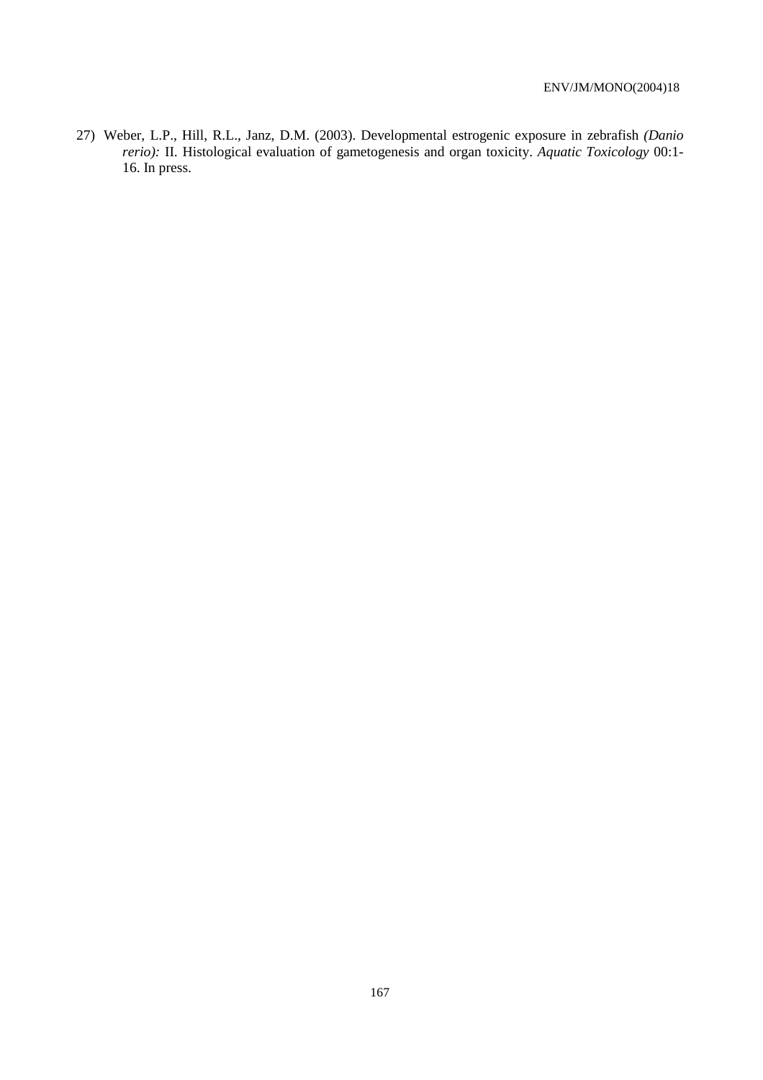27) Weber, L.P., Hill, R.L., Janz, D.M. (2003). Developmental estrogenic exposure in zebrafish *(Danio rerio):* II. Histological evaluation of gametogenesis and organ toxicity. *Aquatic Toxicology* 00:1- 16. In press.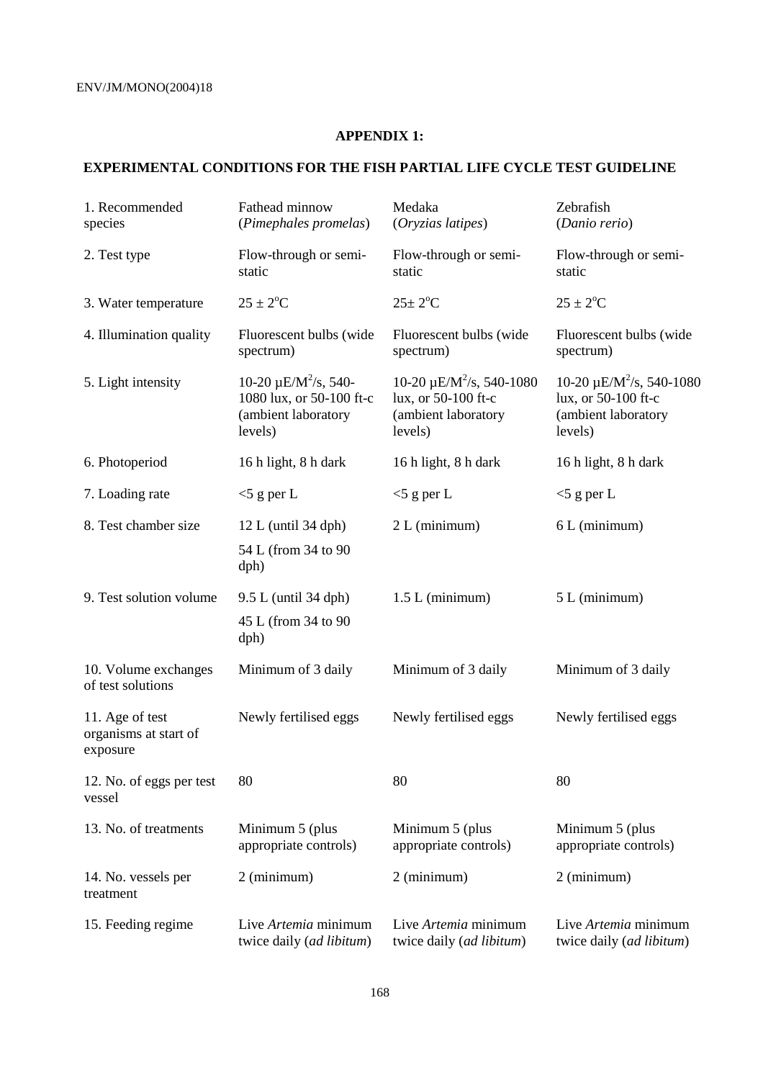# **APPENDIX 1:**

# **EXPERIMENTAL CONDITIONS FOR THE FISH PARTIAL LIFE CYCLE TEST GUIDELINE**

| 1. Recommended<br>species                            | Fathead minnow<br>(Pimephales promelas)                                                             | Medaka<br>(Oryzias latipes)                                                             | Zebrafish<br>(Danio rerio)                                                              |
|------------------------------------------------------|-----------------------------------------------------------------------------------------------------|-----------------------------------------------------------------------------------------|-----------------------------------------------------------------------------------------|
| 2. Test type                                         | Flow-through or semi-<br>static                                                                     | Flow-through or semi-<br>static                                                         | Flow-through or semi-<br>static                                                         |
| 3. Water temperature                                 | $25 \pm 2$ <sup>o</sup> C                                                                           | $25 \pm 2$ <sup>o</sup> C                                                               | $25 \pm 2^{\circ}$ C                                                                    |
| 4. Illumination quality                              | Fluorescent bulbs (wide<br>spectrum)                                                                | Fluorescent bulbs (wide<br>spectrum)                                                    | Fluorescent bulbs (wide<br>spectrum)                                                    |
| 5. Light intensity                                   | 10-20 $\mu$ E/M <sup>2</sup> /s, 540-<br>1080 lux, or 50-100 ft-c<br>(ambient laboratory<br>levels) | $10-20 \mu E/M^2/s$ , 540-1080<br>lux, or 50-100 ft-c<br>(ambient laboratory<br>levels) | $10-20 \mu E/M^2/s$ , 540-1080<br>lux, or 50-100 ft-c<br>(ambient laboratory<br>levels) |
| 6. Photoperiod                                       | 16 h light, 8 h dark                                                                                | 16 h light, 8 h dark                                                                    | 16 h light, 8 h dark                                                                    |
| 7. Loading rate                                      | $<$ 5 g per L                                                                                       | $<$ 5 g per L                                                                           | $<$ 5 g per L                                                                           |
| 8. Test chamber size                                 | $12 L$ (until 34 dph)                                                                               | 2 L (minimum)                                                                           | 6 L (minimum)                                                                           |
|                                                      | 54 L (from 34 to 90<br>dph)                                                                         |                                                                                         |                                                                                         |
| 9. Test solution volume                              | 9.5 L (until 34 dph)                                                                                | $1.5 L$ (minimum)                                                                       | 5 L (minimum)                                                                           |
|                                                      | 45 L (from 34 to 90<br>dph)                                                                         |                                                                                         |                                                                                         |
| 10. Volume exchanges<br>of test solutions            | Minimum of 3 daily                                                                                  | Minimum of 3 daily                                                                      | Minimum of 3 daily                                                                      |
| 11. Age of test<br>organisms at start of<br>exposure | Newly fertilised eggs                                                                               | Newly fertilised eggs                                                                   | Newly fertilised eggs                                                                   |
| 12. No. of eggs per test<br>vessel                   | 80                                                                                                  | 80                                                                                      | 80                                                                                      |
| 13. No. of treatments                                | Minimum 5 (plus<br>appropriate controls)                                                            | Minimum 5 (plus<br>appropriate controls)                                                | Minimum 5 (plus<br>appropriate controls)                                                |
| 14. No. vessels per<br>treatment                     | 2 (minimum)                                                                                         | 2 (minimum)                                                                             | 2 (minimum)                                                                             |
| 15. Feeding regime                                   | Live Artemia minimum<br>twice daily (ad libitum)                                                    | Live Artemia minimum<br>twice daily (ad libitum)                                        | Live Artemia minimum<br>twice daily (ad libitum)                                        |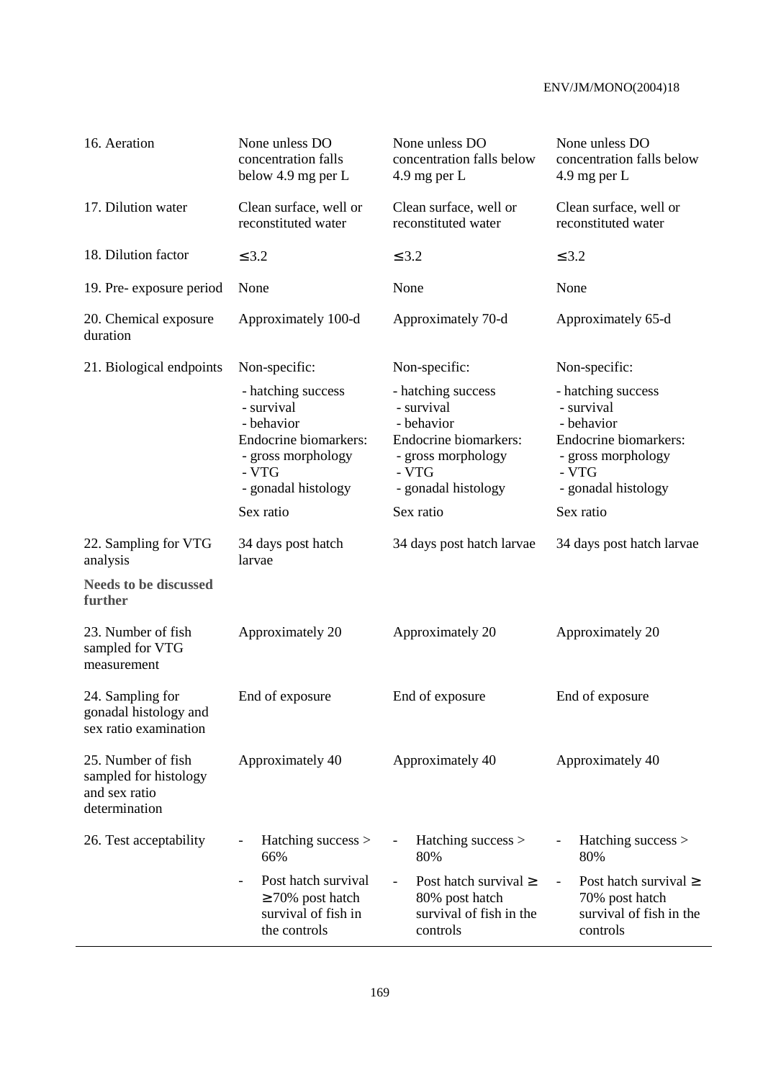| 16. Aeration                                                                  | None unless DO<br>concentration falls<br>below 4.9 mg per L                                                                   | None unless DO<br>concentration falls below<br>$4.9$ mg per L                                                                 | None unless DO<br>concentration falls below<br>$4.9$ mg per L                                                                 |  |
|-------------------------------------------------------------------------------|-------------------------------------------------------------------------------------------------------------------------------|-------------------------------------------------------------------------------------------------------------------------------|-------------------------------------------------------------------------------------------------------------------------------|--|
| 17. Dilution water                                                            | Clean surface, well or<br>reconstituted water                                                                                 | Clean surface, well or<br>reconstituted water                                                                                 | Clean surface, well or<br>reconstituted water                                                                                 |  |
| 18. Dilution factor                                                           | $\leq$ 3.2                                                                                                                    | $\leq$ 3.2                                                                                                                    | $\leq$ 3.2                                                                                                                    |  |
| 19. Pre-exposure period                                                       | None                                                                                                                          | None                                                                                                                          | None                                                                                                                          |  |
| 20. Chemical exposure<br>duration                                             | Approximately 100-d                                                                                                           | Approximately 70-d                                                                                                            | Approximately 65-d                                                                                                            |  |
| 21. Biological endpoints                                                      | Non-specific:                                                                                                                 | Non-specific:                                                                                                                 | Non-specific:                                                                                                                 |  |
|                                                                               | - hatching success<br>- survival<br>- behavior<br>Endocrine biomarkers:<br>- gross morphology<br>- VTG<br>- gonadal histology | - hatching success<br>- survival<br>- behavior<br>Endocrine biomarkers:<br>- gross morphology<br>- VTG<br>- gonadal histology | - hatching success<br>- survival<br>- behavior<br>Endocrine biomarkers:<br>- gross morphology<br>- VTG<br>- gonadal histology |  |
|                                                                               | Sex ratio                                                                                                                     | Sex ratio                                                                                                                     | Sex ratio                                                                                                                     |  |
| 22. Sampling for VTG<br>analysis                                              | 34 days post hatch<br>larvae                                                                                                  | 34 days post hatch larvae                                                                                                     | 34 days post hatch larvae                                                                                                     |  |
| <b>Needs to be discussed</b><br>further                                       |                                                                                                                               |                                                                                                                               |                                                                                                                               |  |
| 23. Number of fish<br>sampled for VTG<br>measurement                          | Approximately 20                                                                                                              | Approximately 20                                                                                                              | Approximately 20                                                                                                              |  |
| 24. Sampling for<br>gonadal histology and<br>sex ratio examination            | End of exposure                                                                                                               | End of exposure                                                                                                               | End of exposure                                                                                                               |  |
| 25. Number of fish<br>sampled for histology<br>and sex ratio<br>determination | Approximately 40                                                                                                              | Approximately 40                                                                                                              | Approximately 40                                                                                                              |  |
| 26. Test acceptability                                                        | Hatching success ><br>66%                                                                                                     | Hatching success ><br>80%                                                                                                     | Hatching success ><br>80%                                                                                                     |  |
|                                                                               | Post hatch survival<br>$\overline{\phantom{a}}$<br>$\geq$ 70% post hatch<br>survival of fish in<br>the controls               | Post hatch survival $\geq$<br>$\blacksquare$<br>80% post hatch<br>survival of fish in the<br>controls                         | Post hatch survival $\geq$<br>$\overline{\phantom{a}}$<br>70% post hatch<br>survival of fish in the<br>controls               |  |